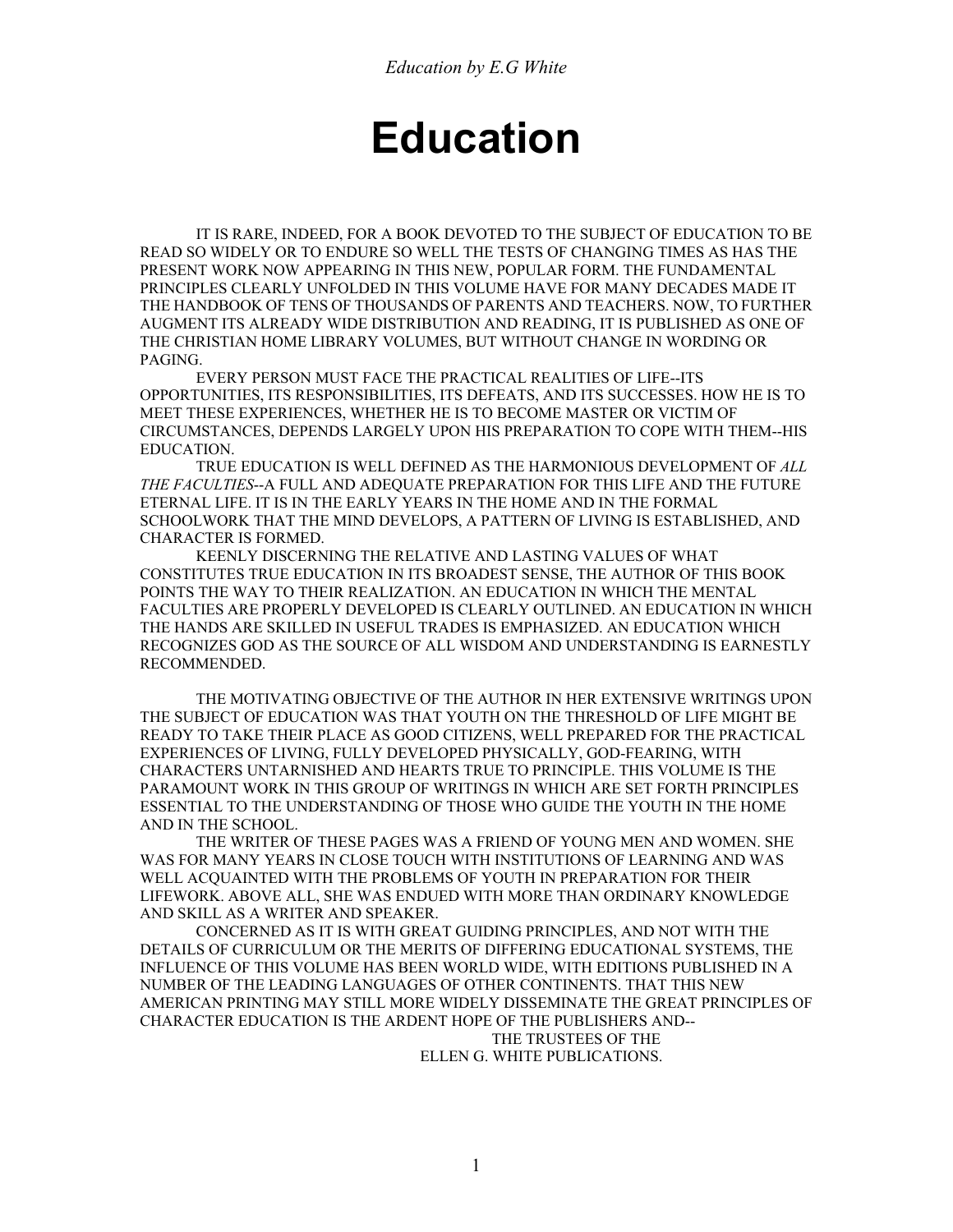# **Education**

 IT IS RARE, INDEED, FOR A BOOK DEVOTED TO THE SUBJECT OF EDUCATION TO BE READ SO WIDELY OR TO ENDURE SO WELL THE TESTS OF CHANGING TIMES AS HAS THE PRESENT WORK NOW APPEARING IN THIS NEW, POPULAR FORM. THE FUNDAMENTAL PRINCIPLES CLEARLY UNFOLDED IN THIS VOLUME HAVE FOR MANY DECADES MADE IT THE HANDBOOK OF TENS OF THOUSANDS OF PARENTS AND TEACHERS. NOW, TO FURTHER AUGMENT ITS ALREADY WIDE DISTRIBUTION AND READING, IT IS PUBLISHED AS ONE OF THE CHRISTIAN HOME LIBRARY VOLUMES, BUT WITHOUT CHANGE IN WORDING OR PAGING.

 EVERY PERSON MUST FACE THE PRACTICAL REALITIES OF LIFE--ITS OPPORTUNITIES, ITS RESPONSIBILITIES, ITS DEFEATS, AND ITS SUCCESSES. HOW HE IS TO MEET THESE EXPERIENCES, WHETHER HE IS TO BECOME MASTER OR VICTIM OF CIRCUMSTANCES, DEPENDS LARGELY UPON HIS PREPARATION TO COPE WITH THEM--HIS EDUCATION.

 TRUE EDUCATION IS WELL DEFINED AS THE HARMONIOUS DEVELOPMENT OF *ALL THE FACULTIES*--A FULL AND ADEQUATE PREPARATION FOR THIS LIFE AND THE FUTURE ETERNAL LIFE. IT IS IN THE EARLY YEARS IN THE HOME AND IN THE FORMAL SCHOOLWORK THAT THE MIND DEVELOPS, A PATTERN OF LIVING IS ESTABLISHED, AND CHARACTER IS FORMED.

 KEENLY DISCERNING THE RELATIVE AND LASTING VALUES OF WHAT CONSTITUTES TRUE EDUCATION IN ITS BROADEST SENSE, THE AUTHOR OF THIS BOOK POINTS THE WAY TO THEIR REALIZATION. AN EDUCATION IN WHICH THE MENTAL FACULTIES ARE PROPERLY DEVELOPED IS CLEARLY OUTLINED. AN EDUCATION IN WHICH THE HANDS ARE SKILLED IN USEFUL TRADES IS EMPHASIZED. AN EDUCATION WHICH RECOGNIZES GOD AS THE SOURCE OF ALL WISDOM AND UNDERSTANDING IS EARNESTLY RECOMMENDED.

 THE MOTIVATING OBJECTIVE OF THE AUTHOR IN HER EXTENSIVE WRITINGS UPON THE SUBJECT OF EDUCATION WAS THAT YOUTH ON THE THRESHOLD OF LIFE MIGHT BE READY TO TAKE THEIR PLACE AS GOOD CITIZENS, WELL PREPARED FOR THE PRACTICAL EXPERIENCES OF LIVING, FULLY DEVELOPED PHYSICALLY, GOD-FEARING, WITH CHARACTERS UNTARNISHED AND HEARTS TRUE TO PRINCIPLE. THIS VOLUME IS THE PARAMOUNT WORK IN THIS GROUP OF WRITINGS IN WHICH ARE SET FORTH PRINCIPLES ESSENTIAL TO THE UNDERSTANDING OF THOSE WHO GUIDE THE YOUTH IN THE HOME AND IN THE SCHOOL.

 THE WRITER OF THESE PAGES WAS A FRIEND OF YOUNG MEN AND WOMEN. SHE WAS FOR MANY YEARS IN CLOSE TOUCH WITH INSTITUTIONS OF LEARNING AND WAS WELL ACQUAINTED WITH THE PROBLEMS OF YOUTH IN PREPARATION FOR THEIR LIFEWORK. ABOVE ALL, SHE WAS ENDUED WITH MORE THAN ORDINARY KNOWLEDGE AND SKILL AS A WRITER AND SPEAKER.

 CONCERNED AS IT IS WITH GREAT GUIDING PRINCIPLES, AND NOT WITH THE DETAILS OF CURRICULUM OR THE MERITS OF DIFFERING EDUCATIONAL SYSTEMS, THE INFLUENCE OF THIS VOLUME HAS BEEN WORLD WIDE, WITH EDITIONS PUBLISHED IN A NUMBER OF THE LEADING LANGUAGES OF OTHER CONTINENTS. THAT THIS NEW AMERICAN PRINTING MAY STILL MORE WIDELY DISSEMINATE THE GREAT PRINCIPLES OF CHARACTER EDUCATION IS THE ARDENT HOPE OF THE PUBLISHERS AND--

 THE TRUSTEES OF THE ELLEN G. WHITE PUBLICATIONS.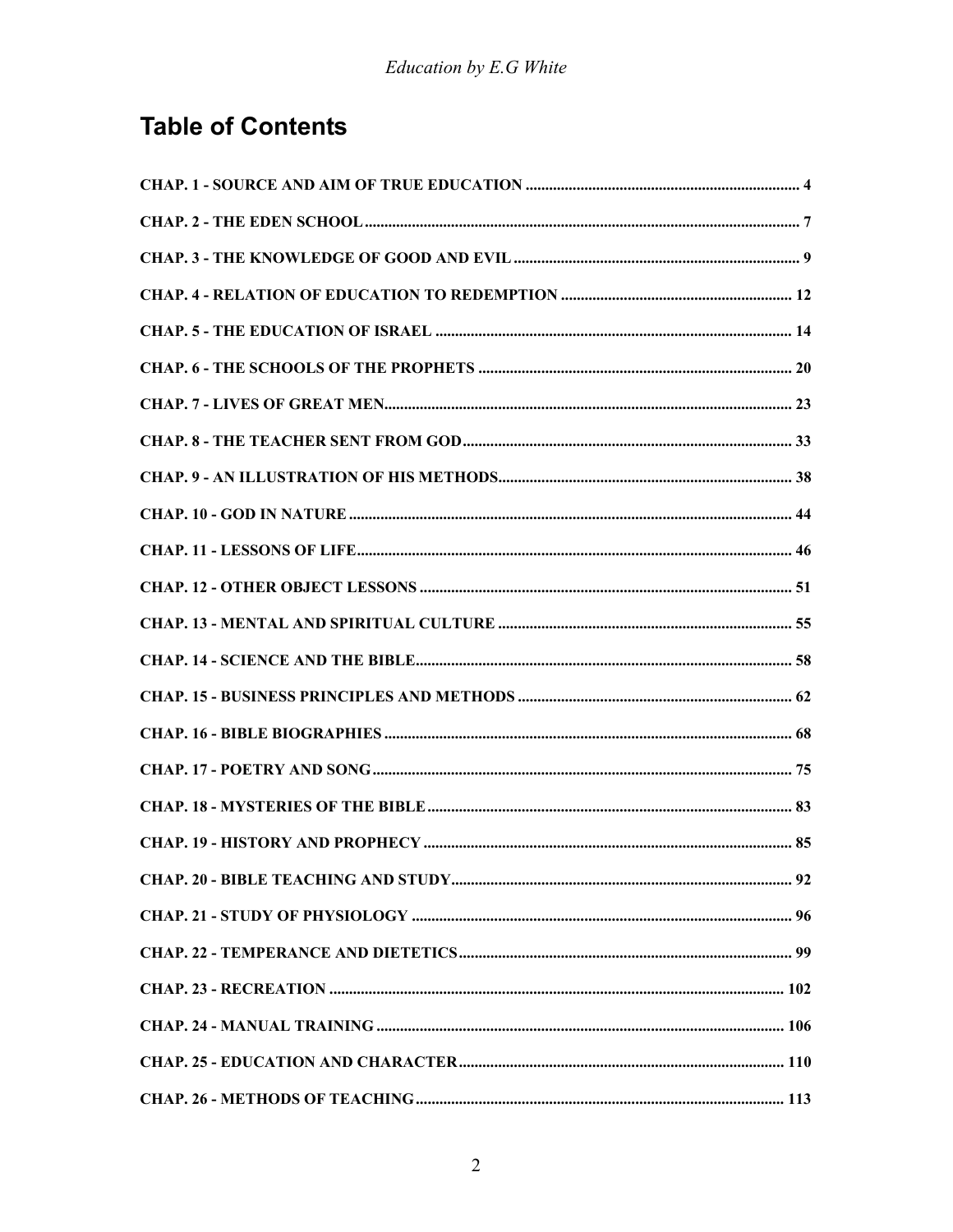## **Table of Contents**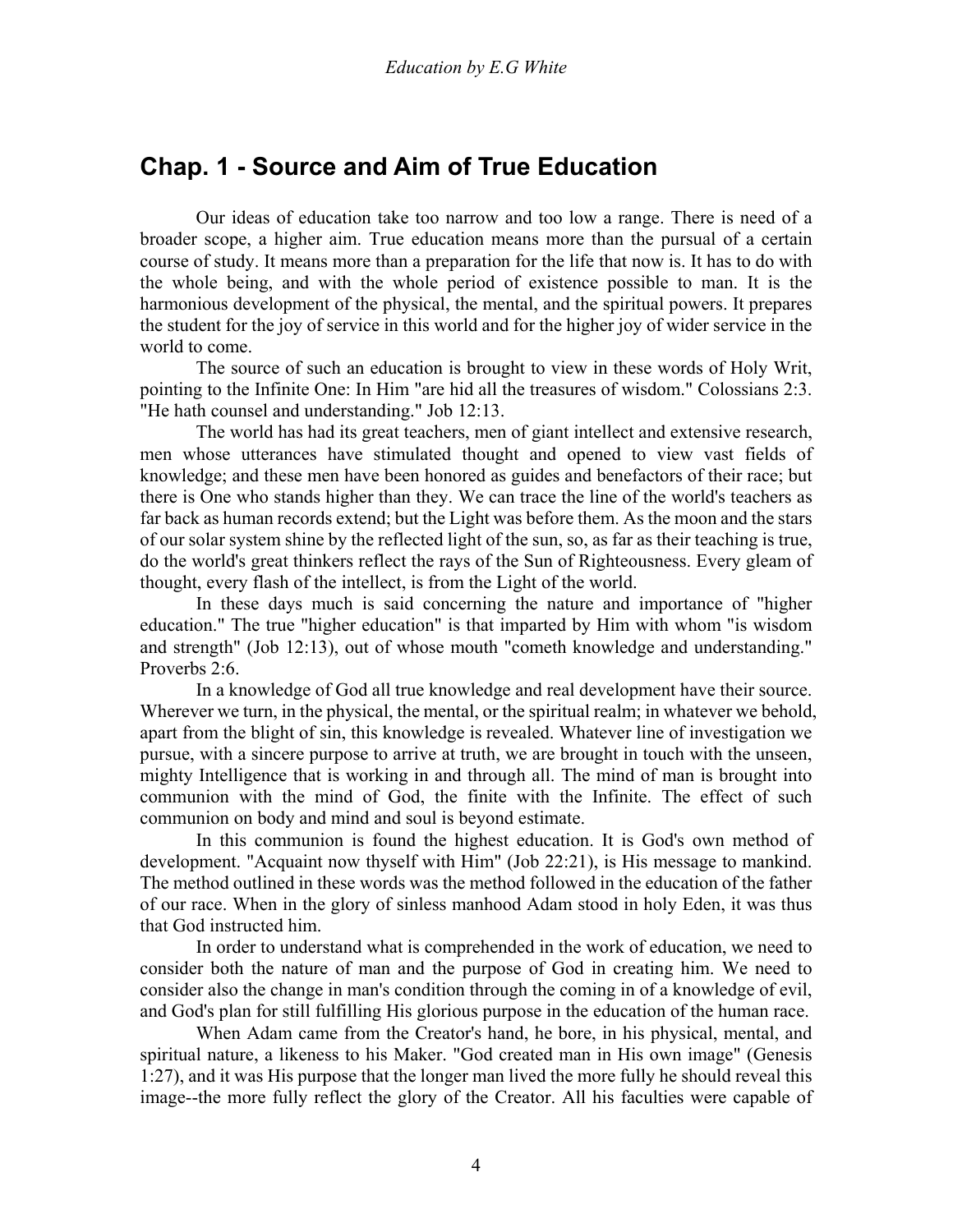### <span id="page-3-0"></span>**Chap. 1 - Source and Aim of True Education**

 Our ideas of education take too narrow and too low a range. There is need of a broader scope, a higher aim. True education means more than the pursual of a certain course of study. It means more than a preparation for the life that now is. It has to do with the whole being, and with the whole period of existence possible to man. It is the harmonious development of the physical, the mental, and the spiritual powers. It prepares the student for the joy of service in this world and for the higher joy of wider service in the world to come.

 The source of such an education is brought to view in these words of Holy Writ, pointing to the Infinite One: In Him "are hid all the treasures of wisdom." Colossians 2:3. "He hath counsel and understanding." Job 12:13.

 The world has had its great teachers, men of giant intellect and extensive research, men whose utterances have stimulated thought and opened to view vast fields of knowledge; and these men have been honored as guides and benefactors of their race; but there is One who stands higher than they. We can trace the line of the world's teachers as far back as human records extend; but the Light was before them. As the moon and the stars of our solar system shine by the reflected light of the sun, so, as far as their teaching is true, do the world's great thinkers reflect the rays of the Sun of Righteousness. Every gleam of thought, every flash of the intellect, is from the Light of the world.

 In these days much is said concerning the nature and importance of "higher education." The true "higher education" is that imparted by Him with whom "is wisdom and strength" (Job 12:13), out of whose mouth "cometh knowledge and understanding." Proverbs 2:6.

 In a knowledge of God all true knowledge and real development have their source. Wherever we turn, in the physical, the mental, or the spiritual realm; in whatever we behold, apart from the blight of sin, this knowledge is revealed. Whatever line of investigation we pursue, with a sincere purpose to arrive at truth, we are brought in touch with the unseen, mighty Intelligence that is working in and through all. The mind of man is brought into communion with the mind of God, the finite with the Infinite. The effect of such communion on body and mind and soul is beyond estimate.

 In this communion is found the highest education. It is God's own method of development. "Acquaint now thyself with Him" (Job 22:21), is His message to mankind. The method outlined in these words was the method followed in the education of the father of our race. When in the glory of sinless manhood Adam stood in holy Eden, it was thus that God instructed him.

 In order to understand what is comprehended in the work of education, we need to consider both the nature of man and the purpose of God in creating him. We need to consider also the change in man's condition through the coming in of a knowledge of evil, and God's plan for still fulfilling His glorious purpose in the education of the human race.

 When Adam came from the Creator's hand, he bore, in his physical, mental, and spiritual nature, a likeness to his Maker. "God created man in His own image" (Genesis 1:27), and it was His purpose that the longer man lived the more fully he should reveal this image--the more fully reflect the glory of the Creator. All his faculties were capable of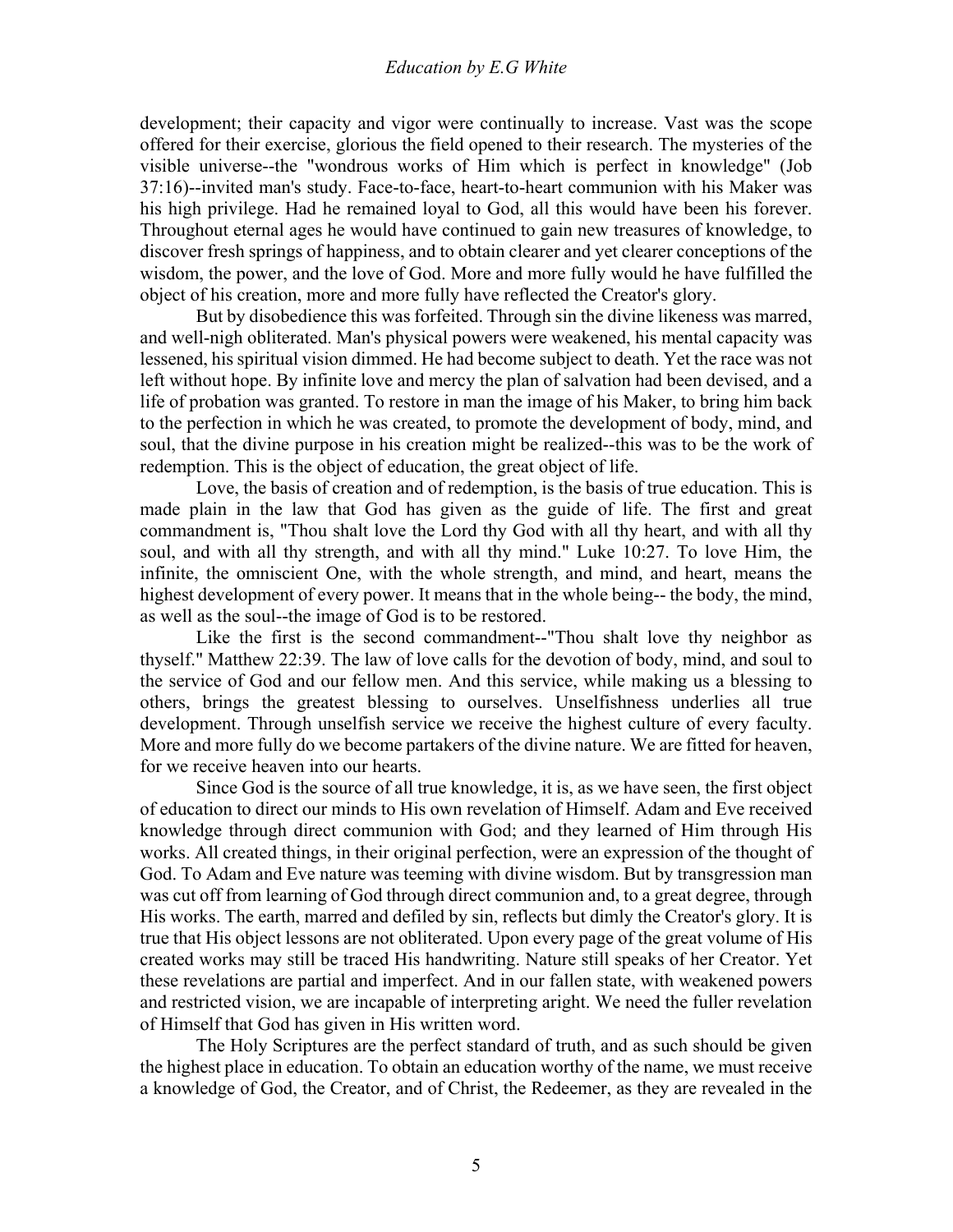development; their capacity and vigor were continually to increase. Vast was the scope offered for their exercise, glorious the field opened to their research. The mysteries of the visible universe--the "wondrous works of Him which is perfect in knowledge" (Job 37:16)--invited man's study. Face-to-face, heart-to-heart communion with his Maker was his high privilege. Had he remained loyal to God, all this would have been his forever. Throughout eternal ages he would have continued to gain new treasures of knowledge, to discover fresh springs of happiness, and to obtain clearer and yet clearer conceptions of the wisdom, the power, and the love of God. More and more fully would he have fulfilled the object of his creation, more and more fully have reflected the Creator's glory.

 But by disobedience this was forfeited. Through sin the divine likeness was marred, and well-nigh obliterated. Man's physical powers were weakened, his mental capacity was lessened, his spiritual vision dimmed. He had become subject to death. Yet the race was not left without hope. By infinite love and mercy the plan of salvation had been devised, and a life of probation was granted. To restore in man the image of his Maker, to bring him back to the perfection in which he was created, to promote the development of body, mind, and soul, that the divine purpose in his creation might be realized--this was to be the work of redemption. This is the object of education, the great object of life.

 Love, the basis of creation and of redemption, is the basis of true education. This is made plain in the law that God has given as the guide of life. The first and great commandment is, "Thou shalt love the Lord thy God with all thy heart, and with all thy soul, and with all thy strength, and with all thy mind." Luke 10:27. To love Him, the infinite, the omniscient One, with the whole strength, and mind, and heart, means the highest development of every power. It means that in the whole being-- the body, the mind, as well as the soul--the image of God is to be restored.

 Like the first is the second commandment--"Thou shalt love thy neighbor as thyself." Matthew 22:39. The law of love calls for the devotion of body, mind, and soul to the service of God and our fellow men. And this service, while making us a blessing to others, brings the greatest blessing to ourselves. Unselfishness underlies all true development. Through unselfish service we receive the highest culture of every faculty. More and more fully do we become partakers of the divine nature. We are fitted for heaven, for we receive heaven into our hearts.

 Since God is the source of all true knowledge, it is, as we have seen, the first object of education to direct our minds to His own revelation of Himself. Adam and Eve received knowledge through direct communion with God; and they learned of Him through His works. All created things, in their original perfection, were an expression of the thought of God. To Adam and Eve nature was teeming with divine wisdom. But by transgression man was cut off from learning of God through direct communion and, to a great degree, through His works. The earth, marred and defiled by sin, reflects but dimly the Creator's glory. It is true that His object lessons are not obliterated. Upon every page of the great volume of His created works may still be traced His handwriting. Nature still speaks of her Creator. Yet these revelations are partial and imperfect. And in our fallen state, with weakened powers and restricted vision, we are incapable of interpreting aright. We need the fuller revelation of Himself that God has given in His written word.

 The Holy Scriptures are the perfect standard of truth, and as such should be given the highest place in education. To obtain an education worthy of the name, we must receive a knowledge of God, the Creator, and of Christ, the Redeemer, as they are revealed in the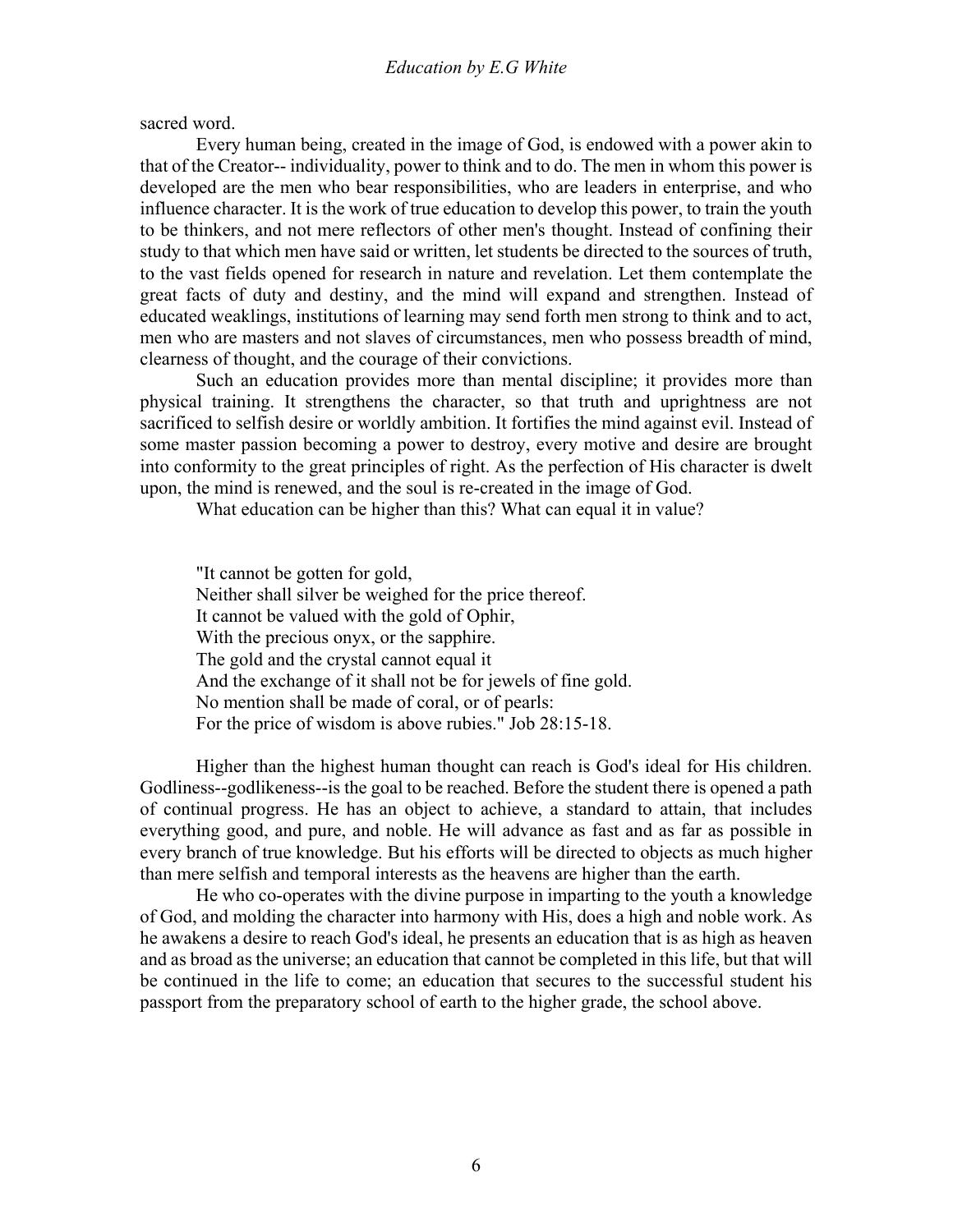sacred word.

 Every human being, created in the image of God, is endowed with a power akin to that of the Creator-- individuality, power to think and to do. The men in whom this power is developed are the men who bear responsibilities, who are leaders in enterprise, and who influence character. It is the work of true education to develop this power, to train the youth to be thinkers, and not mere reflectors of other men's thought. Instead of confining their study to that which men have said or written, let students be directed to the sources of truth, to the vast fields opened for research in nature and revelation. Let them contemplate the great facts of duty and destiny, and the mind will expand and strengthen. Instead of educated weaklings, institutions of learning may send forth men strong to think and to act, men who are masters and not slaves of circumstances, men who possess breadth of mind, clearness of thought, and the courage of their convictions.

 Such an education provides more than mental discipline; it provides more than physical training. It strengthens the character, so that truth and uprightness are not sacrificed to selfish desire or worldly ambition. It fortifies the mind against evil. Instead of some master passion becoming a power to destroy, every motive and desire are brought into conformity to the great principles of right. As the perfection of His character is dwelt upon, the mind is renewed, and the soul is re-created in the image of God.

What education can be higher than this? What can equal it in value?

"It cannot be gotten for gold, Neither shall silver be weighed for the price thereof. It cannot be valued with the gold of Ophir, With the precious onyx, or the sapphire. The gold and the crystal cannot equal it And the exchange of it shall not be for jewels of fine gold. No mention shall be made of coral, or of pearls: For the price of wisdom is above rubies." Job 28:15-18.

 Higher than the highest human thought can reach is God's ideal for His children. Godliness--godlikeness--is the goal to be reached. Before the student there is opened a path of continual progress. He has an object to achieve, a standard to attain, that includes everything good, and pure, and noble. He will advance as fast and as far as possible in every branch of true knowledge. But his efforts will be directed to objects as much higher than mere selfish and temporal interests as the heavens are higher than the earth.

 He who co-operates with the divine purpose in imparting to the youth a knowledge of God, and molding the character into harmony with His, does a high and noble work. As he awakens a desire to reach God's ideal, he presents an education that is as high as heaven and as broad as the universe; an education that cannot be completed in this life, but that will be continued in the life to come; an education that secures to the successful student his passport from the preparatory school of earth to the higher grade, the school above.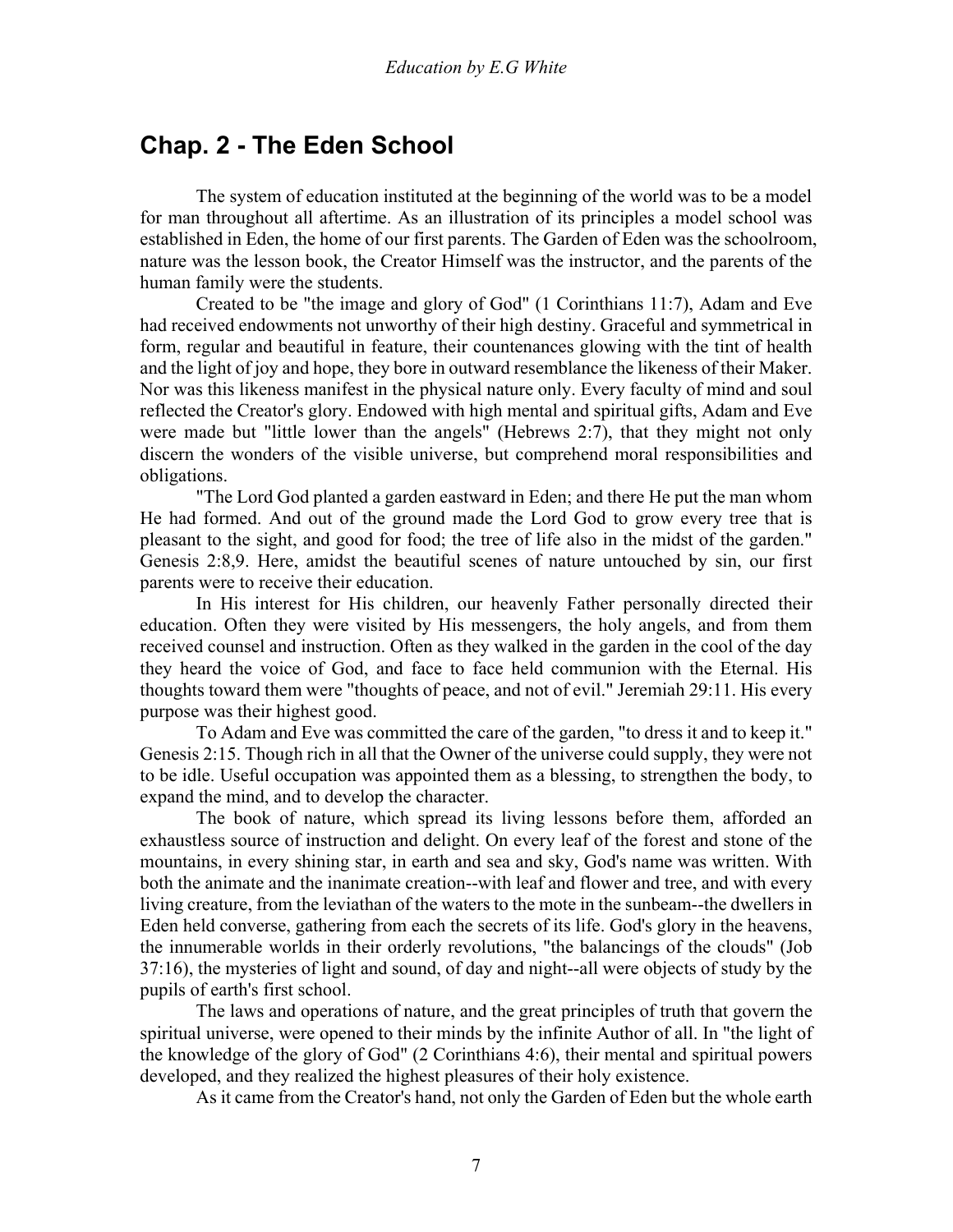### <span id="page-6-0"></span>**Chap. 2 - The Eden School**

 The system of education instituted at the beginning of the world was to be a model for man throughout all aftertime. As an illustration of its principles a model school was established in Eden, the home of our first parents. The Garden of Eden was the schoolroom, nature was the lesson book, the Creator Himself was the instructor, and the parents of the human family were the students.

 Created to be "the image and glory of God" (1 Corinthians 11:7), Adam and Eve had received endowments not unworthy of their high destiny. Graceful and symmetrical in form, regular and beautiful in feature, their countenances glowing with the tint of health and the light of joy and hope, they bore in outward resemblance the likeness of their Maker. Nor was this likeness manifest in the physical nature only. Every faculty of mind and soul reflected the Creator's glory. Endowed with high mental and spiritual gifts, Adam and Eve were made but "little lower than the angels" (Hebrews 2:7), that they might not only discern the wonders of the visible universe, but comprehend moral responsibilities and obligations.

 "The Lord God planted a garden eastward in Eden; and there He put the man whom He had formed. And out of the ground made the Lord God to grow every tree that is pleasant to the sight, and good for food; the tree of life also in the midst of the garden." Genesis 2:8,9. Here, amidst the beautiful scenes of nature untouched by sin, our first parents were to receive their education.

 In His interest for His children, our heavenly Father personally directed their education. Often they were visited by His messengers, the holy angels, and from them received counsel and instruction. Often as they walked in the garden in the cool of the day they heard the voice of God, and face to face held communion with the Eternal. His thoughts toward them were "thoughts of peace, and not of evil." Jeremiah 29:11. His every purpose was their highest good.

 To Adam and Eve was committed the care of the garden, "to dress it and to keep it." Genesis 2:15. Though rich in all that the Owner of the universe could supply, they were not to be idle. Useful occupation was appointed them as a blessing, to strengthen the body, to expand the mind, and to develop the character.

 The book of nature, which spread its living lessons before them, afforded an exhaustless source of instruction and delight. On every leaf of the forest and stone of the mountains, in every shining star, in earth and sea and sky, God's name was written. With both the animate and the inanimate creation--with leaf and flower and tree, and with every living creature, from the leviathan of the waters to the mote in the sunbeam--the dwellers in Eden held converse, gathering from each the secrets of its life. God's glory in the heavens, the innumerable worlds in their orderly revolutions, "the balancings of the clouds" (Job 37:16), the mysteries of light and sound, of day and night--all were objects of study by the pupils of earth's first school.

 The laws and operations of nature, and the great principles of truth that govern the spiritual universe, were opened to their minds by the infinite Author of all. In "the light of the knowledge of the glory of God" (2 Corinthians 4:6), their mental and spiritual powers developed, and they realized the highest pleasures of their holy existence.

As it came from the Creator's hand, not only the Garden of Eden but the whole earth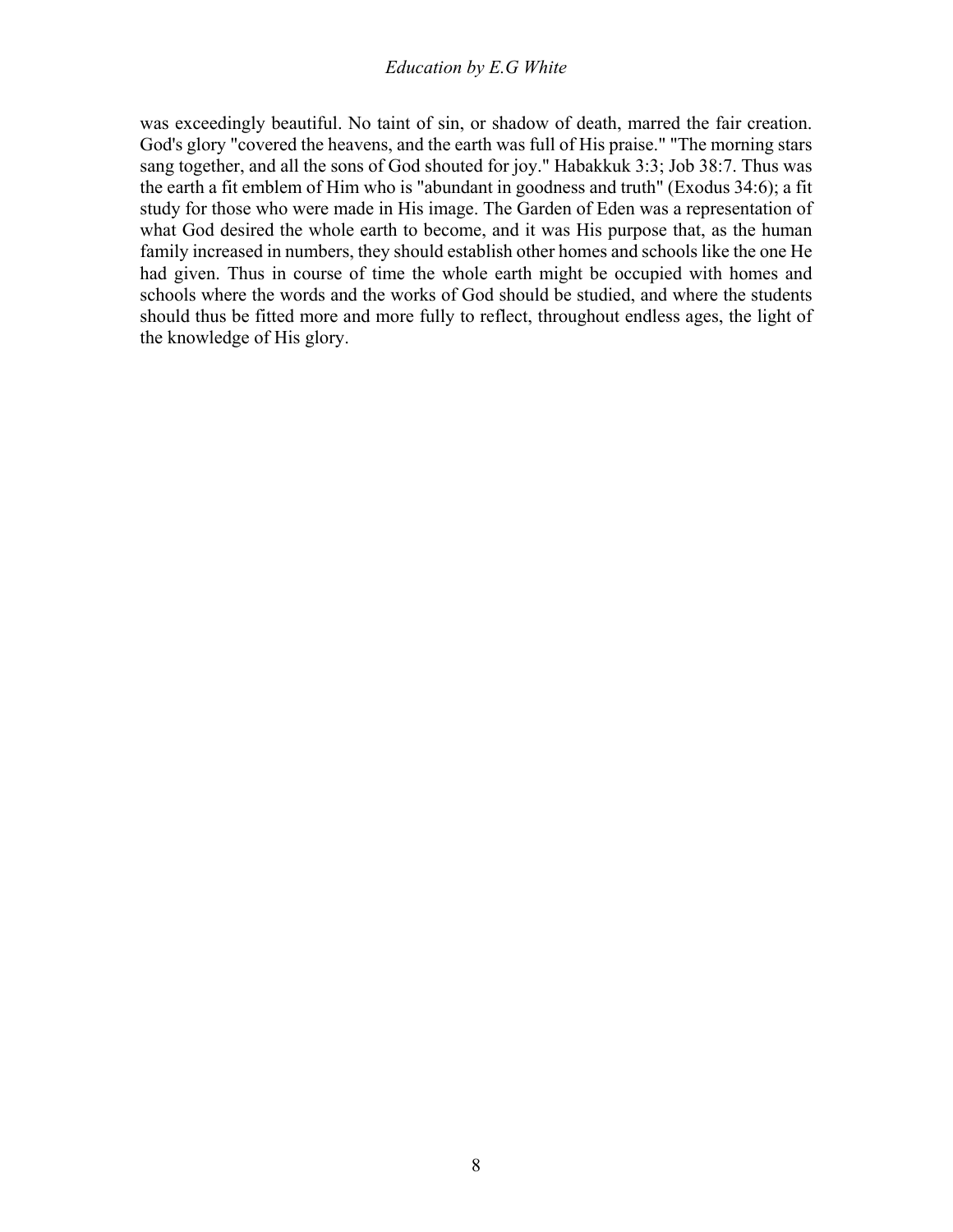was exceedingly beautiful. No taint of sin, or shadow of death, marred the fair creation. God's glory "covered the heavens, and the earth was full of His praise." "The morning stars sang together, and all the sons of God shouted for joy." Habakkuk 3:3; Job 38:7. Thus was the earth a fit emblem of Him who is "abundant in goodness and truth" (Exodus 34:6); a fit study for those who were made in His image. The Garden of Eden was a representation of what God desired the whole earth to become, and it was His purpose that, as the human family increased in numbers, they should establish other homes and schools like the one He had given. Thus in course of time the whole earth might be occupied with homes and schools where the words and the works of God should be studied, and where the students should thus be fitted more and more fully to reflect, throughout endless ages, the light of the knowledge of His glory.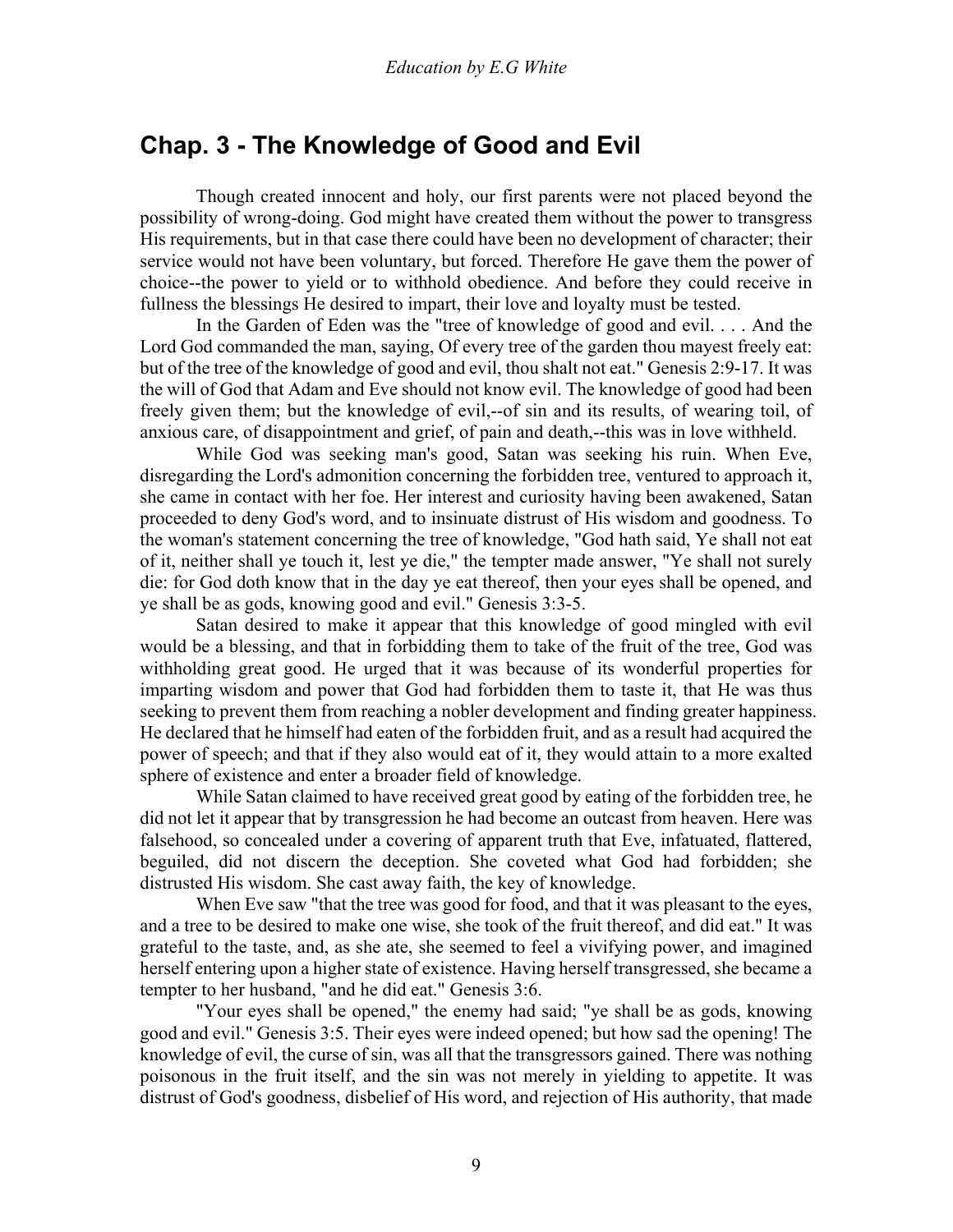### <span id="page-8-0"></span>**Chap. 3 - The Knowledge of Good and Evil**

 Though created innocent and holy, our first parents were not placed beyond the possibility of wrong-doing. God might have created them without the power to transgress His requirements, but in that case there could have been no development of character; their service would not have been voluntary, but forced. Therefore He gave them the power of choice--the power to yield or to withhold obedience. And before they could receive in fullness the blessings He desired to impart, their love and loyalty must be tested.

 In the Garden of Eden was the "tree of knowledge of good and evil. . . . And the Lord God commanded the man, saying, Of every tree of the garden thou mayest freely eat: but of the tree of the knowledge of good and evil, thou shalt not eat." Genesis 2:9-17. It was the will of God that Adam and Eve should not know evil. The knowledge of good had been freely given them; but the knowledge of evil,--of sin and its results, of wearing toil, of anxious care, of disappointment and grief, of pain and death,--this was in love withheld.

 While God was seeking man's good, Satan was seeking his ruin. When Eve, disregarding the Lord's admonition concerning the forbidden tree, ventured to approach it, she came in contact with her foe. Her interest and curiosity having been awakened, Satan proceeded to deny God's word, and to insinuate distrust of His wisdom and goodness. To the woman's statement concerning the tree of knowledge, "God hath said, Ye shall not eat of it, neither shall ye touch it, lest ye die," the tempter made answer, "Ye shall not surely die: for God doth know that in the day ye eat thereof, then your eyes shall be opened, and ye shall be as gods, knowing good and evil." Genesis 3:3-5.

 Satan desired to make it appear that this knowledge of good mingled with evil would be a blessing, and that in forbidding them to take of the fruit of the tree, God was withholding great good. He urged that it was because of its wonderful properties for imparting wisdom and power that God had forbidden them to taste it, that He was thus seeking to prevent them from reaching a nobler development and finding greater happiness. He declared that he himself had eaten of the forbidden fruit, and as a result had acquired the power of speech; and that if they also would eat of it, they would attain to a more exalted sphere of existence and enter a broader field of knowledge.

 While Satan claimed to have received great good by eating of the forbidden tree, he did not let it appear that by transgression he had become an outcast from heaven. Here was falsehood, so concealed under a covering of apparent truth that Eve, infatuated, flattered, beguiled, did not discern the deception. She coveted what God had forbidden; she distrusted His wisdom. She cast away faith, the key of knowledge.

 When Eve saw "that the tree was good for food, and that it was pleasant to the eyes, and a tree to be desired to make one wise, she took of the fruit thereof, and did eat." It was grateful to the taste, and, as she ate, she seemed to feel a vivifying power, and imagined herself entering upon a higher state of existence. Having herself transgressed, she became a tempter to her husband, "and he did eat." Genesis 3:6.

 "Your eyes shall be opened," the enemy had said; "ye shall be as gods, knowing good and evil." Genesis 3:5. Their eyes were indeed opened; but how sad the opening! The knowledge of evil, the curse of sin, was all that the transgressors gained. There was nothing poisonous in the fruit itself, and the sin was not merely in yielding to appetite. It was distrust of God's goodness, disbelief of His word, and rejection of His authority, that made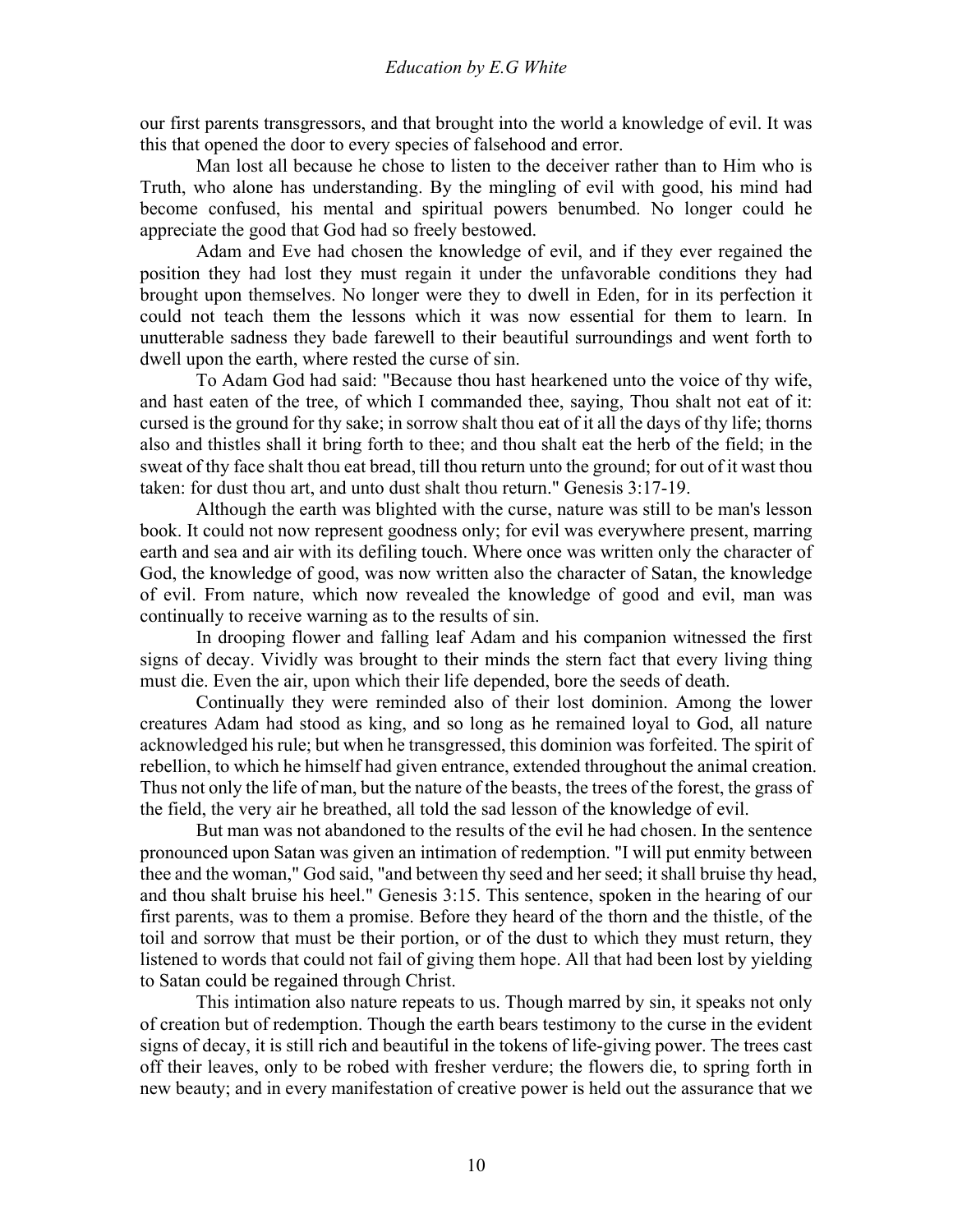our first parents transgressors, and that brought into the world a knowledge of evil. It was this that opened the door to every species of falsehood and error.

 Man lost all because he chose to listen to the deceiver rather than to Him who is Truth, who alone has understanding. By the mingling of evil with good, his mind had become confused, his mental and spiritual powers benumbed. No longer could he appreciate the good that God had so freely bestowed.

 Adam and Eve had chosen the knowledge of evil, and if they ever regained the position they had lost they must regain it under the unfavorable conditions they had brought upon themselves. No longer were they to dwell in Eden, for in its perfection it could not teach them the lessons which it was now essential for them to learn. In unutterable sadness they bade farewell to their beautiful surroundings and went forth to dwell upon the earth, where rested the curse of sin.

 To Adam God had said: "Because thou hast hearkened unto the voice of thy wife, and hast eaten of the tree, of which I commanded thee, saying, Thou shalt not eat of it: cursed is the ground for thy sake; in sorrow shalt thou eat of it all the days of thy life; thorns also and thistles shall it bring forth to thee; and thou shalt eat the herb of the field; in the sweat of thy face shalt thou eat bread, till thou return unto the ground; for out of it wast thou taken: for dust thou art, and unto dust shalt thou return." Genesis 3:17-19.

 Although the earth was blighted with the curse, nature was still to be man's lesson book. It could not now represent goodness only; for evil was everywhere present, marring earth and sea and air with its defiling touch. Where once was written only the character of God, the knowledge of good, was now written also the character of Satan, the knowledge of evil. From nature, which now revealed the knowledge of good and evil, man was continually to receive warning as to the results of sin.

 In drooping flower and falling leaf Adam and his companion witnessed the first signs of decay. Vividly was brought to their minds the stern fact that every living thing must die. Even the air, upon which their life depended, bore the seeds of death.

 Continually they were reminded also of their lost dominion. Among the lower creatures Adam had stood as king, and so long as he remained loyal to God, all nature acknowledged his rule; but when he transgressed, this dominion was forfeited. The spirit of rebellion, to which he himself had given entrance, extended throughout the animal creation. Thus not only the life of man, but the nature of the beasts, the trees of the forest, the grass of the field, the very air he breathed, all told the sad lesson of the knowledge of evil.

 But man was not abandoned to the results of the evil he had chosen. In the sentence pronounced upon Satan was given an intimation of redemption. "I will put enmity between thee and the woman," God said, "and between thy seed and her seed; it shall bruise thy head, and thou shalt bruise his heel." Genesis 3:15. This sentence, spoken in the hearing of our first parents, was to them a promise. Before they heard of the thorn and the thistle, of the toil and sorrow that must be their portion, or of the dust to which they must return, they listened to words that could not fail of giving them hope. All that had been lost by yielding to Satan could be regained through Christ.

 This intimation also nature repeats to us. Though marred by sin, it speaks not only of creation but of redemption. Though the earth bears testimony to the curse in the evident signs of decay, it is still rich and beautiful in the tokens of life-giving power. The trees cast off their leaves, only to be robed with fresher verdure; the flowers die, to spring forth in new beauty; and in every manifestation of creative power is held out the assurance that we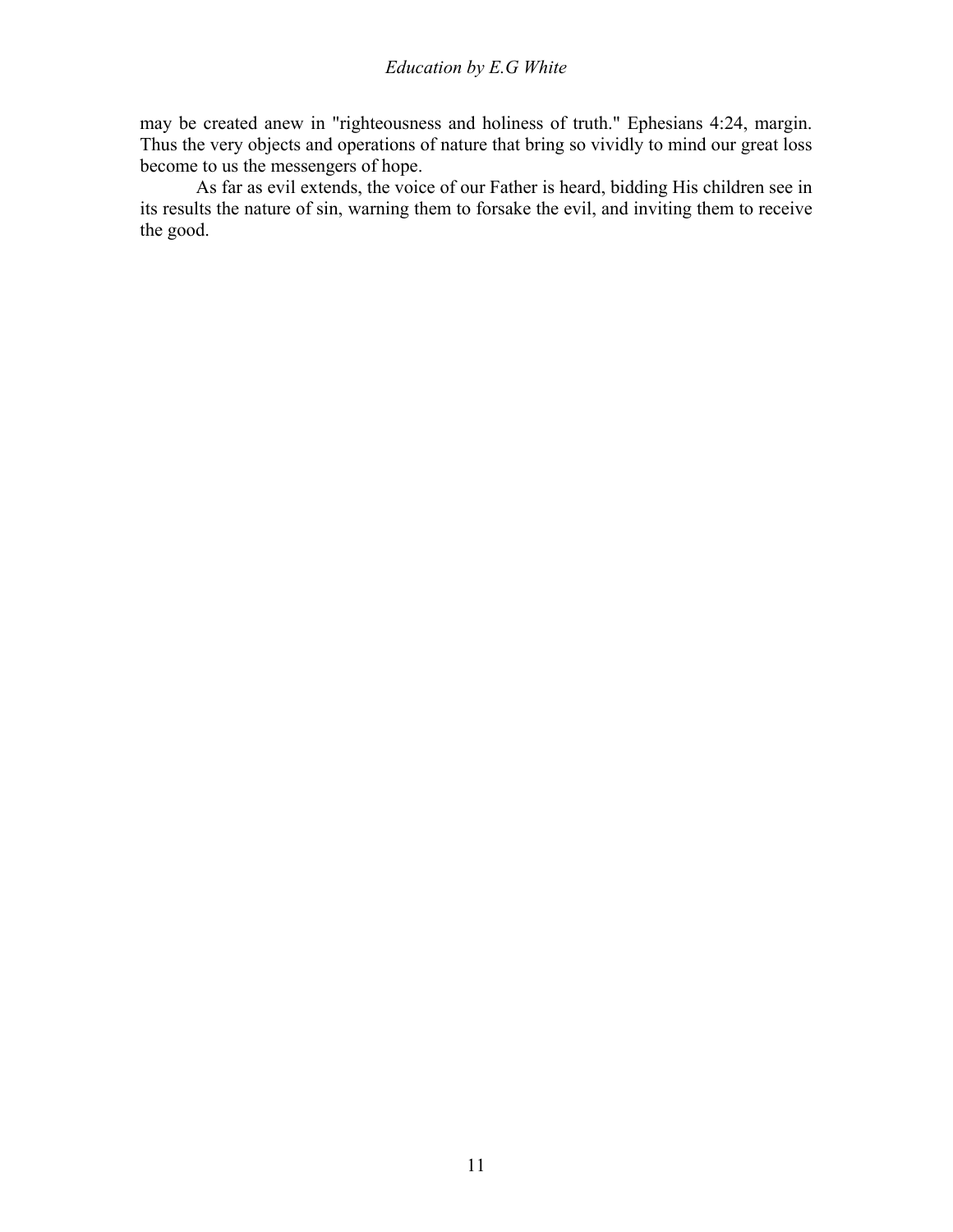may be created anew in "righteousness and holiness of truth." Ephesians 4:24, margin. Thus the very objects and operations of nature that bring so vividly to mind our great loss become to us the messengers of hope.

 As far as evil extends, the voice of our Father is heard, bidding His children see in its results the nature of sin, warning them to forsake the evil, and inviting them to receive the good.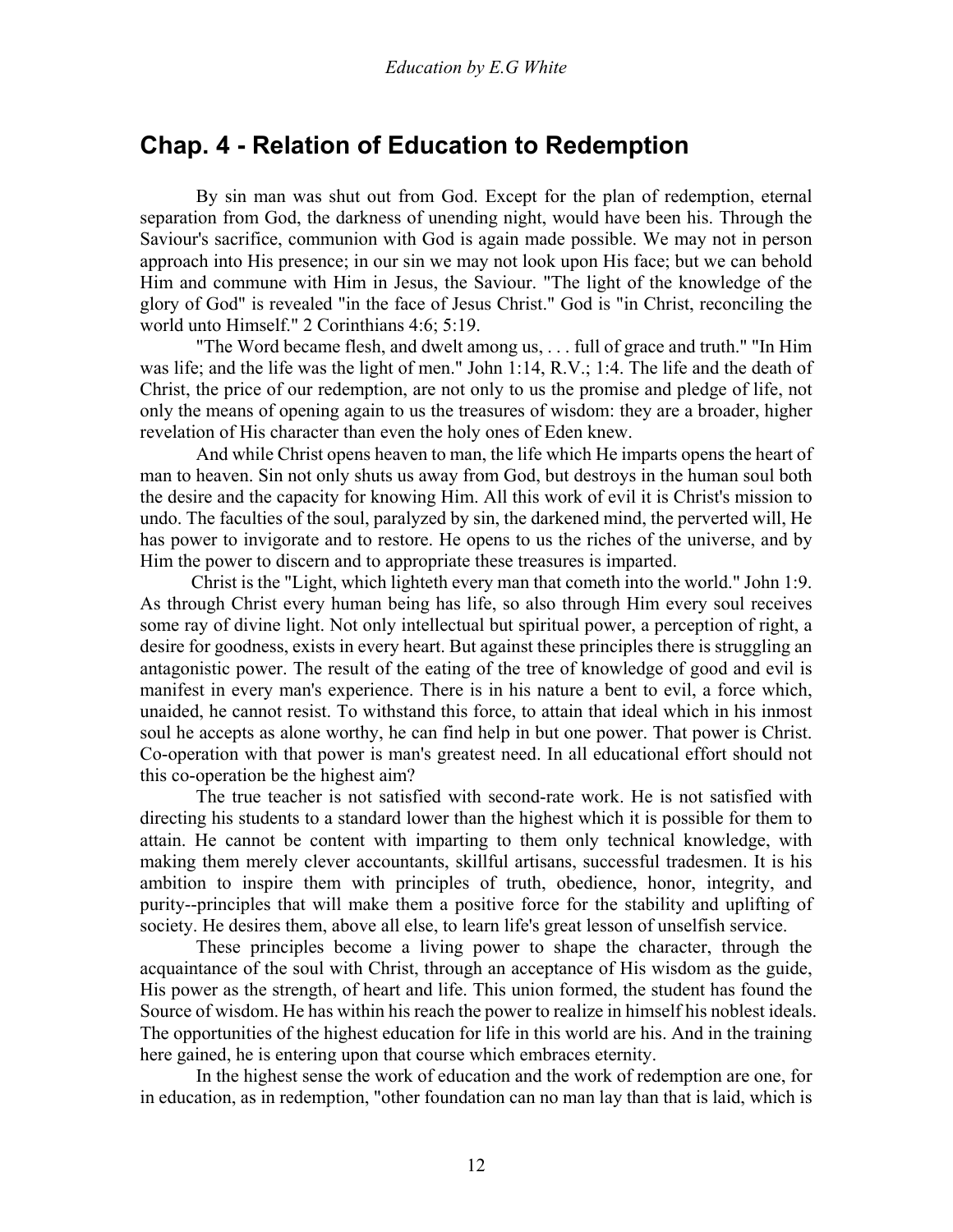### <span id="page-11-0"></span>**Chap. 4 - Relation of Education to Redemption**

 By sin man was shut out from God. Except for the plan of redemption, eternal separation from God, the darkness of unending night, would have been his. Through the Saviour's sacrifice, communion with God is again made possible. We may not in person approach into His presence; in our sin we may not look upon His face; but we can behold Him and commune with Him in Jesus, the Saviour. "The light of the knowledge of the glory of God" is revealed "in the face of Jesus Christ." God is "in Christ, reconciling the world unto Himself." 2 Corinthians 4:6; 5:19.

 "The Word became flesh, and dwelt among us, . . . full of grace and truth." "In Him was life; and the life was the light of men." John 1:14, R.V.; 1:4. The life and the death of Christ, the price of our redemption, are not only to us the promise and pledge of life, not only the means of opening again to us the treasures of wisdom: they are a broader, higher revelation of His character than even the holy ones of Eden knew.

 And while Christ opens heaven to man, the life which He imparts opens the heart of man to heaven. Sin not only shuts us away from God, but destroys in the human soul both the desire and the capacity for knowing Him. All this work of evil it is Christ's mission to undo. The faculties of the soul, paralyzed by sin, the darkened mind, the perverted will, He has power to invigorate and to restore. He opens to us the riches of the universe, and by Him the power to discern and to appropriate these treasures is imparted.

 Christ is the "Light, which lighteth every man that cometh into the world." John 1:9. As through Christ every human being has life, so also through Him every soul receives some ray of divine light. Not only intellectual but spiritual power, a perception of right, a desire for goodness, exists in every heart. But against these principles there is struggling an antagonistic power. The result of the eating of the tree of knowledge of good and evil is manifest in every man's experience. There is in his nature a bent to evil, a force which, unaided, he cannot resist. To withstand this force, to attain that ideal which in his inmost soul he accepts as alone worthy, he can find help in but one power. That power is Christ. Co-operation with that power is man's greatest need. In all educational effort should not this co-operation be the highest aim?

 The true teacher is not satisfied with second-rate work. He is not satisfied with directing his students to a standard lower than the highest which it is possible for them to attain. He cannot be content with imparting to them only technical knowledge, with making them merely clever accountants, skillful artisans, successful tradesmen. It is his ambition to inspire them with principles of truth, obedience, honor, integrity, and purity--principles that will make them a positive force for the stability and uplifting of society. He desires them, above all else, to learn life's great lesson of unselfish service.

 These principles become a living power to shape the character, through the acquaintance of the soul with Christ, through an acceptance of His wisdom as the guide, His power as the strength, of heart and life. This union formed, the student has found the Source of wisdom. He has within his reach the power to realize in himself his noblest ideals. The opportunities of the highest education for life in this world are his. And in the training here gained, he is entering upon that course which embraces eternity.

 In the highest sense the work of education and the work of redemption are one, for in education, as in redemption, "other foundation can no man lay than that is laid, which is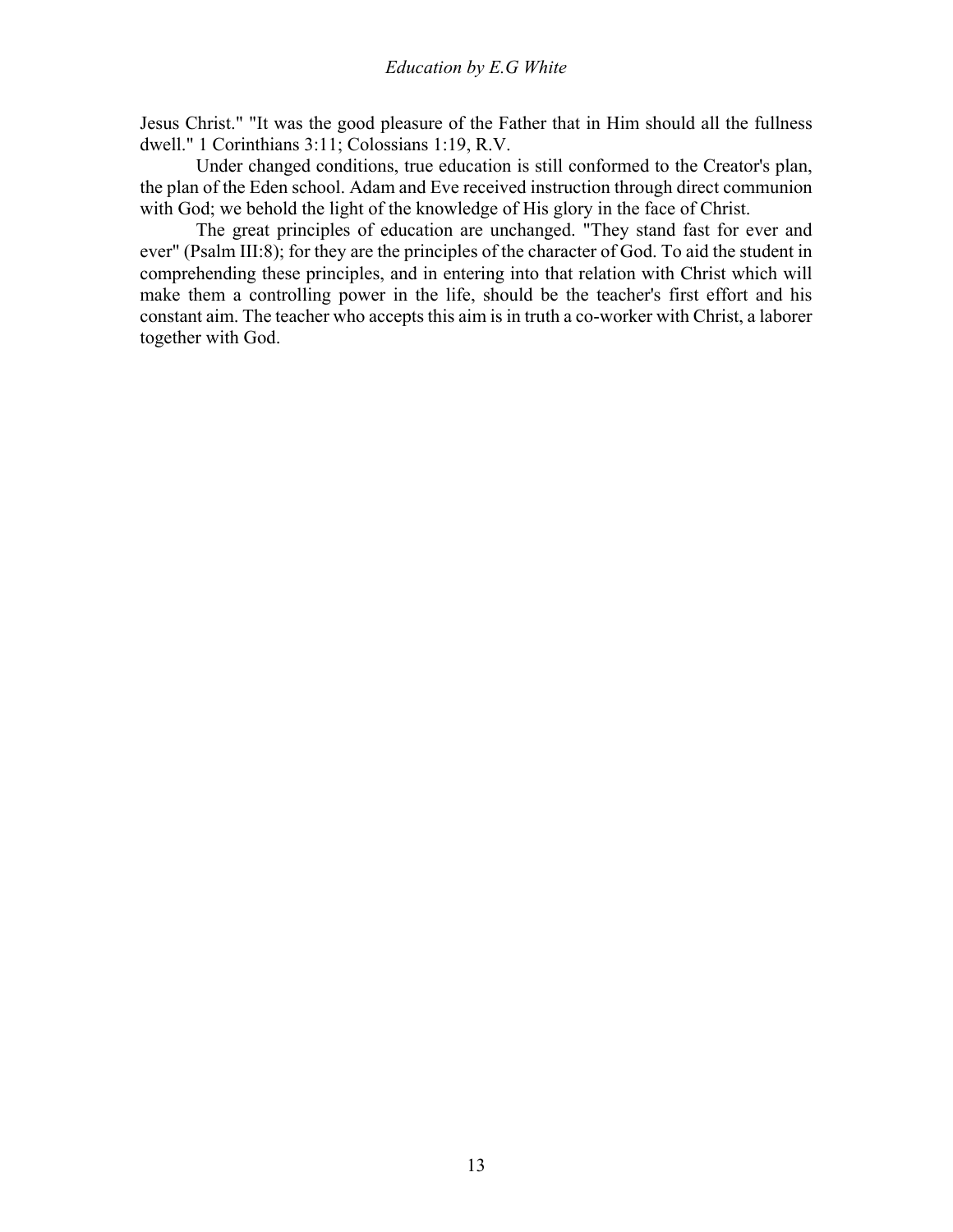Jesus Christ." "It was the good pleasure of the Father that in Him should all the fullness dwell." 1 Corinthians 3:11; Colossians 1:19, R.V.

 Under changed conditions, true education is still conformed to the Creator's plan, the plan of the Eden school. Adam and Eve received instruction through direct communion with God; we behold the light of the knowledge of His glory in the face of Christ.

 The great principles of education are unchanged. "They stand fast for ever and ever" (Psalm III:8); for they are the principles of the character of God. To aid the student in comprehending these principles, and in entering into that relation with Christ which will make them a controlling power in the life, should be the teacher's first effort and his constant aim. The teacher who accepts this aim is in truth a co-worker with Christ, a laborer together with God.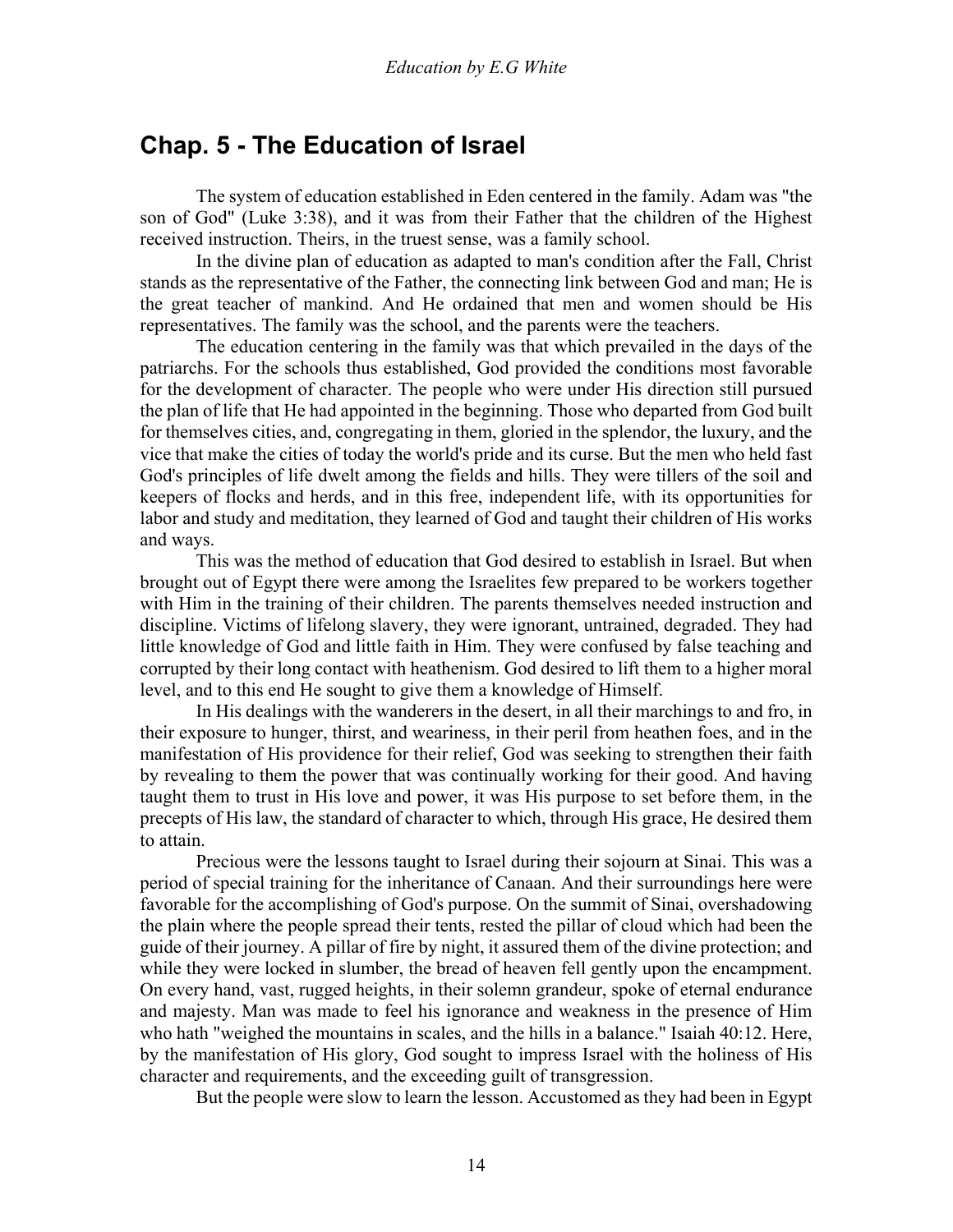### <span id="page-13-0"></span>**Chap. 5 - The Education of Israel**

 The system of education established in Eden centered in the family. Adam was "the son of God" (Luke 3:38), and it was from their Father that the children of the Highest received instruction. Theirs, in the truest sense, was a family school.

 In the divine plan of education as adapted to man's condition after the Fall, Christ stands as the representative of the Father, the connecting link between God and man; He is the great teacher of mankind. And He ordained that men and women should be His representatives. The family was the school, and the parents were the teachers.

 The education centering in the family was that which prevailed in the days of the patriarchs. For the schools thus established, God provided the conditions most favorable for the development of character. The people who were under His direction still pursued the plan of life that He had appointed in the beginning. Those who departed from God built for themselves cities, and, congregating in them, gloried in the splendor, the luxury, and the vice that make the cities of today the world's pride and its curse. But the men who held fast God's principles of life dwelt among the fields and hills. They were tillers of the soil and keepers of flocks and herds, and in this free, independent life, with its opportunities for labor and study and meditation, they learned of God and taught their children of His works and ways.

 This was the method of education that God desired to establish in Israel. But when brought out of Egypt there were among the Israelites few prepared to be workers together with Him in the training of their children. The parents themselves needed instruction and discipline. Victims of lifelong slavery, they were ignorant, untrained, degraded. They had little knowledge of God and little faith in Him. They were confused by false teaching and corrupted by their long contact with heathenism. God desired to lift them to a higher moral level, and to this end He sought to give them a knowledge of Himself.

 In His dealings with the wanderers in the desert, in all their marchings to and fro, in their exposure to hunger, thirst, and weariness, in their peril from heathen foes, and in the manifestation of His providence for their relief, God was seeking to strengthen their faith by revealing to them the power that was continually working for their good. And having taught them to trust in His love and power, it was His purpose to set before them, in the precepts of His law, the standard of character to which, through His grace, He desired them to attain.

 Precious were the lessons taught to Israel during their sojourn at Sinai. This was a period of special training for the inheritance of Canaan. And their surroundings here were favorable for the accomplishing of God's purpose. On the summit of Sinai, overshadowing the plain where the people spread their tents, rested the pillar of cloud which had been the guide of their journey. A pillar of fire by night, it assured them of the divine protection; and while they were locked in slumber, the bread of heaven fell gently upon the encampment. On every hand, vast, rugged heights, in their solemn grandeur, spoke of eternal endurance and majesty. Man was made to feel his ignorance and weakness in the presence of Him who hath "weighed the mountains in scales, and the hills in a balance." Isaiah 40:12. Here, by the manifestation of His glory, God sought to impress Israel with the holiness of His character and requirements, and the exceeding guilt of transgression.

But the people were slow to learn the lesson. Accustomed as they had been in Egypt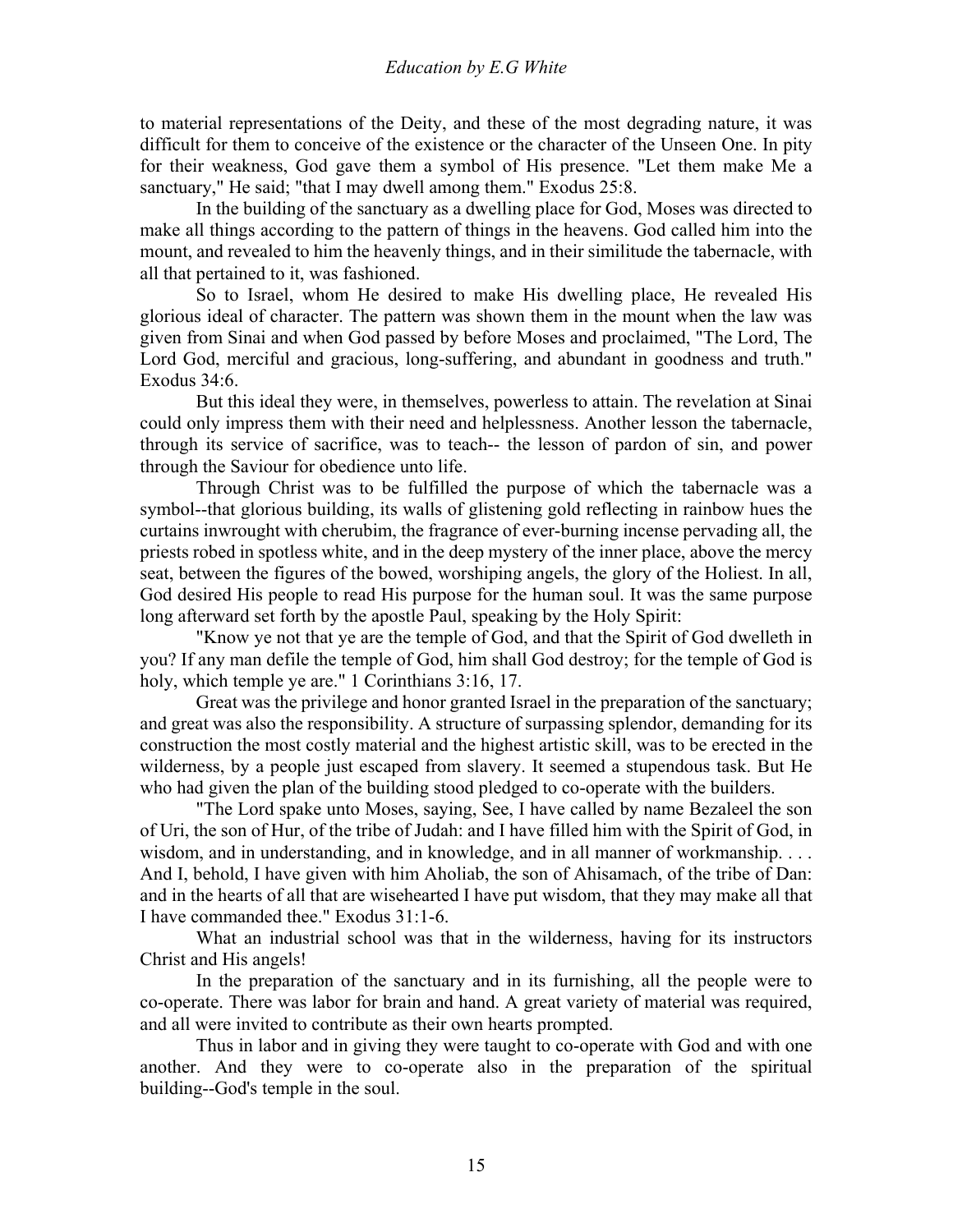to material representations of the Deity, and these of the most degrading nature, it was difficult for them to conceive of the existence or the character of the Unseen One. In pity for their weakness, God gave them a symbol of His presence. "Let them make Me a sanctuary," He said; "that I may dwell among them." Exodus 25:8.

 In the building of the sanctuary as a dwelling place for God, Moses was directed to make all things according to the pattern of things in the heavens. God called him into the mount, and revealed to him the heavenly things, and in their similitude the tabernacle, with all that pertained to it, was fashioned.

 So to Israel, whom He desired to make His dwelling place, He revealed His glorious ideal of character. The pattern was shown them in the mount when the law was given from Sinai and when God passed by before Moses and proclaimed, "The Lord, The Lord God, merciful and gracious, long-suffering, and abundant in goodness and truth." Exodus 34:6.

 But this ideal they were, in themselves, powerless to attain. The revelation at Sinai could only impress them with their need and helplessness. Another lesson the tabernacle, through its service of sacrifice, was to teach-- the lesson of pardon of sin, and power through the Saviour for obedience unto life.

 Through Christ was to be fulfilled the purpose of which the tabernacle was a symbol--that glorious building, its walls of glistening gold reflecting in rainbow hues the curtains inwrought with cherubim, the fragrance of ever-burning incense pervading all, the priests robed in spotless white, and in the deep mystery of the inner place, above the mercy seat, between the figures of the bowed, worshiping angels, the glory of the Holiest. In all, God desired His people to read His purpose for the human soul. It was the same purpose long afterward set forth by the apostle Paul, speaking by the Holy Spirit:

 "Know ye not that ye are the temple of God, and that the Spirit of God dwelleth in you? If any man defile the temple of God, him shall God destroy; for the temple of God is holy, which temple ye are." 1 Corinthians 3:16, 17.

 Great was the privilege and honor granted Israel in the preparation of the sanctuary; and great was also the responsibility. A structure of surpassing splendor, demanding for its construction the most costly material and the highest artistic skill, was to be erected in the wilderness, by a people just escaped from slavery. It seemed a stupendous task. But He who had given the plan of the building stood pledged to co-operate with the builders.

 "The Lord spake unto Moses, saying, See, I have called by name Bezaleel the son of Uri, the son of Hur, of the tribe of Judah: and I have filled him with the Spirit of God, in wisdom, and in understanding, and in knowledge, and in all manner of workmanship. . . . And I, behold, I have given with him Aholiab, the son of Ahisamach, of the tribe of Dan: and in the hearts of all that are wisehearted I have put wisdom, that they may make all that I have commanded thee." Exodus 31:1-6.

 What an industrial school was that in the wilderness, having for its instructors Christ and His angels!

 In the preparation of the sanctuary and in its furnishing, all the people were to co-operate. There was labor for brain and hand. A great variety of material was required, and all were invited to contribute as their own hearts prompted.

 Thus in labor and in giving they were taught to co-operate with God and with one another. And they were to co-operate also in the preparation of the spiritual building--God's temple in the soul.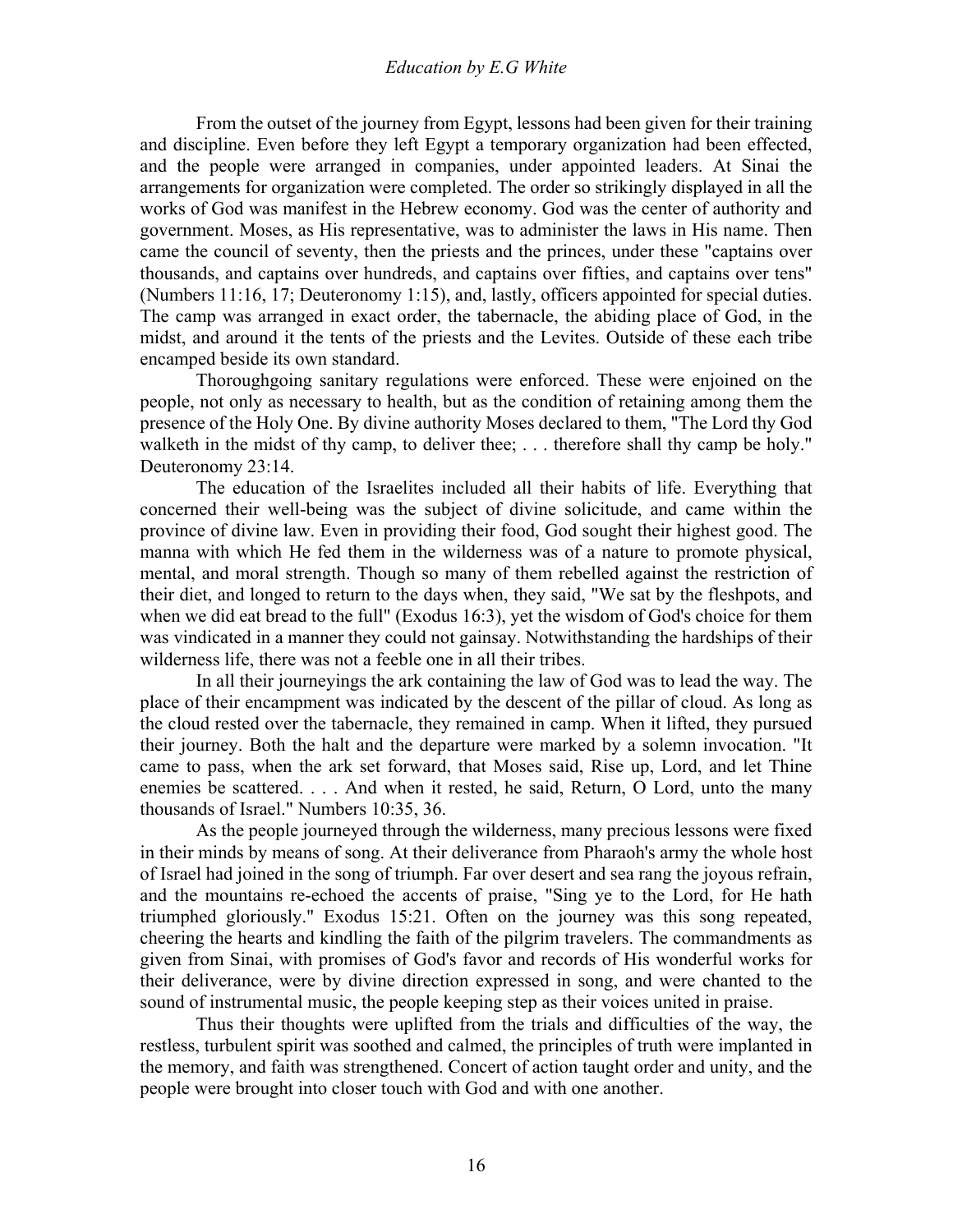From the outset of the journey from Egypt, lessons had been given for their training and discipline. Even before they left Egypt a temporary organization had been effected, and the people were arranged in companies, under appointed leaders. At Sinai the arrangements for organization were completed. The order so strikingly displayed in all the works of God was manifest in the Hebrew economy. God was the center of authority and government. Moses, as His representative, was to administer the laws in His name. Then came the council of seventy, then the priests and the princes, under these "captains over thousands, and captains over hundreds, and captains over fifties, and captains over tens" (Numbers 11:16, 17; Deuteronomy 1:15), and, lastly, officers appointed for special duties. The camp was arranged in exact order, the tabernacle, the abiding place of God, in the midst, and around it the tents of the priests and the Levites. Outside of these each tribe encamped beside its own standard.

 Thoroughgoing sanitary regulations were enforced. These were enjoined on the people, not only as necessary to health, but as the condition of retaining among them the presence of the Holy One. By divine authority Moses declared to them, "The Lord thy God walketh in the midst of thy camp, to deliver thee; ... therefore shall thy camp be holy." Deuteronomy 23:14.

 The education of the Israelites included all their habits of life. Everything that concerned their well-being was the subject of divine solicitude, and came within the province of divine law. Even in providing their food, God sought their highest good. The manna with which He fed them in the wilderness was of a nature to promote physical, mental, and moral strength. Though so many of them rebelled against the restriction of their diet, and longed to return to the days when, they said, "We sat by the fleshpots, and when we did eat bread to the full" (Exodus 16:3), yet the wisdom of God's choice for them was vindicated in a manner they could not gainsay. Notwithstanding the hardships of their wilderness life, there was not a feeble one in all their tribes.

 In all their journeyings the ark containing the law of God was to lead the way. The place of their encampment was indicated by the descent of the pillar of cloud. As long as the cloud rested over the tabernacle, they remained in camp. When it lifted, they pursued their journey. Both the halt and the departure were marked by a solemn invocation. "It came to pass, when the ark set forward, that Moses said, Rise up, Lord, and let Thine enemies be scattered. . . . And when it rested, he said, Return, O Lord, unto the many thousands of Israel." Numbers 10:35, 36.

 As the people journeyed through the wilderness, many precious lessons were fixed in their minds by means of song. At their deliverance from Pharaoh's army the whole host of Israel had joined in the song of triumph. Far over desert and sea rang the joyous refrain, and the mountains re-echoed the accents of praise, "Sing ye to the Lord, for He hath triumphed gloriously." Exodus 15:21. Often on the journey was this song repeated, cheering the hearts and kindling the faith of the pilgrim travelers. The commandments as given from Sinai, with promises of God's favor and records of His wonderful works for their deliverance, were by divine direction expressed in song, and were chanted to the sound of instrumental music, the people keeping step as their voices united in praise.

 Thus their thoughts were uplifted from the trials and difficulties of the way, the restless, turbulent spirit was soothed and calmed, the principles of truth were implanted in the memory, and faith was strengthened. Concert of action taught order and unity, and the people were brought into closer touch with God and with one another.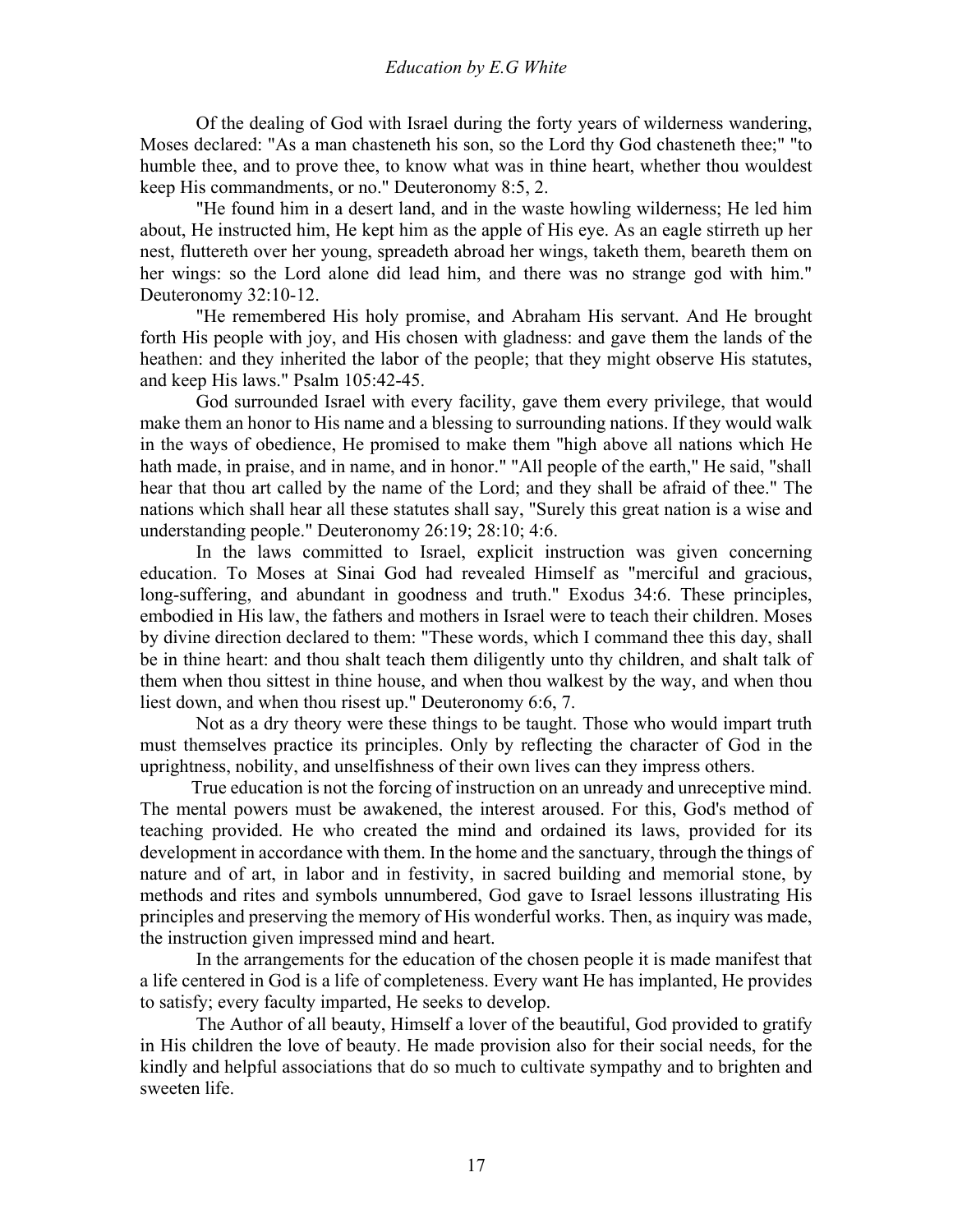Of the dealing of God with Israel during the forty years of wilderness wandering, Moses declared: "As a man chasteneth his son, so the Lord thy God chasteneth thee;" "to humble thee, and to prove thee, to know what was in thine heart, whether thou wouldest keep His commandments, or no." Deuteronomy 8:5, 2.

 "He found him in a desert land, and in the waste howling wilderness; He led him about, He instructed him, He kept him as the apple of His eye. As an eagle stirreth up her nest, fluttereth over her young, spreadeth abroad her wings, taketh them, beareth them on her wings: so the Lord alone did lead him, and there was no strange god with him." Deuteronomy 32:10-12.

 "He remembered His holy promise, and Abraham His servant. And He brought forth His people with joy, and His chosen with gladness: and gave them the lands of the heathen: and they inherited the labor of the people; that they might observe His statutes, and keep His laws." Psalm 105:42-45.

 God surrounded Israel with every facility, gave them every privilege, that would make them an honor to His name and a blessing to surrounding nations. If they would walk in the ways of obedience, He promised to make them "high above all nations which He hath made, in praise, and in name, and in honor." "All people of the earth," He said, "shall hear that thou art called by the name of the Lord; and they shall be afraid of thee." The nations which shall hear all these statutes shall say, "Surely this great nation is a wise and understanding people." Deuteronomy 26:19; 28:10; 4:6.

 In the laws committed to Israel, explicit instruction was given concerning education. To Moses at Sinai God had revealed Himself as "merciful and gracious, long-suffering, and abundant in goodness and truth." Exodus 34:6. These principles, embodied in His law, the fathers and mothers in Israel were to teach their children. Moses by divine direction declared to them: "These words, which I command thee this day, shall be in thine heart: and thou shalt teach them diligently unto thy children, and shalt talk of them when thou sittest in thine house, and when thou walkest by the way, and when thou liest down, and when thou risest up." Deuteronomy 6:6, 7.

 Not as a dry theory were these things to be taught. Those who would impart truth must themselves practice its principles. Only by reflecting the character of God in the uprightness, nobility, and unselfishness of their own lives can they impress others.

 True education is not the forcing of instruction on an unready and unreceptive mind. The mental powers must be awakened, the interest aroused. For this, God's method of teaching provided. He who created the mind and ordained its laws, provided for its development in accordance with them. In the home and the sanctuary, through the things of nature and of art, in labor and in festivity, in sacred building and memorial stone, by methods and rites and symbols unnumbered, God gave to Israel lessons illustrating His principles and preserving the memory of His wonderful works. Then, as inquiry was made, the instruction given impressed mind and heart.

 In the arrangements for the education of the chosen people it is made manifest that a life centered in God is a life of completeness. Every want He has implanted, He provides to satisfy; every faculty imparted, He seeks to develop.

 The Author of all beauty, Himself a lover of the beautiful, God provided to gratify in His children the love of beauty. He made provision also for their social needs, for the kindly and helpful associations that do so much to cultivate sympathy and to brighten and sweeten life.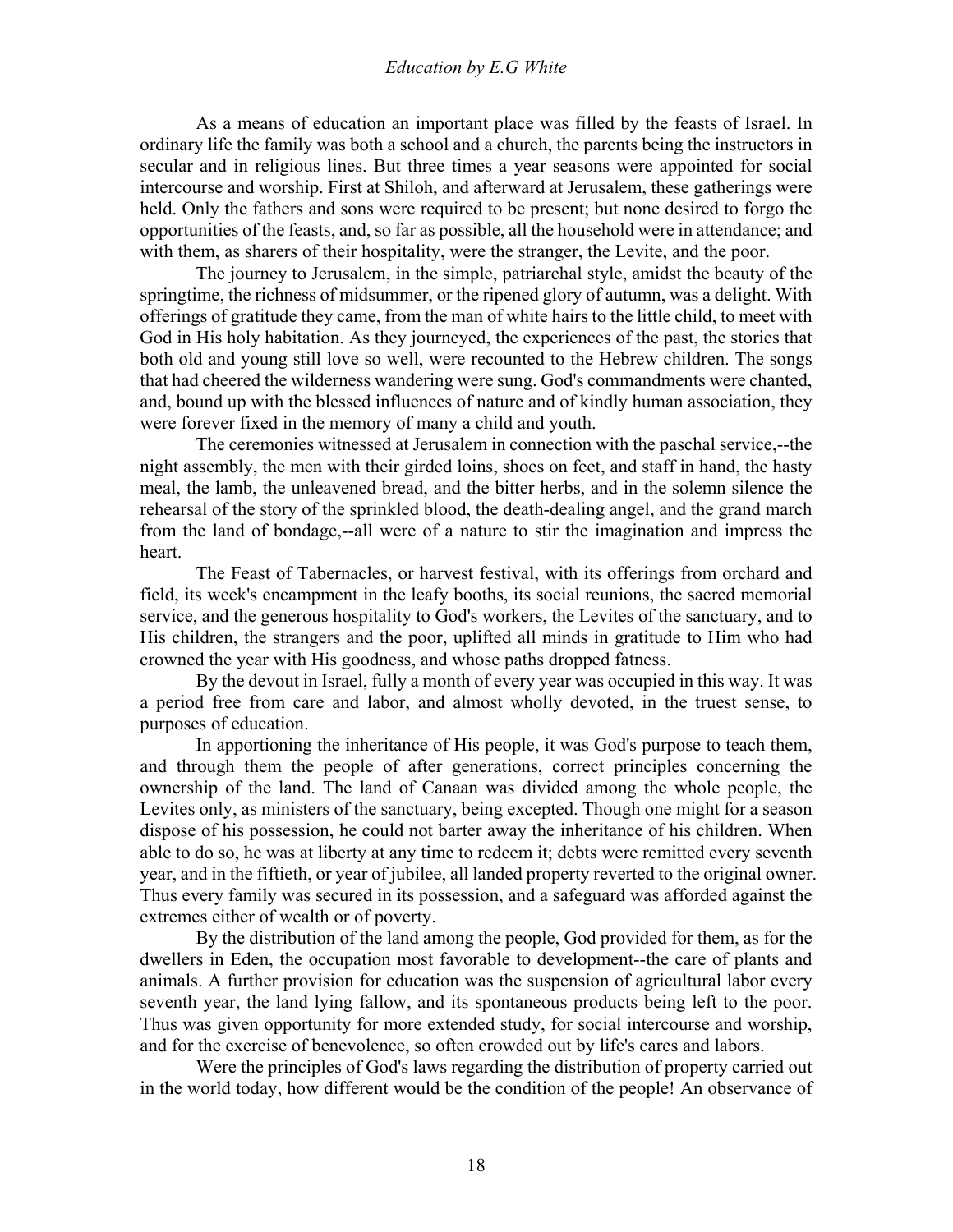As a means of education an important place was filled by the feasts of Israel. In ordinary life the family was both a school and a church, the parents being the instructors in secular and in religious lines. But three times a year seasons were appointed for social intercourse and worship. First at Shiloh, and afterward at Jerusalem, these gatherings were held. Only the fathers and sons were required to be present; but none desired to forgo the opportunities of the feasts, and, so far as possible, all the household were in attendance; and with them, as sharers of their hospitality, were the stranger, the Levite, and the poor.

 The journey to Jerusalem, in the simple, patriarchal style, amidst the beauty of the springtime, the richness of midsummer, or the ripened glory of autumn, was a delight. With offerings of gratitude they came, from the man of white hairs to the little child, to meet with God in His holy habitation. As they journeyed, the experiences of the past, the stories that both old and young still love so well, were recounted to the Hebrew children. The songs that had cheered the wilderness wandering were sung. God's commandments were chanted, and, bound up with the blessed influences of nature and of kindly human association, they were forever fixed in the memory of many a child and youth.

 The ceremonies witnessed at Jerusalem in connection with the paschal service,--the night assembly, the men with their girded loins, shoes on feet, and staff in hand, the hasty meal, the lamb, the unleavened bread, and the bitter herbs, and in the solemn silence the rehearsal of the story of the sprinkled blood, the death-dealing angel, and the grand march from the land of bondage,--all were of a nature to stir the imagination and impress the heart.

 The Feast of Tabernacles, or harvest festival, with its offerings from orchard and field, its week's encampment in the leafy booths, its social reunions, the sacred memorial service, and the generous hospitality to God's workers, the Levites of the sanctuary, and to His children, the strangers and the poor, uplifted all minds in gratitude to Him who had crowned the year with His goodness, and whose paths dropped fatness.

 By the devout in Israel, fully a month of every year was occupied in this way. It was a period free from care and labor, and almost wholly devoted, in the truest sense, to purposes of education.

 In apportioning the inheritance of His people, it was God's purpose to teach them, and through them the people of after generations, correct principles concerning the ownership of the land. The land of Canaan was divided among the whole people, the Levites only, as ministers of the sanctuary, being excepted. Though one might for a season dispose of his possession, he could not barter away the inheritance of his children. When able to do so, he was at liberty at any time to redeem it; debts were remitted every seventh year, and in the fiftieth, or year of jubilee, all landed property reverted to the original owner. Thus every family was secured in its possession, and a safeguard was afforded against the extremes either of wealth or of poverty.

 By the distribution of the land among the people, God provided for them, as for the dwellers in Eden, the occupation most favorable to development--the care of plants and animals. A further provision for education was the suspension of agricultural labor every seventh year, the land lying fallow, and its spontaneous products being left to the poor. Thus was given opportunity for more extended study, for social intercourse and worship, and for the exercise of benevolence, so often crowded out by life's cares and labors.

 Were the principles of God's laws regarding the distribution of property carried out in the world today, how different would be the condition of the people! An observance of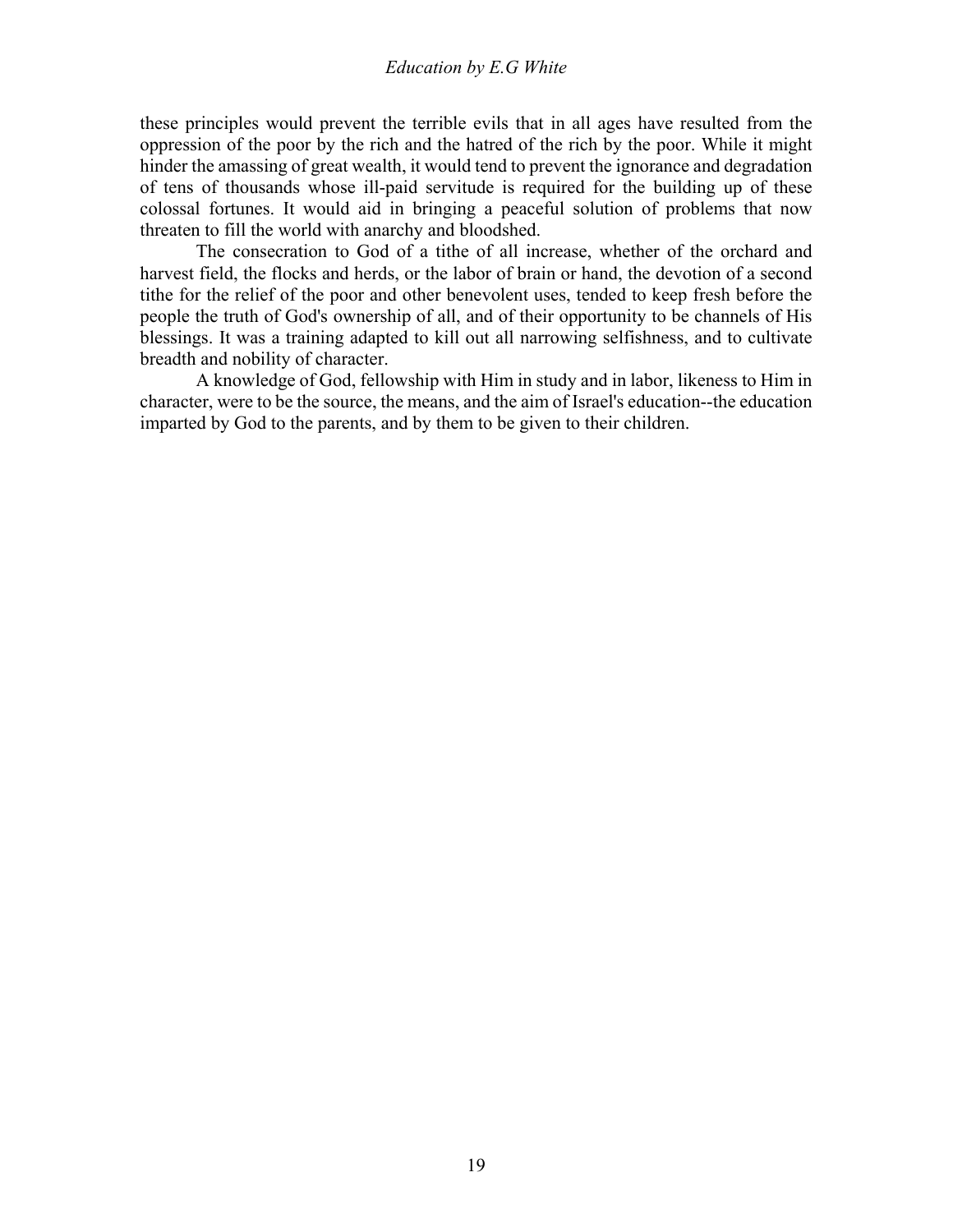these principles would prevent the terrible evils that in all ages have resulted from the oppression of the poor by the rich and the hatred of the rich by the poor. While it might hinder the amassing of great wealth, it would tend to prevent the ignorance and degradation of tens of thousands whose ill-paid servitude is required for the building up of these colossal fortunes. It would aid in bringing a peaceful solution of problems that now threaten to fill the world with anarchy and bloodshed.

 The consecration to God of a tithe of all increase, whether of the orchard and harvest field, the flocks and herds, or the labor of brain or hand, the devotion of a second tithe for the relief of the poor and other benevolent uses, tended to keep fresh before the people the truth of God's ownership of all, and of their opportunity to be channels of His blessings. It was a training adapted to kill out all narrowing selfishness, and to cultivate breadth and nobility of character.

 A knowledge of God, fellowship with Him in study and in labor, likeness to Him in character, were to be the source, the means, and the aim of Israel's education--the education imparted by God to the parents, and by them to be given to their children.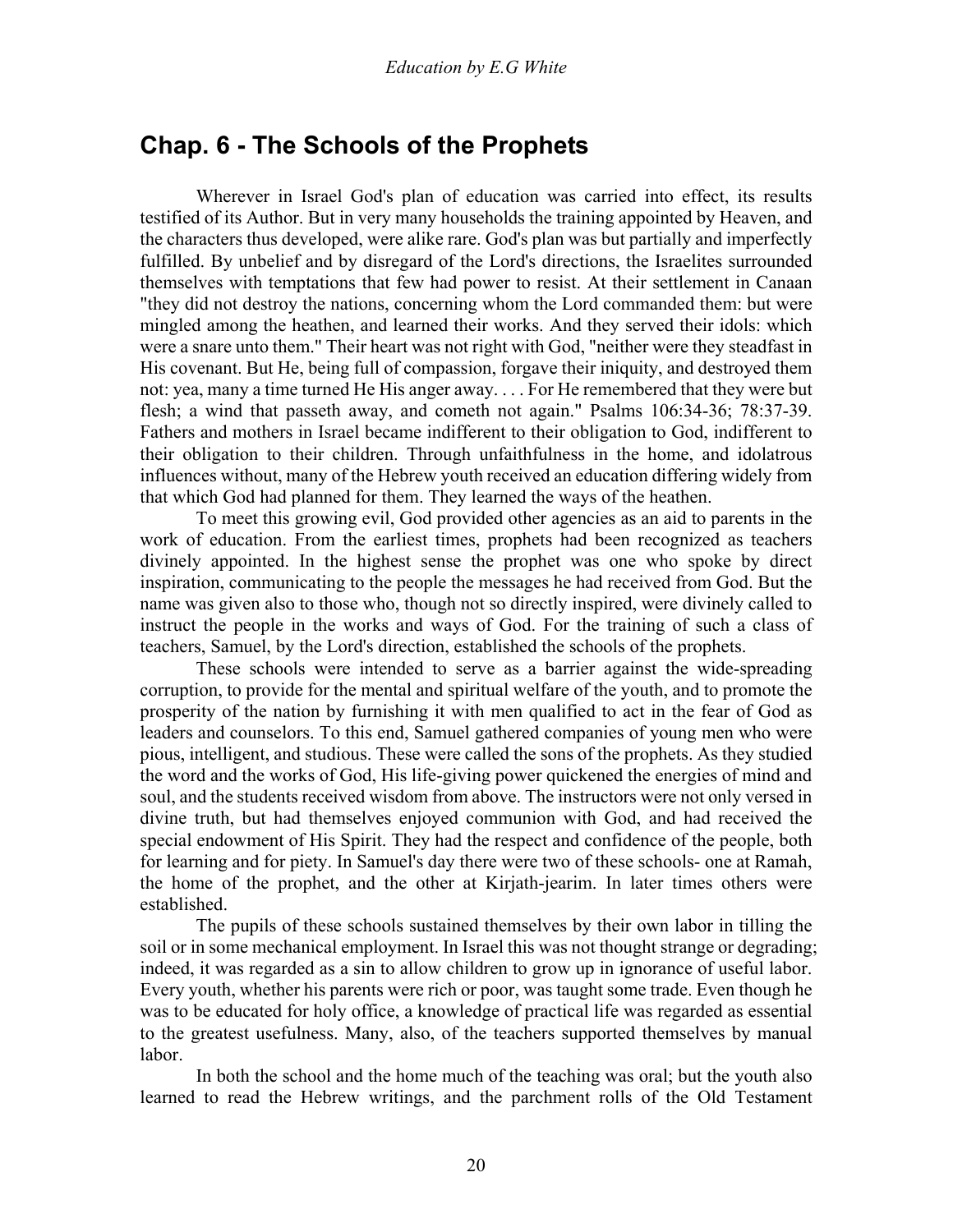### <span id="page-19-0"></span>**Chap. 6 - The Schools of the Prophets**

 Wherever in Israel God's plan of education was carried into effect, its results testified of its Author. But in very many households the training appointed by Heaven, and the characters thus developed, were alike rare. God's plan was but partially and imperfectly fulfilled. By unbelief and by disregard of the Lord's directions, the Israelites surrounded themselves with temptations that few had power to resist. At their settlement in Canaan "they did not destroy the nations, concerning whom the Lord commanded them: but were mingled among the heathen, and learned their works. And they served their idols: which were a snare unto them." Their heart was not right with God, "neither were they steadfast in His covenant. But He, being full of compassion, forgave their iniquity, and destroyed them not: yea, many a time turned He His anger away. . . . For He remembered that they were but flesh; a wind that passeth away, and cometh not again." Psalms 106:34-36; 78:37-39. Fathers and mothers in Israel became indifferent to their obligation to God, indifferent to their obligation to their children. Through unfaithfulness in the home, and idolatrous influences without, many of the Hebrew youth received an education differing widely from that which God had planned for them. They learned the ways of the heathen.

 To meet this growing evil, God provided other agencies as an aid to parents in the work of education. From the earliest times, prophets had been recognized as teachers divinely appointed. In the highest sense the prophet was one who spoke by direct inspiration, communicating to the people the messages he had received from God. But the name was given also to those who, though not so directly inspired, were divinely called to instruct the people in the works and ways of God. For the training of such a class of teachers, Samuel, by the Lord's direction, established the schools of the prophets.

 These schools were intended to serve as a barrier against the wide-spreading corruption, to provide for the mental and spiritual welfare of the youth, and to promote the prosperity of the nation by furnishing it with men qualified to act in the fear of God as leaders and counselors. To this end, Samuel gathered companies of young men who were pious, intelligent, and studious. These were called the sons of the prophets. As they studied the word and the works of God, His life-giving power quickened the energies of mind and soul, and the students received wisdom from above. The instructors were not only versed in divine truth, but had themselves enjoyed communion with God, and had received the special endowment of His Spirit. They had the respect and confidence of the people, both for learning and for piety. In Samuel's day there were two of these schools- one at Ramah, the home of the prophet, and the other at Kirjath-jearim. In later times others were established.

 The pupils of these schools sustained themselves by their own labor in tilling the soil or in some mechanical employment. In Israel this was not thought strange or degrading; indeed, it was regarded as a sin to allow children to grow up in ignorance of useful labor. Every youth, whether his parents were rich or poor, was taught some trade. Even though he was to be educated for holy office, a knowledge of practical life was regarded as essential to the greatest usefulness. Many, also, of the teachers supported themselves by manual labor.

 In both the school and the home much of the teaching was oral; but the youth also learned to read the Hebrew writings, and the parchment rolls of the Old Testament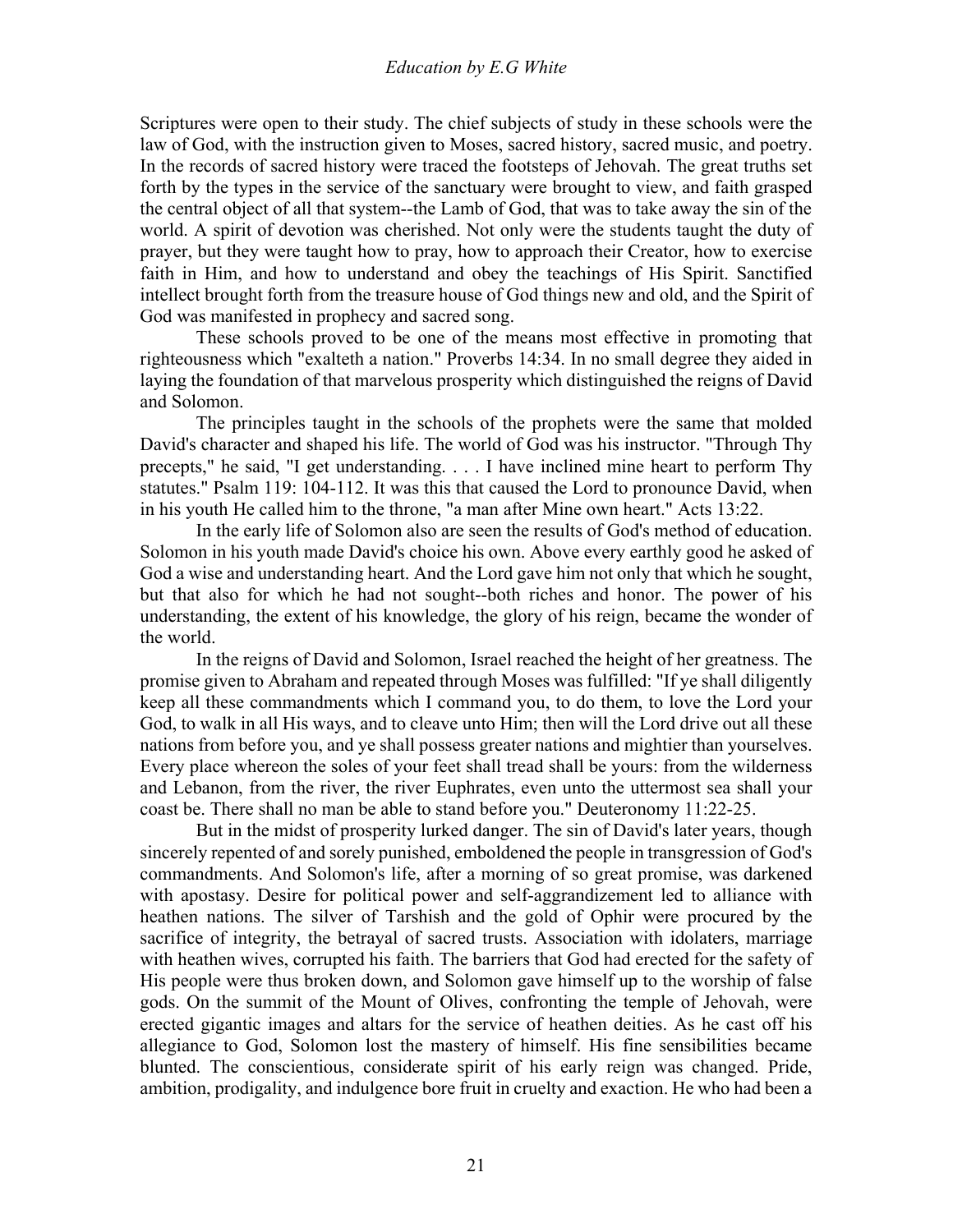Scriptures were open to their study. The chief subjects of study in these schools were the law of God, with the instruction given to Moses, sacred history, sacred music, and poetry. In the records of sacred history were traced the footsteps of Jehovah. The great truths set forth by the types in the service of the sanctuary were brought to view, and faith grasped the central object of all that system--the Lamb of God, that was to take away the sin of the world. A spirit of devotion was cherished. Not only were the students taught the duty of prayer, but they were taught how to pray, how to approach their Creator, how to exercise faith in Him, and how to understand and obey the teachings of His Spirit. Sanctified intellect brought forth from the treasure house of God things new and old, and the Spirit of God was manifested in prophecy and sacred song.

 These schools proved to be one of the means most effective in promoting that righteousness which "exalteth a nation." Proverbs 14:34. In no small degree they aided in laying the foundation of that marvelous prosperity which distinguished the reigns of David and Solomon.

 The principles taught in the schools of the prophets were the same that molded David's character and shaped his life. The world of God was his instructor. "Through Thy precepts," he said, "I get understanding. . . . I have inclined mine heart to perform Thy statutes." Psalm 119: 104-112. It was this that caused the Lord to pronounce David, when in his youth He called him to the throne, "a man after Mine own heart." Acts 13:22.

 In the early life of Solomon also are seen the results of God's method of education. Solomon in his youth made David's choice his own. Above every earthly good he asked of God a wise and understanding heart. And the Lord gave him not only that which he sought, but that also for which he had not sought--both riches and honor. The power of his understanding, the extent of his knowledge, the glory of his reign, became the wonder of the world.

 In the reigns of David and Solomon, Israel reached the height of her greatness. The promise given to Abraham and repeated through Moses was fulfilled: "If ye shall diligently keep all these commandments which I command you, to do them, to love the Lord your God, to walk in all His ways, and to cleave unto Him; then will the Lord drive out all these nations from before you, and ye shall possess greater nations and mightier than yourselves. Every place whereon the soles of your feet shall tread shall be yours: from the wilderness and Lebanon, from the river, the river Euphrates, even unto the uttermost sea shall your coast be. There shall no man be able to stand before you." Deuteronomy 11:22-25.

 But in the midst of prosperity lurked danger. The sin of David's later years, though sincerely repented of and sorely punished, emboldened the people in transgression of God's commandments. And Solomon's life, after a morning of so great promise, was darkened with apostasy. Desire for political power and self-aggrandizement led to alliance with heathen nations. The silver of Tarshish and the gold of Ophir were procured by the sacrifice of integrity, the betrayal of sacred trusts. Association with idolaters, marriage with heathen wives, corrupted his faith. The barriers that God had erected for the safety of His people were thus broken down, and Solomon gave himself up to the worship of false gods. On the summit of the Mount of Olives, confronting the temple of Jehovah, were erected gigantic images and altars for the service of heathen deities. As he cast off his allegiance to God, Solomon lost the mastery of himself. His fine sensibilities became blunted. The conscientious, considerate spirit of his early reign was changed. Pride, ambition, prodigality, and indulgence bore fruit in cruelty and exaction. He who had been a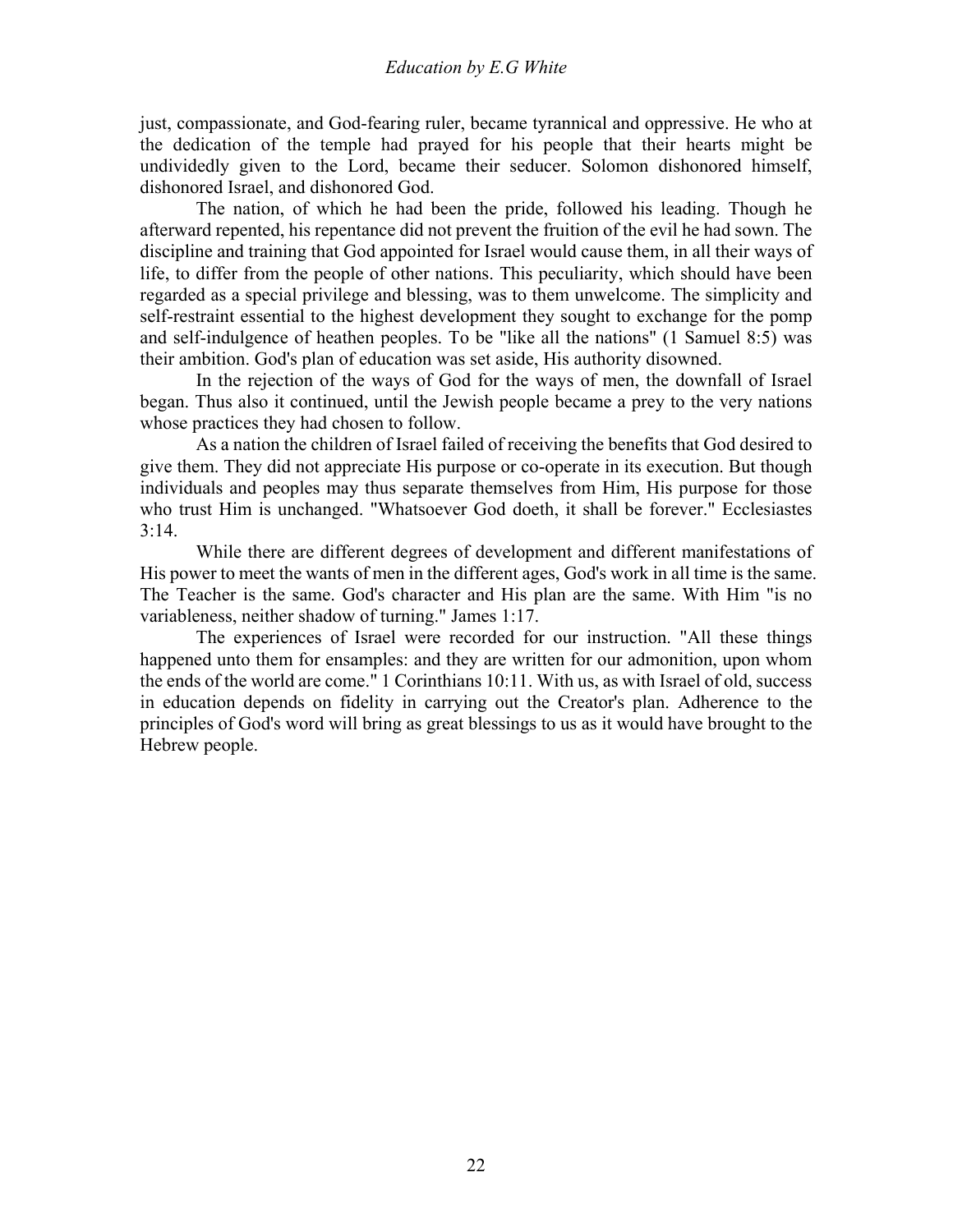just, compassionate, and God-fearing ruler, became tyrannical and oppressive. He who at the dedication of the temple had prayed for his people that their hearts might be undividedly given to the Lord, became their seducer. Solomon dishonored himself, dishonored Israel, and dishonored God.

 The nation, of which he had been the pride, followed his leading. Though he afterward repented, his repentance did not prevent the fruition of the evil he had sown. The discipline and training that God appointed for Israel would cause them, in all their ways of life, to differ from the people of other nations. This peculiarity, which should have been regarded as a special privilege and blessing, was to them unwelcome. The simplicity and self-restraint essential to the highest development they sought to exchange for the pomp and self-indulgence of heathen peoples. To be "like all the nations" (1 Samuel 8:5) was their ambition. God's plan of education was set aside, His authority disowned.

 In the rejection of the ways of God for the ways of men, the downfall of Israel began. Thus also it continued, until the Jewish people became a prey to the very nations whose practices they had chosen to follow.

 As a nation the children of Israel failed of receiving the benefits that God desired to give them. They did not appreciate His purpose or co-operate in its execution. But though individuals and peoples may thus separate themselves from Him, His purpose for those who trust Him is unchanged. "Whatsoever God doeth, it shall be forever." Ecclesiastes  $3:14.$ 

 While there are different degrees of development and different manifestations of His power to meet the wants of men in the different ages, God's work in all time is the same. The Teacher is the same. God's character and His plan are the same. With Him "is no variableness, neither shadow of turning." James 1:17.

 The experiences of Israel were recorded for our instruction. "All these things happened unto them for ensamples: and they are written for our admonition, upon whom the ends of the world are come." 1 Corinthians 10:11. With us, as with Israel of old, success in education depends on fidelity in carrying out the Creator's plan. Adherence to the principles of God's word will bring as great blessings to us as it would have brought to the Hebrew people.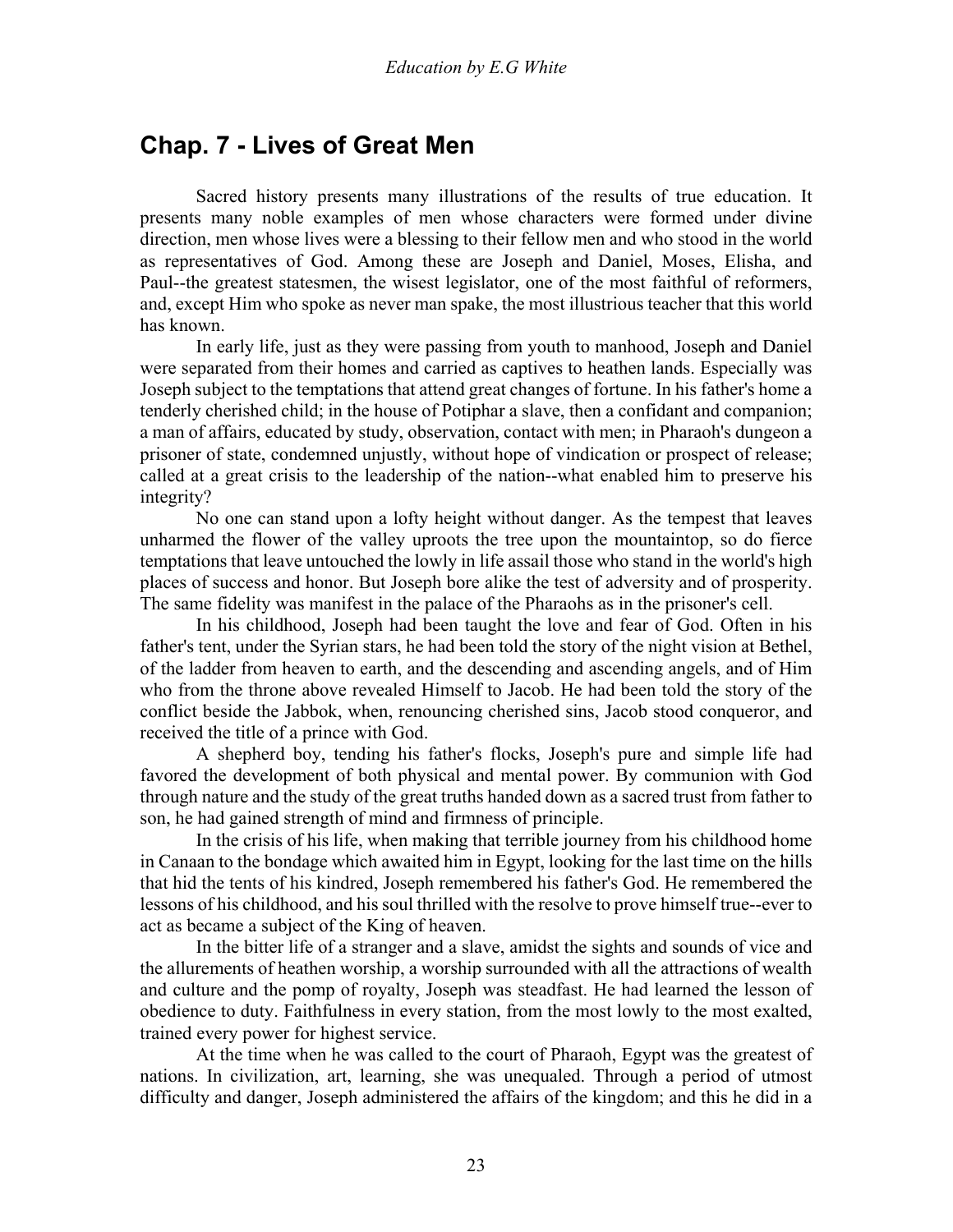### <span id="page-22-0"></span>**Chap. 7 - Lives of Great Men**

 Sacred history presents many illustrations of the results of true education. It presents many noble examples of men whose characters were formed under divine direction, men whose lives were a blessing to their fellow men and who stood in the world as representatives of God. Among these are Joseph and Daniel, Moses, Elisha, and Paul--the greatest statesmen, the wisest legislator, one of the most faithful of reformers, and, except Him who spoke as never man spake, the most illustrious teacher that this world has known.

 In early life, just as they were passing from youth to manhood, Joseph and Daniel were separated from their homes and carried as captives to heathen lands. Especially was Joseph subject to the temptations that attend great changes of fortune. In his father's home a tenderly cherished child; in the house of Potiphar a slave, then a confidant and companion; a man of affairs, educated by study, observation, contact with men; in Pharaoh's dungeon a prisoner of state, condemned unjustly, without hope of vindication or prospect of release; called at a great crisis to the leadership of the nation--what enabled him to preserve his integrity?

 No one can stand upon a lofty height without danger. As the tempest that leaves unharmed the flower of the valley uproots the tree upon the mountaintop, so do fierce temptations that leave untouched the lowly in life assail those who stand in the world's high places of success and honor. But Joseph bore alike the test of adversity and of prosperity. The same fidelity was manifest in the palace of the Pharaohs as in the prisoner's cell.

 In his childhood, Joseph had been taught the love and fear of God. Often in his father's tent, under the Syrian stars, he had been told the story of the night vision at Bethel, of the ladder from heaven to earth, and the descending and ascending angels, and of Him who from the throne above revealed Himself to Jacob. He had been told the story of the conflict beside the Jabbok, when, renouncing cherished sins, Jacob stood conqueror, and received the title of a prince with God.

 A shepherd boy, tending his father's flocks, Joseph's pure and simple life had favored the development of both physical and mental power. By communion with God through nature and the study of the great truths handed down as a sacred trust from father to son, he had gained strength of mind and firmness of principle.

 In the crisis of his life, when making that terrible journey from his childhood home in Canaan to the bondage which awaited him in Egypt, looking for the last time on the hills that hid the tents of his kindred, Joseph remembered his father's God. He remembered the lessons of his childhood, and his soul thrilled with the resolve to prove himself true--ever to act as became a subject of the King of heaven.

 In the bitter life of a stranger and a slave, amidst the sights and sounds of vice and the allurements of heathen worship, a worship surrounded with all the attractions of wealth and culture and the pomp of royalty, Joseph was steadfast. He had learned the lesson of obedience to duty. Faithfulness in every station, from the most lowly to the most exalted, trained every power for highest service.

 At the time when he was called to the court of Pharaoh, Egypt was the greatest of nations. In civilization, art, learning, she was unequaled. Through a period of utmost difficulty and danger, Joseph administered the affairs of the kingdom; and this he did in a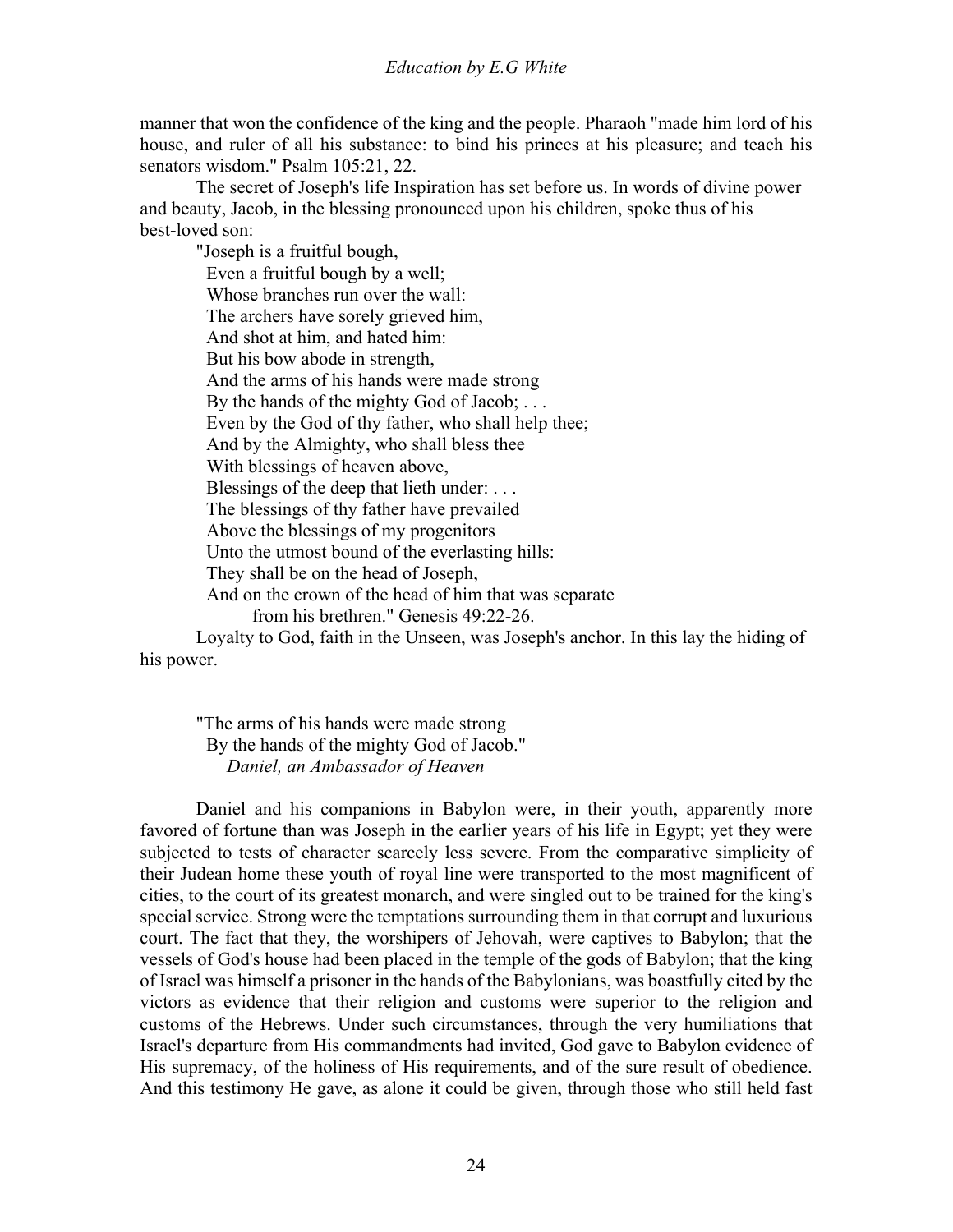manner that won the confidence of the king and the people. Pharaoh "made him lord of his house, and ruler of all his substance: to bind his princes at his pleasure; and teach his senators wisdom." Psalm 105:21, 22.

 The secret of Joseph's life Inspiration has set before us. In words of divine power and beauty, Jacob, in the blessing pronounced upon his children, spoke thus of his best-loved son:

"Joseph is a fruitful bough, Even a fruitful bough by a well; Whose branches run over the wall: The archers have sorely grieved him, And shot at him, and hated him: But his bow abode in strength, And the arms of his hands were made strong By the hands of the mighty God of Jacob; . . . Even by the God of thy father, who shall help thee; And by the Almighty, who shall bless thee With blessings of heaven above, Blessings of the deep that lieth under: ... The blessings of thy father have prevailed Above the blessings of my progenitors Unto the utmost bound of the everlasting hills: They shall be on the head of Joseph, And on the crown of the head of him that was separate from his brethren." Genesis 49:22-26.

 Loyalty to God, faith in the Unseen, was Joseph's anchor. In this lay the hiding of his power.

"The arms of his hands were made strong By the hands of the mighty God of Jacob." *Daniel, an Ambassador of Heaven*

Daniel and his companions in Babylon were, in their youth, apparently more favored of fortune than was Joseph in the earlier years of his life in Egypt; yet they were subjected to tests of character scarcely less severe. From the comparative simplicity of their Judean home these youth of royal line were transported to the most magnificent of cities, to the court of its greatest monarch, and were singled out to be trained for the king's special service. Strong were the temptations surrounding them in that corrupt and luxurious court. The fact that they, the worshipers of Jehovah, were captives to Babylon; that the vessels of God's house had been placed in the temple of the gods of Babylon; that the king of Israel was himself a prisoner in the hands of the Babylonians, was boastfully cited by the victors as evidence that their religion and customs were superior to the religion and customs of the Hebrews. Under such circumstances, through the very humiliations that Israel's departure from His commandments had invited, God gave to Babylon evidence of His supremacy, of the holiness of His requirements, and of the sure result of obedience. And this testimony He gave, as alone it could be given, through those who still held fast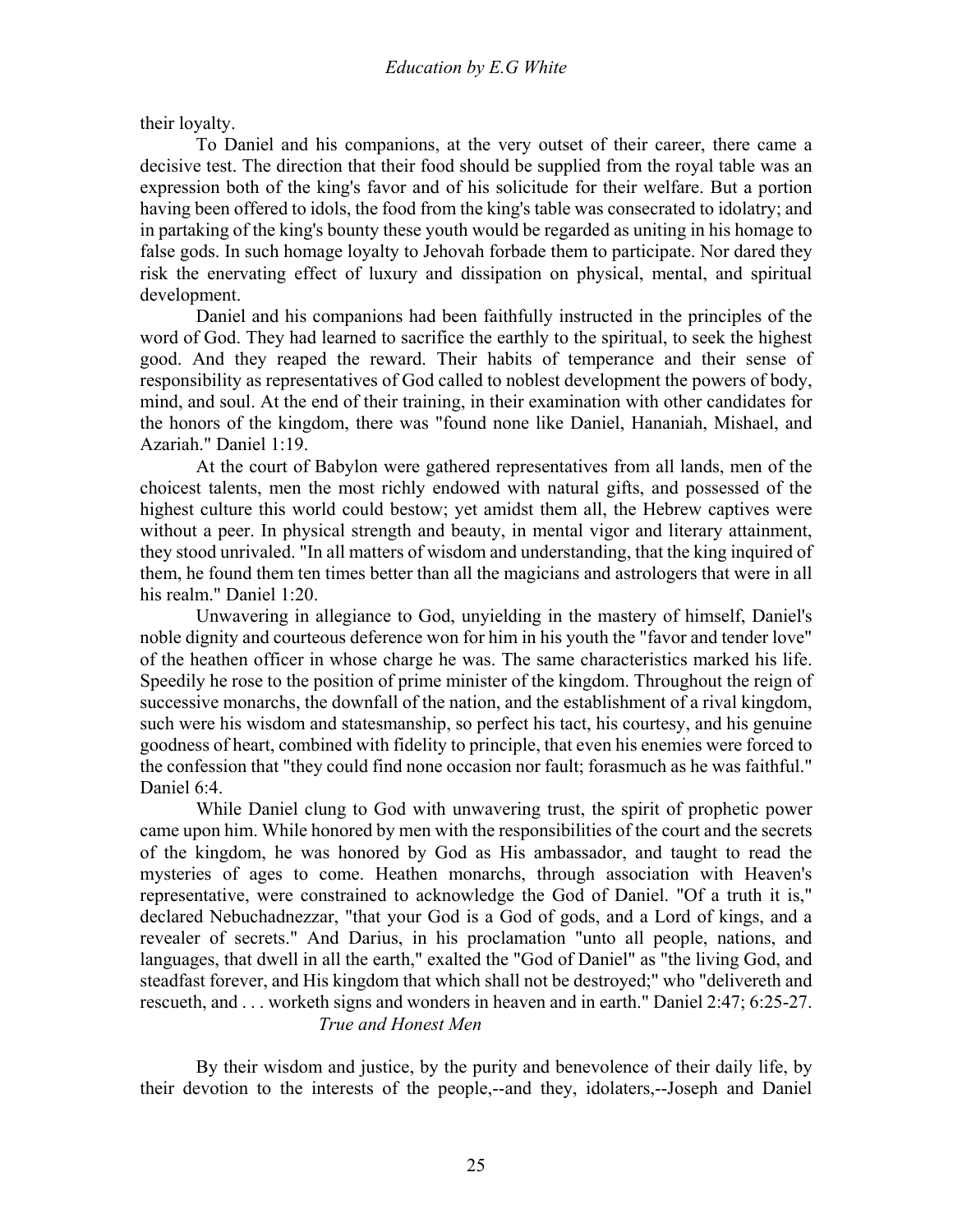their loyalty.

 To Daniel and his companions, at the very outset of their career, there came a decisive test. The direction that their food should be supplied from the royal table was an expression both of the king's favor and of his solicitude for their welfare. But a portion having been offered to idols, the food from the king's table was consecrated to idolatry; and in partaking of the king's bounty these youth would be regarded as uniting in his homage to false gods. In such homage loyalty to Jehovah forbade them to participate. Nor dared they risk the enervating effect of luxury and dissipation on physical, mental, and spiritual development.

 Daniel and his companions had been faithfully instructed in the principles of the word of God. They had learned to sacrifice the earthly to the spiritual, to seek the highest good. And they reaped the reward. Their habits of temperance and their sense of responsibility as representatives of God called to noblest development the powers of body, mind, and soul. At the end of their training, in their examination with other candidates for the honors of the kingdom, there was "found none like Daniel, Hananiah, Mishael, and Azariah." Daniel 1:19.

 At the court of Babylon were gathered representatives from all lands, men of the choicest talents, men the most richly endowed with natural gifts, and possessed of the highest culture this world could bestow; yet amidst them all, the Hebrew captives were without a peer. In physical strength and beauty, in mental vigor and literary attainment, they stood unrivaled. "In all matters of wisdom and understanding, that the king inquired of them, he found them ten times better than all the magicians and astrologers that were in all his realm." Daniel 1:20.

 Unwavering in allegiance to God, unyielding in the mastery of himself, Daniel's noble dignity and courteous deference won for him in his youth the "favor and tender love" of the heathen officer in whose charge he was. The same characteristics marked his life. Speedily he rose to the position of prime minister of the kingdom. Throughout the reign of successive monarchs, the downfall of the nation, and the establishment of a rival kingdom, such were his wisdom and statesmanship, so perfect his tact, his courtesy, and his genuine goodness of heart, combined with fidelity to principle, that even his enemies were forced to the confession that "they could find none occasion nor fault; forasmuch as he was faithful." Daniel 6:4.

 While Daniel clung to God with unwavering trust, the spirit of prophetic power came upon him. While honored by men with the responsibilities of the court and the secrets of the kingdom, he was honored by God as His ambassador, and taught to read the mysteries of ages to come. Heathen monarchs, through association with Heaven's representative, were constrained to acknowledge the God of Daniel. "Of a truth it is," declared Nebuchadnezzar, "that your God is a God of gods, and a Lord of kings, and a revealer of secrets." And Darius, in his proclamation "unto all people, nations, and languages, that dwell in all the earth," exalted the "God of Daniel" as "the living God, and steadfast forever, and His kingdom that which shall not be destroyed;" who "delivereth and rescueth, and . . . worketh signs and wonders in heaven and in earth." Daniel 2:47; 6:25-27. *True and Honest Men*

By their wisdom and justice, by the purity and benevolence of their daily life, by their devotion to the interests of the people,--and they, idolaters,--Joseph and Daniel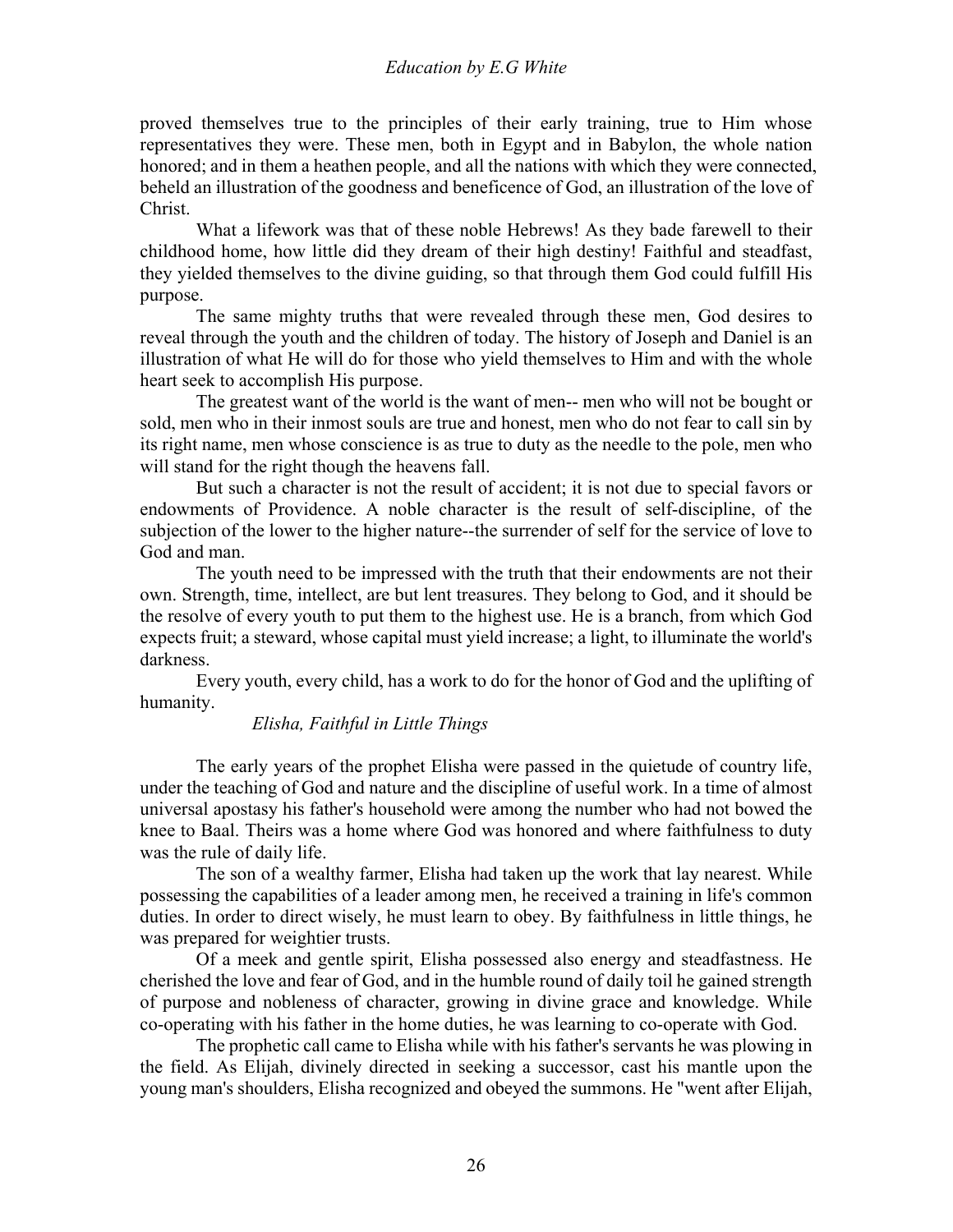proved themselves true to the principles of their early training, true to Him whose representatives they were. These men, both in Egypt and in Babylon, the whole nation honored; and in them a heathen people, and all the nations with which they were connected, beheld an illustration of the goodness and beneficence of God, an illustration of the love of Christ.

 What a lifework was that of these noble Hebrews! As they bade farewell to their childhood home, how little did they dream of their high destiny! Faithful and steadfast, they yielded themselves to the divine guiding, so that through them God could fulfill His purpose.

 The same mighty truths that were revealed through these men, God desires to reveal through the youth and the children of today. The history of Joseph and Daniel is an illustration of what He will do for those who yield themselves to Him and with the whole heart seek to accomplish His purpose.

 The greatest want of the world is the want of men-- men who will not be bought or sold, men who in their inmost souls are true and honest, men who do not fear to call sin by its right name, men whose conscience is as true to duty as the needle to the pole, men who will stand for the right though the heavens fall.

 But such a character is not the result of accident; it is not due to special favors or endowments of Providence. A noble character is the result of self-discipline, of the subjection of the lower to the higher nature--the surrender of self for the service of love to God and man.

 The youth need to be impressed with the truth that their endowments are not their own. Strength, time, intellect, are but lent treasures. They belong to God, and it should be the resolve of every youth to put them to the highest use. He is a branch, from which God expects fruit; a steward, whose capital must yield increase; a light, to illuminate the world's darkness.

 Every youth, every child, has a work to do for the honor of God and the uplifting of humanity.

#### *Elisha, Faithful in Little Things*

The early years of the prophet Elisha were passed in the quietude of country life, under the teaching of God and nature and the discipline of useful work. In a time of almost universal apostasy his father's household were among the number who had not bowed the knee to Baal. Theirs was a home where God was honored and where faithfulness to duty was the rule of daily life.

 The son of a wealthy farmer, Elisha had taken up the work that lay nearest. While possessing the capabilities of a leader among men, he received a training in life's common duties. In order to direct wisely, he must learn to obey. By faithfulness in little things, he was prepared for weightier trusts.

 Of a meek and gentle spirit, Elisha possessed also energy and steadfastness. He cherished the love and fear of God, and in the humble round of daily toil he gained strength of purpose and nobleness of character, growing in divine grace and knowledge. While co-operating with his father in the home duties, he was learning to co-operate with God.

 The prophetic call came to Elisha while with his father's servants he was plowing in the field. As Elijah, divinely directed in seeking a successor, cast his mantle upon the young man's shoulders, Elisha recognized and obeyed the summons. He "went after Elijah,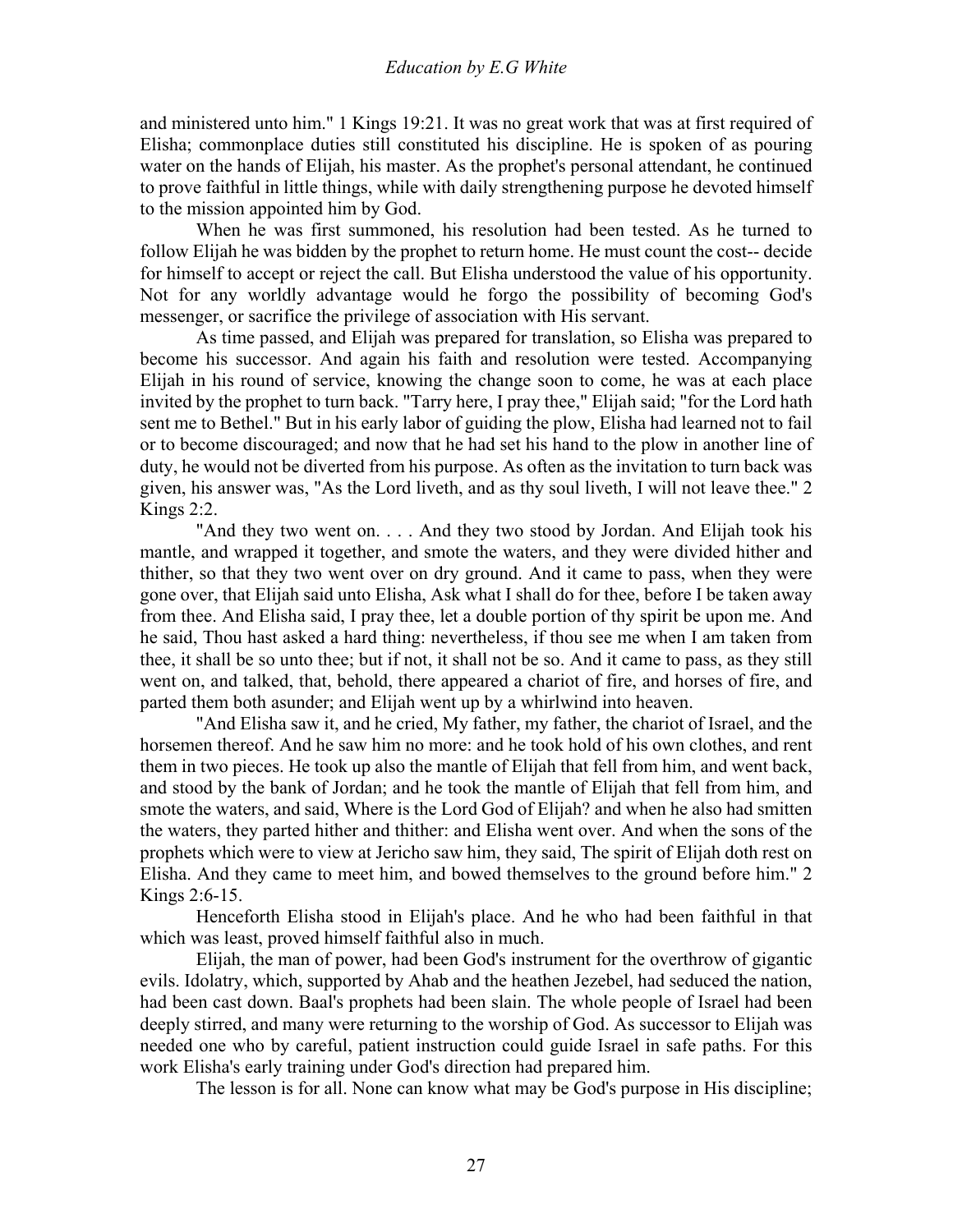and ministered unto him." 1 Kings 19:21. It was no great work that was at first required of Elisha; commonplace duties still constituted his discipline. He is spoken of as pouring water on the hands of Elijah, his master. As the prophet's personal attendant, he continued to prove faithful in little things, while with daily strengthening purpose he devoted himself to the mission appointed him by God.

 When he was first summoned, his resolution had been tested. As he turned to follow Elijah he was bidden by the prophet to return home. He must count the cost-- decide for himself to accept or reject the call. But Elisha understood the value of his opportunity. Not for any worldly advantage would he forgo the possibility of becoming God's messenger, or sacrifice the privilege of association with His servant.

 As time passed, and Elijah was prepared for translation, so Elisha was prepared to become his successor. And again his faith and resolution were tested. Accompanying Elijah in his round of service, knowing the change soon to come, he was at each place invited by the prophet to turn back. "Tarry here, I pray thee," Elijah said; "for the Lord hath sent me to Bethel." But in his early labor of guiding the plow, Elisha had learned not to fail or to become discouraged; and now that he had set his hand to the plow in another line of duty, he would not be diverted from his purpose. As often as the invitation to turn back was given, his answer was, "As the Lord liveth, and as thy soul liveth, I will not leave thee." 2 Kings 2:2.

 "And they two went on. . . . And they two stood by Jordan. And Elijah took his mantle, and wrapped it together, and smote the waters, and they were divided hither and thither, so that they two went over on dry ground. And it came to pass, when they were gone over, that Elijah said unto Elisha, Ask what I shall do for thee, before I be taken away from thee. And Elisha said, I pray thee, let a double portion of thy spirit be upon me. And he said, Thou hast asked a hard thing: nevertheless, if thou see me when I am taken from thee, it shall be so unto thee; but if not, it shall not be so. And it came to pass, as they still went on, and talked, that, behold, there appeared a chariot of fire, and horses of fire, and parted them both asunder; and Elijah went up by a whirlwind into heaven.

 "And Elisha saw it, and he cried, My father, my father, the chariot of Israel, and the horsemen thereof. And he saw him no more: and he took hold of his own clothes, and rent them in two pieces. He took up also the mantle of Elijah that fell from him, and went back, and stood by the bank of Jordan; and he took the mantle of Elijah that fell from him, and smote the waters, and said, Where is the Lord God of Elijah? and when he also had smitten the waters, they parted hither and thither: and Elisha went over. And when the sons of the prophets which were to view at Jericho saw him, they said, The spirit of Elijah doth rest on Elisha. And they came to meet him, and bowed themselves to the ground before him." 2 Kings 2:6-15.

 Henceforth Elisha stood in Elijah's place. And he who had been faithful in that which was least, proved himself faithful also in much.

 Elijah, the man of power, had been God's instrument for the overthrow of gigantic evils. Idolatry, which, supported by Ahab and the heathen Jezebel, had seduced the nation, had been cast down. Baal's prophets had been slain. The whole people of Israel had been deeply stirred, and many were returning to the worship of God. As successor to Elijah was needed one who by careful, patient instruction could guide Israel in safe paths. For this work Elisha's early training under God's direction had prepared him.

The lesson is for all. None can know what may be God's purpose in His discipline;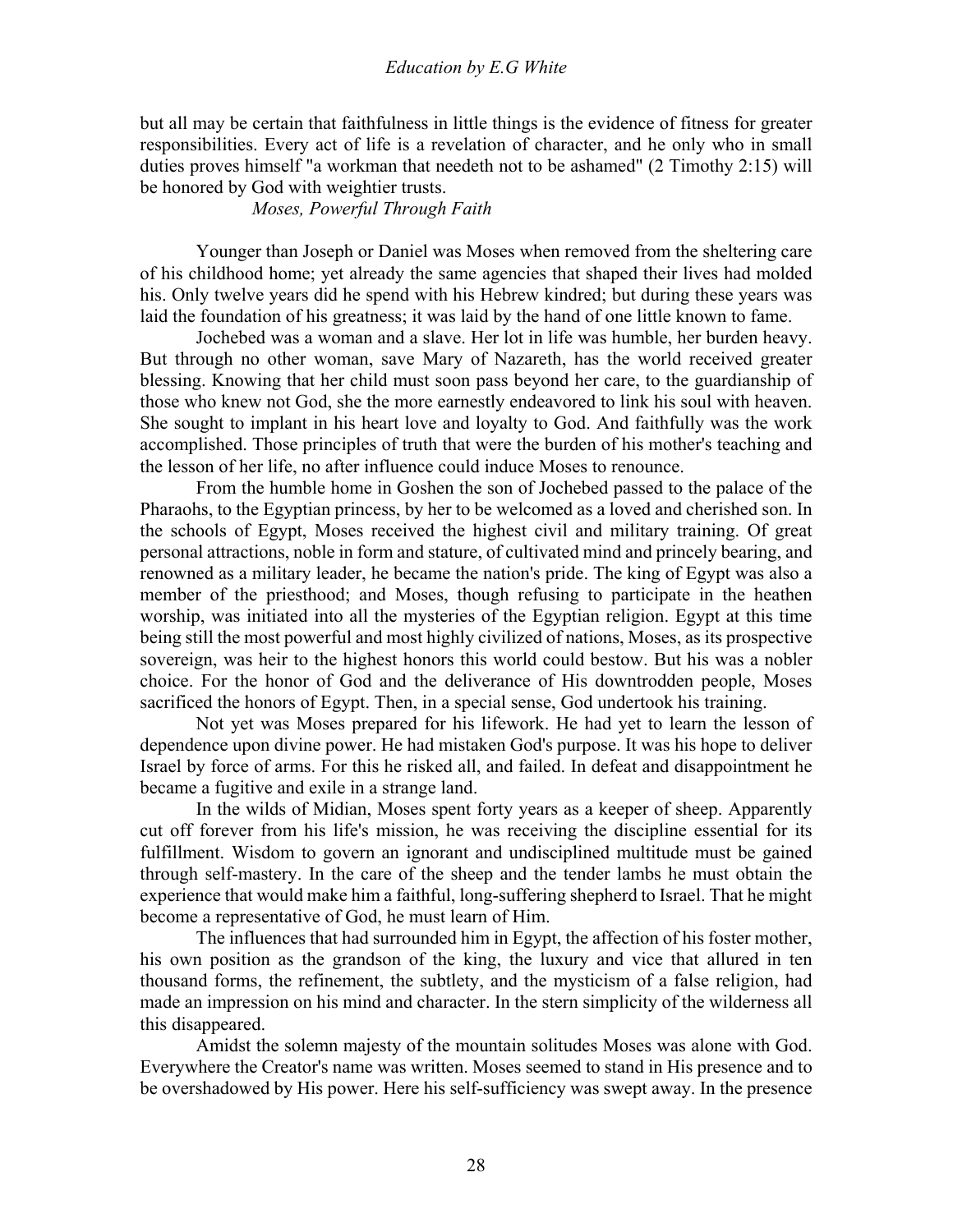but all may be certain that faithfulness in little things is the evidence of fitness for greater responsibilities. Every act of life is a revelation of character, and he only who in small duties proves himself "a workman that needeth not to be ashamed" (2 Timothy 2:15) will be honored by God with weightier trusts.

*Moses, Powerful Through Faith*

Younger than Joseph or Daniel was Moses when removed from the sheltering care of his childhood home; yet already the same agencies that shaped their lives had molded his. Only twelve years did he spend with his Hebrew kindred; but during these years was laid the foundation of his greatness; it was laid by the hand of one little known to fame.

 Jochebed was a woman and a slave. Her lot in life was humble, her burden heavy. But through no other woman, save Mary of Nazareth, has the world received greater blessing. Knowing that her child must soon pass beyond her care, to the guardianship of those who knew not God, she the more earnestly endeavored to link his soul with heaven. She sought to implant in his heart love and loyalty to God. And faithfully was the work accomplished. Those principles of truth that were the burden of his mother's teaching and the lesson of her life, no after influence could induce Moses to renounce.

 From the humble home in Goshen the son of Jochebed passed to the palace of the Pharaohs, to the Egyptian princess, by her to be welcomed as a loved and cherished son. In the schools of Egypt, Moses received the highest civil and military training. Of great personal attractions, noble in form and stature, of cultivated mind and princely bearing, and renowned as a military leader, he became the nation's pride. The king of Egypt was also a member of the priesthood; and Moses, though refusing to participate in the heathen worship, was initiated into all the mysteries of the Egyptian religion. Egypt at this time being still the most powerful and most highly civilized of nations, Moses, as its prospective sovereign, was heir to the highest honors this world could bestow. But his was a nobler choice. For the honor of God and the deliverance of His downtrodden people, Moses sacrificed the honors of Egypt. Then, in a special sense, God undertook his training.

 Not yet was Moses prepared for his lifework. He had yet to learn the lesson of dependence upon divine power. He had mistaken God's purpose. It was his hope to deliver Israel by force of arms. For this he risked all, and failed. In defeat and disappointment he became a fugitive and exile in a strange land.

 In the wilds of Midian, Moses spent forty years as a keeper of sheep. Apparently cut off forever from his life's mission, he was receiving the discipline essential for its fulfillment. Wisdom to govern an ignorant and undisciplined multitude must be gained through self-mastery. In the care of the sheep and the tender lambs he must obtain the experience that would make him a faithful, long-suffering shepherd to Israel. That he might become a representative of God, he must learn of Him.

 The influences that had surrounded him in Egypt, the affection of his foster mother, his own position as the grandson of the king, the luxury and vice that allured in ten thousand forms, the refinement, the subtlety, and the mysticism of a false religion, had made an impression on his mind and character. In the stern simplicity of the wilderness all this disappeared.

 Amidst the solemn majesty of the mountain solitudes Moses was alone with God. Everywhere the Creator's name was written. Moses seemed to stand in His presence and to be overshadowed by His power. Here his self-sufficiency was swept away. In the presence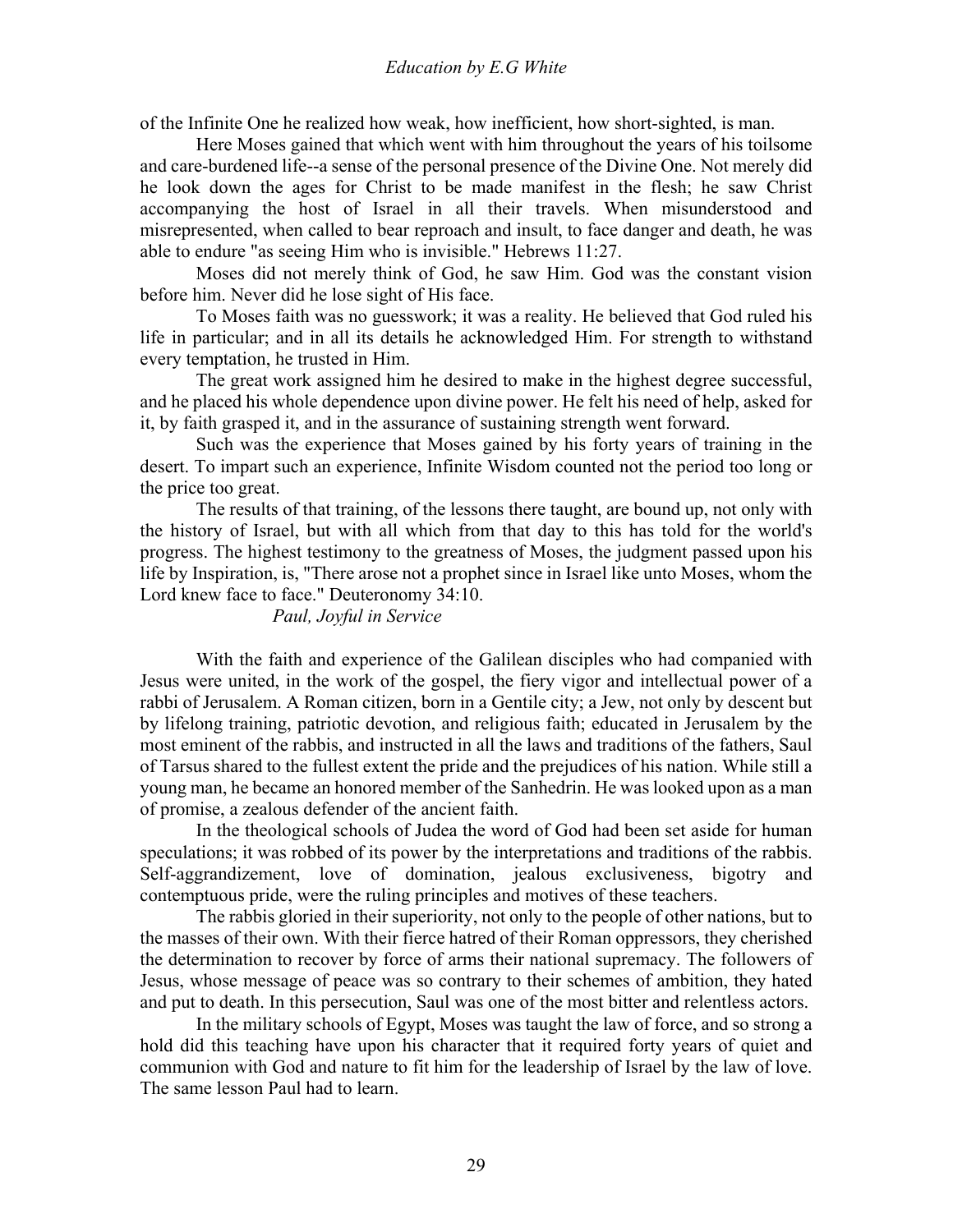of the Infinite One he realized how weak, how inefficient, how short-sighted, is man.

 Here Moses gained that which went with him throughout the years of his toilsome and care-burdened life--a sense of the personal presence of the Divine One. Not merely did he look down the ages for Christ to be made manifest in the flesh; he saw Christ accompanying the host of Israel in all their travels. When misunderstood and misrepresented, when called to bear reproach and insult, to face danger and death, he was able to endure "as seeing Him who is invisible." Hebrews 11:27.

 Moses did not merely think of God, he saw Him. God was the constant vision before him. Never did he lose sight of His face.

 To Moses faith was no guesswork; it was a reality. He believed that God ruled his life in particular; and in all its details he acknowledged Him. For strength to withstand every temptation, he trusted in Him.

 The great work assigned him he desired to make in the highest degree successful, and he placed his whole dependence upon divine power. He felt his need of help, asked for it, by faith grasped it, and in the assurance of sustaining strength went forward.

 Such was the experience that Moses gained by his forty years of training in the desert. To impart such an experience, Infinite Wisdom counted not the period too long or the price too great.

 The results of that training, of the lessons there taught, are bound up, not only with the history of Israel, but with all which from that day to this has told for the world's progress. The highest testimony to the greatness of Moses, the judgment passed upon his life by Inspiration, is, "There arose not a prophet since in Israel like unto Moses, whom the Lord knew face to face." Deuteronomy 34:10.

#### *Paul, Joyful in Service*

With the faith and experience of the Galilean disciples who had companied with Jesus were united, in the work of the gospel, the fiery vigor and intellectual power of a rabbi of Jerusalem. A Roman citizen, born in a Gentile city; a Jew, not only by descent but by lifelong training, patriotic devotion, and religious faith; educated in Jerusalem by the most eminent of the rabbis, and instructed in all the laws and traditions of the fathers, Saul of Tarsus shared to the fullest extent the pride and the prejudices of his nation. While still a young man, he became an honored member of the Sanhedrin. He was looked upon as a man of promise, a zealous defender of the ancient faith.

 In the theological schools of Judea the word of God had been set aside for human speculations; it was robbed of its power by the interpretations and traditions of the rabbis. Self-aggrandizement, love of domination, jealous exclusiveness, bigotry and contemptuous pride, were the ruling principles and motives of these teachers.

 The rabbis gloried in their superiority, not only to the people of other nations, but to the masses of their own. With their fierce hatred of their Roman oppressors, they cherished the determination to recover by force of arms their national supremacy. The followers of Jesus, whose message of peace was so contrary to their schemes of ambition, they hated and put to death. In this persecution, Saul was one of the most bitter and relentless actors.

 In the military schools of Egypt, Moses was taught the law of force, and so strong a hold did this teaching have upon his character that it required forty years of quiet and communion with God and nature to fit him for the leadership of Israel by the law of love. The same lesson Paul had to learn.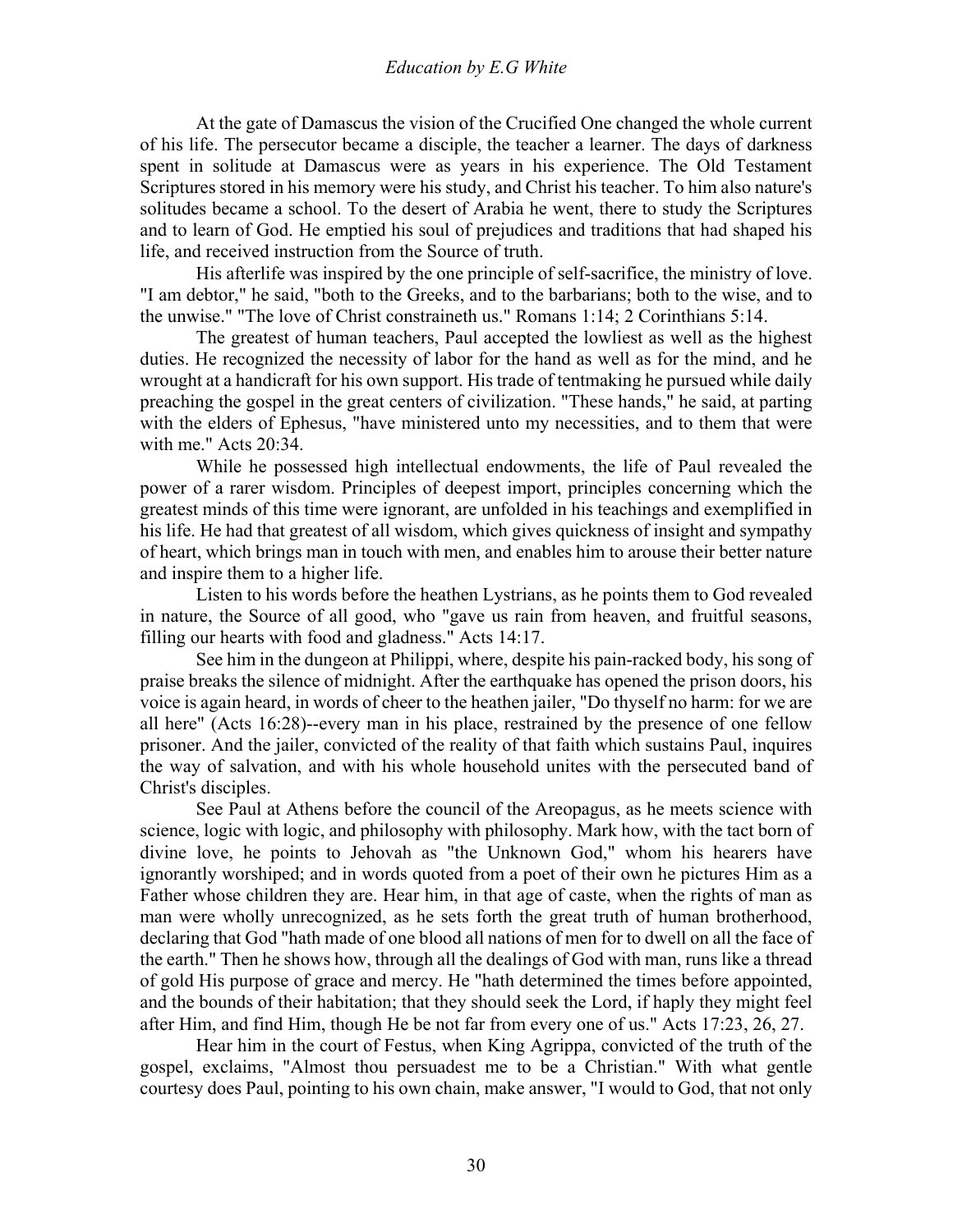At the gate of Damascus the vision of the Crucified One changed the whole current of his life. The persecutor became a disciple, the teacher a learner. The days of darkness spent in solitude at Damascus were as years in his experience. The Old Testament Scriptures stored in his memory were his study, and Christ his teacher. To him also nature's solitudes became a school. To the desert of Arabia he went, there to study the Scriptures and to learn of God. He emptied his soul of prejudices and traditions that had shaped his life, and received instruction from the Source of truth.

 His afterlife was inspired by the one principle of self-sacrifice, the ministry of love. "I am debtor," he said, "both to the Greeks, and to the barbarians; both to the wise, and to the unwise." "The love of Christ constraineth us." Romans 1:14; 2 Corinthians 5:14.

 The greatest of human teachers, Paul accepted the lowliest as well as the highest duties. He recognized the necessity of labor for the hand as well as for the mind, and he wrought at a handicraft for his own support. His trade of tentmaking he pursued while daily preaching the gospel in the great centers of civilization. "These hands," he said, at parting with the elders of Ephesus, "have ministered unto my necessities, and to them that were with me." Acts 20:34.

 While he possessed high intellectual endowments, the life of Paul revealed the power of a rarer wisdom. Principles of deepest import, principles concerning which the greatest minds of this time were ignorant, are unfolded in his teachings and exemplified in his life. He had that greatest of all wisdom, which gives quickness of insight and sympathy of heart, which brings man in touch with men, and enables him to arouse their better nature and inspire them to a higher life.

 Listen to his words before the heathen Lystrians, as he points them to God revealed in nature, the Source of all good, who "gave us rain from heaven, and fruitful seasons, filling our hearts with food and gladness." Acts 14:17.

 See him in the dungeon at Philippi, where, despite his pain-racked body, his song of praise breaks the silence of midnight. After the earthquake has opened the prison doors, his voice is again heard, in words of cheer to the heathen jailer, "Do thyself no harm: for we are all here" (Acts 16:28)--every man in his place, restrained by the presence of one fellow prisoner. And the jailer, convicted of the reality of that faith which sustains Paul, inquires the way of salvation, and with his whole household unites with the persecuted band of Christ's disciples.

 See Paul at Athens before the council of the Areopagus, as he meets science with science, logic with logic, and philosophy with philosophy. Mark how, with the tact born of divine love, he points to Jehovah as "the Unknown God," whom his hearers have ignorantly worshiped; and in words quoted from a poet of their own he pictures Him as a Father whose children they are. Hear him, in that age of caste, when the rights of man as man were wholly unrecognized, as he sets forth the great truth of human brotherhood, declaring that God "hath made of one blood all nations of men for to dwell on all the face of the earth." Then he shows how, through all the dealings of God with man, runs like a thread of gold His purpose of grace and mercy. He "hath determined the times before appointed, and the bounds of their habitation; that they should seek the Lord, if haply they might feel after Him, and find Him, though He be not far from every one of us." Acts 17:23, 26, 27.

 Hear him in the court of Festus, when King Agrippa, convicted of the truth of the gospel, exclaims, "Almost thou persuadest me to be a Christian." With what gentle courtesy does Paul, pointing to his own chain, make answer, "I would to God, that not only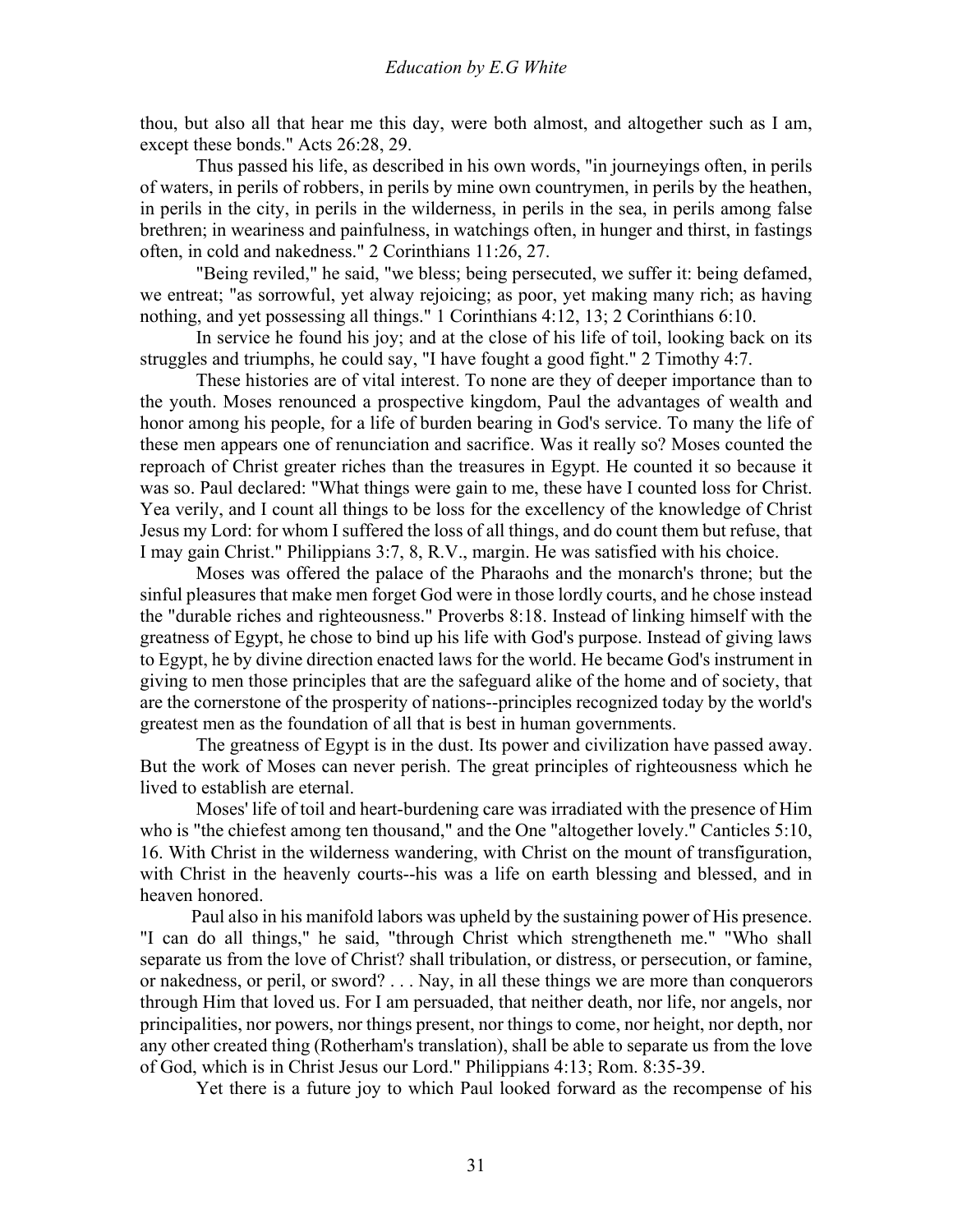thou, but also all that hear me this day, were both almost, and altogether such as I am, except these bonds." Acts 26:28, 29.

 Thus passed his life, as described in his own words, "in journeyings often, in perils of waters, in perils of robbers, in perils by mine own countrymen, in perils by the heathen, in perils in the city, in perils in the wilderness, in perils in the sea, in perils among false brethren; in weariness and painfulness, in watchings often, in hunger and thirst, in fastings often, in cold and nakedness." 2 Corinthians 11:26, 27.

 "Being reviled," he said, "we bless; being persecuted, we suffer it: being defamed, we entreat; "as sorrowful, yet alway rejoicing; as poor, yet making many rich; as having nothing, and yet possessing all things." 1 Corinthians 4:12, 13; 2 Corinthians 6:10.

 In service he found his joy; and at the close of his life of toil, looking back on its struggles and triumphs, he could say, "I have fought a good fight." 2 Timothy 4:7.

 These histories are of vital interest. To none are they of deeper importance than to the youth. Moses renounced a prospective kingdom, Paul the advantages of wealth and honor among his people, for a life of burden bearing in God's service. To many the life of these men appears one of renunciation and sacrifice. Was it really so? Moses counted the reproach of Christ greater riches than the treasures in Egypt. He counted it so because it was so. Paul declared: "What things were gain to me, these have I counted loss for Christ. Yea verily, and I count all things to be loss for the excellency of the knowledge of Christ Jesus my Lord: for whom I suffered the loss of all things, and do count them but refuse, that I may gain Christ." Philippians 3:7, 8, R.V., margin. He was satisfied with his choice.

 Moses was offered the palace of the Pharaohs and the monarch's throne; but the sinful pleasures that make men forget God were in those lordly courts, and he chose instead the "durable riches and righteousness." Proverbs 8:18. Instead of linking himself with the greatness of Egypt, he chose to bind up his life with God's purpose. Instead of giving laws to Egypt, he by divine direction enacted laws for the world. He became God's instrument in giving to men those principles that are the safeguard alike of the home and of society, that are the cornerstone of the prosperity of nations--principles recognized today by the world's greatest men as the foundation of all that is best in human governments.

 The greatness of Egypt is in the dust. Its power and civilization have passed away. But the work of Moses can never perish. The great principles of righteousness which he lived to establish are eternal.

 Moses' life of toil and heart-burdening care was irradiated with the presence of Him who is "the chiefest among ten thousand," and the One "altogether lovely." Canticles 5:10, 16. With Christ in the wilderness wandering, with Christ on the mount of transfiguration, with Christ in the heavenly courts--his was a life on earth blessing and blessed, and in heaven honored.

 Paul also in his manifold labors was upheld by the sustaining power of His presence. "I can do all things," he said, "through Christ which strengtheneth me." "Who shall separate us from the love of Christ? shall tribulation, or distress, or persecution, or famine, or nakedness, or peril, or sword? . . . Nay, in all these things we are more than conquerors through Him that loved us. For I am persuaded, that neither death, nor life, nor angels, nor principalities, nor powers, nor things present, nor things to come, nor height, nor depth, nor any other created thing (Rotherham's translation), shall be able to separate us from the love of God, which is in Christ Jesus our Lord." Philippians 4:13; Rom. 8:35-39.

Yet there is a future joy to which Paul looked forward as the recompense of his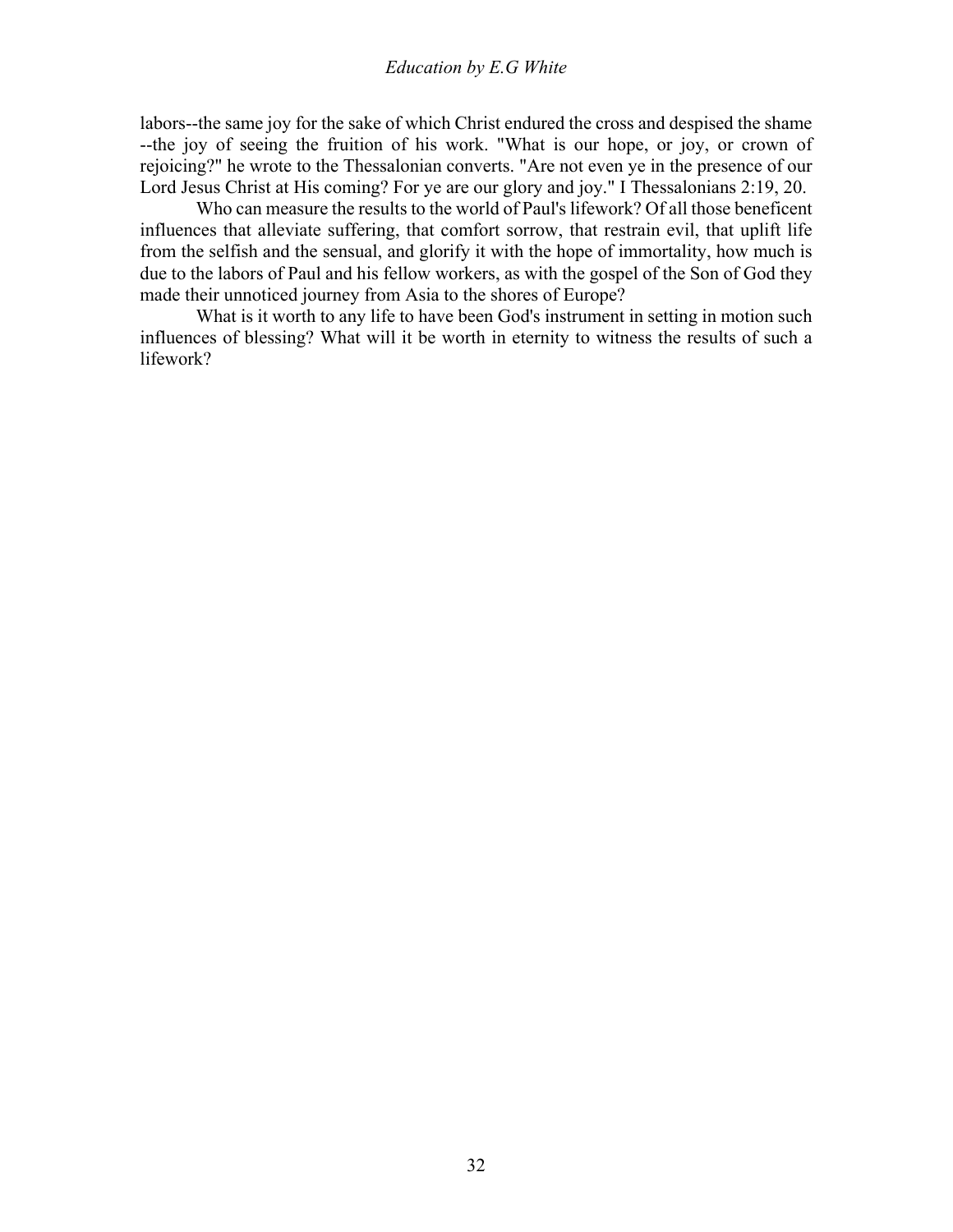labors--the same joy for the sake of which Christ endured the cross and despised the shame --the joy of seeing the fruition of his work. "What is our hope, or joy, or crown of rejoicing?" he wrote to the Thessalonian converts. "Are not even ye in the presence of our Lord Jesus Christ at His coming? For ye are our glory and joy." I Thessalonians 2:19, 20.

 Who can measure the results to the world of Paul's lifework? Of all those beneficent influences that alleviate suffering, that comfort sorrow, that restrain evil, that uplift life from the selfish and the sensual, and glorify it with the hope of immortality, how much is due to the labors of Paul and his fellow workers, as with the gospel of the Son of God they made their unnoticed journey from Asia to the shores of Europe?

 What is it worth to any life to have been God's instrument in setting in motion such influences of blessing? What will it be worth in eternity to witness the results of such a lifework?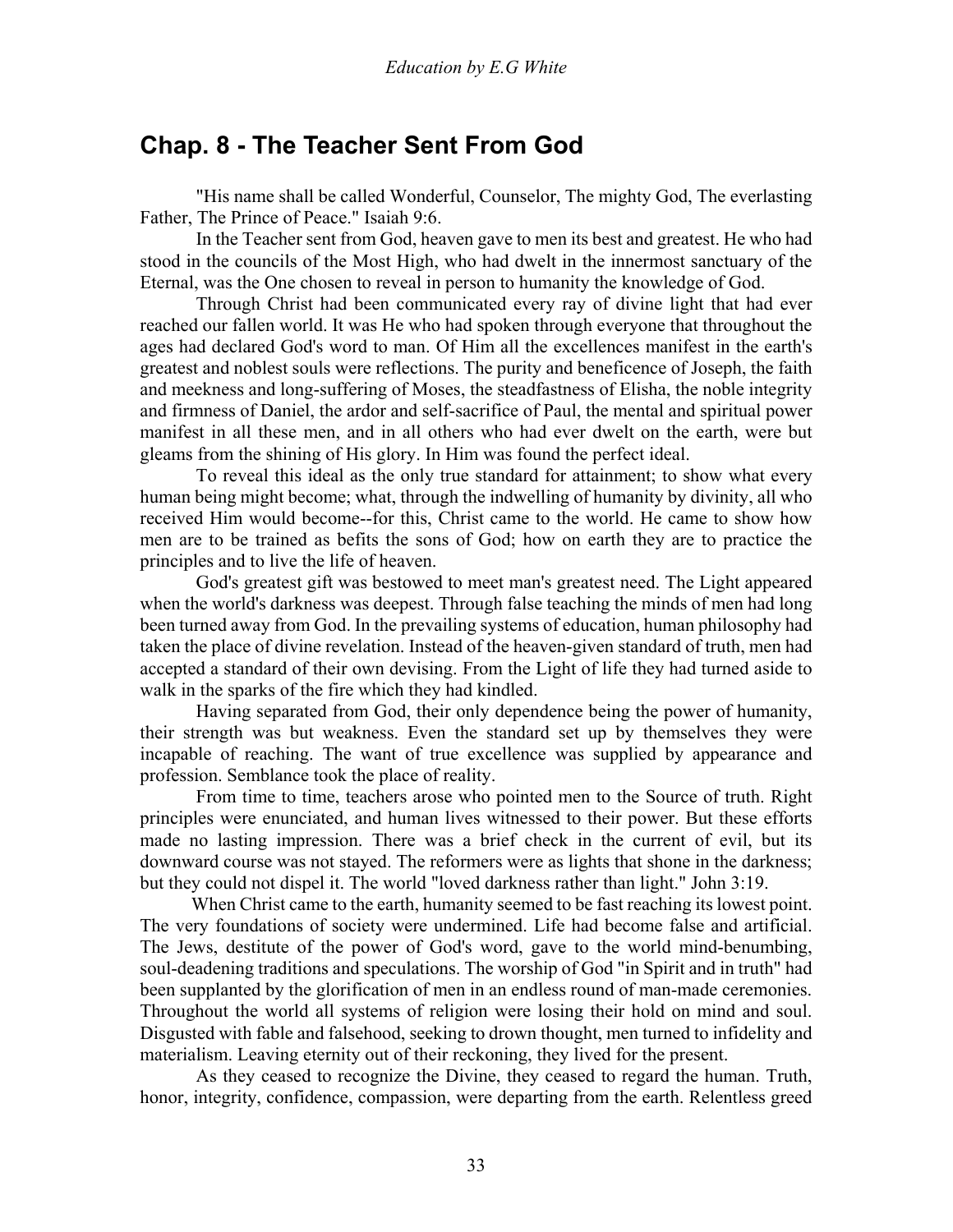### <span id="page-32-0"></span>**Chap. 8 - The Teacher Sent From God**

 "His name shall be called Wonderful, Counselor, The mighty God, The everlasting Father, The Prince of Peace." Isaiah 9:6.

 In the Teacher sent from God, heaven gave to men its best and greatest. He who had stood in the councils of the Most High, who had dwelt in the innermost sanctuary of the Eternal, was the One chosen to reveal in person to humanity the knowledge of God.

 Through Christ had been communicated every ray of divine light that had ever reached our fallen world. It was He who had spoken through everyone that throughout the ages had declared God's word to man. Of Him all the excellences manifest in the earth's greatest and noblest souls were reflections. The purity and beneficence of Joseph, the faith and meekness and long-suffering of Moses, the steadfastness of Elisha, the noble integrity and firmness of Daniel, the ardor and self-sacrifice of Paul, the mental and spiritual power manifest in all these men, and in all others who had ever dwelt on the earth, were but gleams from the shining of His glory. In Him was found the perfect ideal.

 To reveal this ideal as the only true standard for attainment; to show what every human being might become; what, through the indwelling of humanity by divinity, all who received Him would become--for this, Christ came to the world. He came to show how men are to be trained as befits the sons of God; how on earth they are to practice the principles and to live the life of heaven.

 God's greatest gift was bestowed to meet man's greatest need. The Light appeared when the world's darkness was deepest. Through false teaching the minds of men had long been turned away from God. In the prevailing systems of education, human philosophy had taken the place of divine revelation. Instead of the heaven-given standard of truth, men had accepted a standard of their own devising. From the Light of life they had turned aside to walk in the sparks of the fire which they had kindled.

 Having separated from God, their only dependence being the power of humanity, their strength was but weakness. Even the standard set up by themselves they were incapable of reaching. The want of true excellence was supplied by appearance and profession. Semblance took the place of reality.

 From time to time, teachers arose who pointed men to the Source of truth. Right principles were enunciated, and human lives witnessed to their power. But these efforts made no lasting impression. There was a brief check in the current of evil, but its downward course was not stayed. The reformers were as lights that shone in the darkness; but they could not dispel it. The world "loved darkness rather than light." John 3:19.

 When Christ came to the earth, humanity seemed to be fast reaching its lowest point. The very foundations of society were undermined. Life had become false and artificial. The Jews, destitute of the power of God's word, gave to the world mind-benumbing, soul-deadening traditions and speculations. The worship of God "in Spirit and in truth" had been supplanted by the glorification of men in an endless round of man-made ceremonies. Throughout the world all systems of religion were losing their hold on mind and soul. Disgusted with fable and falsehood, seeking to drown thought, men turned to infidelity and materialism. Leaving eternity out of their reckoning, they lived for the present.

 As they ceased to recognize the Divine, they ceased to regard the human. Truth, honor, integrity, confidence, compassion, were departing from the earth. Relentless greed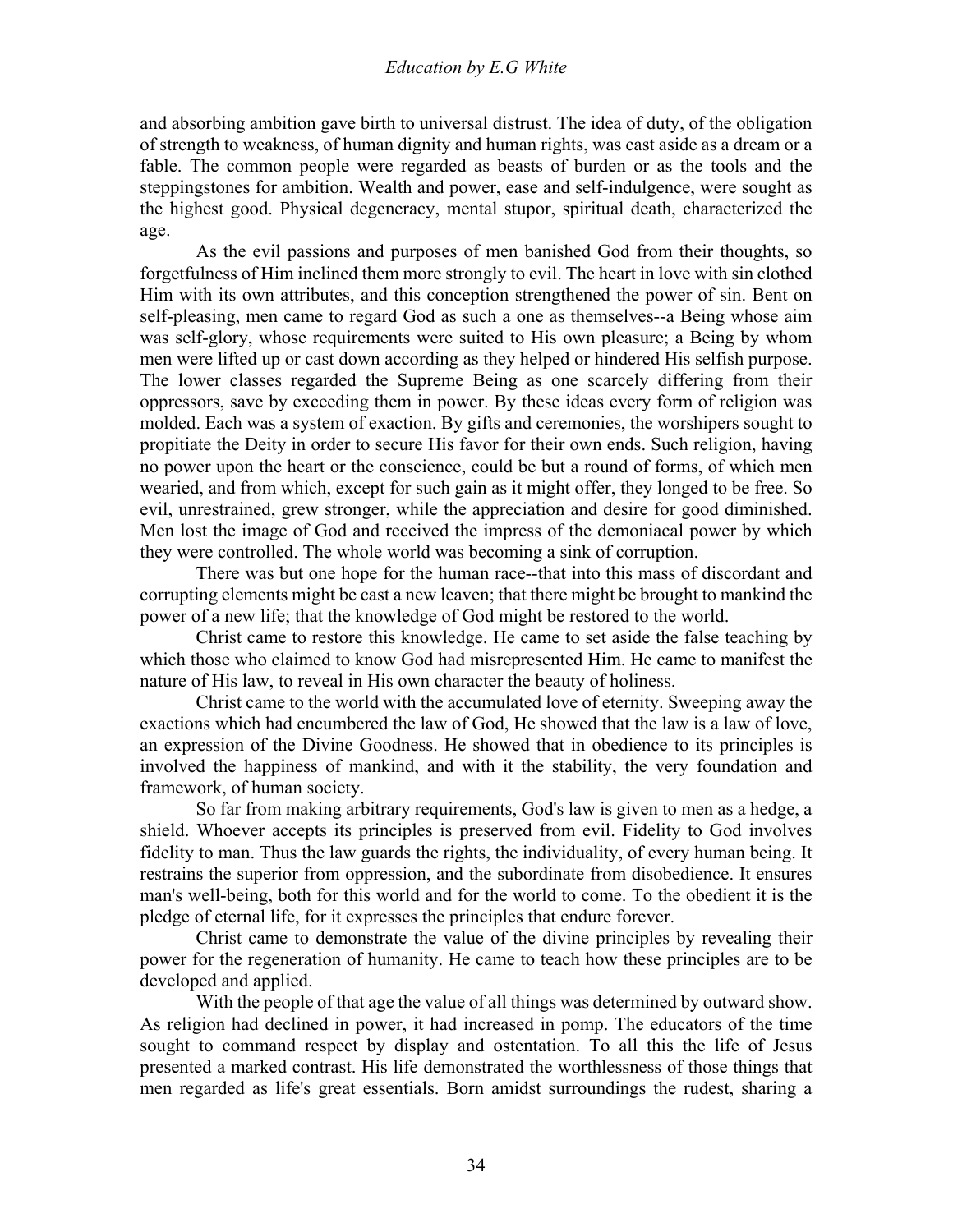and absorbing ambition gave birth to universal distrust. The idea of duty, of the obligation of strength to weakness, of human dignity and human rights, was cast aside as a dream or a fable. The common people were regarded as beasts of burden or as the tools and the steppingstones for ambition. Wealth and power, ease and self-indulgence, were sought as the highest good. Physical degeneracy, mental stupor, spiritual death, characterized the age.

 As the evil passions and purposes of men banished God from their thoughts, so forgetfulness of Him inclined them more strongly to evil. The heart in love with sin clothed Him with its own attributes, and this conception strengthened the power of sin. Bent on self-pleasing, men came to regard God as such a one as themselves--a Being whose aim was self-glory, whose requirements were suited to His own pleasure; a Being by whom men were lifted up or cast down according as they helped or hindered His selfish purpose. The lower classes regarded the Supreme Being as one scarcely differing from their oppressors, save by exceeding them in power. By these ideas every form of religion was molded. Each was a system of exaction. By gifts and ceremonies, the worshipers sought to propitiate the Deity in order to secure His favor for their own ends. Such religion, having no power upon the heart or the conscience, could be but a round of forms, of which men wearied, and from which, except for such gain as it might offer, they longed to be free. So evil, unrestrained, grew stronger, while the appreciation and desire for good diminished. Men lost the image of God and received the impress of the demoniacal power by which they were controlled. The whole world was becoming a sink of corruption.

 There was but one hope for the human race--that into this mass of discordant and corrupting elements might be cast a new leaven; that there might be brought to mankind the power of a new life; that the knowledge of God might be restored to the world.

 Christ came to restore this knowledge. He came to set aside the false teaching by which those who claimed to know God had misrepresented Him. He came to manifest the nature of His law, to reveal in His own character the beauty of holiness.

 Christ came to the world with the accumulated love of eternity. Sweeping away the exactions which had encumbered the law of God, He showed that the law is a law of love, an expression of the Divine Goodness. He showed that in obedience to its principles is involved the happiness of mankind, and with it the stability, the very foundation and framework, of human society.

 So far from making arbitrary requirements, God's law is given to men as a hedge, a shield. Whoever accepts its principles is preserved from evil. Fidelity to God involves fidelity to man. Thus the law guards the rights, the individuality, of every human being. It restrains the superior from oppression, and the subordinate from disobedience. It ensures man's well-being, both for this world and for the world to come. To the obedient it is the pledge of eternal life, for it expresses the principles that endure forever.

 Christ came to demonstrate the value of the divine principles by revealing their power for the regeneration of humanity. He came to teach how these principles are to be developed and applied.

 With the people of that age the value of all things was determined by outward show. As religion had declined in power, it had increased in pomp. The educators of the time sought to command respect by display and ostentation. To all this the life of Jesus presented a marked contrast. His life demonstrated the worthlessness of those things that men regarded as life's great essentials. Born amidst surroundings the rudest, sharing a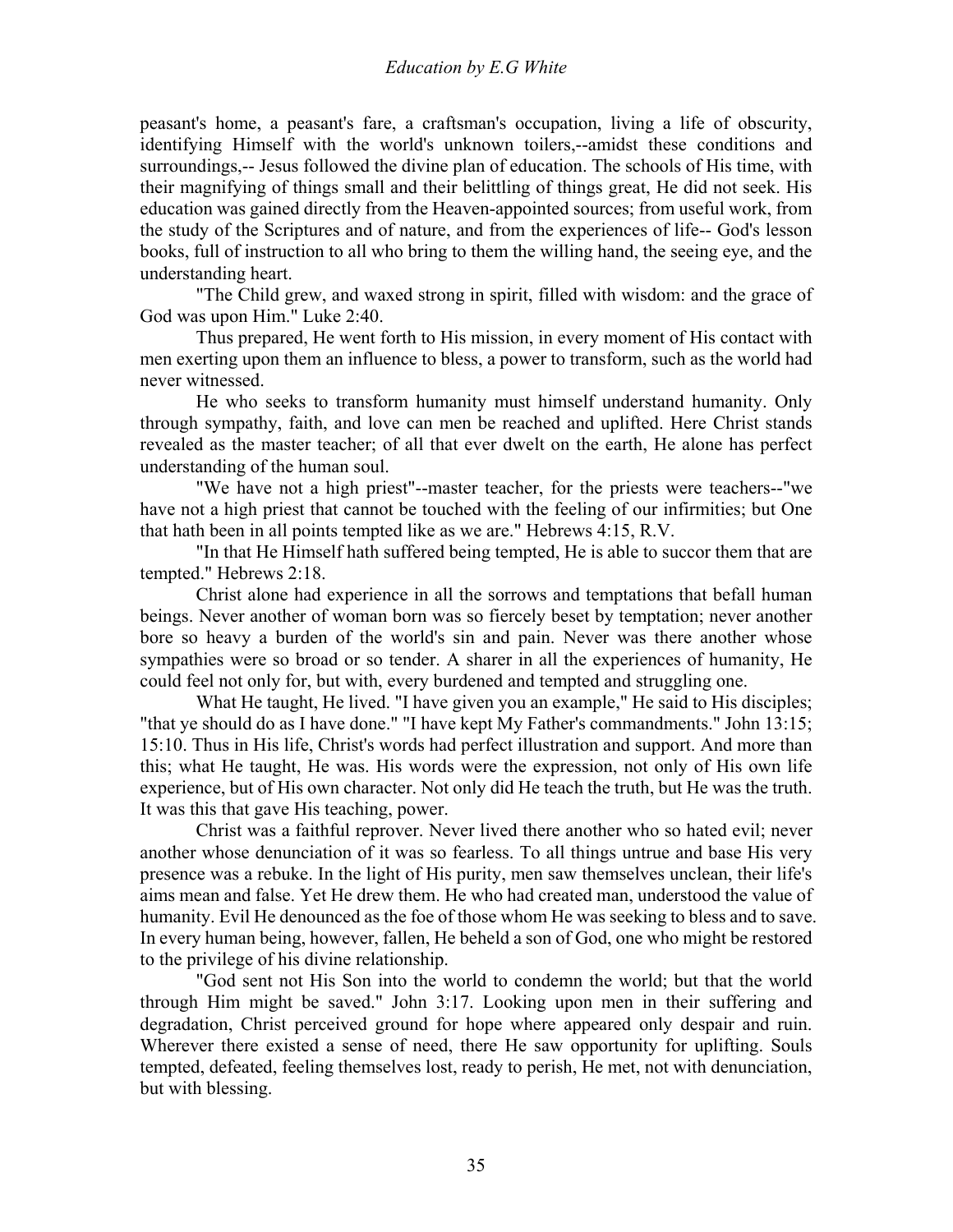peasant's home, a peasant's fare, a craftsman's occupation, living a life of obscurity, identifying Himself with the world's unknown toilers,--amidst these conditions and surroundings,-- Jesus followed the divine plan of education. The schools of His time, with their magnifying of things small and their belittling of things great, He did not seek. His education was gained directly from the Heaven-appointed sources; from useful work, from the study of the Scriptures and of nature, and from the experiences of life-- God's lesson books, full of instruction to all who bring to them the willing hand, the seeing eye, and the understanding heart.

 "The Child grew, and waxed strong in spirit, filled with wisdom: and the grace of God was upon Him." Luke 2:40.

 Thus prepared, He went forth to His mission, in every moment of His contact with men exerting upon them an influence to bless, a power to transform, such as the world had never witnessed.

 He who seeks to transform humanity must himself understand humanity. Only through sympathy, faith, and love can men be reached and uplifted. Here Christ stands revealed as the master teacher; of all that ever dwelt on the earth, He alone has perfect understanding of the human soul.

 "We have not a high priest"--master teacher, for the priests were teachers--"we have not a high priest that cannot be touched with the feeling of our infirmities; but One that hath been in all points tempted like as we are." Hebrews 4:15, R.V.

 "In that He Himself hath suffered being tempted, He is able to succor them that are tempted." Hebrews 2:18.

 Christ alone had experience in all the sorrows and temptations that befall human beings. Never another of woman born was so fiercely beset by temptation; never another bore so heavy a burden of the world's sin and pain. Never was there another whose sympathies were so broad or so tender. A sharer in all the experiences of humanity, He could feel not only for, but with, every burdened and tempted and struggling one.

 What He taught, He lived. "I have given you an example," He said to His disciples; "that ye should do as I have done." "I have kept My Father's commandments." John 13:15; 15:10. Thus in His life, Christ's words had perfect illustration and support. And more than this; what He taught, He was. His words were the expression, not only of His own life experience, but of His own character. Not only did He teach the truth, but He was the truth. It was this that gave His teaching, power.

 Christ was a faithful reprover. Never lived there another who so hated evil; never another whose denunciation of it was so fearless. To all things untrue and base His very presence was a rebuke. In the light of His purity, men saw themselves unclean, their life's aims mean and false. Yet He drew them. He who had created man, understood the value of humanity. Evil He denounced as the foe of those whom He was seeking to bless and to save. In every human being, however, fallen, He beheld a son of God, one who might be restored to the privilege of his divine relationship.

 "God sent not His Son into the world to condemn the world; but that the world through Him might be saved." John 3:17. Looking upon men in their suffering and degradation, Christ perceived ground for hope where appeared only despair and ruin. Wherever there existed a sense of need, there He saw opportunity for uplifting. Souls tempted, defeated, feeling themselves lost, ready to perish, He met, not with denunciation, but with blessing.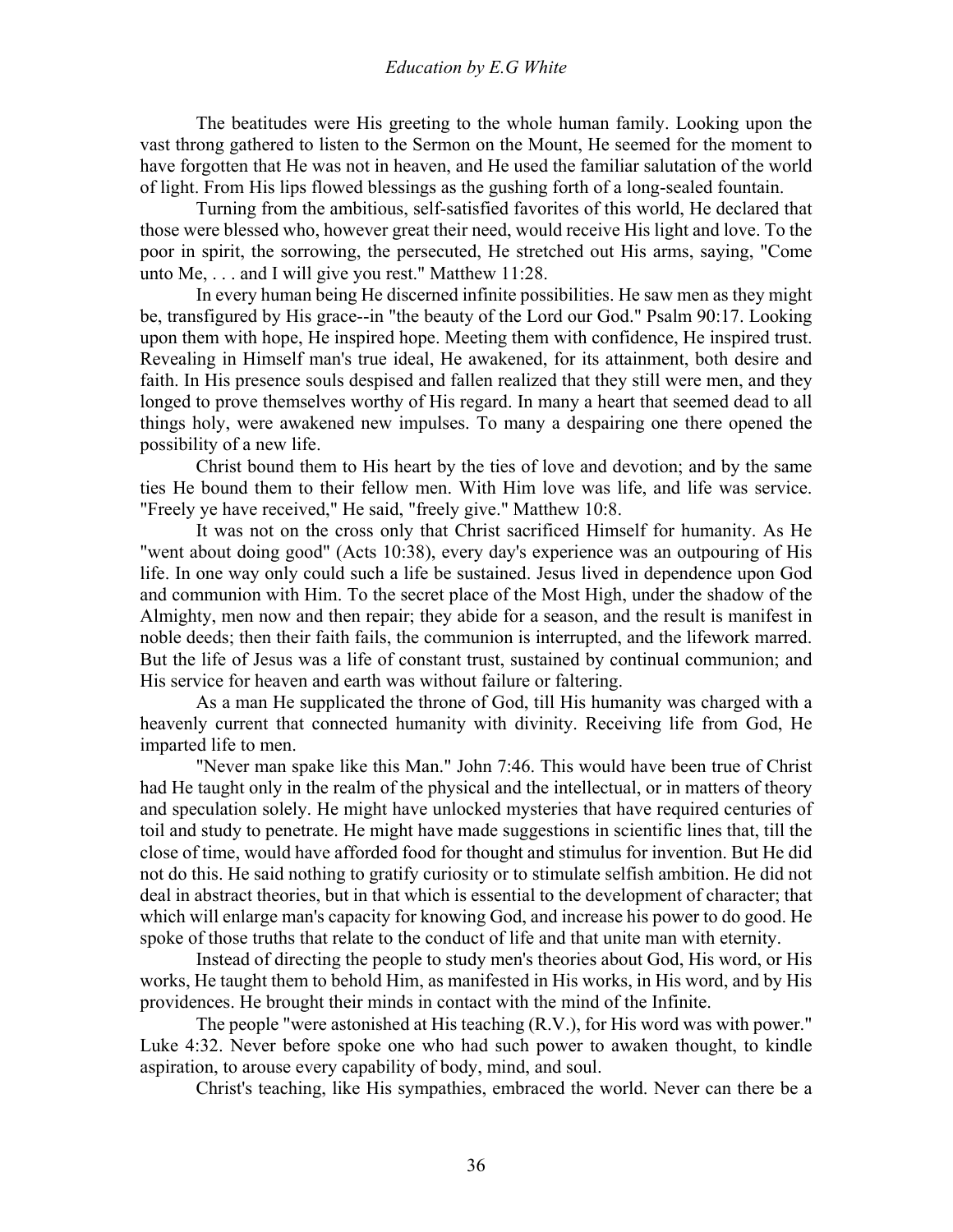The beatitudes were His greeting to the whole human family. Looking upon the vast throng gathered to listen to the Sermon on the Mount, He seemed for the moment to have forgotten that He was not in heaven, and He used the familiar salutation of the world of light. From His lips flowed blessings as the gushing forth of a long-sealed fountain.

 Turning from the ambitious, self-satisfied favorites of this world, He declared that those were blessed who, however great their need, would receive His light and love. To the poor in spirit, the sorrowing, the persecuted, He stretched out His arms, saying, "Come unto Me, . . . and I will give you rest." Matthew 11:28.

 In every human being He discerned infinite possibilities. He saw men as they might be, transfigured by His grace--in "the beauty of the Lord our God." Psalm 90:17. Looking upon them with hope, He inspired hope. Meeting them with confidence, He inspired trust. Revealing in Himself man's true ideal, He awakened, for its attainment, both desire and faith. In His presence souls despised and fallen realized that they still were men, and they longed to prove themselves worthy of His regard. In many a heart that seemed dead to all things holy, were awakened new impulses. To many a despairing one there opened the possibility of a new life.

 Christ bound them to His heart by the ties of love and devotion; and by the same ties He bound them to their fellow men. With Him love was life, and life was service. "Freely ye have received," He said, "freely give." Matthew 10:8.

 It was not on the cross only that Christ sacrificed Himself for humanity. As He "went about doing good" (Acts 10:38), every day's experience was an outpouring of His life. In one way only could such a life be sustained. Jesus lived in dependence upon God and communion with Him. To the secret place of the Most High, under the shadow of the Almighty, men now and then repair; they abide for a season, and the result is manifest in noble deeds; then their faith fails, the communion is interrupted, and the lifework marred. But the life of Jesus was a life of constant trust, sustained by continual communion; and His service for heaven and earth was without failure or faltering.

 As a man He supplicated the throne of God, till His humanity was charged with a heavenly current that connected humanity with divinity. Receiving life from God, He imparted life to men.

 "Never man spake like this Man." John 7:46. This would have been true of Christ had He taught only in the realm of the physical and the intellectual, or in matters of theory and speculation solely. He might have unlocked mysteries that have required centuries of toil and study to penetrate. He might have made suggestions in scientific lines that, till the close of time, would have afforded food for thought and stimulus for invention. But He did not do this. He said nothing to gratify curiosity or to stimulate selfish ambition. He did not deal in abstract theories, but in that which is essential to the development of character; that which will enlarge man's capacity for knowing God, and increase his power to do good. He spoke of those truths that relate to the conduct of life and that unite man with eternity.

 Instead of directing the people to study men's theories about God, His word, or His works, He taught them to behold Him, as manifested in His works, in His word, and by His providences. He brought their minds in contact with the mind of the Infinite.

 The people "were astonished at His teaching (R.V.), for His word was with power." Luke 4:32. Never before spoke one who had such power to awaken thought, to kindle aspiration, to arouse every capability of body, mind, and soul.

Christ's teaching, like His sympathies, embraced the world. Never can there be a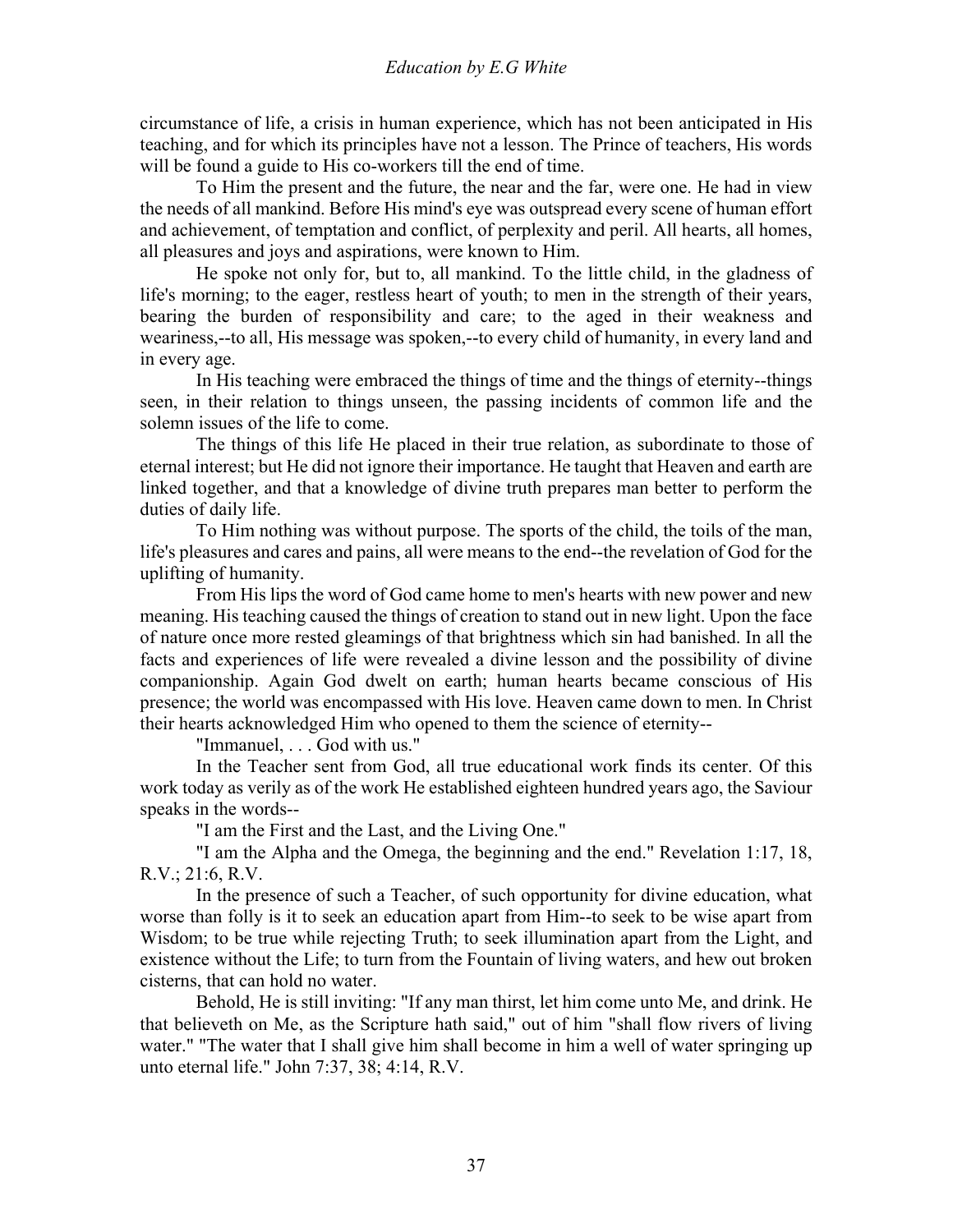circumstance of life, a crisis in human experience, which has not been anticipated in His teaching, and for which its principles have not a lesson. The Prince of teachers, His words will be found a guide to His co-workers till the end of time.

 To Him the present and the future, the near and the far, were one. He had in view the needs of all mankind. Before His mind's eye was outspread every scene of human effort and achievement, of temptation and conflict, of perplexity and peril. All hearts, all homes, all pleasures and joys and aspirations, were known to Him.

 He spoke not only for, but to, all mankind. To the little child, in the gladness of life's morning; to the eager, restless heart of youth; to men in the strength of their years, bearing the burden of responsibility and care; to the aged in their weakness and weariness,--to all, His message was spoken,--to every child of humanity, in every land and in every age.

 In His teaching were embraced the things of time and the things of eternity--things seen, in their relation to things unseen, the passing incidents of common life and the solemn issues of the life to come.

 The things of this life He placed in their true relation, as subordinate to those of eternal interest; but He did not ignore their importance. He taught that Heaven and earth are linked together, and that a knowledge of divine truth prepares man better to perform the duties of daily life.

 To Him nothing was without purpose. The sports of the child, the toils of the man, life's pleasures and cares and pains, all were means to the end--the revelation of God for the uplifting of humanity.

 From His lips the word of God came home to men's hearts with new power and new meaning. His teaching caused the things of creation to stand out in new light. Upon the face of nature once more rested gleamings of that brightness which sin had banished. In all the facts and experiences of life were revealed a divine lesson and the possibility of divine companionship. Again God dwelt on earth; human hearts became conscious of His presence; the world was encompassed with His love. Heaven came down to men. In Christ their hearts acknowledged Him who opened to them the science of eternity--

"Immanuel, . . . God with us."

 In the Teacher sent from God, all true educational work finds its center. Of this work today as verily as of the work He established eighteen hundred years ago, the Saviour speaks in the words--

"I am the First and the Last, and the Living One."

 "I am the Alpha and the Omega, the beginning and the end." Revelation 1:17, 18, R.V.; 21:6, R.V.

 In the presence of such a Teacher, of such opportunity for divine education, what worse than folly is it to seek an education apart from Him--to seek to be wise apart from Wisdom; to be true while rejecting Truth; to seek illumination apart from the Light, and existence without the Life; to turn from the Fountain of living waters, and hew out broken cisterns, that can hold no water.

 Behold, He is still inviting: "If any man thirst, let him come unto Me, and drink. He that believeth on Me, as the Scripture hath said," out of him "shall flow rivers of living water." "The water that I shall give him shall become in him a well of water springing up unto eternal life." John 7:37, 38; 4:14, R.V.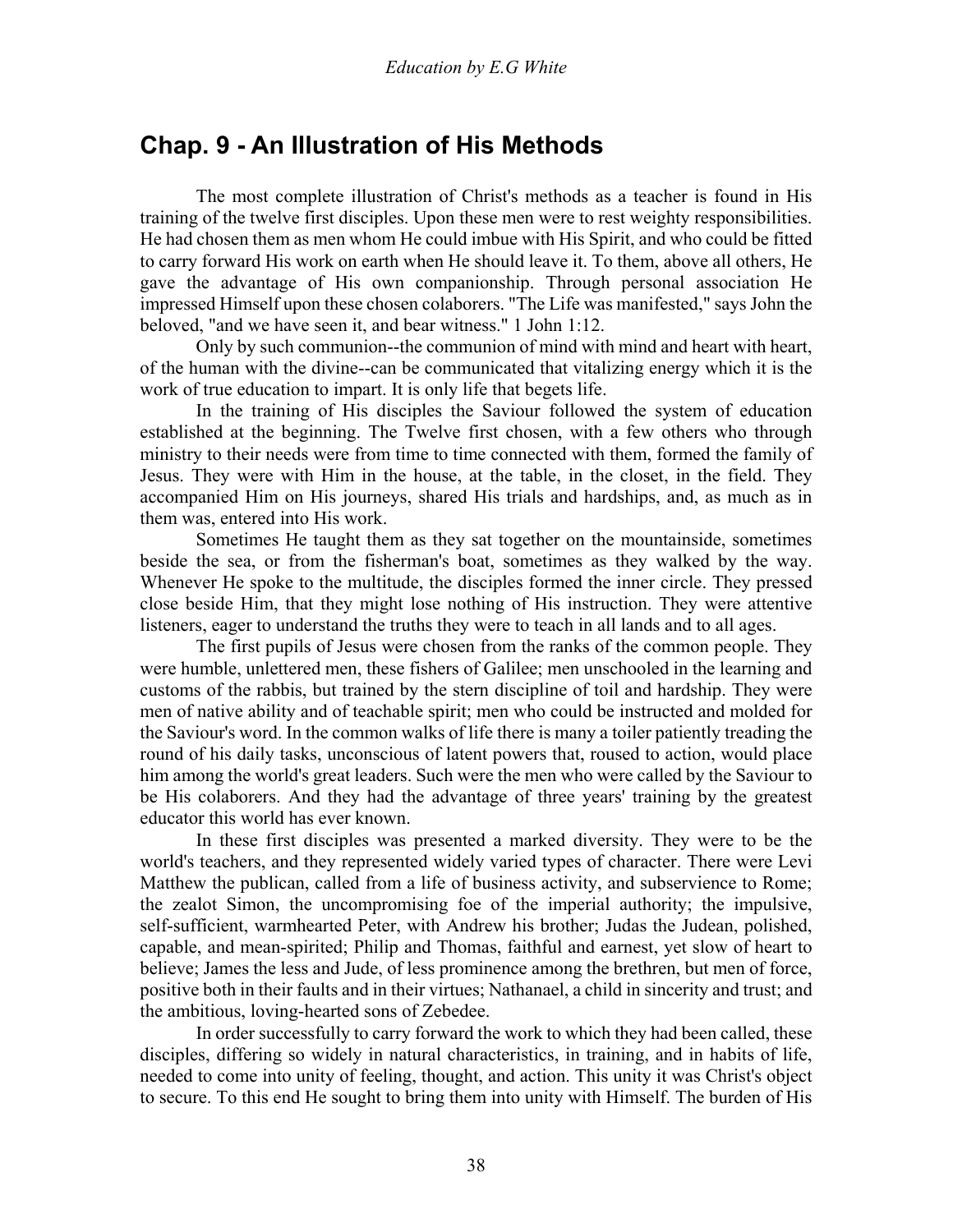# **Chap. 9 - An Illustration of His Methods**

 The most complete illustration of Christ's methods as a teacher is found in His training of the twelve first disciples. Upon these men were to rest weighty responsibilities. He had chosen them as men whom He could imbue with His Spirit, and who could be fitted to carry forward His work on earth when He should leave it. To them, above all others, He gave the advantage of His own companionship. Through personal association He impressed Himself upon these chosen colaborers. "The Life was manifested," says John the beloved, "and we have seen it, and bear witness." 1 John 1:12.

 Only by such communion--the communion of mind with mind and heart with heart, of the human with the divine--can be communicated that vitalizing energy which it is the work of true education to impart. It is only life that begets life.

 In the training of His disciples the Saviour followed the system of education established at the beginning. The Twelve first chosen, with a few others who through ministry to their needs were from time to time connected with them, formed the family of Jesus. They were with Him in the house, at the table, in the closet, in the field. They accompanied Him on His journeys, shared His trials and hardships, and, as much as in them was, entered into His work.

 Sometimes He taught them as they sat together on the mountainside, sometimes beside the sea, or from the fisherman's boat, sometimes as they walked by the way. Whenever He spoke to the multitude, the disciples formed the inner circle. They pressed close beside Him, that they might lose nothing of His instruction. They were attentive listeners, eager to understand the truths they were to teach in all lands and to all ages.

 The first pupils of Jesus were chosen from the ranks of the common people. They were humble, unlettered men, these fishers of Galilee; men unschooled in the learning and customs of the rabbis, but trained by the stern discipline of toil and hardship. They were men of native ability and of teachable spirit; men who could be instructed and molded for the Saviour's word. In the common walks of life there is many a toiler patiently treading the round of his daily tasks, unconscious of latent powers that, roused to action, would place him among the world's great leaders. Such were the men who were called by the Saviour to be His colaborers. And they had the advantage of three years' training by the greatest educator this world has ever known.

 In these first disciples was presented a marked diversity. They were to be the world's teachers, and they represented widely varied types of character. There were Levi Matthew the publican, called from a life of business activity, and subservience to Rome; the zealot Simon, the uncompromising foe of the imperial authority; the impulsive, self-sufficient, warmhearted Peter, with Andrew his brother; Judas the Judean, polished, capable, and mean-spirited; Philip and Thomas, faithful and earnest, yet slow of heart to believe; James the less and Jude, of less prominence among the brethren, but men of force, positive both in their faults and in their virtues; Nathanael, a child in sincerity and trust; and the ambitious, loving-hearted sons of Zebedee.

 In order successfully to carry forward the work to which they had been called, these disciples, differing so widely in natural characteristics, in training, and in habits of life, needed to come into unity of feeling, thought, and action. This unity it was Christ's object to secure. To this end He sought to bring them into unity with Himself. The burden of His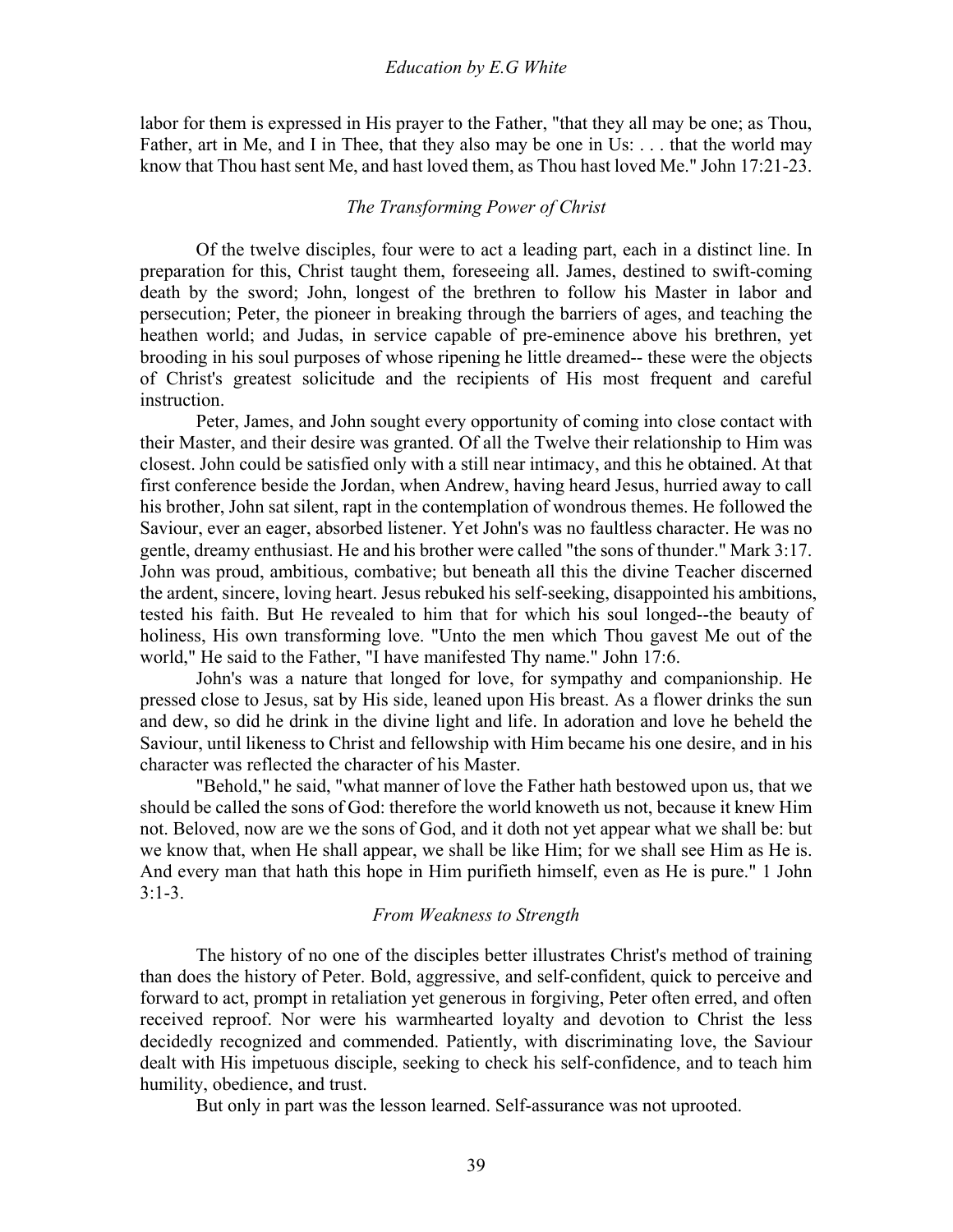labor for them is expressed in His prayer to the Father, "that they all may be one; as Thou, Father, art in Me, and I in Thee, that they also may be one in Us: . . . that the world may know that Thou hast sent Me, and hast loved them, as Thou hast loved Me." John 17:21-23.

## *The Transforming Power of Christ*

Of the twelve disciples, four were to act a leading part, each in a distinct line. In preparation for this, Christ taught them, foreseeing all. James, destined to swift-coming death by the sword; John, longest of the brethren to follow his Master in labor and persecution; Peter, the pioneer in breaking through the barriers of ages, and teaching the heathen world; and Judas, in service capable of pre-eminence above his brethren, yet brooding in his soul purposes of whose ripening he little dreamed-- these were the objects of Christ's greatest solicitude and the recipients of His most frequent and careful instruction.

 Peter, James, and John sought every opportunity of coming into close contact with their Master, and their desire was granted. Of all the Twelve their relationship to Him was closest. John could be satisfied only with a still near intimacy, and this he obtained. At that first conference beside the Jordan, when Andrew, having heard Jesus, hurried away to call his brother, John sat silent, rapt in the contemplation of wondrous themes. He followed the Saviour, ever an eager, absorbed listener. Yet John's was no faultless character. He was no gentle, dreamy enthusiast. He and his brother were called "the sons of thunder." Mark 3:17. John was proud, ambitious, combative; but beneath all this the divine Teacher discerned the ardent, sincere, loving heart. Jesus rebuked his self-seeking, disappointed his ambitions, tested his faith. But He revealed to him that for which his soul longed--the beauty of holiness, His own transforming love. "Unto the men which Thou gavest Me out of the world," He said to the Father, "I have manifested Thy name." John 17:6.

 John's was a nature that longed for love, for sympathy and companionship. He pressed close to Jesus, sat by His side, leaned upon His breast. As a flower drinks the sun and dew, so did he drink in the divine light and life. In adoration and love he beheld the Saviour, until likeness to Christ and fellowship with Him became his one desire, and in his character was reflected the character of his Master.

 "Behold," he said, "what manner of love the Father hath bestowed upon us, that we should be called the sons of God: therefore the world knoweth us not, because it knew Him not. Beloved, now are we the sons of God, and it doth not yet appear what we shall be: but we know that, when He shall appear, we shall be like Him; for we shall see Him as He is. And every man that hath this hope in Him purifieth himself, even as He is pure." 1 John  $3:1-3$ .

## *From Weakness to Strength*

The history of no one of the disciples better illustrates Christ's method of training than does the history of Peter. Bold, aggressive, and self-confident, quick to perceive and forward to act, prompt in retaliation yet generous in forgiving, Peter often erred, and often received reproof. Nor were his warmhearted loyalty and devotion to Christ the less decidedly recognized and commended. Patiently, with discriminating love, the Saviour dealt with His impetuous disciple, seeking to check his self-confidence, and to teach him humility, obedience, and trust.

But only in part was the lesson learned. Self-assurance was not uprooted.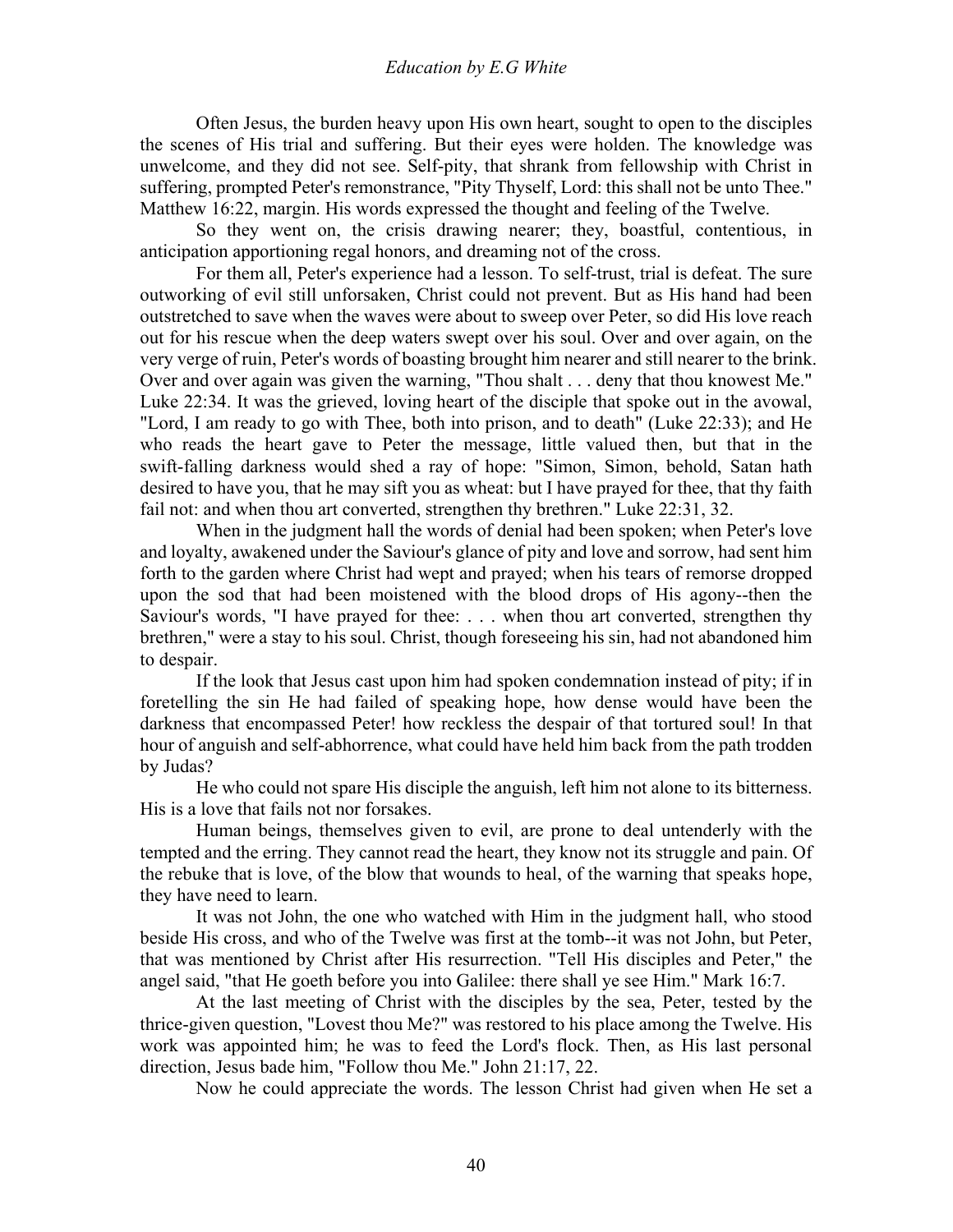Often Jesus, the burden heavy upon His own heart, sought to open to the disciples the scenes of His trial and suffering. But their eyes were holden. The knowledge was unwelcome, and they did not see. Self-pity, that shrank from fellowship with Christ in suffering, prompted Peter's remonstrance, "Pity Thyself, Lord: this shall not be unto Thee." Matthew 16:22, margin. His words expressed the thought and feeling of the Twelve.

 So they went on, the crisis drawing nearer; they, boastful, contentious, in anticipation apportioning regal honors, and dreaming not of the cross.

 For them all, Peter's experience had a lesson. To self-trust, trial is defeat. The sure outworking of evil still unforsaken, Christ could not prevent. But as His hand had been outstretched to save when the waves were about to sweep over Peter, so did His love reach out for his rescue when the deep waters swept over his soul. Over and over again, on the very verge of ruin, Peter's words of boasting brought him nearer and still nearer to the brink. Over and over again was given the warning, "Thou shalt . . . deny that thou knowest Me." Luke 22:34. It was the grieved, loving heart of the disciple that spoke out in the avowal, "Lord, I am ready to go with Thee, both into prison, and to death" (Luke 22:33); and He who reads the heart gave to Peter the message, little valued then, but that in the swift-falling darkness would shed a ray of hope: "Simon, Simon, behold, Satan hath desired to have you, that he may sift you as wheat: but I have prayed for thee, that thy faith fail not: and when thou art converted, strengthen thy brethren." Luke 22:31, 32.

 When in the judgment hall the words of denial had been spoken; when Peter's love and loyalty, awakened under the Saviour's glance of pity and love and sorrow, had sent him forth to the garden where Christ had wept and prayed; when his tears of remorse dropped upon the sod that had been moistened with the blood drops of His agony--then the Saviour's words, "I have prayed for thee: . . . when thou art converted, strengthen thy brethren," were a stay to his soul. Christ, though foreseeing his sin, had not abandoned him to despair.

 If the look that Jesus cast upon him had spoken condemnation instead of pity; if in foretelling the sin He had failed of speaking hope, how dense would have been the darkness that encompassed Peter! how reckless the despair of that tortured soul! In that hour of anguish and self-abhorrence, what could have held him back from the path trodden by Judas?

 He who could not spare His disciple the anguish, left him not alone to its bitterness. His is a love that fails not nor forsakes.

 Human beings, themselves given to evil, are prone to deal untenderly with the tempted and the erring. They cannot read the heart, they know not its struggle and pain. Of the rebuke that is love, of the blow that wounds to heal, of the warning that speaks hope, they have need to learn.

 It was not John, the one who watched with Him in the judgment hall, who stood beside His cross, and who of the Twelve was first at the tomb--it was not John, but Peter, that was mentioned by Christ after His resurrection. "Tell His disciples and Peter," the angel said, "that He goeth before you into Galilee: there shall ye see Him." Mark 16:7.

 At the last meeting of Christ with the disciples by the sea, Peter, tested by the thrice-given question, "Lovest thou Me?" was restored to his place among the Twelve. His work was appointed him; he was to feed the Lord's flock. Then, as His last personal direction, Jesus bade him, "Follow thou Me." John 21:17, 22.

Now he could appreciate the words. The lesson Christ had given when He set a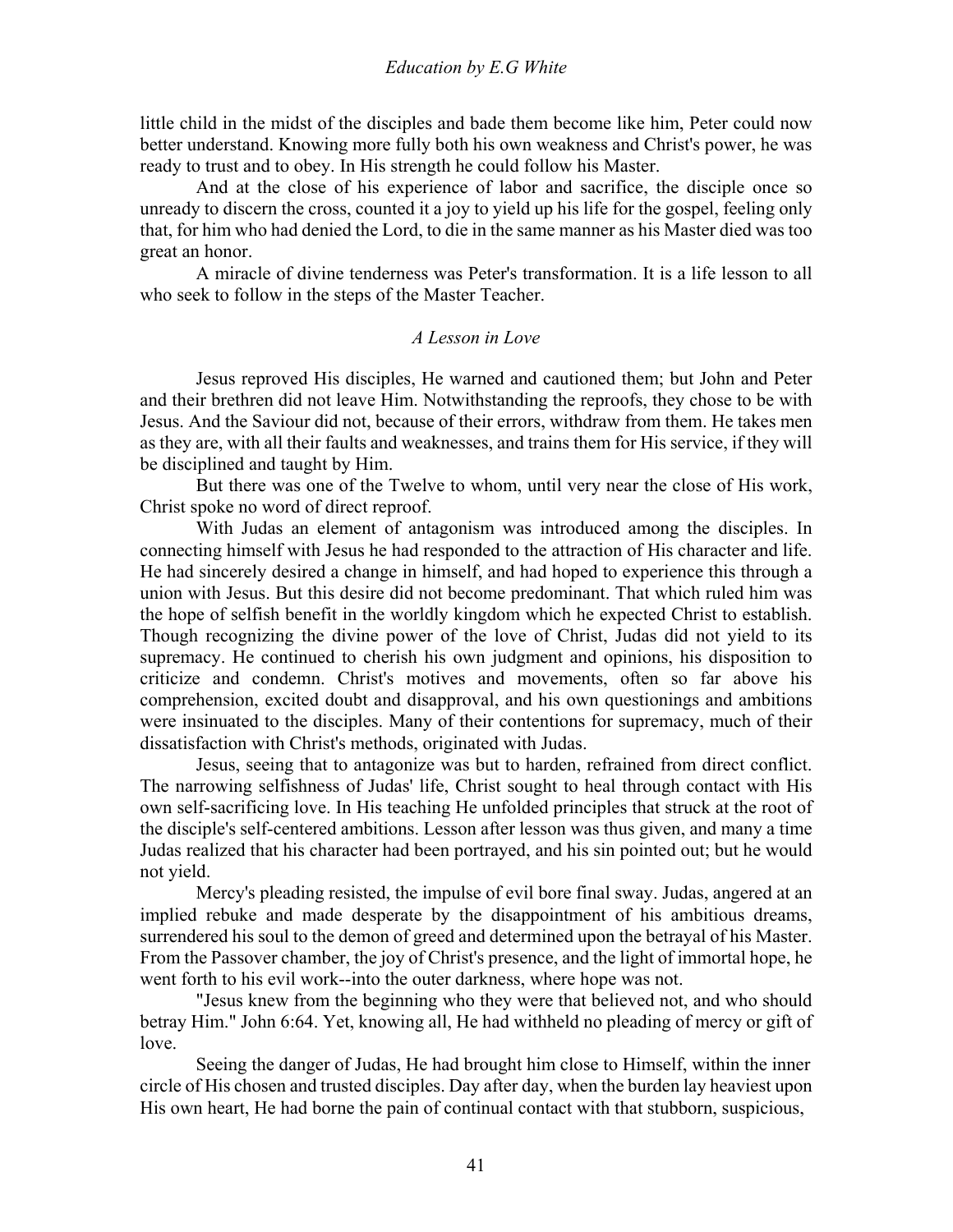little child in the midst of the disciples and bade them become like him, Peter could now better understand. Knowing more fully both his own weakness and Christ's power, he was ready to trust and to obey. In His strength he could follow his Master.

 And at the close of his experience of labor and sacrifice, the disciple once so unready to discern the cross, counted it a joy to yield up his life for the gospel, feeling only that, for him who had denied the Lord, to die in the same manner as his Master died was too great an honor.

 A miracle of divine tenderness was Peter's transformation. It is a life lesson to all who seek to follow in the steps of the Master Teacher.

### *A Lesson in Love*

Jesus reproved His disciples, He warned and cautioned them; but John and Peter and their brethren did not leave Him. Notwithstanding the reproofs, they chose to be with Jesus. And the Saviour did not, because of their errors, withdraw from them. He takes men as they are, with all their faults and weaknesses, and trains them for His service, if they will be disciplined and taught by Him.

 But there was one of the Twelve to whom, until very near the close of His work, Christ spoke no word of direct reproof.

 With Judas an element of antagonism was introduced among the disciples. In connecting himself with Jesus he had responded to the attraction of His character and life. He had sincerely desired a change in himself, and had hoped to experience this through a union with Jesus. But this desire did not become predominant. That which ruled him was the hope of selfish benefit in the worldly kingdom which he expected Christ to establish. Though recognizing the divine power of the love of Christ, Judas did not yield to its supremacy. He continued to cherish his own judgment and opinions, his disposition to criticize and condemn. Christ's motives and movements, often so far above his comprehension, excited doubt and disapproval, and his own questionings and ambitions were insinuated to the disciples. Many of their contentions for supremacy, much of their dissatisfaction with Christ's methods, originated with Judas.

 Jesus, seeing that to antagonize was but to harden, refrained from direct conflict. The narrowing selfishness of Judas' life, Christ sought to heal through contact with His own self-sacrificing love. In His teaching He unfolded principles that struck at the root of the disciple's self-centered ambitions. Lesson after lesson was thus given, and many a time Judas realized that his character had been portrayed, and his sin pointed out; but he would not yield.

 Mercy's pleading resisted, the impulse of evil bore final sway. Judas, angered at an implied rebuke and made desperate by the disappointment of his ambitious dreams, surrendered his soul to the demon of greed and determined upon the betrayal of his Master. From the Passover chamber, the joy of Christ's presence, and the light of immortal hope, he went forth to his evil work--into the outer darkness, where hope was not.

 "Jesus knew from the beginning who they were that believed not, and who should betray Him." John 6:64. Yet, knowing all, He had withheld no pleading of mercy or gift of love.

 Seeing the danger of Judas, He had brought him close to Himself, within the inner circle of His chosen and trusted disciples. Day after day, when the burden lay heaviest upon His own heart, He had borne the pain of continual contact with that stubborn, suspicious,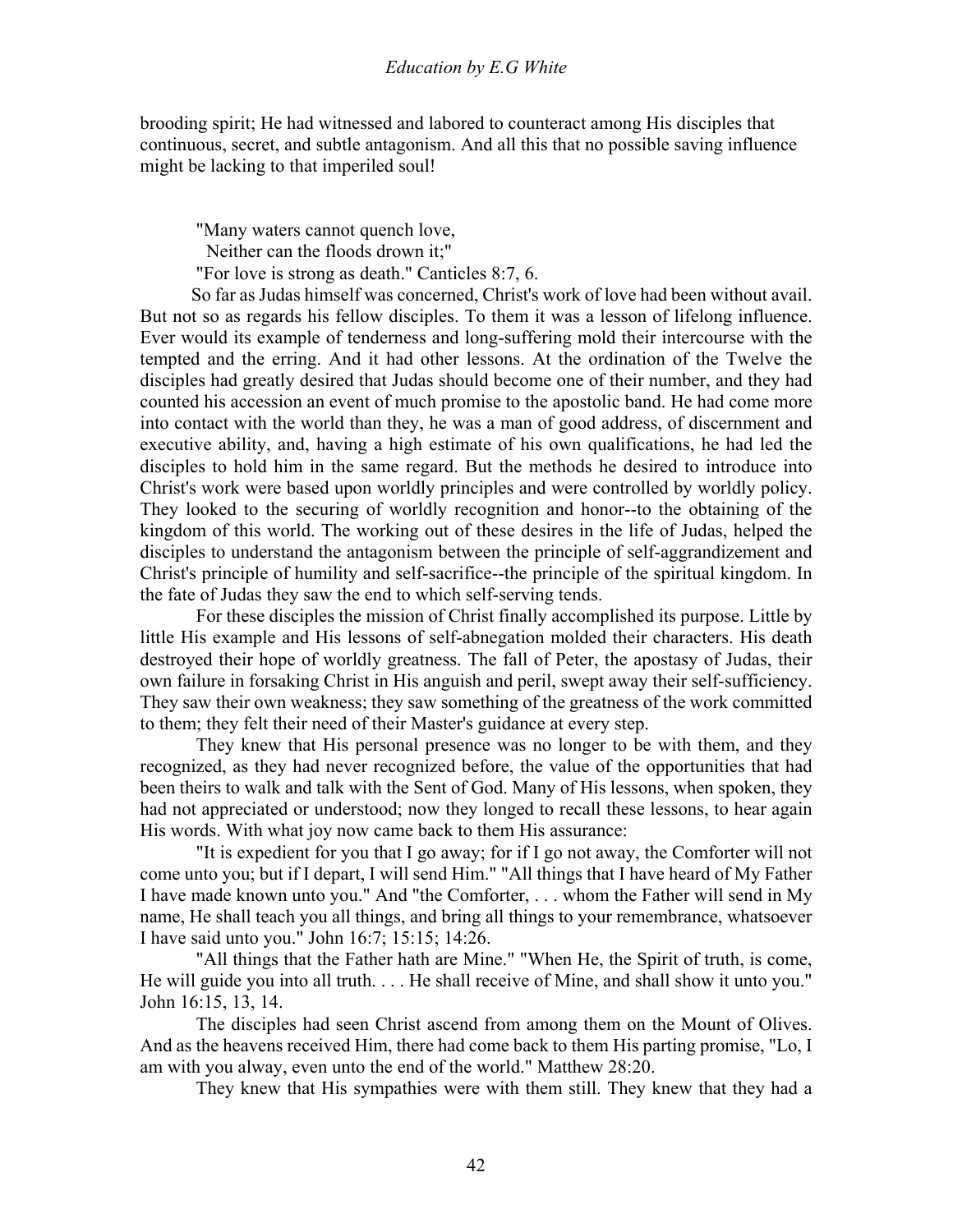brooding spirit; He had witnessed and labored to counteract among His disciples that continuous, secret, and subtle antagonism. And all this that no possible saving influence might be lacking to that imperiled soul!

"Many waters cannot quench love,

Neither can the floods drown it;"

"For love is strong as death." Canticles 8:7, 6.

 So far as Judas himself was concerned, Christ's work of love had been without avail. But not so as regards his fellow disciples. To them it was a lesson of lifelong influence. Ever would its example of tenderness and long-suffering mold their intercourse with the tempted and the erring. And it had other lessons. At the ordination of the Twelve the disciples had greatly desired that Judas should become one of their number, and they had counted his accession an event of much promise to the apostolic band. He had come more into contact with the world than they, he was a man of good address, of discernment and executive ability, and, having a high estimate of his own qualifications, he had led the disciples to hold him in the same regard. But the methods he desired to introduce into Christ's work were based upon worldly principles and were controlled by worldly policy. They looked to the securing of worldly recognition and honor--to the obtaining of the kingdom of this world. The working out of these desires in the life of Judas, helped the disciples to understand the antagonism between the principle of self-aggrandizement and Christ's principle of humility and self-sacrifice--the principle of the spiritual kingdom. In the fate of Judas they saw the end to which self-serving tends.

 For these disciples the mission of Christ finally accomplished its purpose. Little by little His example and His lessons of self-abnegation molded their characters. His death destroyed their hope of worldly greatness. The fall of Peter, the apostasy of Judas, their own failure in forsaking Christ in His anguish and peril, swept away their self-sufficiency. They saw their own weakness; they saw something of the greatness of the work committed to them; they felt their need of their Master's guidance at every step.

 They knew that His personal presence was no longer to be with them, and they recognized, as they had never recognized before, the value of the opportunities that had been theirs to walk and talk with the Sent of God. Many of His lessons, when spoken, they had not appreciated or understood; now they longed to recall these lessons, to hear again His words. With what joy now came back to them His assurance:

 "It is expedient for you that I go away; for if I go not away, the Comforter will not come unto you; but if I depart, I will send Him." "All things that I have heard of My Father I have made known unto you." And "the Comforter, . . . whom the Father will send in My name, He shall teach you all things, and bring all things to your remembrance, whatsoever I have said unto you." John 16:7; 15:15; 14:26.

 "All things that the Father hath are Mine." "When He, the Spirit of truth, is come, He will guide you into all truth. . . . He shall receive of Mine, and shall show it unto you." John 16:15, 13, 14.

 The disciples had seen Christ ascend from among them on the Mount of Olives. And as the heavens received Him, there had come back to them His parting promise, "Lo, I am with you alway, even unto the end of the world." Matthew 28:20.

They knew that His sympathies were with them still. They knew that they had a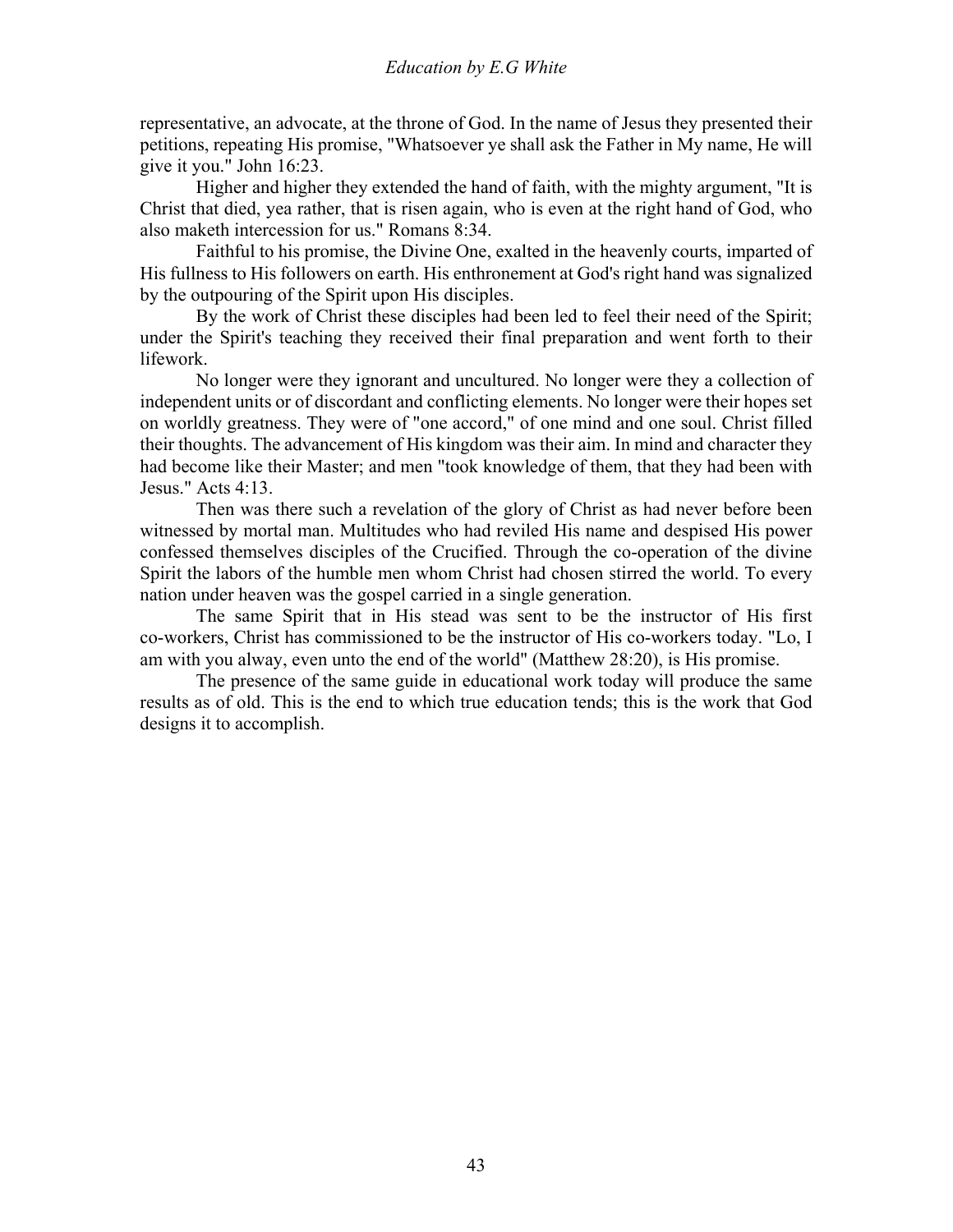representative, an advocate, at the throne of God. In the name of Jesus they presented their petitions, repeating His promise, "Whatsoever ye shall ask the Father in My name, He will give it you." John 16:23.

 Higher and higher they extended the hand of faith, with the mighty argument, "It is Christ that died, yea rather, that is risen again, who is even at the right hand of God, who also maketh intercession for us." Romans 8:34.

 Faithful to his promise, the Divine One, exalted in the heavenly courts, imparted of His fullness to His followers on earth. His enthronement at God's right hand was signalized by the outpouring of the Spirit upon His disciples.

 By the work of Christ these disciples had been led to feel their need of the Spirit; under the Spirit's teaching they received their final preparation and went forth to their lifework.

 No longer were they ignorant and uncultured. No longer were they a collection of independent units or of discordant and conflicting elements. No longer were their hopes set on worldly greatness. They were of "one accord," of one mind and one soul. Christ filled their thoughts. The advancement of His kingdom was their aim. In mind and character they had become like their Master; and men "took knowledge of them, that they had been with Jesus." Acts 4:13.

 Then was there such a revelation of the glory of Christ as had never before been witnessed by mortal man. Multitudes who had reviled His name and despised His power confessed themselves disciples of the Crucified. Through the co-operation of the divine Spirit the labors of the humble men whom Christ had chosen stirred the world. To every nation under heaven was the gospel carried in a single generation.

 The same Spirit that in His stead was sent to be the instructor of His first co-workers, Christ has commissioned to be the instructor of His co-workers today. "Lo, I am with you alway, even unto the end of the world" (Matthew 28:20), is His promise.

 The presence of the same guide in educational work today will produce the same results as of old. This is the end to which true education tends; this is the work that God designs it to accomplish.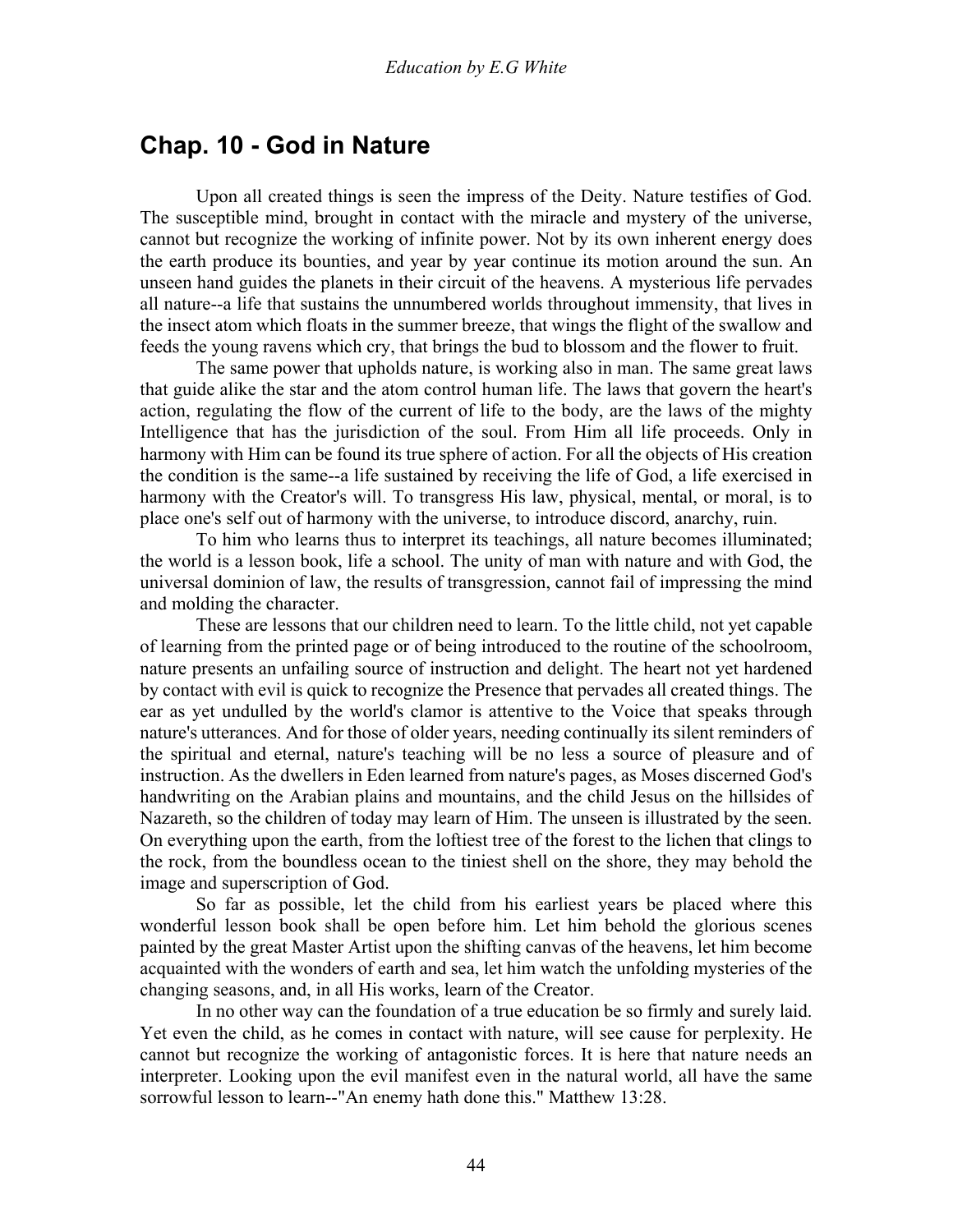# **Chap. 10 - God in Nature**

 Upon all created things is seen the impress of the Deity. Nature testifies of God. The susceptible mind, brought in contact with the miracle and mystery of the universe, cannot but recognize the working of infinite power. Not by its own inherent energy does the earth produce its bounties, and year by year continue its motion around the sun. An unseen hand guides the planets in their circuit of the heavens. A mysterious life pervades all nature--a life that sustains the unnumbered worlds throughout immensity, that lives in the insect atom which floats in the summer breeze, that wings the flight of the swallow and feeds the young ravens which cry, that brings the bud to blossom and the flower to fruit.

 The same power that upholds nature, is working also in man. The same great laws that guide alike the star and the atom control human life. The laws that govern the heart's action, regulating the flow of the current of life to the body, are the laws of the mighty Intelligence that has the jurisdiction of the soul. From Him all life proceeds. Only in harmony with Him can be found its true sphere of action. For all the objects of His creation the condition is the same--a life sustained by receiving the life of God, a life exercised in harmony with the Creator's will. To transgress His law, physical, mental, or moral, is to place one's self out of harmony with the universe, to introduce discord, anarchy, ruin.

 To him who learns thus to interpret its teachings, all nature becomes illuminated; the world is a lesson book, life a school. The unity of man with nature and with God, the universal dominion of law, the results of transgression, cannot fail of impressing the mind and molding the character.

 These are lessons that our children need to learn. To the little child, not yet capable of learning from the printed page or of being introduced to the routine of the schoolroom, nature presents an unfailing source of instruction and delight. The heart not yet hardened by contact with evil is quick to recognize the Presence that pervades all created things. The ear as yet undulled by the world's clamor is attentive to the Voice that speaks through nature's utterances. And for those of older years, needing continually its silent reminders of the spiritual and eternal, nature's teaching will be no less a source of pleasure and of instruction. As the dwellers in Eden learned from nature's pages, as Moses discerned God's handwriting on the Arabian plains and mountains, and the child Jesus on the hillsides of Nazareth, so the children of today may learn of Him. The unseen is illustrated by the seen. On everything upon the earth, from the loftiest tree of the forest to the lichen that clings to the rock, from the boundless ocean to the tiniest shell on the shore, they may behold the image and superscription of God.

 So far as possible, let the child from his earliest years be placed where this wonderful lesson book shall be open before him. Let him behold the glorious scenes painted by the great Master Artist upon the shifting canvas of the heavens, let him become acquainted with the wonders of earth and sea, let him watch the unfolding mysteries of the changing seasons, and, in all His works, learn of the Creator.

 In no other way can the foundation of a true education be so firmly and surely laid. Yet even the child, as he comes in contact with nature, will see cause for perplexity. He cannot but recognize the working of antagonistic forces. It is here that nature needs an interpreter. Looking upon the evil manifest even in the natural world, all have the same sorrowful lesson to learn--"An enemy hath done this." Matthew 13:28.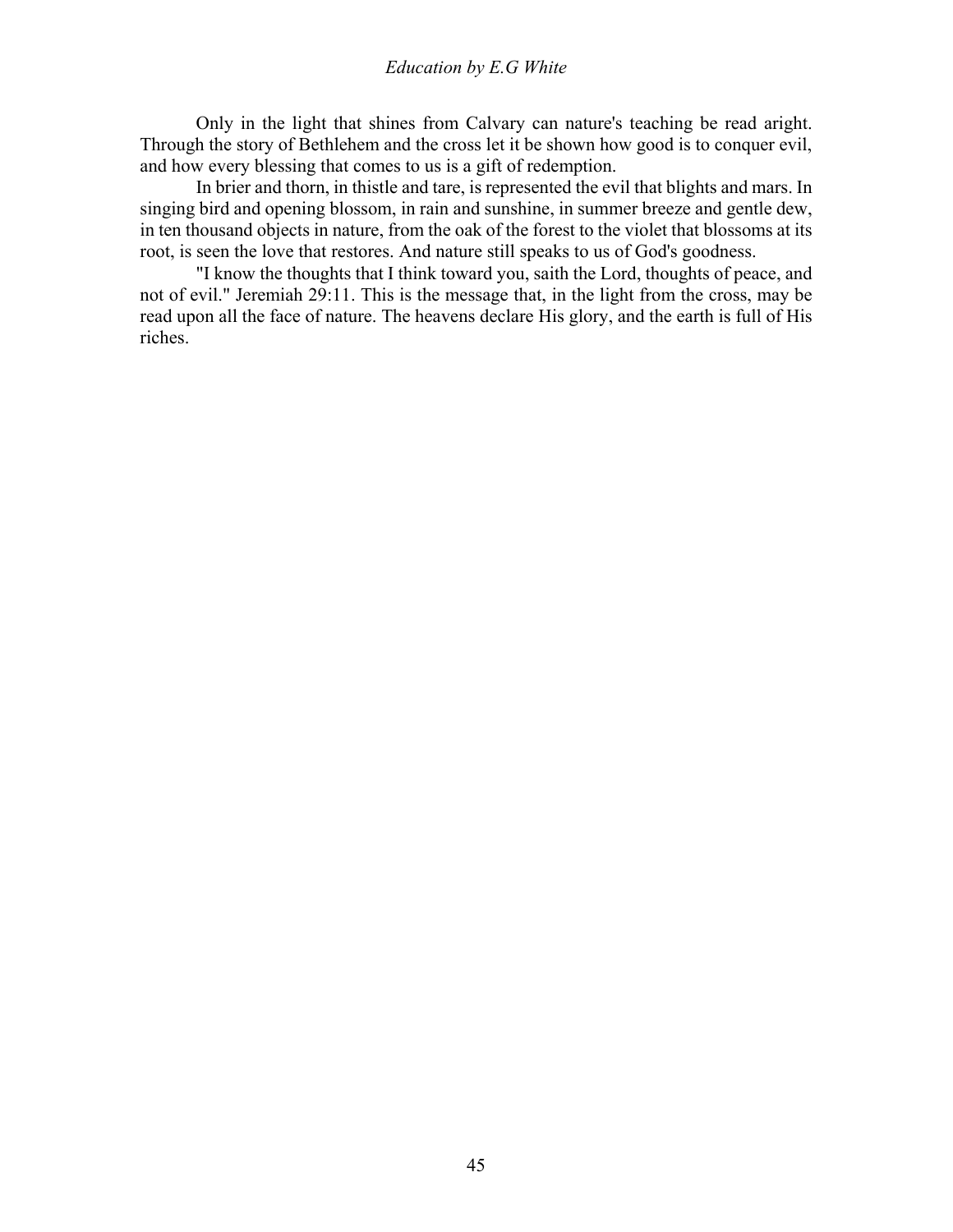Only in the light that shines from Calvary can nature's teaching be read aright. Through the story of Bethlehem and the cross let it be shown how good is to conquer evil, and how every blessing that comes to us is a gift of redemption.

 In brier and thorn, in thistle and tare, is represented the evil that blights and mars. In singing bird and opening blossom, in rain and sunshine, in summer breeze and gentle dew, in ten thousand objects in nature, from the oak of the forest to the violet that blossoms at its root, is seen the love that restores. And nature still speaks to us of God's goodness.

 "I know the thoughts that I think toward you, saith the Lord, thoughts of peace, and not of evil." Jeremiah 29:11. This is the message that, in the light from the cross, may be read upon all the face of nature. The heavens declare His glory, and the earth is full of His riches.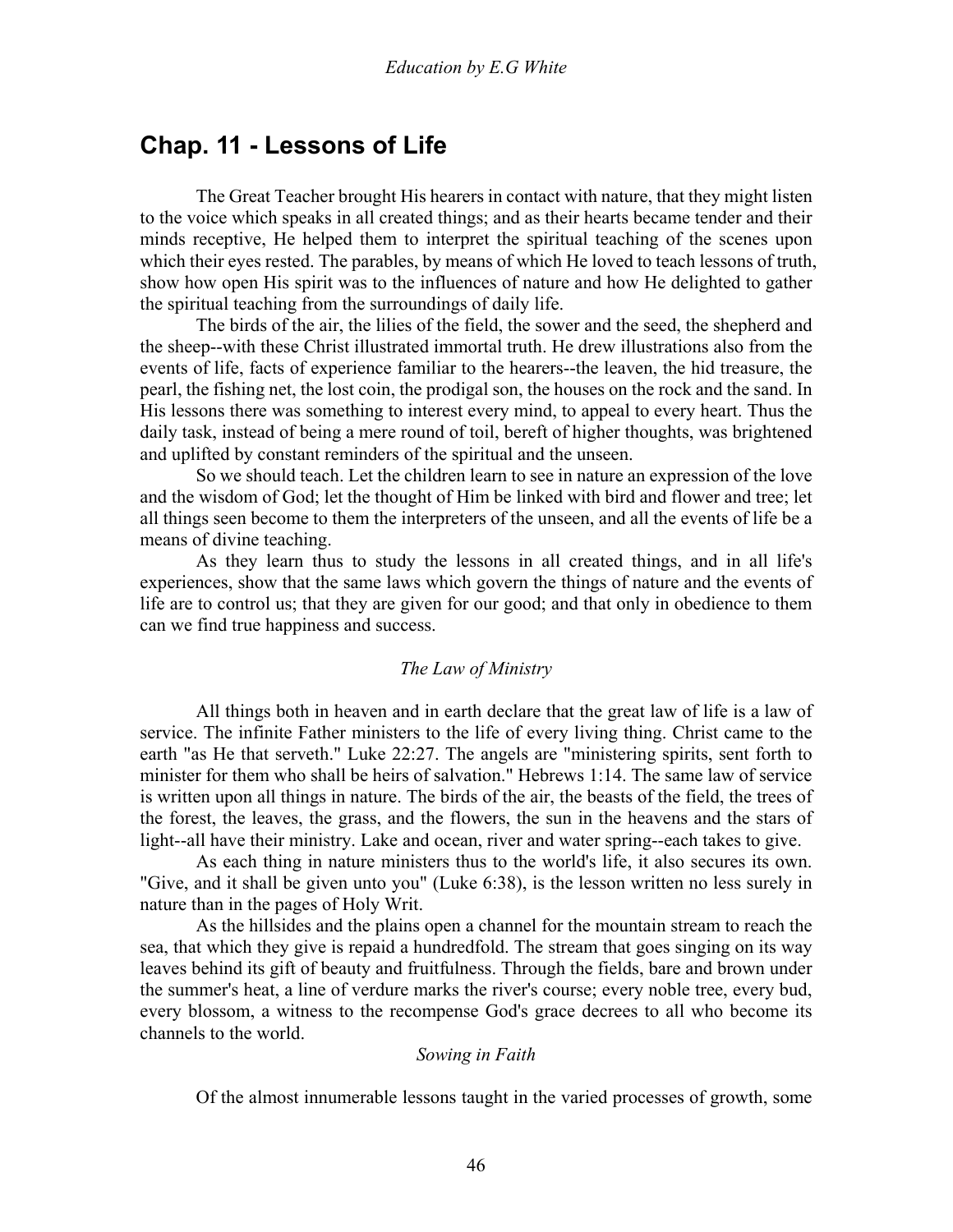# **Chap. 11 - Lessons of Life**

 The Great Teacher brought His hearers in contact with nature, that they might listen to the voice which speaks in all created things; and as their hearts became tender and their minds receptive, He helped them to interpret the spiritual teaching of the scenes upon which their eyes rested. The parables, by means of which He loved to teach lessons of truth, show how open His spirit was to the influences of nature and how He delighted to gather the spiritual teaching from the surroundings of daily life.

 The birds of the air, the lilies of the field, the sower and the seed, the shepherd and the sheep--with these Christ illustrated immortal truth. He drew illustrations also from the events of life, facts of experience familiar to the hearers--the leaven, the hid treasure, the pearl, the fishing net, the lost coin, the prodigal son, the houses on the rock and the sand. In His lessons there was something to interest every mind, to appeal to every heart. Thus the daily task, instead of being a mere round of toil, bereft of higher thoughts, was brightened and uplifted by constant reminders of the spiritual and the unseen.

 So we should teach. Let the children learn to see in nature an expression of the love and the wisdom of God; let the thought of Him be linked with bird and flower and tree; let all things seen become to them the interpreters of the unseen, and all the events of life be a means of divine teaching.

 As they learn thus to study the lessons in all created things, and in all life's experiences, show that the same laws which govern the things of nature and the events of life are to control us; that they are given for our good; and that only in obedience to them can we find true happiness and success.

## *The Law of Ministry*

All things both in heaven and in earth declare that the great law of life is a law of service. The infinite Father ministers to the life of every living thing. Christ came to the earth "as He that serveth." Luke 22:27. The angels are "ministering spirits, sent forth to minister for them who shall be heirs of salvation." Hebrews 1:14. The same law of service is written upon all things in nature. The birds of the air, the beasts of the field, the trees of the forest, the leaves, the grass, and the flowers, the sun in the heavens and the stars of light--all have their ministry. Lake and ocean, river and water spring--each takes to give.

 As each thing in nature ministers thus to the world's life, it also secures its own. "Give, and it shall be given unto you" (Luke 6:38), is the lesson written no less surely in nature than in the pages of Holy Writ.

 As the hillsides and the plains open a channel for the mountain stream to reach the sea, that which they give is repaid a hundredfold. The stream that goes singing on its way leaves behind its gift of beauty and fruitfulness. Through the fields, bare and brown under the summer's heat, a line of verdure marks the river's course; every noble tree, every bud, every blossom, a witness to the recompense God's grace decrees to all who become its channels to the world.

#### *Sowing in Faith*

Of the almost innumerable lessons taught in the varied processes of growth, some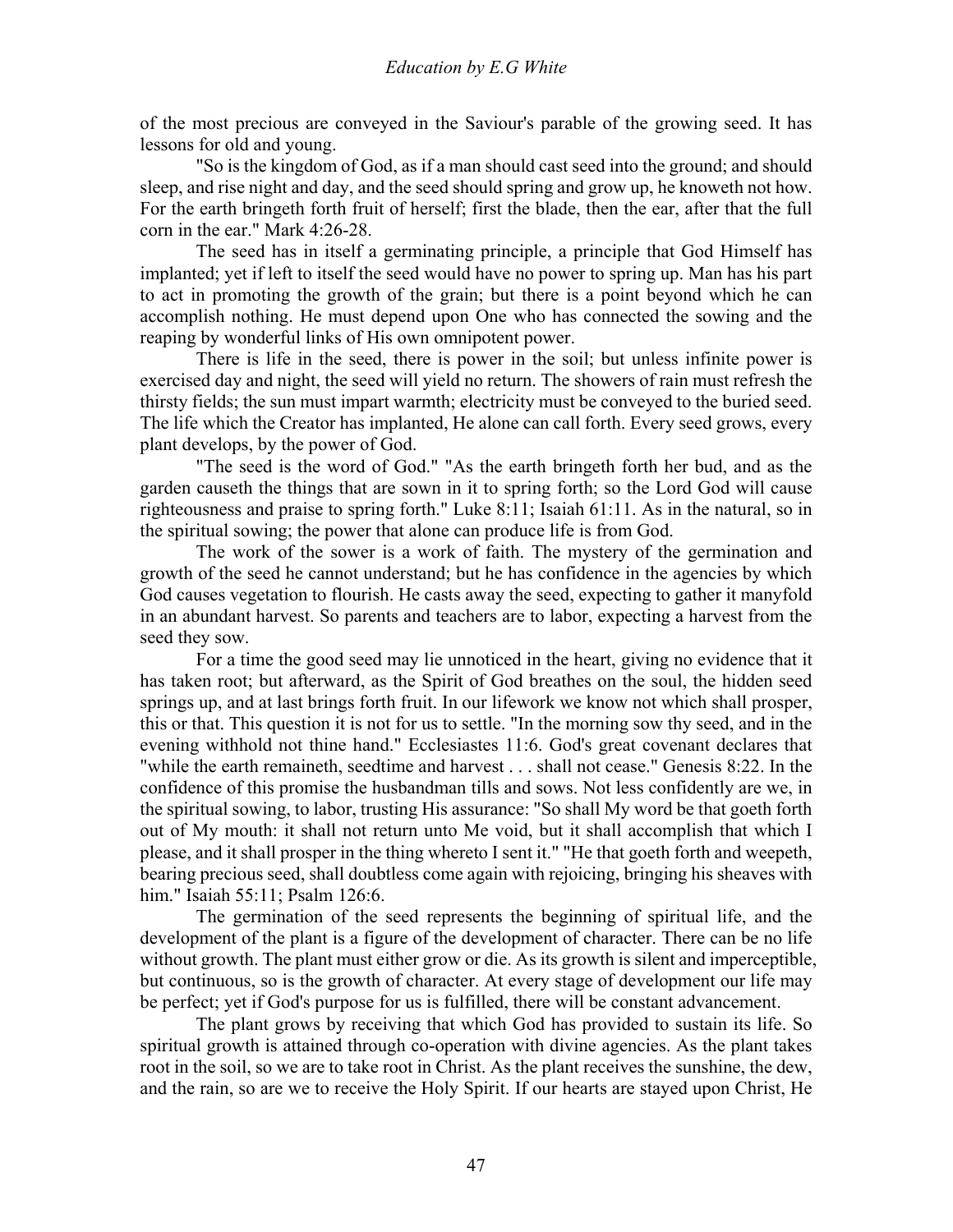of the most precious are conveyed in the Saviour's parable of the growing seed. It has lessons for old and young.

 "So is the kingdom of God, as if a man should cast seed into the ground; and should sleep, and rise night and day, and the seed should spring and grow up, he knoweth not how. For the earth bringeth forth fruit of herself; first the blade, then the ear, after that the full corn in the ear." Mark 4:26-28.

 The seed has in itself a germinating principle, a principle that God Himself has implanted; yet if left to itself the seed would have no power to spring up. Man has his part to act in promoting the growth of the grain; but there is a point beyond which he can accomplish nothing. He must depend upon One who has connected the sowing and the reaping by wonderful links of His own omnipotent power.

 There is life in the seed, there is power in the soil; but unless infinite power is exercised day and night, the seed will yield no return. The showers of rain must refresh the thirsty fields; the sun must impart warmth; electricity must be conveyed to the buried seed. The life which the Creator has implanted, He alone can call forth. Every seed grows, every plant develops, by the power of God.

 "The seed is the word of God." "As the earth bringeth forth her bud, and as the garden causeth the things that are sown in it to spring forth; so the Lord God will cause righteousness and praise to spring forth." Luke 8:11; Isaiah 61:11. As in the natural, so in the spiritual sowing; the power that alone can produce life is from God.

 The work of the sower is a work of faith. The mystery of the germination and growth of the seed he cannot understand; but he has confidence in the agencies by which God causes vegetation to flourish. He casts away the seed, expecting to gather it manyfold in an abundant harvest. So parents and teachers are to labor, expecting a harvest from the seed they sow.

 For a time the good seed may lie unnoticed in the heart, giving no evidence that it has taken root; but afterward, as the Spirit of God breathes on the soul, the hidden seed springs up, and at last brings forth fruit. In our lifework we know not which shall prosper, this or that. This question it is not for us to settle. "In the morning sow thy seed, and in the evening withhold not thine hand." Ecclesiastes 11:6. God's great covenant declares that "while the earth remaineth, seedtime and harvest . . . shall not cease." Genesis 8:22. In the confidence of this promise the husbandman tills and sows. Not less confidently are we, in the spiritual sowing, to labor, trusting His assurance: "So shall My word be that goeth forth out of My mouth: it shall not return unto Me void, but it shall accomplish that which I please, and it shall prosper in the thing whereto I sent it." "He that goeth forth and weepeth, bearing precious seed, shall doubtless come again with rejoicing, bringing his sheaves with him." Isaiah 55:11; Psalm 126:6.

 The germination of the seed represents the beginning of spiritual life, and the development of the plant is a figure of the development of character. There can be no life without growth. The plant must either grow or die. As its growth is silent and imperceptible, but continuous, so is the growth of character. At every stage of development our life may be perfect; yet if God's purpose for us is fulfilled, there will be constant advancement.

 The plant grows by receiving that which God has provided to sustain its life. So spiritual growth is attained through co-operation with divine agencies. As the plant takes root in the soil, so we are to take root in Christ. As the plant receives the sunshine, the dew, and the rain, so are we to receive the Holy Spirit. If our hearts are stayed upon Christ, He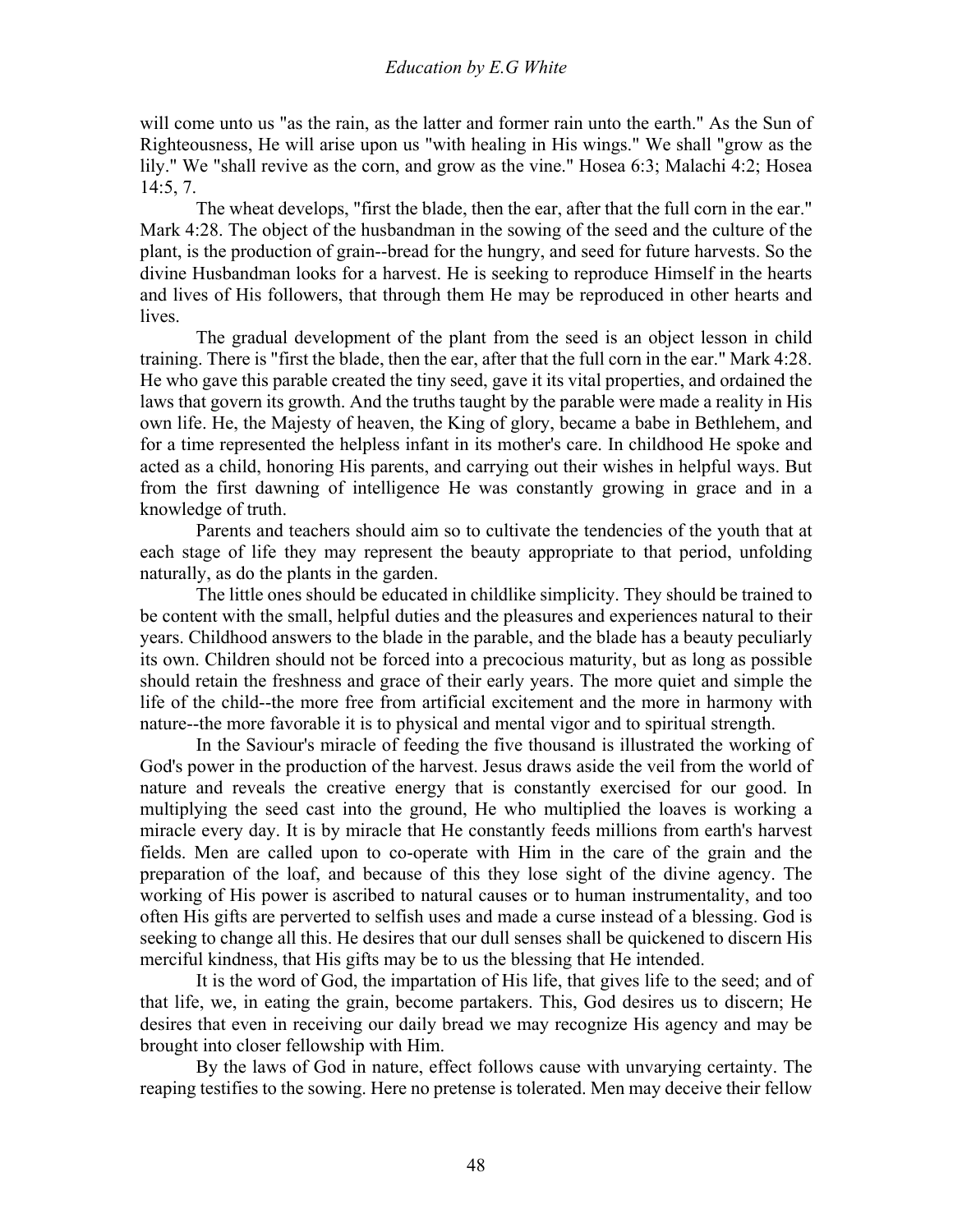will come unto us "as the rain, as the latter and former rain unto the earth." As the Sun of Righteousness, He will arise upon us "with healing in His wings." We shall "grow as the lily." We "shall revive as the corn, and grow as the vine." Hosea 6:3; Malachi 4:2; Hosea 14:5, 7.

 The wheat develops, "first the blade, then the ear, after that the full corn in the ear." Mark 4:28. The object of the husbandman in the sowing of the seed and the culture of the plant, is the production of grain--bread for the hungry, and seed for future harvests. So the divine Husbandman looks for a harvest. He is seeking to reproduce Himself in the hearts and lives of His followers, that through them He may be reproduced in other hearts and lives.

 The gradual development of the plant from the seed is an object lesson in child training. There is "first the blade, then the ear, after that the full corn in the ear." Mark 4:28. He who gave this parable created the tiny seed, gave it its vital properties, and ordained the laws that govern its growth. And the truths taught by the parable were made a reality in His own life. He, the Majesty of heaven, the King of glory, became a babe in Bethlehem, and for a time represented the helpless infant in its mother's care. In childhood He spoke and acted as a child, honoring His parents, and carrying out their wishes in helpful ways. But from the first dawning of intelligence He was constantly growing in grace and in a knowledge of truth.

 Parents and teachers should aim so to cultivate the tendencies of the youth that at each stage of life they may represent the beauty appropriate to that period, unfolding naturally, as do the plants in the garden.

 The little ones should be educated in childlike simplicity. They should be trained to be content with the small, helpful duties and the pleasures and experiences natural to their years. Childhood answers to the blade in the parable, and the blade has a beauty peculiarly its own. Children should not be forced into a precocious maturity, but as long as possible should retain the freshness and grace of their early years. The more quiet and simple the life of the child--the more free from artificial excitement and the more in harmony with nature--the more favorable it is to physical and mental vigor and to spiritual strength.

 In the Saviour's miracle of feeding the five thousand is illustrated the working of God's power in the production of the harvest. Jesus draws aside the veil from the world of nature and reveals the creative energy that is constantly exercised for our good. In multiplying the seed cast into the ground, He who multiplied the loaves is working a miracle every day. It is by miracle that He constantly feeds millions from earth's harvest fields. Men are called upon to co-operate with Him in the care of the grain and the preparation of the loaf, and because of this they lose sight of the divine agency. The working of His power is ascribed to natural causes or to human instrumentality, and too often His gifts are perverted to selfish uses and made a curse instead of a blessing. God is seeking to change all this. He desires that our dull senses shall be quickened to discern His merciful kindness, that His gifts may be to us the blessing that He intended.

 It is the word of God, the impartation of His life, that gives life to the seed; and of that life, we, in eating the grain, become partakers. This, God desires us to discern; He desires that even in receiving our daily bread we may recognize His agency and may be brought into closer fellowship with Him.

 By the laws of God in nature, effect follows cause with unvarying certainty. The reaping testifies to the sowing. Here no pretense is tolerated. Men may deceive their fellow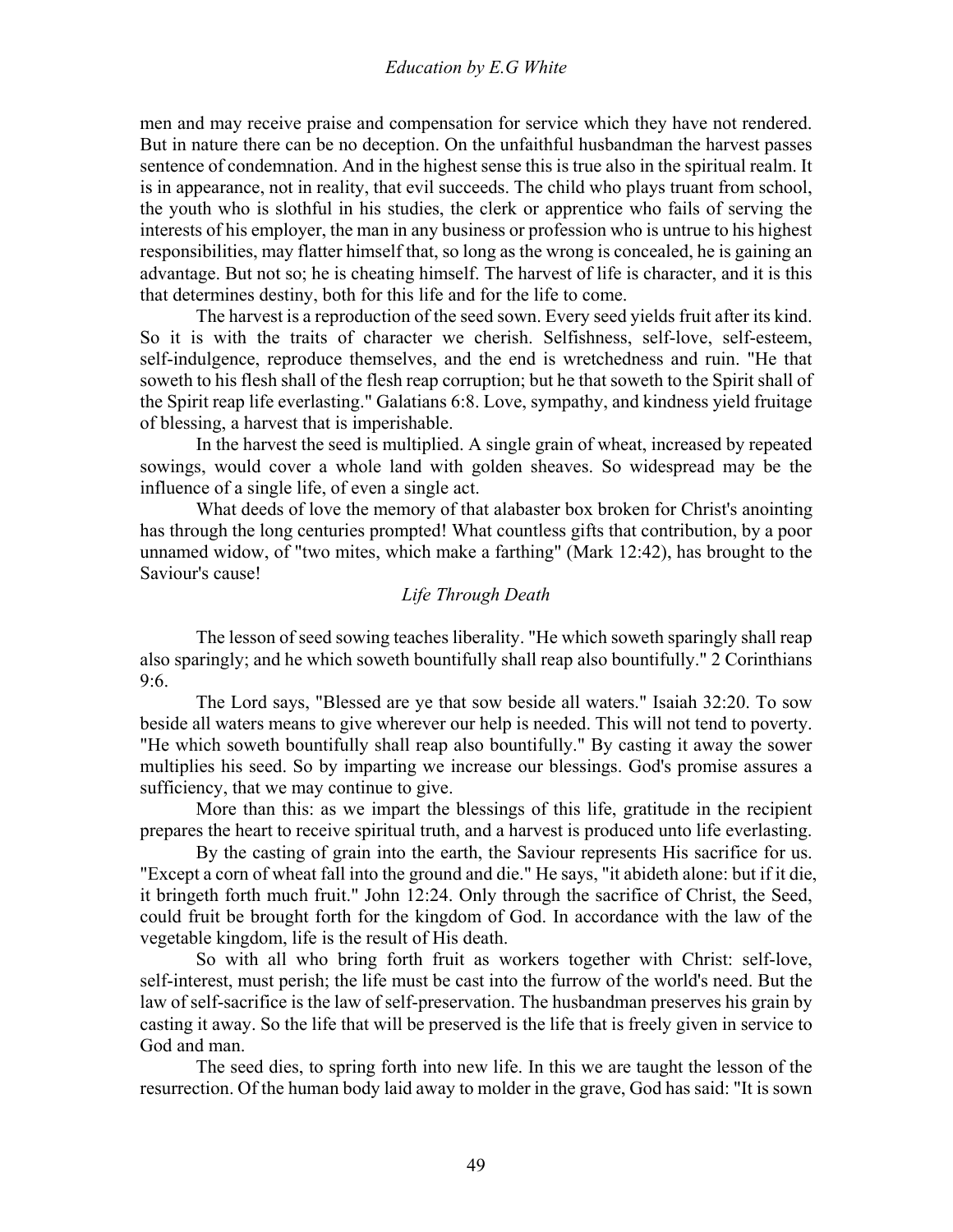men and may receive praise and compensation for service which they have not rendered. But in nature there can be no deception. On the unfaithful husbandman the harvest passes sentence of condemnation. And in the highest sense this is true also in the spiritual realm. It is in appearance, not in reality, that evil succeeds. The child who plays truant from school, the youth who is slothful in his studies, the clerk or apprentice who fails of serving the interests of his employer, the man in any business or profession who is untrue to his highest responsibilities, may flatter himself that, so long as the wrong is concealed, he is gaining an advantage. But not so; he is cheating himself. The harvest of life is character, and it is this that determines destiny, both for this life and for the life to come.

 The harvest is a reproduction of the seed sown. Every seed yields fruit after its kind. So it is with the traits of character we cherish. Selfishness, self-love, self-esteem, self-indulgence, reproduce themselves, and the end is wretchedness and ruin. "He that soweth to his flesh shall of the flesh reap corruption; but he that soweth to the Spirit shall of the Spirit reap life everlasting." Galatians 6:8. Love, sympathy, and kindness yield fruitage of blessing, a harvest that is imperishable.

 In the harvest the seed is multiplied. A single grain of wheat, increased by repeated sowings, would cover a whole land with golden sheaves. So widespread may be the influence of a single life, of even a single act.

 What deeds of love the memory of that alabaster box broken for Christ's anointing has through the long centuries prompted! What countless gifts that contribution, by a poor unnamed widow, of "two mites, which make a farthing" (Mark 12:42), has brought to the Saviour's cause!

## *Life Through Death*

The lesson of seed sowing teaches liberality. "He which soweth sparingly shall reap also sparingly; and he which soweth bountifully shall reap also bountifully." 2 Corinthians 9:6.

 The Lord says, "Blessed are ye that sow beside all waters." Isaiah 32:20. To sow beside all waters means to give wherever our help is needed. This will not tend to poverty. "He which soweth bountifully shall reap also bountifully." By casting it away the sower multiplies his seed. So by imparting we increase our blessings. God's promise assures a sufficiency, that we may continue to give.

 More than this: as we impart the blessings of this life, gratitude in the recipient prepares the heart to receive spiritual truth, and a harvest is produced unto life everlasting.

 By the casting of grain into the earth, the Saviour represents His sacrifice for us. "Except a corn of wheat fall into the ground and die." He says, "it abideth alone: but if it die, it bringeth forth much fruit." John 12:24. Only through the sacrifice of Christ, the Seed, could fruit be brought forth for the kingdom of God. In accordance with the law of the vegetable kingdom, life is the result of His death.

 So with all who bring forth fruit as workers together with Christ: self-love, self-interest, must perish; the life must be cast into the furrow of the world's need. But the law of self-sacrifice is the law of self-preservation. The husbandman preserves his grain by casting it away. So the life that will be preserved is the life that is freely given in service to God and man.

 The seed dies, to spring forth into new life. In this we are taught the lesson of the resurrection. Of the human body laid away to molder in the grave, God has said: "It is sown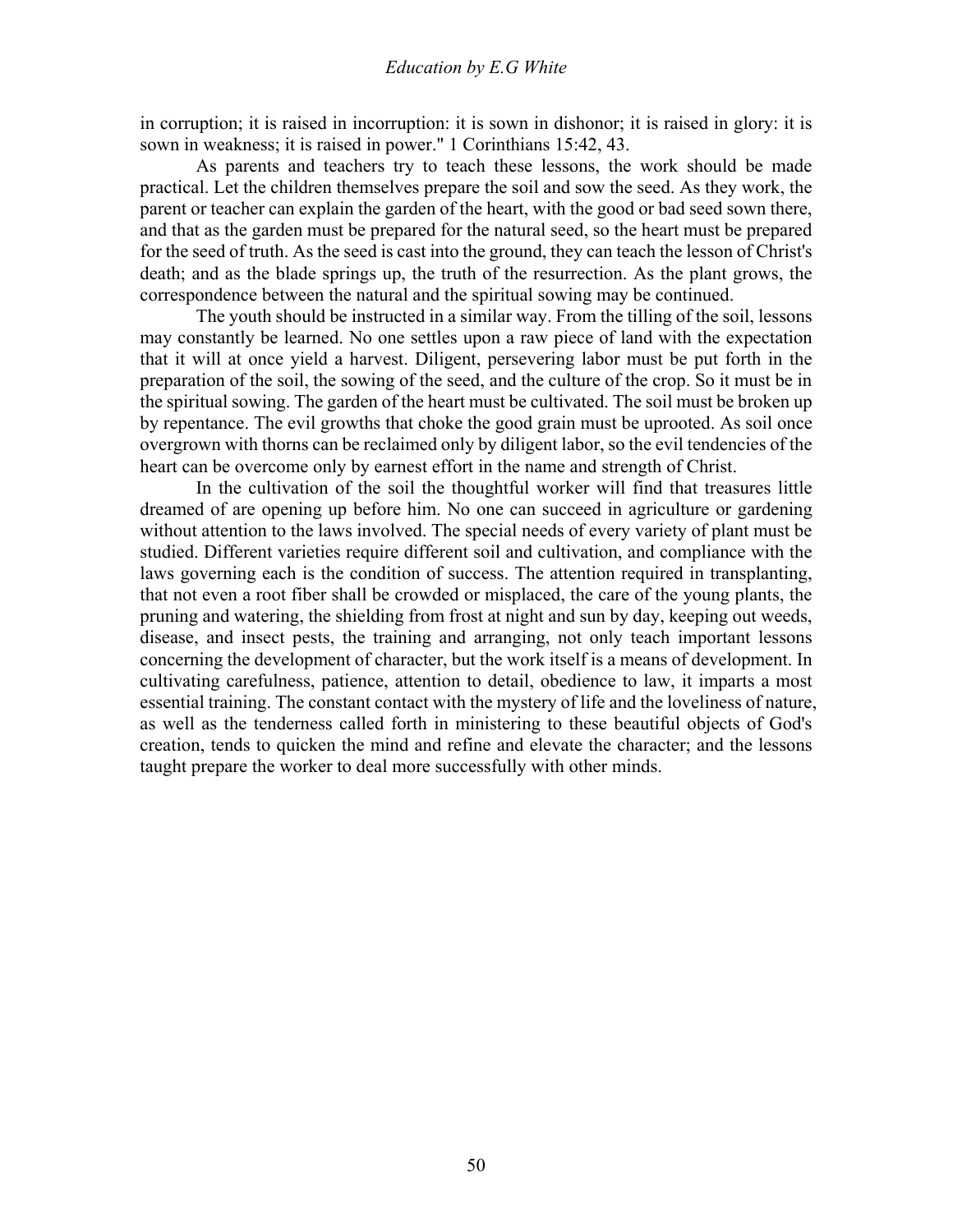in corruption; it is raised in incorruption: it is sown in dishonor; it is raised in glory: it is sown in weakness; it is raised in power." 1 Corinthians 15:42, 43.

 As parents and teachers try to teach these lessons, the work should be made practical. Let the children themselves prepare the soil and sow the seed. As they work, the parent or teacher can explain the garden of the heart, with the good or bad seed sown there, and that as the garden must be prepared for the natural seed, so the heart must be prepared for the seed of truth. As the seed is cast into the ground, they can teach the lesson of Christ's death; and as the blade springs up, the truth of the resurrection. As the plant grows, the correspondence between the natural and the spiritual sowing may be continued.

 The youth should be instructed in a similar way. From the tilling of the soil, lessons may constantly be learned. No one settles upon a raw piece of land with the expectation that it will at once yield a harvest. Diligent, persevering labor must be put forth in the preparation of the soil, the sowing of the seed, and the culture of the crop. So it must be in the spiritual sowing. The garden of the heart must be cultivated. The soil must be broken up by repentance. The evil growths that choke the good grain must be uprooted. As soil once overgrown with thorns can be reclaimed only by diligent labor, so the evil tendencies of the heart can be overcome only by earnest effort in the name and strength of Christ.

 In the cultivation of the soil the thoughtful worker will find that treasures little dreamed of are opening up before him. No one can succeed in agriculture or gardening without attention to the laws involved. The special needs of every variety of plant must be studied. Different varieties require different soil and cultivation, and compliance with the laws governing each is the condition of success. The attention required in transplanting, that not even a root fiber shall be crowded or misplaced, the care of the young plants, the pruning and watering, the shielding from frost at night and sun by day, keeping out weeds, disease, and insect pests, the training and arranging, not only teach important lessons concerning the development of character, but the work itself is a means of development. In cultivating carefulness, patience, attention to detail, obedience to law, it imparts a most essential training. The constant contact with the mystery of life and the loveliness of nature, as well as the tenderness called forth in ministering to these beautiful objects of God's creation, tends to quicken the mind and refine and elevate the character; and the lessons taught prepare the worker to deal more successfully with other minds.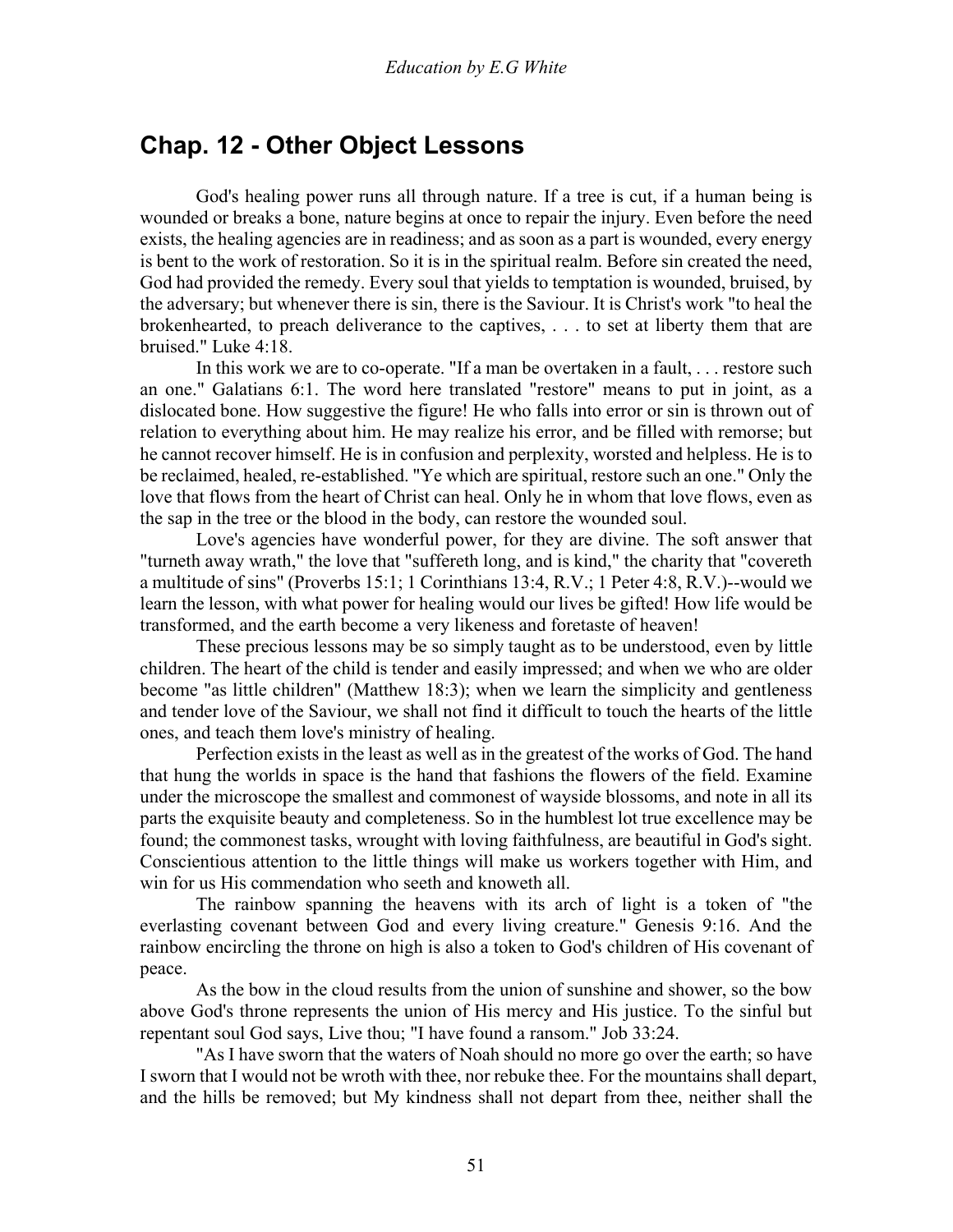# **Chap. 12 - Other Object Lessons**

 God's healing power runs all through nature. If a tree is cut, if a human being is wounded or breaks a bone, nature begins at once to repair the injury. Even before the need exists, the healing agencies are in readiness; and as soon as a part is wounded, every energy is bent to the work of restoration. So it is in the spiritual realm. Before sin created the need, God had provided the remedy. Every soul that yields to temptation is wounded, bruised, by the adversary; but whenever there is sin, there is the Saviour. It is Christ's work "to heal the brokenhearted, to preach deliverance to the captives, . . . to set at liberty them that are bruised." Luke 4:18.

 In this work we are to co-operate. "If a man be overtaken in a fault, . . . restore such an one." Galatians 6:1. The word here translated "restore" means to put in joint, as a dislocated bone. How suggestive the figure! He who falls into error or sin is thrown out of relation to everything about him. He may realize his error, and be filled with remorse; but he cannot recover himself. He is in confusion and perplexity, worsted and helpless. He is to be reclaimed, healed, re-established. "Ye which are spiritual, restore such an one." Only the love that flows from the heart of Christ can heal. Only he in whom that love flows, even as the sap in the tree or the blood in the body, can restore the wounded soul.

 Love's agencies have wonderful power, for they are divine. The soft answer that "turneth away wrath," the love that "suffereth long, and is kind," the charity that "covereth a multitude of sins" (Proverbs 15:1; 1 Corinthians 13:4, R.V.; 1 Peter 4:8, R.V.)--would we learn the lesson, with what power for healing would our lives be gifted! How life would be transformed, and the earth become a very likeness and foretaste of heaven!

 These precious lessons may be so simply taught as to be understood, even by little children. The heart of the child is tender and easily impressed; and when we who are older become "as little children" (Matthew 18:3); when we learn the simplicity and gentleness and tender love of the Saviour, we shall not find it difficult to touch the hearts of the little ones, and teach them love's ministry of healing.

 Perfection exists in the least as well as in the greatest of the works of God. The hand that hung the worlds in space is the hand that fashions the flowers of the field. Examine under the microscope the smallest and commonest of wayside blossoms, and note in all its parts the exquisite beauty and completeness. So in the humblest lot true excellence may be found; the commonest tasks, wrought with loving faithfulness, are beautiful in God's sight. Conscientious attention to the little things will make us workers together with Him, and win for us His commendation who seeth and knoweth all.

 The rainbow spanning the heavens with its arch of light is a token of "the everlasting covenant between God and every living creature." Genesis 9:16. And the rainbow encircling the throne on high is also a token to God's children of His covenant of peace.

 As the bow in the cloud results from the union of sunshine and shower, so the bow above God's throne represents the union of His mercy and His justice. To the sinful but repentant soul God says, Live thou; "I have found a ransom." Job 33:24.

 "As I have sworn that the waters of Noah should no more go over the earth; so have I sworn that I would not be wroth with thee, nor rebuke thee. For the mountains shall depart, and the hills be removed; but My kindness shall not depart from thee, neither shall the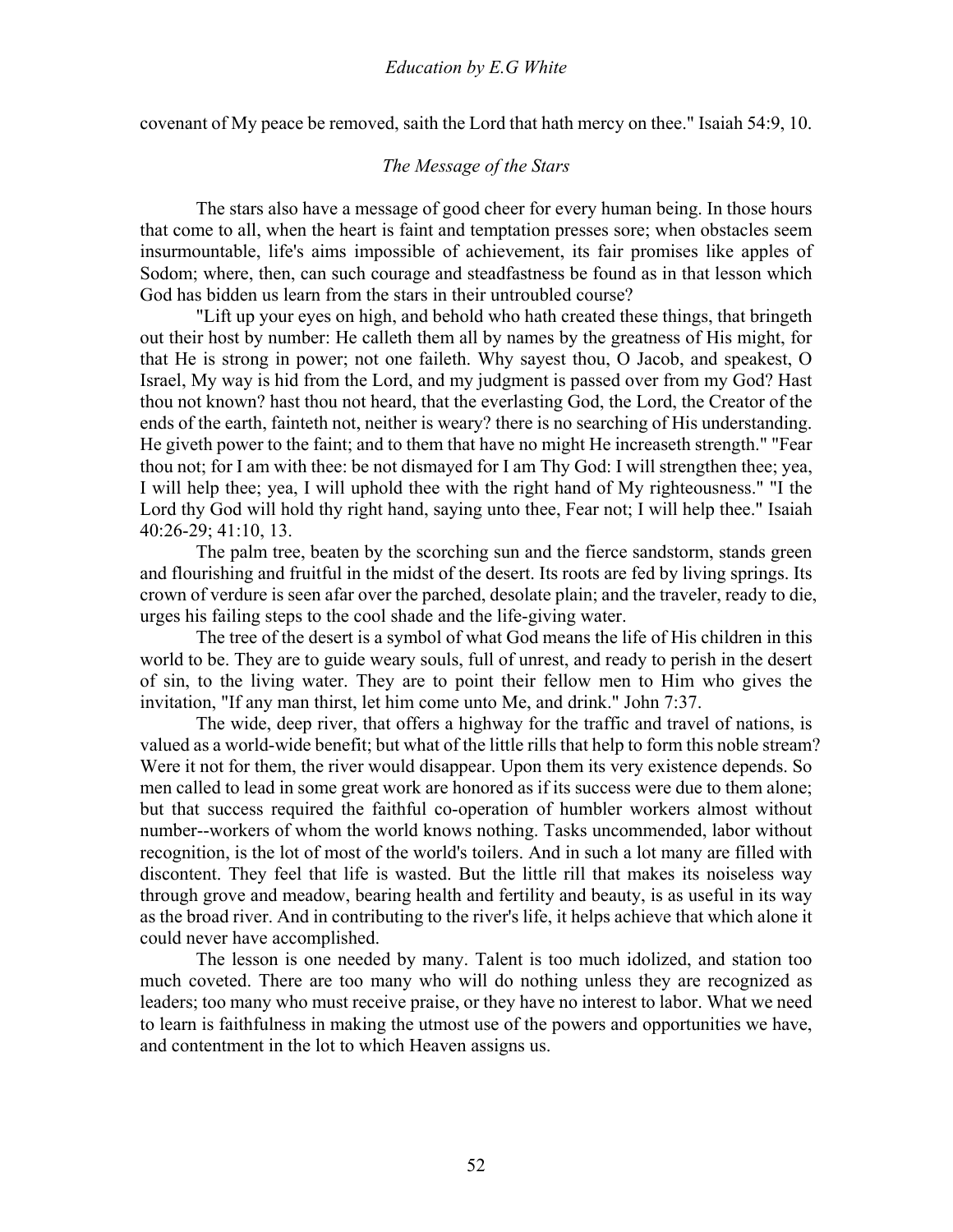covenant of My peace be removed, saith the Lord that hath mercy on thee." Isaiah 54:9, 10.

## *The Message of the Stars*

The stars also have a message of good cheer for every human being. In those hours that come to all, when the heart is faint and temptation presses sore; when obstacles seem insurmountable, life's aims impossible of achievement, its fair promises like apples of Sodom; where, then, can such courage and steadfastness be found as in that lesson which God has bidden us learn from the stars in their untroubled course?

 "Lift up your eyes on high, and behold who hath created these things, that bringeth out their host by number: He calleth them all by names by the greatness of His might, for that He is strong in power; not one faileth. Why sayest thou, O Jacob, and speakest, O Israel, My way is hid from the Lord, and my judgment is passed over from my God? Hast thou not known? hast thou not heard, that the everlasting God, the Lord, the Creator of the ends of the earth, fainteth not, neither is weary? there is no searching of His understanding. He giveth power to the faint; and to them that have no might He increaseth strength." "Fear thou not; for I am with thee: be not dismayed for I am Thy God: I will strengthen thee; yea, I will help thee; yea, I will uphold thee with the right hand of My righteousness." "I the Lord thy God will hold thy right hand, saying unto thee, Fear not; I will help thee." Isaiah 40:26-29; 41:10, 13.

 The palm tree, beaten by the scorching sun and the fierce sandstorm, stands green and flourishing and fruitful in the midst of the desert. Its roots are fed by living springs. Its crown of verdure is seen afar over the parched, desolate plain; and the traveler, ready to die, urges his failing steps to the cool shade and the life-giving water.

 The tree of the desert is a symbol of what God means the life of His children in this world to be. They are to guide weary souls, full of unrest, and ready to perish in the desert of sin, to the living water. They are to point their fellow men to Him who gives the invitation, "If any man thirst, let him come unto Me, and drink." John 7:37.

 The wide, deep river, that offers a highway for the traffic and travel of nations, is valued as a world-wide benefit; but what of the little rills that help to form this noble stream? Were it not for them, the river would disappear. Upon them its very existence depends. So men called to lead in some great work are honored as if its success were due to them alone; but that success required the faithful co-operation of humbler workers almost without number--workers of whom the world knows nothing. Tasks uncommended, labor without recognition, is the lot of most of the world's toilers. And in such a lot many are filled with discontent. They feel that life is wasted. But the little rill that makes its noiseless way through grove and meadow, bearing health and fertility and beauty, is as useful in its way as the broad river. And in contributing to the river's life, it helps achieve that which alone it could never have accomplished.

 The lesson is one needed by many. Talent is too much idolized, and station too much coveted. There are too many who will do nothing unless they are recognized as leaders; too many who must receive praise, or they have no interest to labor. What we need to learn is faithfulness in making the utmost use of the powers and opportunities we have, and contentment in the lot to which Heaven assigns us.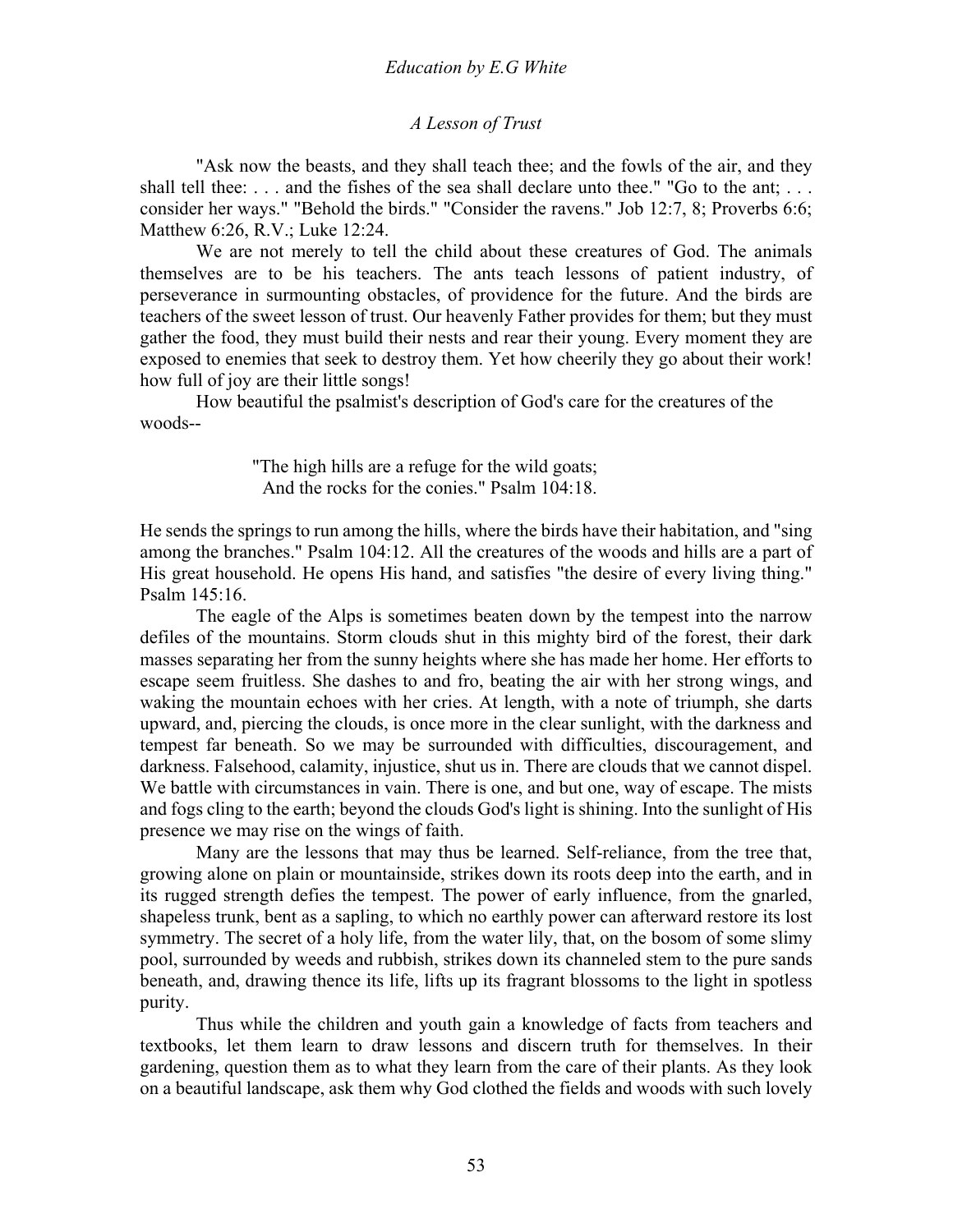#### *A Lesson of Trust*

"Ask now the beasts, and they shall teach thee; and the fowls of the air, and they shall tell thee: . . . and the fishes of the sea shall declare unto thee." "Go to the ant; . . . consider her ways." "Behold the birds." "Consider the ravens." Job 12:7, 8; Proverbs 6:6; Matthew 6:26, R.V.; Luke 12:24.

 We are not merely to tell the child about these creatures of God. The animals themselves are to be his teachers. The ants teach lessons of patient industry, of perseverance in surmounting obstacles, of providence for the future. And the birds are teachers of the sweet lesson of trust. Our heavenly Father provides for them; but they must gather the food, they must build their nests and rear their young. Every moment they are exposed to enemies that seek to destroy them. Yet how cheerily they go about their work! how full of joy are their little songs!

 How beautiful the psalmist's description of God's care for the creatures of the woods--

> "The high hills are a refuge for the wild goats; And the rocks for the conies." Psalm 104:18.

He sends the springs to run among the hills, where the birds have their habitation, and "sing among the branches." Psalm 104:12. All the creatures of the woods and hills are a part of His great household. He opens His hand, and satisfies "the desire of every living thing." Psalm 145:16.

 The eagle of the Alps is sometimes beaten down by the tempest into the narrow defiles of the mountains. Storm clouds shut in this mighty bird of the forest, their dark masses separating her from the sunny heights where she has made her home. Her efforts to escape seem fruitless. She dashes to and fro, beating the air with her strong wings, and waking the mountain echoes with her cries. At length, with a note of triumph, she darts upward, and, piercing the clouds, is once more in the clear sunlight, with the darkness and tempest far beneath. So we may be surrounded with difficulties, discouragement, and darkness. Falsehood, calamity, injustice, shut us in. There are clouds that we cannot dispel. We battle with circumstances in vain. There is one, and but one, way of escape. The mists and fogs cling to the earth; beyond the clouds God's light is shining. Into the sunlight of His presence we may rise on the wings of faith.

 Many are the lessons that may thus be learned. Self-reliance, from the tree that, growing alone on plain or mountainside, strikes down its roots deep into the earth, and in its rugged strength defies the tempest. The power of early influence, from the gnarled, shapeless trunk, bent as a sapling, to which no earthly power can afterward restore its lost symmetry. The secret of a holy life, from the water lily, that, on the bosom of some slimy pool, surrounded by weeds and rubbish, strikes down its channeled stem to the pure sands beneath, and, drawing thence its life, lifts up its fragrant blossoms to the light in spotless purity.

 Thus while the children and youth gain a knowledge of facts from teachers and textbooks, let them learn to draw lessons and discern truth for themselves. In their gardening, question them as to what they learn from the care of their plants. As they look on a beautiful landscape, ask them why God clothed the fields and woods with such lovely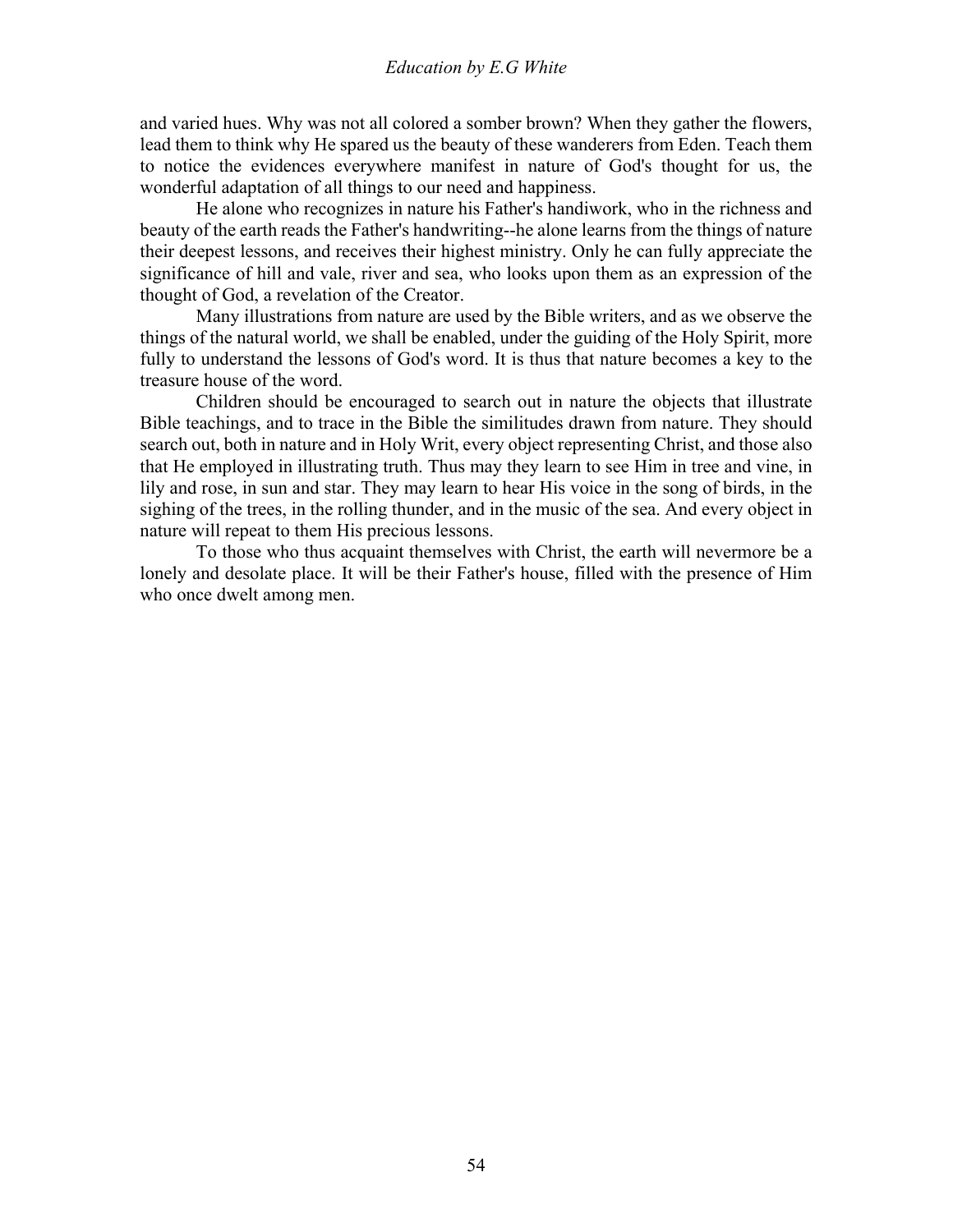and varied hues. Why was not all colored a somber brown? When they gather the flowers, lead them to think why He spared us the beauty of these wanderers from Eden. Teach them to notice the evidences everywhere manifest in nature of God's thought for us, the wonderful adaptation of all things to our need and happiness.

 He alone who recognizes in nature his Father's handiwork, who in the richness and beauty of the earth reads the Father's handwriting--he alone learns from the things of nature their deepest lessons, and receives their highest ministry. Only he can fully appreciate the significance of hill and vale, river and sea, who looks upon them as an expression of the thought of God, a revelation of the Creator.

 Many illustrations from nature are used by the Bible writers, and as we observe the things of the natural world, we shall be enabled, under the guiding of the Holy Spirit, more fully to understand the lessons of God's word. It is thus that nature becomes a key to the treasure house of the word.

 Children should be encouraged to search out in nature the objects that illustrate Bible teachings, and to trace in the Bible the similitudes drawn from nature. They should search out, both in nature and in Holy Writ, every object representing Christ, and those also that He employed in illustrating truth. Thus may they learn to see Him in tree and vine, in lily and rose, in sun and star. They may learn to hear His voice in the song of birds, in the sighing of the trees, in the rolling thunder, and in the music of the sea. And every object in nature will repeat to them His precious lessons.

 To those who thus acquaint themselves with Christ, the earth will nevermore be a lonely and desolate place. It will be their Father's house, filled with the presence of Him who once dwelt among men.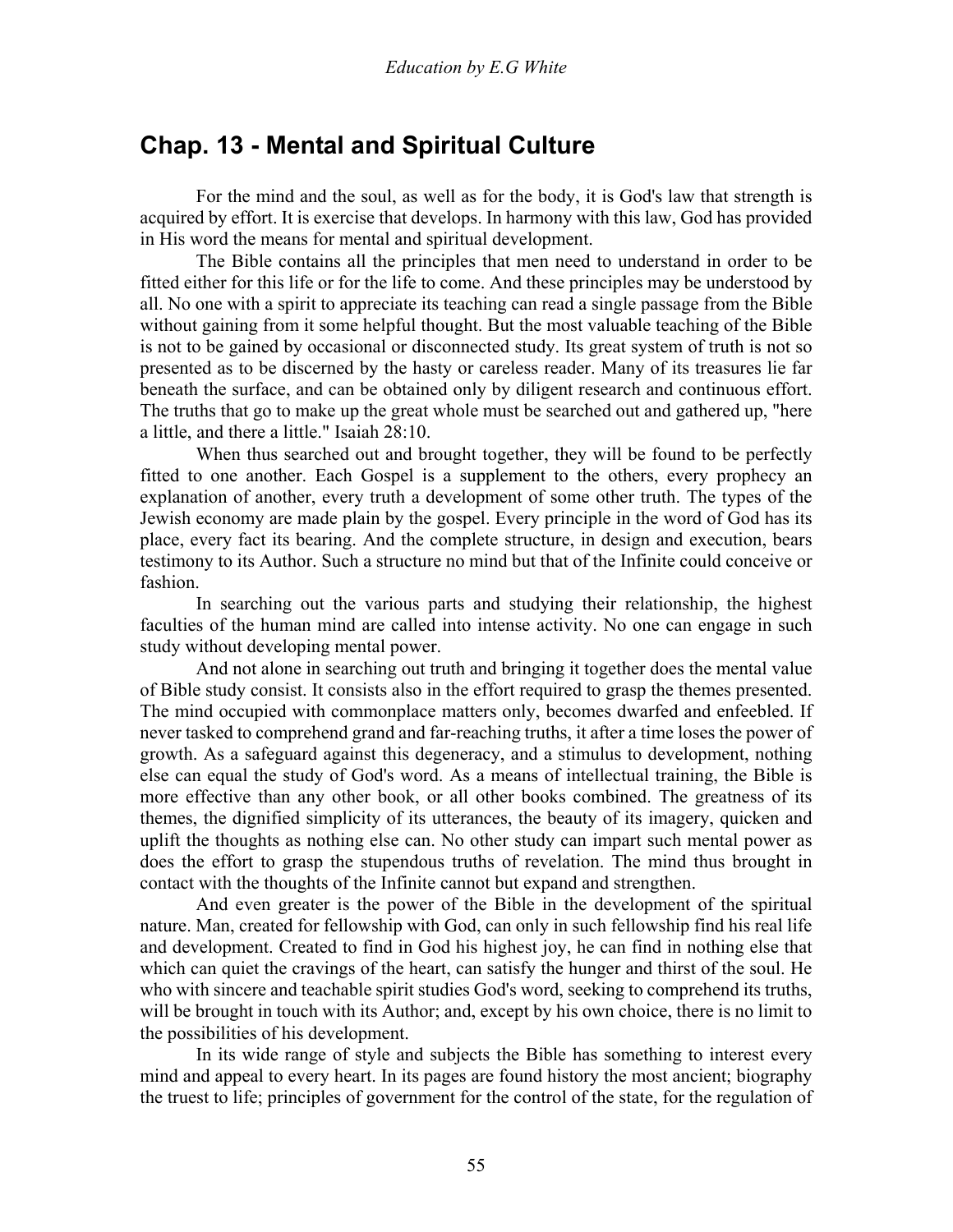# **Chap. 13 - Mental and Spiritual Culture**

 For the mind and the soul, as well as for the body, it is God's law that strength is acquired by effort. It is exercise that develops. In harmony with this law, God has provided in His word the means for mental and spiritual development.

 The Bible contains all the principles that men need to understand in order to be fitted either for this life or for the life to come. And these principles may be understood by all. No one with a spirit to appreciate its teaching can read a single passage from the Bible without gaining from it some helpful thought. But the most valuable teaching of the Bible is not to be gained by occasional or disconnected study. Its great system of truth is not so presented as to be discerned by the hasty or careless reader. Many of its treasures lie far beneath the surface, and can be obtained only by diligent research and continuous effort. The truths that go to make up the great whole must be searched out and gathered up, "here a little, and there a little." Isaiah 28:10.

 When thus searched out and brought together, they will be found to be perfectly fitted to one another. Each Gospel is a supplement to the others, every prophecy an explanation of another, every truth a development of some other truth. The types of the Jewish economy are made plain by the gospel. Every principle in the word of God has its place, every fact its bearing. And the complete structure, in design and execution, bears testimony to its Author. Such a structure no mind but that of the Infinite could conceive or fashion.

 In searching out the various parts and studying their relationship, the highest faculties of the human mind are called into intense activity. No one can engage in such study without developing mental power.

 And not alone in searching out truth and bringing it together does the mental value of Bible study consist. It consists also in the effort required to grasp the themes presented. The mind occupied with commonplace matters only, becomes dwarfed and enfeebled. If never tasked to comprehend grand and far-reaching truths, it after a time loses the power of growth. As a safeguard against this degeneracy, and a stimulus to development, nothing else can equal the study of God's word. As a means of intellectual training, the Bible is more effective than any other book, or all other books combined. The greatness of its themes, the dignified simplicity of its utterances, the beauty of its imagery, quicken and uplift the thoughts as nothing else can. No other study can impart such mental power as does the effort to grasp the stupendous truths of revelation. The mind thus brought in contact with the thoughts of the Infinite cannot but expand and strengthen.

 And even greater is the power of the Bible in the development of the spiritual nature. Man, created for fellowship with God, can only in such fellowship find his real life and development. Created to find in God his highest joy, he can find in nothing else that which can quiet the cravings of the heart, can satisfy the hunger and thirst of the soul. He who with sincere and teachable spirit studies God's word, seeking to comprehend its truths, will be brought in touch with its Author; and, except by his own choice, there is no limit to the possibilities of his development.

 In its wide range of style and subjects the Bible has something to interest every mind and appeal to every heart. In its pages are found history the most ancient; biography the truest to life; principles of government for the control of the state, for the regulation of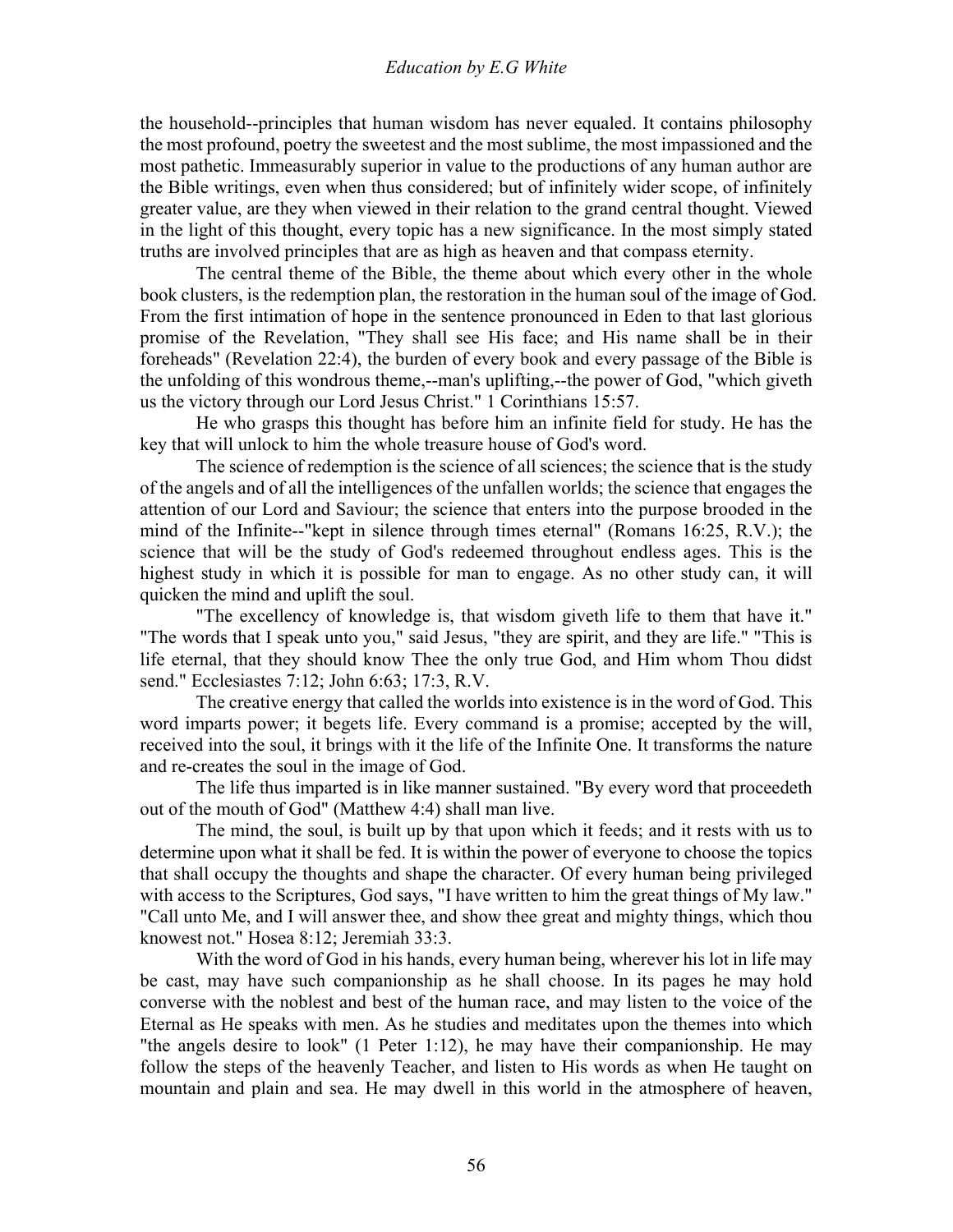the household--principles that human wisdom has never equaled. It contains philosophy the most profound, poetry the sweetest and the most sublime, the most impassioned and the most pathetic. Immeasurably superior in value to the productions of any human author are the Bible writings, even when thus considered; but of infinitely wider scope, of infinitely greater value, are they when viewed in their relation to the grand central thought. Viewed in the light of this thought, every topic has a new significance. In the most simply stated truths are involved principles that are as high as heaven and that compass eternity.

 The central theme of the Bible, the theme about which every other in the whole book clusters, is the redemption plan, the restoration in the human soul of the image of God. From the first intimation of hope in the sentence pronounced in Eden to that last glorious promise of the Revelation, "They shall see His face; and His name shall be in their foreheads" (Revelation 22:4), the burden of every book and every passage of the Bible is the unfolding of this wondrous theme,--man's uplifting,--the power of God, "which giveth us the victory through our Lord Jesus Christ." 1 Corinthians 15:57.

 He who grasps this thought has before him an infinite field for study. He has the key that will unlock to him the whole treasure house of God's word.

 The science of redemption is the science of all sciences; the science that is the study of the angels and of all the intelligences of the unfallen worlds; the science that engages the attention of our Lord and Saviour; the science that enters into the purpose brooded in the mind of the Infinite--"kept in silence through times eternal" (Romans 16:25, R.V.); the science that will be the study of God's redeemed throughout endless ages. This is the highest study in which it is possible for man to engage. As no other study can, it will quicken the mind and uplift the soul.

 "The excellency of knowledge is, that wisdom giveth life to them that have it." "The words that I speak unto you," said Jesus, "they are spirit, and they are life." "This is life eternal, that they should know Thee the only true God, and Him whom Thou didst send." Ecclesiastes 7:12; John 6:63; 17:3, R.V.

 The creative energy that called the worlds into existence is in the word of God. This word imparts power; it begets life. Every command is a promise; accepted by the will, received into the soul, it brings with it the life of the Infinite One. It transforms the nature and re-creates the soul in the image of God.

 The life thus imparted is in like manner sustained. "By every word that proceedeth out of the mouth of God" (Matthew 4:4) shall man live.

 The mind, the soul, is built up by that upon which it feeds; and it rests with us to determine upon what it shall be fed. It is within the power of everyone to choose the topics that shall occupy the thoughts and shape the character. Of every human being privileged with access to the Scriptures, God says, "I have written to him the great things of My law." "Call unto Me, and I will answer thee, and show thee great and mighty things, which thou knowest not." Hosea 8:12; Jeremiah 33:3.

 With the word of God in his hands, every human being, wherever his lot in life may be cast, may have such companionship as he shall choose. In its pages he may hold converse with the noblest and best of the human race, and may listen to the voice of the Eternal as He speaks with men. As he studies and meditates upon the themes into which "the angels desire to look" (1 Peter 1:12), he may have their companionship. He may follow the steps of the heavenly Teacher, and listen to His words as when He taught on mountain and plain and sea. He may dwell in this world in the atmosphere of heaven,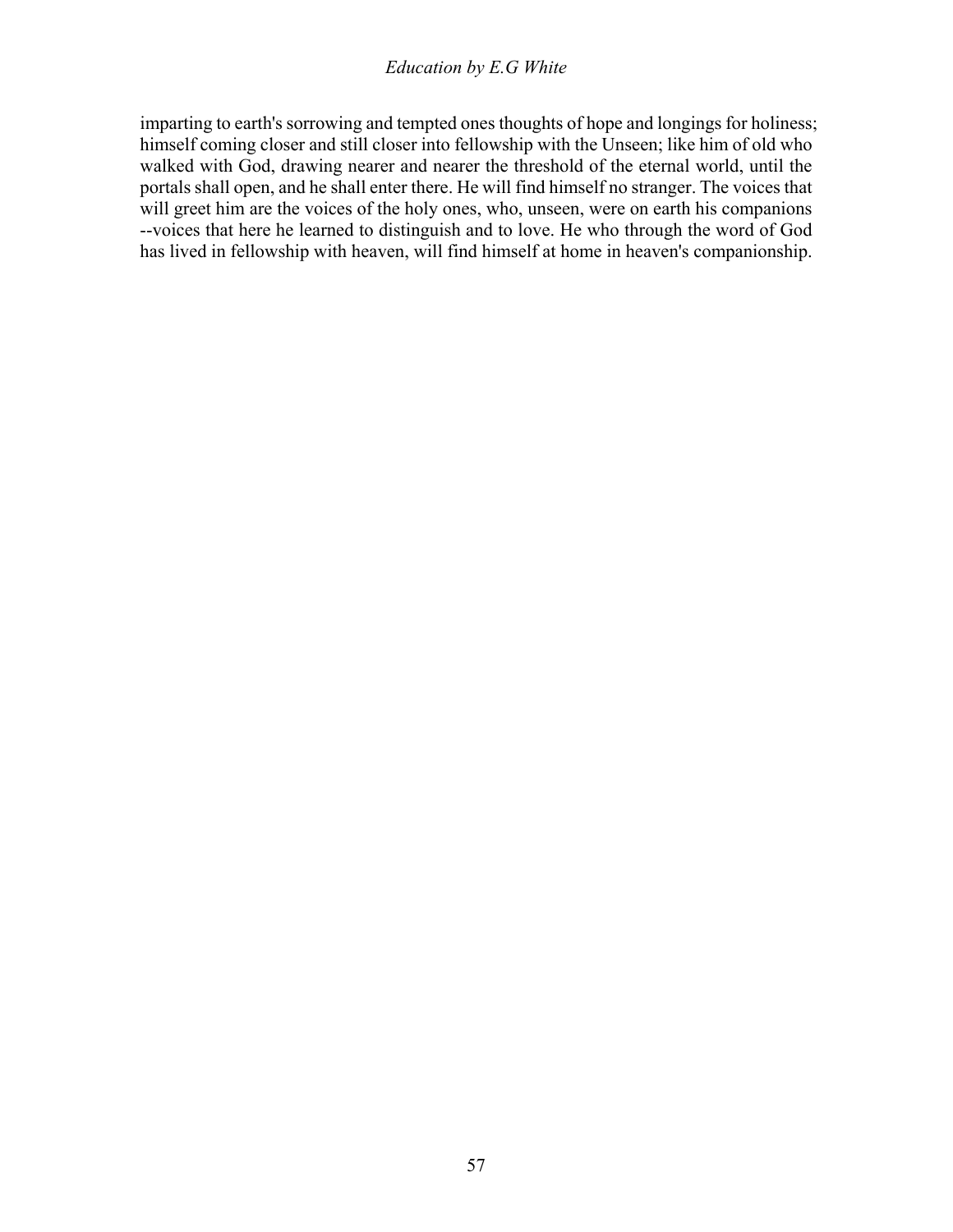imparting to earth's sorrowing and tempted ones thoughts of hope and longings for holiness; himself coming closer and still closer into fellowship with the Unseen; like him of old who walked with God, drawing nearer and nearer the threshold of the eternal world, until the portals shall open, and he shall enter there. He will find himself no stranger. The voices that will greet him are the voices of the holy ones, who, unseen, were on earth his companions --voices that here he learned to distinguish and to love. He who through the word of God has lived in fellowship with heaven, will find himself at home in heaven's companionship.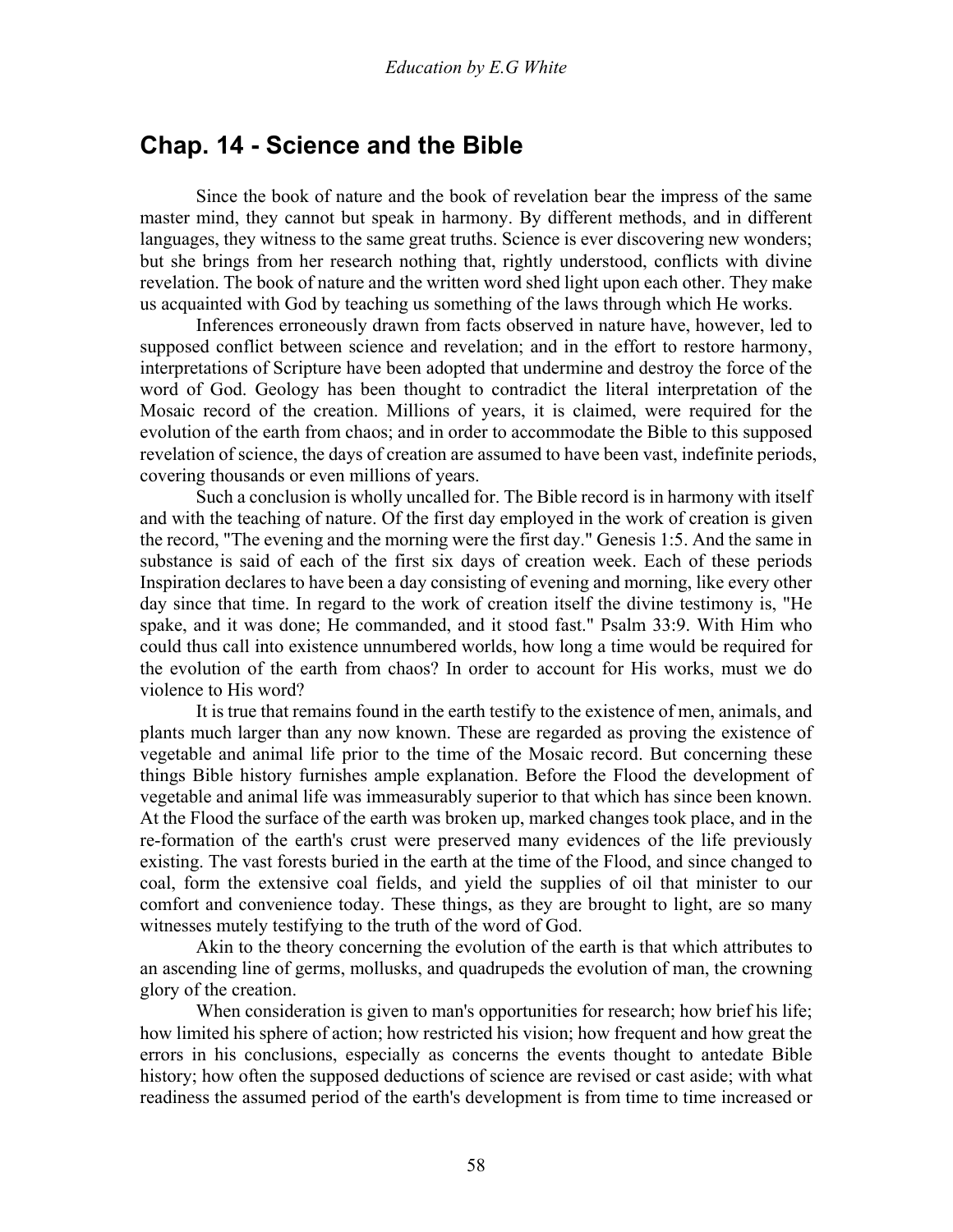# **Chap. 14 - Science and the Bible**

 Since the book of nature and the book of revelation bear the impress of the same master mind, they cannot but speak in harmony. By different methods, and in different languages, they witness to the same great truths. Science is ever discovering new wonders; but she brings from her research nothing that, rightly understood, conflicts with divine revelation. The book of nature and the written word shed light upon each other. They make us acquainted with God by teaching us something of the laws through which He works.

 Inferences erroneously drawn from facts observed in nature have, however, led to supposed conflict between science and revelation; and in the effort to restore harmony, interpretations of Scripture have been adopted that undermine and destroy the force of the word of God. Geology has been thought to contradict the literal interpretation of the Mosaic record of the creation. Millions of years, it is claimed, were required for the evolution of the earth from chaos; and in order to accommodate the Bible to this supposed revelation of science, the days of creation are assumed to have been vast, indefinite periods, covering thousands or even millions of years.

 Such a conclusion is wholly uncalled for. The Bible record is in harmony with itself and with the teaching of nature. Of the first day employed in the work of creation is given the record, "The evening and the morning were the first day." Genesis 1:5. And the same in substance is said of each of the first six days of creation week. Each of these periods Inspiration declares to have been a day consisting of evening and morning, like every other day since that time. In regard to the work of creation itself the divine testimony is, "He spake, and it was done; He commanded, and it stood fast." Psalm 33:9. With Him who could thus call into existence unnumbered worlds, how long a time would be required for the evolution of the earth from chaos? In order to account for His works, must we do violence to His word?

 It is true that remains found in the earth testify to the existence of men, animals, and plants much larger than any now known. These are regarded as proving the existence of vegetable and animal life prior to the time of the Mosaic record. But concerning these things Bible history furnishes ample explanation. Before the Flood the development of vegetable and animal life was immeasurably superior to that which has since been known. At the Flood the surface of the earth was broken up, marked changes took place, and in the re-formation of the earth's crust were preserved many evidences of the life previously existing. The vast forests buried in the earth at the time of the Flood, and since changed to coal, form the extensive coal fields, and yield the supplies of oil that minister to our comfort and convenience today. These things, as they are brought to light, are so many witnesses mutely testifying to the truth of the word of God.

 Akin to the theory concerning the evolution of the earth is that which attributes to an ascending line of germs, mollusks, and quadrupeds the evolution of man, the crowning glory of the creation.

When consideration is given to man's opportunities for research; how brief his life; how limited his sphere of action; how restricted his vision; how frequent and how great the errors in his conclusions, especially as concerns the events thought to antedate Bible history; how often the supposed deductions of science are revised or cast aside; with what readiness the assumed period of the earth's development is from time to time increased or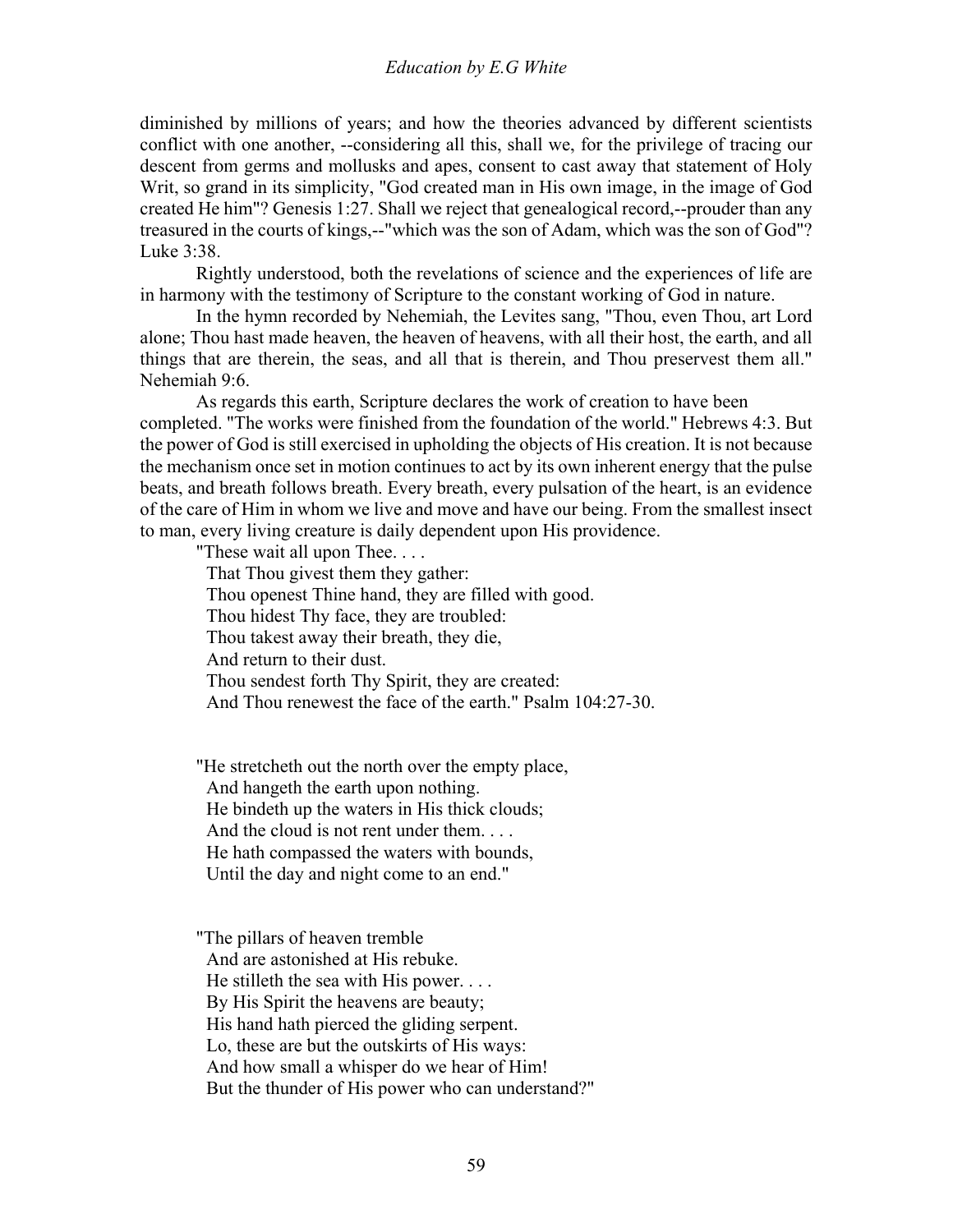diminished by millions of years; and how the theories advanced by different scientists conflict with one another, --considering all this, shall we, for the privilege of tracing our descent from germs and mollusks and apes, consent to cast away that statement of Holy Writ, so grand in its simplicity, "God created man in His own image, in the image of God created He him"? Genesis 1:27. Shall we reject that genealogical record,--prouder than any treasured in the courts of kings,--"which was the son of Adam, which was the son of God"? Luke 3:38.

 Rightly understood, both the revelations of science and the experiences of life are in harmony with the testimony of Scripture to the constant working of God in nature.

 In the hymn recorded by Nehemiah, the Levites sang, "Thou, even Thou, art Lord alone; Thou hast made heaven, the heaven of heavens, with all their host, the earth, and all things that are therein, the seas, and all that is therein, and Thou preservest them all." Nehemiah 9:6.

 As regards this earth, Scripture declares the work of creation to have been completed. "The works were finished from the foundation of the world." Hebrews 4:3. But the power of God is still exercised in upholding the objects of His creation. It is not because the mechanism once set in motion continues to act by its own inherent energy that the pulse beats, and breath follows breath. Every breath, every pulsation of the heart, is an evidence of the care of Him in whom we live and move and have our being. From the smallest insect to man, every living creature is daily dependent upon His providence.

"These wait all upon Thee. . . . That Thou givest them they gather: Thou openest Thine hand, they are filled with good. Thou hidest Thy face, they are troubled: Thou takest away their breath, they die, And return to their dust. Thou sendest forth Thy Spirit, they are created: And Thou renewest the face of the earth." Psalm 104:27-30.

"He stretcheth out the north over the empty place, And hangeth the earth upon nothing. He bindeth up the waters in His thick clouds; And the cloud is not rent under them.... He hath compassed the waters with bounds, Until the day and night come to an end."

"The pillars of heaven tremble And are astonished at His rebuke. He stilleth the sea with His power. . . . By His Spirit the heavens are beauty; His hand hath pierced the gliding serpent. Lo, these are but the outskirts of His ways: And how small a whisper do we hear of Him! But the thunder of His power who can understand?"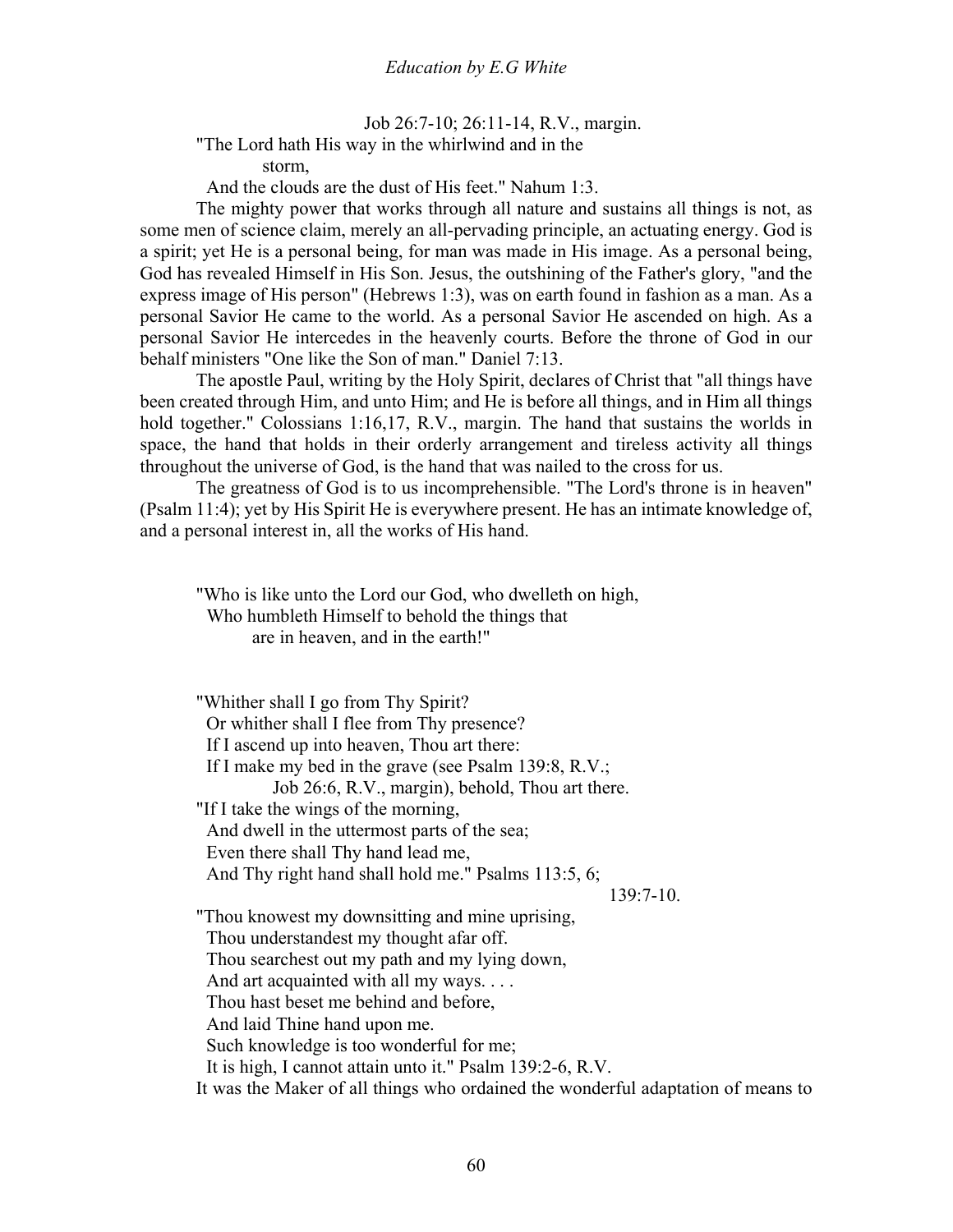Job 26:7-10; 26:11-14, R.V., margin. "The Lord hath His way in the whirlwind and in the

storm,

And the clouds are the dust of His feet." Nahum 1:3.

 The mighty power that works through all nature and sustains all things is not, as some men of science claim, merely an all-pervading principle, an actuating energy. God is a spirit; yet He is a personal being, for man was made in His image. As a personal being, God has revealed Himself in His Son. Jesus, the outshining of the Father's glory, "and the express image of His person" (Hebrews 1:3), was on earth found in fashion as a man. As a personal Savior He came to the world. As a personal Savior He ascended on high. As a personal Savior He intercedes in the heavenly courts. Before the throne of God in our behalf ministers "One like the Son of man." Daniel 7:13.

 The apostle Paul, writing by the Holy Spirit, declares of Christ that "all things have been created through Him, and unto Him; and He is before all things, and in Him all things hold together." Colossians 1:16,17, R.V., margin. The hand that sustains the worlds in space, the hand that holds in their orderly arrangement and tireless activity all things throughout the universe of God, is the hand that was nailed to the cross for us.

 The greatness of God is to us incomprehensible. "The Lord's throne is in heaven" (Psalm 11:4); yet by His Spirit He is everywhere present. He has an intimate knowledge of, and a personal interest in, all the works of His hand.

"Who is like unto the Lord our God, who dwelleth on high, Who humbleth Himself to behold the things that are in heaven, and in the earth!"

"Whither shall I go from Thy Spirit? Or whither shall I flee from Thy presence? If I ascend up into heaven, Thou art there: If I make my bed in the grave (see Psalm 139:8, R.V.; Job 26:6, R.V., margin), behold, Thou art there. "If I take the wings of the morning, And dwell in the uttermost parts of the sea; Even there shall Thy hand lead me, And Thy right hand shall hold me." Psalms 113:5, 6; 139:7-10. "Thou knowest my downsitting and mine uprising, Thou understandest my thought afar off. Thou searchest out my path and my lying down, And art acquainted with all my ways. . . . Thou hast beset me behind and before, And laid Thine hand upon me. Such knowledge is too wonderful for me; It is high, I cannot attain unto it." Psalm 139:2-6, R.V. It was the Maker of all things who ordained the wonderful adaptation of means to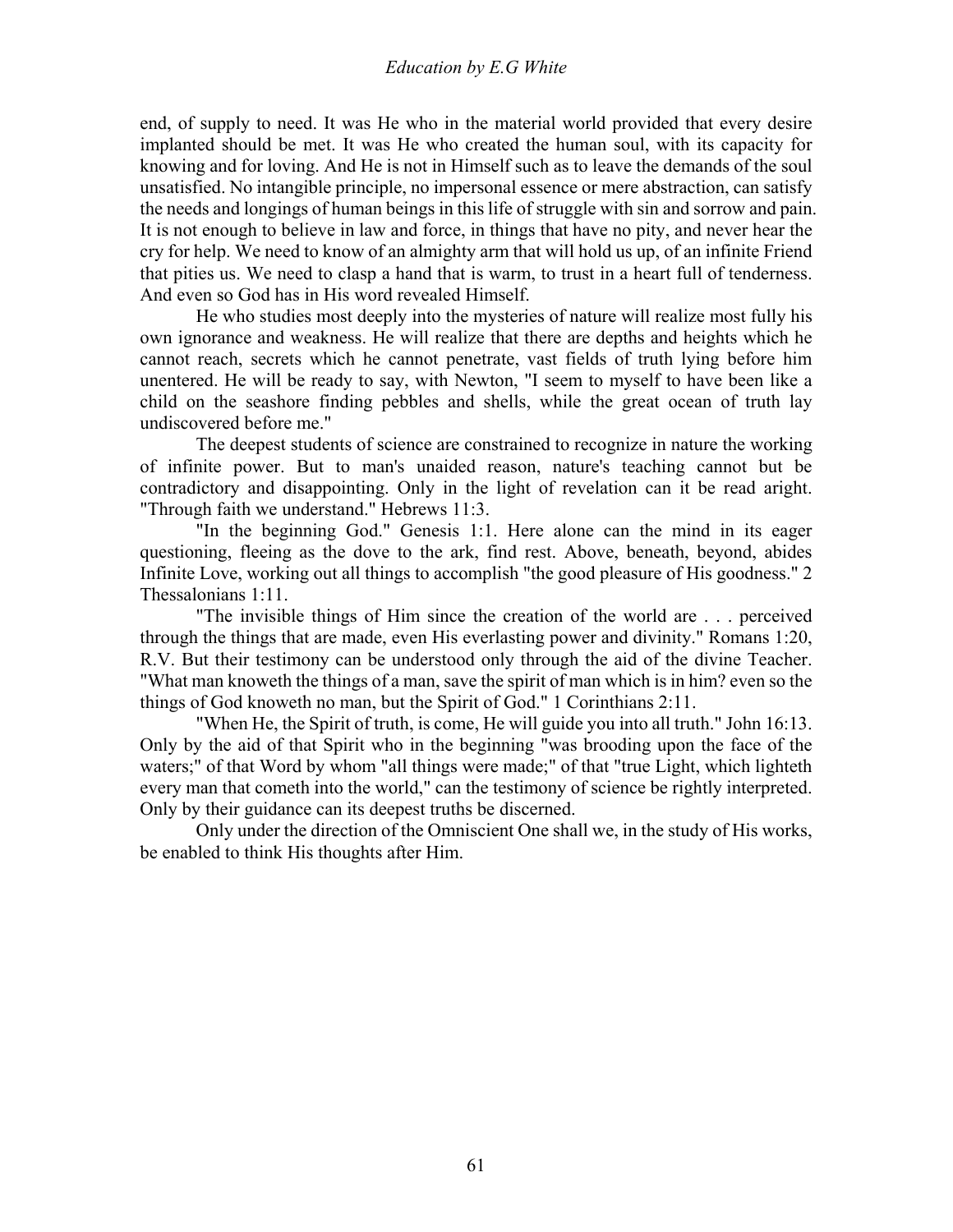end, of supply to need. It was He who in the material world provided that every desire implanted should be met. It was He who created the human soul, with its capacity for knowing and for loving. And He is not in Himself such as to leave the demands of the soul unsatisfied. No intangible principle, no impersonal essence or mere abstraction, can satisfy the needs and longings of human beings in this life of struggle with sin and sorrow and pain. It is not enough to believe in law and force, in things that have no pity, and never hear the cry for help. We need to know of an almighty arm that will hold us up, of an infinite Friend that pities us. We need to clasp a hand that is warm, to trust in a heart full of tenderness. And even so God has in His word revealed Himself.

 He who studies most deeply into the mysteries of nature will realize most fully his own ignorance and weakness. He will realize that there are depths and heights which he cannot reach, secrets which he cannot penetrate, vast fields of truth lying before him unentered. He will be ready to say, with Newton, "I seem to myself to have been like a child on the seashore finding pebbles and shells, while the great ocean of truth lay undiscovered before me."

 The deepest students of science are constrained to recognize in nature the working of infinite power. But to man's unaided reason, nature's teaching cannot but be contradictory and disappointing. Only in the light of revelation can it be read aright. "Through faith we understand." Hebrews 11:3.

 "In the beginning God." Genesis 1:1. Here alone can the mind in its eager questioning, fleeing as the dove to the ark, find rest. Above, beneath, beyond, abides Infinite Love, working out all things to accomplish "the good pleasure of His goodness." 2 Thessalonians 1:11.

 "The invisible things of Him since the creation of the world are . . . perceived through the things that are made, even His everlasting power and divinity." Romans 1:20, R.V. But their testimony can be understood only through the aid of the divine Teacher. "What man knoweth the things of a man, save the spirit of man which is in him? even so the things of God knoweth no man, but the Spirit of God." 1 Corinthians 2:11.

 "When He, the Spirit of truth, is come, He will guide you into all truth." John 16:13. Only by the aid of that Spirit who in the beginning "was brooding upon the face of the waters;" of that Word by whom "all things were made;" of that "true Light, which lighteth every man that cometh into the world," can the testimony of science be rightly interpreted. Only by their guidance can its deepest truths be discerned.

 Only under the direction of the Omniscient One shall we, in the study of His works, be enabled to think His thoughts after Him.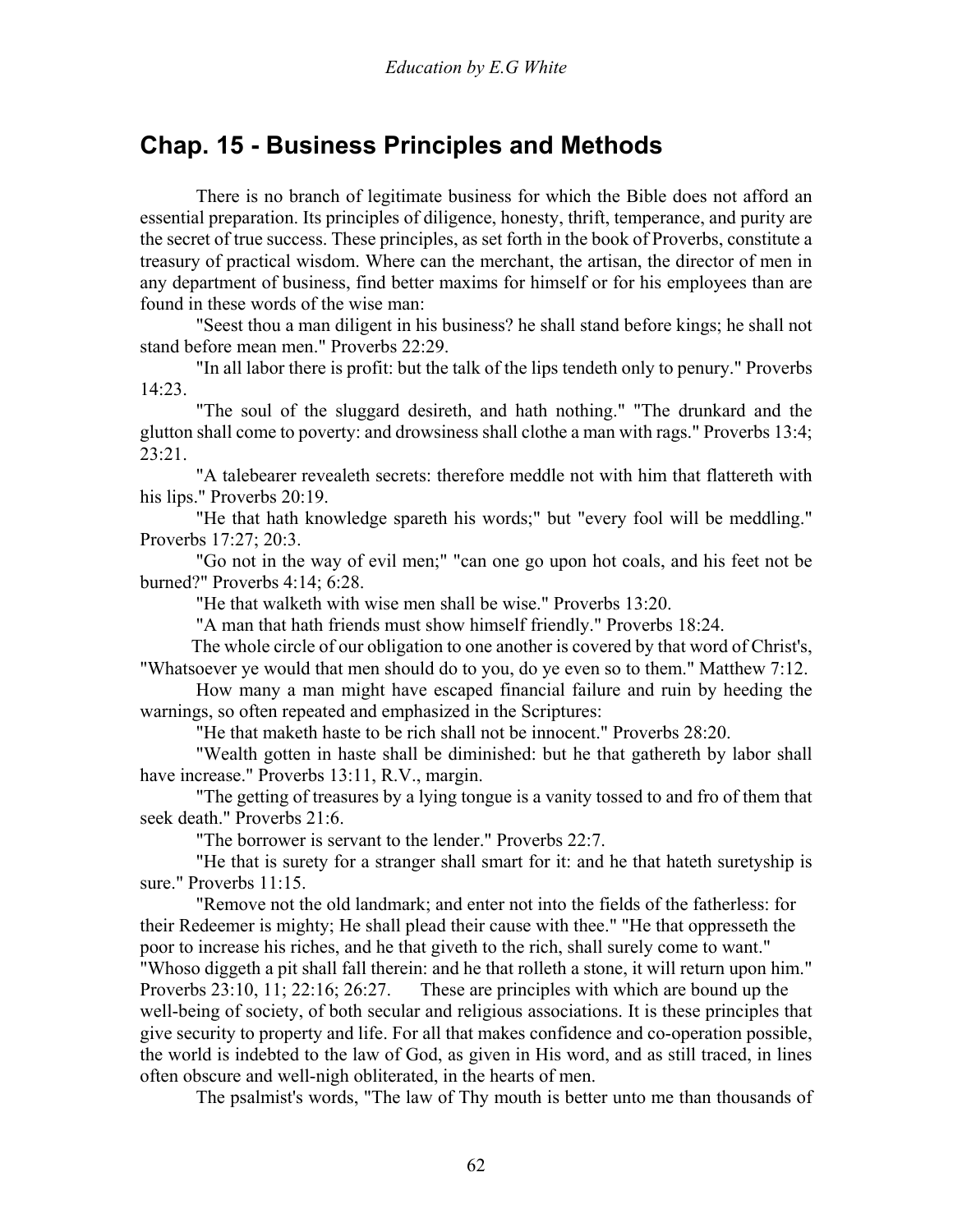# **Chap. 15 - Business Principles and Methods**

 There is no branch of legitimate business for which the Bible does not afford an essential preparation. Its principles of diligence, honesty, thrift, temperance, and purity are the secret of true success. These principles, as set forth in the book of Proverbs, constitute a treasury of practical wisdom. Where can the merchant, the artisan, the director of men in any department of business, find better maxims for himself or for his employees than are found in these words of the wise man:

 "Seest thou a man diligent in his business? he shall stand before kings; he shall not stand before mean men." Proverbs 22:29.

 "In all labor there is profit: but the talk of the lips tendeth only to penury." Proverbs 14:23.

 "The soul of the sluggard desireth, and hath nothing." "The drunkard and the glutton shall come to poverty: and drowsiness shall clothe a man with rags." Proverbs 13:4; 23:21.

 "A talebearer revealeth secrets: therefore meddle not with him that flattereth with his lips." Proverbs 20:19.

 "He that hath knowledge spareth his words;" but "every fool will be meddling." Proverbs 17:27; 20:3.

 "Go not in the way of evil men;" "can one go upon hot coals, and his feet not be burned?" Proverbs 4:14; 6:28.

"He that walketh with wise men shall be wise." Proverbs 13:20.

"A man that hath friends must show himself friendly." Proverbs 18:24.

 The whole circle of our obligation to one another is covered by that word of Christ's, "Whatsoever ye would that men should do to you, do ye even so to them." Matthew 7:12.

 How many a man might have escaped financial failure and ruin by heeding the warnings, so often repeated and emphasized in the Scriptures:

"He that maketh haste to be rich shall not be innocent." Proverbs 28:20.

 "Wealth gotten in haste shall be diminished: but he that gathereth by labor shall have increase." Proverbs 13:11, R.V., margin.

 "The getting of treasures by a lying tongue is a vanity tossed to and fro of them that seek death." Proverbs 21:6.

"The borrower is servant to the lender." Proverbs 22:7.

 "He that is surety for a stranger shall smart for it: and he that hateth suretyship is sure." Proverbs 11:15.

 "Remove not the old landmark; and enter not into the fields of the fatherless: for their Redeemer is mighty; He shall plead their cause with thee." "He that oppresseth the poor to increase his riches, and he that giveth to the rich, shall surely come to want." "Whoso diggeth a pit shall fall therein: and he that rolleth a stone, it will return upon him." Proverbs 23:10, 11; 22:16; 26:27. These are principles with which are bound up the well-being of society, of both secular and religious associations. It is these principles that give security to property and life. For all that makes confidence and co-operation possible, the world is indebted to the law of God, as given in His word, and as still traced, in lines often obscure and well-nigh obliterated, in the hearts of men.

The psalmist's words, "The law of Thy mouth is better unto me than thousands of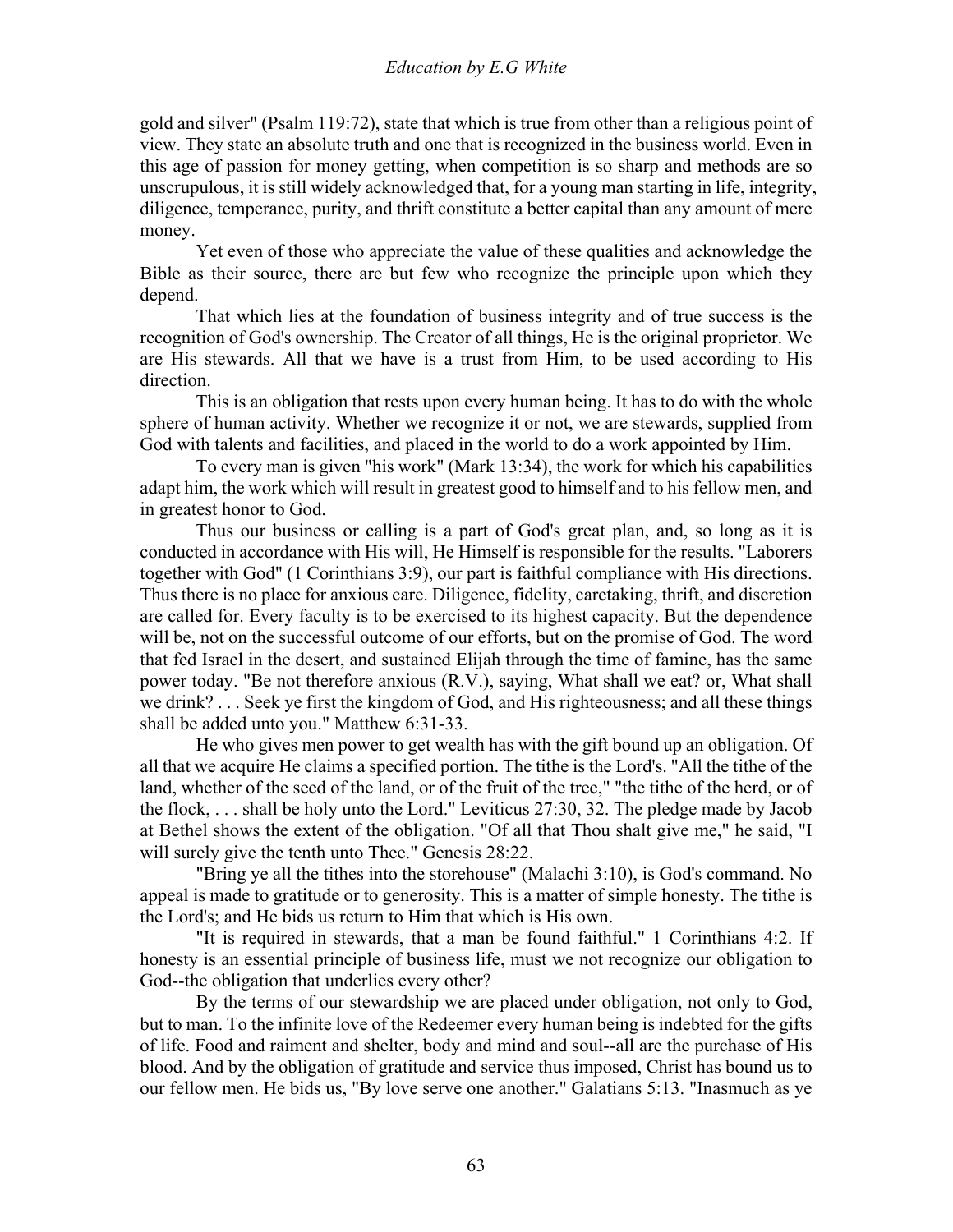gold and silver" (Psalm 119:72), state that which is true from other than a religious point of view. They state an absolute truth and one that is recognized in the business world. Even in this age of passion for money getting, when competition is so sharp and methods are so unscrupulous, it is still widely acknowledged that, for a young man starting in life, integrity, diligence, temperance, purity, and thrift constitute a better capital than any amount of mere money.

 Yet even of those who appreciate the value of these qualities and acknowledge the Bible as their source, there are but few who recognize the principle upon which they depend.

 That which lies at the foundation of business integrity and of true success is the recognition of God's ownership. The Creator of all things, He is the original proprietor. We are His stewards. All that we have is a trust from Him, to be used according to His direction.

 This is an obligation that rests upon every human being. It has to do with the whole sphere of human activity. Whether we recognize it or not, we are stewards, supplied from God with talents and facilities, and placed in the world to do a work appointed by Him.

 To every man is given "his work" (Mark 13:34), the work for which his capabilities adapt him, the work which will result in greatest good to himself and to his fellow men, and in greatest honor to God.

 Thus our business or calling is a part of God's great plan, and, so long as it is conducted in accordance with His will, He Himself is responsible for the results. "Laborers together with God" (1 Corinthians 3:9), our part is faithful compliance with His directions. Thus there is no place for anxious care. Diligence, fidelity, caretaking, thrift, and discretion are called for. Every faculty is to be exercised to its highest capacity. But the dependence will be, not on the successful outcome of our efforts, but on the promise of God. The word that fed Israel in the desert, and sustained Elijah through the time of famine, has the same power today. "Be not therefore anxious (R.V.), saying, What shall we eat? or, What shall we drink? . . . Seek ye first the kingdom of God, and His righteousness; and all these things shall be added unto you." Matthew 6:31-33.

 He who gives men power to get wealth has with the gift bound up an obligation. Of all that we acquire He claims a specified portion. The tithe is the Lord's. "All the tithe of the land, whether of the seed of the land, or of the fruit of the tree," "the tithe of the herd, or of the flock, . . . shall be holy unto the Lord." Leviticus 27:30, 32. The pledge made by Jacob at Bethel shows the extent of the obligation. "Of all that Thou shalt give me," he said, "I will surely give the tenth unto Thee." Genesis 28:22.

 "Bring ye all the tithes into the storehouse" (Malachi 3:10), is God's command. No appeal is made to gratitude or to generosity. This is a matter of simple honesty. The tithe is the Lord's; and He bids us return to Him that which is His own.

 "It is required in stewards, that a man be found faithful." 1 Corinthians 4:2. If honesty is an essential principle of business life, must we not recognize our obligation to God--the obligation that underlies every other?

 By the terms of our stewardship we are placed under obligation, not only to God, but to man. To the infinite love of the Redeemer every human being is indebted for the gifts of life. Food and raiment and shelter, body and mind and soul--all are the purchase of His blood. And by the obligation of gratitude and service thus imposed, Christ has bound us to our fellow men. He bids us, "By love serve one another." Galatians 5:13. "Inasmuch as ye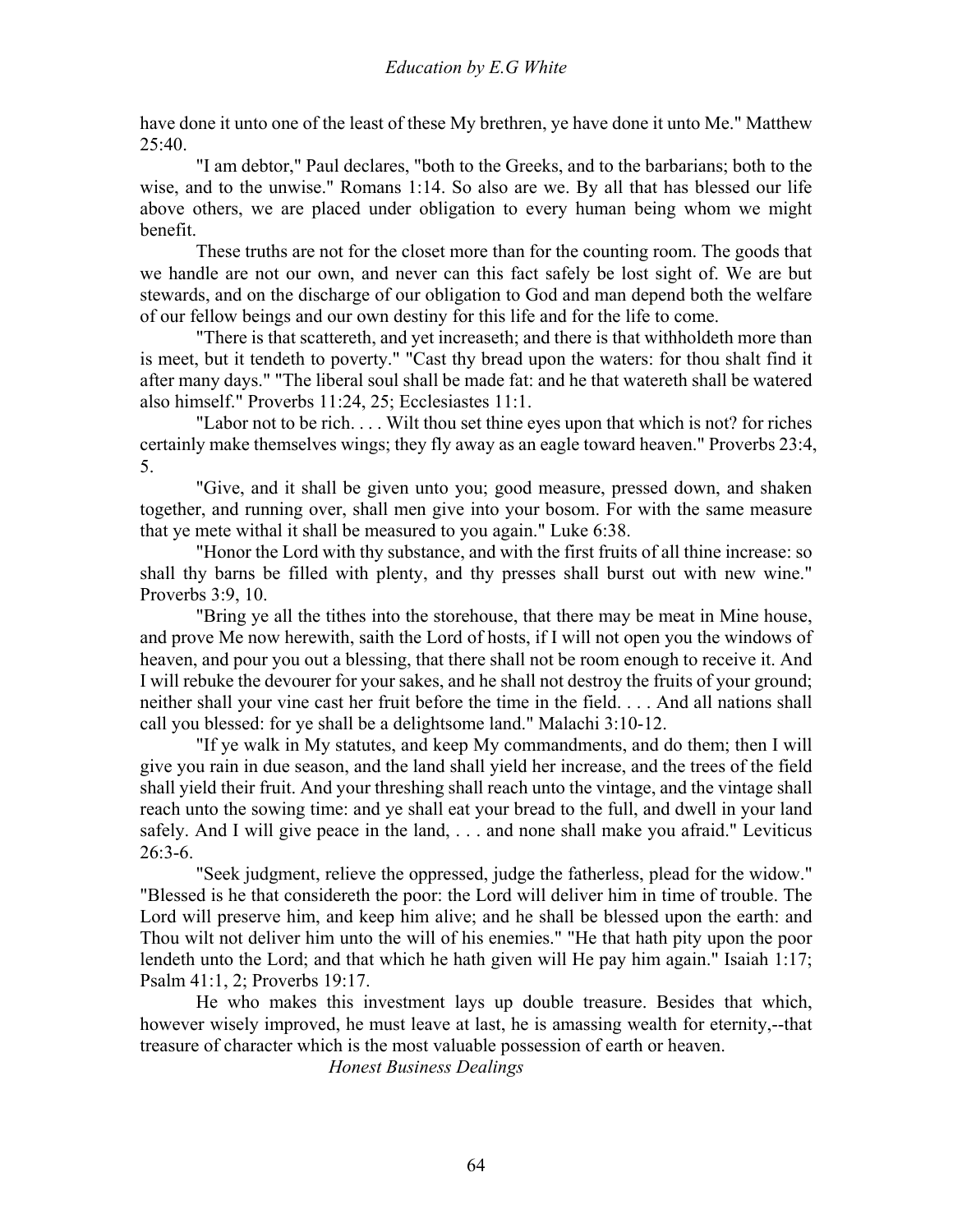have done it unto one of the least of these My brethren, ye have done it unto Me." Matthew  $25:40.$ 

 "I am debtor," Paul declares, "both to the Greeks, and to the barbarians; both to the wise, and to the unwise." Romans 1:14. So also are we. By all that has blessed our life above others, we are placed under obligation to every human being whom we might benefit.

 These truths are not for the closet more than for the counting room. The goods that we handle are not our own, and never can this fact safely be lost sight of. We are but stewards, and on the discharge of our obligation to God and man depend both the welfare of our fellow beings and our own destiny for this life and for the life to come.

 "There is that scattereth, and yet increaseth; and there is that withholdeth more than is meet, but it tendeth to poverty." "Cast thy bread upon the waters: for thou shalt find it after many days." "The liberal soul shall be made fat: and he that watereth shall be watered also himself." Proverbs 11:24, 25; Ecclesiastes 11:1.

 "Labor not to be rich. . . . Wilt thou set thine eyes upon that which is not? for riches certainly make themselves wings; they fly away as an eagle toward heaven." Proverbs 23:4, 5.

 "Give, and it shall be given unto you; good measure, pressed down, and shaken together, and running over, shall men give into your bosom. For with the same measure that ye mete withal it shall be measured to you again." Luke 6:38.

 "Honor the Lord with thy substance, and with the first fruits of all thine increase: so shall thy barns be filled with plenty, and thy presses shall burst out with new wine." Proverbs 3:9, 10.

 "Bring ye all the tithes into the storehouse, that there may be meat in Mine house, and prove Me now herewith, saith the Lord of hosts, if I will not open you the windows of heaven, and pour you out a blessing, that there shall not be room enough to receive it. And I will rebuke the devourer for your sakes, and he shall not destroy the fruits of your ground; neither shall your vine cast her fruit before the time in the field. . . . And all nations shall call you blessed: for ye shall be a delightsome land." Malachi 3:10-12.

 "If ye walk in My statutes, and keep My commandments, and do them; then I will give you rain in due season, and the land shall yield her increase, and the trees of the field shall yield their fruit. And your threshing shall reach unto the vintage, and the vintage shall reach unto the sowing time: and ye shall eat your bread to the full, and dwell in your land safely. And I will give peace in the land, . . . and none shall make you afraid." Leviticus 26:3-6.

 "Seek judgment, relieve the oppressed, judge the fatherless, plead for the widow." "Blessed is he that considereth the poor: the Lord will deliver him in time of trouble. The Lord will preserve him, and keep him alive; and he shall be blessed upon the earth: and Thou wilt not deliver him unto the will of his enemies." "He that hath pity upon the poor lendeth unto the Lord; and that which he hath given will He pay him again." Isaiah 1:17; Psalm 41:1, 2; Proverbs 19:17.

 He who makes this investment lays up double treasure. Besides that which, however wisely improved, he must leave at last, he is amassing wealth for eternity,--that treasure of character which is the most valuable possession of earth or heaven.

*Honest Business Dealings*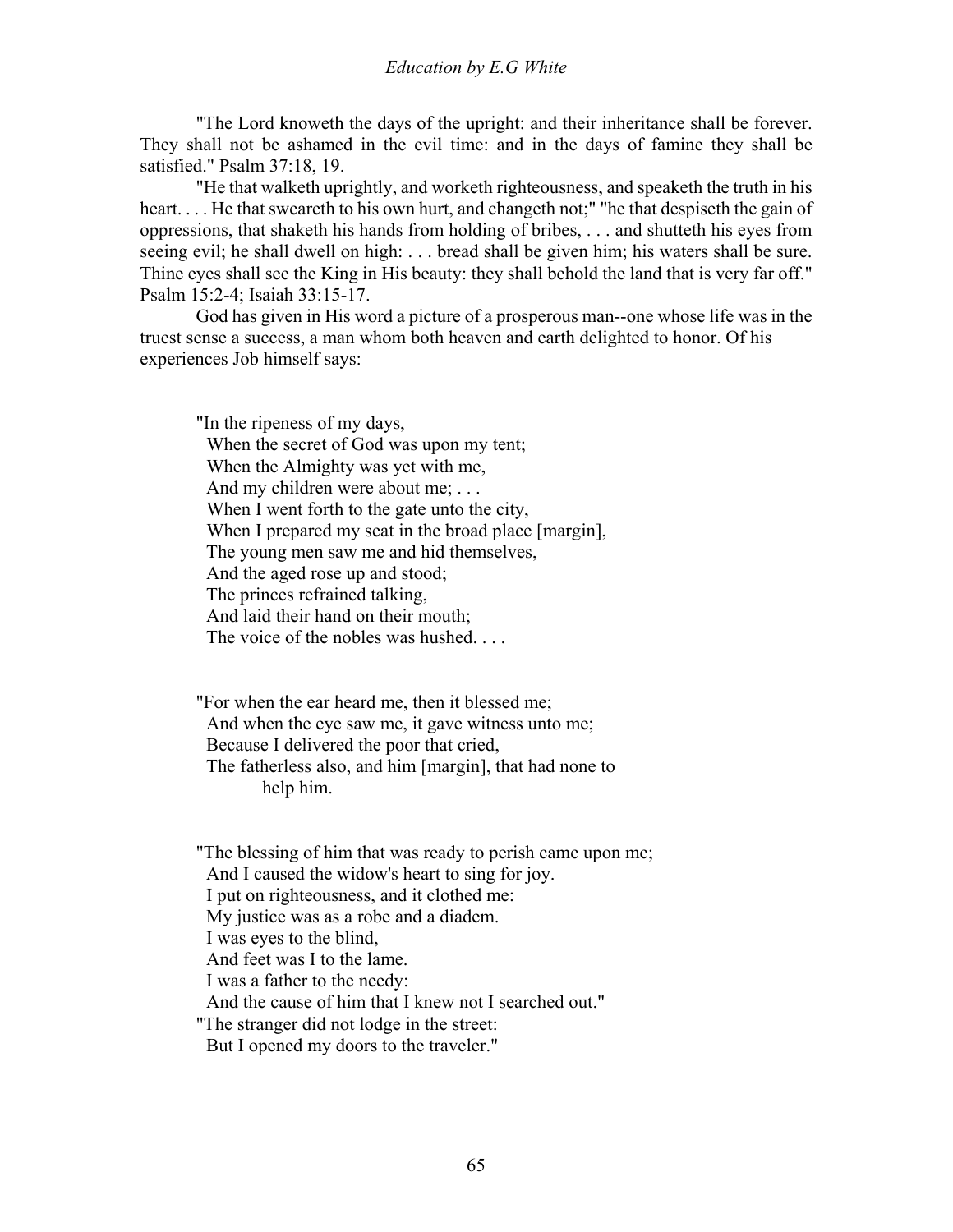"The Lord knoweth the days of the upright: and their inheritance shall be forever. They shall not be ashamed in the evil time: and in the days of famine they shall be satisfied." Psalm 37:18, 19.

 "He that walketh uprightly, and worketh righteousness, and speaketh the truth in his heart. . . . He that sweareth to his own hurt, and changeth not;" "he that despiseth the gain of oppressions, that shaketh his hands from holding of bribes, . . . and shutteth his eyes from seeing evil; he shall dwell on high: . . . bread shall be given him; his waters shall be sure. Thine eyes shall see the King in His beauty: they shall behold the land that is very far off." Psalm 15:2-4; Isaiah 33:15-17.

 God has given in His word a picture of a prosperous man--one whose life was in the truest sense a success, a man whom both heaven and earth delighted to honor. Of his experiences Job himself says:

"In the ripeness of my days, When the secret of God was upon my tent; When the Almighty was yet with me, And my children were about me; ... When I went forth to the gate unto the city, When I prepared my seat in the broad place [margin], The young men saw me and hid themselves, And the aged rose up and stood; The princes refrained talking, And laid their hand on their mouth; The voice of the nobles was hushed....

"For when the ear heard me, then it blessed me; And when the eye saw me, it gave witness unto me; Because I delivered the poor that cried, The fatherless also, and him [margin], that had none to help him.

"The blessing of him that was ready to perish came upon me; And I caused the widow's heart to sing for joy. I put on righteousness, and it clothed me: My justice was as a robe and a diadem. I was eyes to the blind, And feet was I to the lame. I was a father to the needy: And the cause of him that I knew not I searched out." "The stranger did not lodge in the street: But I opened my doors to the traveler."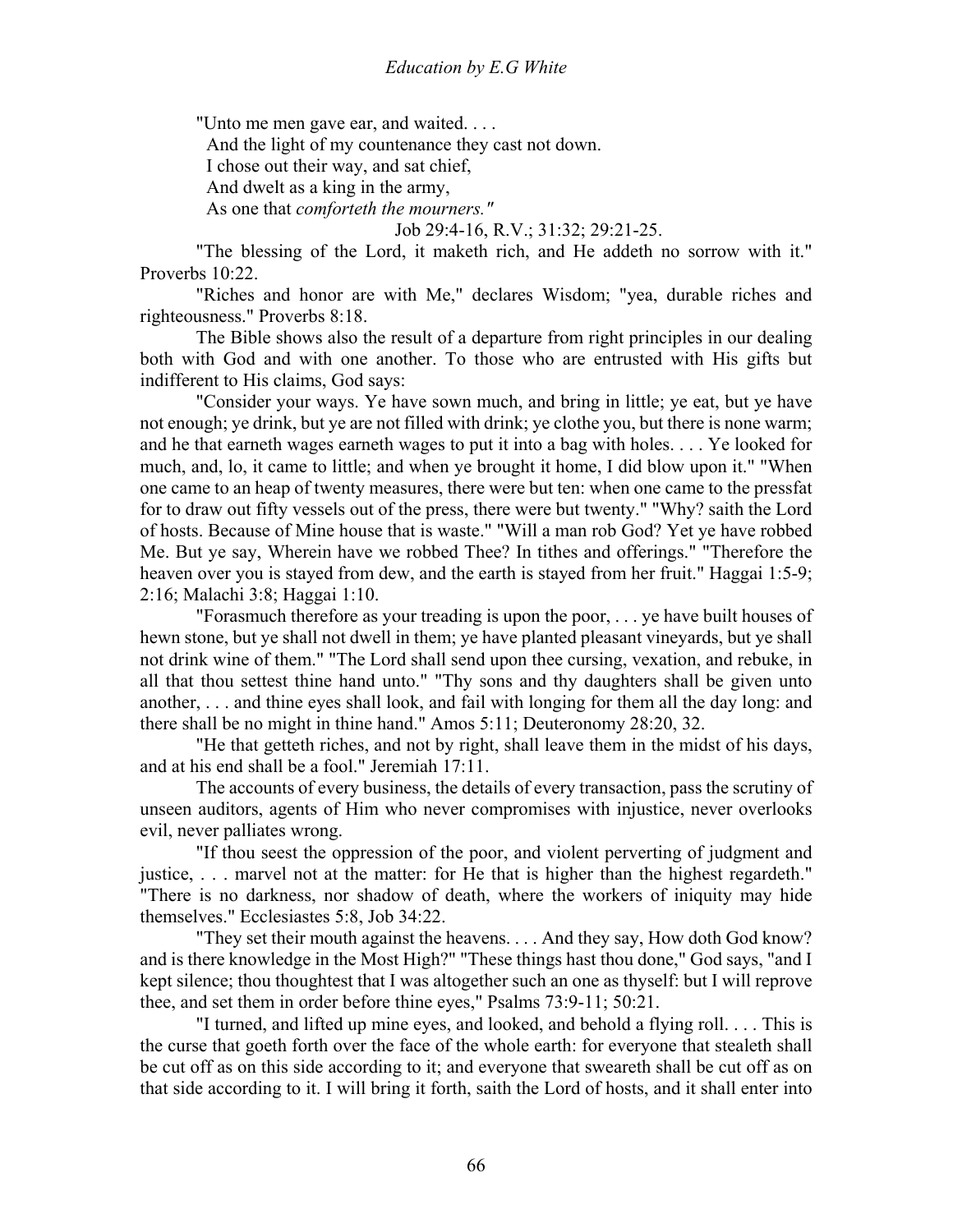"Unto me men gave ear, and waited. . . .

And the light of my countenance they cast not down.

I chose out their way, and sat chief,

And dwelt as a king in the army,

As one that *comforteth the mourners."*

Job 29:4-16, R.V.; 31:32; 29:21-25.

 "The blessing of the Lord, it maketh rich, and He addeth no sorrow with it." Proverbs 10:22.

 "Riches and honor are with Me," declares Wisdom; "yea, durable riches and righteousness." Proverbs 8:18.

 The Bible shows also the result of a departure from right principles in our dealing both with God and with one another. To those who are entrusted with His gifts but indifferent to His claims, God says:

 "Consider your ways. Ye have sown much, and bring in little; ye eat, but ye have not enough; ye drink, but ye are not filled with drink; ye clothe you, but there is none warm; and he that earneth wages earneth wages to put it into a bag with holes. . . . Ye looked for much, and, lo, it came to little; and when ye brought it home, I did blow upon it." "When one came to an heap of twenty measures, there were but ten: when one came to the pressfat for to draw out fifty vessels out of the press, there were but twenty." "Why? saith the Lord of hosts. Because of Mine house that is waste." "Will a man rob God? Yet ye have robbed Me. But ye say, Wherein have we robbed Thee? In tithes and offerings." "Therefore the heaven over you is stayed from dew, and the earth is stayed from her fruit." Haggai 1:5-9; 2:16; Malachi 3:8; Haggai 1:10.

 "Forasmuch therefore as your treading is upon the poor, . . . ye have built houses of hewn stone, but ye shall not dwell in them; ye have planted pleasant vineyards, but ye shall not drink wine of them." "The Lord shall send upon thee cursing, vexation, and rebuke, in all that thou settest thine hand unto." "Thy sons and thy daughters shall be given unto another, . . . and thine eyes shall look, and fail with longing for them all the day long: and there shall be no might in thine hand." Amos 5:11; Deuteronomy 28:20, 32.

 "He that getteth riches, and not by right, shall leave them in the midst of his days, and at his end shall be a fool." Jeremiah 17:11.

 The accounts of every business, the details of every transaction, pass the scrutiny of unseen auditors, agents of Him who never compromises with injustice, never overlooks evil, never palliates wrong.

 "If thou seest the oppression of the poor, and violent perverting of judgment and justice, . . . marvel not at the matter: for He that is higher than the highest regardeth." "There is no darkness, nor shadow of death, where the workers of iniquity may hide themselves." Ecclesiastes 5:8, Job 34:22.

 "They set their mouth against the heavens. . . . And they say, How doth God know? and is there knowledge in the Most High?" "These things hast thou done," God says, "and I kept silence; thou thoughtest that I was altogether such an one as thyself: but I will reprove thee, and set them in order before thine eyes," Psalms 73:9-11; 50:21.

 "I turned, and lifted up mine eyes, and looked, and behold a flying roll. . . . This is the curse that goeth forth over the face of the whole earth: for everyone that stealeth shall be cut off as on this side according to it; and everyone that sweareth shall be cut off as on that side according to it. I will bring it forth, saith the Lord of hosts, and it shall enter into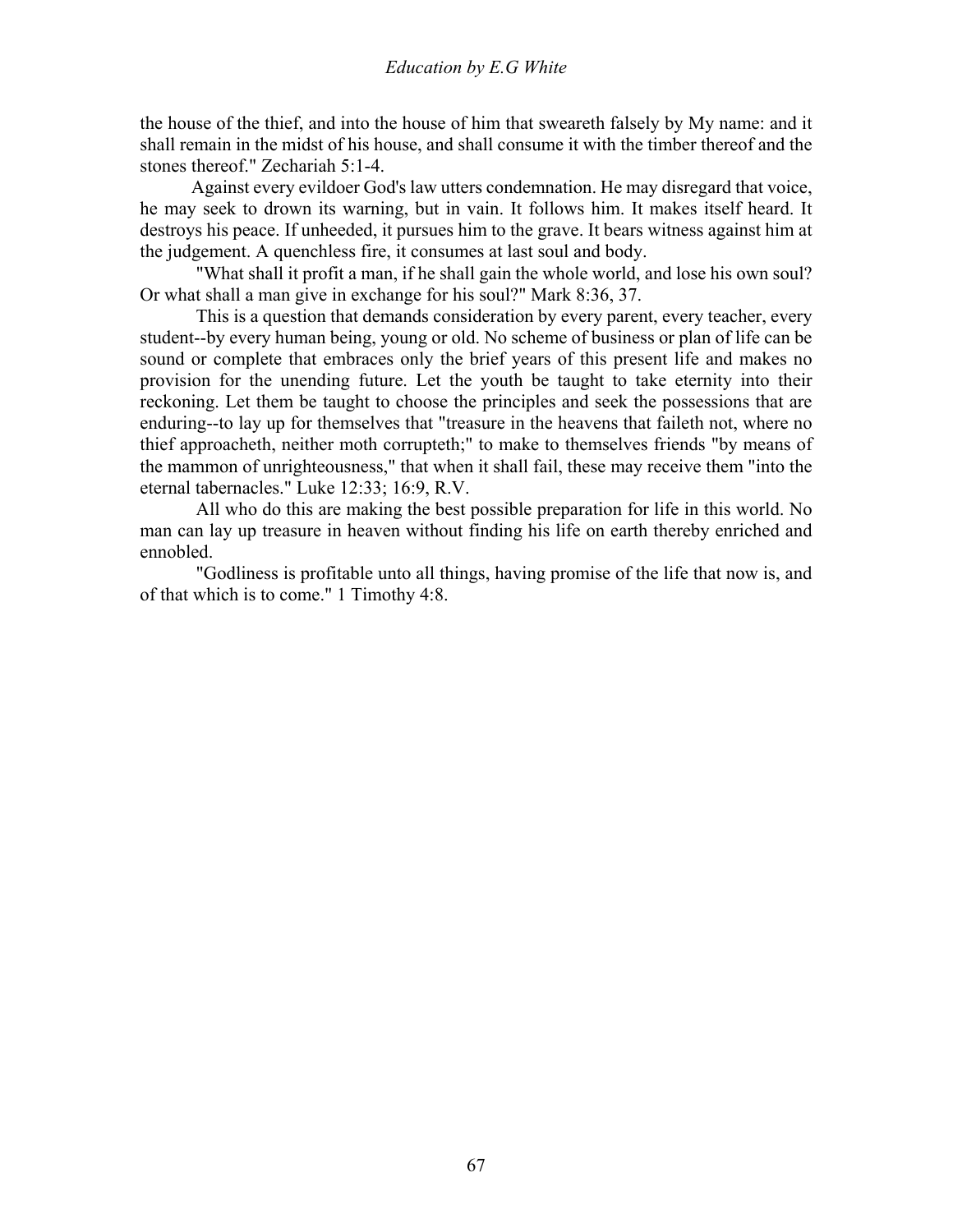the house of the thief, and into the house of him that sweareth falsely by My name: and it shall remain in the midst of his house, and shall consume it with the timber thereof and the stones thereof." Zechariah 5:1-4.

 Against every evildoer God's law utters condemnation. He may disregard that voice, he may seek to drown its warning, but in vain. It follows him. It makes itself heard. It destroys his peace. If unheeded, it pursues him to the grave. It bears witness against him at the judgement. A quenchless fire, it consumes at last soul and body.

 "What shall it profit a man, if he shall gain the whole world, and lose his own soul? Or what shall a man give in exchange for his soul?" Mark 8:36, 37.

 This is a question that demands consideration by every parent, every teacher, every student--by every human being, young or old. No scheme of business or plan of life can be sound or complete that embraces only the brief years of this present life and makes no provision for the unending future. Let the youth be taught to take eternity into their reckoning. Let them be taught to choose the principles and seek the possessions that are enduring--to lay up for themselves that "treasure in the heavens that faileth not, where no thief approacheth, neither moth corrupteth;" to make to themselves friends "by means of the mammon of unrighteousness," that when it shall fail, these may receive them "into the eternal tabernacles." Luke 12:33; 16:9, R.V.

 All who do this are making the best possible preparation for life in this world. No man can lay up treasure in heaven without finding his life on earth thereby enriched and ennobled.

 "Godliness is profitable unto all things, having promise of the life that now is, and of that which is to come." 1 Timothy 4:8.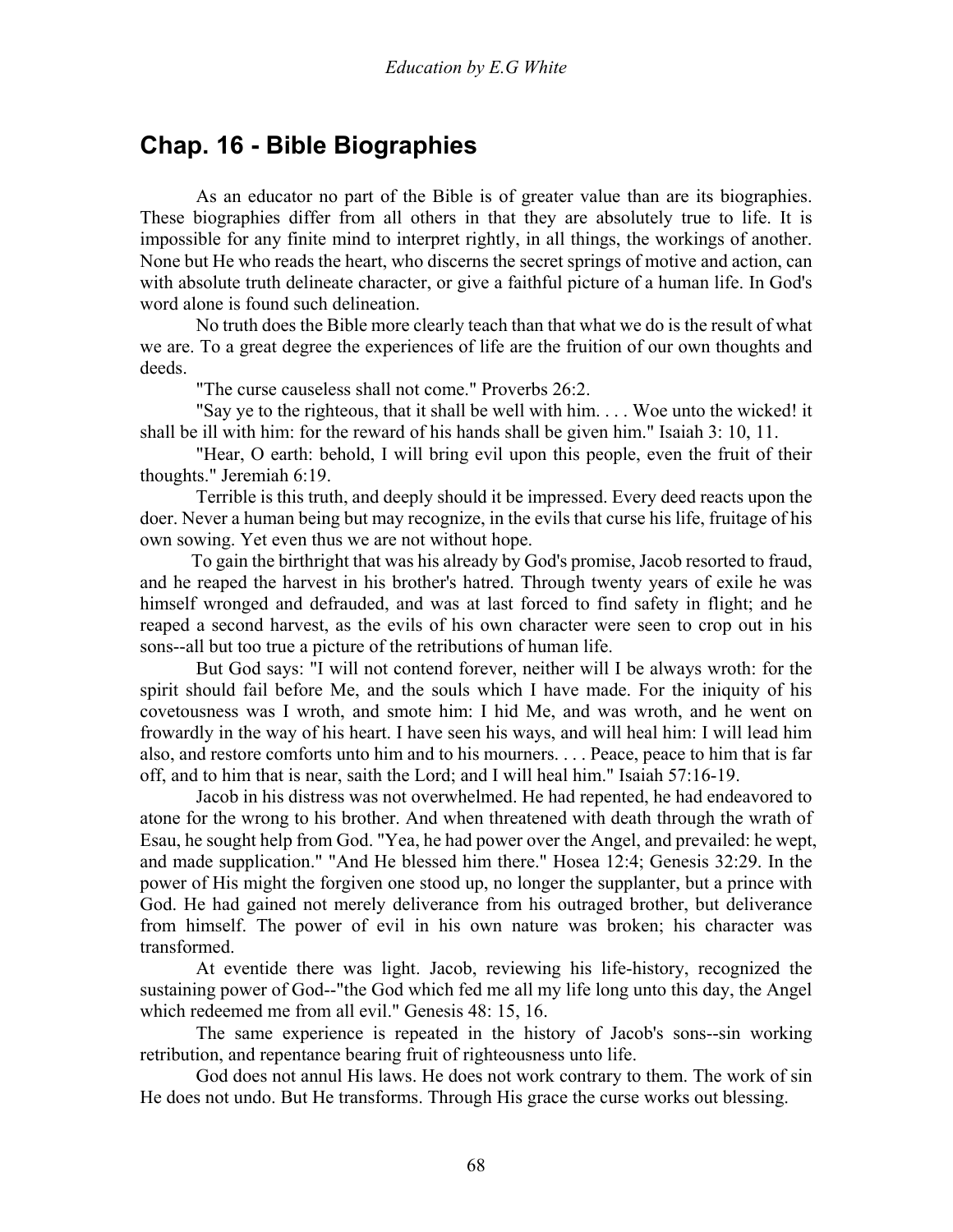# **Chap. 16 - Bible Biographies**

 As an educator no part of the Bible is of greater value than are its biographies. These biographies differ from all others in that they are absolutely true to life. It is impossible for any finite mind to interpret rightly, in all things, the workings of another. None but He who reads the heart, who discerns the secret springs of motive and action, can with absolute truth delineate character, or give a faithful picture of a human life. In God's word alone is found such delineation.

 No truth does the Bible more clearly teach than that what we do is the result of what we are. To a great degree the experiences of life are the fruition of our own thoughts and deeds.

"The curse causeless shall not come." Proverbs 26:2.

 "Say ye to the righteous, that it shall be well with him. . . . Woe unto the wicked! it shall be ill with him: for the reward of his hands shall be given him." Isaiah 3: 10, 11.

 "Hear, O earth: behold, I will bring evil upon this people, even the fruit of their thoughts." Jeremiah 6:19.

 Terrible is this truth, and deeply should it be impressed. Every deed reacts upon the doer. Never a human being but may recognize, in the evils that curse his life, fruitage of his own sowing. Yet even thus we are not without hope.

 To gain the birthright that was his already by God's promise, Jacob resorted to fraud, and he reaped the harvest in his brother's hatred. Through twenty years of exile he was himself wronged and defrauded, and was at last forced to find safety in flight; and he reaped a second harvest, as the evils of his own character were seen to crop out in his sons--all but too true a picture of the retributions of human life.

 But God says: "I will not contend forever, neither will I be always wroth: for the spirit should fail before Me, and the souls which I have made. For the iniquity of his covetousness was I wroth, and smote him: I hid Me, and was wroth, and he went on frowardly in the way of his heart. I have seen his ways, and will heal him: I will lead him also, and restore comforts unto him and to his mourners. . . . Peace, peace to him that is far off, and to him that is near, saith the Lord; and I will heal him." Isaiah 57:16-19.

 Jacob in his distress was not overwhelmed. He had repented, he had endeavored to atone for the wrong to his brother. And when threatened with death through the wrath of Esau, he sought help from God. "Yea, he had power over the Angel, and prevailed: he wept, and made supplication." "And He blessed him there." Hosea 12:4; Genesis 32:29. In the power of His might the forgiven one stood up, no longer the supplanter, but a prince with God. He had gained not merely deliverance from his outraged brother, but deliverance from himself. The power of evil in his own nature was broken; his character was transformed.

 At eventide there was light. Jacob, reviewing his life-history, recognized the sustaining power of God--"the God which fed me all my life long unto this day, the Angel which redeemed me from all evil." Genesis 48: 15, 16.

 The same experience is repeated in the history of Jacob's sons--sin working retribution, and repentance bearing fruit of righteousness unto life.

 God does not annul His laws. He does not work contrary to them. The work of sin He does not undo. But He transforms. Through His grace the curse works out blessing.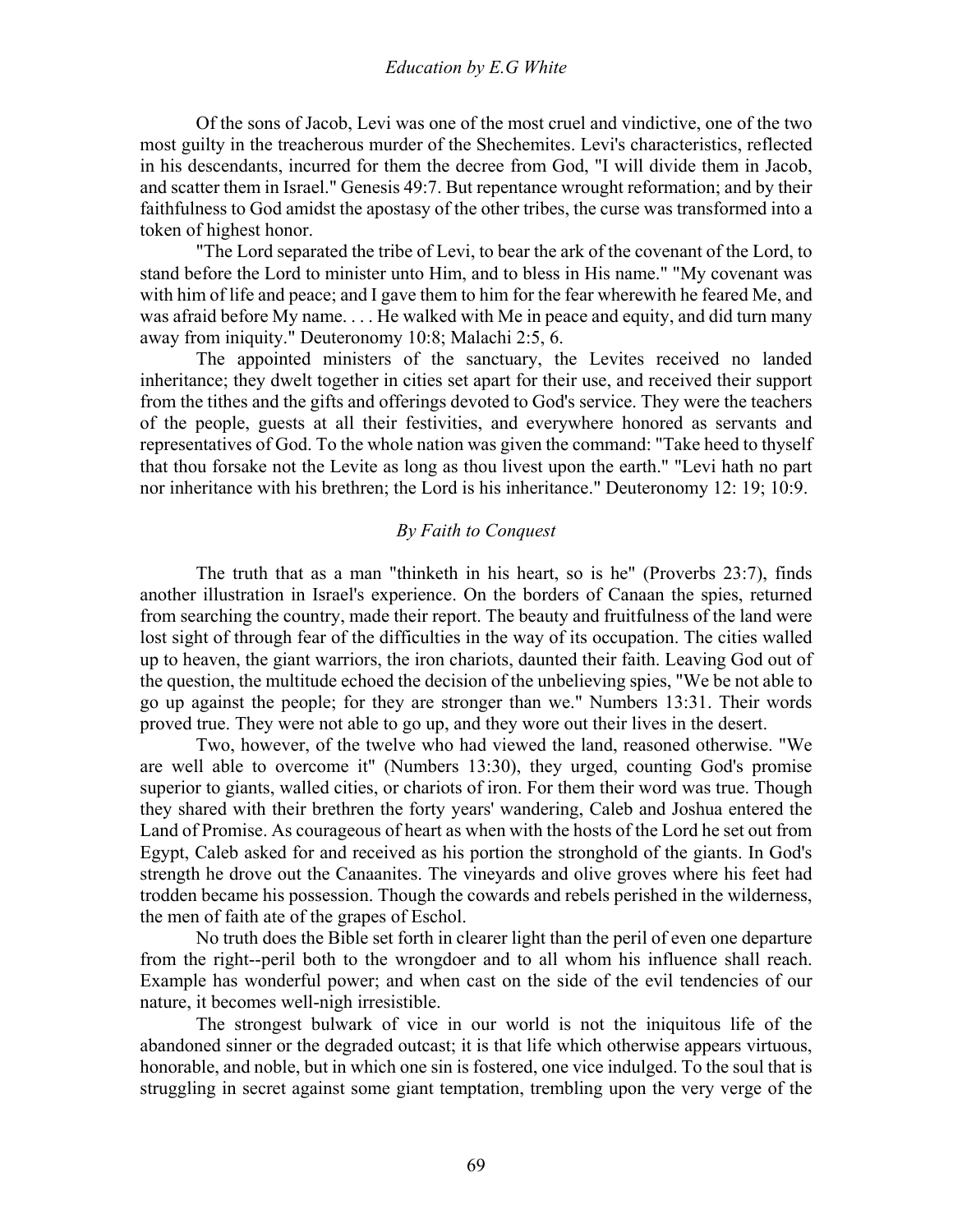Of the sons of Jacob, Levi was one of the most cruel and vindictive, one of the two most guilty in the treacherous murder of the Shechemites. Levi's characteristics, reflected in his descendants, incurred for them the decree from God, "I will divide them in Jacob, and scatter them in Israel." Genesis 49:7. But repentance wrought reformation; and by their faithfulness to God amidst the apostasy of the other tribes, the curse was transformed into a token of highest honor.

 "The Lord separated the tribe of Levi, to bear the ark of the covenant of the Lord, to stand before the Lord to minister unto Him, and to bless in His name." "My covenant was with him of life and peace; and I gave them to him for the fear wherewith he feared Me, and was afraid before My name. . . . He walked with Me in peace and equity, and did turn many away from iniquity." Deuteronomy 10:8; Malachi 2:5, 6.

 The appointed ministers of the sanctuary, the Levites received no landed inheritance; they dwelt together in cities set apart for their use, and received their support from the tithes and the gifts and offerings devoted to God's service. They were the teachers of the people, guests at all their festivities, and everywhere honored as servants and representatives of God. To the whole nation was given the command: "Take heed to thyself that thou forsake not the Levite as long as thou livest upon the earth." "Levi hath no part nor inheritance with his brethren; the Lord is his inheritance." Deuteronomy 12: 19; 10:9.

#### *By Faith to Conquest*

The truth that as a man "thinketh in his heart, so is he" (Proverbs 23:7), finds another illustration in Israel's experience. On the borders of Canaan the spies, returned from searching the country, made their report. The beauty and fruitfulness of the land were lost sight of through fear of the difficulties in the way of its occupation. The cities walled up to heaven, the giant warriors, the iron chariots, daunted their faith. Leaving God out of the question, the multitude echoed the decision of the unbelieving spies, "We be not able to go up against the people; for they are stronger than we." Numbers 13:31. Their words proved true. They were not able to go up, and they wore out their lives in the desert.

 Two, however, of the twelve who had viewed the land, reasoned otherwise. "We are well able to overcome it" (Numbers 13:30), they urged, counting God's promise superior to giants, walled cities, or chariots of iron. For them their word was true. Though they shared with their brethren the forty years' wandering, Caleb and Joshua entered the Land of Promise. As courageous of heart as when with the hosts of the Lord he set out from Egypt, Caleb asked for and received as his portion the stronghold of the giants. In God's strength he drove out the Canaanites. The vineyards and olive groves where his feet had trodden became his possession. Though the cowards and rebels perished in the wilderness, the men of faith ate of the grapes of Eschol.

 No truth does the Bible set forth in clearer light than the peril of even one departure from the right--peril both to the wrongdoer and to all whom his influence shall reach. Example has wonderful power; and when cast on the side of the evil tendencies of our nature, it becomes well-nigh irresistible.

 The strongest bulwark of vice in our world is not the iniquitous life of the abandoned sinner or the degraded outcast; it is that life which otherwise appears virtuous, honorable, and noble, but in which one sin is fostered, one vice indulged. To the soul that is struggling in secret against some giant temptation, trembling upon the very verge of the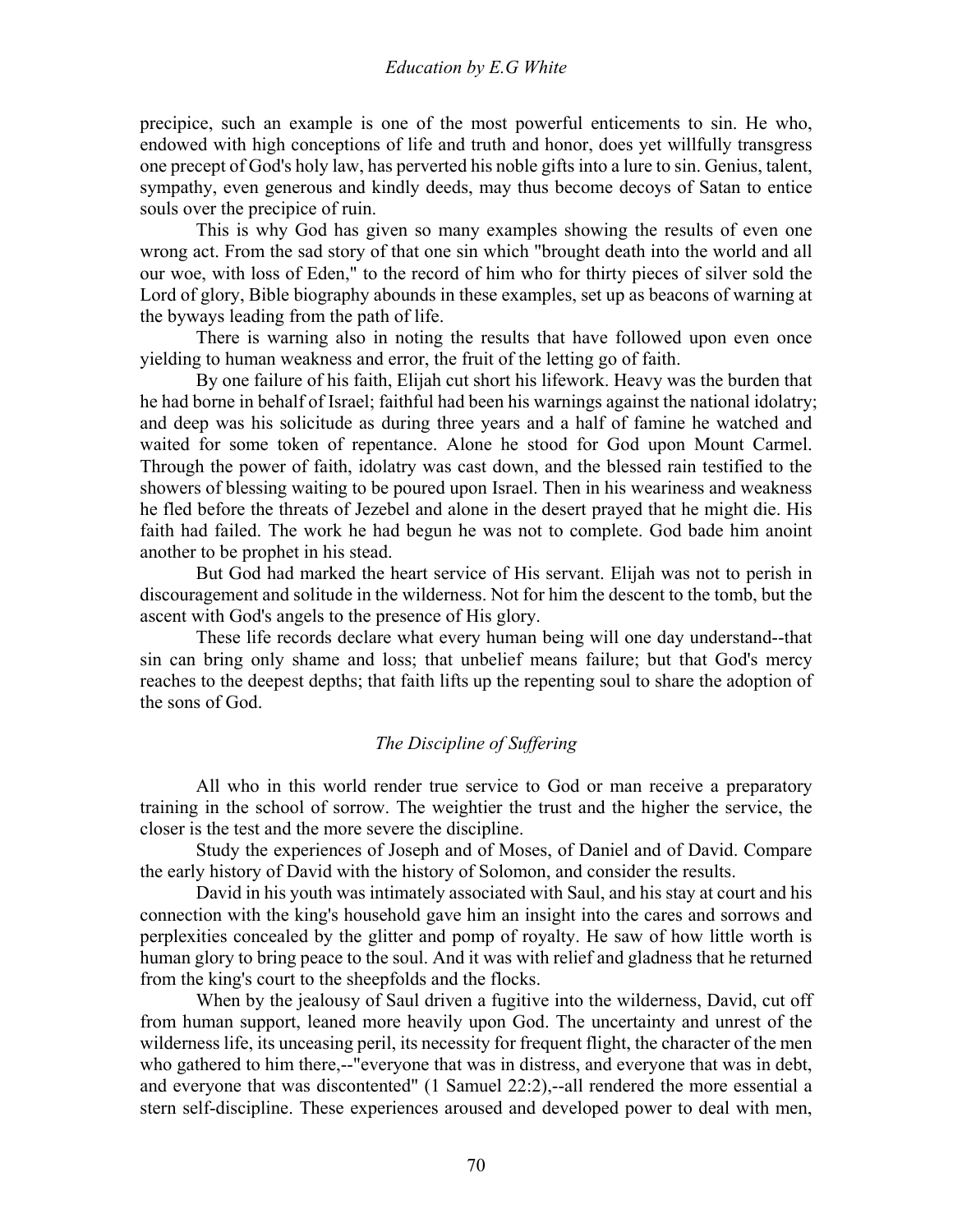precipice, such an example is one of the most powerful enticements to sin. He who, endowed with high conceptions of life and truth and honor, does yet willfully transgress one precept of God's holy law, has perverted his noble gifts into a lure to sin. Genius, talent, sympathy, even generous and kindly deeds, may thus become decoys of Satan to entice souls over the precipice of ruin.

 This is why God has given so many examples showing the results of even one wrong act. From the sad story of that one sin which "brought death into the world and all our woe, with loss of Eden," to the record of him who for thirty pieces of silver sold the Lord of glory, Bible biography abounds in these examples, set up as beacons of warning at the byways leading from the path of life.

 There is warning also in noting the results that have followed upon even once yielding to human weakness and error, the fruit of the letting go of faith.

 By one failure of his faith, Elijah cut short his lifework. Heavy was the burden that he had borne in behalf of Israel; faithful had been his warnings against the national idolatry; and deep was his solicitude as during three years and a half of famine he watched and waited for some token of repentance. Alone he stood for God upon Mount Carmel. Through the power of faith, idolatry was cast down, and the blessed rain testified to the showers of blessing waiting to be poured upon Israel. Then in his weariness and weakness he fled before the threats of Jezebel and alone in the desert prayed that he might die. His faith had failed. The work he had begun he was not to complete. God bade him anoint another to be prophet in his stead.

 But God had marked the heart service of His servant. Elijah was not to perish in discouragement and solitude in the wilderness. Not for him the descent to the tomb, but the ascent with God's angels to the presence of His glory.

 These life records declare what every human being will one day understand--that sin can bring only shame and loss; that unbelief means failure; but that God's mercy reaches to the deepest depths; that faith lifts up the repenting soul to share the adoption of the sons of God.

#### *The Discipline of Suffering*

All who in this world render true service to God or man receive a preparatory training in the school of sorrow. The weightier the trust and the higher the service, the closer is the test and the more severe the discipline.

 Study the experiences of Joseph and of Moses, of Daniel and of David. Compare the early history of David with the history of Solomon, and consider the results.

 David in his youth was intimately associated with Saul, and his stay at court and his connection with the king's household gave him an insight into the cares and sorrows and perplexities concealed by the glitter and pomp of royalty. He saw of how little worth is human glory to bring peace to the soul. And it was with relief and gladness that he returned from the king's court to the sheepfolds and the flocks.

 When by the jealousy of Saul driven a fugitive into the wilderness, David, cut off from human support, leaned more heavily upon God. The uncertainty and unrest of the wilderness life, its unceasing peril, its necessity for frequent flight, the character of the men who gathered to him there,--"everyone that was in distress, and everyone that was in debt, and everyone that was discontented" (1 Samuel 22:2),--all rendered the more essential a stern self-discipline. These experiences aroused and developed power to deal with men,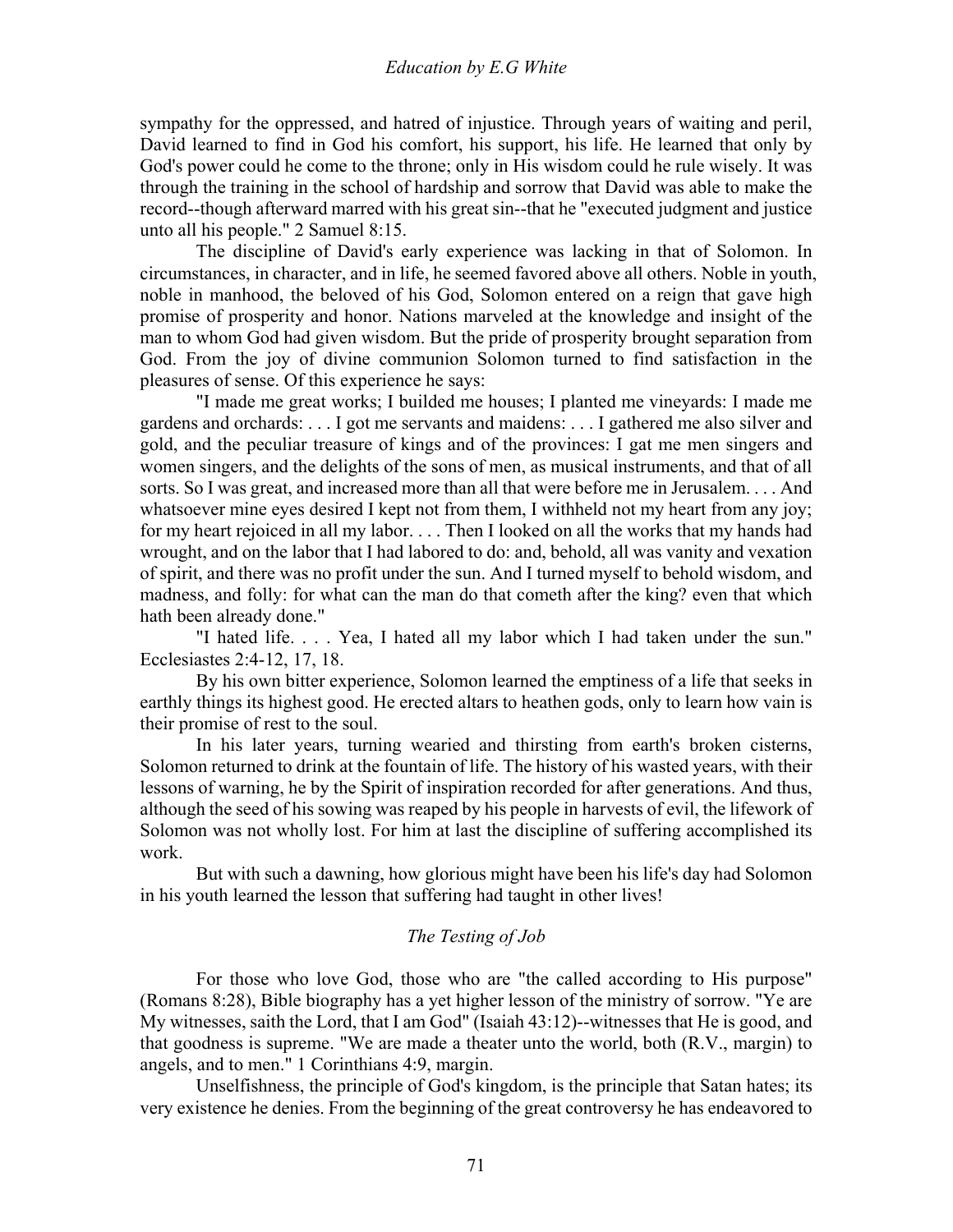sympathy for the oppressed, and hatred of injustice. Through years of waiting and peril, David learned to find in God his comfort, his support, his life. He learned that only by God's power could he come to the throne; only in His wisdom could he rule wisely. It was through the training in the school of hardship and sorrow that David was able to make the record--though afterward marred with his great sin--that he "executed judgment and justice unto all his people." 2 Samuel 8:15.

 The discipline of David's early experience was lacking in that of Solomon. In circumstances, in character, and in life, he seemed favored above all others. Noble in youth, noble in manhood, the beloved of his God, Solomon entered on a reign that gave high promise of prosperity and honor. Nations marveled at the knowledge and insight of the man to whom God had given wisdom. But the pride of prosperity brought separation from God. From the joy of divine communion Solomon turned to find satisfaction in the pleasures of sense. Of this experience he says:

 "I made me great works; I builded me houses; I planted me vineyards: I made me gardens and orchards: . . . I got me servants and maidens: . . . I gathered me also silver and gold, and the peculiar treasure of kings and of the provinces: I gat me men singers and women singers, and the delights of the sons of men, as musical instruments, and that of all sorts. So I was great, and increased more than all that were before me in Jerusalem. . . . And whatsoever mine eyes desired I kept not from them, I withheld not my heart from any joy; for my heart rejoiced in all my labor. . . . Then I looked on all the works that my hands had wrought, and on the labor that I had labored to do: and, behold, all was vanity and vexation of spirit, and there was no profit under the sun. And I turned myself to behold wisdom, and madness, and folly: for what can the man do that cometh after the king? even that which hath been already done."

 "I hated life. . . . Yea, I hated all my labor which I had taken under the sun." Ecclesiastes 2:4-12, 17, 18.

 By his own bitter experience, Solomon learned the emptiness of a life that seeks in earthly things its highest good. He erected altars to heathen gods, only to learn how vain is their promise of rest to the soul.

 In his later years, turning wearied and thirsting from earth's broken cisterns, Solomon returned to drink at the fountain of life. The history of his wasted years, with their lessons of warning, he by the Spirit of inspiration recorded for after generations. And thus, although the seed of his sowing was reaped by his people in harvests of evil, the lifework of Solomon was not wholly lost. For him at last the discipline of suffering accomplished its work.

 But with such a dawning, how glorious might have been his life's day had Solomon in his youth learned the lesson that suffering had taught in other lives!

## *The Testing of Job*

For those who love God, those who are "the called according to His purpose" (Romans 8:28), Bible biography has a yet higher lesson of the ministry of sorrow. "Ye are My witnesses, saith the Lord, that I am God" (Isaiah 43:12)--witnesses that He is good, and that goodness is supreme. "We are made a theater unto the world, both (R.V., margin) to angels, and to men." 1 Corinthians 4:9, margin.

 Unselfishness, the principle of God's kingdom, is the principle that Satan hates; its very existence he denies. From the beginning of the great controversy he has endeavored to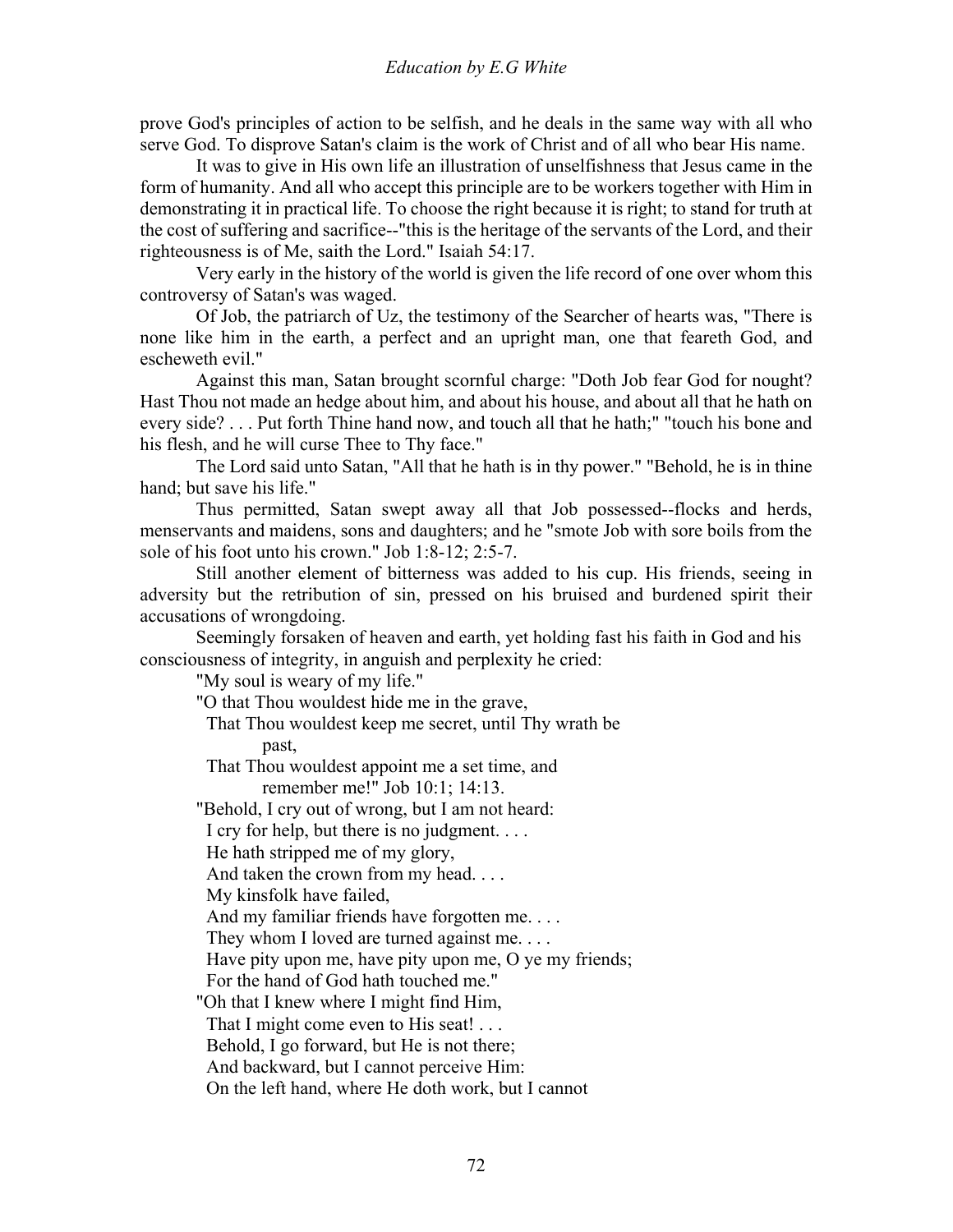prove God's principles of action to be selfish, and he deals in the same way with all who serve God. To disprove Satan's claim is the work of Christ and of all who bear His name.

 It was to give in His own life an illustration of unselfishness that Jesus came in the form of humanity. And all who accept this principle are to be workers together with Him in demonstrating it in practical life. To choose the right because it is right; to stand for truth at the cost of suffering and sacrifice--"this is the heritage of the servants of the Lord, and their righteousness is of Me, saith the Lord." Isaiah 54:17.

 Very early in the history of the world is given the life record of one over whom this controversy of Satan's was waged.

 Of Job, the patriarch of Uz, the testimony of the Searcher of hearts was, "There is none like him in the earth, a perfect and an upright man, one that feareth God, and escheweth evil."

 Against this man, Satan brought scornful charge: "Doth Job fear God for nought? Hast Thou not made an hedge about him, and about his house, and about all that he hath on every side? . . . Put forth Thine hand now, and touch all that he hath;" "touch his bone and his flesh, and he will curse Thee to Thy face."

 The Lord said unto Satan, "All that he hath is in thy power." "Behold, he is in thine hand; but save his life."

 Thus permitted, Satan swept away all that Job possessed--flocks and herds, menservants and maidens, sons and daughters; and he "smote Job with sore boils from the sole of his foot unto his crown." Job 1:8-12; 2:5-7.

 Still another element of bitterness was added to his cup. His friends, seeing in adversity but the retribution of sin, pressed on his bruised and burdened spirit their accusations of wrongdoing.

 Seemingly forsaken of heaven and earth, yet holding fast his faith in God and his consciousness of integrity, in anguish and perplexity he cried:

"My soul is weary of my life."

"O that Thou wouldest hide me in the grave,

 That Thou wouldest keep me secret, until Thy wrath be past,

That Thou wouldest appoint me a set time, and

remember me!" Job 10:1; 14:13.

"Behold, I cry out of wrong, but I am not heard:

I cry for help, but there is no judgment. . . .

He hath stripped me of my glory,

And taken the crown from my head. . . .

My kinsfolk have failed,

And my familiar friends have forgotten me. . . .

They whom I loved are turned against me. . . .

Have pity upon me, have pity upon me, O ye my friends;

For the hand of God hath touched me."

"Oh that I knew where I might find Him,

That I might come even to His seat! . . .

Behold, I go forward, but He is not there;

And backward, but I cannot perceive Him:

On the left hand, where He doth work, but I cannot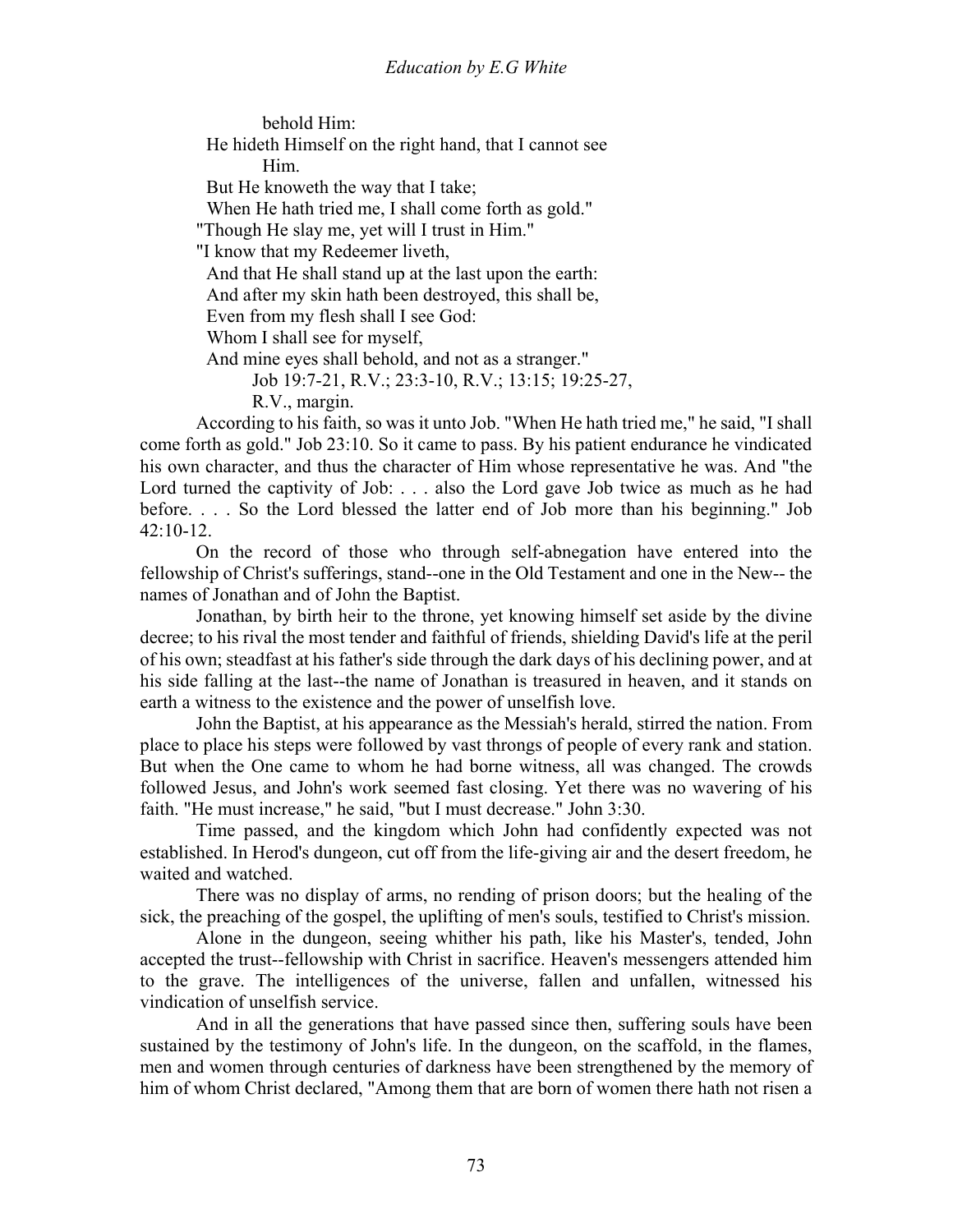behold Him:

 He hideth Himself on the right hand, that I cannot see Him.

But He knoweth the way that I take;

When He hath tried me, I shall come forth as gold."

"Though He slay me, yet will I trust in Him."

"I know that my Redeemer liveth,

And that He shall stand up at the last upon the earth:

And after my skin hath been destroyed, this shall be,

Even from my flesh shall I see God:

Whom I shall see for myself,

And mine eyes shall behold, and not as a stranger."

Job 19:7-21, R.V.; 23:3-10, R.V.; 13:15; 19:25-27,

R.V., margin.

 According to his faith, so was it unto Job. "When He hath tried me," he said, "I shall come forth as gold." Job 23:10. So it came to pass. By his patient endurance he vindicated his own character, and thus the character of Him whose representative he was. And "the Lord turned the captivity of Job: . . . also the Lord gave Job twice as much as he had before. . . . So the Lord blessed the latter end of Job more than his beginning." Job 42:10-12.

 On the record of those who through self-abnegation have entered into the fellowship of Christ's sufferings, stand--one in the Old Testament and one in the New-- the names of Jonathan and of John the Baptist.

 Jonathan, by birth heir to the throne, yet knowing himself set aside by the divine decree; to his rival the most tender and faithful of friends, shielding David's life at the peril of his own; steadfast at his father's side through the dark days of his declining power, and at his side falling at the last--the name of Jonathan is treasured in heaven, and it stands on earth a witness to the existence and the power of unselfish love.

 John the Baptist, at his appearance as the Messiah's herald, stirred the nation. From place to place his steps were followed by vast throngs of people of every rank and station. But when the One came to whom he had borne witness, all was changed. The crowds followed Jesus, and John's work seemed fast closing. Yet there was no wavering of his faith. "He must increase," he said, "but I must decrease." John 3:30.

 Time passed, and the kingdom which John had confidently expected was not established. In Herod's dungeon, cut off from the life-giving air and the desert freedom, he waited and watched.

 There was no display of arms, no rending of prison doors; but the healing of the sick, the preaching of the gospel, the uplifting of men's souls, testified to Christ's mission.

 Alone in the dungeon, seeing whither his path, like his Master's, tended, John accepted the trust--fellowship with Christ in sacrifice. Heaven's messengers attended him to the grave. The intelligences of the universe, fallen and unfallen, witnessed his vindication of unselfish service.

 And in all the generations that have passed since then, suffering souls have been sustained by the testimony of John's life. In the dungeon, on the scaffold, in the flames, men and women through centuries of darkness have been strengthened by the memory of him of whom Christ declared, "Among them that are born of women there hath not risen a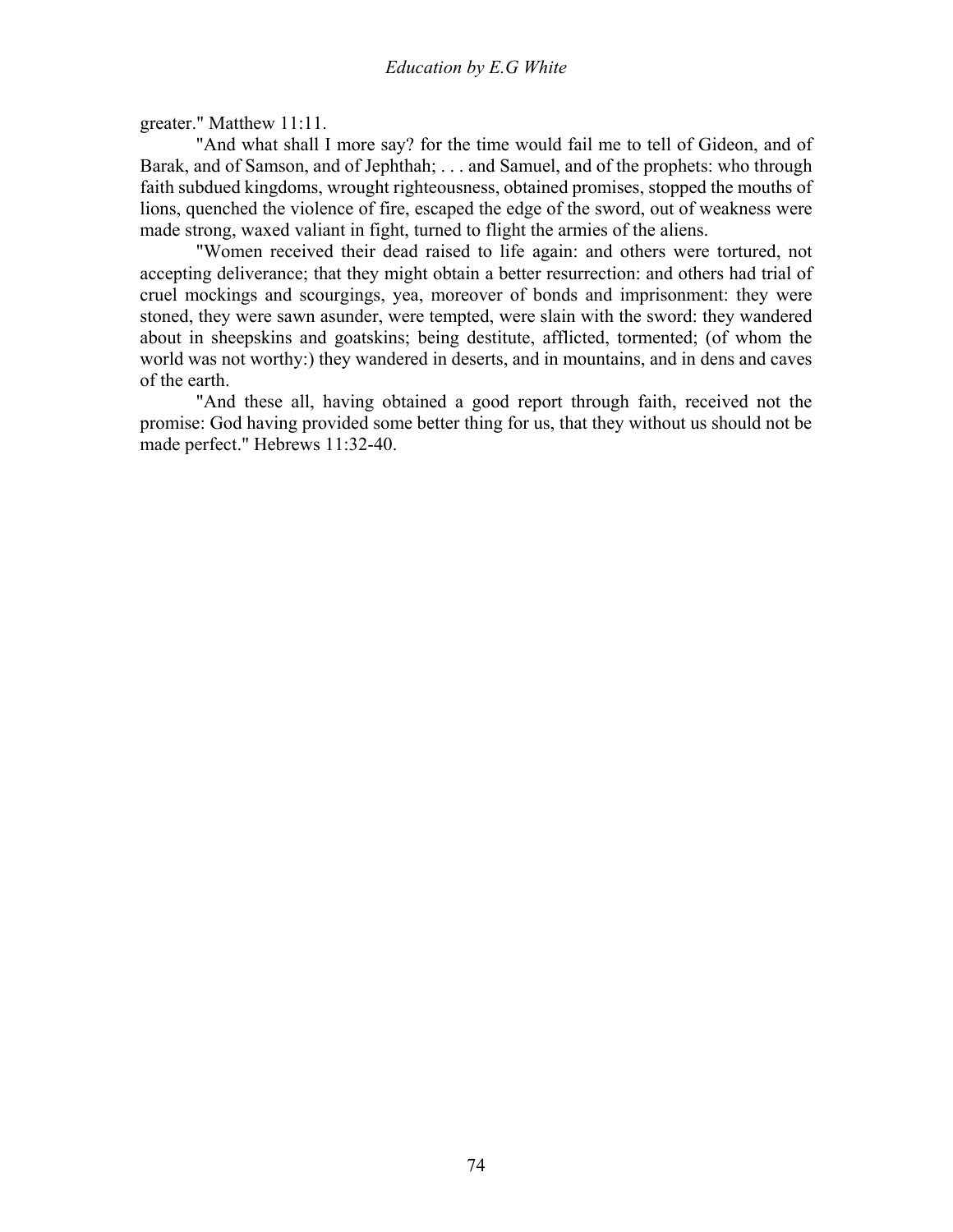greater." Matthew 11:11.

 "And what shall I more say? for the time would fail me to tell of Gideon, and of Barak, and of Samson, and of Jephthah; . . . and Samuel, and of the prophets: who through faith subdued kingdoms, wrought righteousness, obtained promises, stopped the mouths of lions, quenched the violence of fire, escaped the edge of the sword, out of weakness were made strong, waxed valiant in fight, turned to flight the armies of the aliens.

 "Women received their dead raised to life again: and others were tortured, not accepting deliverance; that they might obtain a better resurrection: and others had trial of cruel mockings and scourgings, yea, moreover of bonds and imprisonment: they were stoned, they were sawn asunder, were tempted, were slain with the sword: they wandered about in sheepskins and goatskins; being destitute, afflicted, tormented; (of whom the world was not worthy:) they wandered in deserts, and in mountains, and in dens and caves of the earth.

 "And these all, having obtained a good report through faith, received not the promise: God having provided some better thing for us, that they without us should not be made perfect." Hebrews 11:32-40.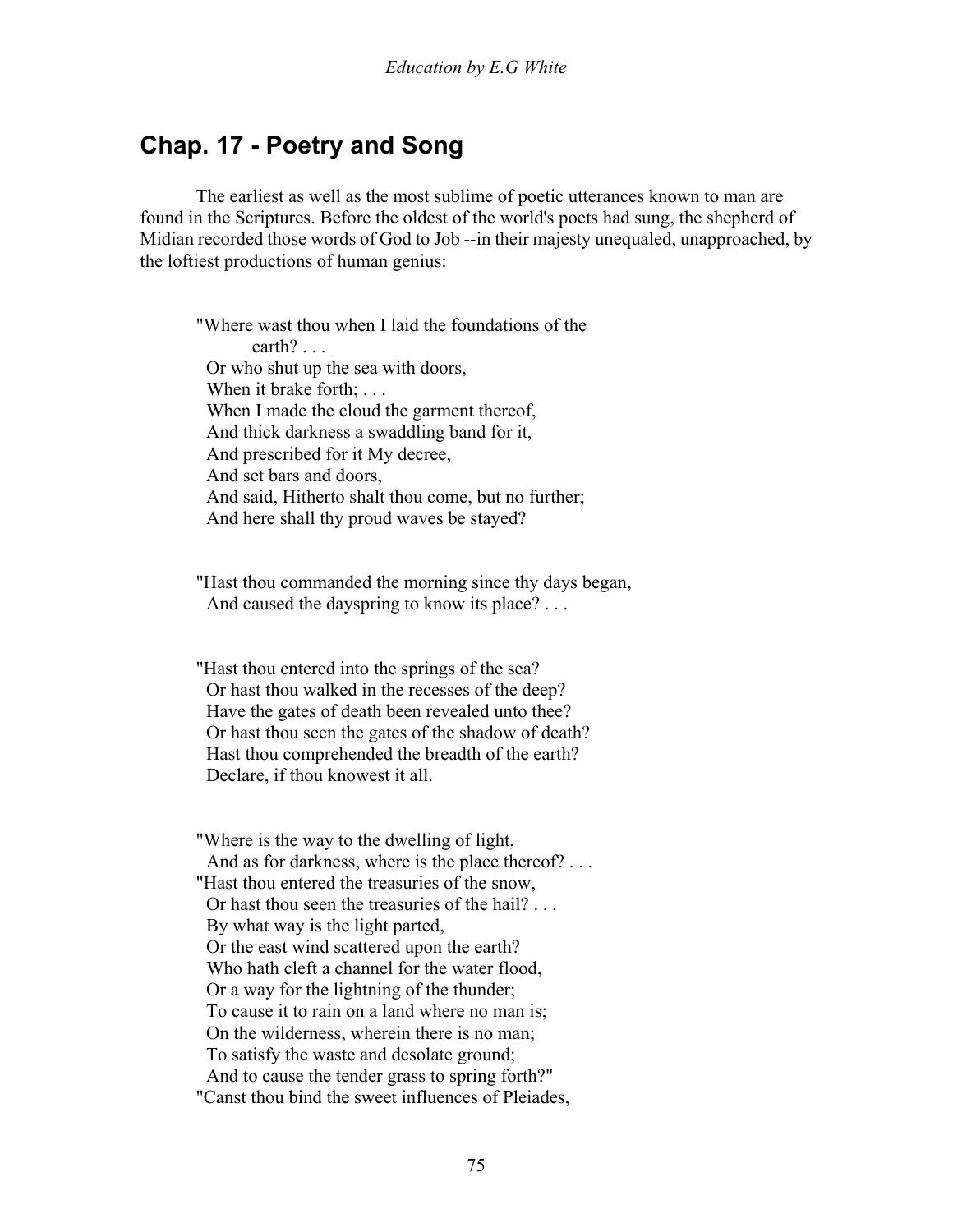## **Chap. 17 - Poetry and Song**

 The earliest as well as the most sublime of poetic utterances known to man are found in the Scriptures. Before the oldest of the world's poets had sung, the shepherd of Midian recorded those words of God to Job --in their majesty unequaled, unapproached, by the loftiest productions of human genius:

"Where wast thou when I laid the foundations of the earth? . . . Or who shut up the sea with doors, When it brake forth: . . . When I made the cloud the garment thereof, And thick darkness a swaddling band for it, And prescribed for it My decree, And set bars and doors, And said, Hitherto shalt thou come, but no further; And here shall thy proud waves be stayed?

"Hast thou commanded the morning since thy days began, And caused the dayspring to know its place? ...

"Hast thou entered into the springs of the sea? Or hast thou walked in the recesses of the deep? Have the gates of death been revealed unto thee? Or hast thou seen the gates of the shadow of death? Hast thou comprehended the breadth of the earth? Declare, if thou knowest it all.

"Where is the way to the dwelling of light, And as for darkness, where is the place thereof? . . . "Hast thou entered the treasuries of the snow, Or hast thou seen the treasuries of the hail? . . . By what way is the light parted, Or the east wind scattered upon the earth? Who hath cleft a channel for the water flood, Or a way for the lightning of the thunder; To cause it to rain on a land where no man is; On the wilderness, wherein there is no man; To satisfy the waste and desolate ground; And to cause the tender grass to spring forth?" "Canst thou bind the sweet influences of Pleiades,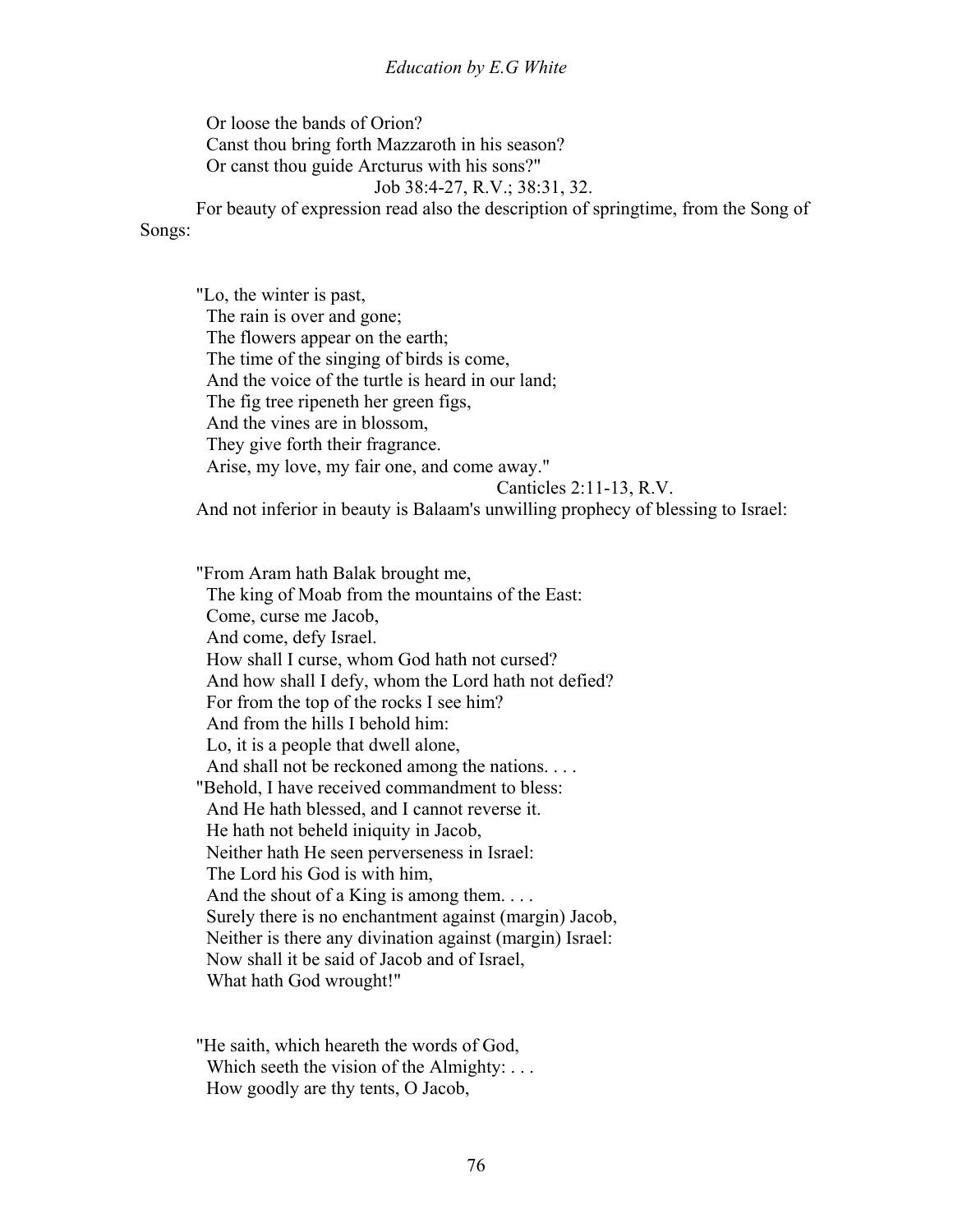#### *Education by E.G White*

 Or loose the bands of Orion? Canst thou bring forth Mazzaroth in his season? Or canst thou guide Arcturus with his sons?" Job 38:4-27, R.V.; 38:31, 32. For beauty of expression read also the description of springtime, from the Song of

Songs:

"Lo, the winter is past, The rain is over and gone; The flowers appear on the earth; The time of the singing of birds is come, And the voice of the turtle is heard in our land; The fig tree ripeneth her green figs, And the vines are in blossom, They give forth their fragrance. Arise, my love, my fair one, and come away." Canticles 2:11-13, R.V.

And not inferior in beauty is Balaam's unwilling prophecy of blessing to Israel:

"From Aram hath Balak brought me, The king of Moab from the mountains of the East: Come, curse me Jacob, And come, defy Israel. How shall I curse, whom God hath not cursed? And how shall I defy, whom the Lord hath not defied? For from the top of the rocks I see him? And from the hills I behold him: Lo, it is a people that dwell alone, And shall not be reckoned among the nations. . . . "Behold, I have received commandment to bless: And He hath blessed, and I cannot reverse it. He hath not beheld iniquity in Jacob, Neither hath He seen perverseness in Israel: The Lord his God is with him, And the shout of a King is among them.... Surely there is no enchantment against (margin) Jacob, Neither is there any divination against (margin) Israel: Now shall it be said of Jacob and of Israel, What hath God wrought!"

"He saith, which heareth the words of God, Which seeth the vision of the Almighty: ... How goodly are thy tents, O Jacob,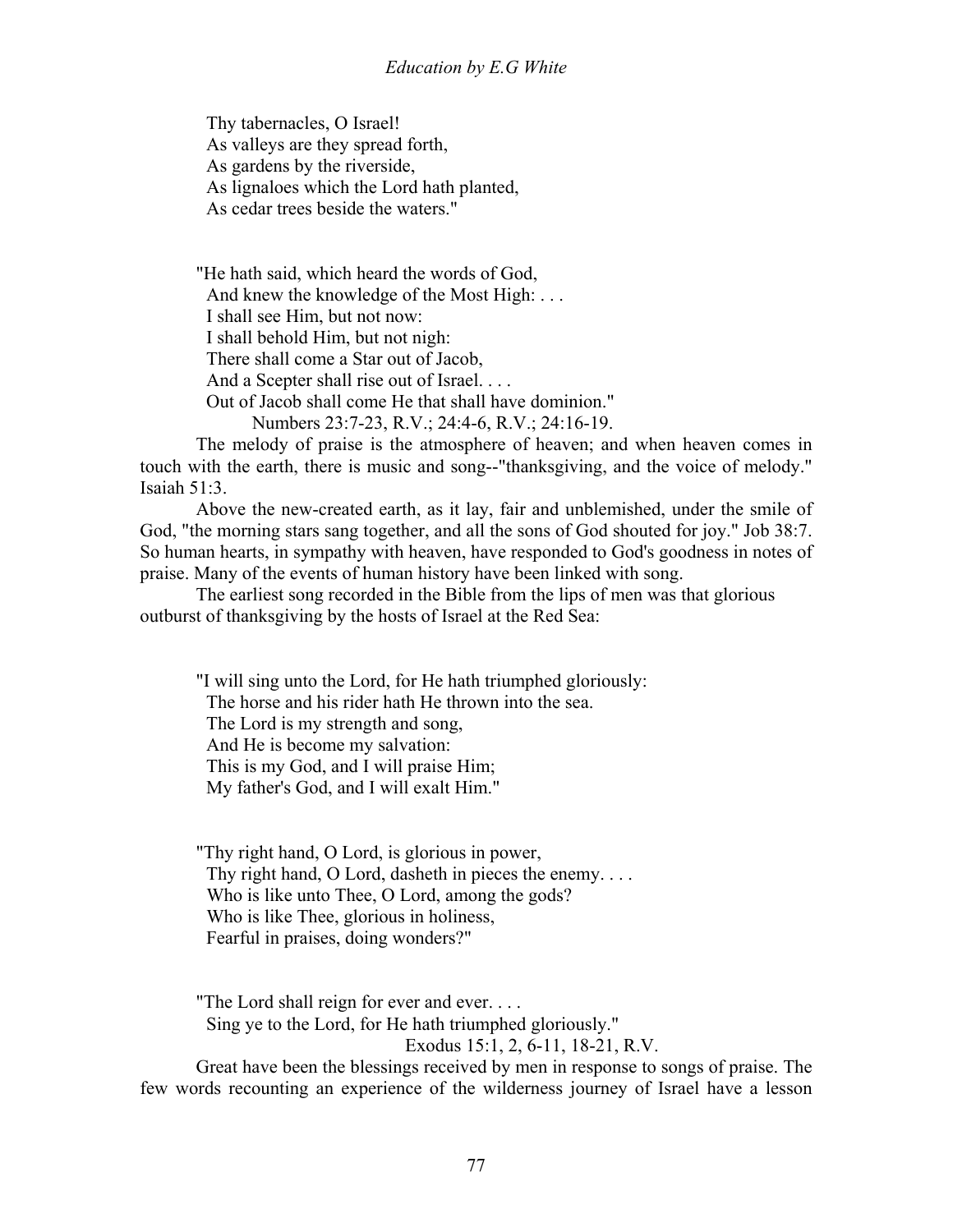Thy tabernacles, O Israel! As valleys are they spread forth, As gardens by the riverside, As lignaloes which the Lord hath planted, As cedar trees beside the waters."

"He hath said, which heard the words of God, And knew the knowledge of the Most High: . . . I shall see Him, but not now: I shall behold Him, but not nigh: There shall come a Star out of Jacob, And a Scepter shall rise out of Israel. . . . Out of Jacob shall come He that shall have dominion." Numbers 23:7-23, R.V.; 24:4-6, R.V.; 24:16-19.

 The melody of praise is the atmosphere of heaven; and when heaven comes in touch with the earth, there is music and song--"thanksgiving, and the voice of melody." Isaiah 51:3.

 Above the new-created earth, as it lay, fair and unblemished, under the smile of God, "the morning stars sang together, and all the sons of God shouted for joy." Job 38:7. So human hearts, in sympathy with heaven, have responded to God's goodness in notes of praise. Many of the events of human history have been linked with song.

 The earliest song recorded in the Bible from the lips of men was that glorious outburst of thanksgiving by the hosts of Israel at the Red Sea:

"I will sing unto the Lord, for He hath triumphed gloriously: The horse and his rider hath He thrown into the sea. The Lord is my strength and song, And He is become my salvation: This is my God, and I will praise Him; My father's God, and I will exalt Him."

"Thy right hand, O Lord, is glorious in power, Thy right hand, O Lord, dasheth in pieces the enemy.... Who is like unto Thee, O Lord, among the gods? Who is like Thee, glorious in holiness, Fearful in praises, doing wonders?"

"The Lord shall reign for ever and ever. . . . Sing ye to the Lord, for He hath triumphed gloriously."

Exodus 15:1, 2, 6-11, 18-21, R.V.

 Great have been the blessings received by men in response to songs of praise. The few words recounting an experience of the wilderness journey of Israel have a lesson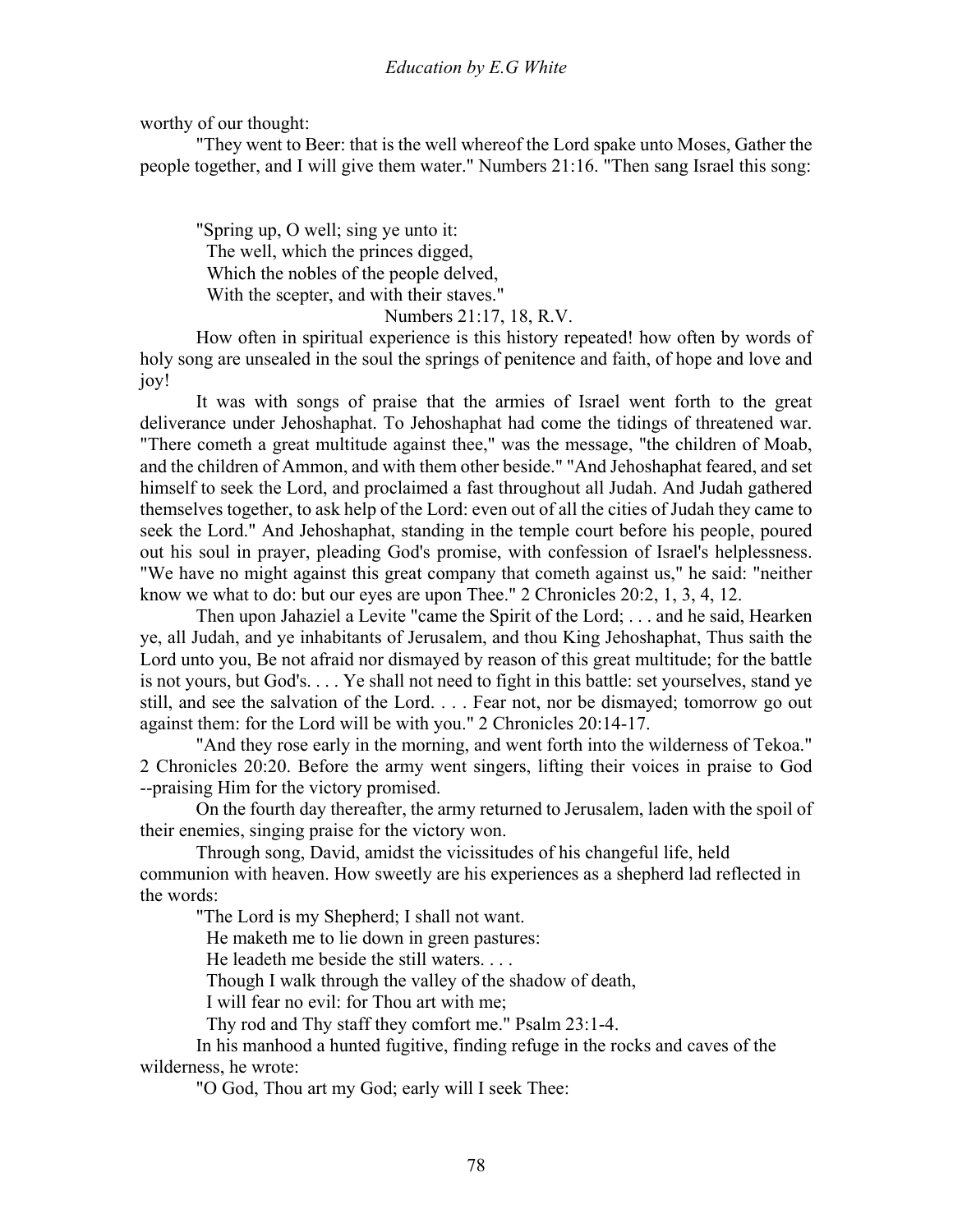worthy of our thought:

 "They went to Beer: that is the well whereof the Lord spake unto Moses, Gather the people together, and I will give them water." Numbers 21:16. "Then sang Israel this song:

"Spring up, O well; sing ye unto it: The well, which the princes digged, Which the nobles of the people delved, With the scepter, and with their staves."

#### Numbers 21:17, 18, R.V.

 How often in spiritual experience is this history repeated! how often by words of holy song are unsealed in the soul the springs of penitence and faith, of hope and love and joy!

 It was with songs of praise that the armies of Israel went forth to the great deliverance under Jehoshaphat. To Jehoshaphat had come the tidings of threatened war. "There cometh a great multitude against thee," was the message, "the children of Moab, and the children of Ammon, and with them other beside." "And Jehoshaphat feared, and set himself to seek the Lord, and proclaimed a fast throughout all Judah. And Judah gathered themselves together, to ask help of the Lord: even out of all the cities of Judah they came to seek the Lord." And Jehoshaphat, standing in the temple court before his people, poured out his soul in prayer, pleading God's promise, with confession of Israel's helplessness. "We have no might against this great company that cometh against us," he said: "neither know we what to do: but our eyes are upon Thee." 2 Chronicles 20:2, 1, 3, 4, 12.

 Then upon Jahaziel a Levite "came the Spirit of the Lord; . . . and he said, Hearken ye, all Judah, and ye inhabitants of Jerusalem, and thou King Jehoshaphat, Thus saith the Lord unto you, Be not afraid nor dismayed by reason of this great multitude; for the battle is not yours, but God's. . . . Ye shall not need to fight in this battle: set yourselves, stand ye still, and see the salvation of the Lord. . . . Fear not, nor be dismayed; tomorrow go out against them: for the Lord will be with you." 2 Chronicles 20:14-17.

 "And they rose early in the morning, and went forth into the wilderness of Tekoa." 2 Chronicles 20:20. Before the army went singers, lifting their voices in praise to God --praising Him for the victory promised.

 On the fourth day thereafter, the army returned to Jerusalem, laden with the spoil of their enemies, singing praise for the victory won.

 Through song, David, amidst the vicissitudes of his changeful life, held communion with heaven. How sweetly are his experiences as a shepherd lad reflected in the words:

"The Lord is my Shepherd; I shall not want.

He maketh me to lie down in green pastures:

He leadeth me beside the still waters. . . .

Though I walk through the valley of the shadow of death,

I will fear no evil: for Thou art with me;

Thy rod and Thy staff they comfort me." Psalm 23:1-4.

 In his manhood a hunted fugitive, finding refuge in the rocks and caves of the wilderness, he wrote:

"O God, Thou art my God; early will I seek Thee: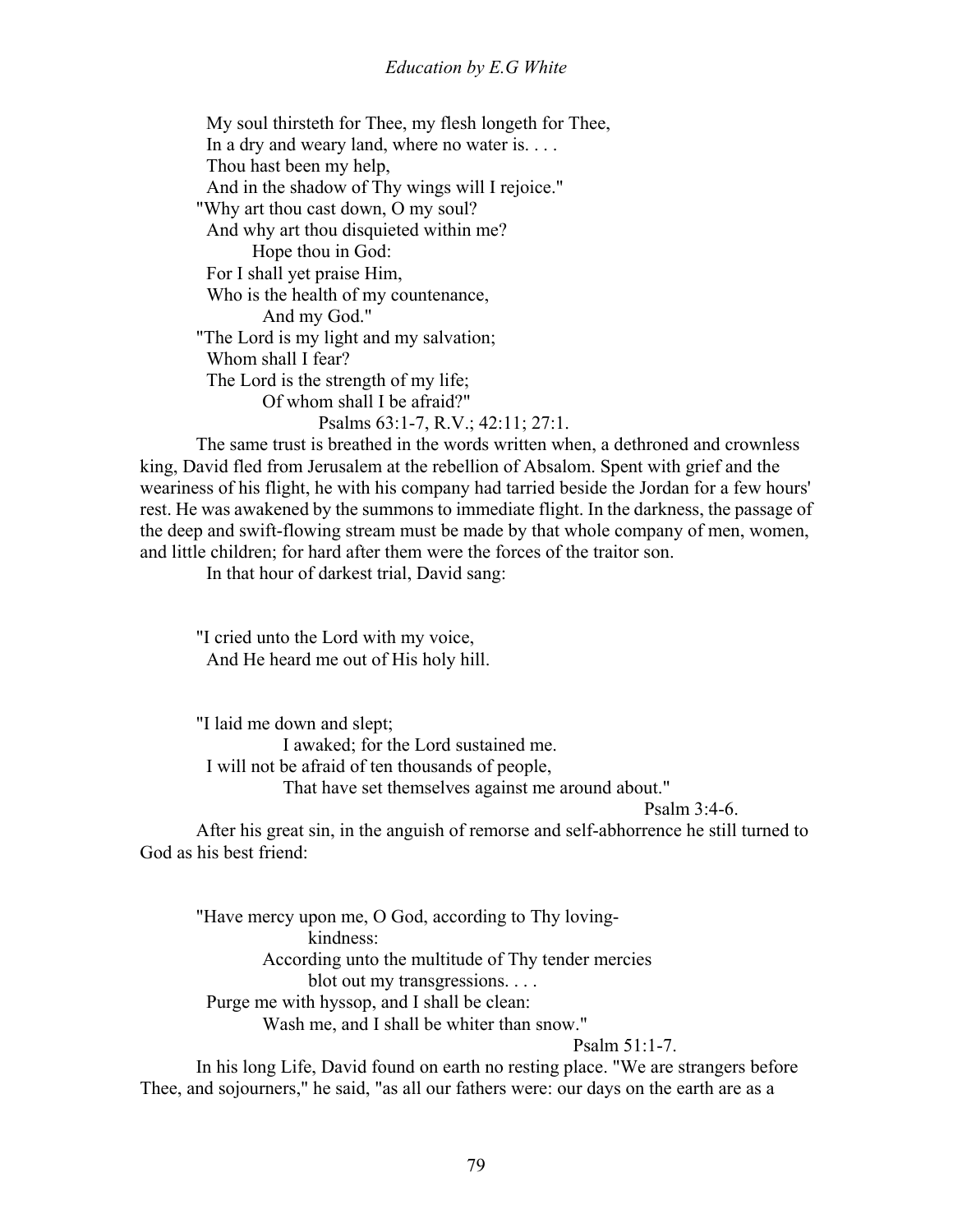#### *Education by E.G White*

 My soul thirsteth for Thee, my flesh longeth for Thee, In a dry and weary land, where no water is. . . . Thou hast been my help, And in the shadow of Thy wings will I rejoice." "Why art thou cast down, O my soul? And why art thou disquieted within me? Hope thou in God: For I shall yet praise Him, Who is the health of my countenance, And my God." "The Lord is my light and my salvation; Whom shall I fear? The Lord is the strength of my life; Of whom shall I be afraid?" Psalms 63:1-7, R.V.; 42:11; 27:1.

 The same trust is breathed in the words written when, a dethroned and crownless king, David fled from Jerusalem at the rebellion of Absalom. Spent with grief and the weariness of his flight, he with his company had tarried beside the Jordan for a few hours' rest. He was awakened by the summons to immediate flight. In the darkness, the passage of the deep and swift-flowing stream must be made by that whole company of men, women, and little children; for hard after them were the forces of the traitor son.

In that hour of darkest trial, David sang:

"I cried unto the Lord with my voice, And He heard me out of His holy hill.

"I laid me down and slept; I awaked; for the Lord sustained me. I will not be afraid of ten thousands of people, That have set themselves against me around about."

Psalm 3:4-6.

 After his great sin, in the anguish of remorse and self-abhorrence he still turned to God as his best friend:

"Have mercy upon me, O God, according to Thy loving kindness: According unto the multitude of Thy tender mercies blot out my transgressions. . . . Purge me with hyssop, and I shall be clean: Wash me, and I shall be whiter than snow." Psalm 51:1-7.

 In his long Life, David found on earth no resting place. "We are strangers before Thee, and sojourners," he said, "as all our fathers were: our days on the earth are as a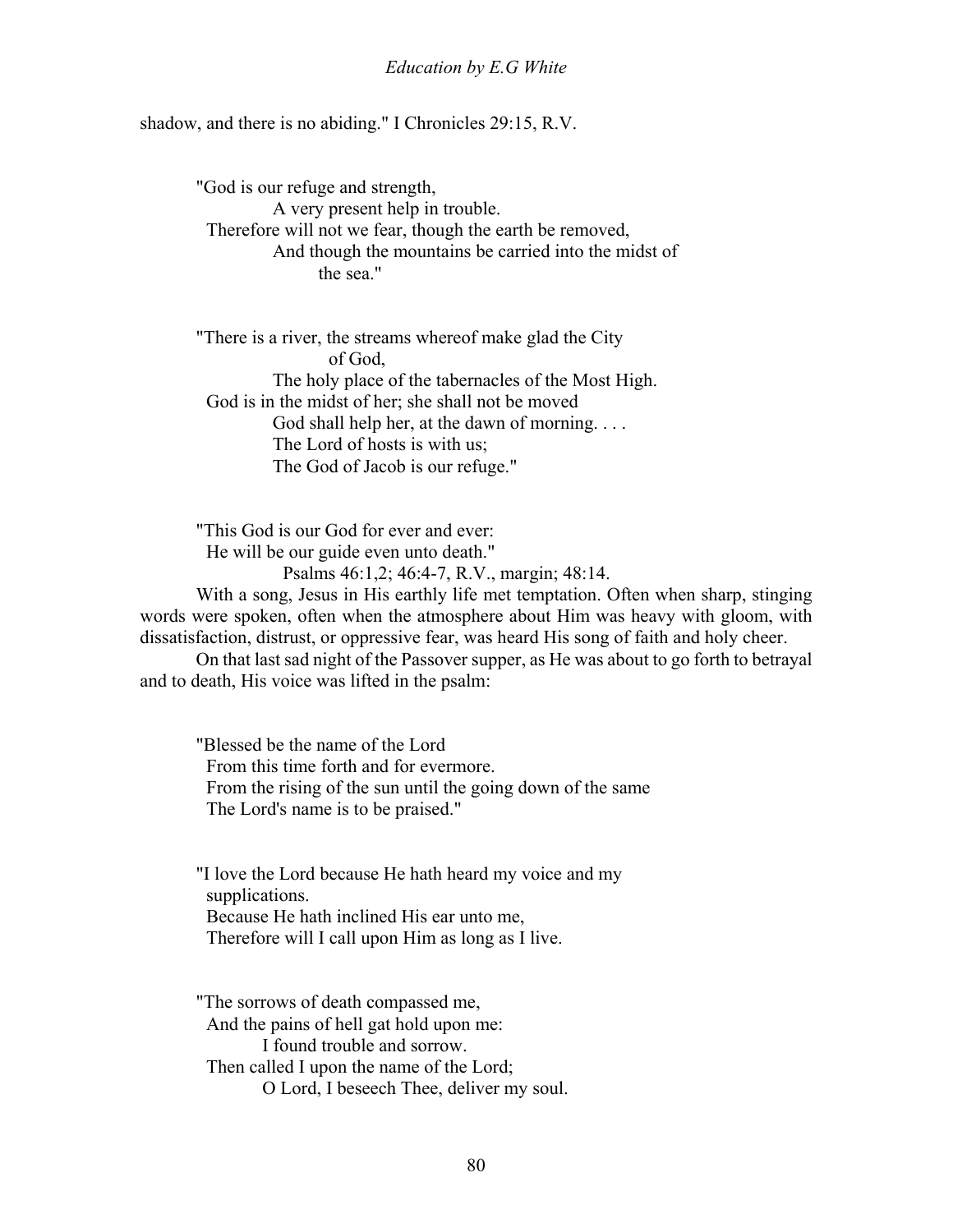shadow, and there is no abiding." I Chronicles 29:15, R.V.

"God is our refuge and strength, A very present help in trouble. Therefore will not we fear, though the earth be removed, And though the mountains be carried into the midst of the sea."

"There is a river, the streams whereof make glad the City of God, The holy place of the tabernacles of the Most High. God is in the midst of her; she shall not be moved God shall help her, at the dawn of morning. . . . The Lord of hosts is with us; The God of Jacob is our refuge."

"This God is our God for ever and ever: He will be our guide even unto death."

Psalms 46:1,2; 46:4-7, R.V., margin; 48:14.

 With a song, Jesus in His earthly life met temptation. Often when sharp, stinging words were spoken, often when the atmosphere about Him was heavy with gloom, with dissatisfaction, distrust, or oppressive fear, was heard His song of faith and holy cheer.

 On that last sad night of the Passover supper, as He was about to go forth to betrayal and to death, His voice was lifted in the psalm:

"Blessed be the name of the Lord From this time forth and for evermore. From the rising of the sun until the going down of the same The Lord's name is to be praised."

"I love the Lord because He hath heard my voice and my supplications. Because He hath inclined His ear unto me, Therefore will I call upon Him as long as I live.

"The sorrows of death compassed me, And the pains of hell gat hold upon me: I found trouble and sorrow. Then called I upon the name of the Lord; O Lord, I beseech Thee, deliver my soul.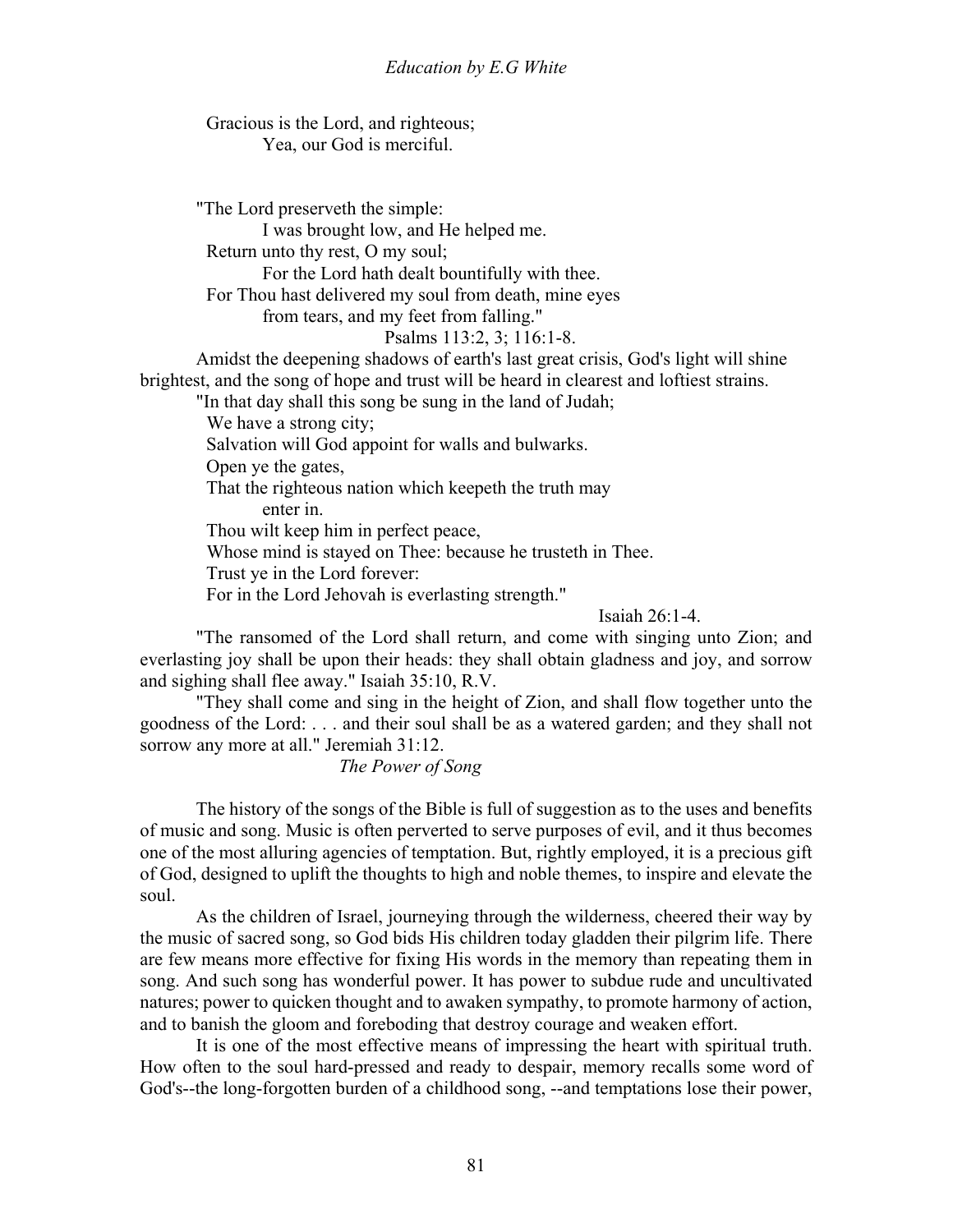Gracious is the Lord, and righteous; Yea, our God is merciful.

"The Lord preserveth the simple:

I was brought low, and He helped me.

Return unto thy rest, O my soul;

For the Lord hath dealt bountifully with thee.

For Thou hast delivered my soul from death, mine eyes

from tears, and my feet from falling."

Psalms 113:2, 3; 116:1-8.

 Amidst the deepening shadows of earth's last great crisis, God's light will shine brightest, and the song of hope and trust will be heard in clearest and loftiest strains.

"In that day shall this song be sung in the land of Judah;

We have a strong city:

Salvation will God appoint for walls and bulwarks.

Open ye the gates,

That the righteous nation which keepeth the truth may

enter in.

Thou wilt keep him in perfect peace,

Whose mind is stayed on Thee: because he trusteth in Thee.

Trust ye in the Lord forever:

For in the Lord Jehovah is everlasting strength."

Isaiah 26:1-4.

 "The ransomed of the Lord shall return, and come with singing unto Zion; and everlasting joy shall be upon their heads: they shall obtain gladness and joy, and sorrow and sighing shall flee away." Isaiah 35:10, R.V.

 "They shall come and sing in the height of Zion, and shall flow together unto the goodness of the Lord: . . . and their soul shall be as a watered garden; and they shall not sorrow any more at all." Jeremiah 31:12.

*The Power of Song*

The history of the songs of the Bible is full of suggestion as to the uses and benefits of music and song. Music is often perverted to serve purposes of evil, and it thus becomes one of the most alluring agencies of temptation. But, rightly employed, it is a precious gift of God, designed to uplift the thoughts to high and noble themes, to inspire and elevate the soul.

 As the children of Israel, journeying through the wilderness, cheered their way by the music of sacred song, so God bids His children today gladden their pilgrim life. There are few means more effective for fixing His words in the memory than repeating them in song. And such song has wonderful power. It has power to subdue rude and uncultivated natures; power to quicken thought and to awaken sympathy, to promote harmony of action, and to banish the gloom and foreboding that destroy courage and weaken effort.

 It is one of the most effective means of impressing the heart with spiritual truth. How often to the soul hard-pressed and ready to despair, memory recalls some word of God's--the long-forgotten burden of a childhood song, --and temptations lose their power,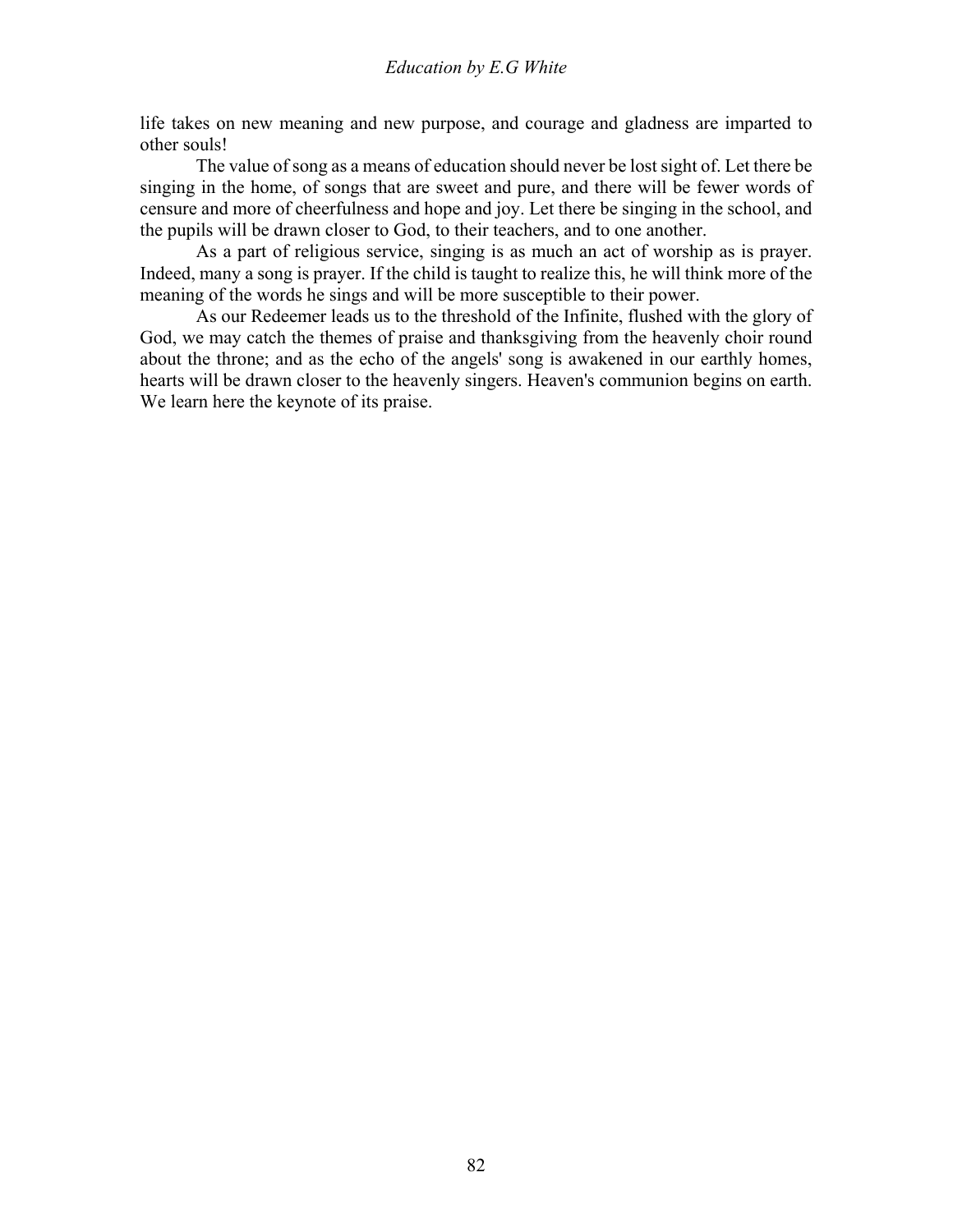life takes on new meaning and new purpose, and courage and gladness are imparted to other souls!

 The value of song as a means of education should never be lost sight of. Let there be singing in the home, of songs that are sweet and pure, and there will be fewer words of censure and more of cheerfulness and hope and joy. Let there be singing in the school, and the pupils will be drawn closer to God, to their teachers, and to one another.

 As a part of religious service, singing is as much an act of worship as is prayer. Indeed, many a song is prayer. If the child is taught to realize this, he will think more of the meaning of the words he sings and will be more susceptible to their power.

 As our Redeemer leads us to the threshold of the Infinite, flushed with the glory of God, we may catch the themes of praise and thanksgiving from the heavenly choir round about the throne; and as the echo of the angels' song is awakened in our earthly homes, hearts will be drawn closer to the heavenly singers. Heaven's communion begins on earth. We learn here the keynote of its praise.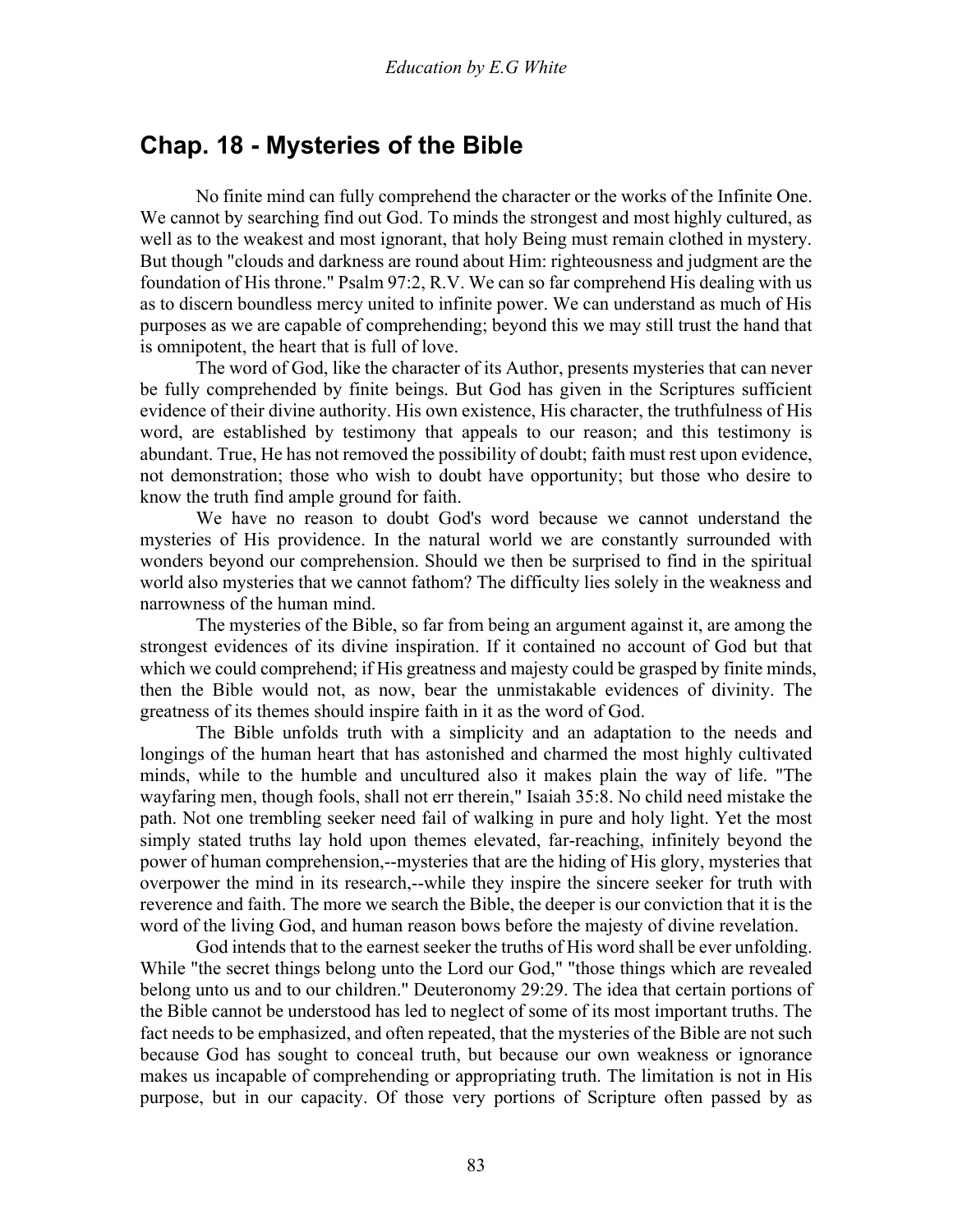### **Chap. 18 - Mysteries of the Bible**

 No finite mind can fully comprehend the character or the works of the Infinite One. We cannot by searching find out God. To minds the strongest and most highly cultured, as well as to the weakest and most ignorant, that holy Being must remain clothed in mystery. But though "clouds and darkness are round about Him: righteousness and judgment are the foundation of His throne." Psalm 97:2, R.V. We can so far comprehend His dealing with us as to discern boundless mercy united to infinite power. We can understand as much of His purposes as we are capable of comprehending; beyond this we may still trust the hand that is omnipotent, the heart that is full of love.

 The word of God, like the character of its Author, presents mysteries that can never be fully comprehended by finite beings. But God has given in the Scriptures sufficient evidence of their divine authority. His own existence, His character, the truthfulness of His word, are established by testimony that appeals to our reason; and this testimony is abundant. True, He has not removed the possibility of doubt; faith must rest upon evidence, not demonstration; those who wish to doubt have opportunity; but those who desire to know the truth find ample ground for faith.

 We have no reason to doubt God's word because we cannot understand the mysteries of His providence. In the natural world we are constantly surrounded with wonders beyond our comprehension. Should we then be surprised to find in the spiritual world also mysteries that we cannot fathom? The difficulty lies solely in the weakness and narrowness of the human mind.

 The mysteries of the Bible, so far from being an argument against it, are among the strongest evidences of its divine inspiration. If it contained no account of God but that which we could comprehend; if His greatness and majesty could be grasped by finite minds, then the Bible would not, as now, bear the unmistakable evidences of divinity. The greatness of its themes should inspire faith in it as the word of God.

 The Bible unfolds truth with a simplicity and an adaptation to the needs and longings of the human heart that has astonished and charmed the most highly cultivated minds, while to the humble and uncultured also it makes plain the way of life. "The wayfaring men, though fools, shall not err therein," Isaiah 35:8. No child need mistake the path. Not one trembling seeker need fail of walking in pure and holy light. Yet the most simply stated truths lay hold upon themes elevated, far-reaching, infinitely beyond the power of human comprehension,--mysteries that are the hiding of His glory, mysteries that overpower the mind in its research,--while they inspire the sincere seeker for truth with reverence and faith. The more we search the Bible, the deeper is our conviction that it is the word of the living God, and human reason bows before the majesty of divine revelation.

 God intends that to the earnest seeker the truths of His word shall be ever unfolding. While "the secret things belong unto the Lord our God," "those things which are revealed belong unto us and to our children." Deuteronomy 29:29. The idea that certain portions of the Bible cannot be understood has led to neglect of some of its most important truths. The fact needs to be emphasized, and often repeated, that the mysteries of the Bible are not such because God has sought to conceal truth, but because our own weakness or ignorance makes us incapable of comprehending or appropriating truth. The limitation is not in His purpose, but in our capacity. Of those very portions of Scripture often passed by as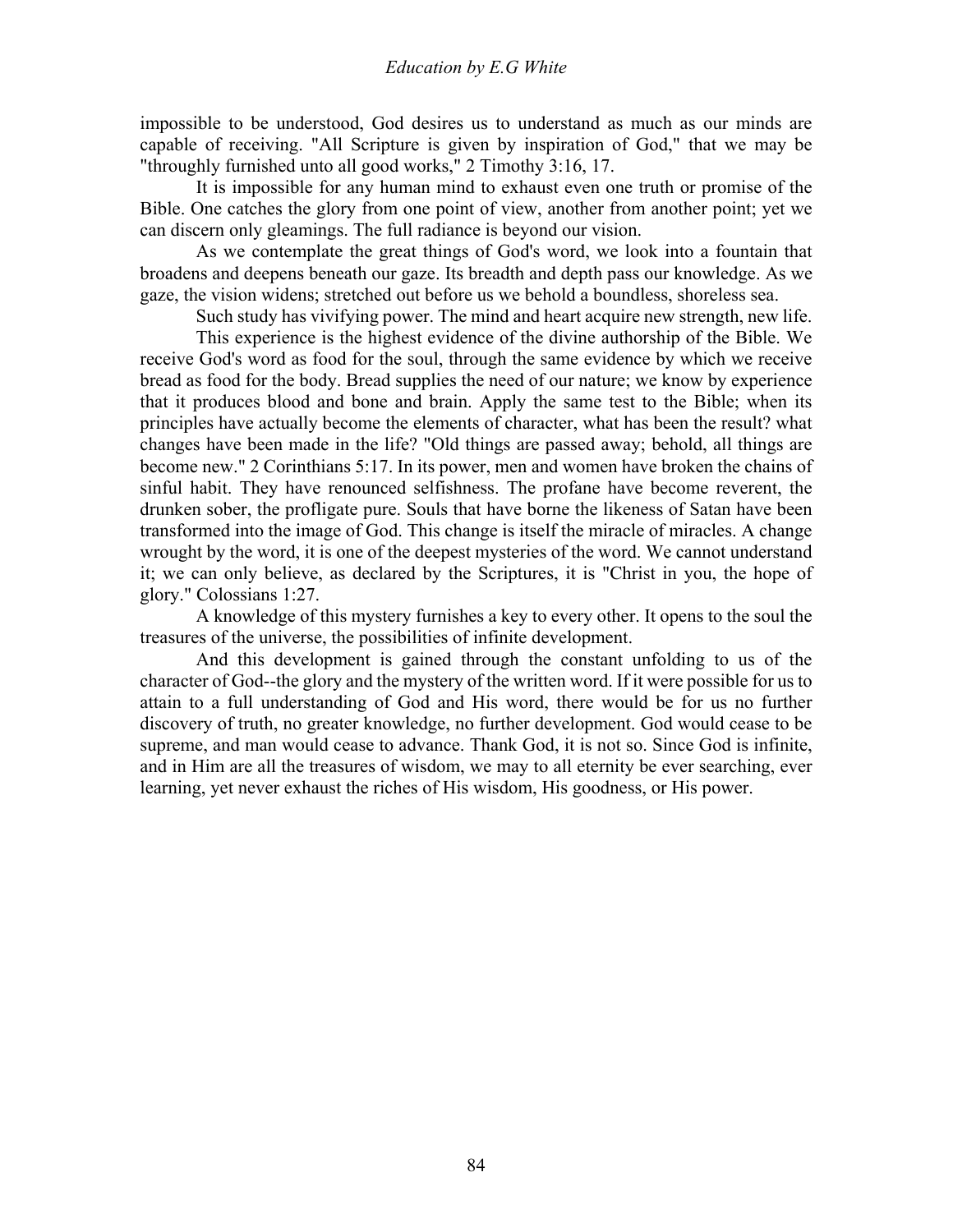impossible to be understood, God desires us to understand as much as our minds are capable of receiving. "All Scripture is given by inspiration of God," that we may be "throughly furnished unto all good works," 2 Timothy 3:16, 17.

 It is impossible for any human mind to exhaust even one truth or promise of the Bible. One catches the glory from one point of view, another from another point; yet we can discern only gleamings. The full radiance is beyond our vision.

 As we contemplate the great things of God's word, we look into a fountain that broadens and deepens beneath our gaze. Its breadth and depth pass our knowledge. As we gaze, the vision widens; stretched out before us we behold a boundless, shoreless sea.

Such study has vivifying power. The mind and heart acquire new strength, new life.

 This experience is the highest evidence of the divine authorship of the Bible. We receive God's word as food for the soul, through the same evidence by which we receive bread as food for the body. Bread supplies the need of our nature; we know by experience that it produces blood and bone and brain. Apply the same test to the Bible; when its principles have actually become the elements of character, what has been the result? what changes have been made in the life? "Old things are passed away; behold, all things are become new." 2 Corinthians 5:17. In its power, men and women have broken the chains of sinful habit. They have renounced selfishness. The profane have become reverent, the drunken sober, the profligate pure. Souls that have borne the likeness of Satan have been transformed into the image of God. This change is itself the miracle of miracles. A change wrought by the word, it is one of the deepest mysteries of the word. We cannot understand it; we can only believe, as declared by the Scriptures, it is "Christ in you, the hope of glory." Colossians 1:27.

 A knowledge of this mystery furnishes a key to every other. It opens to the soul the treasures of the universe, the possibilities of infinite development.

 And this development is gained through the constant unfolding to us of the character of God--the glory and the mystery of the written word. If it were possible for us to attain to a full understanding of God and His word, there would be for us no further discovery of truth, no greater knowledge, no further development. God would cease to be supreme, and man would cease to advance. Thank God, it is not so. Since God is infinite, and in Him are all the treasures of wisdom, we may to all eternity be ever searching, ever learning, yet never exhaust the riches of His wisdom, His goodness, or His power.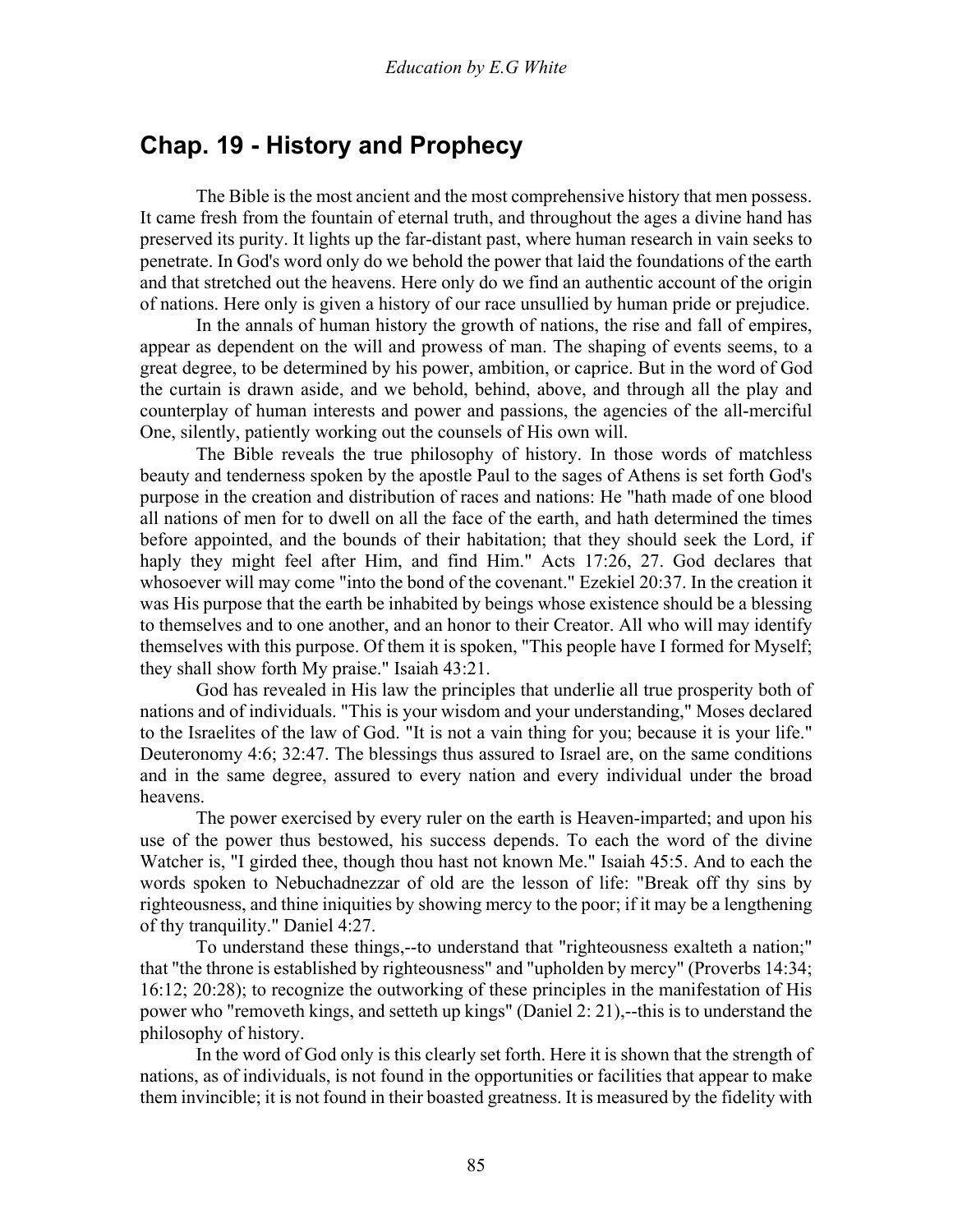## **Chap. 19 - History and Prophecy**

 The Bible is the most ancient and the most comprehensive history that men possess. It came fresh from the fountain of eternal truth, and throughout the ages a divine hand has preserved its purity. It lights up the far-distant past, where human research in vain seeks to penetrate. In God's word only do we behold the power that laid the foundations of the earth and that stretched out the heavens. Here only do we find an authentic account of the origin of nations. Here only is given a history of our race unsullied by human pride or prejudice.

 In the annals of human history the growth of nations, the rise and fall of empires, appear as dependent on the will and prowess of man. The shaping of events seems, to a great degree, to be determined by his power, ambition, or caprice. But in the word of God the curtain is drawn aside, and we behold, behind, above, and through all the play and counterplay of human interests and power and passions, the agencies of the all-merciful One, silently, patiently working out the counsels of His own will.

 The Bible reveals the true philosophy of history. In those words of matchless beauty and tenderness spoken by the apostle Paul to the sages of Athens is set forth God's purpose in the creation and distribution of races and nations: He "hath made of one blood all nations of men for to dwell on all the face of the earth, and hath determined the times before appointed, and the bounds of their habitation; that they should seek the Lord, if haply they might feel after Him, and find Him." Acts 17:26, 27. God declares that whosoever will may come "into the bond of the covenant." Ezekiel 20:37. In the creation it was His purpose that the earth be inhabited by beings whose existence should be a blessing to themselves and to one another, and an honor to their Creator. All who will may identify themselves with this purpose. Of them it is spoken, "This people have I formed for Myself; they shall show forth My praise." Isaiah 43:21.

 God has revealed in His law the principles that underlie all true prosperity both of nations and of individuals. "This is your wisdom and your understanding," Moses declared to the Israelites of the law of God. "It is not a vain thing for you; because it is your life." Deuteronomy 4:6; 32:47. The blessings thus assured to Israel are, on the same conditions and in the same degree, assured to every nation and every individual under the broad heavens.

 The power exercised by every ruler on the earth is Heaven-imparted; and upon his use of the power thus bestowed, his success depends. To each the word of the divine Watcher is, "I girded thee, though thou hast not known Me." Isaiah 45:5. And to each the words spoken to Nebuchadnezzar of old are the lesson of life: "Break off thy sins by righteousness, and thine iniquities by showing mercy to the poor; if it may be a lengthening of thy tranquility." Daniel 4:27.

 To understand these things,--to understand that "righteousness exalteth a nation;" that "the throne is established by righteousness" and "upholden by mercy" (Proverbs 14:34; 16:12; 20:28); to recognize the outworking of these principles in the manifestation of His power who "removeth kings, and setteth up kings" (Daniel 2: 21),--this is to understand the philosophy of history.

 In the word of God only is this clearly set forth. Here it is shown that the strength of nations, as of individuals, is not found in the opportunities or facilities that appear to make them invincible; it is not found in their boasted greatness. It is measured by the fidelity with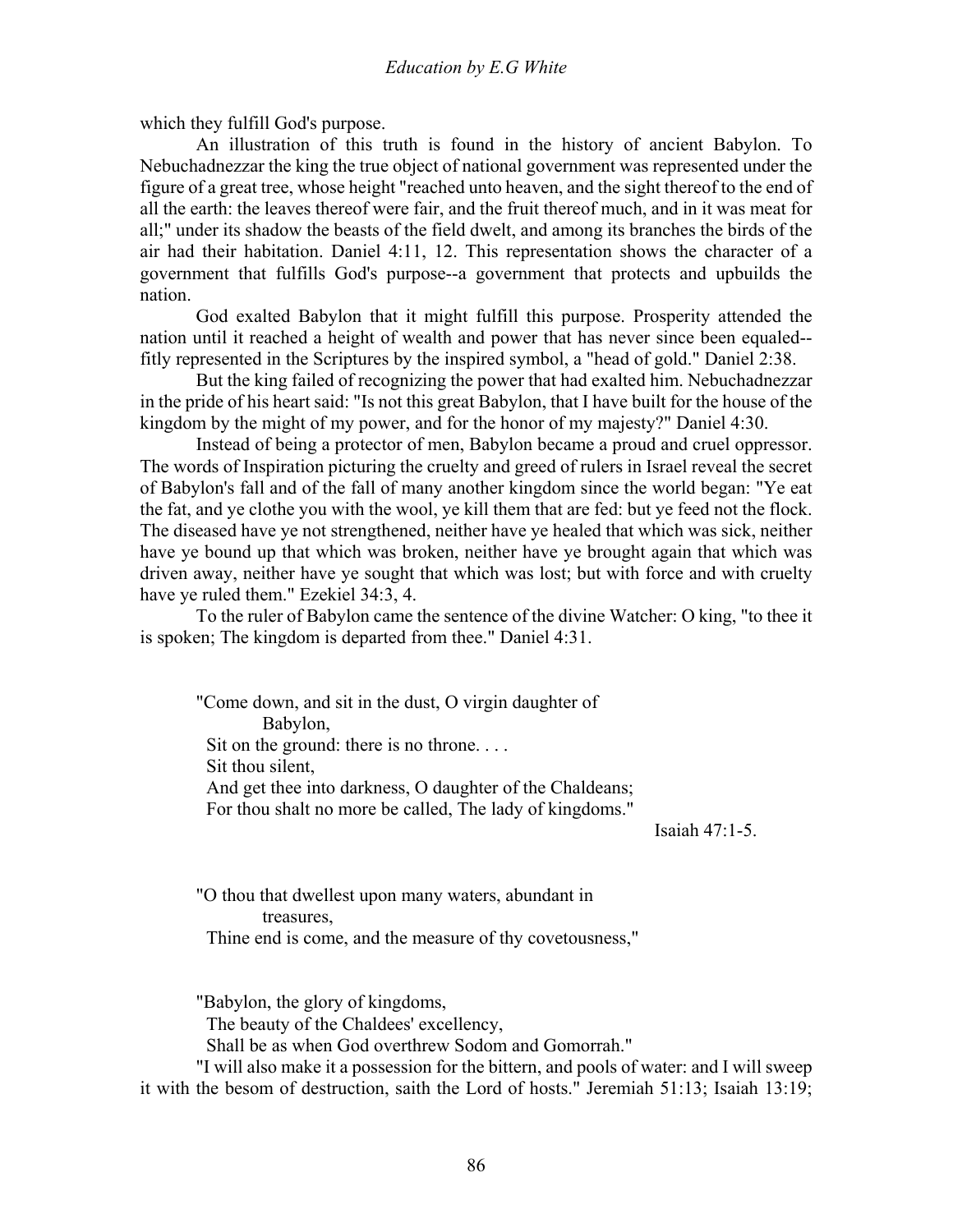which they fulfill God's purpose.

 An illustration of this truth is found in the history of ancient Babylon. To Nebuchadnezzar the king the true object of national government was represented under the figure of a great tree, whose height "reached unto heaven, and the sight thereof to the end of all the earth: the leaves thereof were fair, and the fruit thereof much, and in it was meat for all;" under its shadow the beasts of the field dwelt, and among its branches the birds of the air had their habitation. Daniel 4:11, 12. This representation shows the character of a government that fulfills God's purpose--a government that protects and upbuilds the nation.

 God exalted Babylon that it might fulfill this purpose. Prosperity attended the nation until it reached a height of wealth and power that has never since been equaled- fitly represented in the Scriptures by the inspired symbol, a "head of gold." Daniel 2:38.

 But the king failed of recognizing the power that had exalted him. Nebuchadnezzar in the pride of his heart said: "Is not this great Babylon, that I have built for the house of the kingdom by the might of my power, and for the honor of my majesty?" Daniel 4:30.

 Instead of being a protector of men, Babylon became a proud and cruel oppressor. The words of Inspiration picturing the cruelty and greed of rulers in Israel reveal the secret of Babylon's fall and of the fall of many another kingdom since the world began: "Ye eat the fat, and ye clothe you with the wool, ye kill them that are fed: but ye feed not the flock. The diseased have ye not strengthened, neither have ye healed that which was sick, neither have ye bound up that which was broken, neither have ye brought again that which was driven away, neither have ye sought that which was lost; but with force and with cruelty have ye ruled them." Ezekiel 34:3, 4.

 To the ruler of Babylon came the sentence of the divine Watcher: O king, "to thee it is spoken; The kingdom is departed from thee." Daniel 4:31.

"Come down, and sit in the dust, O virgin daughter of Babylon, Sit on the ground: there is no throne.... Sit thou silent, And get thee into darkness, O daughter of the Chaldeans; For thou shalt no more be called, The lady of kingdoms."

Isaiah 47:1-5.

"O thou that dwellest upon many waters, abundant in treasures, Thine end is come, and the measure of thy covetousness,"

"Babylon, the glory of kingdoms, The beauty of the Chaldees' excellency,

Shall be as when God overthrew Sodom and Gomorrah."

 "I will also make it a possession for the bittern, and pools of water: and I will sweep it with the besom of destruction, saith the Lord of hosts." Jeremiah 51:13; Isaiah 13:19;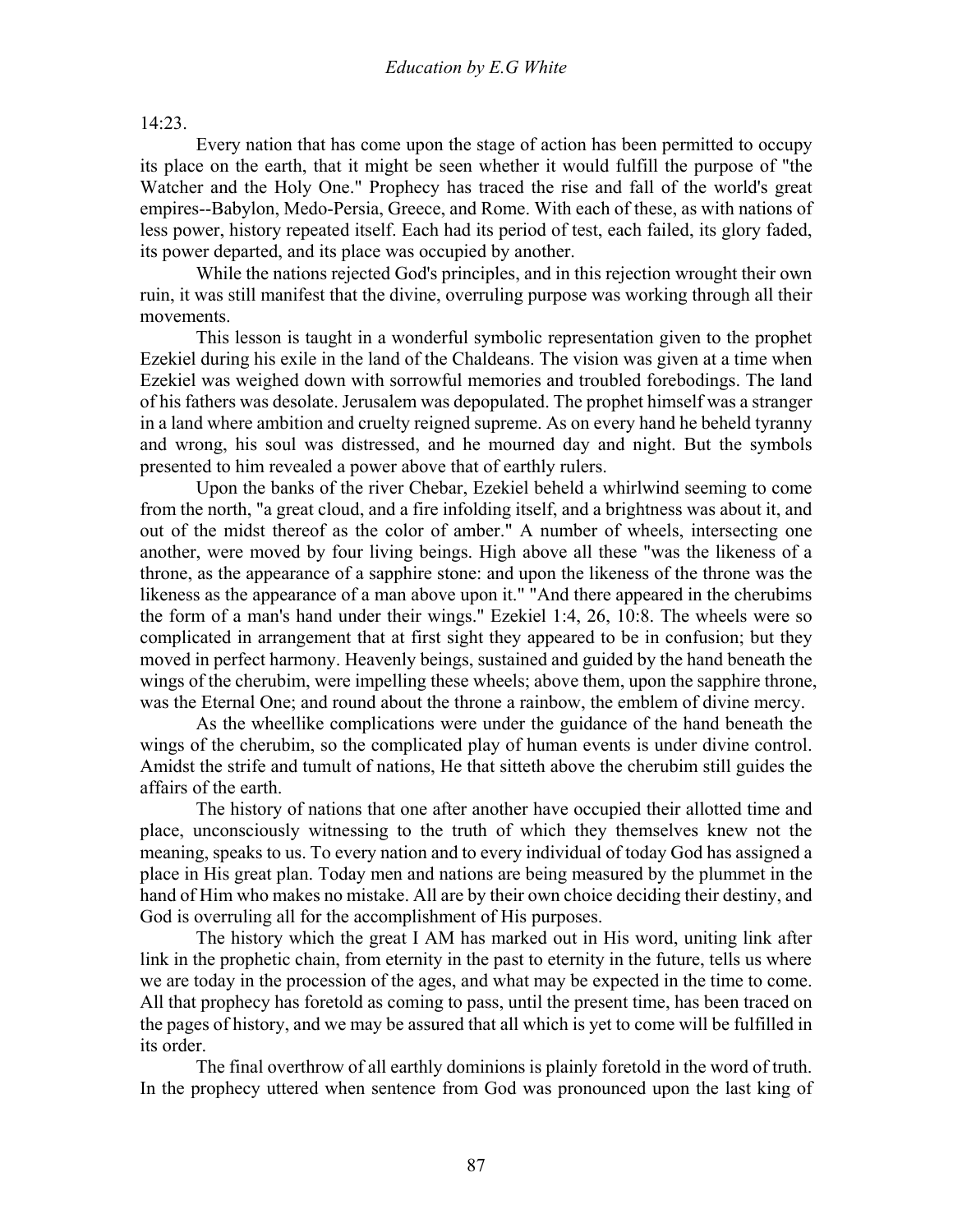14:23.

 Every nation that has come upon the stage of action has been permitted to occupy its place on the earth, that it might be seen whether it would fulfill the purpose of "the Watcher and the Holy One." Prophecy has traced the rise and fall of the world's great empires--Babylon, Medo-Persia, Greece, and Rome. With each of these, as with nations of less power, history repeated itself. Each had its period of test, each failed, its glory faded, its power departed, and its place was occupied by another.

 While the nations rejected God's principles, and in this rejection wrought their own ruin, it was still manifest that the divine, overruling purpose was working through all their movements.

 This lesson is taught in a wonderful symbolic representation given to the prophet Ezekiel during his exile in the land of the Chaldeans. The vision was given at a time when Ezekiel was weighed down with sorrowful memories and troubled forebodings. The land of his fathers was desolate. Jerusalem was depopulated. The prophet himself was a stranger in a land where ambition and cruelty reigned supreme. As on every hand he beheld tyranny and wrong, his soul was distressed, and he mourned day and night. But the symbols presented to him revealed a power above that of earthly rulers.

 Upon the banks of the river Chebar, Ezekiel beheld a whirlwind seeming to come from the north, "a great cloud, and a fire infolding itself, and a brightness was about it, and out of the midst thereof as the color of amber." A number of wheels, intersecting one another, were moved by four living beings. High above all these "was the likeness of a throne, as the appearance of a sapphire stone: and upon the likeness of the throne was the likeness as the appearance of a man above upon it." "And there appeared in the cherubims the form of a man's hand under their wings." Ezekiel 1:4, 26, 10:8. The wheels were so complicated in arrangement that at first sight they appeared to be in confusion; but they moved in perfect harmony. Heavenly beings, sustained and guided by the hand beneath the wings of the cherubim, were impelling these wheels; above them, upon the sapphire throne, was the Eternal One; and round about the throne a rainbow, the emblem of divine mercy.

 As the wheellike complications were under the guidance of the hand beneath the wings of the cherubim, so the complicated play of human events is under divine control. Amidst the strife and tumult of nations, He that sitteth above the cherubim still guides the affairs of the earth.

 The history of nations that one after another have occupied their allotted time and place, unconsciously witnessing to the truth of which they themselves knew not the meaning, speaks to us. To every nation and to every individual of today God has assigned a place in His great plan. Today men and nations are being measured by the plummet in the hand of Him who makes no mistake. All are by their own choice deciding their destiny, and God is overruling all for the accomplishment of His purposes.

 The history which the great I AM has marked out in His word, uniting link after link in the prophetic chain, from eternity in the past to eternity in the future, tells us where we are today in the procession of the ages, and what may be expected in the time to come. All that prophecy has foretold as coming to pass, until the present time, has been traced on the pages of history, and we may be assured that all which is yet to come will be fulfilled in its order.

 The final overthrow of all earthly dominions is plainly foretold in the word of truth. In the prophecy uttered when sentence from God was pronounced upon the last king of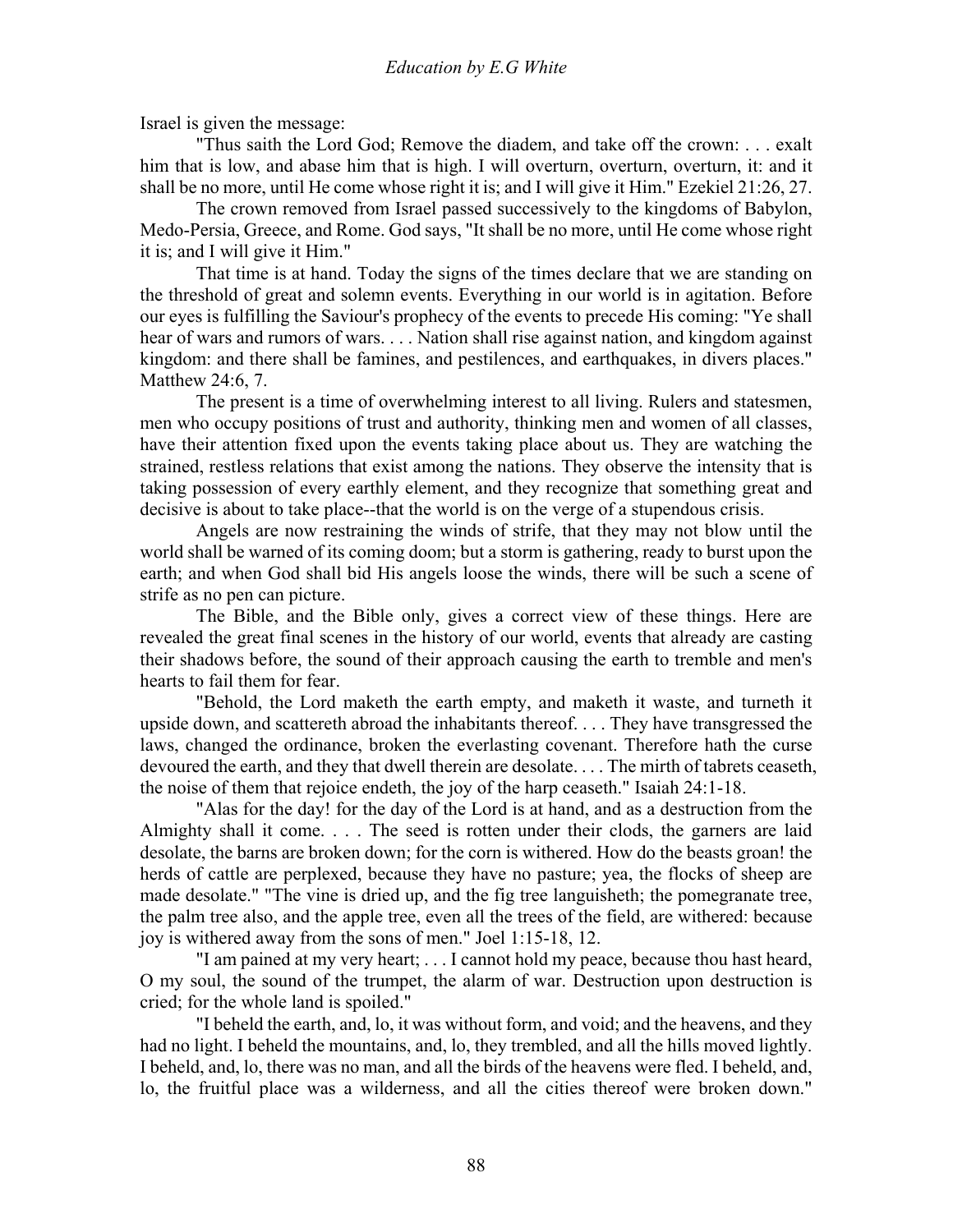Israel is given the message:

 "Thus saith the Lord God; Remove the diadem, and take off the crown: . . . exalt him that is low, and abase him that is high. I will overturn, overturn, overturn, it: and it shall be no more, until He come whose right it is; and I will give it Him." Ezekiel 21:26, 27.

 The crown removed from Israel passed successively to the kingdoms of Babylon, Medo-Persia, Greece, and Rome. God says, "It shall be no more, until He come whose right it is; and I will give it Him."

 That time is at hand. Today the signs of the times declare that we are standing on the threshold of great and solemn events. Everything in our world is in agitation. Before our eyes is fulfilling the Saviour's prophecy of the events to precede His coming: "Ye shall hear of wars and rumors of wars. . . . Nation shall rise against nation, and kingdom against kingdom: and there shall be famines, and pestilences, and earthquakes, in divers places." Matthew 24:6, 7.

 The present is a time of overwhelming interest to all living. Rulers and statesmen, men who occupy positions of trust and authority, thinking men and women of all classes, have their attention fixed upon the events taking place about us. They are watching the strained, restless relations that exist among the nations. They observe the intensity that is taking possession of every earthly element, and they recognize that something great and decisive is about to take place--that the world is on the verge of a stupendous crisis.

 Angels are now restraining the winds of strife, that they may not blow until the world shall be warned of its coming doom; but a storm is gathering, ready to burst upon the earth; and when God shall bid His angels loose the winds, there will be such a scene of strife as no pen can picture.

 The Bible, and the Bible only, gives a correct view of these things. Here are revealed the great final scenes in the history of our world, events that already are casting their shadows before, the sound of their approach causing the earth to tremble and men's hearts to fail them for fear.

 "Behold, the Lord maketh the earth empty, and maketh it waste, and turneth it upside down, and scattereth abroad the inhabitants thereof. . . . They have transgressed the laws, changed the ordinance, broken the everlasting covenant. Therefore hath the curse devoured the earth, and they that dwell therein are desolate. . . . The mirth of tabrets ceaseth, the noise of them that rejoice endeth, the joy of the harp ceaseth." Isaiah 24:1-18.

 "Alas for the day! for the day of the Lord is at hand, and as a destruction from the Almighty shall it come. . . . The seed is rotten under their clods, the garners are laid desolate, the barns are broken down; for the corn is withered. How do the beasts groan! the herds of cattle are perplexed, because they have no pasture; yea, the flocks of sheep are made desolate." "The vine is dried up, and the fig tree languisheth; the pomegranate tree, the palm tree also, and the apple tree, even all the trees of the field, are withered: because joy is withered away from the sons of men." Joel 1:15-18, 12.

 "I am pained at my very heart; . . . I cannot hold my peace, because thou hast heard, O my soul, the sound of the trumpet, the alarm of war. Destruction upon destruction is cried; for the whole land is spoiled."

 "I beheld the earth, and, lo, it was without form, and void; and the heavens, and they had no light. I beheld the mountains, and, lo, they trembled, and all the hills moved lightly. I beheld, and, lo, there was no man, and all the birds of the heavens were fled. I beheld, and, lo, the fruitful place was a wilderness, and all the cities thereof were broken down."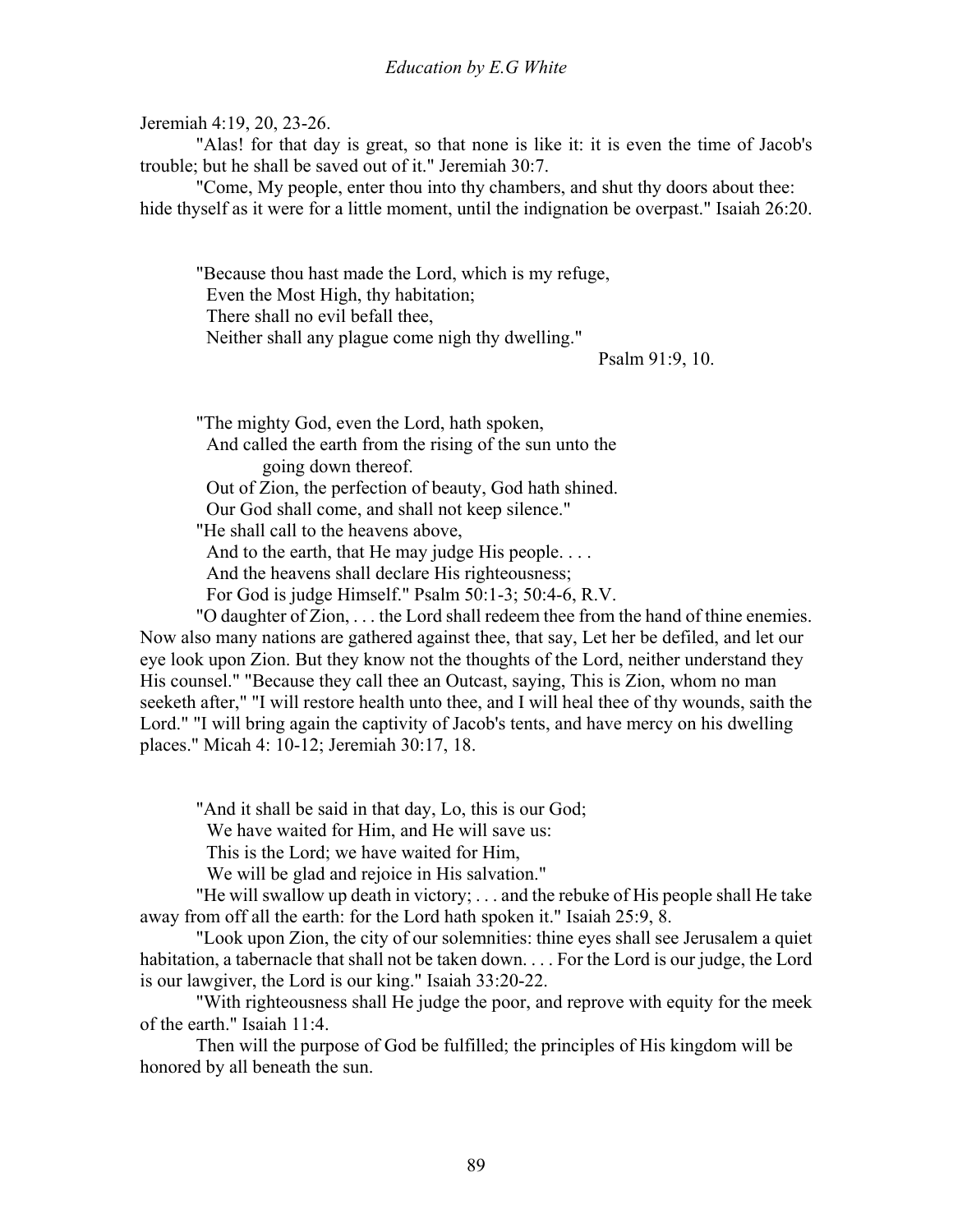Jeremiah 4:19, 20, 23-26.

 "Alas! for that day is great, so that none is like it: it is even the time of Jacob's trouble; but he shall be saved out of it." Jeremiah 30:7.

 "Come, My people, enter thou into thy chambers, and shut thy doors about thee: hide thyself as it were for a little moment, until the indignation be overpast." Isaiah 26:20.

"Because thou hast made the Lord, which is my refuge, Even the Most High, thy habitation; There shall no evil befall thee, Neither shall any plague come nigh thy dwelling."

Psalm 91:9, 10.

"The mighty God, even the Lord, hath spoken,

 And called the earth from the rising of the sun unto the going down thereof.

Out of Zion, the perfection of beauty, God hath shined.

Our God shall come, and shall not keep silence."

"He shall call to the heavens above,

And to the earth, that He may judge His people. . . .

And the heavens shall declare His righteousness;

For God is judge Himself." Psalm 50:1-3; 50:4-6, R.V.

 "O daughter of Zion, . . . the Lord shall redeem thee from the hand of thine enemies. Now also many nations are gathered against thee, that say, Let her be defiled, and let our eye look upon Zion. But they know not the thoughts of the Lord, neither understand they His counsel." "Because they call thee an Outcast, saying, This is Zion, whom no man seeketh after," "I will restore health unto thee, and I will heal thee of thy wounds, saith the Lord." "I will bring again the captivity of Jacob's tents, and have mercy on his dwelling places." Micah 4: 10-12; Jeremiah 30:17, 18.

"And it shall be said in that day, Lo, this is our God;

We have waited for Him, and He will save us:

This is the Lord; we have waited for Him,

We will be glad and rejoice in His salvation."

 "He will swallow up death in victory; . . . and the rebuke of His people shall He take away from off all the earth: for the Lord hath spoken it." Isaiah 25:9, 8.

 "Look upon Zion, the city of our solemnities: thine eyes shall see Jerusalem a quiet habitation, a tabernacle that shall not be taken down. . . . For the Lord is our judge, the Lord is our lawgiver, the Lord is our king." Isaiah 33:20-22.

 "With righteousness shall He judge the poor, and reprove with equity for the meek of the earth." Isaiah 11:4.

 Then will the purpose of God be fulfilled; the principles of His kingdom will be honored by all beneath the sun.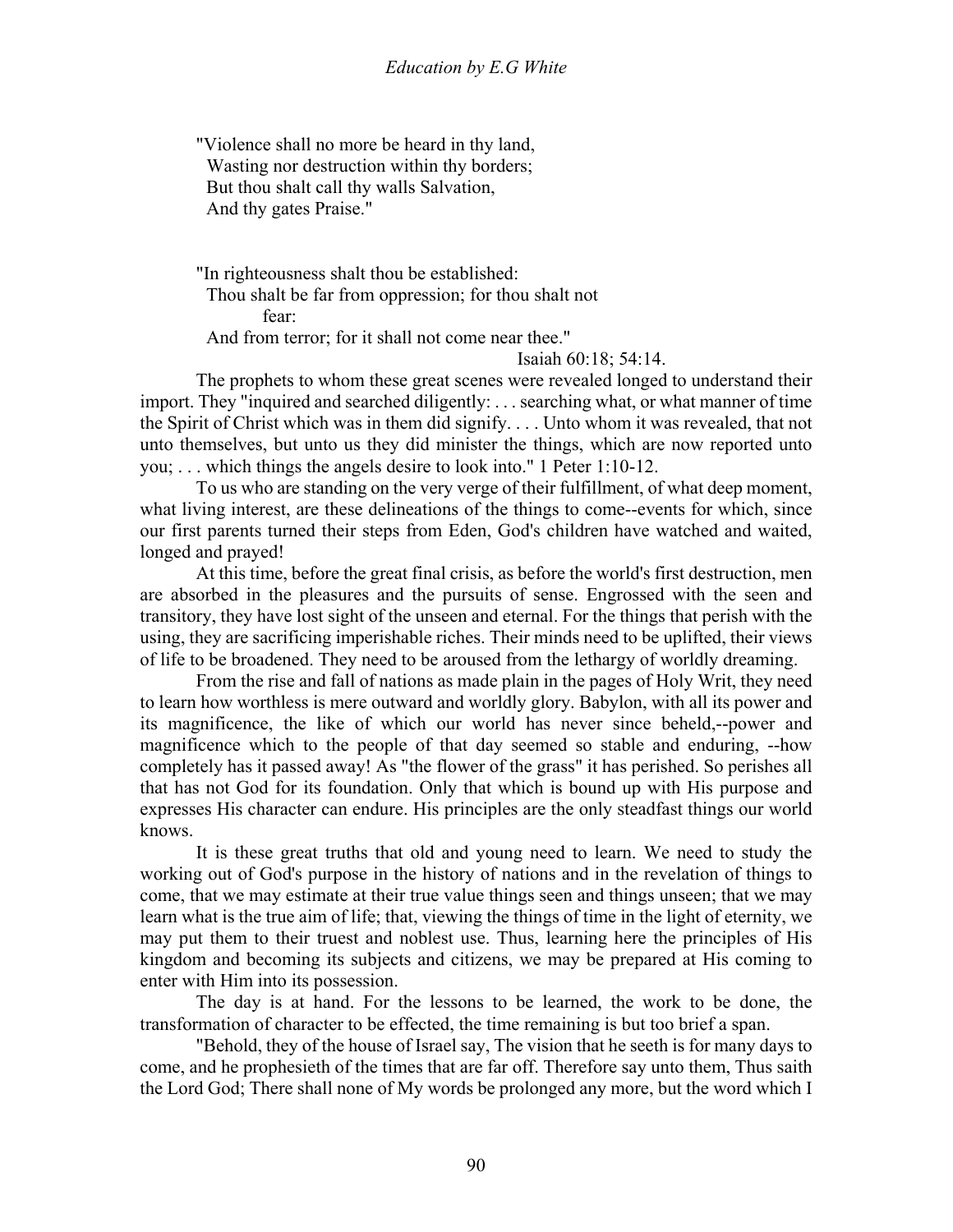"Violence shall no more be heard in thy land, Wasting nor destruction within thy borders; But thou shalt call thy walls Salvation, And thy gates Praise."

"In righteousness shalt thou be established: Thou shalt be far from oppression; for thou shalt not fear:

And from terror; for it shall not come near thee."

Isaiah 60:18; 54:14.

 The prophets to whom these great scenes were revealed longed to understand their import. They "inquired and searched diligently: . . . searching what, or what manner of time the Spirit of Christ which was in them did signify. . . . Unto whom it was revealed, that not unto themselves, but unto us they did minister the things, which are now reported unto you; . . . which things the angels desire to look into." 1 Peter 1:10-12.

 To us who are standing on the very verge of their fulfillment, of what deep moment, what living interest, are these delineations of the things to come--events for which, since our first parents turned their steps from Eden, God's children have watched and waited, longed and prayed!

 At this time, before the great final crisis, as before the world's first destruction, men are absorbed in the pleasures and the pursuits of sense. Engrossed with the seen and transitory, they have lost sight of the unseen and eternal. For the things that perish with the using, they are sacrificing imperishable riches. Their minds need to be uplifted, their views of life to be broadened. They need to be aroused from the lethargy of worldly dreaming.

 From the rise and fall of nations as made plain in the pages of Holy Writ, they need to learn how worthless is mere outward and worldly glory. Babylon, with all its power and its magnificence, the like of which our world has never since beheld,--power and magnificence which to the people of that day seemed so stable and enduring, --how completely has it passed away! As "the flower of the grass" it has perished. So perishes all that has not God for its foundation. Only that which is bound up with His purpose and expresses His character can endure. His principles are the only steadfast things our world knows.

 It is these great truths that old and young need to learn. We need to study the working out of God's purpose in the history of nations and in the revelation of things to come, that we may estimate at their true value things seen and things unseen; that we may learn what is the true aim of life; that, viewing the things of time in the light of eternity, we may put them to their truest and noblest use. Thus, learning here the principles of His kingdom and becoming its subjects and citizens, we may be prepared at His coming to enter with Him into its possession.

 The day is at hand. For the lessons to be learned, the work to be done, the transformation of character to be effected, the time remaining is but too brief a span.

 "Behold, they of the house of Israel say, The vision that he seeth is for many days to come, and he prophesieth of the times that are far off. Therefore say unto them, Thus saith the Lord God; There shall none of My words be prolonged any more, but the word which I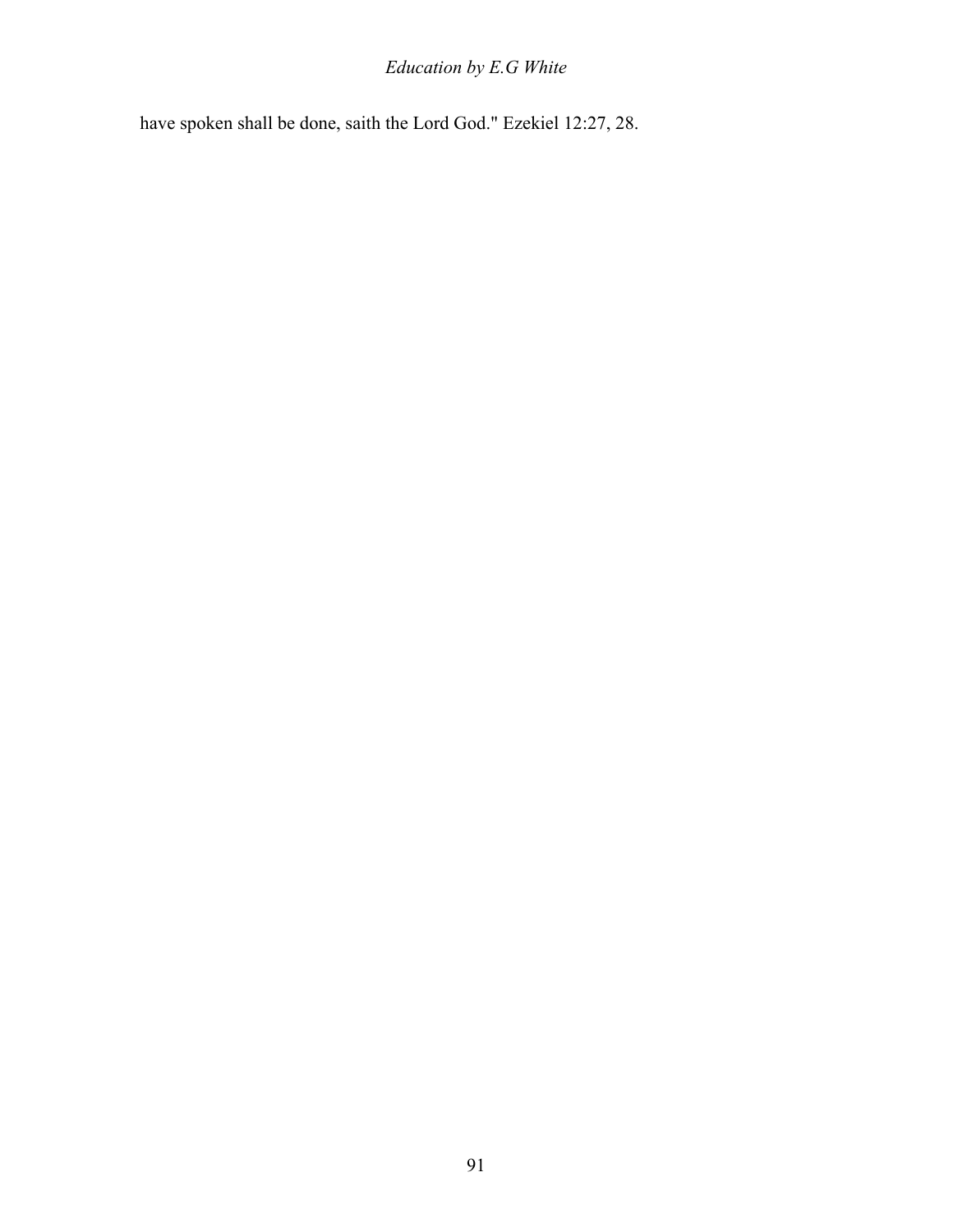### *Education by E.G White*

have spoken shall be done, saith the Lord God." Ezekiel 12:27, 28.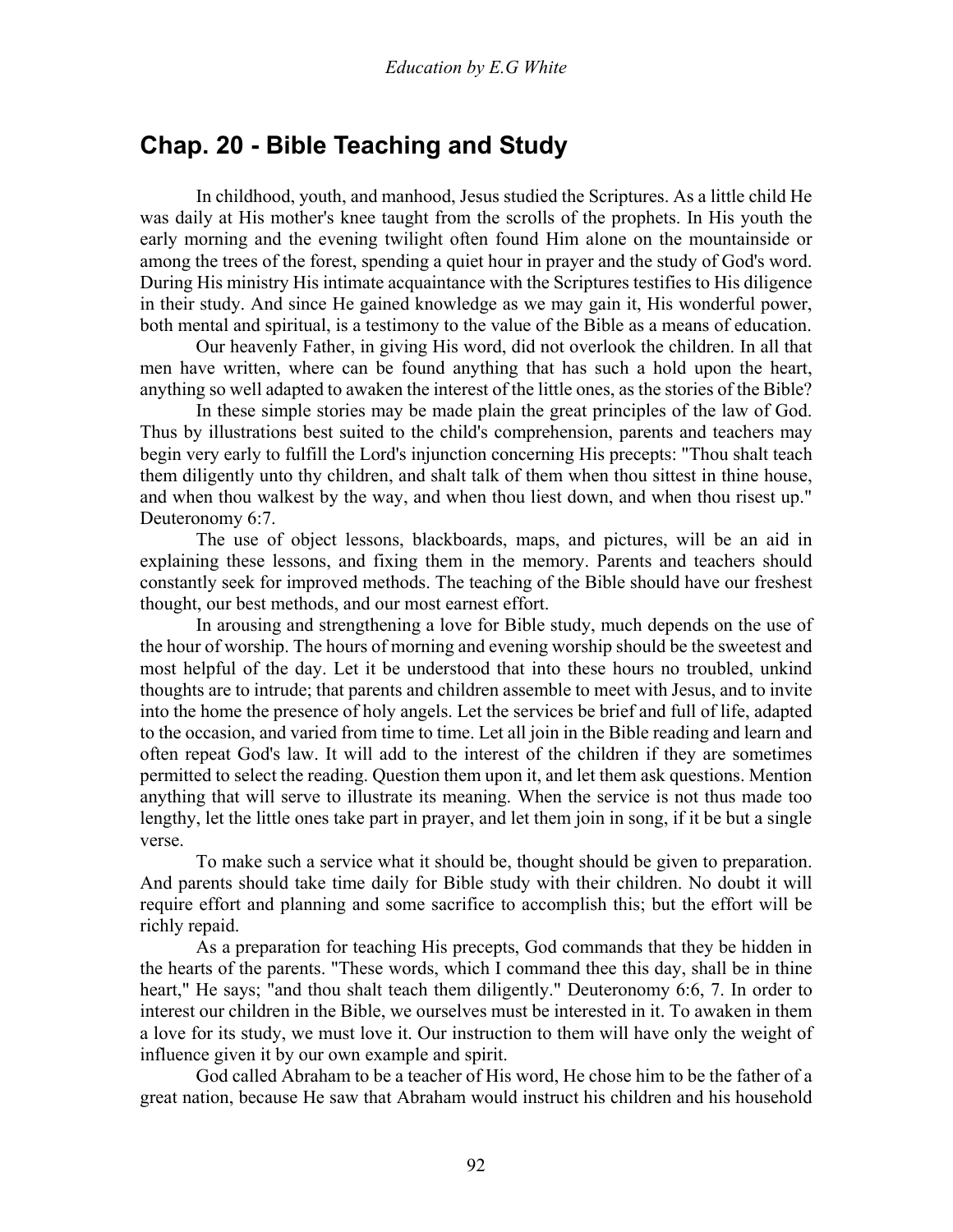### **Chap. 20 - Bible Teaching and Study**

 In childhood, youth, and manhood, Jesus studied the Scriptures. As a little child He was daily at His mother's knee taught from the scrolls of the prophets. In His youth the early morning and the evening twilight often found Him alone on the mountainside or among the trees of the forest, spending a quiet hour in prayer and the study of God's word. During His ministry His intimate acquaintance with the Scriptures testifies to His diligence in their study. And since He gained knowledge as we may gain it, His wonderful power, both mental and spiritual, is a testimony to the value of the Bible as a means of education.

 Our heavenly Father, in giving His word, did not overlook the children. In all that men have written, where can be found anything that has such a hold upon the heart, anything so well adapted to awaken the interest of the little ones, as the stories of the Bible?

 In these simple stories may be made plain the great principles of the law of God. Thus by illustrations best suited to the child's comprehension, parents and teachers may begin very early to fulfill the Lord's injunction concerning His precepts: "Thou shalt teach them diligently unto thy children, and shalt talk of them when thou sittest in thine house, and when thou walkest by the way, and when thou liest down, and when thou risest up." Deuteronomy 6:7.

 The use of object lessons, blackboards, maps, and pictures, will be an aid in explaining these lessons, and fixing them in the memory. Parents and teachers should constantly seek for improved methods. The teaching of the Bible should have our freshest thought, our best methods, and our most earnest effort.

 In arousing and strengthening a love for Bible study, much depends on the use of the hour of worship. The hours of morning and evening worship should be the sweetest and most helpful of the day. Let it be understood that into these hours no troubled, unkind thoughts are to intrude; that parents and children assemble to meet with Jesus, and to invite into the home the presence of holy angels. Let the services be brief and full of life, adapted to the occasion, and varied from time to time. Let all join in the Bible reading and learn and often repeat God's law. It will add to the interest of the children if they are sometimes permitted to select the reading. Question them upon it, and let them ask questions. Mention anything that will serve to illustrate its meaning. When the service is not thus made too lengthy, let the little ones take part in prayer, and let them join in song, if it be but a single verse.

 To make such a service what it should be, thought should be given to preparation. And parents should take time daily for Bible study with their children. No doubt it will require effort and planning and some sacrifice to accomplish this; but the effort will be richly repaid.

 As a preparation for teaching His precepts, God commands that they be hidden in the hearts of the parents. "These words, which I command thee this day, shall be in thine heart," He says; "and thou shalt teach them diligently." Deuteronomy 6:6, 7. In order to interest our children in the Bible, we ourselves must be interested in it. To awaken in them a love for its study, we must love it. Our instruction to them will have only the weight of influence given it by our own example and spirit.

 God called Abraham to be a teacher of His word, He chose him to be the father of a great nation, because He saw that Abraham would instruct his children and his household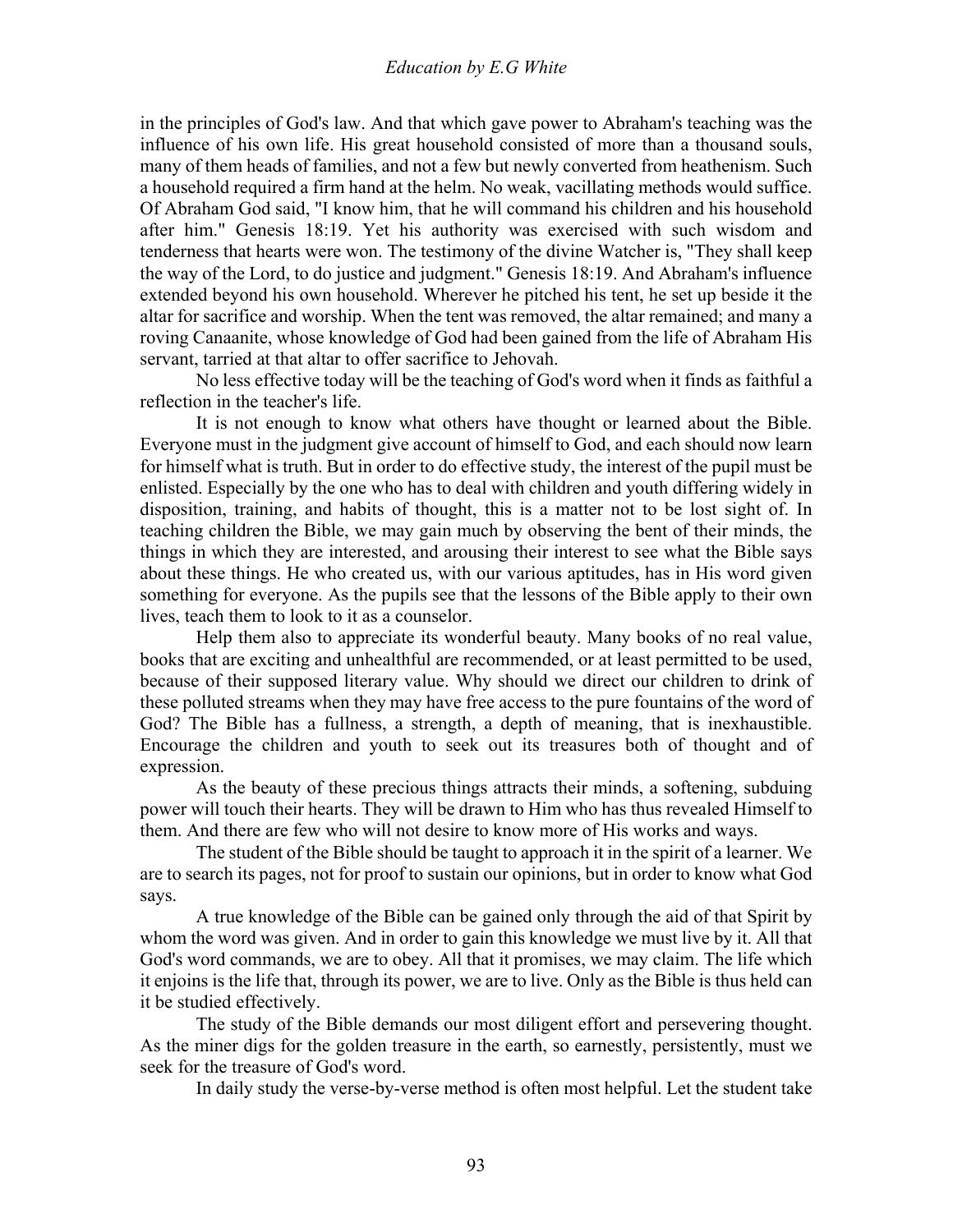#### *Education by E.G White*

in the principles of God's law. And that which gave power to Abraham's teaching was the influence of his own life. His great household consisted of more than a thousand souls, many of them heads of families, and not a few but newly converted from heathenism. Such a household required a firm hand at the helm. No weak, vacillating methods would suffice. Of Abraham God said, "I know him, that he will command his children and his household after him." Genesis 18:19. Yet his authority was exercised with such wisdom and tenderness that hearts were won. The testimony of the divine Watcher is, "They shall keep the way of the Lord, to do justice and judgment." Genesis 18:19. And Abraham's influence extended beyond his own household. Wherever he pitched his tent, he set up beside it the altar for sacrifice and worship. When the tent was removed, the altar remained; and many a roving Canaanite, whose knowledge of God had been gained from the life of Abraham His servant, tarried at that altar to offer sacrifice to Jehovah.

 No less effective today will be the teaching of God's word when it finds as faithful a reflection in the teacher's life.

 It is not enough to know what others have thought or learned about the Bible. Everyone must in the judgment give account of himself to God, and each should now learn for himself what is truth. But in order to do effective study, the interest of the pupil must be enlisted. Especially by the one who has to deal with children and youth differing widely in disposition, training, and habits of thought, this is a matter not to be lost sight of. In teaching children the Bible, we may gain much by observing the bent of their minds, the things in which they are interested, and arousing their interest to see what the Bible says about these things. He who created us, with our various aptitudes, has in His word given something for everyone. As the pupils see that the lessons of the Bible apply to their own lives, teach them to look to it as a counselor.

 Help them also to appreciate its wonderful beauty. Many books of no real value, books that are exciting and unhealthful are recommended, or at least permitted to be used, because of their supposed literary value. Why should we direct our children to drink of these polluted streams when they may have free access to the pure fountains of the word of God? The Bible has a fullness, a strength, a depth of meaning, that is inexhaustible. Encourage the children and youth to seek out its treasures both of thought and of expression.

 As the beauty of these precious things attracts their minds, a softening, subduing power will touch their hearts. They will be drawn to Him who has thus revealed Himself to them. And there are few who will not desire to know more of His works and ways.

 The student of the Bible should be taught to approach it in the spirit of a learner. We are to search its pages, not for proof to sustain our opinions, but in order to know what God says.

 A true knowledge of the Bible can be gained only through the aid of that Spirit by whom the word was given. And in order to gain this knowledge we must live by it. All that God's word commands, we are to obey. All that it promises, we may claim. The life which it enjoins is the life that, through its power, we are to live. Only as the Bible is thus held can it be studied effectively.

 The study of the Bible demands our most diligent effort and persevering thought. As the miner digs for the golden treasure in the earth, so earnestly, persistently, must we seek for the treasure of God's word.

In daily study the verse-by-verse method is often most helpful. Let the student take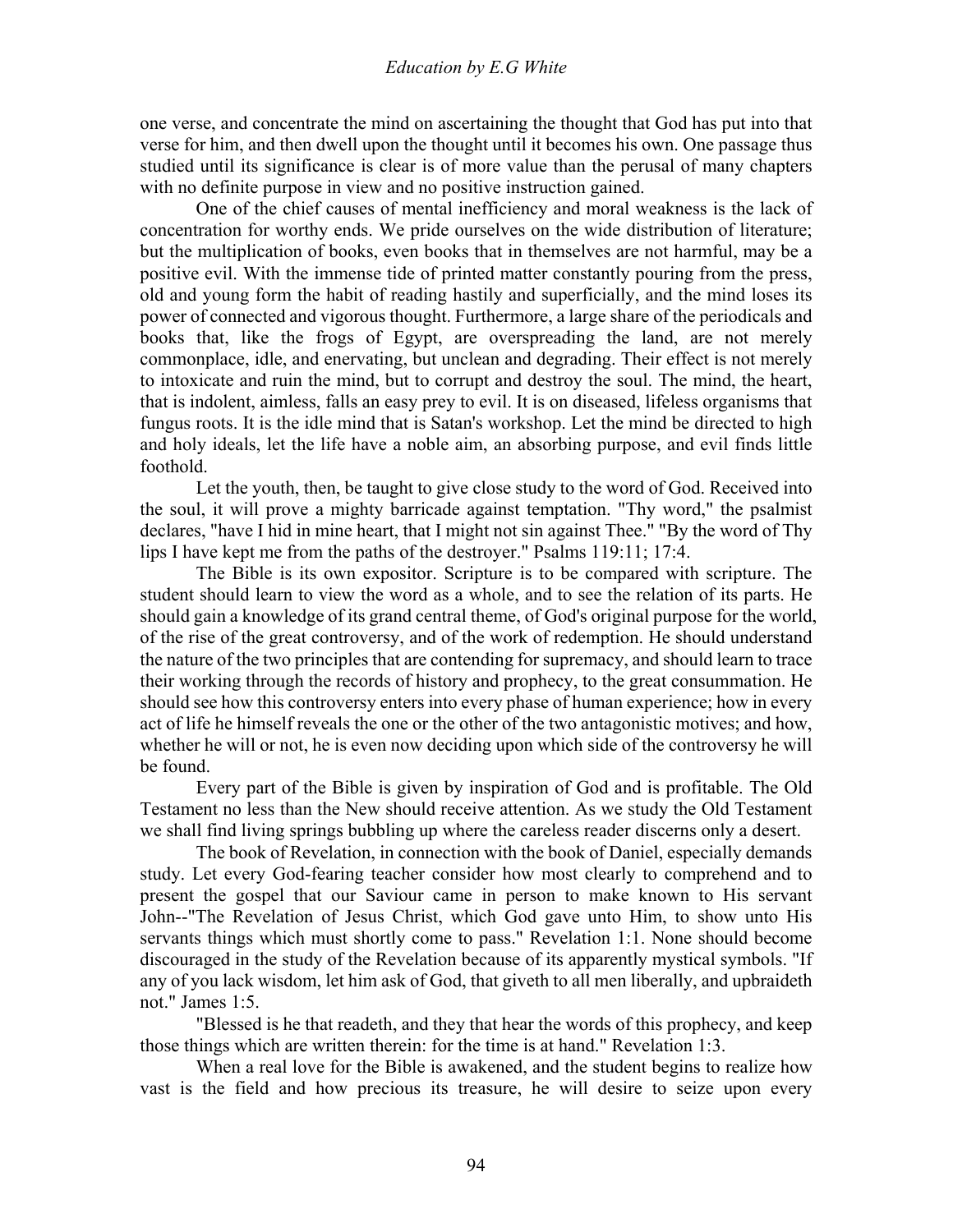one verse, and concentrate the mind on ascertaining the thought that God has put into that verse for him, and then dwell upon the thought until it becomes his own. One passage thus studied until its significance is clear is of more value than the perusal of many chapters with no definite purpose in view and no positive instruction gained.

 One of the chief causes of mental inefficiency and moral weakness is the lack of concentration for worthy ends. We pride ourselves on the wide distribution of literature; but the multiplication of books, even books that in themselves are not harmful, may be a positive evil. With the immense tide of printed matter constantly pouring from the press, old and young form the habit of reading hastily and superficially, and the mind loses its power of connected and vigorous thought. Furthermore, a large share of the periodicals and books that, like the frogs of Egypt, are overspreading the land, are not merely commonplace, idle, and enervating, but unclean and degrading. Their effect is not merely to intoxicate and ruin the mind, but to corrupt and destroy the soul. The mind, the heart, that is indolent, aimless, falls an easy prey to evil. It is on diseased, lifeless organisms that fungus roots. It is the idle mind that is Satan's workshop. Let the mind be directed to high and holy ideals, let the life have a noble aim, an absorbing purpose, and evil finds little foothold.

 Let the youth, then, be taught to give close study to the word of God. Received into the soul, it will prove a mighty barricade against temptation. "Thy word," the psalmist declares, "have I hid in mine heart, that I might not sin against Thee." "By the word of Thy lips I have kept me from the paths of the destroyer." Psalms 119:11; 17:4.

 The Bible is its own expositor. Scripture is to be compared with scripture. The student should learn to view the word as a whole, and to see the relation of its parts. He should gain a knowledge of its grand central theme, of God's original purpose for the world, of the rise of the great controversy, and of the work of redemption. He should understand the nature of the two principles that are contending for supremacy, and should learn to trace their working through the records of history and prophecy, to the great consummation. He should see how this controversy enters into every phase of human experience; how in every act of life he himself reveals the one or the other of the two antagonistic motives; and how, whether he will or not, he is even now deciding upon which side of the controversy he will be found.

 Every part of the Bible is given by inspiration of God and is profitable. The Old Testament no less than the New should receive attention. As we study the Old Testament we shall find living springs bubbling up where the careless reader discerns only a desert.

 The book of Revelation, in connection with the book of Daniel, especially demands study. Let every God-fearing teacher consider how most clearly to comprehend and to present the gospel that our Saviour came in person to make known to His servant John--"The Revelation of Jesus Christ, which God gave unto Him, to show unto His servants things which must shortly come to pass." Revelation 1:1. None should become discouraged in the study of the Revelation because of its apparently mystical symbols. "If any of you lack wisdom, let him ask of God, that giveth to all men liberally, and upbraideth not." James 1:5.

 "Blessed is he that readeth, and they that hear the words of this prophecy, and keep those things which are written therein: for the time is at hand." Revelation 1:3.

 When a real love for the Bible is awakened, and the student begins to realize how vast is the field and how precious its treasure, he will desire to seize upon every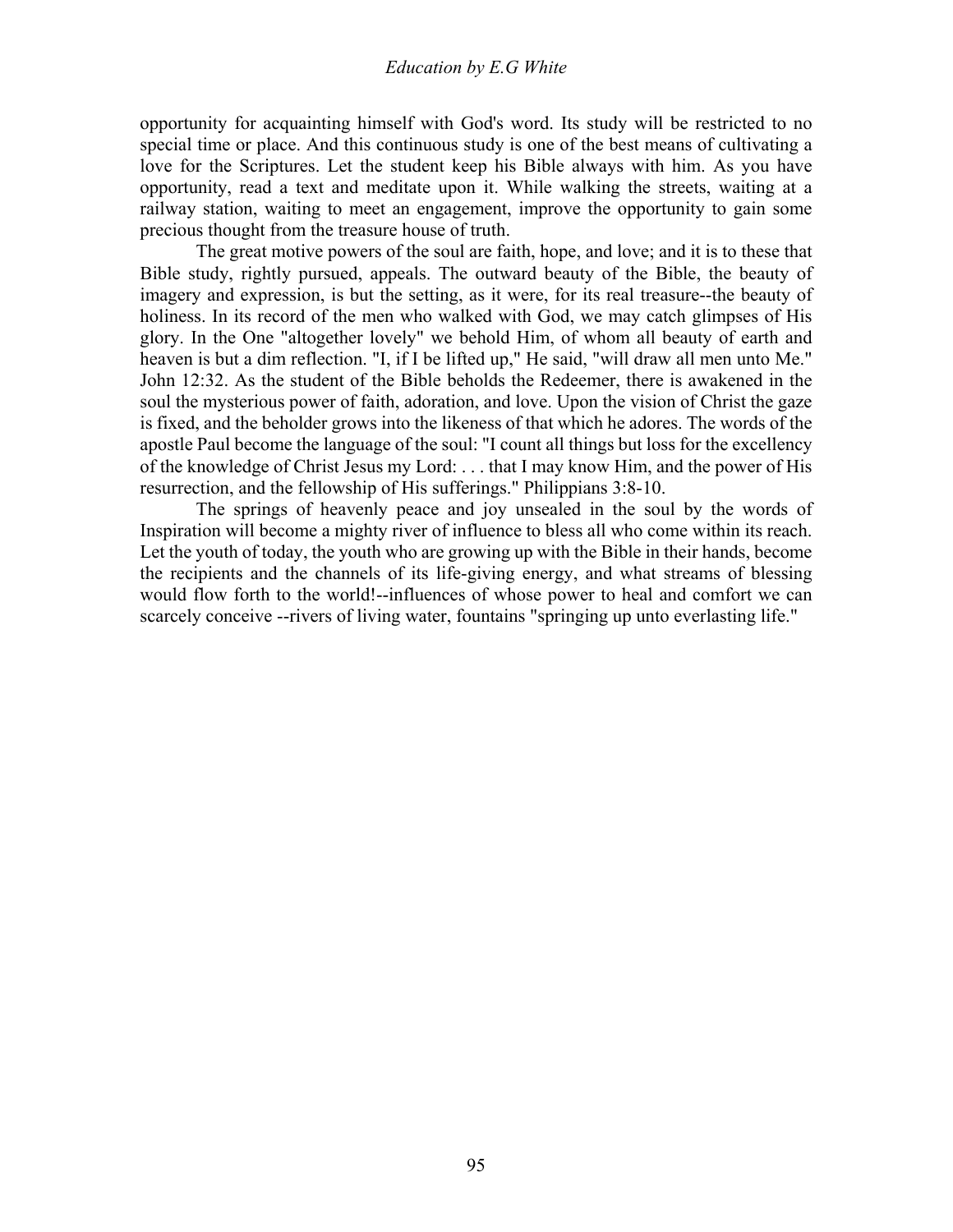opportunity for acquainting himself with God's word. Its study will be restricted to no special time or place. And this continuous study is one of the best means of cultivating a love for the Scriptures. Let the student keep his Bible always with him. As you have opportunity, read a text and meditate upon it. While walking the streets, waiting at a railway station, waiting to meet an engagement, improve the opportunity to gain some precious thought from the treasure house of truth.

 The great motive powers of the soul are faith, hope, and love; and it is to these that Bible study, rightly pursued, appeals. The outward beauty of the Bible, the beauty of imagery and expression, is but the setting, as it were, for its real treasure--the beauty of holiness. In its record of the men who walked with God, we may catch glimpses of His glory. In the One "altogether lovely" we behold Him, of whom all beauty of earth and heaven is but a dim reflection. "I, if I be lifted up," He said, "will draw all men unto Me." John 12:32. As the student of the Bible beholds the Redeemer, there is awakened in the soul the mysterious power of faith, adoration, and love. Upon the vision of Christ the gaze is fixed, and the beholder grows into the likeness of that which he adores. The words of the apostle Paul become the language of the soul: "I count all things but loss for the excellency of the knowledge of Christ Jesus my Lord: . . . that I may know Him, and the power of His resurrection, and the fellowship of His sufferings." Philippians 3:8-10.

 The springs of heavenly peace and joy unsealed in the soul by the words of Inspiration will become a mighty river of influence to bless all who come within its reach. Let the youth of today, the youth who are growing up with the Bible in their hands, become the recipients and the channels of its life-giving energy, and what streams of blessing would flow forth to the world!--influences of whose power to heal and comfort we can scarcely conceive --rivers of living water, fountains "springing up unto everlasting life."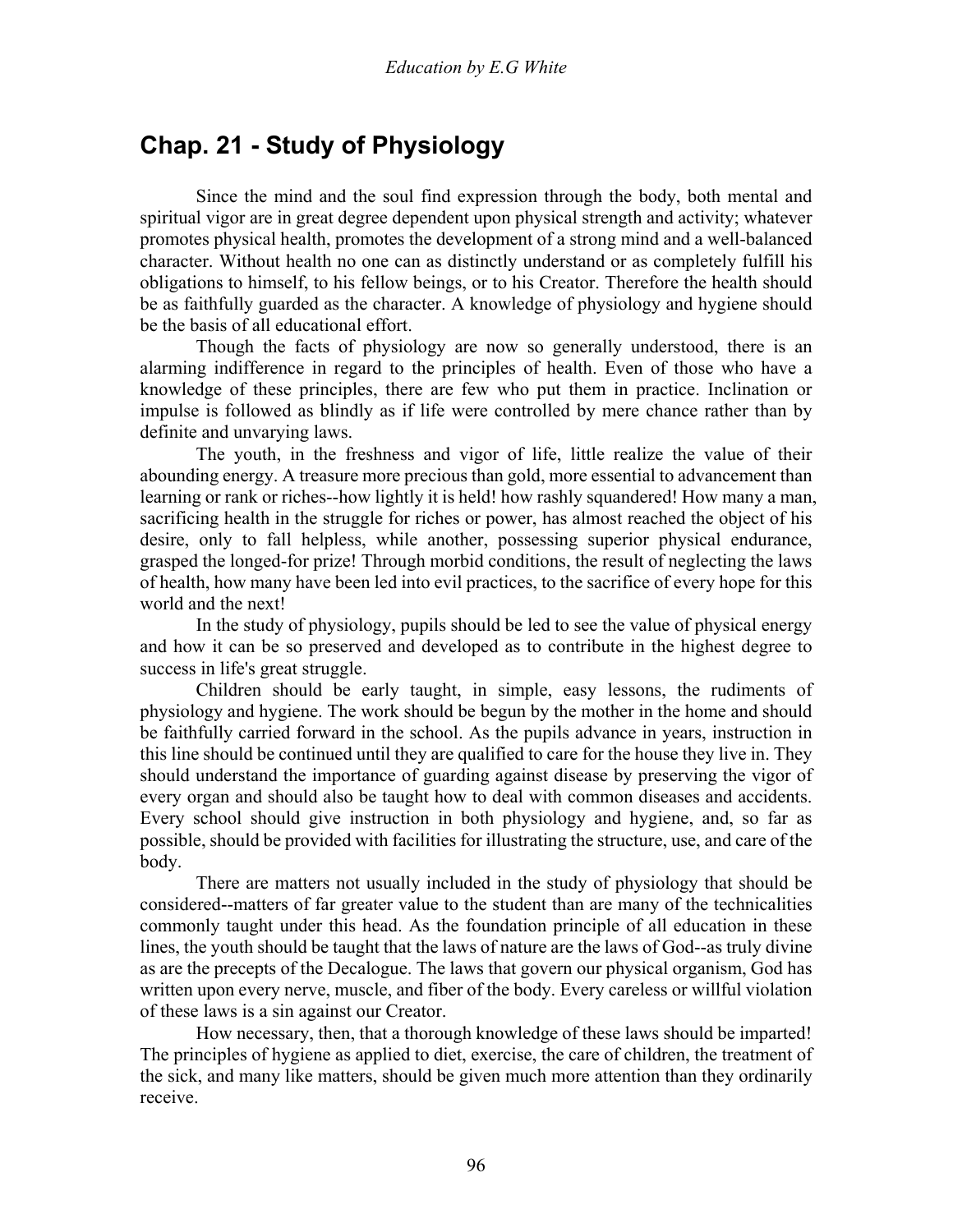# **Chap. 21 - Study of Physiology**

 Since the mind and the soul find expression through the body, both mental and spiritual vigor are in great degree dependent upon physical strength and activity; whatever promotes physical health, promotes the development of a strong mind and a well-balanced character. Without health no one can as distinctly understand or as completely fulfill his obligations to himself, to his fellow beings, or to his Creator. Therefore the health should be as faithfully guarded as the character. A knowledge of physiology and hygiene should be the basis of all educational effort.

 Though the facts of physiology are now so generally understood, there is an alarming indifference in regard to the principles of health. Even of those who have a knowledge of these principles, there are few who put them in practice. Inclination or impulse is followed as blindly as if life were controlled by mere chance rather than by definite and unvarying laws.

 The youth, in the freshness and vigor of life, little realize the value of their abounding energy. A treasure more precious than gold, more essential to advancement than learning or rank or riches--how lightly it is held! how rashly squandered! How many a man, sacrificing health in the struggle for riches or power, has almost reached the object of his desire, only to fall helpless, while another, possessing superior physical endurance, grasped the longed-for prize! Through morbid conditions, the result of neglecting the laws of health, how many have been led into evil practices, to the sacrifice of every hope for this world and the next!

 In the study of physiology, pupils should be led to see the value of physical energy and how it can be so preserved and developed as to contribute in the highest degree to success in life's great struggle.

 Children should be early taught, in simple, easy lessons, the rudiments of physiology and hygiene. The work should be begun by the mother in the home and should be faithfully carried forward in the school. As the pupils advance in years, instruction in this line should be continued until they are qualified to care for the house they live in. They should understand the importance of guarding against disease by preserving the vigor of every organ and should also be taught how to deal with common diseases and accidents. Every school should give instruction in both physiology and hygiene, and, so far as possible, should be provided with facilities for illustrating the structure, use, and care of the body.

 There are matters not usually included in the study of physiology that should be considered--matters of far greater value to the student than are many of the technicalities commonly taught under this head. As the foundation principle of all education in these lines, the youth should be taught that the laws of nature are the laws of God--as truly divine as are the precepts of the Decalogue. The laws that govern our physical organism, God has written upon every nerve, muscle, and fiber of the body. Every careless or willful violation of these laws is a sin against our Creator.

 How necessary, then, that a thorough knowledge of these laws should be imparted! The principles of hygiene as applied to diet, exercise, the care of children, the treatment of the sick, and many like matters, should be given much more attention than they ordinarily receive.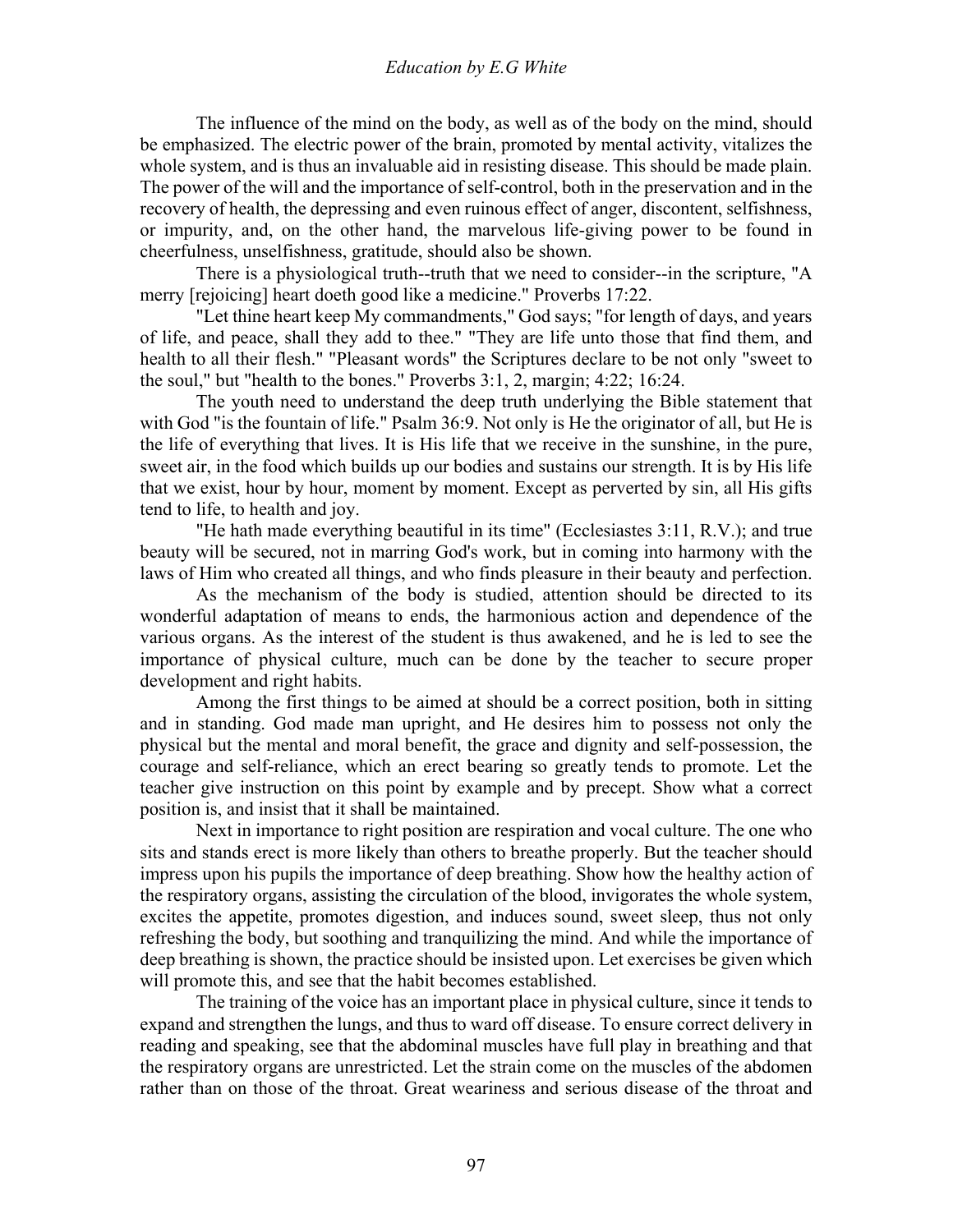#### *Education by E.G White*

 The influence of the mind on the body, as well as of the body on the mind, should be emphasized. The electric power of the brain, promoted by mental activity, vitalizes the whole system, and is thus an invaluable aid in resisting disease. This should be made plain. The power of the will and the importance of self-control, both in the preservation and in the recovery of health, the depressing and even ruinous effect of anger, discontent, selfishness, or impurity, and, on the other hand, the marvelous life-giving power to be found in cheerfulness, unselfishness, gratitude, should also be shown.

 There is a physiological truth--truth that we need to consider--in the scripture, "A merry [rejoicing] heart doeth good like a medicine." Proverbs 17:22.

 "Let thine heart keep My commandments," God says; "for length of days, and years of life, and peace, shall they add to thee." "They are life unto those that find them, and health to all their flesh." "Pleasant words" the Scriptures declare to be not only "sweet to the soul," but "health to the bones." Proverbs 3:1, 2, margin; 4:22; 16:24.

 The youth need to understand the deep truth underlying the Bible statement that with God "is the fountain of life." Psalm 36:9. Not only is He the originator of all, but He is the life of everything that lives. It is His life that we receive in the sunshine, in the pure, sweet air, in the food which builds up our bodies and sustains our strength. It is by His life that we exist, hour by hour, moment by moment. Except as perverted by sin, all His gifts tend to life, to health and joy.

 "He hath made everything beautiful in its time" (Ecclesiastes 3:11, R.V.); and true beauty will be secured, not in marring God's work, but in coming into harmony with the laws of Him who created all things, and who finds pleasure in their beauty and perfection.

 As the mechanism of the body is studied, attention should be directed to its wonderful adaptation of means to ends, the harmonious action and dependence of the various organs. As the interest of the student is thus awakened, and he is led to see the importance of physical culture, much can be done by the teacher to secure proper development and right habits.

 Among the first things to be aimed at should be a correct position, both in sitting and in standing. God made man upright, and He desires him to possess not only the physical but the mental and moral benefit, the grace and dignity and self-possession, the courage and self-reliance, which an erect bearing so greatly tends to promote. Let the teacher give instruction on this point by example and by precept. Show what a correct position is, and insist that it shall be maintained.

 Next in importance to right position are respiration and vocal culture. The one who sits and stands erect is more likely than others to breathe properly. But the teacher should impress upon his pupils the importance of deep breathing. Show how the healthy action of the respiratory organs, assisting the circulation of the blood, invigorates the whole system, excites the appetite, promotes digestion, and induces sound, sweet sleep, thus not only refreshing the body, but soothing and tranquilizing the mind. And while the importance of deep breathing is shown, the practice should be insisted upon. Let exercises be given which will promote this, and see that the habit becomes established.

 The training of the voice has an important place in physical culture, since it tends to expand and strengthen the lungs, and thus to ward off disease. To ensure correct delivery in reading and speaking, see that the abdominal muscles have full play in breathing and that the respiratory organs are unrestricted. Let the strain come on the muscles of the abdomen rather than on those of the throat. Great weariness and serious disease of the throat and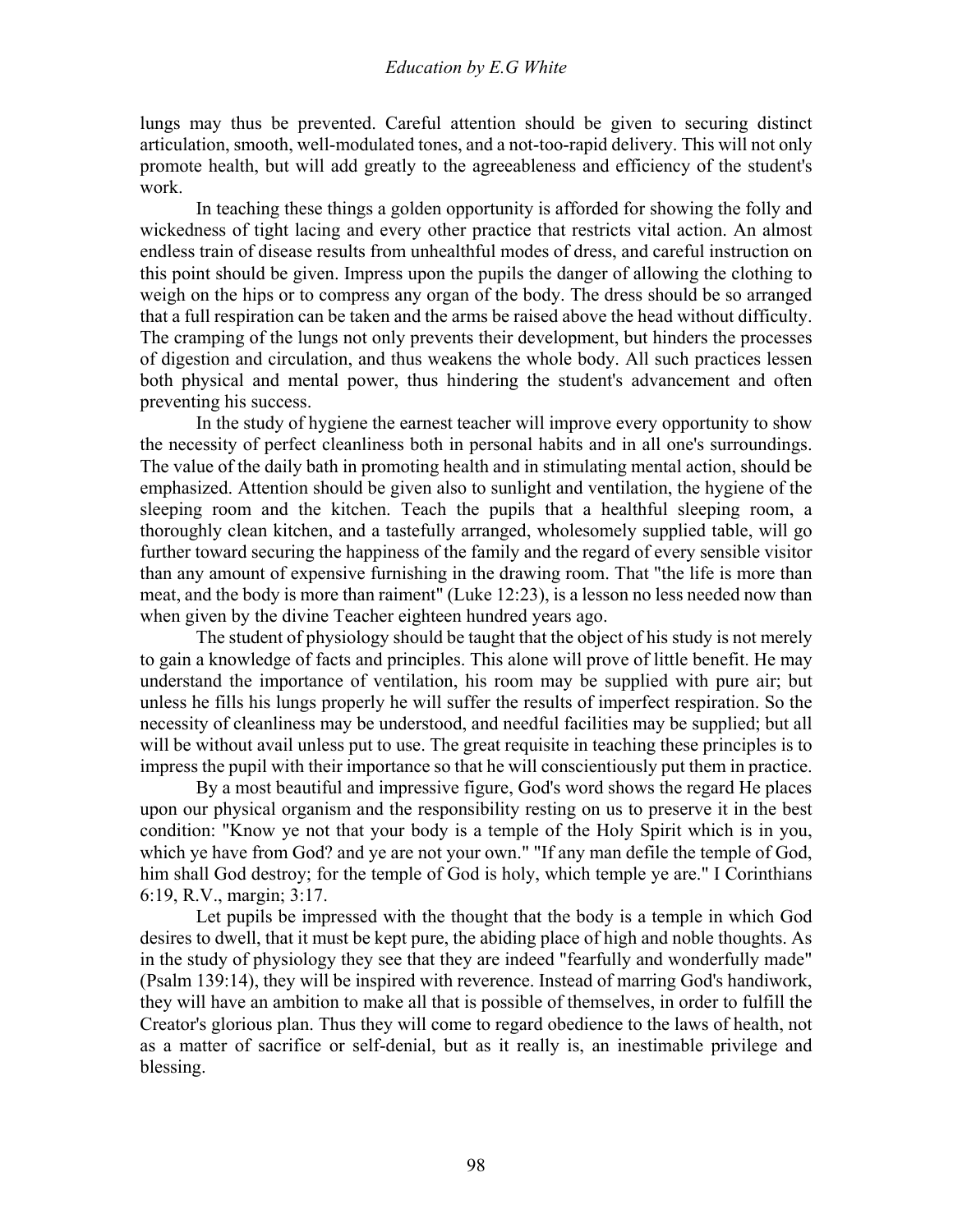lungs may thus be prevented. Careful attention should be given to securing distinct articulation, smooth, well-modulated tones, and a not-too-rapid delivery. This will not only promote health, but will add greatly to the agreeableness and efficiency of the student's work.

 In teaching these things a golden opportunity is afforded for showing the folly and wickedness of tight lacing and every other practice that restricts vital action. An almost endless train of disease results from unhealthful modes of dress, and careful instruction on this point should be given. Impress upon the pupils the danger of allowing the clothing to weigh on the hips or to compress any organ of the body. The dress should be so arranged that a full respiration can be taken and the arms be raised above the head without difficulty. The cramping of the lungs not only prevents their development, but hinders the processes of digestion and circulation, and thus weakens the whole body. All such practices lessen both physical and mental power, thus hindering the student's advancement and often preventing his success.

 In the study of hygiene the earnest teacher will improve every opportunity to show the necessity of perfect cleanliness both in personal habits and in all one's surroundings. The value of the daily bath in promoting health and in stimulating mental action, should be emphasized. Attention should be given also to sunlight and ventilation, the hygiene of the sleeping room and the kitchen. Teach the pupils that a healthful sleeping room, a thoroughly clean kitchen, and a tastefully arranged, wholesomely supplied table, will go further toward securing the happiness of the family and the regard of every sensible visitor than any amount of expensive furnishing in the drawing room. That "the life is more than meat, and the body is more than raiment" (Luke 12:23), is a lesson no less needed now than when given by the divine Teacher eighteen hundred years ago.

 The student of physiology should be taught that the object of his study is not merely to gain a knowledge of facts and principles. This alone will prove of little benefit. He may understand the importance of ventilation, his room may be supplied with pure air; but unless he fills his lungs properly he will suffer the results of imperfect respiration. So the necessity of cleanliness may be understood, and needful facilities may be supplied; but all will be without avail unless put to use. The great requisite in teaching these principles is to impress the pupil with their importance so that he will conscientiously put them in practice.

 By a most beautiful and impressive figure, God's word shows the regard He places upon our physical organism and the responsibility resting on us to preserve it in the best condition: "Know ye not that your body is a temple of the Holy Spirit which is in you, which ye have from God? and ye are not your own." "If any man defile the temple of God, him shall God destroy; for the temple of God is holy, which temple ye are." I Corinthians 6:19, R.V., margin; 3:17.

 Let pupils be impressed with the thought that the body is a temple in which God desires to dwell, that it must be kept pure, the abiding place of high and noble thoughts. As in the study of physiology they see that they are indeed "fearfully and wonderfully made" (Psalm 139:14), they will be inspired with reverence. Instead of marring God's handiwork, they will have an ambition to make all that is possible of themselves, in order to fulfill the Creator's glorious plan. Thus they will come to regard obedience to the laws of health, not as a matter of sacrifice or self-denial, but as it really is, an inestimable privilege and blessing.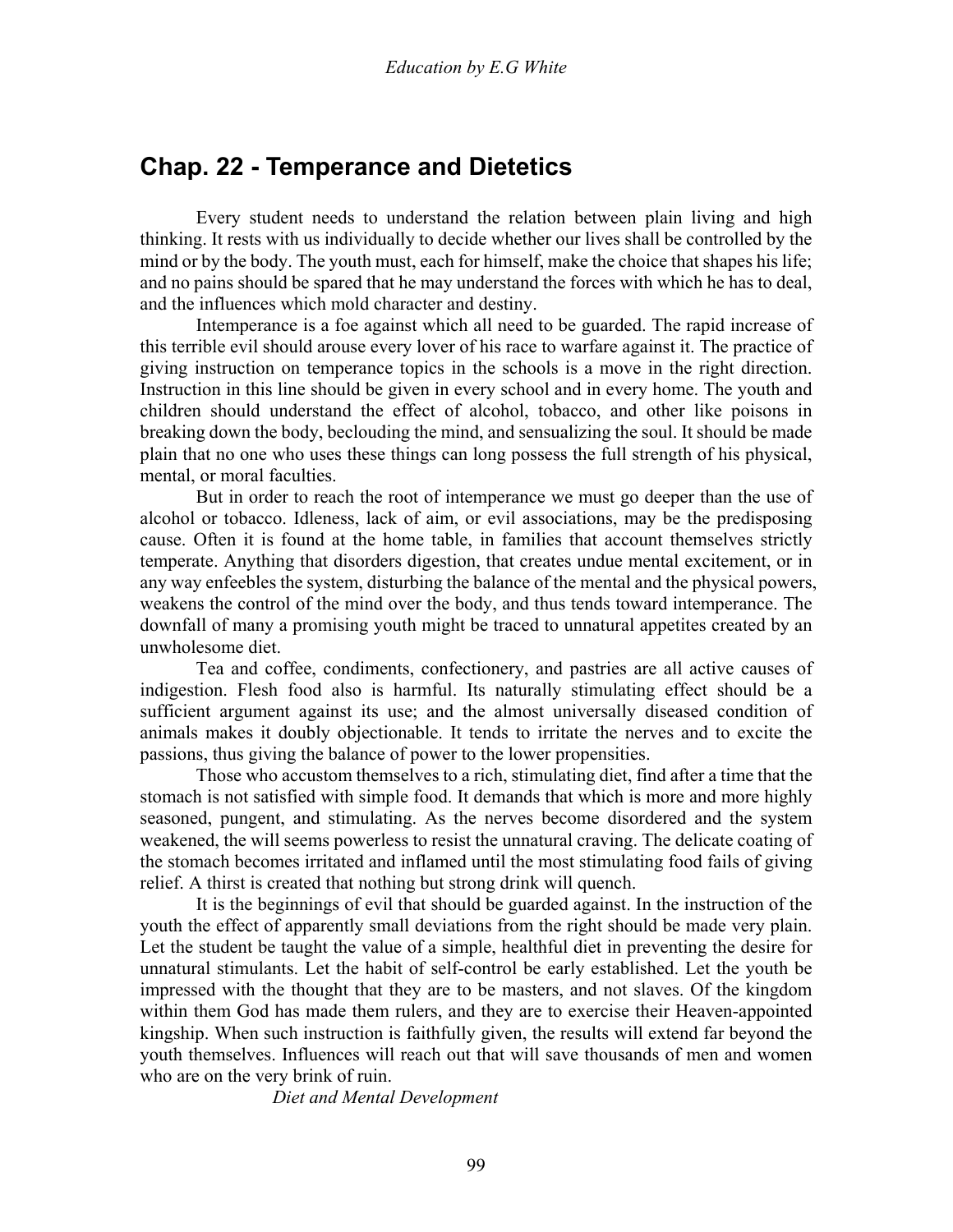### **Chap. 22 - Temperance and Dietetics**

 Every student needs to understand the relation between plain living and high thinking. It rests with us individually to decide whether our lives shall be controlled by the mind or by the body. The youth must, each for himself, make the choice that shapes his life; and no pains should be spared that he may understand the forces with which he has to deal, and the influences which mold character and destiny.

 Intemperance is a foe against which all need to be guarded. The rapid increase of this terrible evil should arouse every lover of his race to warfare against it. The practice of giving instruction on temperance topics in the schools is a move in the right direction. Instruction in this line should be given in every school and in every home. The youth and children should understand the effect of alcohol, tobacco, and other like poisons in breaking down the body, beclouding the mind, and sensualizing the soul. It should be made plain that no one who uses these things can long possess the full strength of his physical, mental, or moral faculties.

 But in order to reach the root of intemperance we must go deeper than the use of alcohol or tobacco. Idleness, lack of aim, or evil associations, may be the predisposing cause. Often it is found at the home table, in families that account themselves strictly temperate. Anything that disorders digestion, that creates undue mental excitement, or in any way enfeebles the system, disturbing the balance of the mental and the physical powers, weakens the control of the mind over the body, and thus tends toward intemperance. The downfall of many a promising youth might be traced to unnatural appetites created by an unwholesome diet.

 Tea and coffee, condiments, confectionery, and pastries are all active causes of indigestion. Flesh food also is harmful. Its naturally stimulating effect should be a sufficient argument against its use; and the almost universally diseased condition of animals makes it doubly objectionable. It tends to irritate the nerves and to excite the passions, thus giving the balance of power to the lower propensities.

 Those who accustom themselves to a rich, stimulating diet, find after a time that the stomach is not satisfied with simple food. It demands that which is more and more highly seasoned, pungent, and stimulating. As the nerves become disordered and the system weakened, the will seems powerless to resist the unnatural craving. The delicate coating of the stomach becomes irritated and inflamed until the most stimulating food fails of giving relief. A thirst is created that nothing but strong drink will quench.

 It is the beginnings of evil that should be guarded against. In the instruction of the youth the effect of apparently small deviations from the right should be made very plain. Let the student be taught the value of a simple, healthful diet in preventing the desire for unnatural stimulants. Let the habit of self-control be early established. Let the youth be impressed with the thought that they are to be masters, and not slaves. Of the kingdom within them God has made them rulers, and they are to exercise their Heaven-appointed kingship. When such instruction is faithfully given, the results will extend far beyond the youth themselves. Influences will reach out that will save thousands of men and women who are on the very brink of ruin.

*Diet and Mental Development*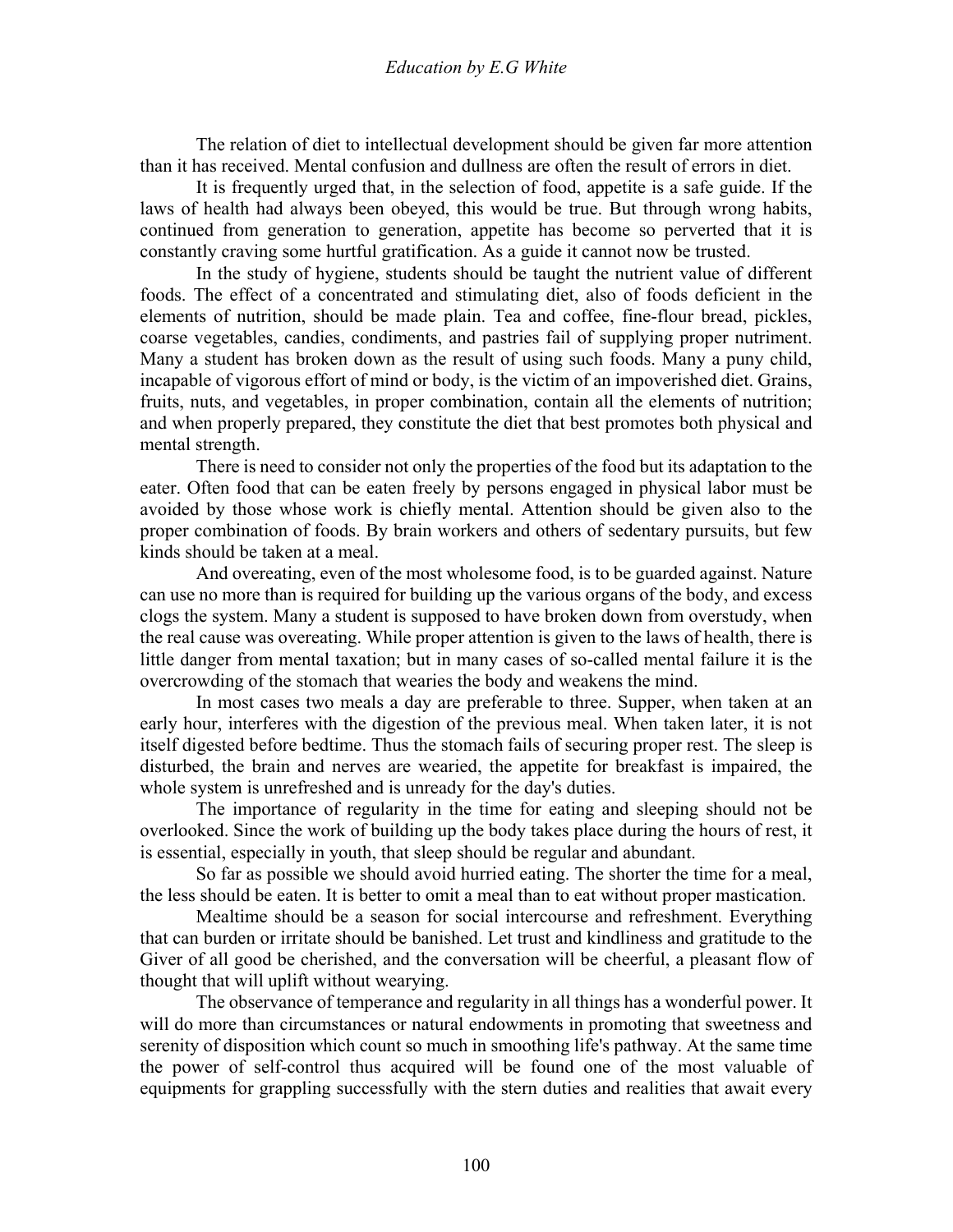The relation of diet to intellectual development should be given far more attention than it has received. Mental confusion and dullness are often the result of errors in diet.

 It is frequently urged that, in the selection of food, appetite is a safe guide. If the laws of health had always been obeyed, this would be true. But through wrong habits, continued from generation to generation, appetite has become so perverted that it is constantly craving some hurtful gratification. As a guide it cannot now be trusted.

 In the study of hygiene, students should be taught the nutrient value of different foods. The effect of a concentrated and stimulating diet, also of foods deficient in the elements of nutrition, should be made plain. Tea and coffee, fine-flour bread, pickles, coarse vegetables, candies, condiments, and pastries fail of supplying proper nutriment. Many a student has broken down as the result of using such foods. Many a puny child, incapable of vigorous effort of mind or body, is the victim of an impoverished diet. Grains, fruits, nuts, and vegetables, in proper combination, contain all the elements of nutrition; and when properly prepared, they constitute the diet that best promotes both physical and mental strength.

 There is need to consider not only the properties of the food but its adaptation to the eater. Often food that can be eaten freely by persons engaged in physical labor must be avoided by those whose work is chiefly mental. Attention should be given also to the proper combination of foods. By brain workers and others of sedentary pursuits, but few kinds should be taken at a meal.

 And overeating, even of the most wholesome food, is to be guarded against. Nature can use no more than is required for building up the various organs of the body, and excess clogs the system. Many a student is supposed to have broken down from overstudy, when the real cause was overeating. While proper attention is given to the laws of health, there is little danger from mental taxation; but in many cases of so-called mental failure it is the overcrowding of the stomach that wearies the body and weakens the mind.

 In most cases two meals a day are preferable to three. Supper, when taken at an early hour, interferes with the digestion of the previous meal. When taken later, it is not itself digested before bedtime. Thus the stomach fails of securing proper rest. The sleep is disturbed, the brain and nerves are wearied, the appetite for breakfast is impaired, the whole system is unrefreshed and is unready for the day's duties.

 The importance of regularity in the time for eating and sleeping should not be overlooked. Since the work of building up the body takes place during the hours of rest, it is essential, especially in youth, that sleep should be regular and abundant.

 So far as possible we should avoid hurried eating. The shorter the time for a meal, the less should be eaten. It is better to omit a meal than to eat without proper mastication.

 Mealtime should be a season for social intercourse and refreshment. Everything that can burden or irritate should be banished. Let trust and kindliness and gratitude to the Giver of all good be cherished, and the conversation will be cheerful, a pleasant flow of thought that will uplift without wearying.

 The observance of temperance and regularity in all things has a wonderful power. It will do more than circumstances or natural endowments in promoting that sweetness and serenity of disposition which count so much in smoothing life's pathway. At the same time the power of self-control thus acquired will be found one of the most valuable of equipments for grappling successfully with the stern duties and realities that await every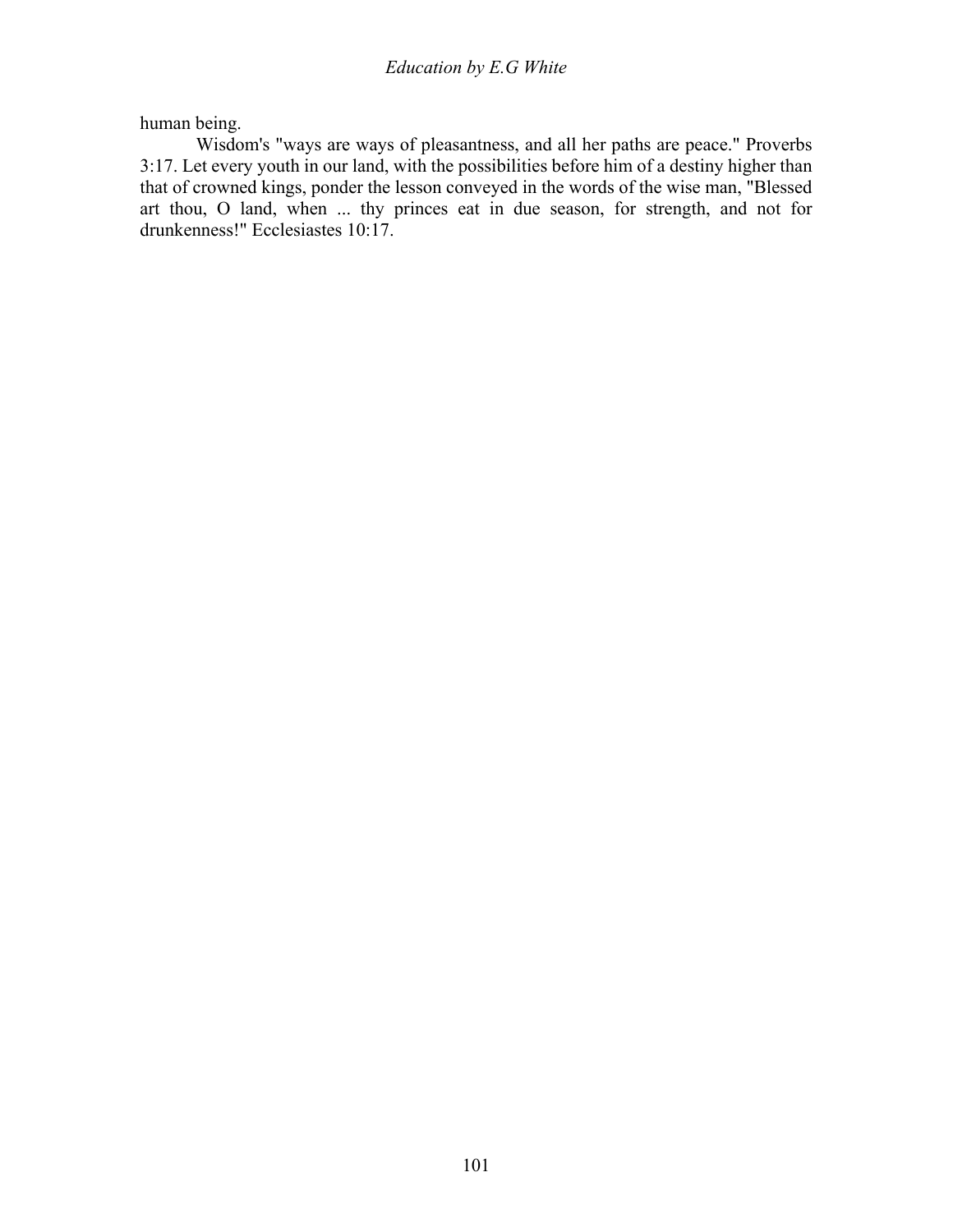human being.

 Wisdom's "ways are ways of pleasantness, and all her paths are peace." Proverbs 3:17. Let every youth in our land, with the possibilities before him of a destiny higher than that of crowned kings, ponder the lesson conveyed in the words of the wise man, "Blessed art thou, O land, when ... thy princes eat in due season, for strength, and not for drunkenness!" Ecclesiastes 10:17.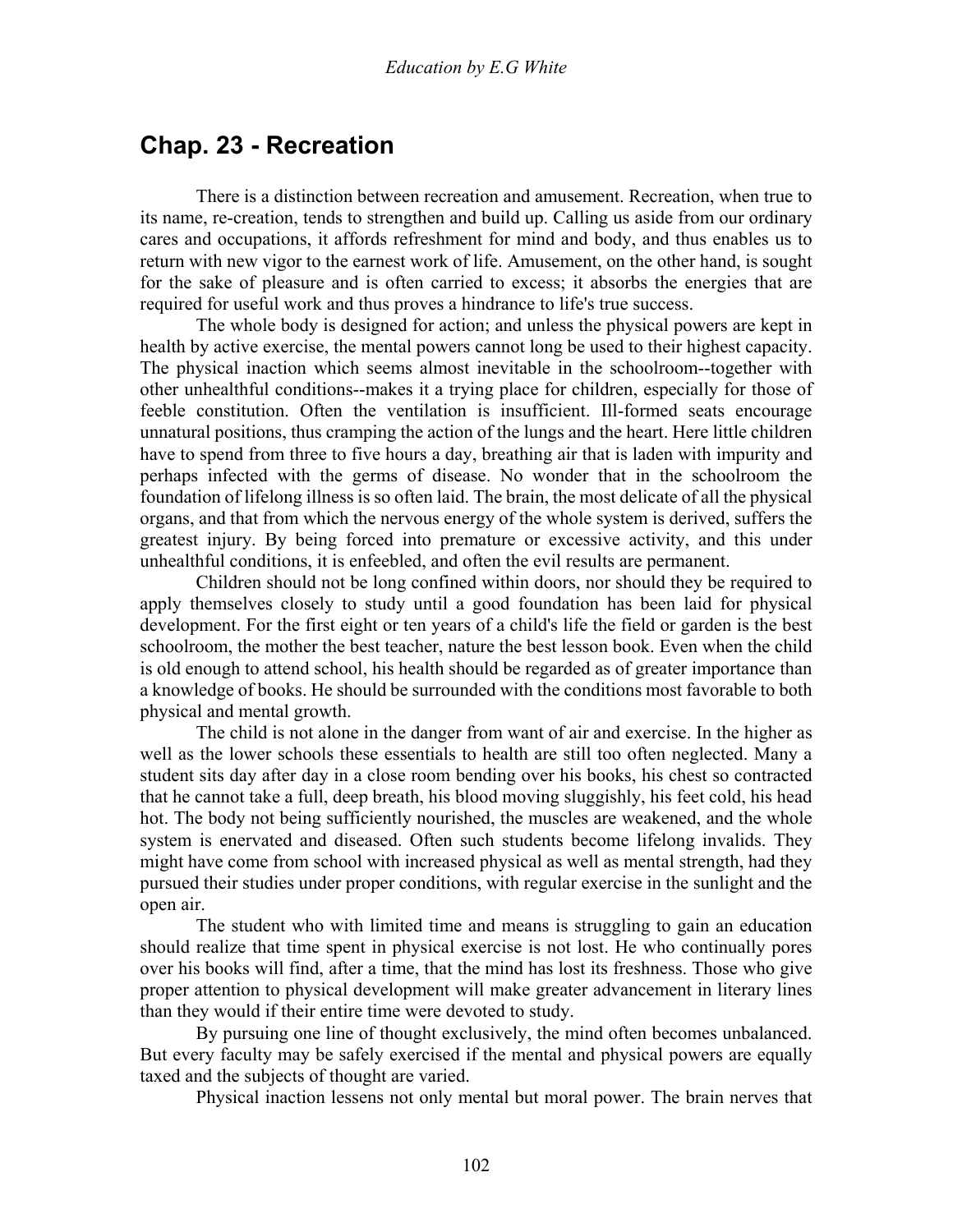### **Chap. 23 - Recreation**

 There is a distinction between recreation and amusement. Recreation, when true to its name, re-creation, tends to strengthen and build up. Calling us aside from our ordinary cares and occupations, it affords refreshment for mind and body, and thus enables us to return with new vigor to the earnest work of life. Amusement, on the other hand, is sought for the sake of pleasure and is often carried to excess; it absorbs the energies that are required for useful work and thus proves a hindrance to life's true success.

 The whole body is designed for action; and unless the physical powers are kept in health by active exercise, the mental powers cannot long be used to their highest capacity. The physical inaction which seems almost inevitable in the schoolroom--together with other unhealthful conditions--makes it a trying place for children, especially for those of feeble constitution. Often the ventilation is insufficient. Ill-formed seats encourage unnatural positions, thus cramping the action of the lungs and the heart. Here little children have to spend from three to five hours a day, breathing air that is laden with impurity and perhaps infected with the germs of disease. No wonder that in the schoolroom the foundation of lifelong illness is so often laid. The brain, the most delicate of all the physical organs, and that from which the nervous energy of the whole system is derived, suffers the greatest injury. By being forced into premature or excessive activity, and this under unhealthful conditions, it is enfeebled, and often the evil results are permanent.

 Children should not be long confined within doors, nor should they be required to apply themselves closely to study until a good foundation has been laid for physical development. For the first eight or ten years of a child's life the field or garden is the best schoolroom, the mother the best teacher, nature the best lesson book. Even when the child is old enough to attend school, his health should be regarded as of greater importance than a knowledge of books. He should be surrounded with the conditions most favorable to both physical and mental growth.

 The child is not alone in the danger from want of air and exercise. In the higher as well as the lower schools these essentials to health are still too often neglected. Many a student sits day after day in a close room bending over his books, his chest so contracted that he cannot take a full, deep breath, his blood moving sluggishly, his feet cold, his head hot. The body not being sufficiently nourished, the muscles are weakened, and the whole system is enervated and diseased. Often such students become lifelong invalids. They might have come from school with increased physical as well as mental strength, had they pursued their studies under proper conditions, with regular exercise in the sunlight and the open air.

 The student who with limited time and means is struggling to gain an education should realize that time spent in physical exercise is not lost. He who continually pores over his books will find, after a time, that the mind has lost its freshness. Those who give proper attention to physical development will make greater advancement in literary lines than they would if their entire time were devoted to study.

 By pursuing one line of thought exclusively, the mind often becomes unbalanced. But every faculty may be safely exercised if the mental and physical powers are equally taxed and the subjects of thought are varied.

Physical inaction lessens not only mental but moral power. The brain nerves that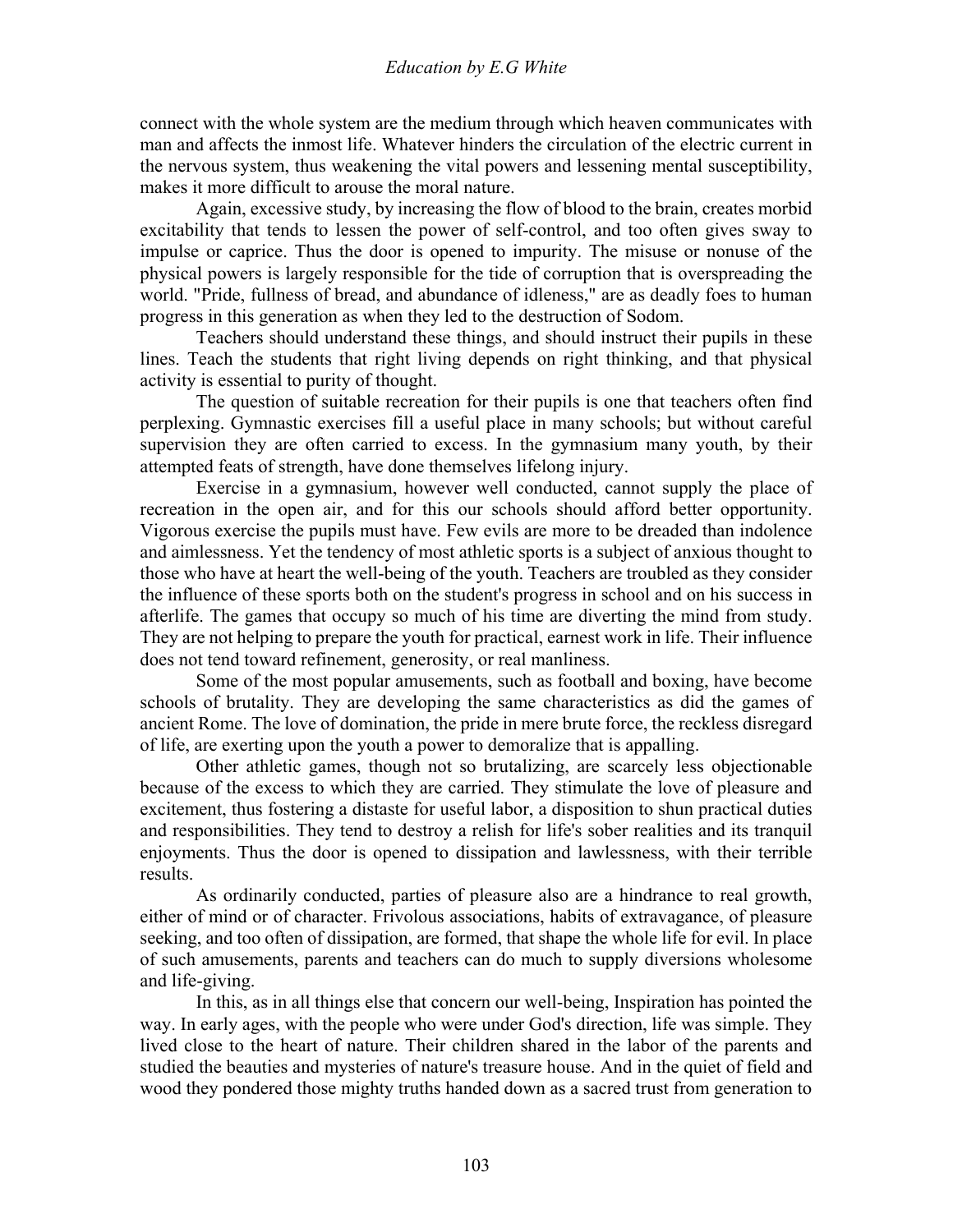connect with the whole system are the medium through which heaven communicates with man and affects the inmost life. Whatever hinders the circulation of the electric current in the nervous system, thus weakening the vital powers and lessening mental susceptibility, makes it more difficult to arouse the moral nature.

 Again, excessive study, by increasing the flow of blood to the brain, creates morbid excitability that tends to lessen the power of self-control, and too often gives sway to impulse or caprice. Thus the door is opened to impurity. The misuse or nonuse of the physical powers is largely responsible for the tide of corruption that is overspreading the world. "Pride, fullness of bread, and abundance of idleness," are as deadly foes to human progress in this generation as when they led to the destruction of Sodom.

 Teachers should understand these things, and should instruct their pupils in these lines. Teach the students that right living depends on right thinking, and that physical activity is essential to purity of thought.

 The question of suitable recreation for their pupils is one that teachers often find perplexing. Gymnastic exercises fill a useful place in many schools; but without careful supervision they are often carried to excess. In the gymnasium many youth, by their attempted feats of strength, have done themselves lifelong injury.

 Exercise in a gymnasium, however well conducted, cannot supply the place of recreation in the open air, and for this our schools should afford better opportunity. Vigorous exercise the pupils must have. Few evils are more to be dreaded than indolence and aimlessness. Yet the tendency of most athletic sports is a subject of anxious thought to those who have at heart the well-being of the youth. Teachers are troubled as they consider the influence of these sports both on the student's progress in school and on his success in afterlife. The games that occupy so much of his time are diverting the mind from study. They are not helping to prepare the youth for practical, earnest work in life. Their influence does not tend toward refinement, generosity, or real manliness.

 Some of the most popular amusements, such as football and boxing, have become schools of brutality. They are developing the same characteristics as did the games of ancient Rome. The love of domination, the pride in mere brute force, the reckless disregard of life, are exerting upon the youth a power to demoralize that is appalling.

 Other athletic games, though not so brutalizing, are scarcely less objectionable because of the excess to which they are carried. They stimulate the love of pleasure and excitement, thus fostering a distaste for useful labor, a disposition to shun practical duties and responsibilities. They tend to destroy a relish for life's sober realities and its tranquil enjoyments. Thus the door is opened to dissipation and lawlessness, with their terrible results.

 As ordinarily conducted, parties of pleasure also are a hindrance to real growth, either of mind or of character. Frivolous associations, habits of extravagance, of pleasure seeking, and too often of dissipation, are formed, that shape the whole life for evil. In place of such amusements, parents and teachers can do much to supply diversions wholesome and life-giving.

 In this, as in all things else that concern our well-being, Inspiration has pointed the way. In early ages, with the people who were under God's direction, life was simple. They lived close to the heart of nature. Their children shared in the labor of the parents and studied the beauties and mysteries of nature's treasure house. And in the quiet of field and wood they pondered those mighty truths handed down as a sacred trust from generation to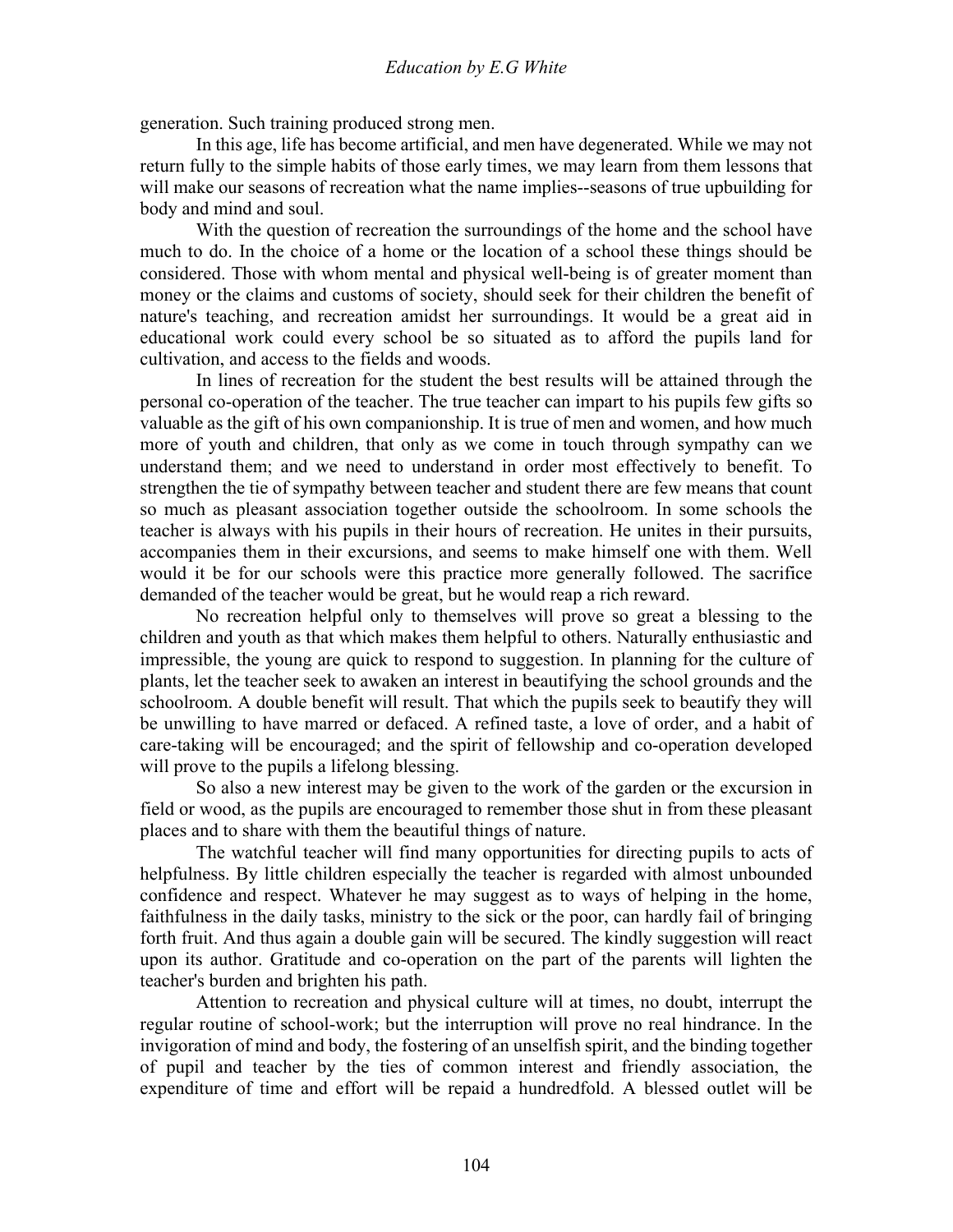generation. Such training produced strong men.

 In this age, life has become artificial, and men have degenerated. While we may not return fully to the simple habits of those early times, we may learn from them lessons that will make our seasons of recreation what the name implies--seasons of true upbuilding for body and mind and soul.

 With the question of recreation the surroundings of the home and the school have much to do. In the choice of a home or the location of a school these things should be considered. Those with whom mental and physical well-being is of greater moment than money or the claims and customs of society, should seek for their children the benefit of nature's teaching, and recreation amidst her surroundings. It would be a great aid in educational work could every school be so situated as to afford the pupils land for cultivation, and access to the fields and woods.

 In lines of recreation for the student the best results will be attained through the personal co-operation of the teacher. The true teacher can impart to his pupils few gifts so valuable as the gift of his own companionship. It is true of men and women, and how much more of youth and children, that only as we come in touch through sympathy can we understand them; and we need to understand in order most effectively to benefit. To strengthen the tie of sympathy between teacher and student there are few means that count so much as pleasant association together outside the schoolroom. In some schools the teacher is always with his pupils in their hours of recreation. He unites in their pursuits, accompanies them in their excursions, and seems to make himself one with them. Well would it be for our schools were this practice more generally followed. The sacrifice demanded of the teacher would be great, but he would reap a rich reward.

 No recreation helpful only to themselves will prove so great a blessing to the children and youth as that which makes them helpful to others. Naturally enthusiastic and impressible, the young are quick to respond to suggestion. In planning for the culture of plants, let the teacher seek to awaken an interest in beautifying the school grounds and the schoolroom. A double benefit will result. That which the pupils seek to beautify they will be unwilling to have marred or defaced. A refined taste, a love of order, and a habit of care-taking will be encouraged; and the spirit of fellowship and co-operation developed will prove to the pupils a lifelong blessing.

 So also a new interest may be given to the work of the garden or the excursion in field or wood, as the pupils are encouraged to remember those shut in from these pleasant places and to share with them the beautiful things of nature.

 The watchful teacher will find many opportunities for directing pupils to acts of helpfulness. By little children especially the teacher is regarded with almost unbounded confidence and respect. Whatever he may suggest as to ways of helping in the home, faithfulness in the daily tasks, ministry to the sick or the poor, can hardly fail of bringing forth fruit. And thus again a double gain will be secured. The kindly suggestion will react upon its author. Gratitude and co-operation on the part of the parents will lighten the teacher's burden and brighten his path.

 Attention to recreation and physical culture will at times, no doubt, interrupt the regular routine of school-work; but the interruption will prove no real hindrance. In the invigoration of mind and body, the fostering of an unselfish spirit, and the binding together of pupil and teacher by the ties of common interest and friendly association, the expenditure of time and effort will be repaid a hundredfold. A blessed outlet will be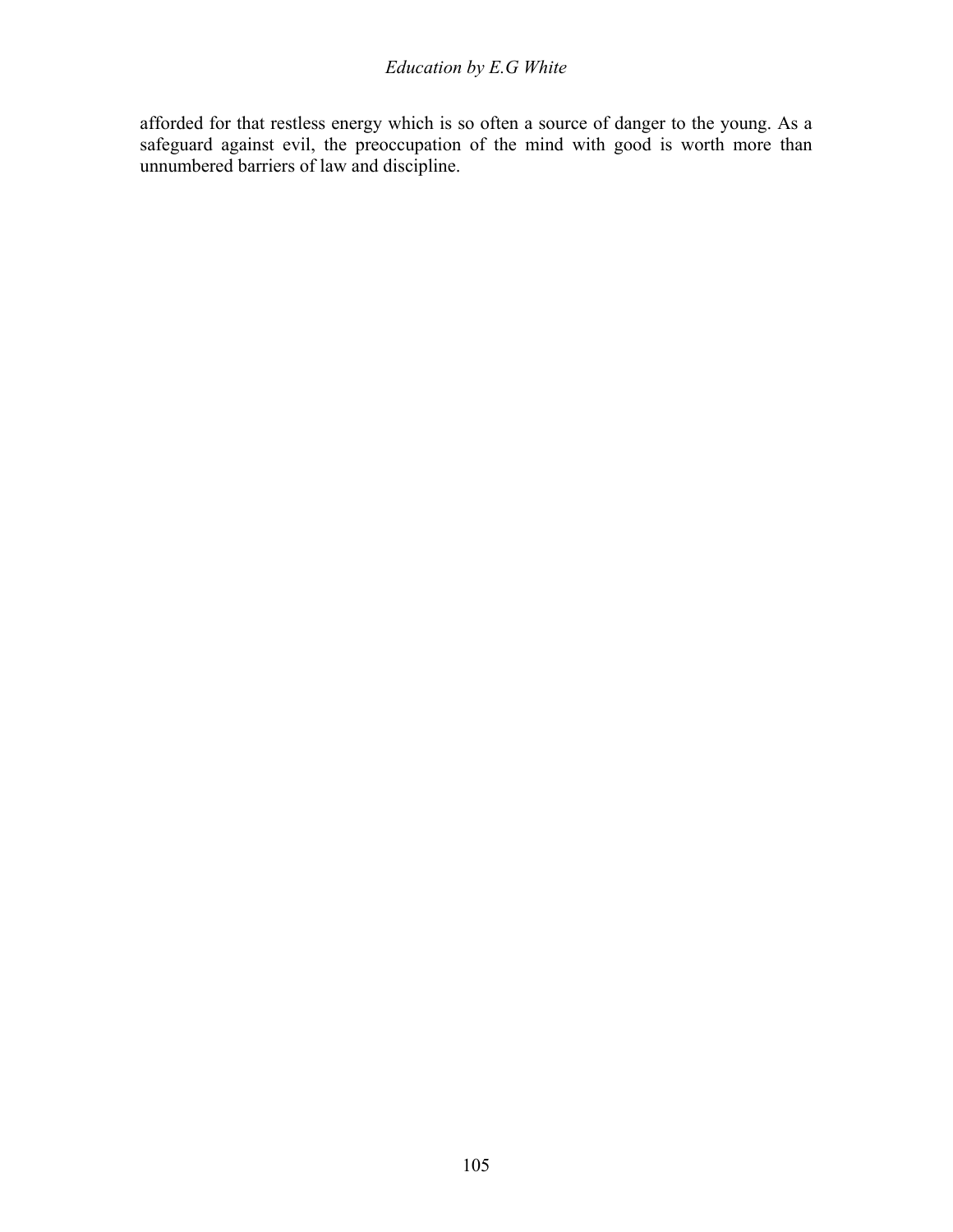### *Education by E.G White*

afforded for that restless energy which is so often a source of danger to the young. As a safeguard against evil, the preoccupation of the mind with good is worth more than unnumbered barriers of law and discipline.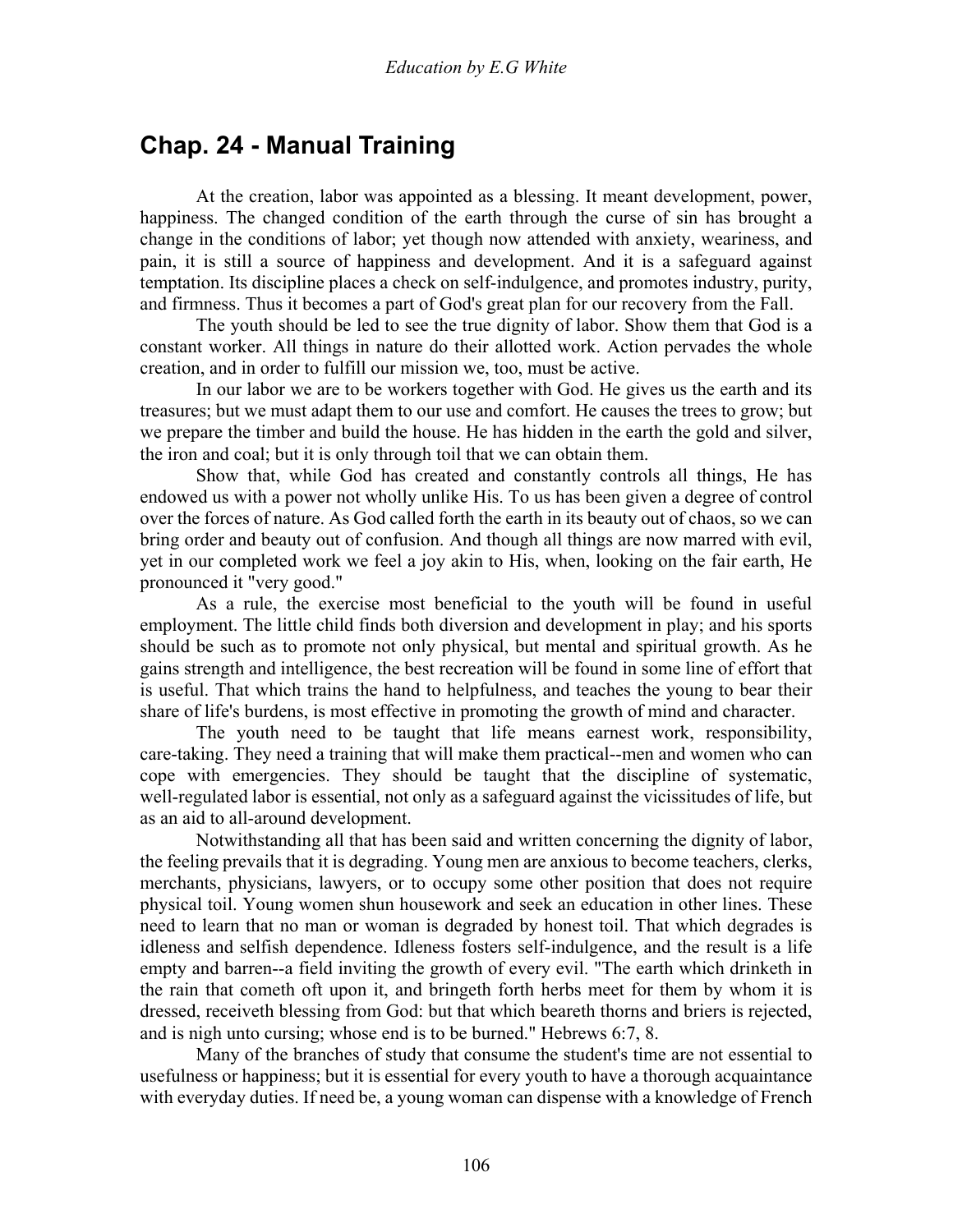## **Chap. 24 - Manual Training**

 At the creation, labor was appointed as a blessing. It meant development, power, happiness. The changed condition of the earth through the curse of sin has brought a change in the conditions of labor; yet though now attended with anxiety, weariness, and pain, it is still a source of happiness and development. And it is a safeguard against temptation. Its discipline places a check on self-indulgence, and promotes industry, purity, and firmness. Thus it becomes a part of God's great plan for our recovery from the Fall.

 The youth should be led to see the true dignity of labor. Show them that God is a constant worker. All things in nature do their allotted work. Action pervades the whole creation, and in order to fulfill our mission we, too, must be active.

 In our labor we are to be workers together with God. He gives us the earth and its treasures; but we must adapt them to our use and comfort. He causes the trees to grow; but we prepare the timber and build the house. He has hidden in the earth the gold and silver, the iron and coal; but it is only through toil that we can obtain them.

 Show that, while God has created and constantly controls all things, He has endowed us with a power not wholly unlike His. To us has been given a degree of control over the forces of nature. As God called forth the earth in its beauty out of chaos, so we can bring order and beauty out of confusion. And though all things are now marred with evil, yet in our completed work we feel a joy akin to His, when, looking on the fair earth, He pronounced it "very good."

 As a rule, the exercise most beneficial to the youth will be found in useful employment. The little child finds both diversion and development in play; and his sports should be such as to promote not only physical, but mental and spiritual growth. As he gains strength and intelligence, the best recreation will be found in some line of effort that is useful. That which trains the hand to helpfulness, and teaches the young to bear their share of life's burdens, is most effective in promoting the growth of mind and character.

 The youth need to be taught that life means earnest work, responsibility, care-taking. They need a training that will make them practical--men and women who can cope with emergencies. They should be taught that the discipline of systematic, well-regulated labor is essential, not only as a safeguard against the vicissitudes of life, but as an aid to all-around development.

 Notwithstanding all that has been said and written concerning the dignity of labor, the feeling prevails that it is degrading. Young men are anxious to become teachers, clerks, merchants, physicians, lawyers, or to occupy some other position that does not require physical toil. Young women shun housework and seek an education in other lines. These need to learn that no man or woman is degraded by honest toil. That which degrades is idleness and selfish dependence. Idleness fosters self-indulgence, and the result is a life empty and barren--a field inviting the growth of every evil. "The earth which drinketh in the rain that cometh oft upon it, and bringeth forth herbs meet for them by whom it is dressed, receiveth blessing from God: but that which beareth thorns and briers is rejected, and is nigh unto cursing; whose end is to be burned." Hebrews 6:7, 8.

 Many of the branches of study that consume the student's time are not essential to usefulness or happiness; but it is essential for every youth to have a thorough acquaintance with everyday duties. If need be, a young woman can dispense with a knowledge of French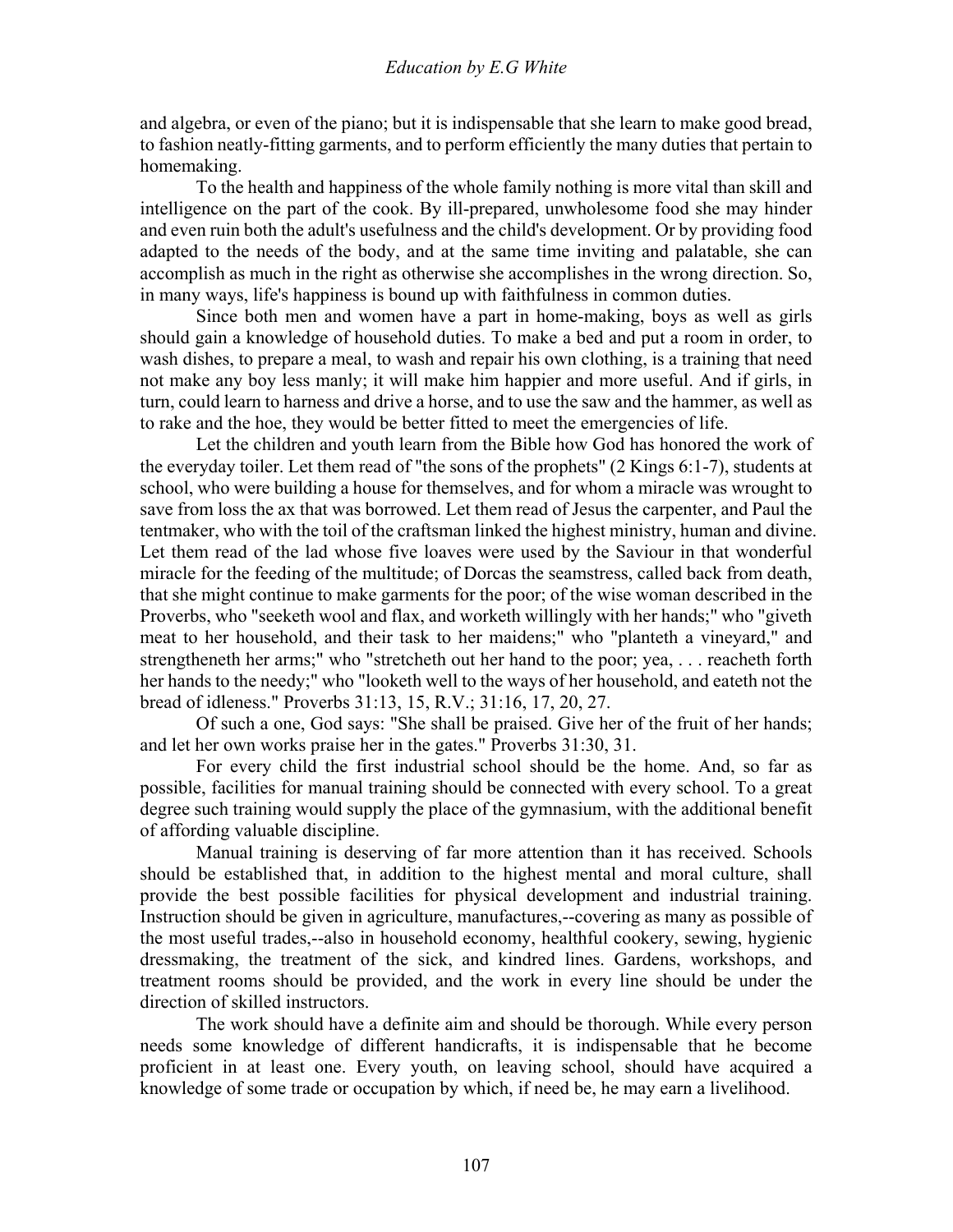and algebra, or even of the piano; but it is indispensable that she learn to make good bread, to fashion neatly-fitting garments, and to perform efficiently the many duties that pertain to homemaking.

 To the health and happiness of the whole family nothing is more vital than skill and intelligence on the part of the cook. By ill-prepared, unwholesome food she may hinder and even ruin both the adult's usefulness and the child's development. Or by providing food adapted to the needs of the body, and at the same time inviting and palatable, she can accomplish as much in the right as otherwise she accomplishes in the wrong direction. So, in many ways, life's happiness is bound up with faithfulness in common duties.

 Since both men and women have a part in home-making, boys as well as girls should gain a knowledge of household duties. To make a bed and put a room in order, to wash dishes, to prepare a meal, to wash and repair his own clothing, is a training that need not make any boy less manly; it will make him happier and more useful. And if girls, in turn, could learn to harness and drive a horse, and to use the saw and the hammer, as well as to rake and the hoe, they would be better fitted to meet the emergencies of life.

 Let the children and youth learn from the Bible how God has honored the work of the everyday toiler. Let them read of "the sons of the prophets" (2 Kings 6:1-7), students at school, who were building a house for themselves, and for whom a miracle was wrought to save from loss the ax that was borrowed. Let them read of Jesus the carpenter, and Paul the tentmaker, who with the toil of the craftsman linked the highest ministry, human and divine. Let them read of the lad whose five loaves were used by the Saviour in that wonderful miracle for the feeding of the multitude; of Dorcas the seamstress, called back from death, that she might continue to make garments for the poor; of the wise woman described in the Proverbs, who "seeketh wool and flax, and worketh willingly with her hands;" who "giveth meat to her household, and their task to her maidens;" who "planteth a vineyard," and strengtheneth her arms;" who "stretcheth out her hand to the poor; yea, . . . reacheth forth her hands to the needy;" who "looketh well to the ways of her household, and eateth not the bread of idleness." Proverbs 31:13, 15, R.V.; 31:16, 17, 20, 27.

 Of such a one, God says: "She shall be praised. Give her of the fruit of her hands; and let her own works praise her in the gates." Proverbs 31:30, 31.

 For every child the first industrial school should be the home. And, so far as possible, facilities for manual training should be connected with every school. To a great degree such training would supply the place of the gymnasium, with the additional benefit of affording valuable discipline.

 Manual training is deserving of far more attention than it has received. Schools should be established that, in addition to the highest mental and moral culture, shall provide the best possible facilities for physical development and industrial training. Instruction should be given in agriculture, manufactures,--covering as many as possible of the most useful trades,--also in household economy, healthful cookery, sewing, hygienic dressmaking, the treatment of the sick, and kindred lines. Gardens, workshops, and treatment rooms should be provided, and the work in every line should be under the direction of skilled instructors.

 The work should have a definite aim and should be thorough. While every person needs some knowledge of different handicrafts, it is indispensable that he become proficient in at least one. Every youth, on leaving school, should have acquired a knowledge of some trade or occupation by which, if need be, he may earn a livelihood.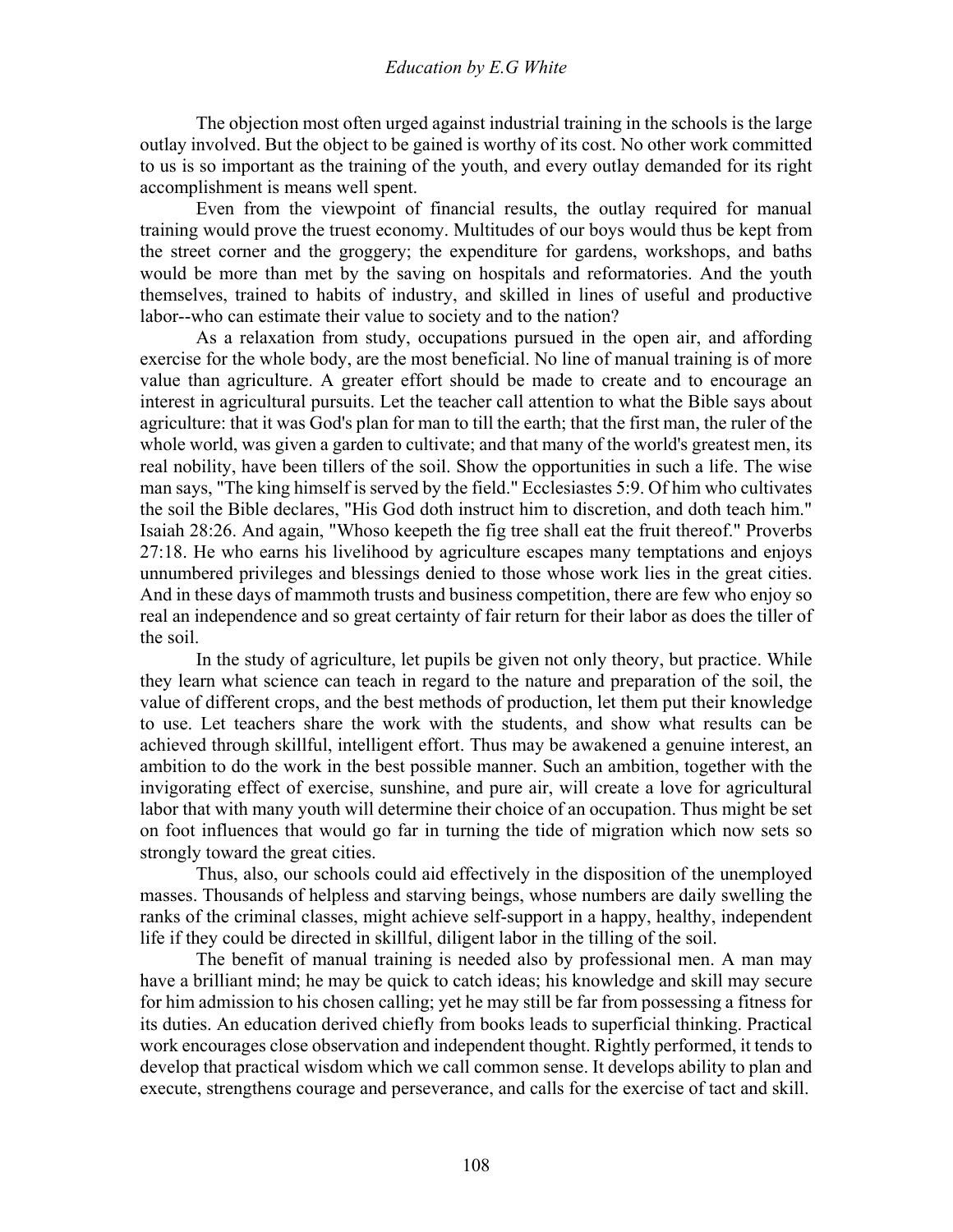The objection most often urged against industrial training in the schools is the large outlay involved. But the object to be gained is worthy of its cost. No other work committed to us is so important as the training of the youth, and every outlay demanded for its right accomplishment is means well spent.

 Even from the viewpoint of financial results, the outlay required for manual training would prove the truest economy. Multitudes of our boys would thus be kept from the street corner and the groggery; the expenditure for gardens, workshops, and baths would be more than met by the saving on hospitals and reformatories. And the youth themselves, trained to habits of industry, and skilled in lines of useful and productive labor--who can estimate their value to society and to the nation?

 As a relaxation from study, occupations pursued in the open air, and affording exercise for the whole body, are the most beneficial. No line of manual training is of more value than agriculture. A greater effort should be made to create and to encourage an interest in agricultural pursuits. Let the teacher call attention to what the Bible says about agriculture: that it was God's plan for man to till the earth; that the first man, the ruler of the whole world, was given a garden to cultivate; and that many of the world's greatest men, its real nobility, have been tillers of the soil. Show the opportunities in such a life. The wise man says, "The king himself is served by the field." Ecclesiastes 5:9. Of him who cultivates the soil the Bible declares, "His God doth instruct him to discretion, and doth teach him." Isaiah 28:26. And again, "Whoso keepeth the fig tree shall eat the fruit thereof." Proverbs 27:18. He who earns his livelihood by agriculture escapes many temptations and enjoys unnumbered privileges and blessings denied to those whose work lies in the great cities. And in these days of mammoth trusts and business competition, there are few who enjoy so real an independence and so great certainty of fair return for their labor as does the tiller of the soil.

 In the study of agriculture, let pupils be given not only theory, but practice. While they learn what science can teach in regard to the nature and preparation of the soil, the value of different crops, and the best methods of production, let them put their knowledge to use. Let teachers share the work with the students, and show what results can be achieved through skillful, intelligent effort. Thus may be awakened a genuine interest, an ambition to do the work in the best possible manner. Such an ambition, together with the invigorating effect of exercise, sunshine, and pure air, will create a love for agricultural labor that with many youth will determine their choice of an occupation. Thus might be set on foot influences that would go far in turning the tide of migration which now sets so strongly toward the great cities.

 Thus, also, our schools could aid effectively in the disposition of the unemployed masses. Thousands of helpless and starving beings, whose numbers are daily swelling the ranks of the criminal classes, might achieve self-support in a happy, healthy, independent life if they could be directed in skillful, diligent labor in the tilling of the soil.

 The benefit of manual training is needed also by professional men. A man may have a brilliant mind; he may be quick to catch ideas; his knowledge and skill may secure for him admission to his chosen calling; yet he may still be far from possessing a fitness for its duties. An education derived chiefly from books leads to superficial thinking. Practical work encourages close observation and independent thought. Rightly performed, it tends to develop that practical wisdom which we call common sense. It develops ability to plan and execute, strengthens courage and perseverance, and calls for the exercise of tact and skill.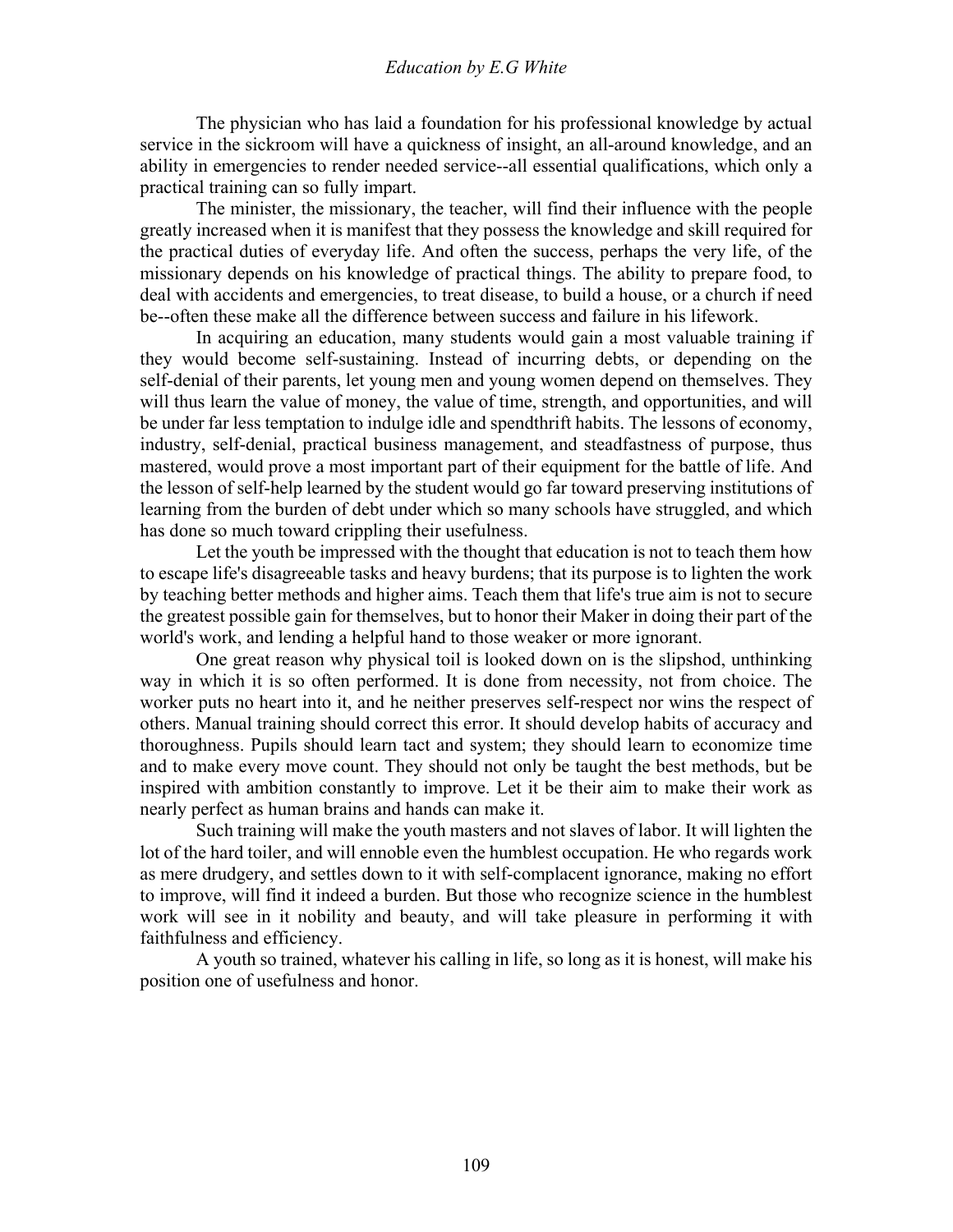The physician who has laid a foundation for his professional knowledge by actual service in the sickroom will have a quickness of insight, an all-around knowledge, and an ability in emergencies to render needed service--all essential qualifications, which only a practical training can so fully impart.

 The minister, the missionary, the teacher, will find their influence with the people greatly increased when it is manifest that they possess the knowledge and skill required for the practical duties of everyday life. And often the success, perhaps the very life, of the missionary depends on his knowledge of practical things. The ability to prepare food, to deal with accidents and emergencies, to treat disease, to build a house, or a church if need be--often these make all the difference between success and failure in his lifework.

 In acquiring an education, many students would gain a most valuable training if they would become self-sustaining. Instead of incurring debts, or depending on the self-denial of their parents, let young men and young women depend on themselves. They will thus learn the value of money, the value of time, strength, and opportunities, and will be under far less temptation to indulge idle and spendthrift habits. The lessons of economy, industry, self-denial, practical business management, and steadfastness of purpose, thus mastered, would prove a most important part of their equipment for the battle of life. And the lesson of self-help learned by the student would go far toward preserving institutions of learning from the burden of debt under which so many schools have struggled, and which has done so much toward crippling their usefulness.

 Let the youth be impressed with the thought that education is not to teach them how to escape life's disagreeable tasks and heavy burdens; that its purpose is to lighten the work by teaching better methods and higher aims. Teach them that life's true aim is not to secure the greatest possible gain for themselves, but to honor their Maker in doing their part of the world's work, and lending a helpful hand to those weaker or more ignorant.

 One great reason why physical toil is looked down on is the slipshod, unthinking way in which it is so often performed. It is done from necessity, not from choice. The worker puts no heart into it, and he neither preserves self-respect nor wins the respect of others. Manual training should correct this error. It should develop habits of accuracy and thoroughness. Pupils should learn tact and system; they should learn to economize time and to make every move count. They should not only be taught the best methods, but be inspired with ambition constantly to improve. Let it be their aim to make their work as nearly perfect as human brains and hands can make it.

 Such training will make the youth masters and not slaves of labor. It will lighten the lot of the hard toiler, and will ennoble even the humblest occupation. He who regards work as mere drudgery, and settles down to it with self-complacent ignorance, making no effort to improve, will find it indeed a burden. But those who recognize science in the humblest work will see in it nobility and beauty, and will take pleasure in performing it with faithfulness and efficiency.

 A youth so trained, whatever his calling in life, so long as it is honest, will make his position one of usefulness and honor.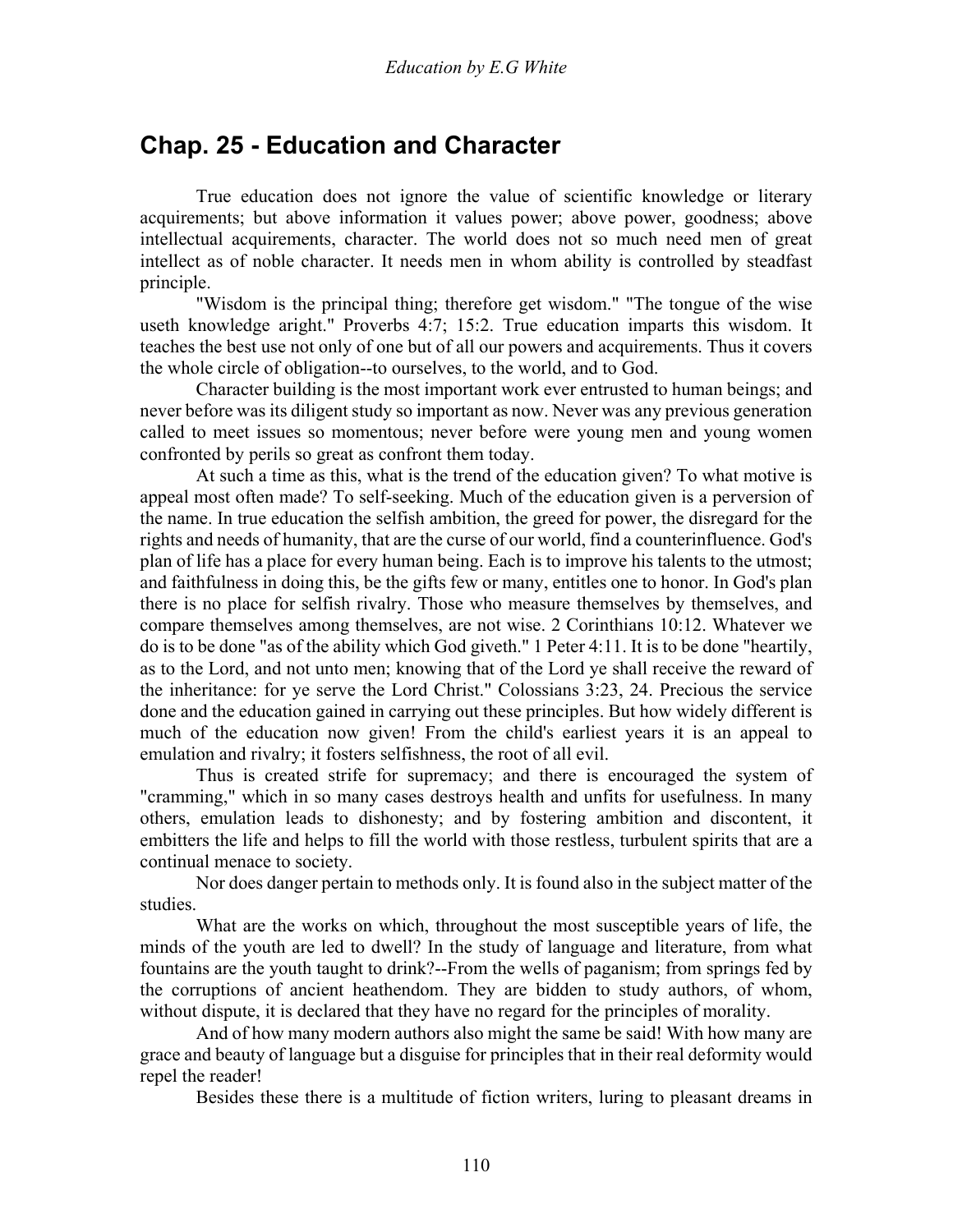### **Chap. 25 - Education and Character**

 True education does not ignore the value of scientific knowledge or literary acquirements; but above information it values power; above power, goodness; above intellectual acquirements, character. The world does not so much need men of great intellect as of noble character. It needs men in whom ability is controlled by steadfast principle.

 "Wisdom is the principal thing; therefore get wisdom." "The tongue of the wise useth knowledge aright." Proverbs 4:7; 15:2. True education imparts this wisdom. It teaches the best use not only of one but of all our powers and acquirements. Thus it covers the whole circle of obligation--to ourselves, to the world, and to God.

 Character building is the most important work ever entrusted to human beings; and never before was its diligent study so important as now. Never was any previous generation called to meet issues so momentous; never before were young men and young women confronted by perils so great as confront them today.

 At such a time as this, what is the trend of the education given? To what motive is appeal most often made? To self-seeking. Much of the education given is a perversion of the name. In true education the selfish ambition, the greed for power, the disregard for the rights and needs of humanity, that are the curse of our world, find a counterinfluence. God's plan of life has a place for every human being. Each is to improve his talents to the utmost; and faithfulness in doing this, be the gifts few or many, entitles one to honor. In God's plan there is no place for selfish rivalry. Those who measure themselves by themselves, and compare themselves among themselves, are not wise. 2 Corinthians 10:12. Whatever we do is to be done "as of the ability which God giveth." 1 Peter 4:11. It is to be done "heartily, as to the Lord, and not unto men; knowing that of the Lord ye shall receive the reward of the inheritance: for ye serve the Lord Christ." Colossians 3:23, 24. Precious the service done and the education gained in carrying out these principles. But how widely different is much of the education now given! From the child's earliest years it is an appeal to emulation and rivalry; it fosters selfishness, the root of all evil.

 Thus is created strife for supremacy; and there is encouraged the system of "cramming," which in so many cases destroys health and unfits for usefulness. In many others, emulation leads to dishonesty; and by fostering ambition and discontent, it embitters the life and helps to fill the world with those restless, turbulent spirits that are a continual menace to society.

 Nor does danger pertain to methods only. It is found also in the subject matter of the studies.

 What are the works on which, throughout the most susceptible years of life, the minds of the youth are led to dwell? In the study of language and literature, from what fountains are the youth taught to drink?--From the wells of paganism; from springs fed by the corruptions of ancient heathendom. They are bidden to study authors, of whom, without dispute, it is declared that they have no regard for the principles of morality.

 And of how many modern authors also might the same be said! With how many are grace and beauty of language but a disguise for principles that in their real deformity would repel the reader!

Besides these there is a multitude of fiction writers, luring to pleasant dreams in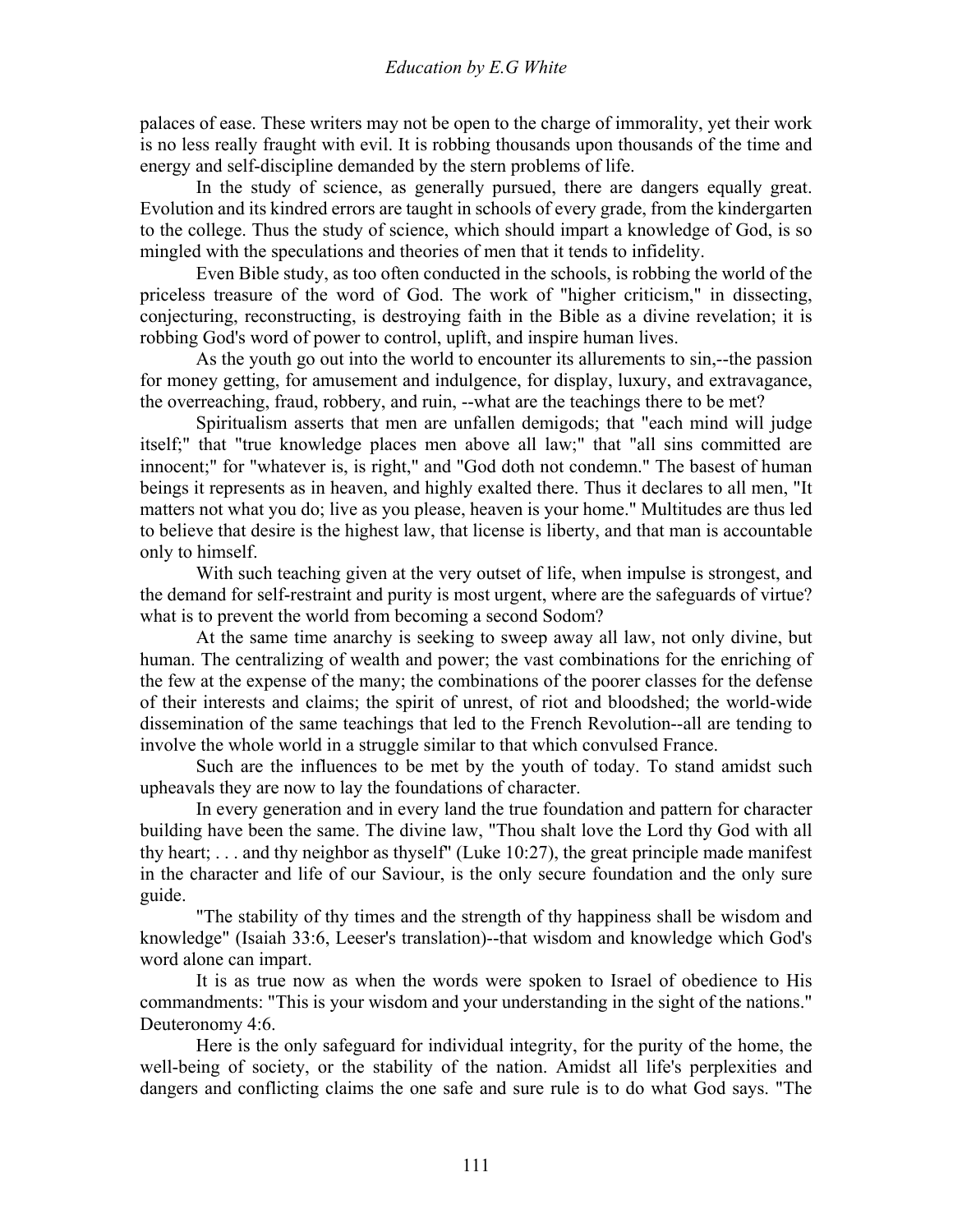palaces of ease. These writers may not be open to the charge of immorality, yet their work is no less really fraught with evil. It is robbing thousands upon thousands of the time and energy and self-discipline demanded by the stern problems of life.

 In the study of science, as generally pursued, there are dangers equally great. Evolution and its kindred errors are taught in schools of every grade, from the kindergarten to the college. Thus the study of science, which should impart a knowledge of God, is so mingled with the speculations and theories of men that it tends to infidelity.

 Even Bible study, as too often conducted in the schools, is robbing the world of the priceless treasure of the word of God. The work of "higher criticism," in dissecting, conjecturing, reconstructing, is destroying faith in the Bible as a divine revelation; it is robbing God's word of power to control, uplift, and inspire human lives.

 As the youth go out into the world to encounter its allurements to sin,--the passion for money getting, for amusement and indulgence, for display, luxury, and extravagance, the overreaching, fraud, robbery, and ruin, --what are the teachings there to be met?

 Spiritualism asserts that men are unfallen demigods; that "each mind will judge itself;" that "true knowledge places men above all law;" that "all sins committed are innocent;" for "whatever is, is right," and "God doth not condemn." The basest of human beings it represents as in heaven, and highly exalted there. Thus it declares to all men, "It matters not what you do; live as you please, heaven is your home." Multitudes are thus led to believe that desire is the highest law, that license is liberty, and that man is accountable only to himself.

 With such teaching given at the very outset of life, when impulse is strongest, and the demand for self-restraint and purity is most urgent, where are the safeguards of virtue? what is to prevent the world from becoming a second Sodom?

 At the same time anarchy is seeking to sweep away all law, not only divine, but human. The centralizing of wealth and power; the vast combinations for the enriching of the few at the expense of the many; the combinations of the poorer classes for the defense of their interests and claims; the spirit of unrest, of riot and bloodshed; the world-wide dissemination of the same teachings that led to the French Revolution--all are tending to involve the whole world in a struggle similar to that which convulsed France.

 Such are the influences to be met by the youth of today. To stand amidst such upheavals they are now to lay the foundations of character.

 In every generation and in every land the true foundation and pattern for character building have been the same. The divine law, "Thou shalt love the Lord thy God with all thy heart; . . . and thy neighbor as thyself" (Luke 10:27), the great principle made manifest in the character and life of our Saviour, is the only secure foundation and the only sure guide.

 "The stability of thy times and the strength of thy happiness shall be wisdom and knowledge" (Isaiah 33:6, Leeser's translation)--that wisdom and knowledge which God's word alone can impart.

 It is as true now as when the words were spoken to Israel of obedience to His commandments: "This is your wisdom and your understanding in the sight of the nations." Deuteronomy 4:6.

 Here is the only safeguard for individual integrity, for the purity of the home, the well-being of society, or the stability of the nation. Amidst all life's perplexities and dangers and conflicting claims the one safe and sure rule is to do what God says. "The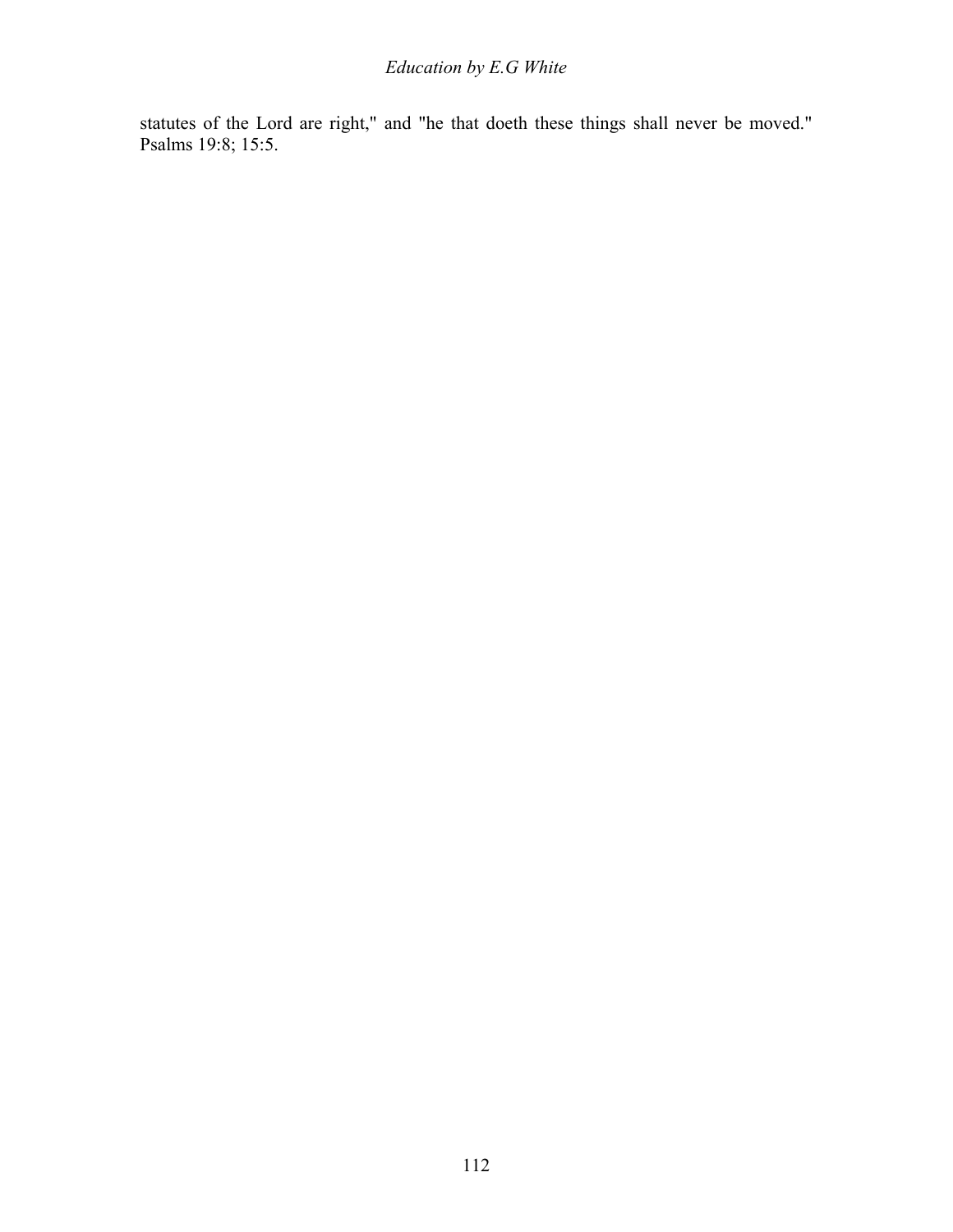statutes of the Lord are right," and "he that doeth these things shall never be moved." Psalms 19:8; 15:5.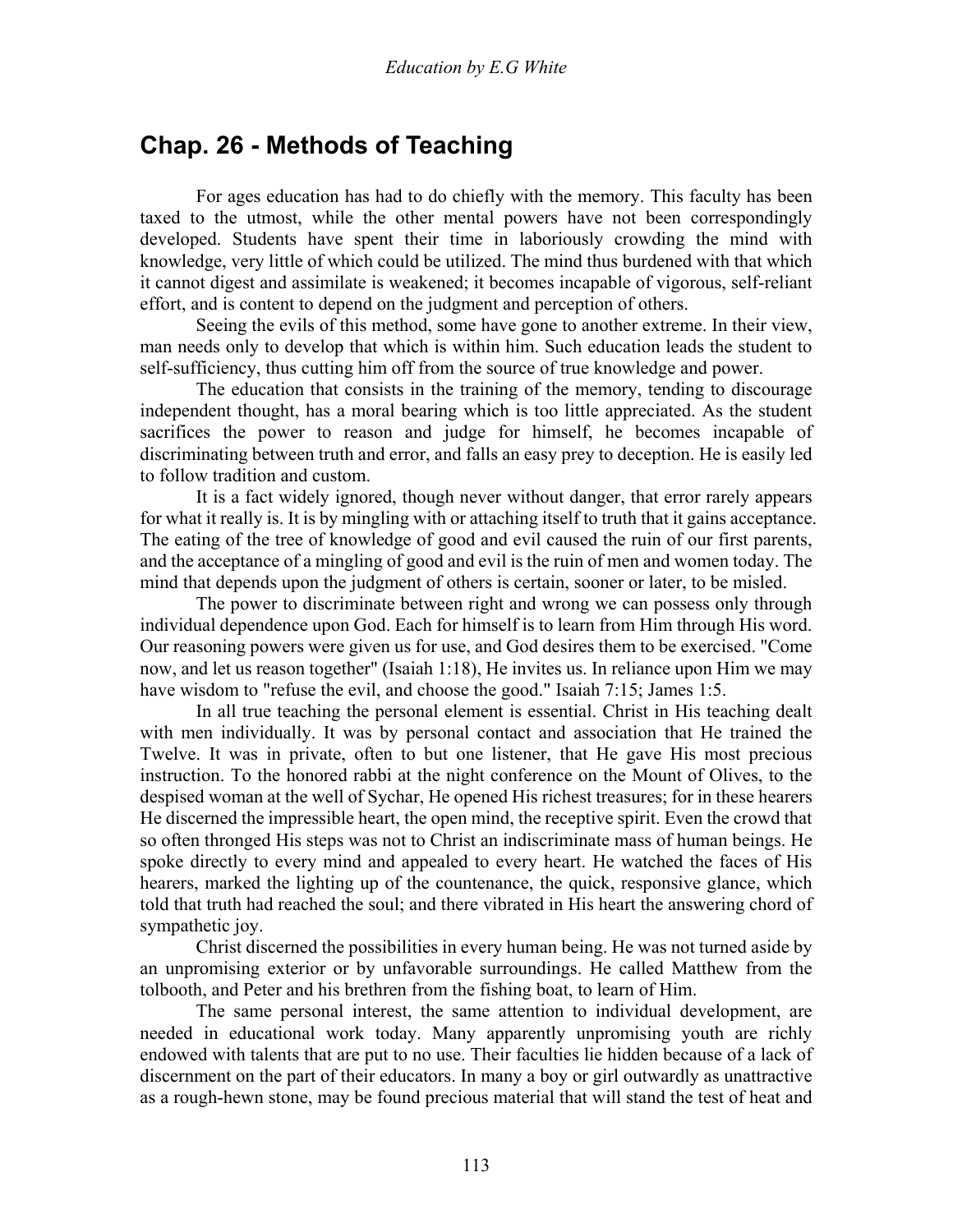## **Chap. 26 - Methods of Teaching**

 For ages education has had to do chiefly with the memory. This faculty has been taxed to the utmost, while the other mental powers have not been correspondingly developed. Students have spent their time in laboriously crowding the mind with knowledge, very little of which could be utilized. The mind thus burdened with that which it cannot digest and assimilate is weakened; it becomes incapable of vigorous, self-reliant effort, and is content to depend on the judgment and perception of others.

 Seeing the evils of this method, some have gone to another extreme. In their view, man needs only to develop that which is within him. Such education leads the student to self-sufficiency, thus cutting him off from the source of true knowledge and power.

 The education that consists in the training of the memory, tending to discourage independent thought, has a moral bearing which is too little appreciated. As the student sacrifices the power to reason and judge for himself, he becomes incapable of discriminating between truth and error, and falls an easy prey to deception. He is easily led to follow tradition and custom.

 It is a fact widely ignored, though never without danger, that error rarely appears for what it really is. It is by mingling with or attaching itself to truth that it gains acceptance. The eating of the tree of knowledge of good and evil caused the ruin of our first parents, and the acceptance of a mingling of good and evil is the ruin of men and women today. The mind that depends upon the judgment of others is certain, sooner or later, to be misled.

 The power to discriminate between right and wrong we can possess only through individual dependence upon God. Each for himself is to learn from Him through His word. Our reasoning powers were given us for use, and God desires them to be exercised. "Come now, and let us reason together" (Isaiah 1:18), He invites us. In reliance upon Him we may have wisdom to "refuse the evil, and choose the good." Isaiah 7:15; James 1:5.

 In all true teaching the personal element is essential. Christ in His teaching dealt with men individually. It was by personal contact and association that He trained the Twelve. It was in private, often to but one listener, that He gave His most precious instruction. To the honored rabbi at the night conference on the Mount of Olives, to the despised woman at the well of Sychar, He opened His richest treasures; for in these hearers He discerned the impressible heart, the open mind, the receptive spirit. Even the crowd that so often thronged His steps was not to Christ an indiscriminate mass of human beings. He spoke directly to every mind and appealed to every heart. He watched the faces of His hearers, marked the lighting up of the countenance, the quick, responsive glance, which told that truth had reached the soul; and there vibrated in His heart the answering chord of sympathetic joy.

 Christ discerned the possibilities in every human being. He was not turned aside by an unpromising exterior or by unfavorable surroundings. He called Matthew from the tolbooth, and Peter and his brethren from the fishing boat, to learn of Him.

 The same personal interest, the same attention to individual development, are needed in educational work today. Many apparently unpromising youth are richly endowed with talents that are put to no use. Their faculties lie hidden because of a lack of discernment on the part of their educators. In many a boy or girl outwardly as unattractive as a rough-hewn stone, may be found precious material that will stand the test of heat and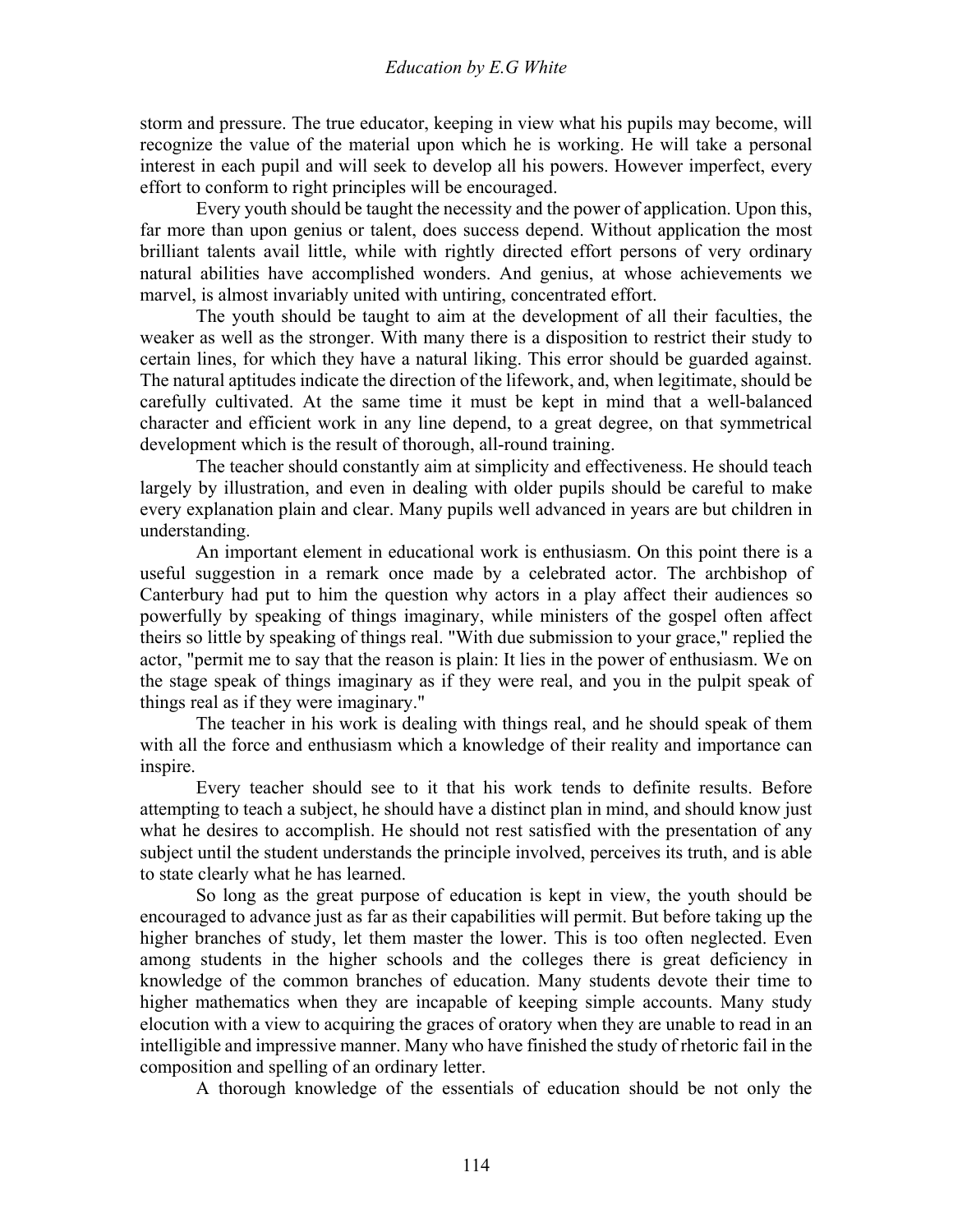storm and pressure. The true educator, keeping in view what his pupils may become, will recognize the value of the material upon which he is working. He will take a personal interest in each pupil and will seek to develop all his powers. However imperfect, every effort to conform to right principles will be encouraged.

 Every youth should be taught the necessity and the power of application. Upon this, far more than upon genius or talent, does success depend. Without application the most brilliant talents avail little, while with rightly directed effort persons of very ordinary natural abilities have accomplished wonders. And genius, at whose achievements we marvel, is almost invariably united with untiring, concentrated effort.

 The youth should be taught to aim at the development of all their faculties, the weaker as well as the stronger. With many there is a disposition to restrict their study to certain lines, for which they have a natural liking. This error should be guarded against. The natural aptitudes indicate the direction of the lifework, and, when legitimate, should be carefully cultivated. At the same time it must be kept in mind that a well-balanced character and efficient work in any line depend, to a great degree, on that symmetrical development which is the result of thorough, all-round training.

 The teacher should constantly aim at simplicity and effectiveness. He should teach largely by illustration, and even in dealing with older pupils should be careful to make every explanation plain and clear. Many pupils well advanced in years are but children in understanding.

 An important element in educational work is enthusiasm. On this point there is a useful suggestion in a remark once made by a celebrated actor. The archbishop of Canterbury had put to him the question why actors in a play affect their audiences so powerfully by speaking of things imaginary, while ministers of the gospel often affect theirs so little by speaking of things real. "With due submission to your grace," replied the actor, "permit me to say that the reason is plain: It lies in the power of enthusiasm. We on the stage speak of things imaginary as if they were real, and you in the pulpit speak of things real as if they were imaginary."

 The teacher in his work is dealing with things real, and he should speak of them with all the force and enthusiasm which a knowledge of their reality and importance can inspire.

 Every teacher should see to it that his work tends to definite results. Before attempting to teach a subject, he should have a distinct plan in mind, and should know just what he desires to accomplish. He should not rest satisfied with the presentation of any subject until the student understands the principle involved, perceives its truth, and is able to state clearly what he has learned.

 So long as the great purpose of education is kept in view, the youth should be encouraged to advance just as far as their capabilities will permit. But before taking up the higher branches of study, let them master the lower. This is too often neglected. Even among students in the higher schools and the colleges there is great deficiency in knowledge of the common branches of education. Many students devote their time to higher mathematics when they are incapable of keeping simple accounts. Many study elocution with a view to acquiring the graces of oratory when they are unable to read in an intelligible and impressive manner. Many who have finished the study of rhetoric fail in the composition and spelling of an ordinary letter.

A thorough knowledge of the essentials of education should be not only the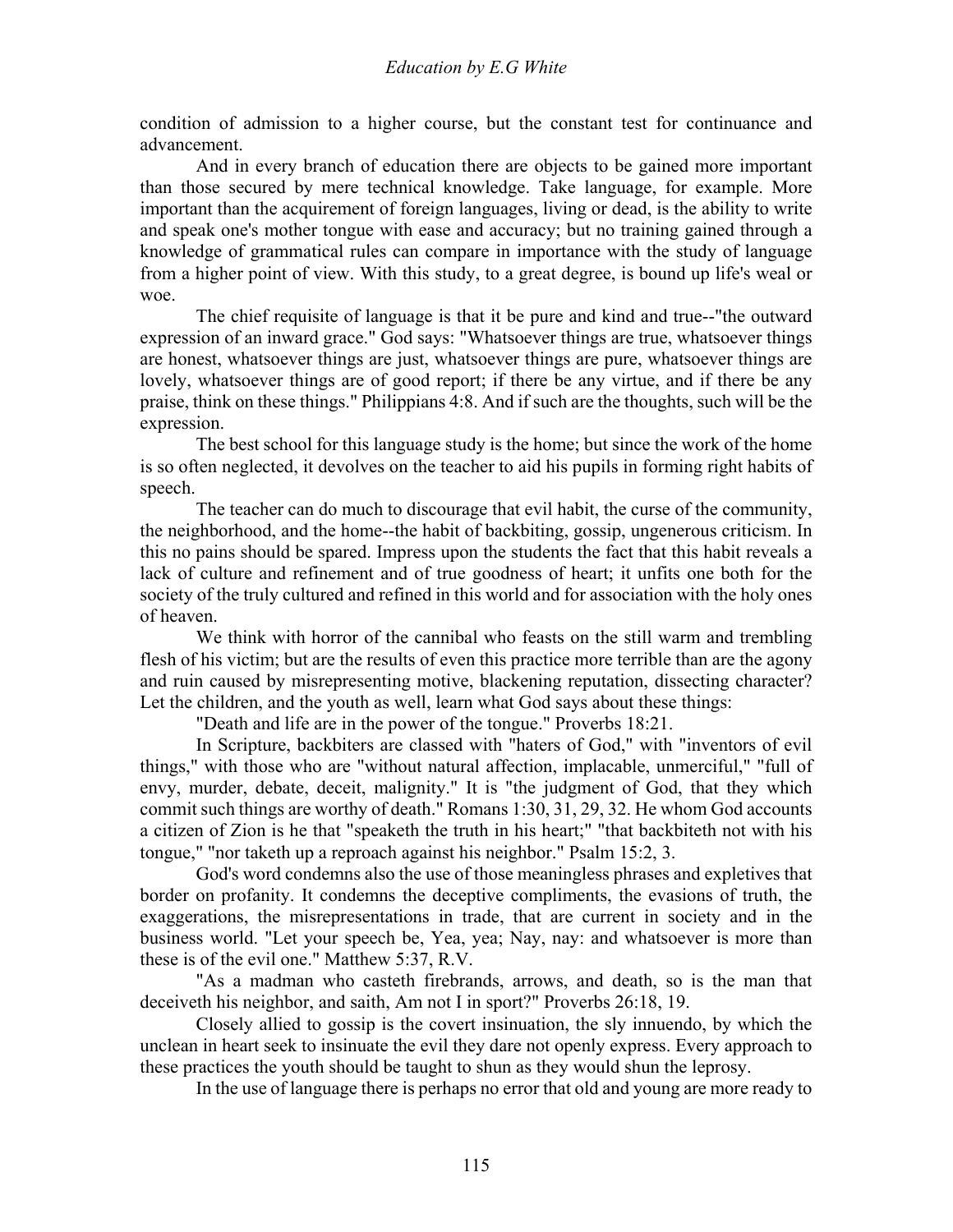condition of admission to a higher course, but the constant test for continuance and advancement.

 And in every branch of education there are objects to be gained more important than those secured by mere technical knowledge. Take language, for example. More important than the acquirement of foreign languages, living or dead, is the ability to write and speak one's mother tongue with ease and accuracy; but no training gained through a knowledge of grammatical rules can compare in importance with the study of language from a higher point of view. With this study, to a great degree, is bound up life's weal or woe.

 The chief requisite of language is that it be pure and kind and true--"the outward expression of an inward grace." God says: "Whatsoever things are true, whatsoever things are honest, whatsoever things are just, whatsoever things are pure, whatsoever things are lovely, whatsoever things are of good report; if there be any virtue, and if there be any praise, think on these things." Philippians 4:8. And if such are the thoughts, such will be the expression.

 The best school for this language study is the home; but since the work of the home is so often neglected, it devolves on the teacher to aid his pupils in forming right habits of speech.

 The teacher can do much to discourage that evil habit, the curse of the community, the neighborhood, and the home--the habit of backbiting, gossip, ungenerous criticism. In this no pains should be spared. Impress upon the students the fact that this habit reveals a lack of culture and refinement and of true goodness of heart; it unfits one both for the society of the truly cultured and refined in this world and for association with the holy ones of heaven.

 We think with horror of the cannibal who feasts on the still warm and trembling flesh of his victim; but are the results of even this practice more terrible than are the agony and ruin caused by misrepresenting motive, blackening reputation, dissecting character? Let the children, and the youth as well, learn what God says about these things:

"Death and life are in the power of the tongue." Proverbs 18:21.

 In Scripture, backbiters are classed with "haters of God," with "inventors of evil things," with those who are "without natural affection, implacable, unmerciful," "full of envy, murder, debate, deceit, malignity." It is "the judgment of God, that they which commit such things are worthy of death." Romans 1:30, 31, 29, 32. He whom God accounts a citizen of Zion is he that "speaketh the truth in his heart;" "that backbiteth not with his tongue," "nor taketh up a reproach against his neighbor." Psalm 15:2, 3.

 God's word condemns also the use of those meaningless phrases and expletives that border on profanity. It condemns the deceptive compliments, the evasions of truth, the exaggerations, the misrepresentations in trade, that are current in society and in the business world. "Let your speech be, Yea, yea; Nay, nay: and whatsoever is more than these is of the evil one." Matthew 5:37, R.V.

 "As a madman who casteth firebrands, arrows, and death, so is the man that deceiveth his neighbor, and saith, Am not I in sport?" Proverbs 26:18, 19.

 Closely allied to gossip is the covert insinuation, the sly innuendo, by which the unclean in heart seek to insinuate the evil they dare not openly express. Every approach to these practices the youth should be taught to shun as they would shun the leprosy.

In the use of language there is perhaps no error that old and young are more ready to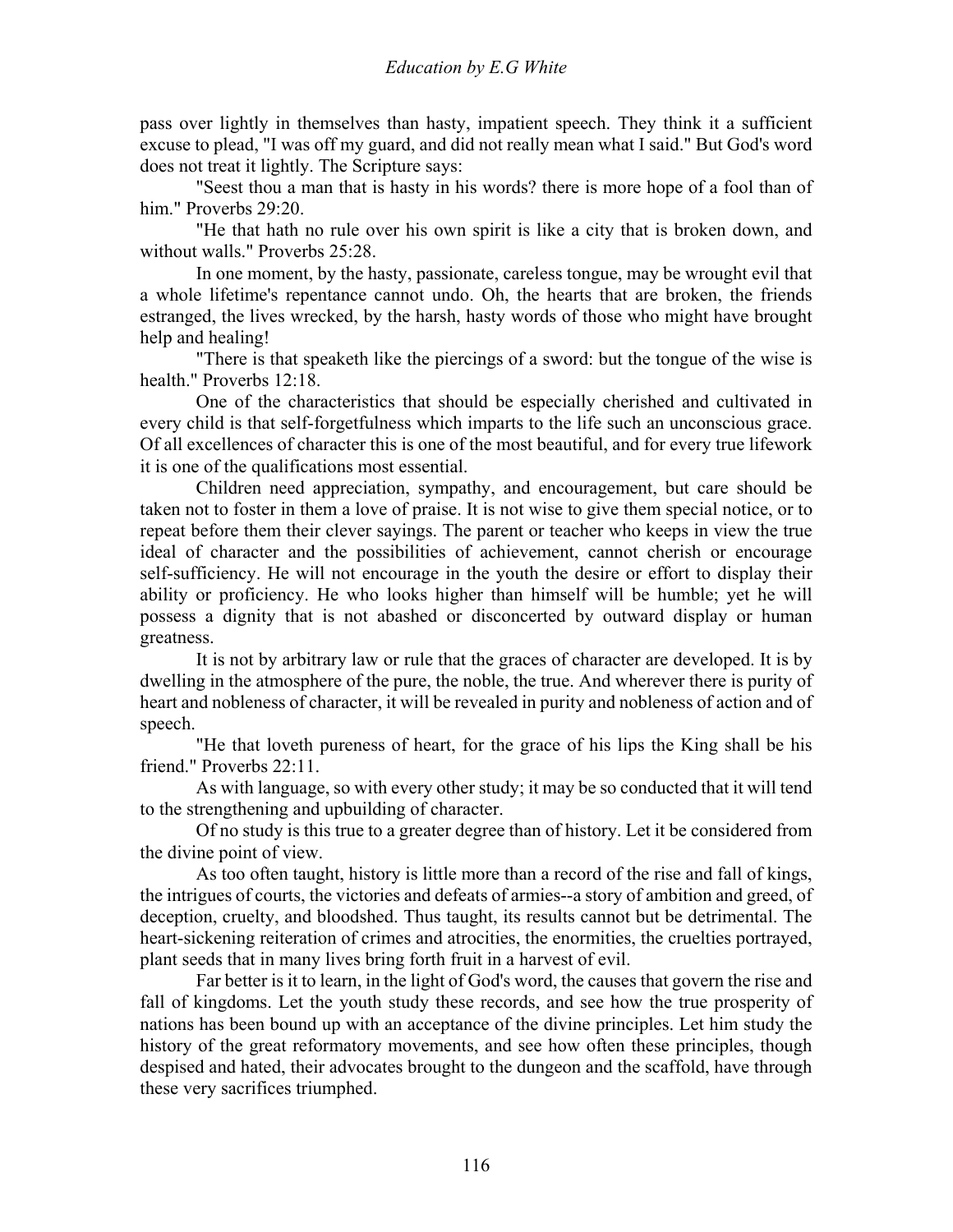pass over lightly in themselves than hasty, impatient speech. They think it a sufficient excuse to plead, "I was off my guard, and did not really mean what I said." But God's word does not treat it lightly. The Scripture says:

 "Seest thou a man that is hasty in his words? there is more hope of a fool than of him." Proverbs 29:20.

 "He that hath no rule over his own spirit is like a city that is broken down, and without walls." Proverbs 25:28.

 In one moment, by the hasty, passionate, careless tongue, may be wrought evil that a whole lifetime's repentance cannot undo. Oh, the hearts that are broken, the friends estranged, the lives wrecked, by the harsh, hasty words of those who might have brought help and healing!

 "There is that speaketh like the piercings of a sword: but the tongue of the wise is health." Proverbs 12:18.

 One of the characteristics that should be especially cherished and cultivated in every child is that self-forgetfulness which imparts to the life such an unconscious grace. Of all excellences of character this is one of the most beautiful, and for every true lifework it is one of the qualifications most essential.

 Children need appreciation, sympathy, and encouragement, but care should be taken not to foster in them a love of praise. It is not wise to give them special notice, or to repeat before them their clever sayings. The parent or teacher who keeps in view the true ideal of character and the possibilities of achievement, cannot cherish or encourage self-sufficiency. He will not encourage in the youth the desire or effort to display their ability or proficiency. He who looks higher than himself will be humble; yet he will possess a dignity that is not abashed or disconcerted by outward display or human greatness.

 It is not by arbitrary law or rule that the graces of character are developed. It is by dwelling in the atmosphere of the pure, the noble, the true. And wherever there is purity of heart and nobleness of character, it will be revealed in purity and nobleness of action and of speech.

 "He that loveth pureness of heart, for the grace of his lips the King shall be his friend." Proverbs 22:11.

 As with language, so with every other study; it may be so conducted that it will tend to the strengthening and upbuilding of character.

 Of no study is this true to a greater degree than of history. Let it be considered from the divine point of view.

 As too often taught, history is little more than a record of the rise and fall of kings, the intrigues of courts, the victories and defeats of armies--a story of ambition and greed, of deception, cruelty, and bloodshed. Thus taught, its results cannot but be detrimental. The heart-sickening reiteration of crimes and atrocities, the enormities, the cruelties portrayed, plant seeds that in many lives bring forth fruit in a harvest of evil.

 Far better is it to learn, in the light of God's word, the causes that govern the rise and fall of kingdoms. Let the youth study these records, and see how the true prosperity of nations has been bound up with an acceptance of the divine principles. Let him study the history of the great reformatory movements, and see how often these principles, though despised and hated, their advocates brought to the dungeon and the scaffold, have through these very sacrifices triumphed.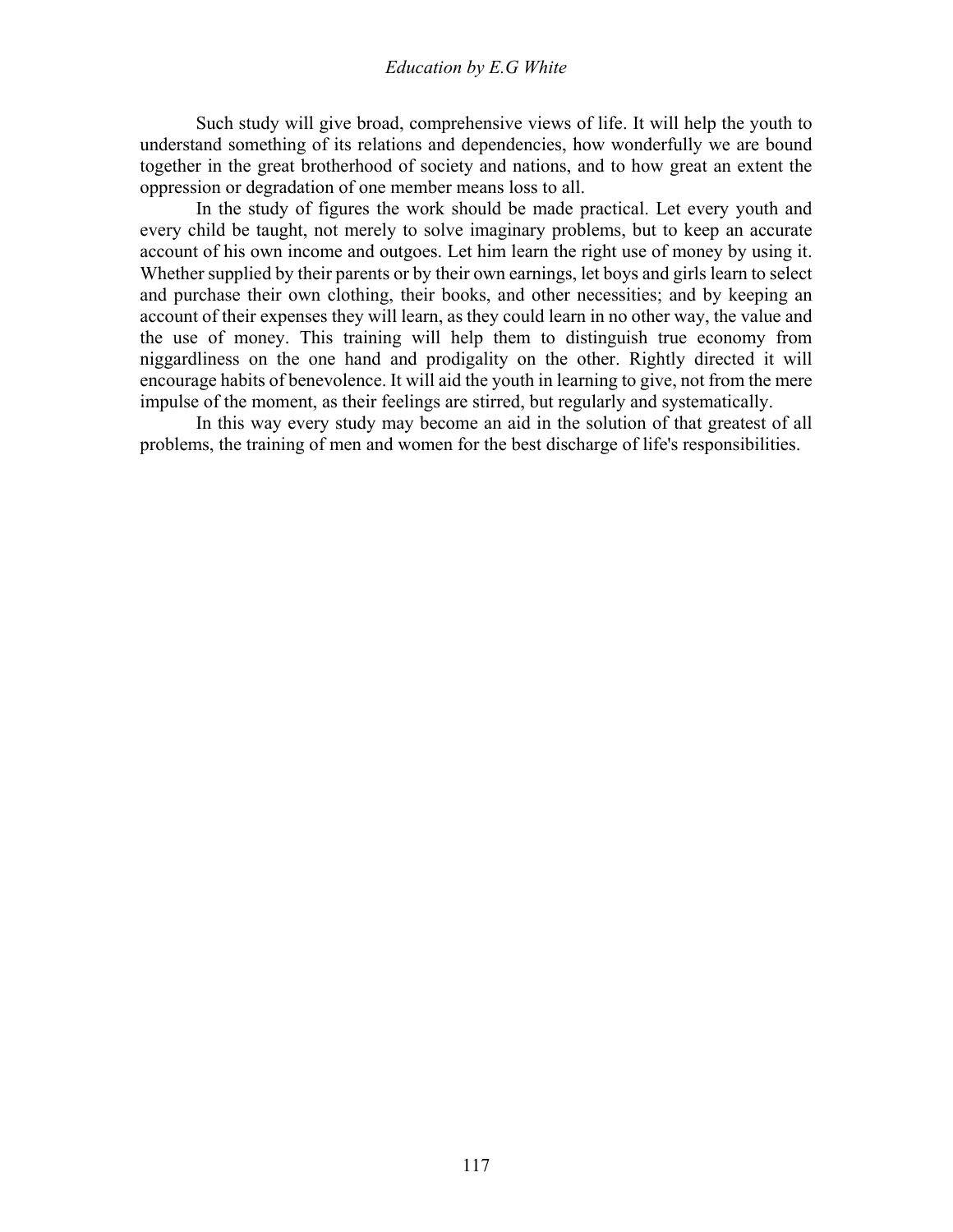Such study will give broad, comprehensive views of life. It will help the youth to understand something of its relations and dependencies, how wonderfully we are bound together in the great brotherhood of society and nations, and to how great an extent the oppression or degradation of one member means loss to all.

 In the study of figures the work should be made practical. Let every youth and every child be taught, not merely to solve imaginary problems, but to keep an accurate account of his own income and outgoes. Let him learn the right use of money by using it. Whether supplied by their parents or by their own earnings, let boys and girls learn to select and purchase their own clothing, their books, and other necessities; and by keeping an account of their expenses they will learn, as they could learn in no other way, the value and the use of money. This training will help them to distinguish true economy from niggardliness on the one hand and prodigality on the other. Rightly directed it will encourage habits of benevolence. It will aid the youth in learning to give, not from the mere impulse of the moment, as their feelings are stirred, but regularly and systematically.

 In this way every study may become an aid in the solution of that greatest of all problems, the training of men and women for the best discharge of life's responsibilities.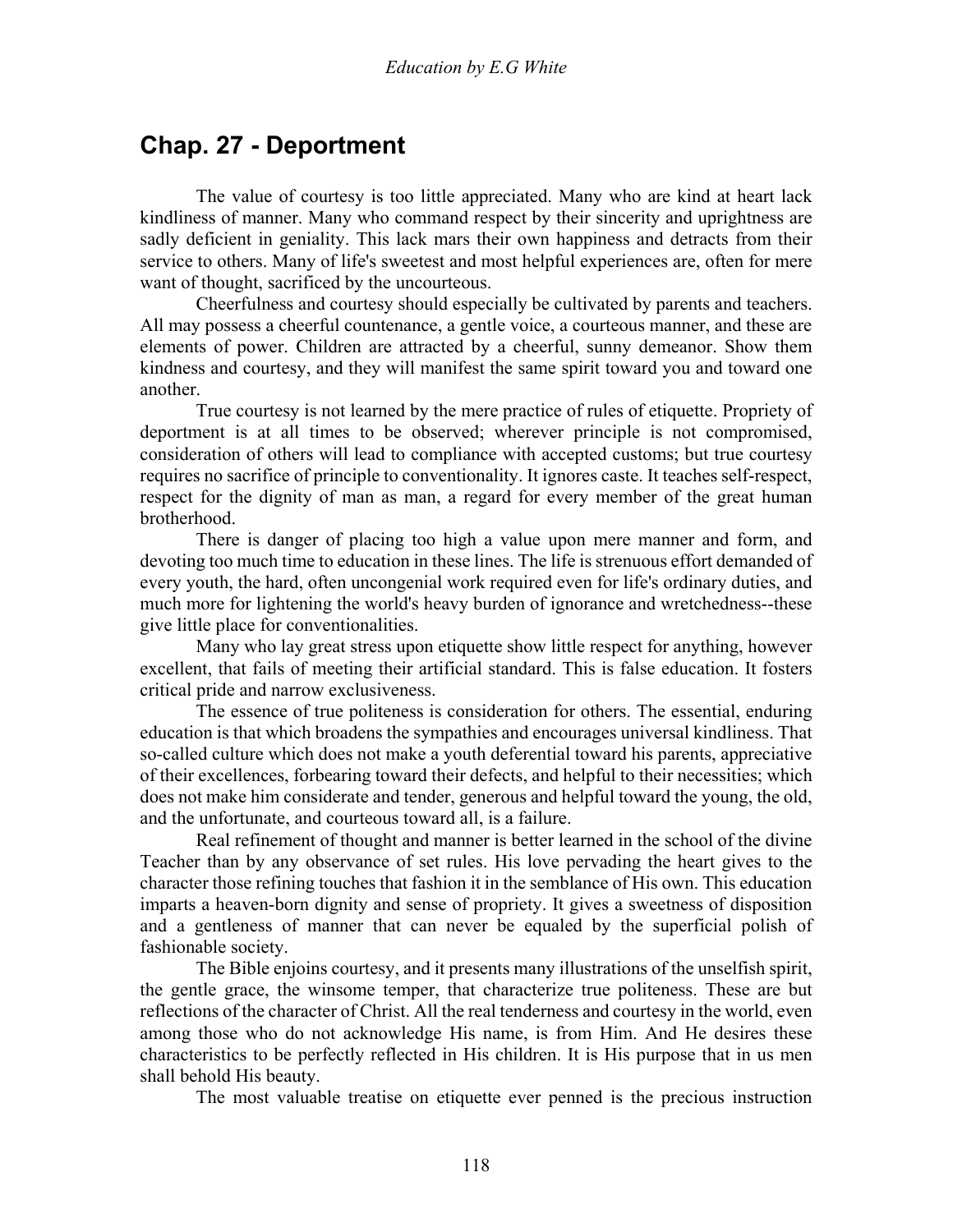## **Chap. 27 - Deportment**

 The value of courtesy is too little appreciated. Many who are kind at heart lack kindliness of manner. Many who command respect by their sincerity and uprightness are sadly deficient in geniality. This lack mars their own happiness and detracts from their service to others. Many of life's sweetest and most helpful experiences are, often for mere want of thought, sacrificed by the uncourteous.

 Cheerfulness and courtesy should especially be cultivated by parents and teachers. All may possess a cheerful countenance, a gentle voice, a courteous manner, and these are elements of power. Children are attracted by a cheerful, sunny demeanor. Show them kindness and courtesy, and they will manifest the same spirit toward you and toward one another.

 True courtesy is not learned by the mere practice of rules of etiquette. Propriety of deportment is at all times to be observed; wherever principle is not compromised, consideration of others will lead to compliance with accepted customs; but true courtesy requires no sacrifice of principle to conventionality. It ignores caste. It teaches self-respect, respect for the dignity of man as man, a regard for every member of the great human brotherhood.

 There is danger of placing too high a value upon mere manner and form, and devoting too much time to education in these lines. The life is strenuous effort demanded of every youth, the hard, often uncongenial work required even for life's ordinary duties, and much more for lightening the world's heavy burden of ignorance and wretchedness--these give little place for conventionalities.

 Many who lay great stress upon etiquette show little respect for anything, however excellent, that fails of meeting their artificial standard. This is false education. It fosters critical pride and narrow exclusiveness.

 The essence of true politeness is consideration for others. The essential, enduring education is that which broadens the sympathies and encourages universal kindliness. That so-called culture which does not make a youth deferential toward his parents, appreciative of their excellences, forbearing toward their defects, and helpful to their necessities; which does not make him considerate and tender, generous and helpful toward the young, the old, and the unfortunate, and courteous toward all, is a failure.

 Real refinement of thought and manner is better learned in the school of the divine Teacher than by any observance of set rules. His love pervading the heart gives to the character those refining touches that fashion it in the semblance of His own. This education imparts a heaven-born dignity and sense of propriety. It gives a sweetness of disposition and a gentleness of manner that can never be equaled by the superficial polish of fashionable society.

 The Bible enjoins courtesy, and it presents many illustrations of the unselfish spirit, the gentle grace, the winsome temper, that characterize true politeness. These are but reflections of the character of Christ. All the real tenderness and courtesy in the world, even among those who do not acknowledge His name, is from Him. And He desires these characteristics to be perfectly reflected in His children. It is His purpose that in us men shall behold His beauty.

The most valuable treatise on etiquette ever penned is the precious instruction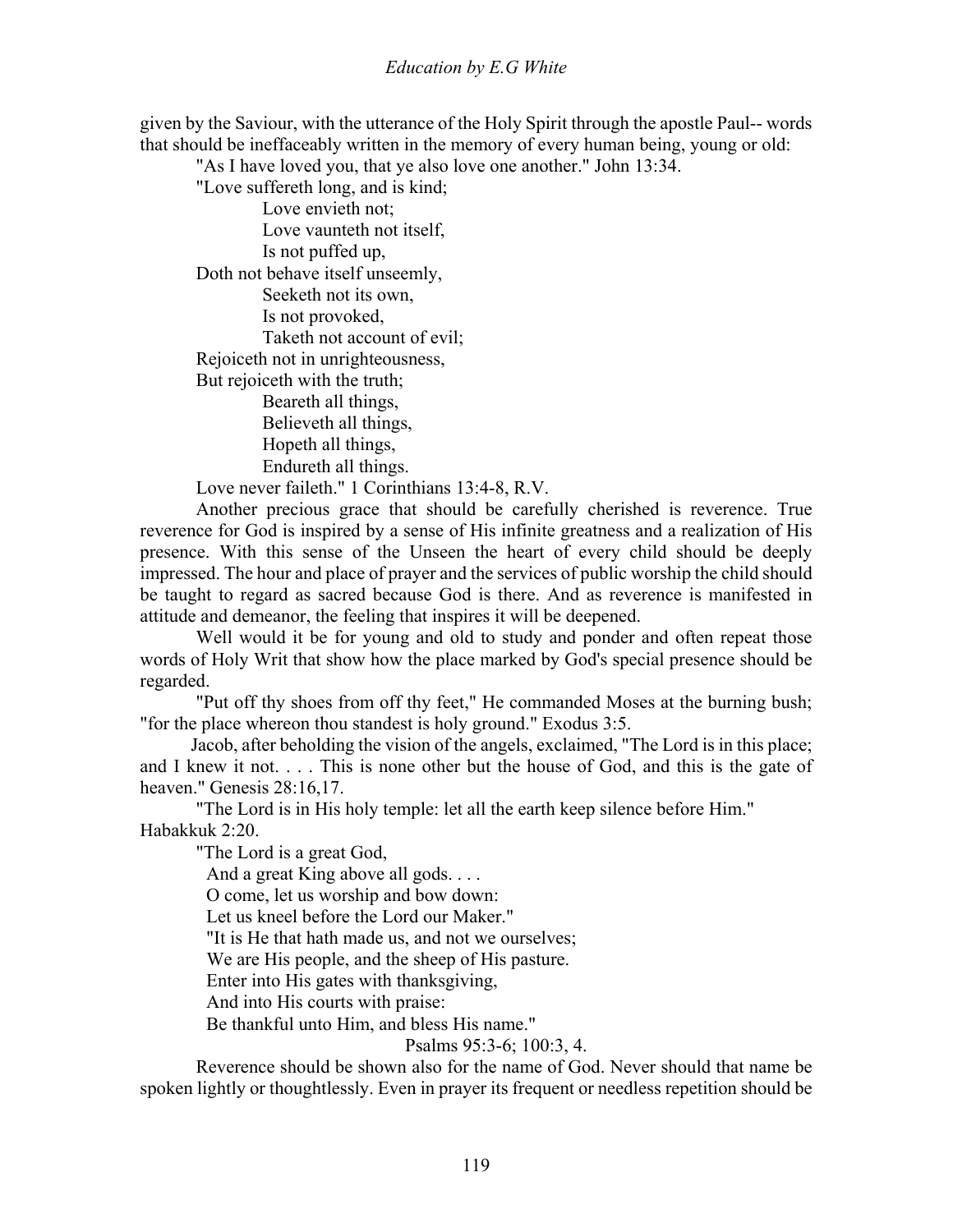given by the Saviour, with the utterance of the Holy Spirit through the apostle Paul-- words that should be ineffaceably written in the memory of every human being, young or old:

"As I have loved you, that ye also love one another." John 13:34.

"Love suffereth long, and is kind;

 Love envieth not; Love vaunteth not itself, Is not puffed up, Doth not behave itself unseemly, Seeketh not its own, Is not provoked, Taketh not account of evil; Rejoiceth not in unrighteousness, But rejoiceth with the truth; Beareth all things, Believeth all things, Hopeth all things, Endureth all things.

Love never faileth." 1 Corinthians 13:4-8, R.V.

 Another precious grace that should be carefully cherished is reverence. True reverence for God is inspired by a sense of His infinite greatness and a realization of His presence. With this sense of the Unseen the heart of every child should be deeply impressed. The hour and place of prayer and the services of public worship the child should be taught to regard as sacred because God is there. And as reverence is manifested in attitude and demeanor, the feeling that inspires it will be deepened.

 Well would it be for young and old to study and ponder and often repeat those words of Holy Writ that show how the place marked by God's special presence should be regarded.

 "Put off thy shoes from off thy feet," He commanded Moses at the burning bush; "for the place whereon thou standest is holy ground." Exodus 3:5.

 Jacob, after beholding the vision of the angels, exclaimed, "The Lord is in this place; and I knew it not. . . . This is none other but the house of God, and this is the gate of heaven." Genesis 28:16,17.

 "The Lord is in His holy temple: let all the earth keep silence before Him." Habakkuk 2:20.

"The Lord is a great God,

And a great King above all gods. . . .

O come, let us worship and bow down:

Let us kneel before the Lord our Maker."

"It is He that hath made us, and not we ourselves;

We are His people, and the sheep of His pasture.

Enter into His gates with thanksgiving,

And into His courts with praise:

Be thankful unto Him, and bless His name."

Psalms 95:3-6; 100:3, 4.

 Reverence should be shown also for the name of God. Never should that name be spoken lightly or thoughtlessly. Even in prayer its frequent or needless repetition should be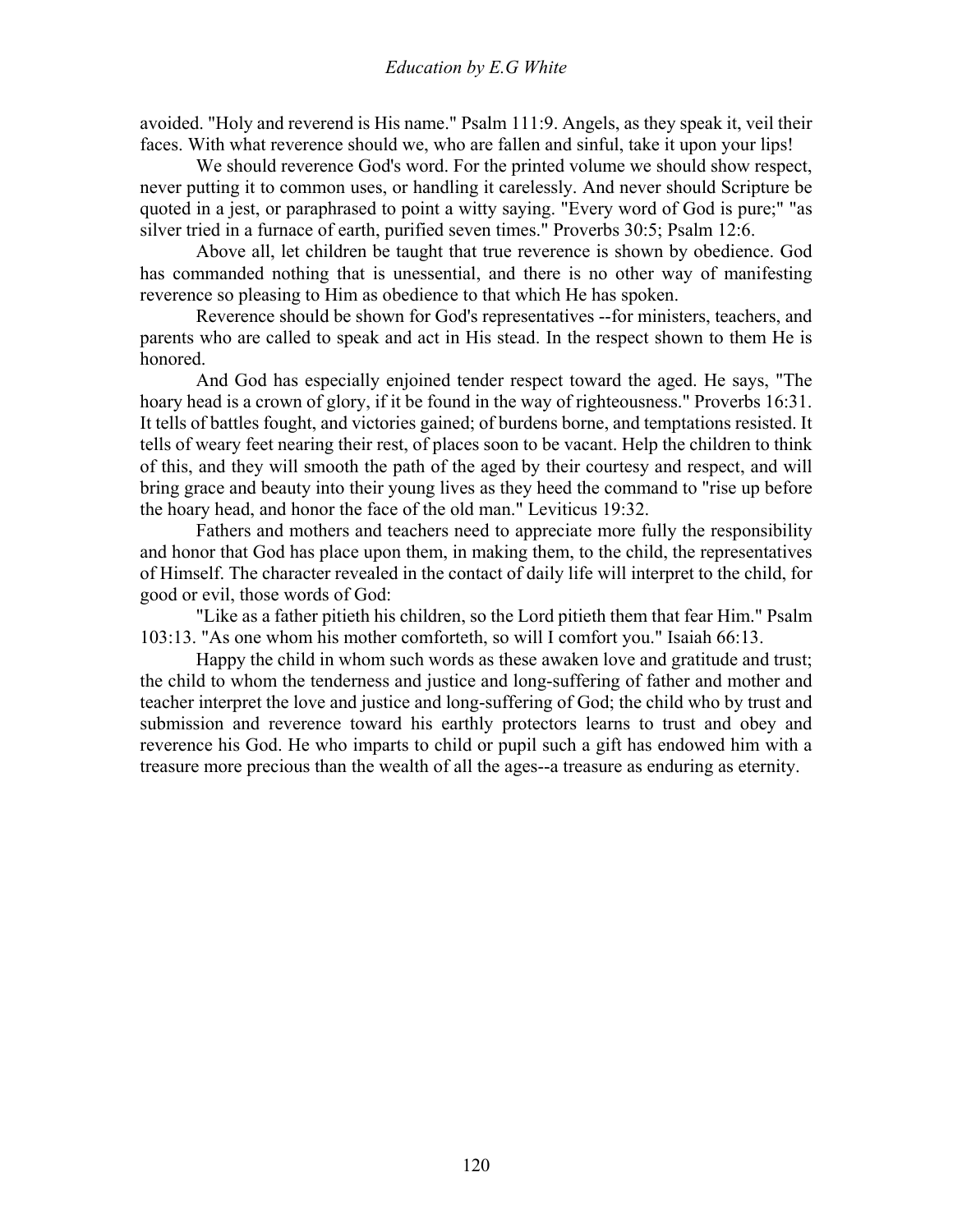avoided. "Holy and reverend is His name." Psalm 111:9. Angels, as they speak it, veil their faces. With what reverence should we, who are fallen and sinful, take it upon your lips!

 We should reverence God's word. For the printed volume we should show respect, never putting it to common uses, or handling it carelessly. And never should Scripture be quoted in a jest, or paraphrased to point a witty saying. "Every word of God is pure;" "as silver tried in a furnace of earth, purified seven times." Proverbs 30:5; Psalm 12:6.

 Above all, let children be taught that true reverence is shown by obedience. God has commanded nothing that is unessential, and there is no other way of manifesting reverence so pleasing to Him as obedience to that which He has spoken.

 Reverence should be shown for God's representatives --for ministers, teachers, and parents who are called to speak and act in His stead. In the respect shown to them He is honored.

 And God has especially enjoined tender respect toward the aged. He says, "The hoary head is a crown of glory, if it be found in the way of righteousness." Proverbs 16:31. It tells of battles fought, and victories gained; of burdens borne, and temptations resisted. It tells of weary feet nearing their rest, of places soon to be vacant. Help the children to think of this, and they will smooth the path of the aged by their courtesy and respect, and will bring grace and beauty into their young lives as they heed the command to "rise up before the hoary head, and honor the face of the old man." Leviticus 19:32.

 Fathers and mothers and teachers need to appreciate more fully the responsibility and honor that God has place upon them, in making them, to the child, the representatives of Himself. The character revealed in the contact of daily life will interpret to the child, for good or evil, those words of God:

 "Like as a father pitieth his children, so the Lord pitieth them that fear Him." Psalm 103:13. "As one whom his mother comforteth, so will I comfort you." Isaiah 66:13.

 Happy the child in whom such words as these awaken love and gratitude and trust; the child to whom the tenderness and justice and long-suffering of father and mother and teacher interpret the love and justice and long-suffering of God; the child who by trust and submission and reverence toward his earthly protectors learns to trust and obey and reverence his God. He who imparts to child or pupil such a gift has endowed him with a treasure more precious than the wealth of all the ages--a treasure as enduring as eternity.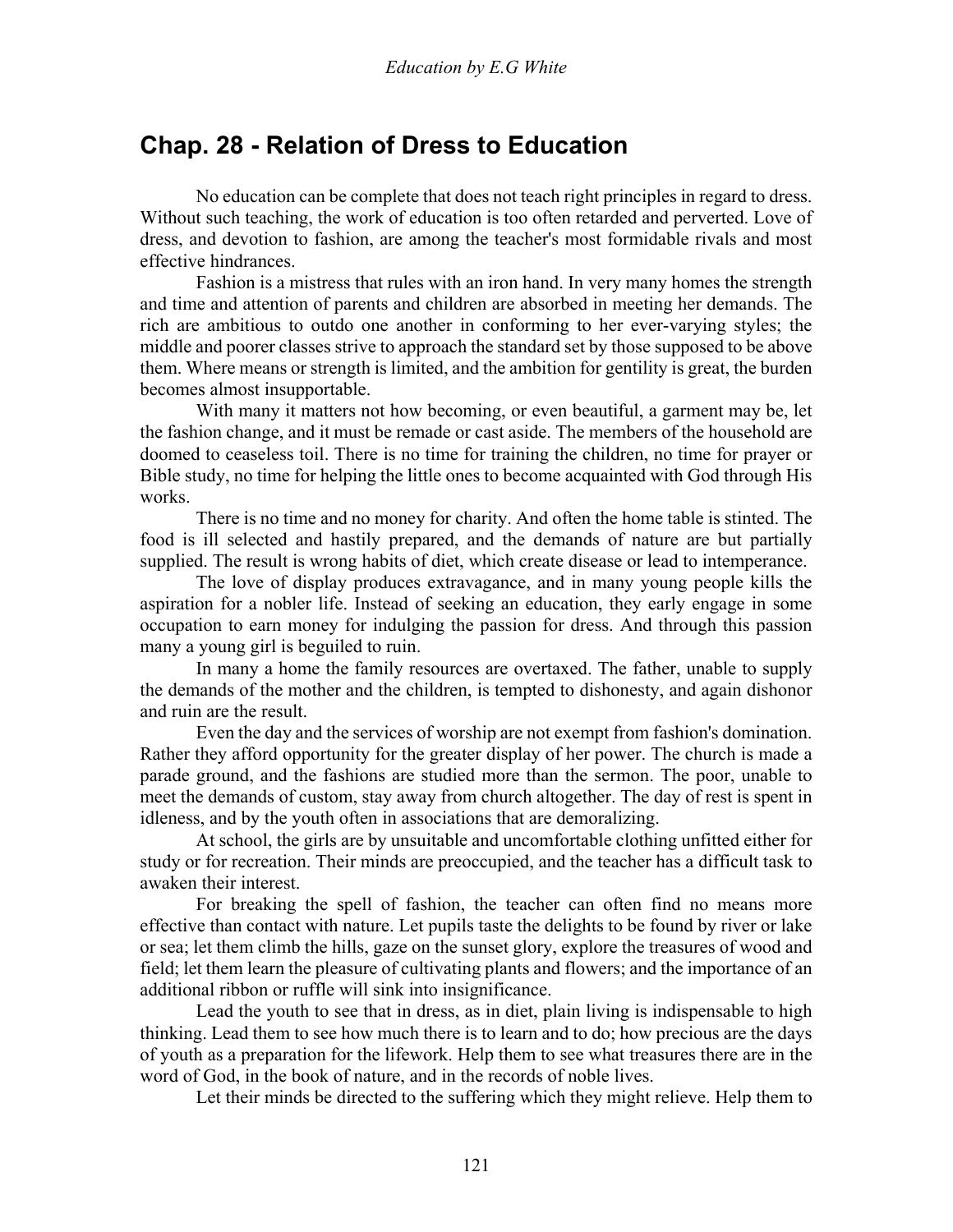## **Chap. 28 - Relation of Dress to Education**

 No education can be complete that does not teach right principles in regard to dress. Without such teaching, the work of education is too often retarded and perverted. Love of dress, and devotion to fashion, are among the teacher's most formidable rivals and most effective hindrances.

 Fashion is a mistress that rules with an iron hand. In very many homes the strength and time and attention of parents and children are absorbed in meeting her demands. The rich are ambitious to outdo one another in conforming to her ever-varying styles; the middle and poorer classes strive to approach the standard set by those supposed to be above them. Where means or strength is limited, and the ambition for gentility is great, the burden becomes almost insupportable.

 With many it matters not how becoming, or even beautiful, a garment may be, let the fashion change, and it must be remade or cast aside. The members of the household are doomed to ceaseless toil. There is no time for training the children, no time for prayer or Bible study, no time for helping the little ones to become acquainted with God through His works.

 There is no time and no money for charity. And often the home table is stinted. The food is ill selected and hastily prepared, and the demands of nature are but partially supplied. The result is wrong habits of diet, which create disease or lead to intemperance.

 The love of display produces extravagance, and in many young people kills the aspiration for a nobler life. Instead of seeking an education, they early engage in some occupation to earn money for indulging the passion for dress. And through this passion many a young girl is beguiled to ruin.

 In many a home the family resources are overtaxed. The father, unable to supply the demands of the mother and the children, is tempted to dishonesty, and again dishonor and ruin are the result.

 Even the day and the services of worship are not exempt from fashion's domination. Rather they afford opportunity for the greater display of her power. The church is made a parade ground, and the fashions are studied more than the sermon. The poor, unable to meet the demands of custom, stay away from church altogether. The day of rest is spent in idleness, and by the youth often in associations that are demoralizing.

 At school, the girls are by unsuitable and uncomfortable clothing unfitted either for study or for recreation. Their minds are preoccupied, and the teacher has a difficult task to awaken their interest.

 For breaking the spell of fashion, the teacher can often find no means more effective than contact with nature. Let pupils taste the delights to be found by river or lake or sea; let them climb the hills, gaze on the sunset glory, explore the treasures of wood and field; let them learn the pleasure of cultivating plants and flowers; and the importance of an additional ribbon or ruffle will sink into insignificance.

 Lead the youth to see that in dress, as in diet, plain living is indispensable to high thinking. Lead them to see how much there is to learn and to do; how precious are the days of youth as a preparation for the lifework. Help them to see what treasures there are in the word of God, in the book of nature, and in the records of noble lives.

Let their minds be directed to the suffering which they might relieve. Help them to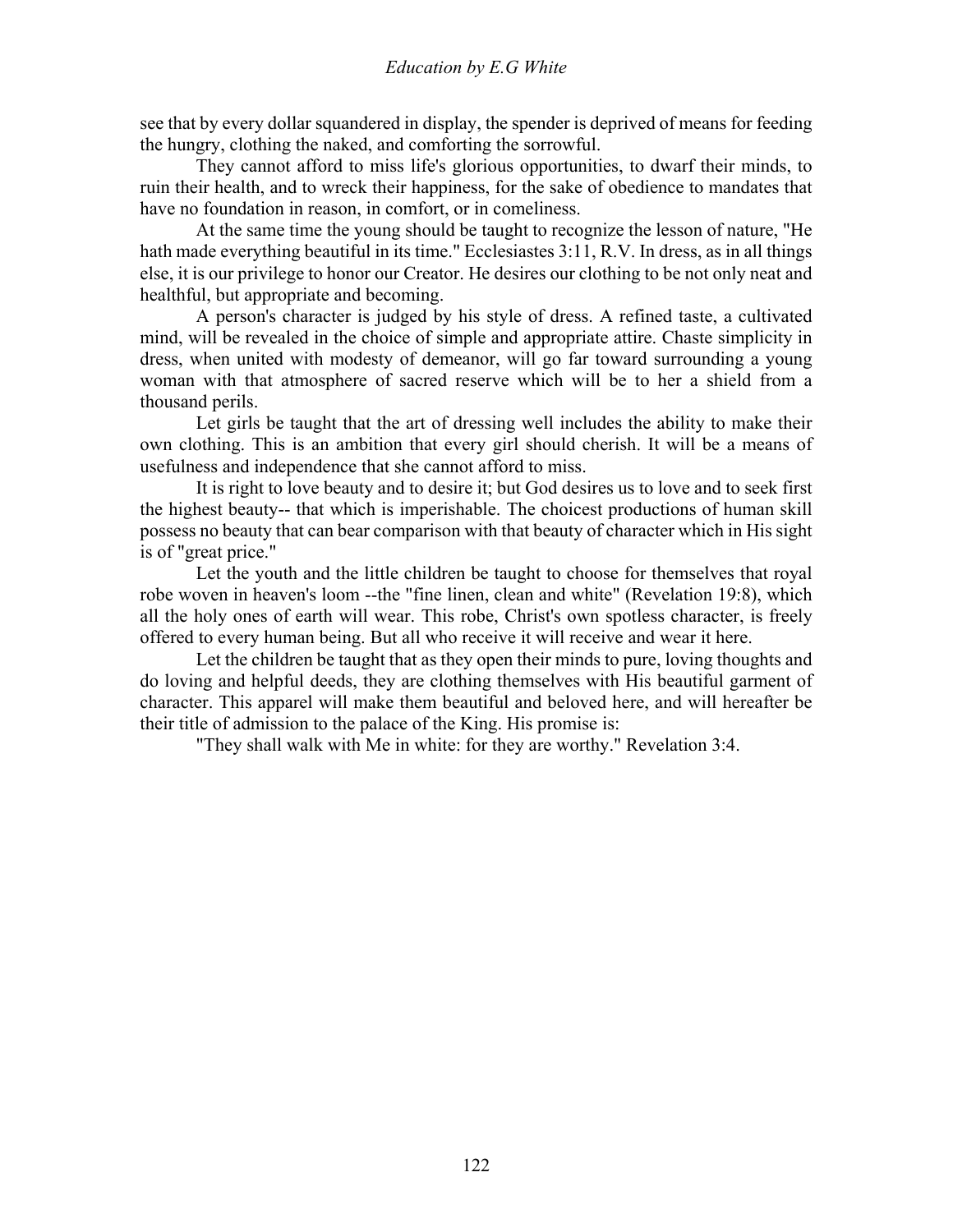see that by every dollar squandered in display, the spender is deprived of means for feeding the hungry, clothing the naked, and comforting the sorrowful.

 They cannot afford to miss life's glorious opportunities, to dwarf their minds, to ruin their health, and to wreck their happiness, for the sake of obedience to mandates that have no foundation in reason, in comfort, or in comeliness.

 At the same time the young should be taught to recognize the lesson of nature, "He hath made everything beautiful in its time." Ecclesiastes 3:11, R.V. In dress, as in all things else, it is our privilege to honor our Creator. He desires our clothing to be not only neat and healthful, but appropriate and becoming.

 A person's character is judged by his style of dress. A refined taste, a cultivated mind, will be revealed in the choice of simple and appropriate attire. Chaste simplicity in dress, when united with modesty of demeanor, will go far toward surrounding a young woman with that atmosphere of sacred reserve which will be to her a shield from a thousand perils.

 Let girls be taught that the art of dressing well includes the ability to make their own clothing. This is an ambition that every girl should cherish. It will be a means of usefulness and independence that she cannot afford to miss.

 It is right to love beauty and to desire it; but God desires us to love and to seek first the highest beauty-- that which is imperishable. The choicest productions of human skill possess no beauty that can bear comparison with that beauty of character which in His sight is of "great price."

 Let the youth and the little children be taught to choose for themselves that royal robe woven in heaven's loom --the "fine linen, clean and white" (Revelation 19:8), which all the holy ones of earth will wear. This robe, Christ's own spotless character, is freely offered to every human being. But all who receive it will receive and wear it here.

 Let the children be taught that as they open their minds to pure, loving thoughts and do loving and helpful deeds, they are clothing themselves with His beautiful garment of character. This apparel will make them beautiful and beloved here, and will hereafter be their title of admission to the palace of the King. His promise is:

"They shall walk with Me in white: for they are worthy." Revelation 3:4.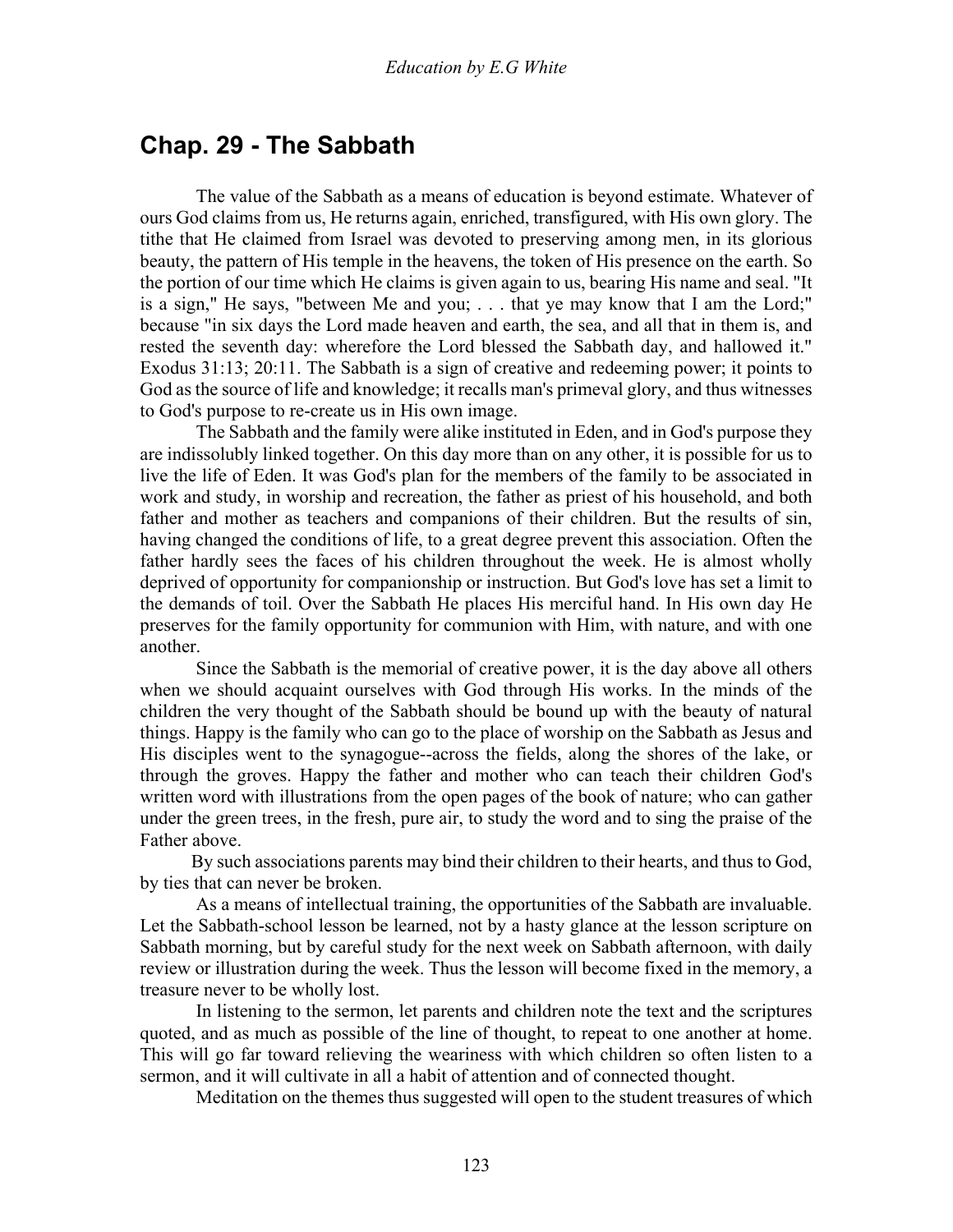### **Chap. 29 - The Sabbath**

 The value of the Sabbath as a means of education is beyond estimate. Whatever of ours God claims from us, He returns again, enriched, transfigured, with His own glory. The tithe that He claimed from Israel was devoted to preserving among men, in its glorious beauty, the pattern of His temple in the heavens, the token of His presence on the earth. So the portion of our time which He claims is given again to us, bearing His name and seal. "It is a sign," He says, "between Me and you; . . . that ye may know that I am the Lord;" because "in six days the Lord made heaven and earth, the sea, and all that in them is, and rested the seventh day: wherefore the Lord blessed the Sabbath day, and hallowed it." Exodus 31:13; 20:11. The Sabbath is a sign of creative and redeeming power; it points to God as the source of life and knowledge; it recalls man's primeval glory, and thus witnesses to God's purpose to re-create us in His own image.

 The Sabbath and the family were alike instituted in Eden, and in God's purpose they are indissolubly linked together. On this day more than on any other, it is possible for us to live the life of Eden. It was God's plan for the members of the family to be associated in work and study, in worship and recreation, the father as priest of his household, and both father and mother as teachers and companions of their children. But the results of sin, having changed the conditions of life, to a great degree prevent this association. Often the father hardly sees the faces of his children throughout the week. He is almost wholly deprived of opportunity for companionship or instruction. But God's love has set a limit to the demands of toil. Over the Sabbath He places His merciful hand. In His own day He preserves for the family opportunity for communion with Him, with nature, and with one another.

 Since the Sabbath is the memorial of creative power, it is the day above all others when we should acquaint ourselves with God through His works. In the minds of the children the very thought of the Sabbath should be bound up with the beauty of natural things. Happy is the family who can go to the place of worship on the Sabbath as Jesus and His disciples went to the synagogue--across the fields, along the shores of the lake, or through the groves. Happy the father and mother who can teach their children God's written word with illustrations from the open pages of the book of nature; who can gather under the green trees, in the fresh, pure air, to study the word and to sing the praise of the Father above.

 By such associations parents may bind their children to their hearts, and thus to God, by ties that can never be broken.

 As a means of intellectual training, the opportunities of the Sabbath are invaluable. Let the Sabbath-school lesson be learned, not by a hasty glance at the lesson scripture on Sabbath morning, but by careful study for the next week on Sabbath afternoon, with daily review or illustration during the week. Thus the lesson will become fixed in the memory, a treasure never to be wholly lost.

 In listening to the sermon, let parents and children note the text and the scriptures quoted, and as much as possible of the line of thought, to repeat to one another at home. This will go far toward relieving the weariness with which children so often listen to a sermon, and it will cultivate in all a habit of attention and of connected thought.

Meditation on the themes thus suggested will open to the student treasures of which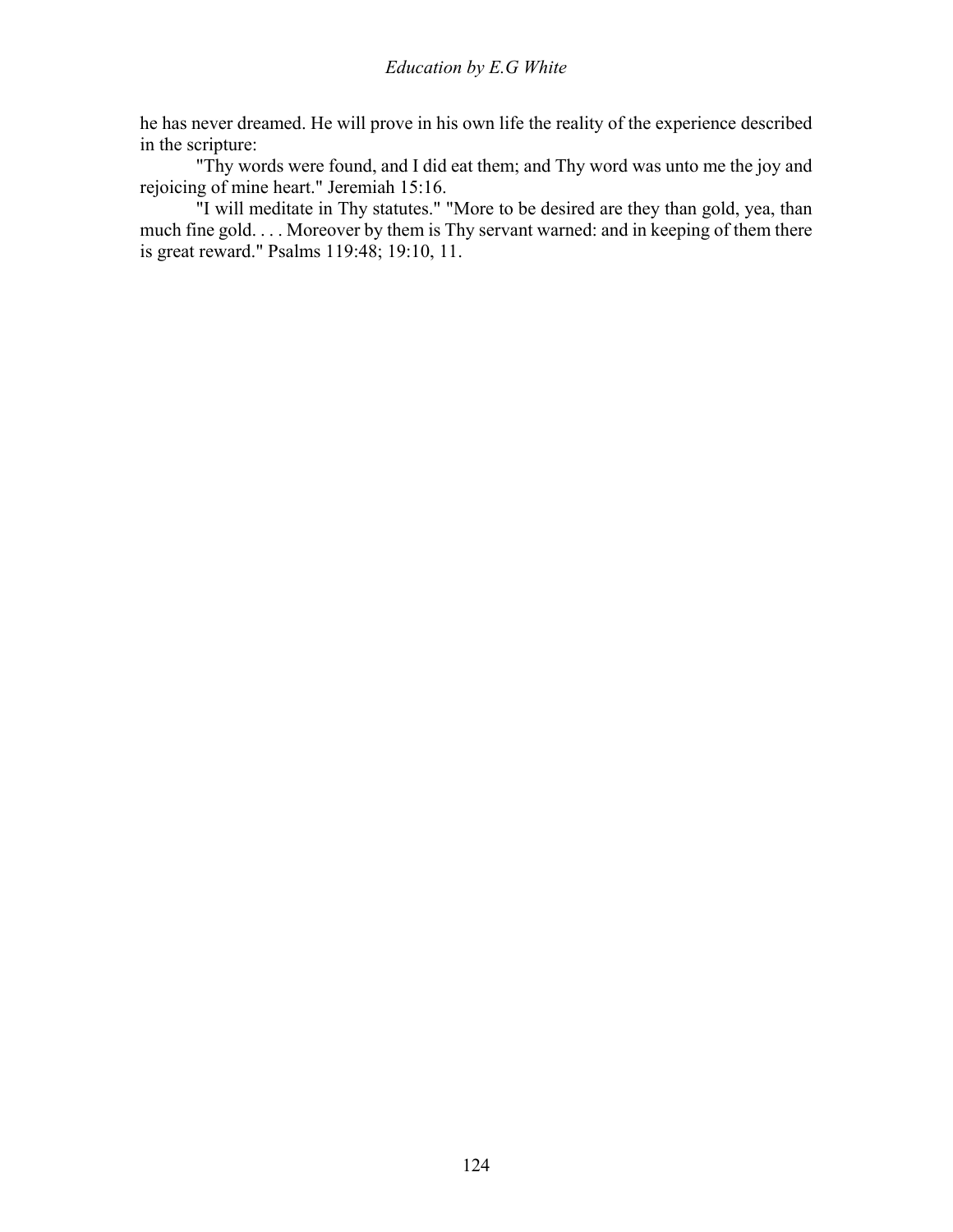he has never dreamed. He will prove in his own life the reality of the experience described in the scripture:

 "Thy words were found, and I did eat them; and Thy word was unto me the joy and rejoicing of mine heart." Jeremiah 15:16.

 "I will meditate in Thy statutes." "More to be desired are they than gold, yea, than much fine gold. . . . Moreover by them is Thy servant warned: and in keeping of them there is great reward." Psalms 119:48; 19:10, 11.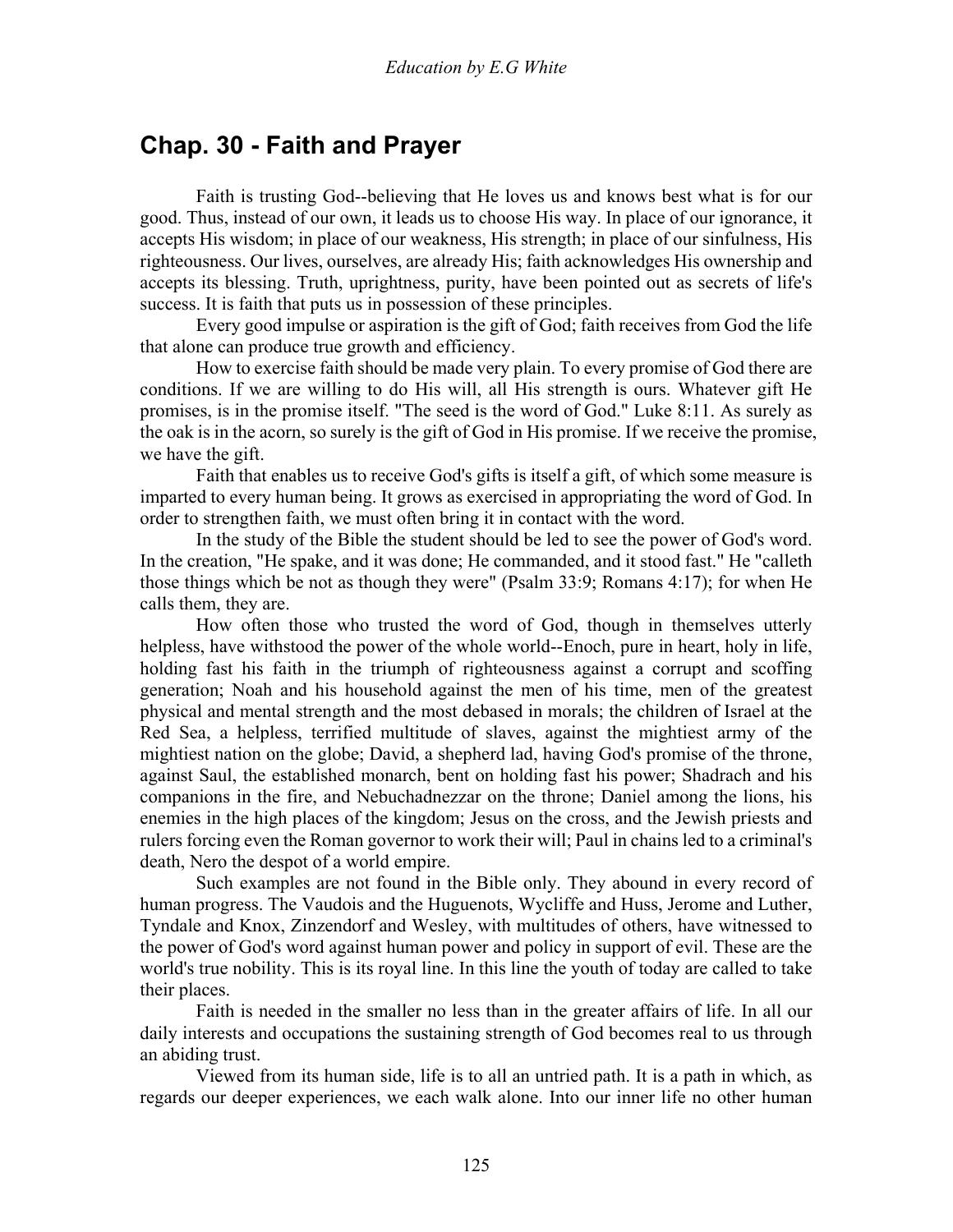## **Chap. 30 - Faith and Prayer**

 Faith is trusting God--believing that He loves us and knows best what is for our good. Thus, instead of our own, it leads us to choose His way. In place of our ignorance, it accepts His wisdom; in place of our weakness, His strength; in place of our sinfulness, His righteousness. Our lives, ourselves, are already His; faith acknowledges His ownership and accepts its blessing. Truth, uprightness, purity, have been pointed out as secrets of life's success. It is faith that puts us in possession of these principles.

 Every good impulse or aspiration is the gift of God; faith receives from God the life that alone can produce true growth and efficiency.

 How to exercise faith should be made very plain. To every promise of God there are conditions. If we are willing to do His will, all His strength is ours. Whatever gift He promises, is in the promise itself. "The seed is the word of God." Luke 8:11. As surely as the oak is in the acorn, so surely is the gift of God in His promise. If we receive the promise, we have the gift.

 Faith that enables us to receive God's gifts is itself a gift, of which some measure is imparted to every human being. It grows as exercised in appropriating the word of God. In order to strengthen faith, we must often bring it in contact with the word.

 In the study of the Bible the student should be led to see the power of God's word. In the creation, "He spake, and it was done; He commanded, and it stood fast." He "calleth those things which be not as though they were" (Psalm 33:9; Romans 4:17); for when He calls them, they are.

 How often those who trusted the word of God, though in themselves utterly helpless, have withstood the power of the whole world--Enoch, pure in heart, holy in life, holding fast his faith in the triumph of righteousness against a corrupt and scoffing generation; Noah and his household against the men of his time, men of the greatest physical and mental strength and the most debased in morals; the children of Israel at the Red Sea, a helpless, terrified multitude of slaves, against the mightiest army of the mightiest nation on the globe; David, a shepherd lad, having God's promise of the throne, against Saul, the established monarch, bent on holding fast his power; Shadrach and his companions in the fire, and Nebuchadnezzar on the throne; Daniel among the lions, his enemies in the high places of the kingdom; Jesus on the cross, and the Jewish priests and rulers forcing even the Roman governor to work their will; Paul in chains led to a criminal's death, Nero the despot of a world empire.

 Such examples are not found in the Bible only. They abound in every record of human progress. The Vaudois and the Huguenots, Wycliffe and Huss, Jerome and Luther, Tyndale and Knox, Zinzendorf and Wesley, with multitudes of others, have witnessed to the power of God's word against human power and policy in support of evil. These are the world's true nobility. This is its royal line. In this line the youth of today are called to take their places.

 Faith is needed in the smaller no less than in the greater affairs of life. In all our daily interests and occupations the sustaining strength of God becomes real to us through an abiding trust.

 Viewed from its human side, life is to all an untried path. It is a path in which, as regards our deeper experiences, we each walk alone. Into our inner life no other human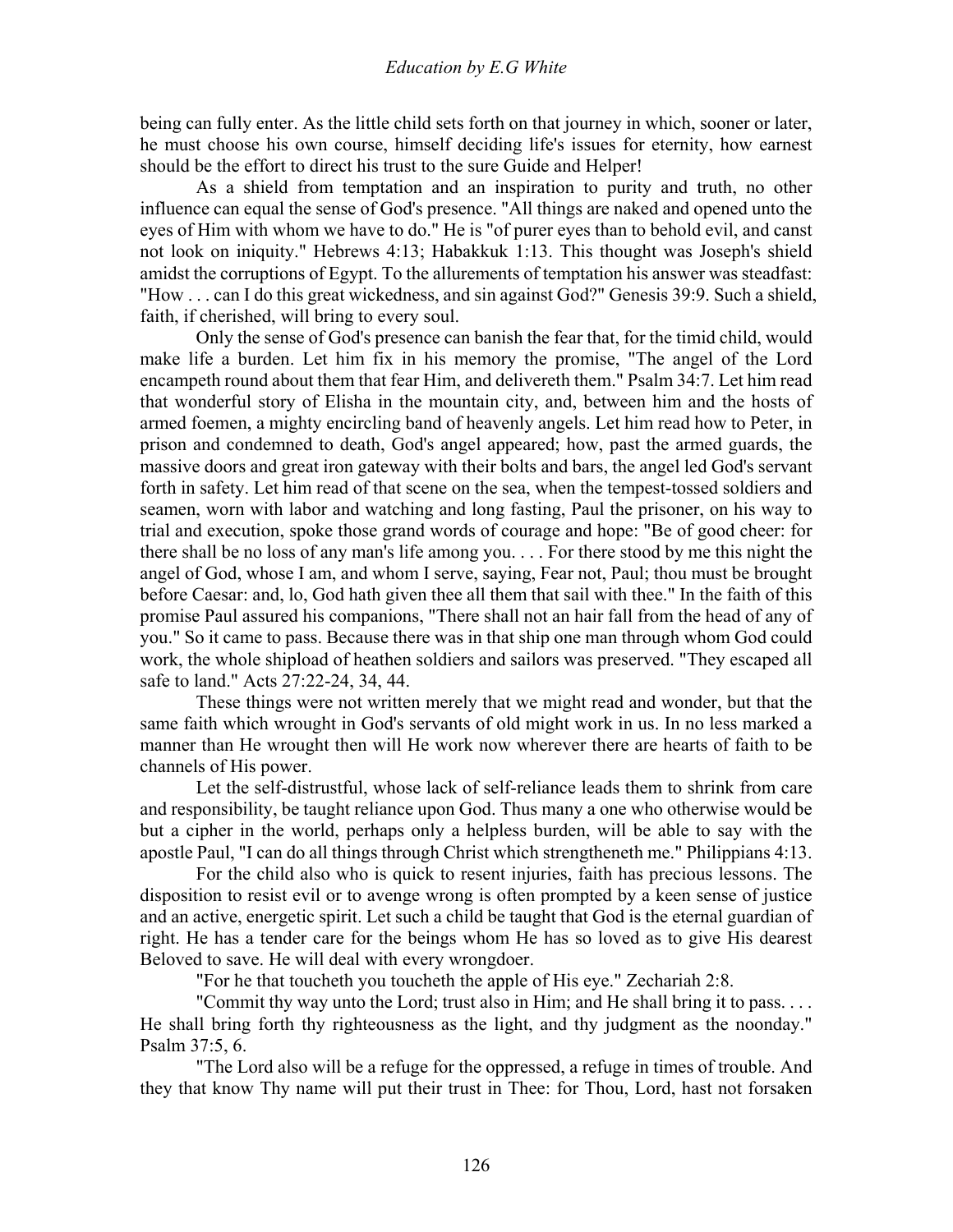being can fully enter. As the little child sets forth on that journey in which, sooner or later, he must choose his own course, himself deciding life's issues for eternity, how earnest should be the effort to direct his trust to the sure Guide and Helper!

 As a shield from temptation and an inspiration to purity and truth, no other influence can equal the sense of God's presence. "All things are naked and opened unto the eyes of Him with whom we have to do." He is "of purer eyes than to behold evil, and canst not look on iniquity." Hebrews 4:13; Habakkuk 1:13. This thought was Joseph's shield amidst the corruptions of Egypt. To the allurements of temptation his answer was steadfast: "How . . . can I do this great wickedness, and sin against God?" Genesis 39:9. Such a shield, faith, if cherished, will bring to every soul.

 Only the sense of God's presence can banish the fear that, for the timid child, would make life a burden. Let him fix in his memory the promise, "The angel of the Lord encampeth round about them that fear Him, and delivereth them." Psalm 34:7. Let him read that wonderful story of Elisha in the mountain city, and, between him and the hosts of armed foemen, a mighty encircling band of heavenly angels. Let him read how to Peter, in prison and condemned to death, God's angel appeared; how, past the armed guards, the massive doors and great iron gateway with their bolts and bars, the angel led God's servant forth in safety. Let him read of that scene on the sea, when the tempest-tossed soldiers and seamen, worn with labor and watching and long fasting, Paul the prisoner, on his way to trial and execution, spoke those grand words of courage and hope: "Be of good cheer: for there shall be no loss of any man's life among you. . . . For there stood by me this night the angel of God, whose I am, and whom I serve, saying, Fear not, Paul; thou must be brought before Caesar: and, lo, God hath given thee all them that sail with thee." In the faith of this promise Paul assured his companions, "There shall not an hair fall from the head of any of you." So it came to pass. Because there was in that ship one man through whom God could work, the whole shipload of heathen soldiers and sailors was preserved. "They escaped all safe to land." Acts 27:22-24, 34, 44.

 These things were not written merely that we might read and wonder, but that the same faith which wrought in God's servants of old might work in us. In no less marked a manner than He wrought then will He work now wherever there are hearts of faith to be channels of His power.

 Let the self-distrustful, whose lack of self-reliance leads them to shrink from care and responsibility, be taught reliance upon God. Thus many a one who otherwise would be but a cipher in the world, perhaps only a helpless burden, will be able to say with the apostle Paul, "I can do all things through Christ which strengtheneth me." Philippians 4:13.

 For the child also who is quick to resent injuries, faith has precious lessons. The disposition to resist evil or to avenge wrong is often prompted by a keen sense of justice and an active, energetic spirit. Let such a child be taught that God is the eternal guardian of right. He has a tender care for the beings whom He has so loved as to give His dearest Beloved to save. He will deal with every wrongdoer.

"For he that toucheth you toucheth the apple of His eye." Zechariah 2:8.

 "Commit thy way unto the Lord; trust also in Him; and He shall bring it to pass. . . . He shall bring forth thy righteousness as the light, and thy judgment as the noonday." Psalm 37:5, 6.

 "The Lord also will be a refuge for the oppressed, a refuge in times of trouble. And they that know Thy name will put their trust in Thee: for Thou, Lord, hast not forsaken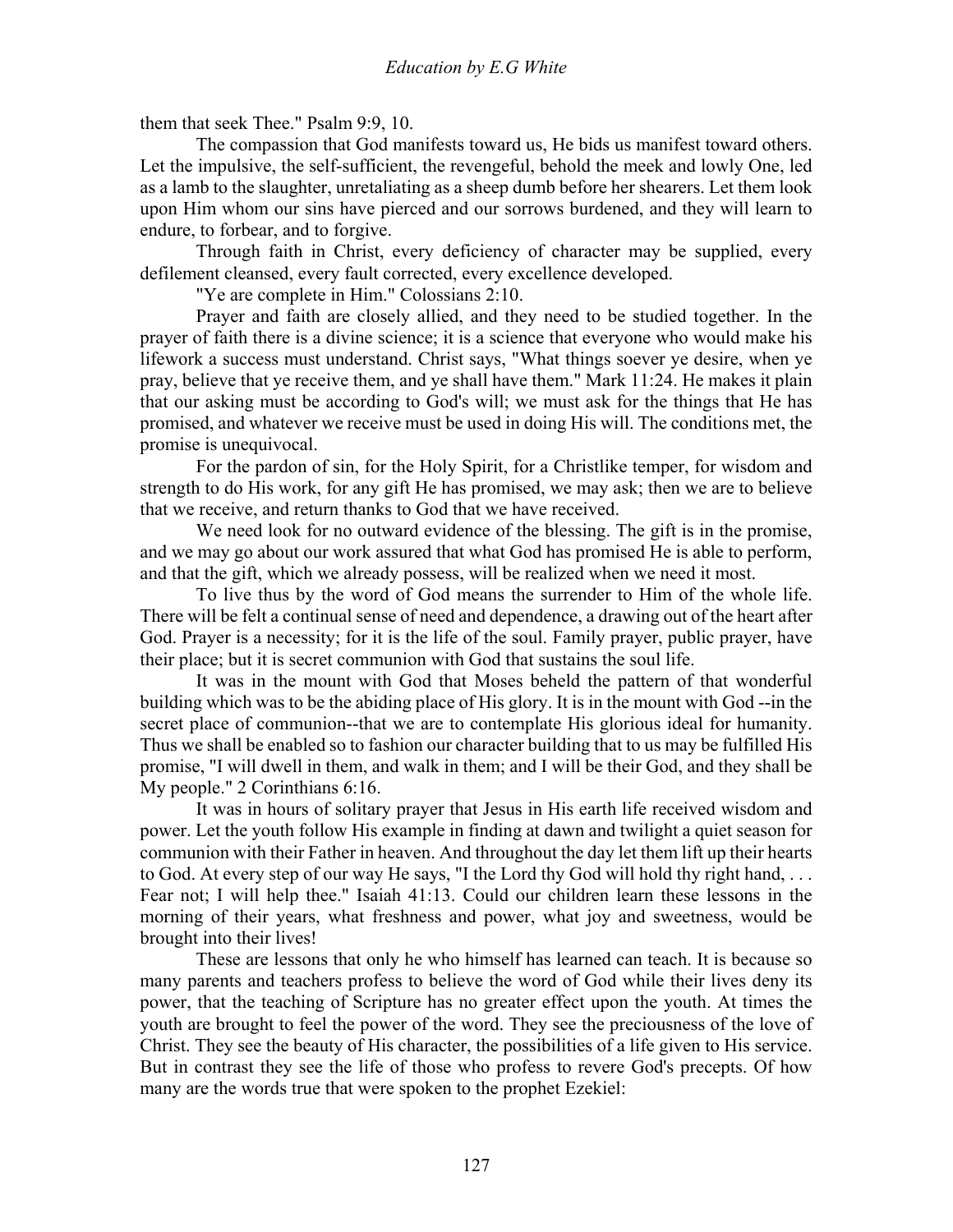them that seek Thee." Psalm 9:9, 10.

 The compassion that God manifests toward us, He bids us manifest toward others. Let the impulsive, the self-sufficient, the revengeful, behold the meek and lowly One, led as a lamb to the slaughter, unretaliating as a sheep dumb before her shearers. Let them look upon Him whom our sins have pierced and our sorrows burdened, and they will learn to endure, to forbear, and to forgive.

 Through faith in Christ, every deficiency of character may be supplied, every defilement cleansed, every fault corrected, every excellence developed.

"Ye are complete in Him." Colossians 2:10.

 Prayer and faith are closely allied, and they need to be studied together. In the prayer of faith there is a divine science; it is a science that everyone who would make his lifework a success must understand. Christ says, "What things soever ye desire, when ye pray, believe that ye receive them, and ye shall have them." Mark 11:24. He makes it plain that our asking must be according to God's will; we must ask for the things that He has promised, and whatever we receive must be used in doing His will. The conditions met, the promise is unequivocal.

 For the pardon of sin, for the Holy Spirit, for a Christlike temper, for wisdom and strength to do His work, for any gift He has promised, we may ask; then we are to believe that we receive, and return thanks to God that we have received.

 We need look for no outward evidence of the blessing. The gift is in the promise, and we may go about our work assured that what God has promised He is able to perform, and that the gift, which we already possess, will be realized when we need it most.

 To live thus by the word of God means the surrender to Him of the whole life. There will be felt a continual sense of need and dependence, a drawing out of the heart after God. Prayer is a necessity; for it is the life of the soul. Family prayer, public prayer, have their place; but it is secret communion with God that sustains the soul life.

 It was in the mount with God that Moses beheld the pattern of that wonderful building which was to be the abiding place of His glory. It is in the mount with God --in the secret place of communion--that we are to contemplate His glorious ideal for humanity. Thus we shall be enabled so to fashion our character building that to us may be fulfilled His promise, "I will dwell in them, and walk in them; and I will be their God, and they shall be My people." 2 Corinthians 6:16.

 It was in hours of solitary prayer that Jesus in His earth life received wisdom and power. Let the youth follow His example in finding at dawn and twilight a quiet season for communion with their Father in heaven. And throughout the day let them lift up their hearts to God. At every step of our way He says, "I the Lord thy God will hold thy right hand, . . . Fear not; I will help thee." Isaiah 41:13. Could our children learn these lessons in the morning of their years, what freshness and power, what joy and sweetness, would be brought into their lives!

 These are lessons that only he who himself has learned can teach. It is because so many parents and teachers profess to believe the word of God while their lives deny its power, that the teaching of Scripture has no greater effect upon the youth. At times the youth are brought to feel the power of the word. They see the preciousness of the love of Christ. They see the beauty of His character, the possibilities of a life given to His service. But in contrast they see the life of those who profess to revere God's precepts. Of how many are the words true that were spoken to the prophet Ezekiel: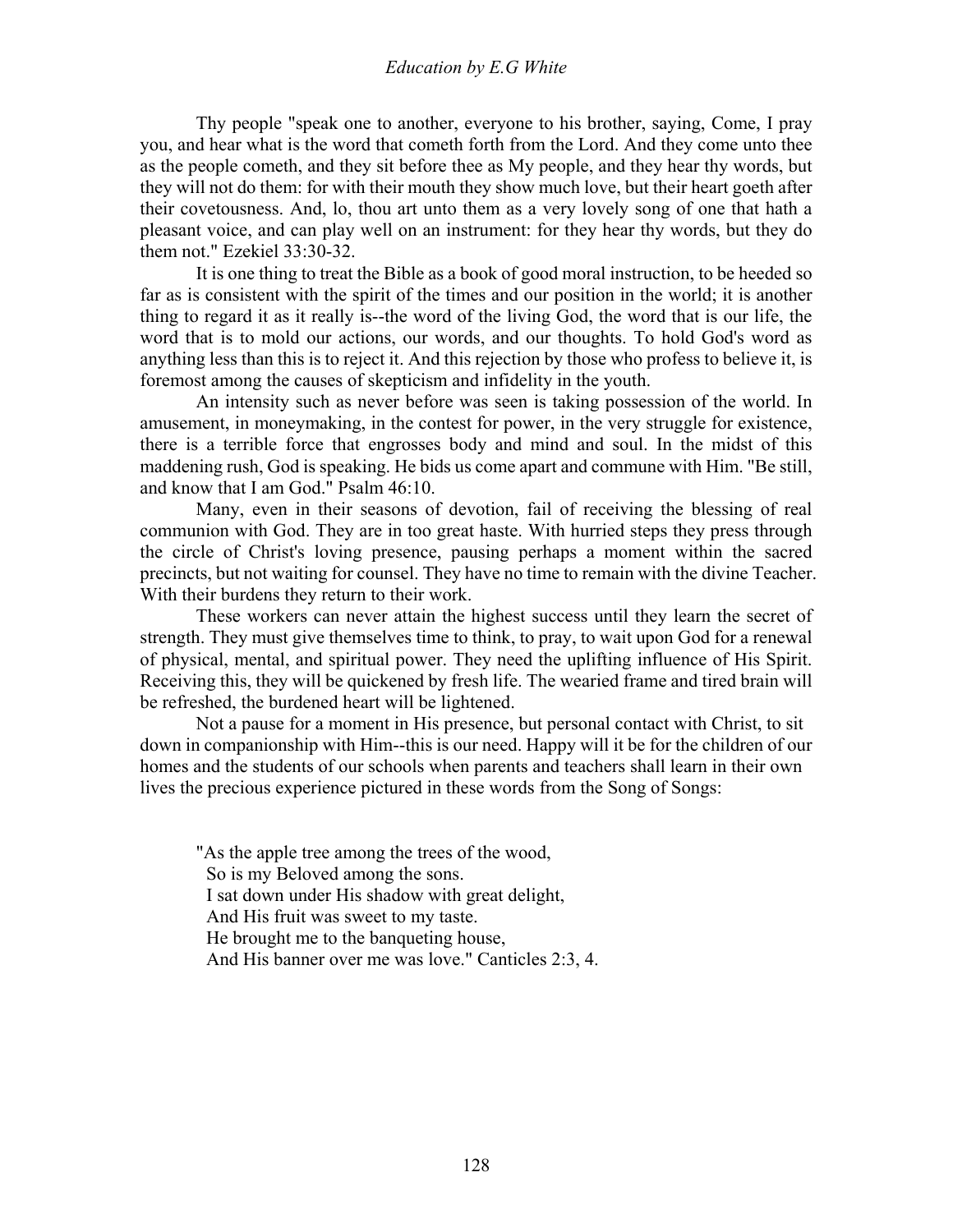Thy people "speak one to another, everyone to his brother, saying, Come, I pray you, and hear what is the word that cometh forth from the Lord. And they come unto thee as the people cometh, and they sit before thee as My people, and they hear thy words, but they will not do them: for with their mouth they show much love, but their heart goeth after their covetousness. And, lo, thou art unto them as a very lovely song of one that hath a pleasant voice, and can play well on an instrument: for they hear thy words, but they do them not." Ezekiel 33:30-32.

 It is one thing to treat the Bible as a book of good moral instruction, to be heeded so far as is consistent with the spirit of the times and our position in the world; it is another thing to regard it as it really is--the word of the living God, the word that is our life, the word that is to mold our actions, our words, and our thoughts. To hold God's word as anything less than this is to reject it. And this rejection by those who profess to believe it, is foremost among the causes of skepticism and infidelity in the youth.

 An intensity such as never before was seen is taking possession of the world. In amusement, in moneymaking, in the contest for power, in the very struggle for existence, there is a terrible force that engrosses body and mind and soul. In the midst of this maddening rush, God is speaking. He bids us come apart and commune with Him. "Be still, and know that I am God." Psalm 46:10.

 Many, even in their seasons of devotion, fail of receiving the blessing of real communion with God. They are in too great haste. With hurried steps they press through the circle of Christ's loving presence, pausing perhaps a moment within the sacred precincts, but not waiting for counsel. They have no time to remain with the divine Teacher. With their burdens they return to their work.

 These workers can never attain the highest success until they learn the secret of strength. They must give themselves time to think, to pray, to wait upon God for a renewal of physical, mental, and spiritual power. They need the uplifting influence of His Spirit. Receiving this, they will be quickened by fresh life. The wearied frame and tired brain will be refreshed, the burdened heart will be lightened.

 Not a pause for a moment in His presence, but personal contact with Christ, to sit down in companionship with Him--this is our need. Happy will it be for the children of our homes and the students of our schools when parents and teachers shall learn in their own lives the precious experience pictured in these words from the Song of Songs:

"As the apple tree among the trees of the wood, So is my Beloved among the sons. I sat down under His shadow with great delight, And His fruit was sweet to my taste. He brought me to the banqueting house, And His banner over me was love." Canticles 2:3, 4.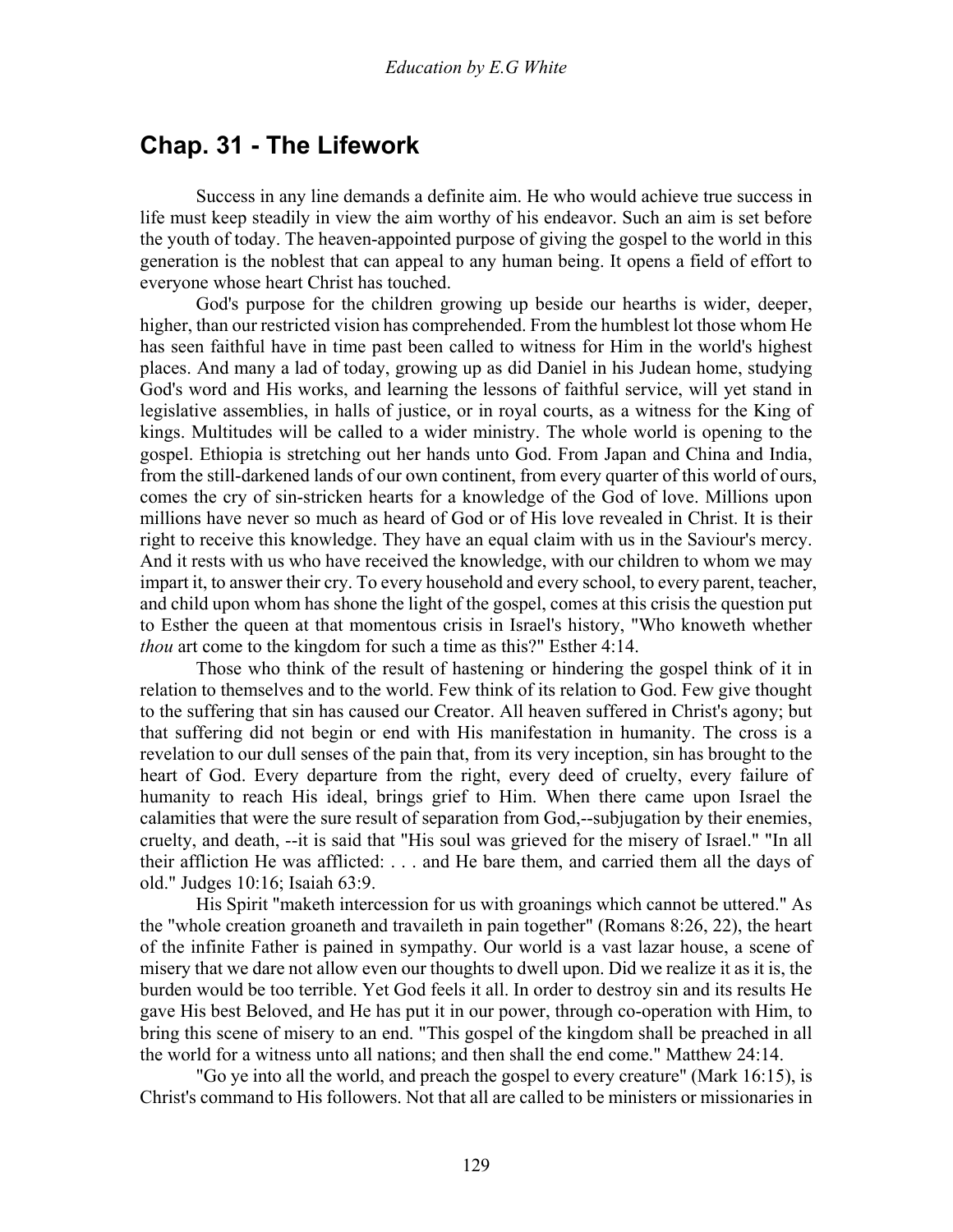### **Chap. 31 - The Lifework**

 Success in any line demands a definite aim. He who would achieve true success in life must keep steadily in view the aim worthy of his endeavor. Such an aim is set before the youth of today. The heaven-appointed purpose of giving the gospel to the world in this generation is the noblest that can appeal to any human being. It opens a field of effort to everyone whose heart Christ has touched.

 God's purpose for the children growing up beside our hearths is wider, deeper, higher, than our restricted vision has comprehended. From the humblest lot those whom He has seen faithful have in time past been called to witness for Him in the world's highest places. And many a lad of today, growing up as did Daniel in his Judean home, studying God's word and His works, and learning the lessons of faithful service, will yet stand in legislative assemblies, in halls of justice, or in royal courts, as a witness for the King of kings. Multitudes will be called to a wider ministry. The whole world is opening to the gospel. Ethiopia is stretching out her hands unto God. From Japan and China and India, from the still-darkened lands of our own continent, from every quarter of this world of ours, comes the cry of sin-stricken hearts for a knowledge of the God of love. Millions upon millions have never so much as heard of God or of His love revealed in Christ. It is their right to receive this knowledge. They have an equal claim with us in the Saviour's mercy. And it rests with us who have received the knowledge, with our children to whom we may impart it, to answer their cry. To every household and every school, to every parent, teacher, and child upon whom has shone the light of the gospel, comes at this crisis the question put to Esther the queen at that momentous crisis in Israel's history, "Who knoweth whether *thou* art come to the kingdom for such a time as this?" Esther 4:14.

 Those who think of the result of hastening or hindering the gospel think of it in relation to themselves and to the world. Few think of its relation to God. Few give thought to the suffering that sin has caused our Creator. All heaven suffered in Christ's agony; but that suffering did not begin or end with His manifestation in humanity. The cross is a revelation to our dull senses of the pain that, from its very inception, sin has brought to the heart of God. Every departure from the right, every deed of cruelty, every failure of humanity to reach His ideal, brings grief to Him. When there came upon Israel the calamities that were the sure result of separation from God,--subjugation by their enemies, cruelty, and death, --it is said that "His soul was grieved for the misery of Israel." "In all their affliction He was afflicted: . . . and He bare them, and carried them all the days of old." Judges 10:16; Isaiah 63:9.

 His Spirit "maketh intercession for us with groanings which cannot be uttered." As the "whole creation groaneth and travaileth in pain together" (Romans 8:26, 22), the heart of the infinite Father is pained in sympathy. Our world is a vast lazar house, a scene of misery that we dare not allow even our thoughts to dwell upon. Did we realize it as it is, the burden would be too terrible. Yet God feels it all. In order to destroy sin and its results He gave His best Beloved, and He has put it in our power, through co-operation with Him, to bring this scene of misery to an end. "This gospel of the kingdom shall be preached in all the world for a witness unto all nations; and then shall the end come." Matthew 24:14.

 "Go ye into all the world, and preach the gospel to every creature" (Mark 16:15), is Christ's command to His followers. Not that all are called to be ministers or missionaries in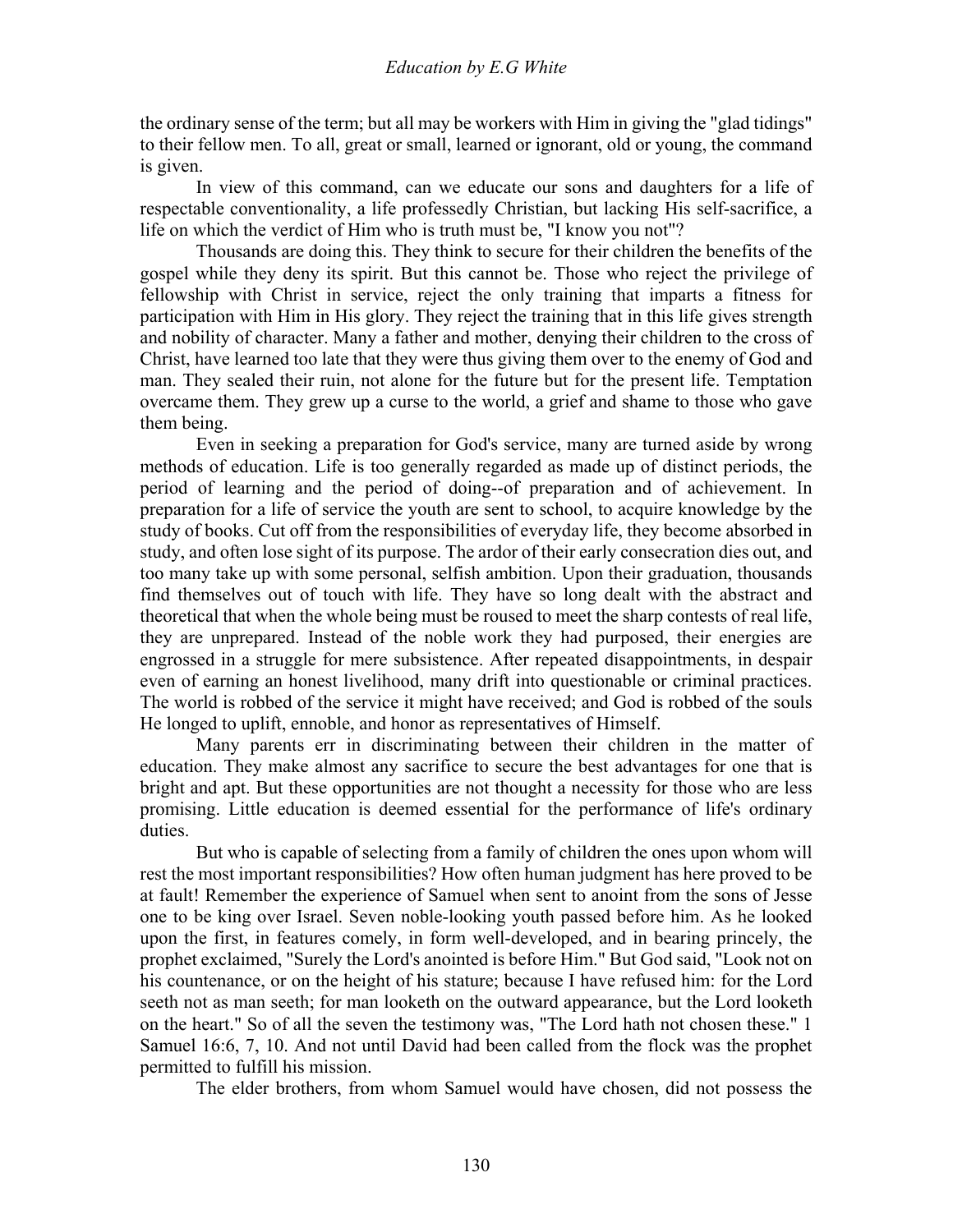the ordinary sense of the term; but all may be workers with Him in giving the "glad tidings" to their fellow men. To all, great or small, learned or ignorant, old or young, the command is given.

 In view of this command, can we educate our sons and daughters for a life of respectable conventionality, a life professedly Christian, but lacking His self-sacrifice, a life on which the verdict of Him who is truth must be, "I know you not"?

 Thousands are doing this. They think to secure for their children the benefits of the gospel while they deny its spirit. But this cannot be. Those who reject the privilege of fellowship with Christ in service, reject the only training that imparts a fitness for participation with Him in His glory. They reject the training that in this life gives strength and nobility of character. Many a father and mother, denying their children to the cross of Christ, have learned too late that they were thus giving them over to the enemy of God and man. They sealed their ruin, not alone for the future but for the present life. Temptation overcame them. They grew up a curse to the world, a grief and shame to those who gave them being.

 Even in seeking a preparation for God's service, many are turned aside by wrong methods of education. Life is too generally regarded as made up of distinct periods, the period of learning and the period of doing--of preparation and of achievement. In preparation for a life of service the youth are sent to school, to acquire knowledge by the study of books. Cut off from the responsibilities of everyday life, they become absorbed in study, and often lose sight of its purpose. The ardor of their early consecration dies out, and too many take up with some personal, selfish ambition. Upon their graduation, thousands find themselves out of touch with life. They have so long dealt with the abstract and theoretical that when the whole being must be roused to meet the sharp contests of real life, they are unprepared. Instead of the noble work they had purposed, their energies are engrossed in a struggle for mere subsistence. After repeated disappointments, in despair even of earning an honest livelihood, many drift into questionable or criminal practices. The world is robbed of the service it might have received; and God is robbed of the souls He longed to uplift, ennoble, and honor as representatives of Himself.

 Many parents err in discriminating between their children in the matter of education. They make almost any sacrifice to secure the best advantages for one that is bright and apt. But these opportunities are not thought a necessity for those who are less promising. Little education is deemed essential for the performance of life's ordinary duties.

 But who is capable of selecting from a family of children the ones upon whom will rest the most important responsibilities? How often human judgment has here proved to be at fault! Remember the experience of Samuel when sent to anoint from the sons of Jesse one to be king over Israel. Seven noble-looking youth passed before him. As he looked upon the first, in features comely, in form well-developed, and in bearing princely, the prophet exclaimed, "Surely the Lord's anointed is before Him." But God said, "Look not on his countenance, or on the height of his stature; because I have refused him: for the Lord seeth not as man seeth; for man looketh on the outward appearance, but the Lord looketh on the heart." So of all the seven the testimony was, "The Lord hath not chosen these." 1 Samuel 16:6, 7, 10. And not until David had been called from the flock was the prophet permitted to fulfill his mission.

The elder brothers, from whom Samuel would have chosen, did not possess the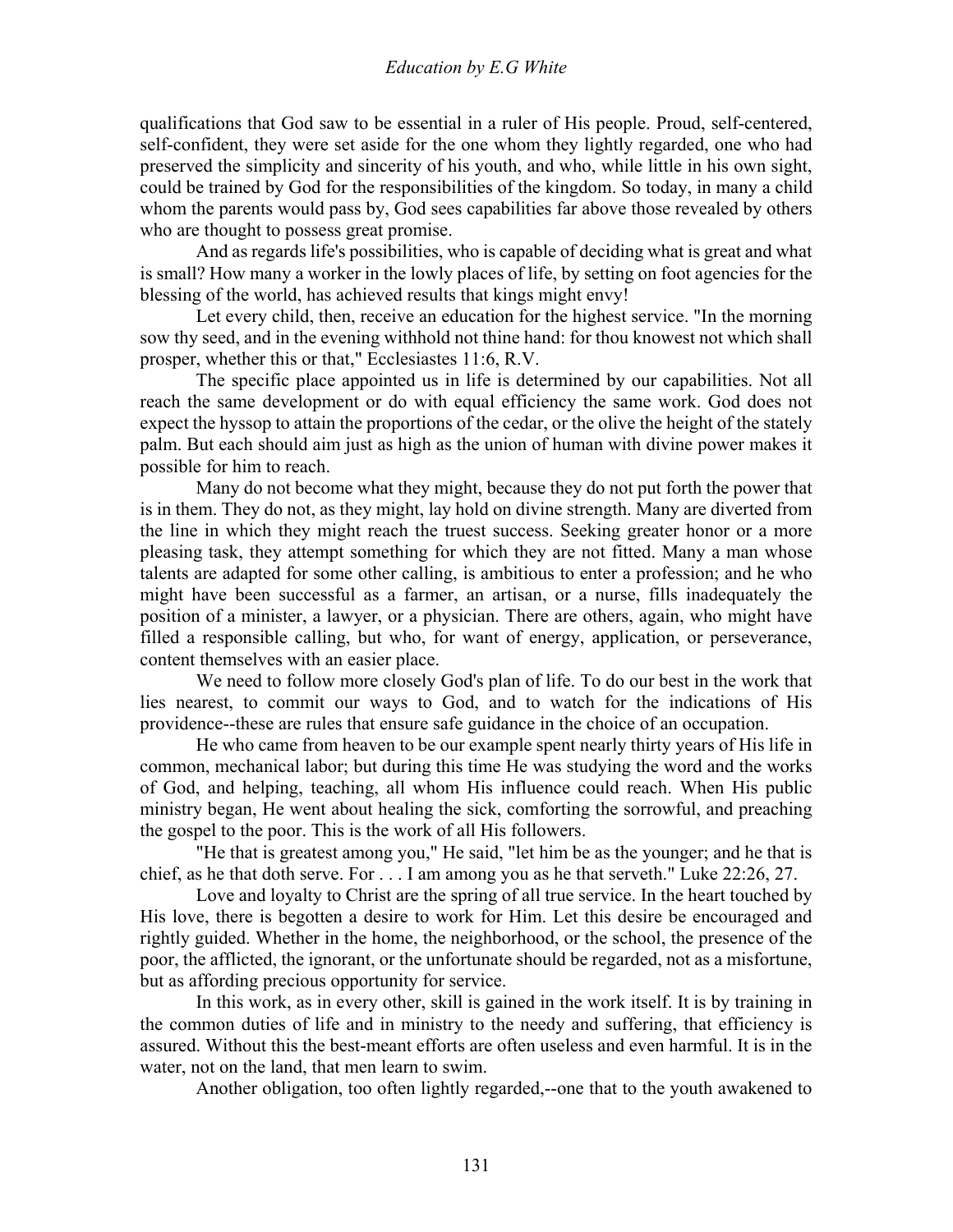qualifications that God saw to be essential in a ruler of His people. Proud, self-centered, self-confident, they were set aside for the one whom they lightly regarded, one who had preserved the simplicity and sincerity of his youth, and who, while little in his own sight, could be trained by God for the responsibilities of the kingdom. So today, in many a child whom the parents would pass by, God sees capabilities far above those revealed by others who are thought to possess great promise.

 And as regards life's possibilities, who is capable of deciding what is great and what is small? How many a worker in the lowly places of life, by setting on foot agencies for the blessing of the world, has achieved results that kings might envy!

 Let every child, then, receive an education for the highest service. "In the morning sow thy seed, and in the evening withhold not thine hand: for thou knowest not which shall prosper, whether this or that," Ecclesiastes 11:6, R.V.

 The specific place appointed us in life is determined by our capabilities. Not all reach the same development or do with equal efficiency the same work. God does not expect the hyssop to attain the proportions of the cedar, or the olive the height of the stately palm. But each should aim just as high as the union of human with divine power makes it possible for him to reach.

 Many do not become what they might, because they do not put forth the power that is in them. They do not, as they might, lay hold on divine strength. Many are diverted from the line in which they might reach the truest success. Seeking greater honor or a more pleasing task, they attempt something for which they are not fitted. Many a man whose talents are adapted for some other calling, is ambitious to enter a profession; and he who might have been successful as a farmer, an artisan, or a nurse, fills inadequately the position of a minister, a lawyer, or a physician. There are others, again, who might have filled a responsible calling, but who, for want of energy, application, or perseverance, content themselves with an easier place.

 We need to follow more closely God's plan of life. To do our best in the work that lies nearest, to commit our ways to God, and to watch for the indications of His providence--these are rules that ensure safe guidance in the choice of an occupation.

 He who came from heaven to be our example spent nearly thirty years of His life in common, mechanical labor; but during this time He was studying the word and the works of God, and helping, teaching, all whom His influence could reach. When His public ministry began, He went about healing the sick, comforting the sorrowful, and preaching the gospel to the poor. This is the work of all His followers.

 "He that is greatest among you," He said, "let him be as the younger; and he that is chief, as he that doth serve. For . . . I am among you as he that serveth." Luke 22:26, 27.

 Love and loyalty to Christ are the spring of all true service. In the heart touched by His love, there is begotten a desire to work for Him. Let this desire be encouraged and rightly guided. Whether in the home, the neighborhood, or the school, the presence of the poor, the afflicted, the ignorant, or the unfortunate should be regarded, not as a misfortune, but as affording precious opportunity for service.

 In this work, as in every other, skill is gained in the work itself. It is by training in the common duties of life and in ministry to the needy and suffering, that efficiency is assured. Without this the best-meant efforts are often useless and even harmful. It is in the water, not on the land, that men learn to swim.

Another obligation, too often lightly regarded,--one that to the youth awakened to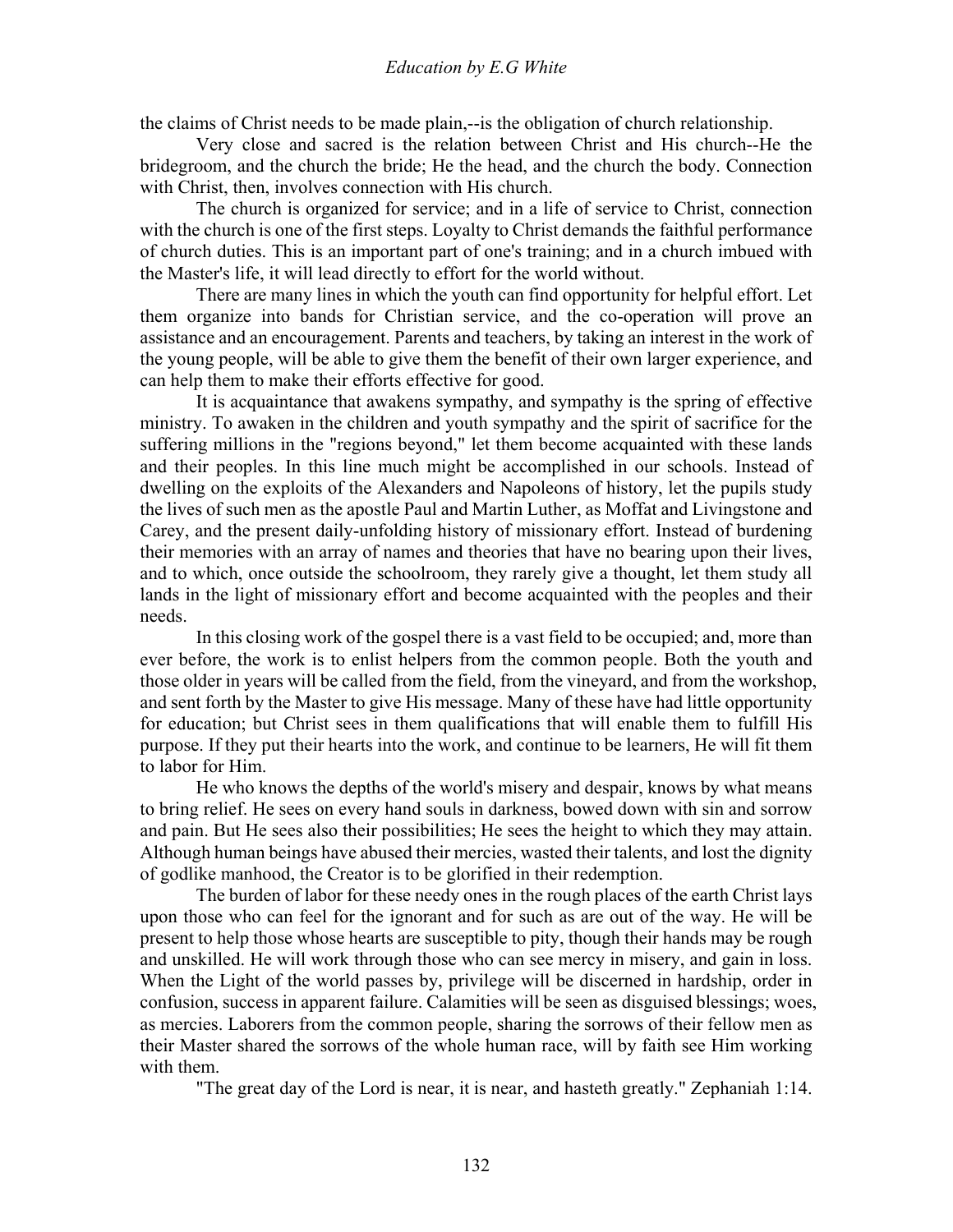the claims of Christ needs to be made plain,--is the obligation of church relationship.

 Very close and sacred is the relation between Christ and His church--He the bridegroom, and the church the bride; He the head, and the church the body. Connection with Christ, then, involves connection with His church.

 The church is organized for service; and in a life of service to Christ, connection with the church is one of the first steps. Loyalty to Christ demands the faithful performance of church duties. This is an important part of one's training; and in a church imbued with the Master's life, it will lead directly to effort for the world without.

 There are many lines in which the youth can find opportunity for helpful effort. Let them organize into bands for Christian service, and the co-operation will prove an assistance and an encouragement. Parents and teachers, by taking an interest in the work of the young people, will be able to give them the benefit of their own larger experience, and can help them to make their efforts effective for good.

 It is acquaintance that awakens sympathy, and sympathy is the spring of effective ministry. To awaken in the children and youth sympathy and the spirit of sacrifice for the suffering millions in the "regions beyond," let them become acquainted with these lands and their peoples. In this line much might be accomplished in our schools. Instead of dwelling on the exploits of the Alexanders and Napoleons of history, let the pupils study the lives of such men as the apostle Paul and Martin Luther, as Moffat and Livingstone and Carey, and the present daily-unfolding history of missionary effort. Instead of burdening their memories with an array of names and theories that have no bearing upon their lives, and to which, once outside the schoolroom, they rarely give a thought, let them study all lands in the light of missionary effort and become acquainted with the peoples and their needs.

 In this closing work of the gospel there is a vast field to be occupied; and, more than ever before, the work is to enlist helpers from the common people. Both the youth and those older in years will be called from the field, from the vineyard, and from the workshop, and sent forth by the Master to give His message. Many of these have had little opportunity for education; but Christ sees in them qualifications that will enable them to fulfill His purpose. If they put their hearts into the work, and continue to be learners, He will fit them to labor for Him.

 He who knows the depths of the world's misery and despair, knows by what means to bring relief. He sees on every hand souls in darkness, bowed down with sin and sorrow and pain. But He sees also their possibilities; He sees the height to which they may attain. Although human beings have abused their mercies, wasted their talents, and lost the dignity of godlike manhood, the Creator is to be glorified in their redemption.

 The burden of labor for these needy ones in the rough places of the earth Christ lays upon those who can feel for the ignorant and for such as are out of the way. He will be present to help those whose hearts are susceptible to pity, though their hands may be rough and unskilled. He will work through those who can see mercy in misery, and gain in loss. When the Light of the world passes by, privilege will be discerned in hardship, order in confusion, success in apparent failure. Calamities will be seen as disguised blessings; woes, as mercies. Laborers from the common people, sharing the sorrows of their fellow men as their Master shared the sorrows of the whole human race, will by faith see Him working with them.

"The great day of the Lord is near, it is near, and hasteth greatly." Zephaniah 1:14.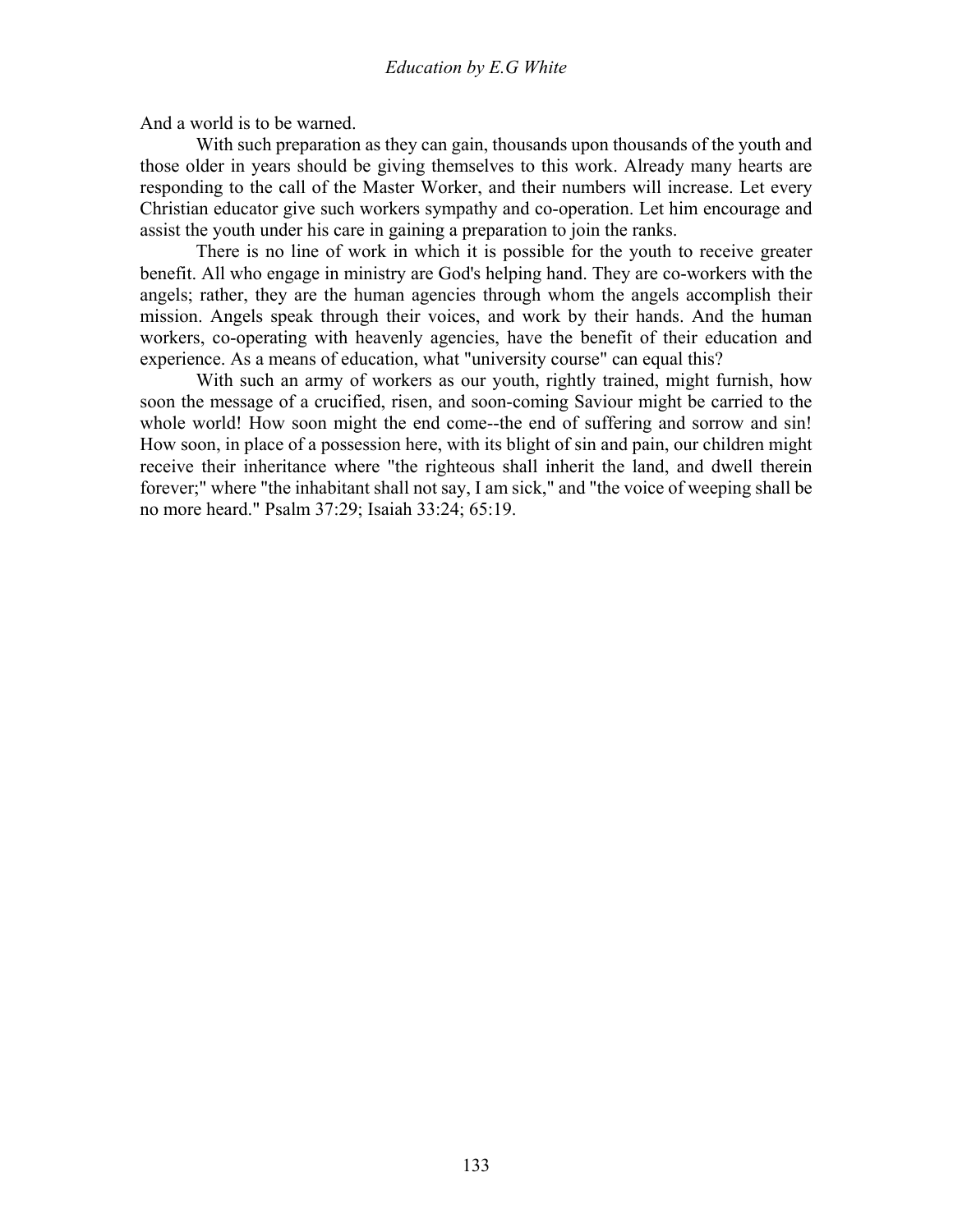And a world is to be warned.

With such preparation as they can gain, thousands upon thousands of the youth and those older in years should be giving themselves to this work. Already many hearts are responding to the call of the Master Worker, and their numbers will increase. Let every Christian educator give such workers sympathy and co-operation. Let him encourage and assist the youth under his care in gaining a preparation to join the ranks.

 There is no line of work in which it is possible for the youth to receive greater benefit. All who engage in ministry are God's helping hand. They are co-workers with the angels; rather, they are the human agencies through whom the angels accomplish their mission. Angels speak through their voices, and work by their hands. And the human workers, co-operating with heavenly agencies, have the benefit of their education and experience. As a means of education, what "university course" can equal this?

 With such an army of workers as our youth, rightly trained, might furnish, how soon the message of a crucified, risen, and soon-coming Saviour might be carried to the whole world! How soon might the end come--the end of suffering and sorrow and sin! How soon, in place of a possession here, with its blight of sin and pain, our children might receive their inheritance where "the righteous shall inherit the land, and dwell therein forever;" where "the inhabitant shall not say, I am sick," and "the voice of weeping shall be no more heard." Psalm 37:29; Isaiah 33:24; 65:19.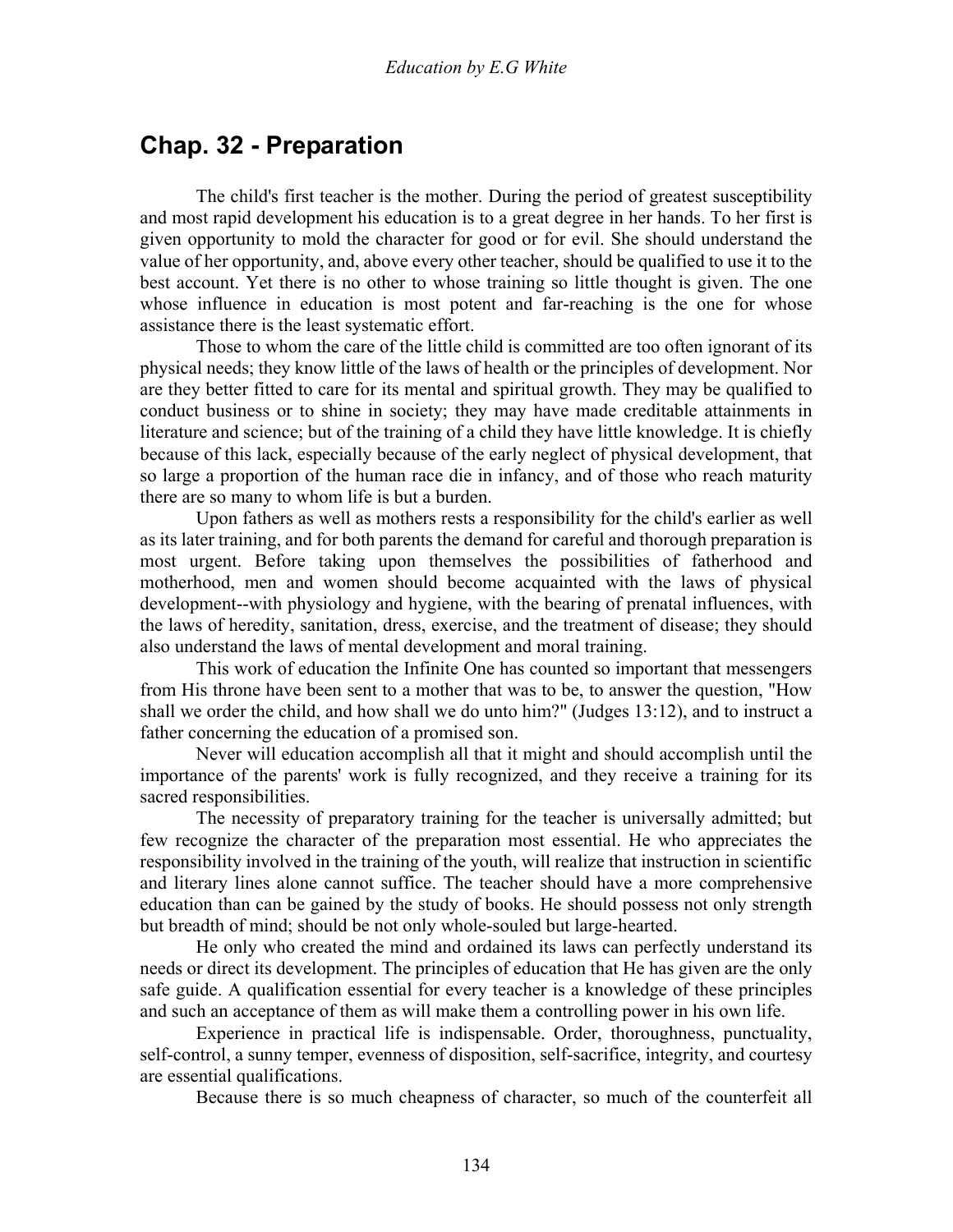### **Chap. 32 - Preparation**

 The child's first teacher is the mother. During the period of greatest susceptibility and most rapid development his education is to a great degree in her hands. To her first is given opportunity to mold the character for good or for evil. She should understand the value of her opportunity, and, above every other teacher, should be qualified to use it to the best account. Yet there is no other to whose training so little thought is given. The one whose influence in education is most potent and far-reaching is the one for whose assistance there is the least systematic effort.

 Those to whom the care of the little child is committed are too often ignorant of its physical needs; they know little of the laws of health or the principles of development. Nor are they better fitted to care for its mental and spiritual growth. They may be qualified to conduct business or to shine in society; they may have made creditable attainments in literature and science; but of the training of a child they have little knowledge. It is chiefly because of this lack, especially because of the early neglect of physical development, that so large a proportion of the human race die in infancy, and of those who reach maturity there are so many to whom life is but a burden.

 Upon fathers as well as mothers rests a responsibility for the child's earlier as well as its later training, and for both parents the demand for careful and thorough preparation is most urgent. Before taking upon themselves the possibilities of fatherhood and motherhood, men and women should become acquainted with the laws of physical development--with physiology and hygiene, with the bearing of prenatal influences, with the laws of heredity, sanitation, dress, exercise, and the treatment of disease; they should also understand the laws of mental development and moral training.

 This work of education the Infinite One has counted so important that messengers from His throne have been sent to a mother that was to be, to answer the question, "How shall we order the child, and how shall we do unto him?" (Judges 13:12), and to instruct a father concerning the education of a promised son.

 Never will education accomplish all that it might and should accomplish until the importance of the parents' work is fully recognized, and they receive a training for its sacred responsibilities.

 The necessity of preparatory training for the teacher is universally admitted; but few recognize the character of the preparation most essential. He who appreciates the responsibility involved in the training of the youth, will realize that instruction in scientific and literary lines alone cannot suffice. The teacher should have a more comprehensive education than can be gained by the study of books. He should possess not only strength but breadth of mind; should be not only whole-souled but large-hearted.

 He only who created the mind and ordained its laws can perfectly understand its needs or direct its development. The principles of education that He has given are the only safe guide. A qualification essential for every teacher is a knowledge of these principles and such an acceptance of them as will make them a controlling power in his own life.

 Experience in practical life is indispensable. Order, thoroughness, punctuality, self-control, a sunny temper, evenness of disposition, self-sacrifice, integrity, and courtesy are essential qualifications.

Because there is so much cheapness of character, so much of the counterfeit all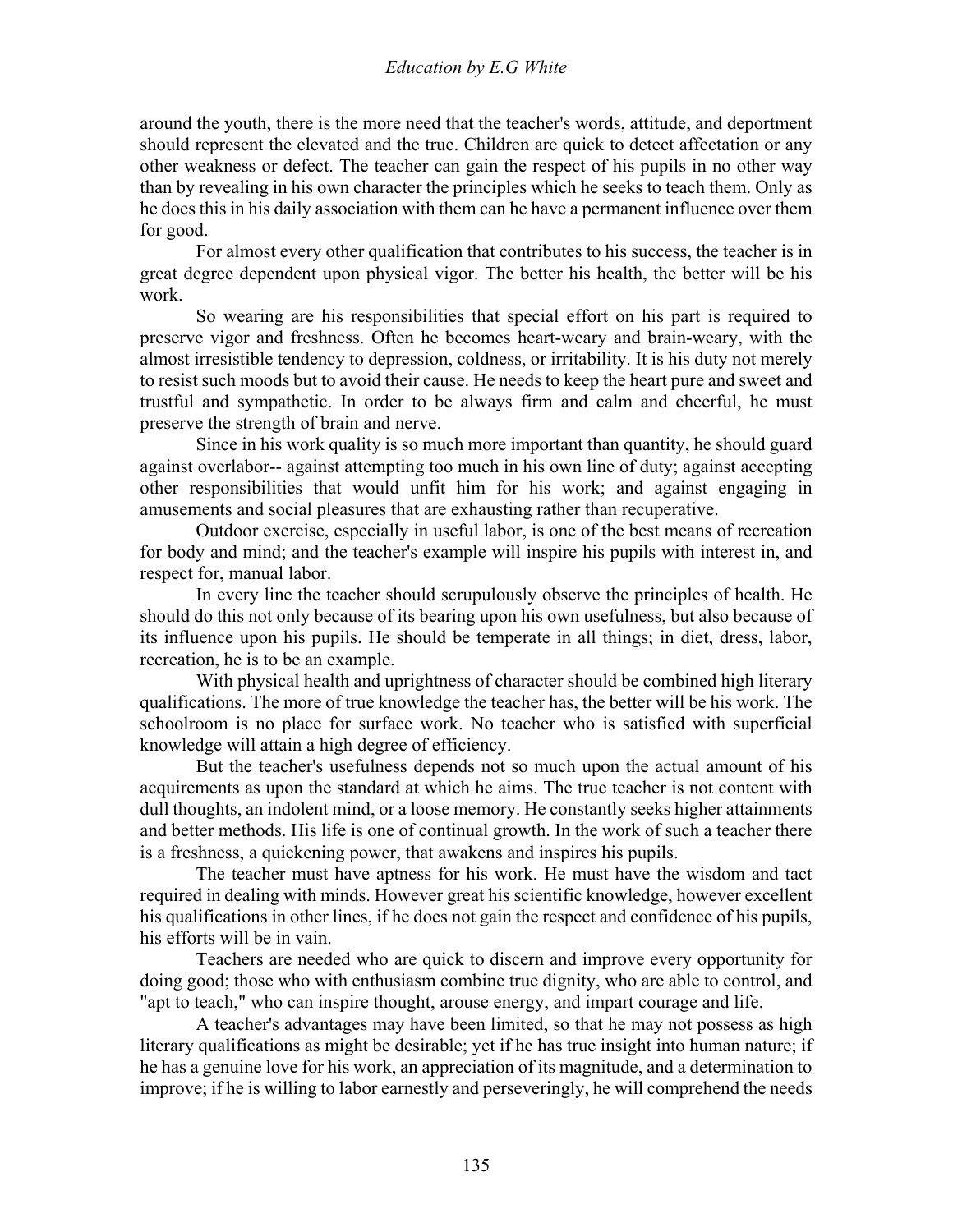around the youth, there is the more need that the teacher's words, attitude, and deportment should represent the elevated and the true. Children are quick to detect affectation or any other weakness or defect. The teacher can gain the respect of his pupils in no other way than by revealing in his own character the principles which he seeks to teach them. Only as he does this in his daily association with them can he have a permanent influence over them for good.

 For almost every other qualification that contributes to his success, the teacher is in great degree dependent upon physical vigor. The better his health, the better will be his work.

 So wearing are his responsibilities that special effort on his part is required to preserve vigor and freshness. Often he becomes heart-weary and brain-weary, with the almost irresistible tendency to depression, coldness, or irritability. It is his duty not merely to resist such moods but to avoid their cause. He needs to keep the heart pure and sweet and trustful and sympathetic. In order to be always firm and calm and cheerful, he must preserve the strength of brain and nerve.

 Since in his work quality is so much more important than quantity, he should guard against overlabor-- against attempting too much in his own line of duty; against accepting other responsibilities that would unfit him for his work; and against engaging in amusements and social pleasures that are exhausting rather than recuperative.

 Outdoor exercise, especially in useful labor, is one of the best means of recreation for body and mind; and the teacher's example will inspire his pupils with interest in, and respect for, manual labor.

 In every line the teacher should scrupulously observe the principles of health. He should do this not only because of its bearing upon his own usefulness, but also because of its influence upon his pupils. He should be temperate in all things; in diet, dress, labor, recreation, he is to be an example.

 With physical health and uprightness of character should be combined high literary qualifications. The more of true knowledge the teacher has, the better will be his work. The schoolroom is no place for surface work. No teacher who is satisfied with superficial knowledge will attain a high degree of efficiency.

 But the teacher's usefulness depends not so much upon the actual amount of his acquirements as upon the standard at which he aims. The true teacher is not content with dull thoughts, an indolent mind, or a loose memory. He constantly seeks higher attainments and better methods. His life is one of continual growth. In the work of such a teacher there is a freshness, a quickening power, that awakens and inspires his pupils.

 The teacher must have aptness for his work. He must have the wisdom and tact required in dealing with minds. However great his scientific knowledge, however excellent his qualifications in other lines, if he does not gain the respect and confidence of his pupils, his efforts will be in vain.

 Teachers are needed who are quick to discern and improve every opportunity for doing good; those who with enthusiasm combine true dignity, who are able to control, and "apt to teach," who can inspire thought, arouse energy, and impart courage and life.

 A teacher's advantages may have been limited, so that he may not possess as high literary qualifications as might be desirable; yet if he has true insight into human nature; if he has a genuine love for his work, an appreciation of its magnitude, and a determination to improve; if he is willing to labor earnestly and perseveringly, he will comprehend the needs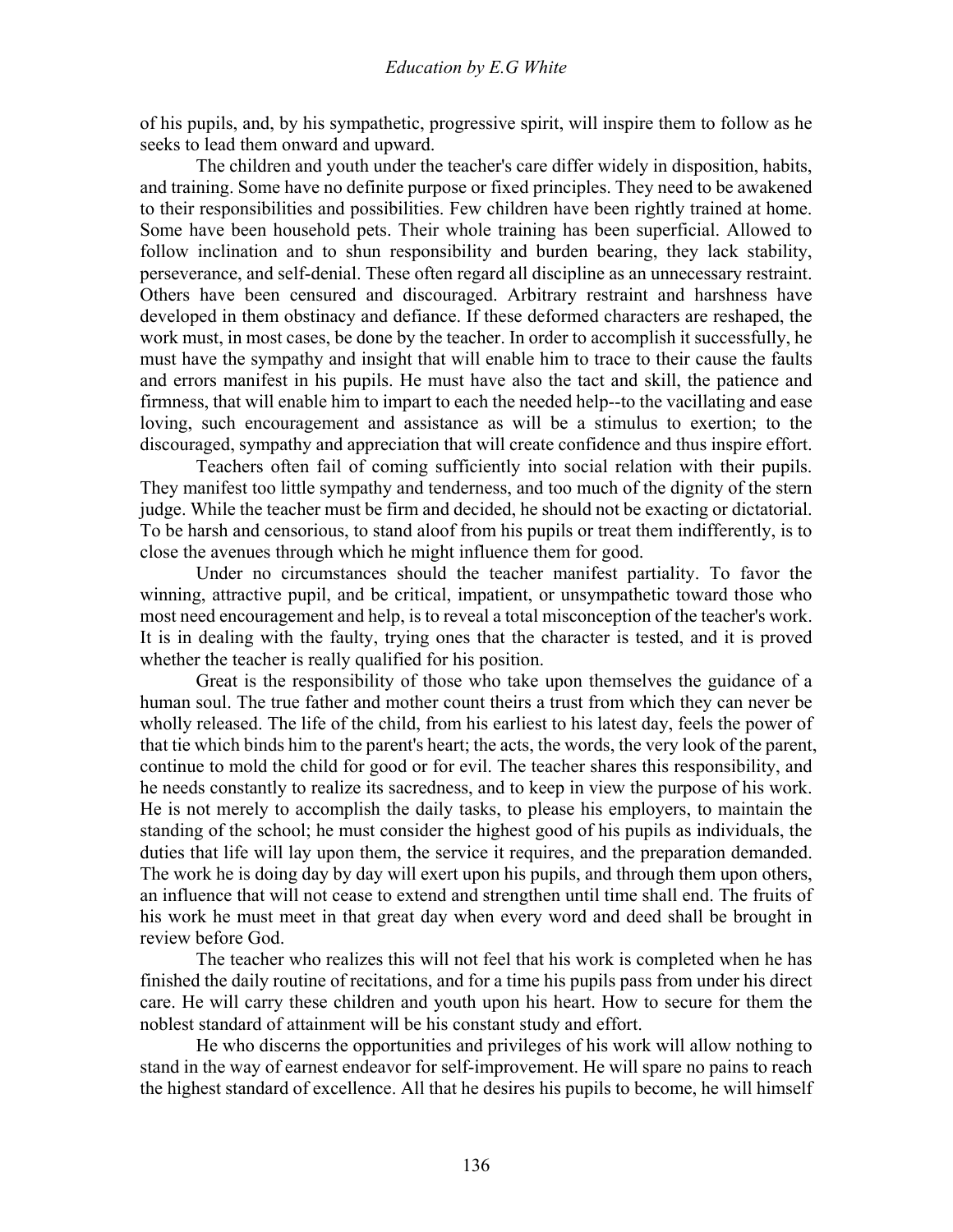of his pupils, and, by his sympathetic, progressive spirit, will inspire them to follow as he seeks to lead them onward and upward.

 The children and youth under the teacher's care differ widely in disposition, habits, and training. Some have no definite purpose or fixed principles. They need to be awakened to their responsibilities and possibilities. Few children have been rightly trained at home. Some have been household pets. Their whole training has been superficial. Allowed to follow inclination and to shun responsibility and burden bearing, they lack stability, perseverance, and self-denial. These often regard all discipline as an unnecessary restraint. Others have been censured and discouraged. Arbitrary restraint and harshness have developed in them obstinacy and defiance. If these deformed characters are reshaped, the work must, in most cases, be done by the teacher. In order to accomplish it successfully, he must have the sympathy and insight that will enable him to trace to their cause the faults and errors manifest in his pupils. He must have also the tact and skill, the patience and firmness, that will enable him to impart to each the needed help--to the vacillating and ease loving, such encouragement and assistance as will be a stimulus to exertion; to the discouraged, sympathy and appreciation that will create confidence and thus inspire effort.

 Teachers often fail of coming sufficiently into social relation with their pupils. They manifest too little sympathy and tenderness, and too much of the dignity of the stern judge. While the teacher must be firm and decided, he should not be exacting or dictatorial. To be harsh and censorious, to stand aloof from his pupils or treat them indifferently, is to close the avenues through which he might influence them for good.

 Under no circumstances should the teacher manifest partiality. To favor the winning, attractive pupil, and be critical, impatient, or unsympathetic toward those who most need encouragement and help, is to reveal a total misconception of the teacher's work. It is in dealing with the faulty, trying ones that the character is tested, and it is proved whether the teacher is really qualified for his position.

 Great is the responsibility of those who take upon themselves the guidance of a human soul. The true father and mother count theirs a trust from which they can never be wholly released. The life of the child, from his earliest to his latest day, feels the power of that tie which binds him to the parent's heart; the acts, the words, the very look of the parent, continue to mold the child for good or for evil. The teacher shares this responsibility, and he needs constantly to realize its sacredness, and to keep in view the purpose of his work. He is not merely to accomplish the daily tasks, to please his employers, to maintain the standing of the school; he must consider the highest good of his pupils as individuals, the duties that life will lay upon them, the service it requires, and the preparation demanded. The work he is doing day by day will exert upon his pupils, and through them upon others, an influence that will not cease to extend and strengthen until time shall end. The fruits of his work he must meet in that great day when every word and deed shall be brought in review before God.

 The teacher who realizes this will not feel that his work is completed when he has finished the daily routine of recitations, and for a time his pupils pass from under his direct care. He will carry these children and youth upon his heart. How to secure for them the noblest standard of attainment will be his constant study and effort.

 He who discerns the opportunities and privileges of his work will allow nothing to stand in the way of earnest endeavor for self-improvement. He will spare no pains to reach the highest standard of excellence. All that he desires his pupils to become, he will himself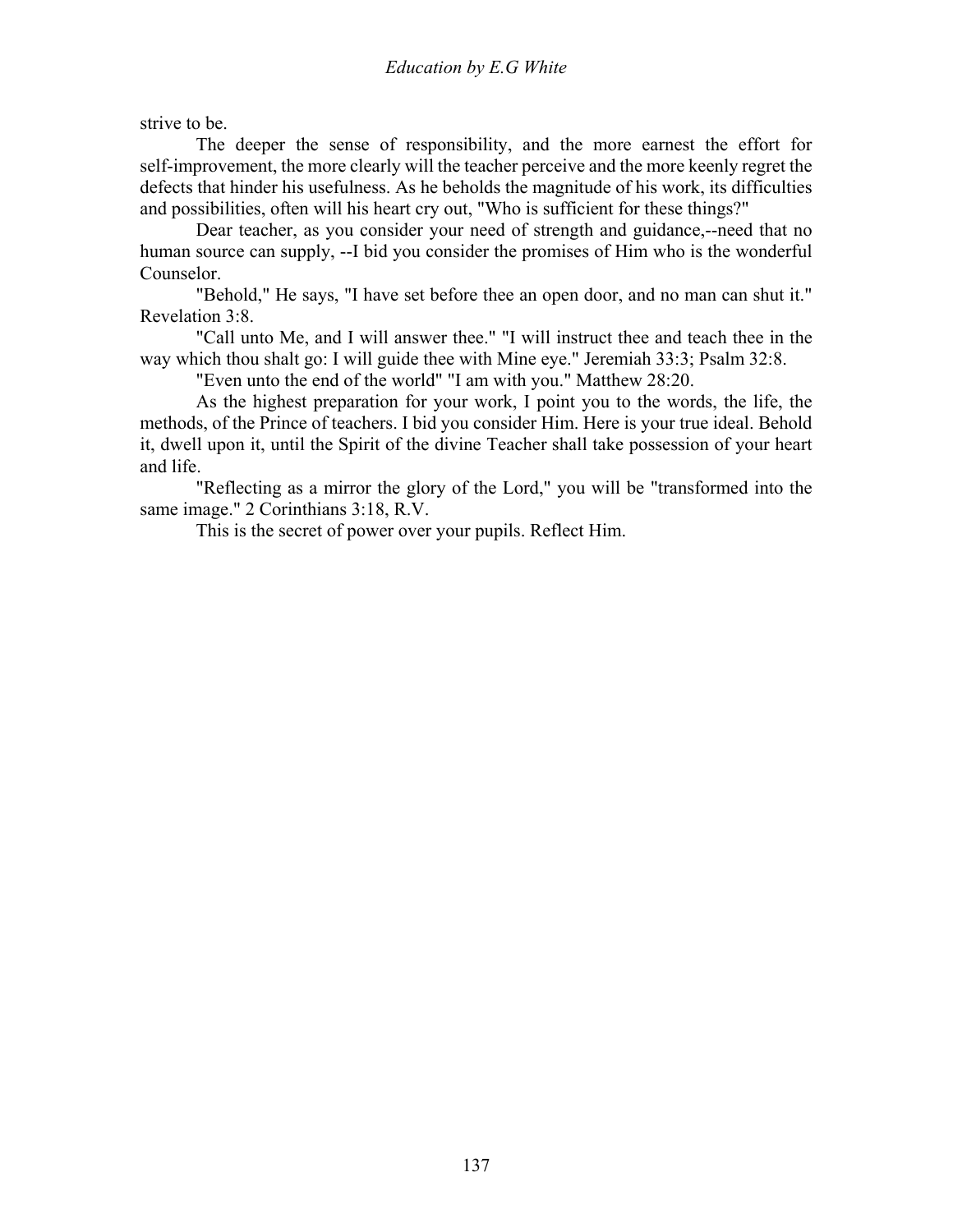strive to be.

 The deeper the sense of responsibility, and the more earnest the effort for self-improvement, the more clearly will the teacher perceive and the more keenly regret the defects that hinder his usefulness. As he beholds the magnitude of his work, its difficulties and possibilities, often will his heart cry out, "Who is sufficient for these things?"

 Dear teacher, as you consider your need of strength and guidance,--need that no human source can supply, --I bid you consider the promises of Him who is the wonderful Counselor.

 "Behold," He says, "I have set before thee an open door, and no man can shut it." Revelation 3:8.

 "Call unto Me, and I will answer thee." "I will instruct thee and teach thee in the way which thou shalt go: I will guide thee with Mine eye." Jeremiah 33:3; Psalm 32:8.

"Even unto the end of the world" "I am with you." Matthew 28:20.

 As the highest preparation for your work, I point you to the words, the life, the methods, of the Prince of teachers. I bid you consider Him. Here is your true ideal. Behold it, dwell upon it, until the Spirit of the divine Teacher shall take possession of your heart and life.

 "Reflecting as a mirror the glory of the Lord," you will be "transformed into the same image." 2 Corinthians 3:18, R.V.

This is the secret of power over your pupils. Reflect Him.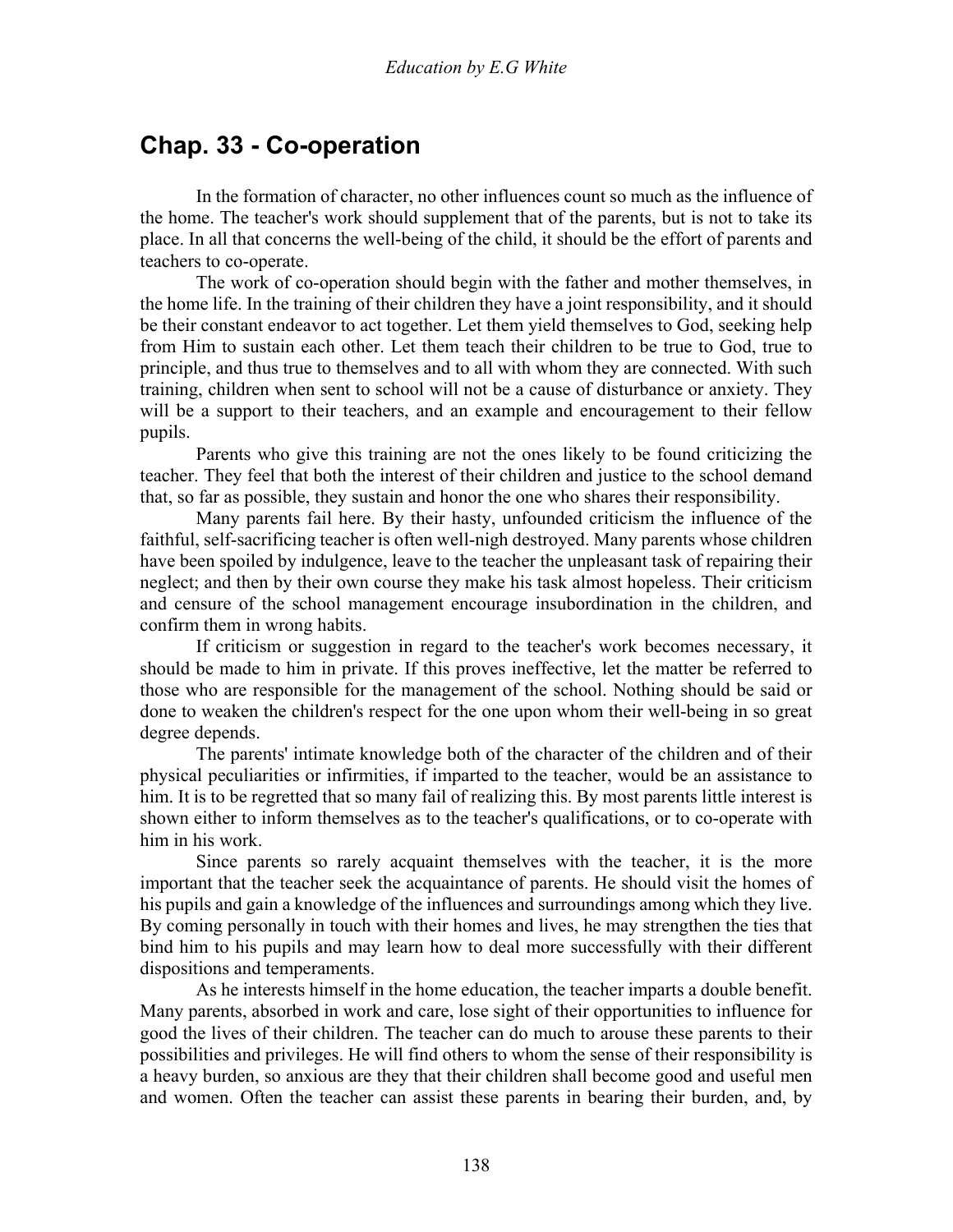# **Chap. 33 - Co-operation**

 In the formation of character, no other influences count so much as the influence of the home. The teacher's work should supplement that of the parents, but is not to take its place. In all that concerns the well-being of the child, it should be the effort of parents and teachers to co-operate.

 The work of co-operation should begin with the father and mother themselves, in the home life. In the training of their children they have a joint responsibility, and it should be their constant endeavor to act together. Let them yield themselves to God, seeking help from Him to sustain each other. Let them teach their children to be true to God, true to principle, and thus true to themselves and to all with whom they are connected. With such training, children when sent to school will not be a cause of disturbance or anxiety. They will be a support to their teachers, and an example and encouragement to their fellow pupils.

 Parents who give this training are not the ones likely to be found criticizing the teacher. They feel that both the interest of their children and justice to the school demand that, so far as possible, they sustain and honor the one who shares their responsibility.

 Many parents fail here. By their hasty, unfounded criticism the influence of the faithful, self-sacrificing teacher is often well-nigh destroyed. Many parents whose children have been spoiled by indulgence, leave to the teacher the unpleasant task of repairing their neglect; and then by their own course they make his task almost hopeless. Their criticism and censure of the school management encourage insubordination in the children, and confirm them in wrong habits.

 If criticism or suggestion in regard to the teacher's work becomes necessary, it should be made to him in private. If this proves ineffective, let the matter be referred to those who are responsible for the management of the school. Nothing should be said or done to weaken the children's respect for the one upon whom their well-being in so great degree depends.

 The parents' intimate knowledge both of the character of the children and of their physical peculiarities or infirmities, if imparted to the teacher, would be an assistance to him. It is to be regretted that so many fail of realizing this. By most parents little interest is shown either to inform themselves as to the teacher's qualifications, or to co-operate with him in his work.

 Since parents so rarely acquaint themselves with the teacher, it is the more important that the teacher seek the acquaintance of parents. He should visit the homes of his pupils and gain a knowledge of the influences and surroundings among which they live. By coming personally in touch with their homes and lives, he may strengthen the ties that bind him to his pupils and may learn how to deal more successfully with their different dispositions and temperaments.

 As he interests himself in the home education, the teacher imparts a double benefit. Many parents, absorbed in work and care, lose sight of their opportunities to influence for good the lives of their children. The teacher can do much to arouse these parents to their possibilities and privileges. He will find others to whom the sense of their responsibility is a heavy burden, so anxious are they that their children shall become good and useful men and women. Often the teacher can assist these parents in bearing their burden, and, by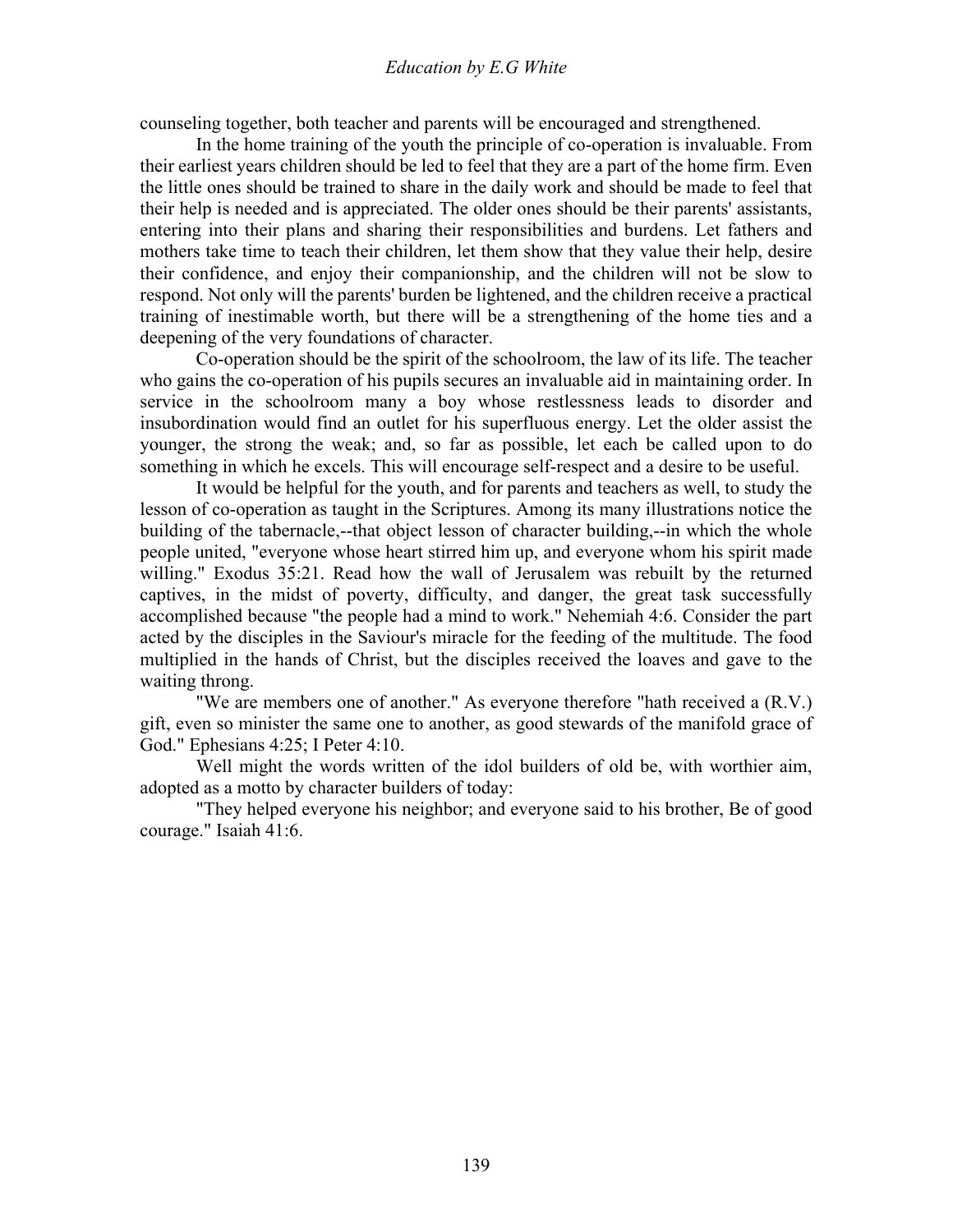counseling together, both teacher and parents will be encouraged and strengthened.

 In the home training of the youth the principle of co-operation is invaluable. From their earliest years children should be led to feel that they are a part of the home firm. Even the little ones should be trained to share in the daily work and should be made to feel that their help is needed and is appreciated. The older ones should be their parents' assistants, entering into their plans and sharing their responsibilities and burdens. Let fathers and mothers take time to teach their children, let them show that they value their help, desire their confidence, and enjoy their companionship, and the children will not be slow to respond. Not only will the parents' burden be lightened, and the children receive a practical training of inestimable worth, but there will be a strengthening of the home ties and a deepening of the very foundations of character.

 Co-operation should be the spirit of the schoolroom, the law of its life. The teacher who gains the co-operation of his pupils secures an invaluable aid in maintaining order. In service in the schoolroom many a boy whose restlessness leads to disorder and insubordination would find an outlet for his superfluous energy. Let the older assist the younger, the strong the weak; and, so far as possible, let each be called upon to do something in which he excels. This will encourage self-respect and a desire to be useful.

 It would be helpful for the youth, and for parents and teachers as well, to study the lesson of co-operation as taught in the Scriptures. Among its many illustrations notice the building of the tabernacle,--that object lesson of character building,--in which the whole people united, "everyone whose heart stirred him up, and everyone whom his spirit made willing." Exodus 35:21. Read how the wall of Jerusalem was rebuilt by the returned captives, in the midst of poverty, difficulty, and danger, the great task successfully accomplished because "the people had a mind to work." Nehemiah 4:6. Consider the part acted by the disciples in the Saviour's miracle for the feeding of the multitude. The food multiplied in the hands of Christ, but the disciples received the loaves and gave to the waiting throng.

 "We are members one of another." As everyone therefore "hath received a (R.V.) gift, even so minister the same one to another, as good stewards of the manifold grace of God." Ephesians 4:25; I Peter 4:10.

 Well might the words written of the idol builders of old be, with worthier aim, adopted as a motto by character builders of today:

 "They helped everyone his neighbor; and everyone said to his brother, Be of good courage." Isaiah 41:6.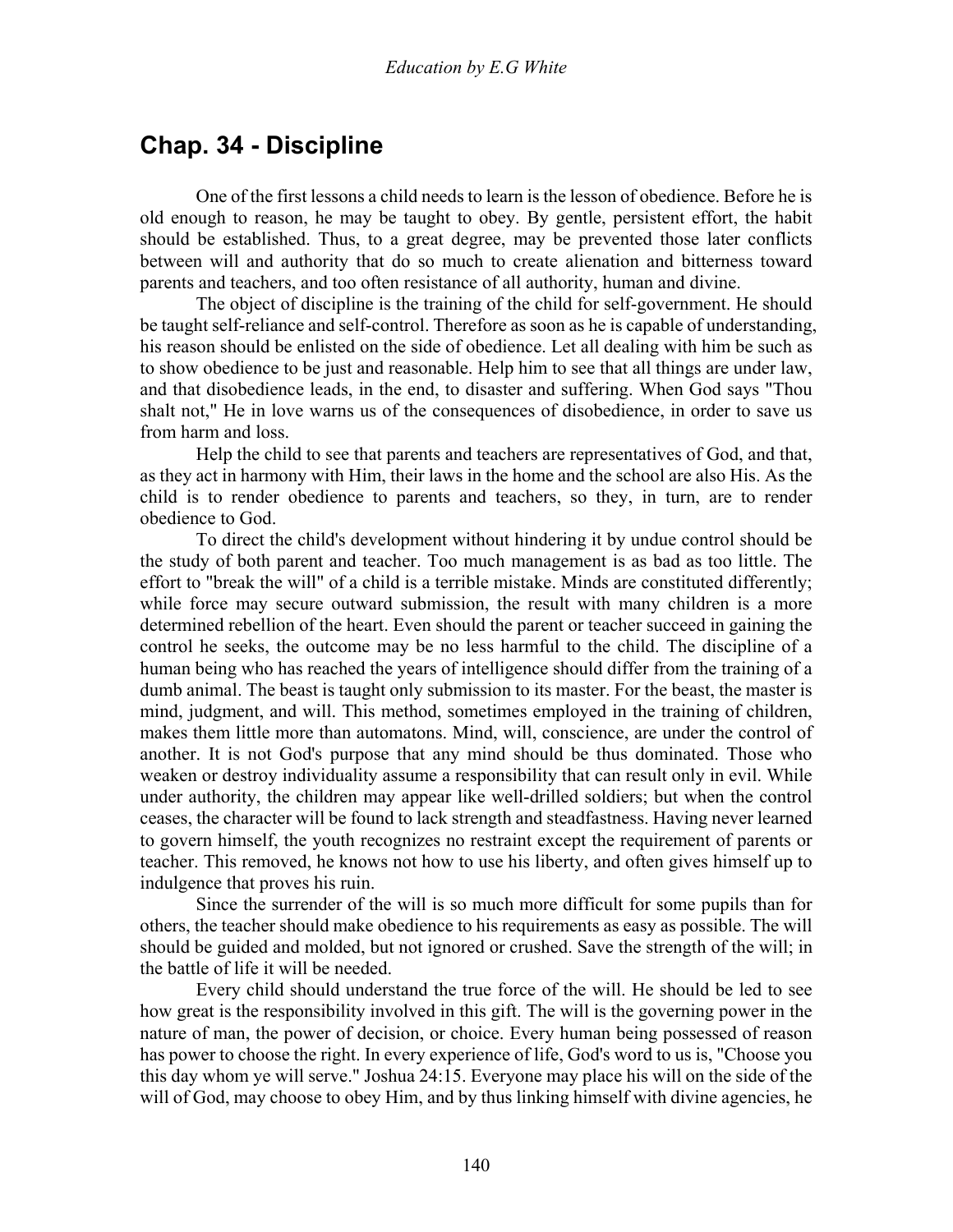## **Chap. 34 - Discipline**

 One of the first lessons a child needs to learn is the lesson of obedience. Before he is old enough to reason, he may be taught to obey. By gentle, persistent effort, the habit should be established. Thus, to a great degree, may be prevented those later conflicts between will and authority that do so much to create alienation and bitterness toward parents and teachers, and too often resistance of all authority, human and divine.

 The object of discipline is the training of the child for self-government. He should be taught self-reliance and self-control. Therefore as soon as he is capable of understanding, his reason should be enlisted on the side of obedience. Let all dealing with him be such as to show obedience to be just and reasonable. Help him to see that all things are under law, and that disobedience leads, in the end, to disaster and suffering. When God says "Thou shalt not," He in love warns us of the consequences of disobedience, in order to save us from harm and loss.

 Help the child to see that parents and teachers are representatives of God, and that, as they act in harmony with Him, their laws in the home and the school are also His. As the child is to render obedience to parents and teachers, so they, in turn, are to render obedience to God.

 To direct the child's development without hindering it by undue control should be the study of both parent and teacher. Too much management is as bad as too little. The effort to "break the will" of a child is a terrible mistake. Minds are constituted differently; while force may secure outward submission, the result with many children is a more determined rebellion of the heart. Even should the parent or teacher succeed in gaining the control he seeks, the outcome may be no less harmful to the child. The discipline of a human being who has reached the years of intelligence should differ from the training of a dumb animal. The beast is taught only submission to its master. For the beast, the master is mind, judgment, and will. This method, sometimes employed in the training of children, makes them little more than automatons. Mind, will, conscience, are under the control of another. It is not God's purpose that any mind should be thus dominated. Those who weaken or destroy individuality assume a responsibility that can result only in evil. While under authority, the children may appear like well-drilled soldiers; but when the control ceases, the character will be found to lack strength and steadfastness. Having never learned to govern himself, the youth recognizes no restraint except the requirement of parents or teacher. This removed, he knows not how to use his liberty, and often gives himself up to indulgence that proves his ruin.

 Since the surrender of the will is so much more difficult for some pupils than for others, the teacher should make obedience to his requirements as easy as possible. The will should be guided and molded, but not ignored or crushed. Save the strength of the will; in the battle of life it will be needed.

 Every child should understand the true force of the will. He should be led to see how great is the responsibility involved in this gift. The will is the governing power in the nature of man, the power of decision, or choice. Every human being possessed of reason has power to choose the right. In every experience of life, God's word to us is, "Choose you this day whom ye will serve." Joshua 24:15. Everyone may place his will on the side of the will of God, may choose to obey Him, and by thus linking himself with divine agencies, he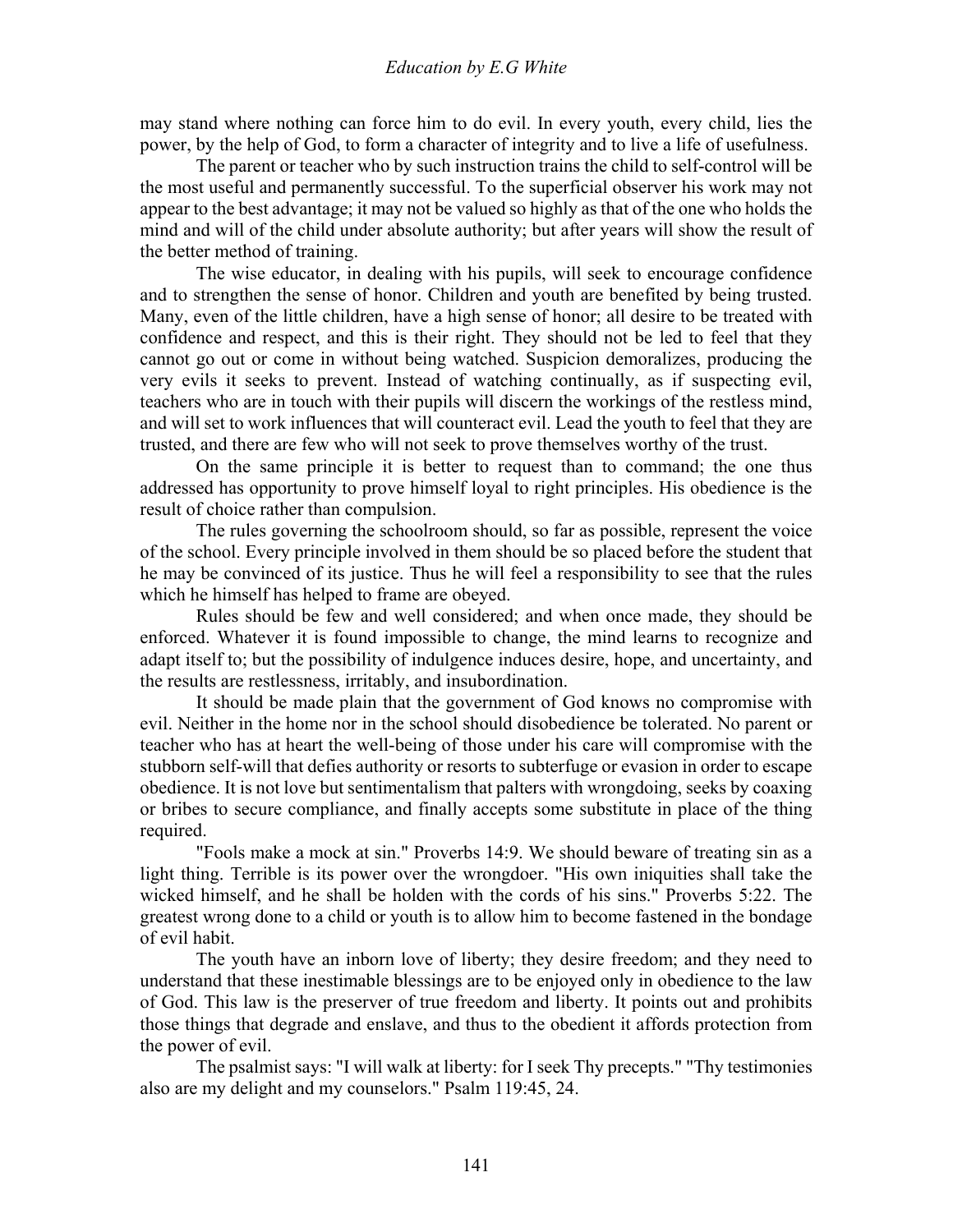may stand where nothing can force him to do evil. In every youth, every child, lies the power, by the help of God, to form a character of integrity and to live a life of usefulness.

 The parent or teacher who by such instruction trains the child to self-control will be the most useful and permanently successful. To the superficial observer his work may not appear to the best advantage; it may not be valued so highly as that of the one who holds the mind and will of the child under absolute authority; but after years will show the result of the better method of training.

 The wise educator, in dealing with his pupils, will seek to encourage confidence and to strengthen the sense of honor. Children and youth are benefited by being trusted. Many, even of the little children, have a high sense of honor; all desire to be treated with confidence and respect, and this is their right. They should not be led to feel that they cannot go out or come in without being watched. Suspicion demoralizes, producing the very evils it seeks to prevent. Instead of watching continually, as if suspecting evil, teachers who are in touch with their pupils will discern the workings of the restless mind, and will set to work influences that will counteract evil. Lead the youth to feel that they are trusted, and there are few who will not seek to prove themselves worthy of the trust.

 On the same principle it is better to request than to command; the one thus addressed has opportunity to prove himself loyal to right principles. His obedience is the result of choice rather than compulsion.

 The rules governing the schoolroom should, so far as possible, represent the voice of the school. Every principle involved in them should be so placed before the student that he may be convinced of its justice. Thus he will feel a responsibility to see that the rules which he himself has helped to frame are obeyed.

 Rules should be few and well considered; and when once made, they should be enforced. Whatever it is found impossible to change, the mind learns to recognize and adapt itself to; but the possibility of indulgence induces desire, hope, and uncertainty, and the results are restlessness, irritably, and insubordination.

 It should be made plain that the government of God knows no compromise with evil. Neither in the home nor in the school should disobedience be tolerated. No parent or teacher who has at heart the well-being of those under his care will compromise with the stubborn self-will that defies authority or resorts to subterfuge or evasion in order to escape obedience. It is not love but sentimentalism that palters with wrongdoing, seeks by coaxing or bribes to secure compliance, and finally accepts some substitute in place of the thing required.

 "Fools make a mock at sin." Proverbs 14:9. We should beware of treating sin as a light thing. Terrible is its power over the wrongdoer. "His own iniquities shall take the wicked himself, and he shall be holden with the cords of his sins." Proverbs 5:22. The greatest wrong done to a child or youth is to allow him to become fastened in the bondage of evil habit.

 The youth have an inborn love of liberty; they desire freedom; and they need to understand that these inestimable blessings are to be enjoyed only in obedience to the law of God. This law is the preserver of true freedom and liberty. It points out and prohibits those things that degrade and enslave, and thus to the obedient it affords protection from the power of evil.

 The psalmist says: "I will walk at liberty: for I seek Thy precepts." "Thy testimonies also are my delight and my counselors." Psalm 119:45, 24.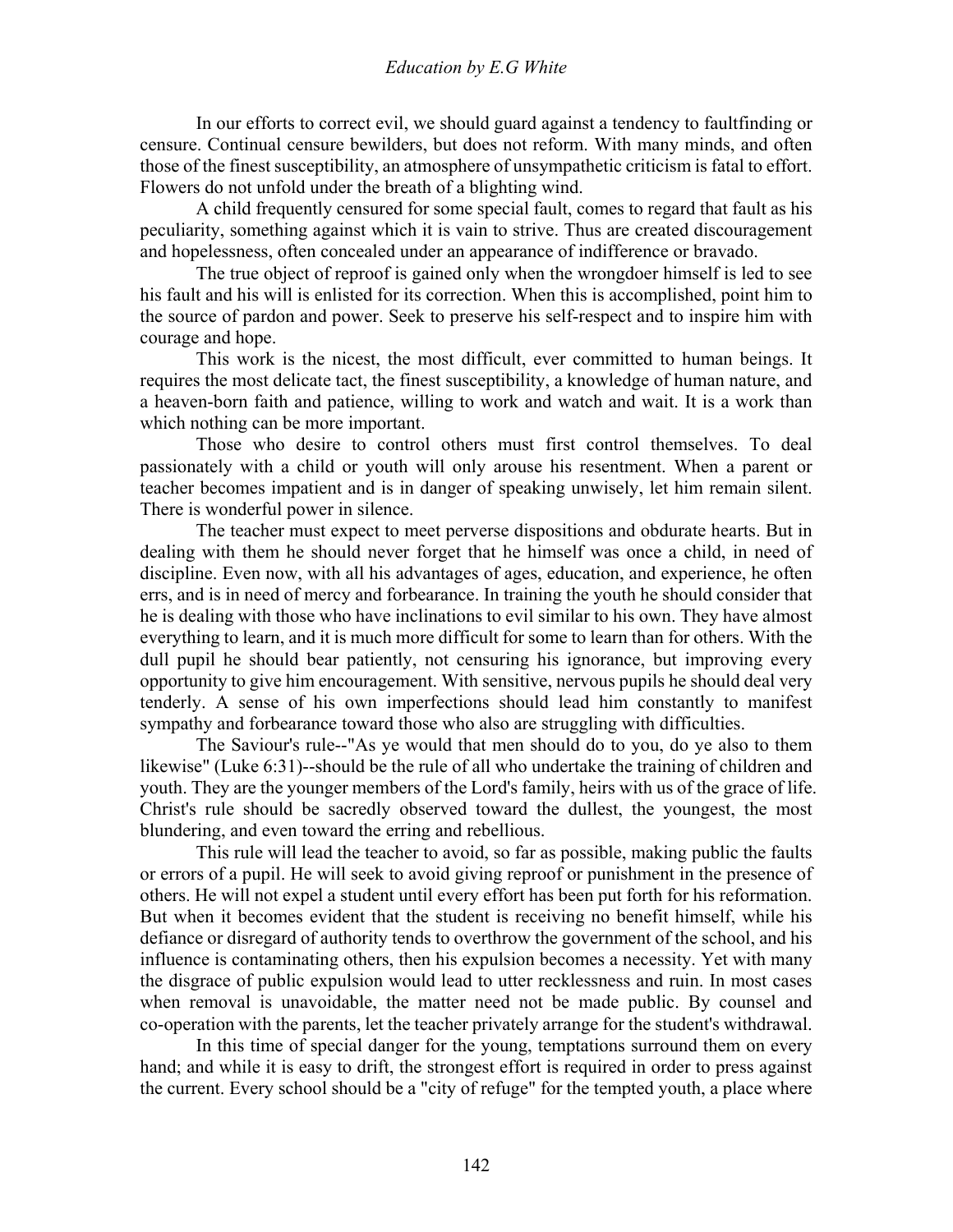In our efforts to correct evil, we should guard against a tendency to faultfinding or censure. Continual censure bewilders, but does not reform. With many minds, and often those of the finest susceptibility, an atmosphere of unsympathetic criticism is fatal to effort. Flowers do not unfold under the breath of a blighting wind.

 A child frequently censured for some special fault, comes to regard that fault as his peculiarity, something against which it is vain to strive. Thus are created discouragement and hopelessness, often concealed under an appearance of indifference or bravado.

 The true object of reproof is gained only when the wrongdoer himself is led to see his fault and his will is enlisted for its correction. When this is accomplished, point him to the source of pardon and power. Seek to preserve his self-respect and to inspire him with courage and hope.

 This work is the nicest, the most difficult, ever committed to human beings. It requires the most delicate tact, the finest susceptibility, a knowledge of human nature, and a heaven-born faith and patience, willing to work and watch and wait. It is a work than which nothing can be more important.

 Those who desire to control others must first control themselves. To deal passionately with a child or youth will only arouse his resentment. When a parent or teacher becomes impatient and is in danger of speaking unwisely, let him remain silent. There is wonderful power in silence.

 The teacher must expect to meet perverse dispositions and obdurate hearts. But in dealing with them he should never forget that he himself was once a child, in need of discipline. Even now, with all his advantages of ages, education, and experience, he often errs, and is in need of mercy and forbearance. In training the youth he should consider that he is dealing with those who have inclinations to evil similar to his own. They have almost everything to learn, and it is much more difficult for some to learn than for others. With the dull pupil he should bear patiently, not censuring his ignorance, but improving every opportunity to give him encouragement. With sensitive, nervous pupils he should deal very tenderly. A sense of his own imperfections should lead him constantly to manifest sympathy and forbearance toward those who also are struggling with difficulties.

 The Saviour's rule--"As ye would that men should do to you, do ye also to them likewise" (Luke 6:31)--should be the rule of all who undertake the training of children and youth. They are the younger members of the Lord's family, heirs with us of the grace of life. Christ's rule should be sacredly observed toward the dullest, the youngest, the most blundering, and even toward the erring and rebellious.

 This rule will lead the teacher to avoid, so far as possible, making public the faults or errors of a pupil. He will seek to avoid giving reproof or punishment in the presence of others. He will not expel a student until every effort has been put forth for his reformation. But when it becomes evident that the student is receiving no benefit himself, while his defiance or disregard of authority tends to overthrow the government of the school, and his influence is contaminating others, then his expulsion becomes a necessity. Yet with many the disgrace of public expulsion would lead to utter recklessness and ruin. In most cases when removal is unavoidable, the matter need not be made public. By counsel and co-operation with the parents, let the teacher privately arrange for the student's withdrawal.

 In this time of special danger for the young, temptations surround them on every hand; and while it is easy to drift, the strongest effort is required in order to press against the current. Every school should be a "city of refuge" for the tempted youth, a place where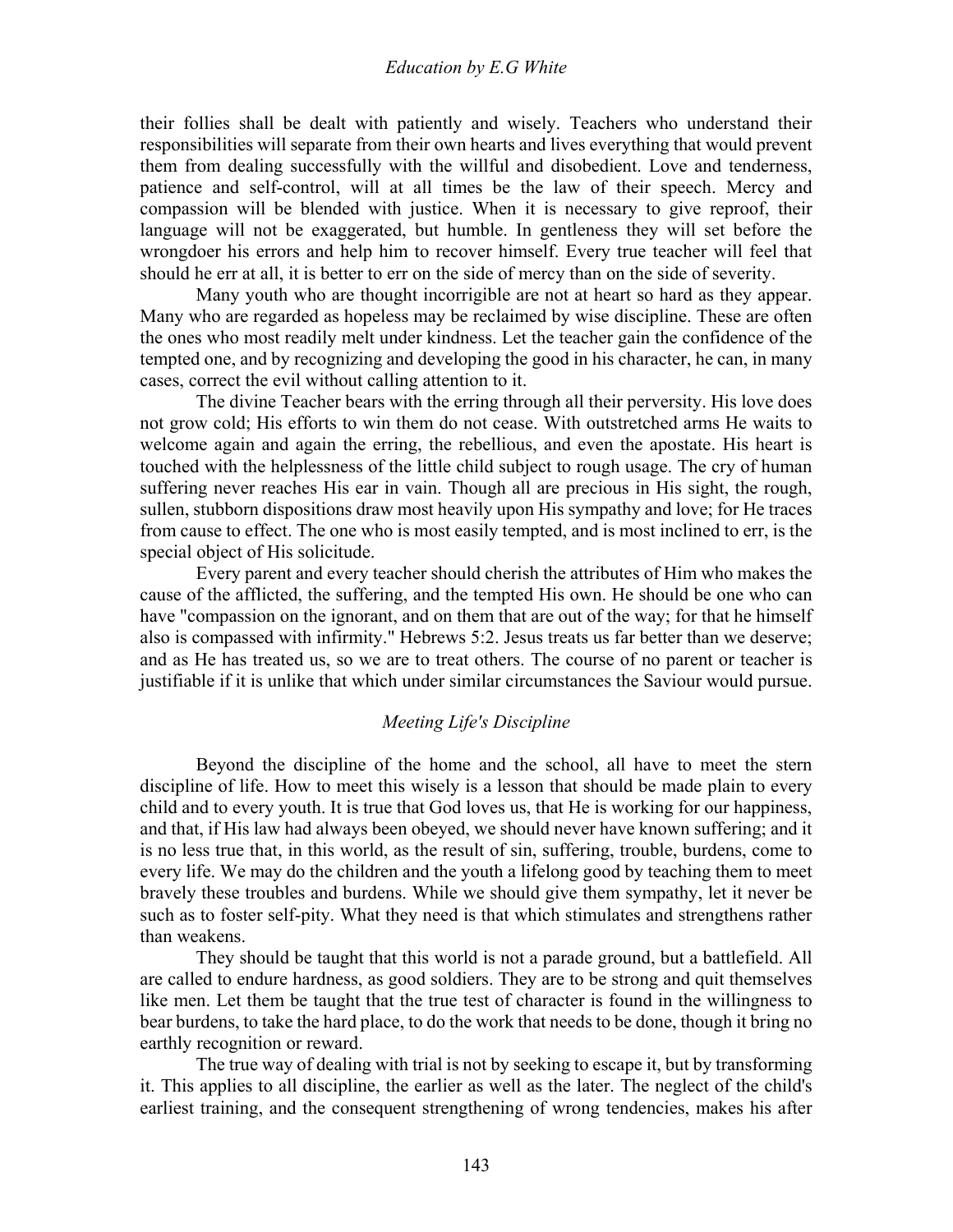their follies shall be dealt with patiently and wisely. Teachers who understand their responsibilities will separate from their own hearts and lives everything that would prevent them from dealing successfully with the willful and disobedient. Love and tenderness, patience and self-control, will at all times be the law of their speech. Mercy and compassion will be blended with justice. When it is necessary to give reproof, their language will not be exaggerated, but humble. In gentleness they will set before the wrongdoer his errors and help him to recover himself. Every true teacher will feel that should he err at all, it is better to err on the side of mercy than on the side of severity.

 Many youth who are thought incorrigible are not at heart so hard as they appear. Many who are regarded as hopeless may be reclaimed by wise discipline. These are often the ones who most readily melt under kindness. Let the teacher gain the confidence of the tempted one, and by recognizing and developing the good in his character, he can, in many cases, correct the evil without calling attention to it.

 The divine Teacher bears with the erring through all their perversity. His love does not grow cold; His efforts to win them do not cease. With outstretched arms He waits to welcome again and again the erring, the rebellious, and even the apostate. His heart is touched with the helplessness of the little child subject to rough usage. The cry of human suffering never reaches His ear in vain. Though all are precious in His sight, the rough, sullen, stubborn dispositions draw most heavily upon His sympathy and love; for He traces from cause to effect. The one who is most easily tempted, and is most inclined to err, is the special object of His solicitude.

 Every parent and every teacher should cherish the attributes of Him who makes the cause of the afflicted, the suffering, and the tempted His own. He should be one who can have "compassion on the ignorant, and on them that are out of the way; for that he himself also is compassed with infirmity." Hebrews 5:2. Jesus treats us far better than we deserve; and as He has treated us, so we are to treat others. The course of no parent or teacher is justifiable if it is unlike that which under similar circumstances the Saviour would pursue.

#### *Meeting Life's Discipline*

Beyond the discipline of the home and the school, all have to meet the stern discipline of life. How to meet this wisely is a lesson that should be made plain to every child and to every youth. It is true that God loves us, that He is working for our happiness, and that, if His law had always been obeyed, we should never have known suffering; and it is no less true that, in this world, as the result of sin, suffering, trouble, burdens, come to every life. We may do the children and the youth a lifelong good by teaching them to meet bravely these troubles and burdens. While we should give them sympathy, let it never be such as to foster self-pity. What they need is that which stimulates and strengthens rather than weakens.

 They should be taught that this world is not a parade ground, but a battlefield. All are called to endure hardness, as good soldiers. They are to be strong and quit themselves like men. Let them be taught that the true test of character is found in the willingness to bear burdens, to take the hard place, to do the work that needs to be done, though it bring no earthly recognition or reward.

 The true way of dealing with trial is not by seeking to escape it, but by transforming it. This applies to all discipline, the earlier as well as the later. The neglect of the child's earliest training, and the consequent strengthening of wrong tendencies, makes his after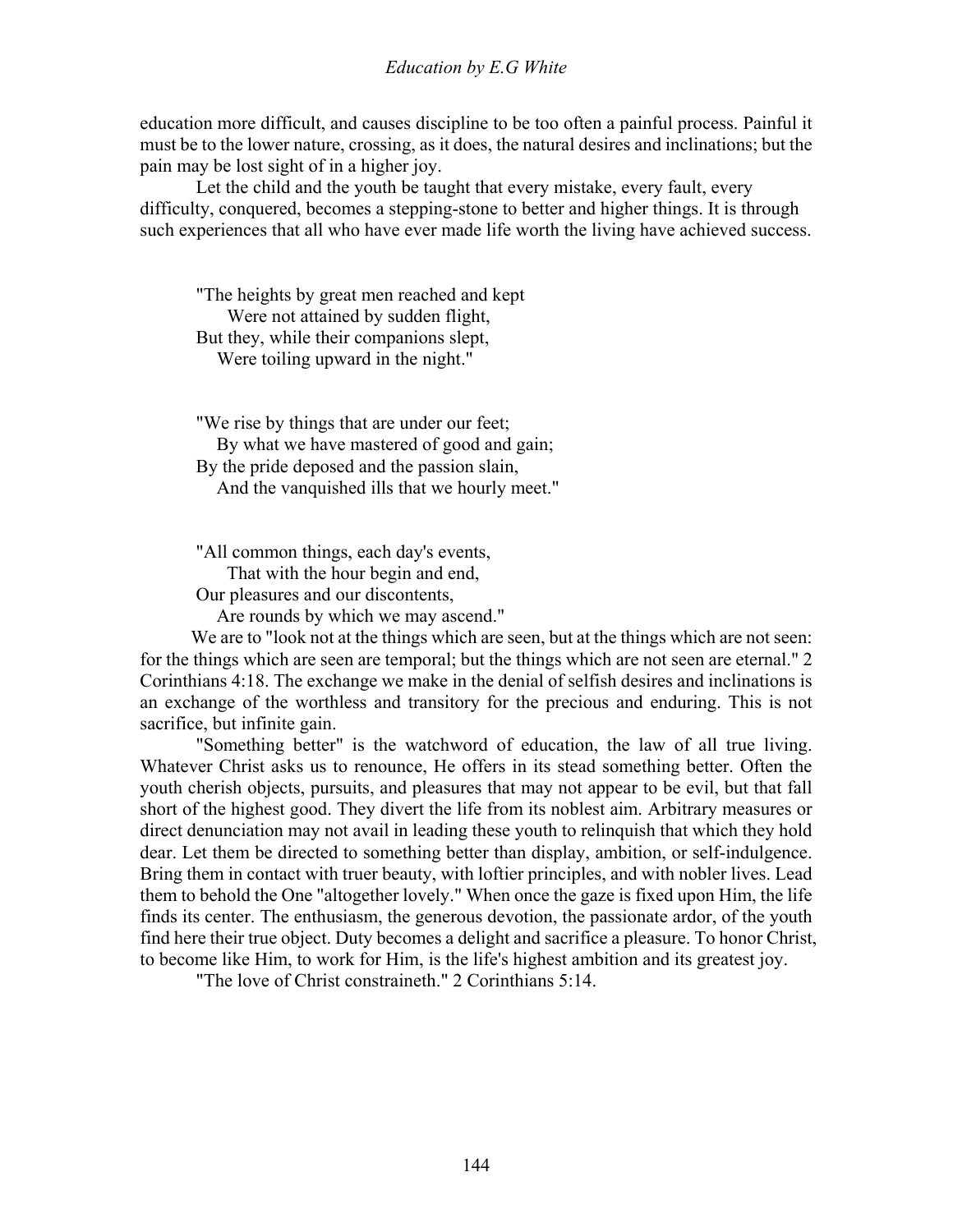education more difficult, and causes discipline to be too often a painful process. Painful it must be to the lower nature, crossing, as it does, the natural desires and inclinations; but the pain may be lost sight of in a higher joy.

 Let the child and the youth be taught that every mistake, every fault, every difficulty, conquered, becomes a stepping-stone to better and higher things. It is through such experiences that all who have ever made life worth the living have achieved success.

"The heights by great men reached and kept Were not attained by sudden flight, But they, while their companions slept, Were toiling upward in the night."

"We rise by things that are under our feet; By what we have mastered of good and gain; By the pride deposed and the passion slain, And the vanquished ills that we hourly meet."

"All common things, each day's events,

That with the hour begin and end,

Our pleasures and our discontents,

Are rounds by which we may ascend."

We are to "look not at the things which are seen, but at the things which are not seen: for the things which are seen are temporal; but the things which are not seen are eternal." 2 Corinthians 4:18. The exchange we make in the denial of selfish desires and inclinations is an exchange of the worthless and transitory for the precious and enduring. This is not sacrifice, but infinite gain.

 "Something better" is the watchword of education, the law of all true living. Whatever Christ asks us to renounce, He offers in its stead something better. Often the youth cherish objects, pursuits, and pleasures that may not appear to be evil, but that fall short of the highest good. They divert the life from its noblest aim. Arbitrary measures or direct denunciation may not avail in leading these youth to relinquish that which they hold dear. Let them be directed to something better than display, ambition, or self-indulgence. Bring them in contact with truer beauty, with loftier principles, and with nobler lives. Lead them to behold the One "altogether lovely." When once the gaze is fixed upon Him, the life finds its center. The enthusiasm, the generous devotion, the passionate ardor, of the youth find here their true object. Duty becomes a delight and sacrifice a pleasure. To honor Christ, to become like Him, to work for Him, is the life's highest ambition and its greatest joy.

"The love of Christ constraineth." 2 Corinthians 5:14.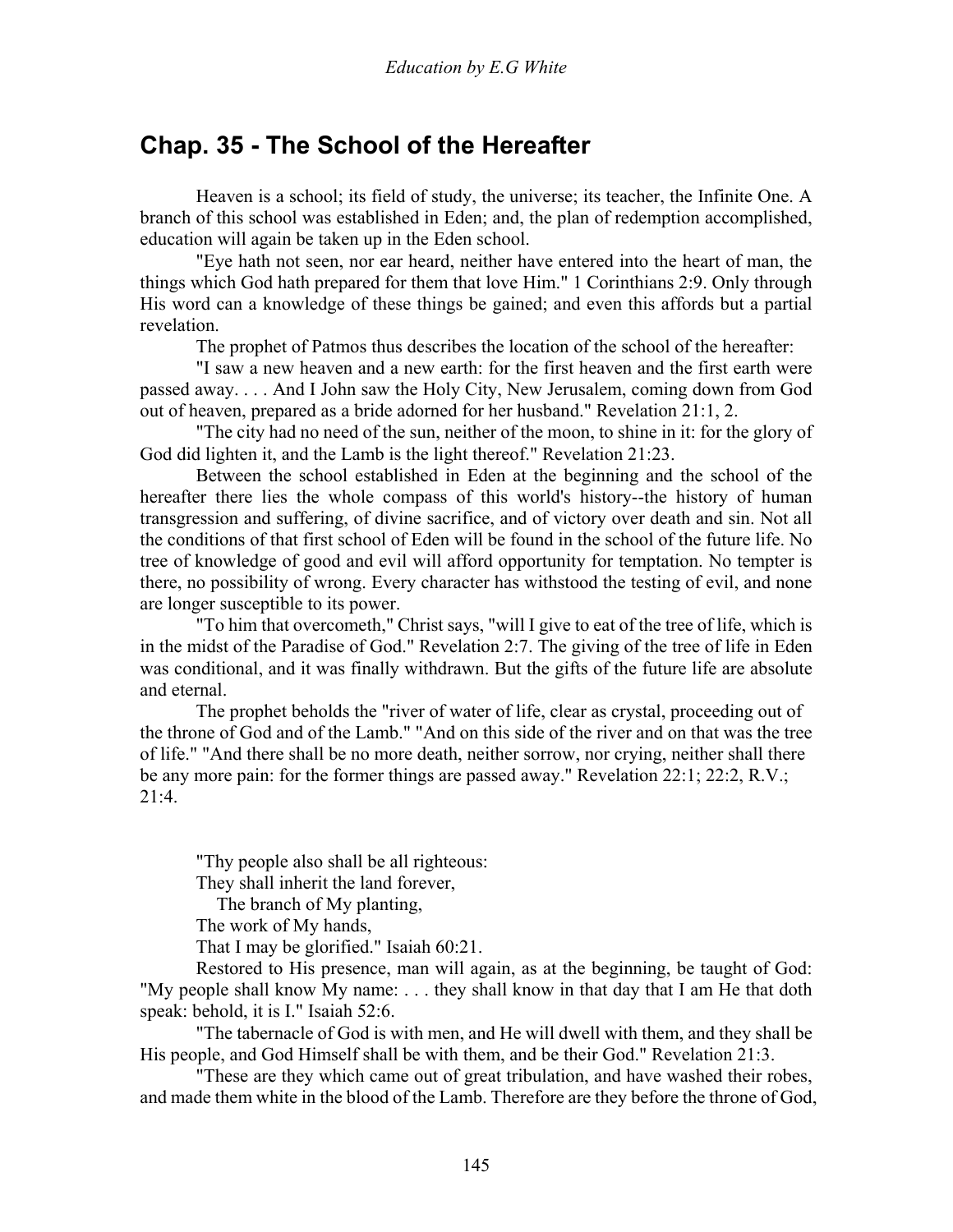## **Chap. 35 - The School of the Hereafter**

 Heaven is a school; its field of study, the universe; its teacher, the Infinite One. A branch of this school was established in Eden; and, the plan of redemption accomplished, education will again be taken up in the Eden school.

 "Eye hath not seen, nor ear heard, neither have entered into the heart of man, the things which God hath prepared for them that love Him." 1 Corinthians 2:9. Only through His word can a knowledge of these things be gained; and even this affords but a partial revelation.

The prophet of Patmos thus describes the location of the school of the hereafter:

 "I saw a new heaven and a new earth: for the first heaven and the first earth were passed away. . . . And I John saw the Holy City, New Jerusalem, coming down from God out of heaven, prepared as a bride adorned for her husband." Revelation 21:1, 2.

 "The city had no need of the sun, neither of the moon, to shine in it: for the glory of God did lighten it, and the Lamb is the light thereof." Revelation 21:23.

 Between the school established in Eden at the beginning and the school of the hereafter there lies the whole compass of this world's history--the history of human transgression and suffering, of divine sacrifice, and of victory over death and sin. Not all the conditions of that first school of Eden will be found in the school of the future life. No tree of knowledge of good and evil will afford opportunity for temptation. No tempter is there, no possibility of wrong. Every character has withstood the testing of evil, and none are longer susceptible to its power.

 "To him that overcometh," Christ says, "will I give to eat of the tree of life, which is in the midst of the Paradise of God." Revelation 2:7. The giving of the tree of life in Eden was conditional, and it was finally withdrawn. But the gifts of the future life are absolute and eternal.

 The prophet beholds the "river of water of life, clear as crystal, proceeding out of the throne of God and of the Lamb." "And on this side of the river and on that was the tree of life." "And there shall be no more death, neither sorrow, nor crying, neither shall there be any more pain: for the former things are passed away." Revelation 22:1; 22:2, R.V.; 21:4.

"Thy people also shall be all righteous:

They shall inherit the land forever,

The branch of My planting,

The work of My hands,

That I may be glorified." Isaiah 60:21.

 Restored to His presence, man will again, as at the beginning, be taught of God: "My people shall know My name: . . . they shall know in that day that I am He that doth speak: behold, it is I." Isaiah 52:6.

 "The tabernacle of God is with men, and He will dwell with them, and they shall be His people, and God Himself shall be with them, and be their God." Revelation 21:3.

 "These are they which came out of great tribulation, and have washed their robes, and made them white in the blood of the Lamb. Therefore are they before the throne of God,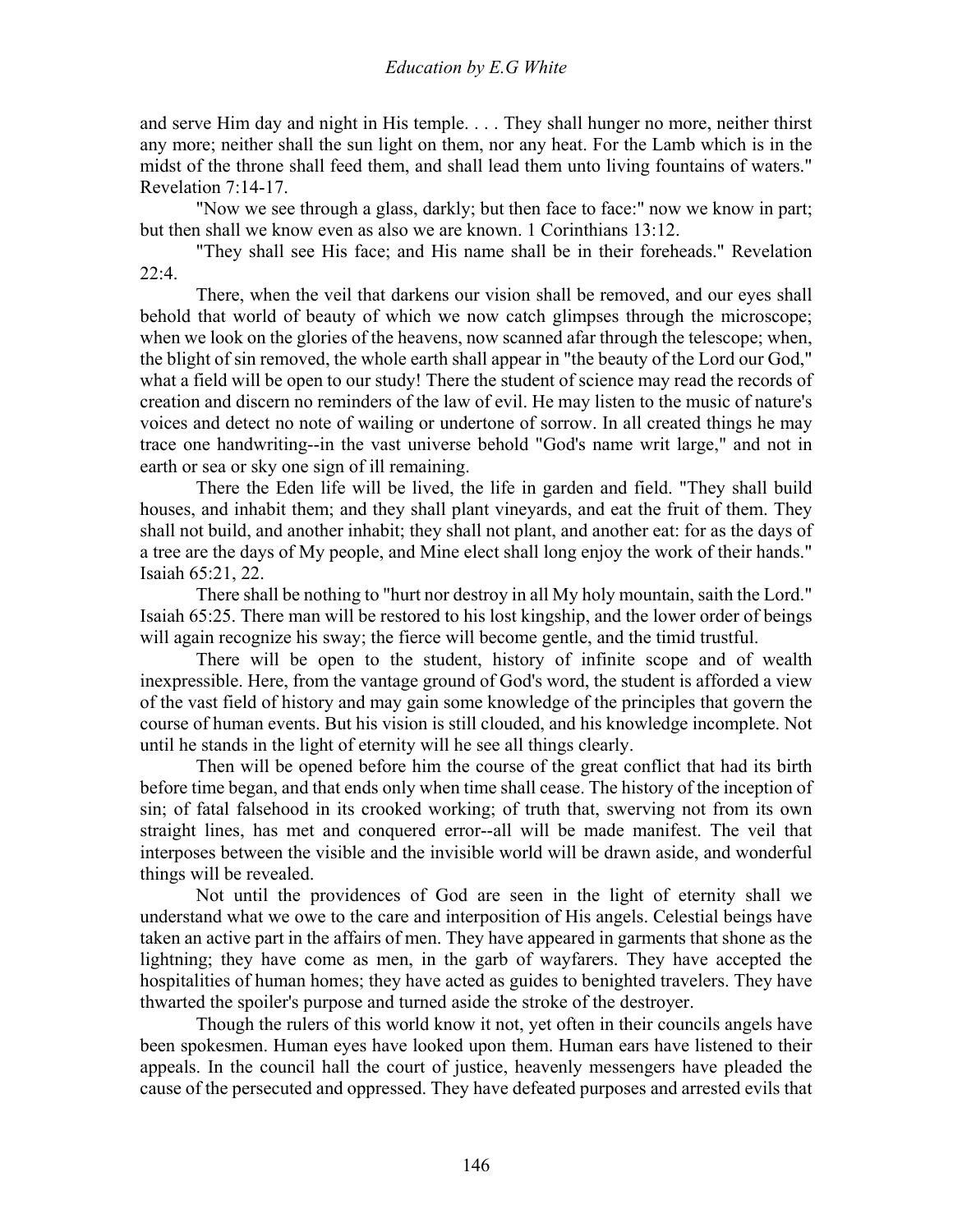## *Education by E.G White*

and serve Him day and night in His temple. . . . They shall hunger no more, neither thirst any more; neither shall the sun light on them, nor any heat. For the Lamb which is in the midst of the throne shall feed them, and shall lead them unto living fountains of waters." Revelation 7:14-17.

 "Now we see through a glass, darkly; but then face to face:" now we know in part; but then shall we know even as also we are known. 1 Corinthians 13:12.

 "They shall see His face; and His name shall be in their foreheads." Revelation  $22:4.$ 

 There, when the veil that darkens our vision shall be removed, and our eyes shall behold that world of beauty of which we now catch glimpses through the microscope; when we look on the glories of the heavens, now scanned afar through the telescope; when, the blight of sin removed, the whole earth shall appear in "the beauty of the Lord our God," what a field will be open to our study! There the student of science may read the records of creation and discern no reminders of the law of evil. He may listen to the music of nature's voices and detect no note of wailing or undertone of sorrow. In all created things he may trace one handwriting--in the vast universe behold "God's name writ large," and not in earth or sea or sky one sign of ill remaining.

 There the Eden life will be lived, the life in garden and field. "They shall build houses, and inhabit them; and they shall plant vineyards, and eat the fruit of them. They shall not build, and another inhabit; they shall not plant, and another eat: for as the days of a tree are the days of My people, and Mine elect shall long enjoy the work of their hands." Isaiah 65:21, 22.

 There shall be nothing to "hurt nor destroy in all My holy mountain, saith the Lord." Isaiah 65:25. There man will be restored to his lost kingship, and the lower order of beings will again recognize his sway; the fierce will become gentle, and the timid trustful.

 There will be open to the student, history of infinite scope and of wealth inexpressible. Here, from the vantage ground of God's word, the student is afforded a view of the vast field of history and may gain some knowledge of the principles that govern the course of human events. But his vision is still clouded, and his knowledge incomplete. Not until he stands in the light of eternity will he see all things clearly.

 Then will be opened before him the course of the great conflict that had its birth before time began, and that ends only when time shall cease. The history of the inception of sin; of fatal falsehood in its crooked working; of truth that, swerving not from its own straight lines, has met and conquered error--all will be made manifest. The veil that interposes between the visible and the invisible world will be drawn aside, and wonderful things will be revealed.

 Not until the providences of God are seen in the light of eternity shall we understand what we owe to the care and interposition of His angels. Celestial beings have taken an active part in the affairs of men. They have appeared in garments that shone as the lightning; they have come as men, in the garb of wayfarers. They have accepted the hospitalities of human homes; they have acted as guides to benighted travelers. They have thwarted the spoiler's purpose and turned aside the stroke of the destroyer.

 Though the rulers of this world know it not, yet often in their councils angels have been spokesmen. Human eyes have looked upon them. Human ears have listened to their appeals. In the council hall the court of justice, heavenly messengers have pleaded the cause of the persecuted and oppressed. They have defeated purposes and arrested evils that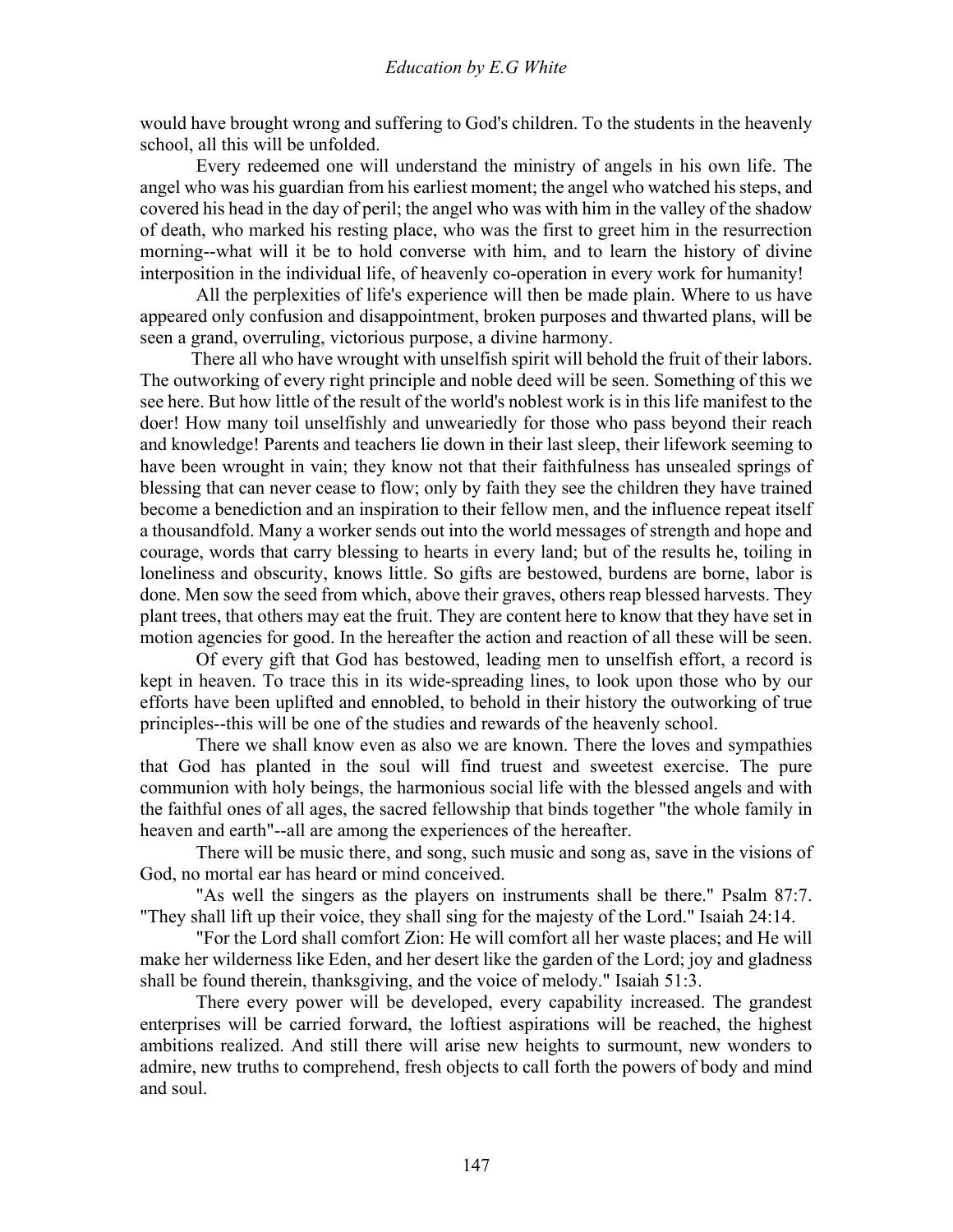would have brought wrong and suffering to God's children. To the students in the heavenly school, all this will be unfolded.

 Every redeemed one will understand the ministry of angels in his own life. The angel who was his guardian from his earliest moment; the angel who watched his steps, and covered his head in the day of peril; the angel who was with him in the valley of the shadow of death, who marked his resting place, who was the first to greet him in the resurrection morning--what will it be to hold converse with him, and to learn the history of divine interposition in the individual life, of heavenly co-operation in every work for humanity!

 All the perplexities of life's experience will then be made plain. Where to us have appeared only confusion and disappointment, broken purposes and thwarted plans, will be seen a grand, overruling, victorious purpose, a divine harmony.

 There all who have wrought with unselfish spirit will behold the fruit of their labors. The outworking of every right principle and noble deed will be seen. Something of this we see here. But how little of the result of the world's noblest work is in this life manifest to the doer! How many toil unselfishly and unweariedly for those who pass beyond their reach and knowledge! Parents and teachers lie down in their last sleep, their lifework seeming to have been wrought in vain; they know not that their faithfulness has unsealed springs of blessing that can never cease to flow; only by faith they see the children they have trained become a benediction and an inspiration to their fellow men, and the influence repeat itself a thousandfold. Many a worker sends out into the world messages of strength and hope and courage, words that carry blessing to hearts in every land; but of the results he, toiling in loneliness and obscurity, knows little. So gifts are bestowed, burdens are borne, labor is done. Men sow the seed from which, above their graves, others reap blessed harvests. They plant trees, that others may eat the fruit. They are content here to know that they have set in motion agencies for good. In the hereafter the action and reaction of all these will be seen.

 Of every gift that God has bestowed, leading men to unselfish effort, a record is kept in heaven. To trace this in its wide-spreading lines, to look upon those who by our efforts have been uplifted and ennobled, to behold in their history the outworking of true principles--this will be one of the studies and rewards of the heavenly school.

 There we shall know even as also we are known. There the loves and sympathies that God has planted in the soul will find truest and sweetest exercise. The pure communion with holy beings, the harmonious social life with the blessed angels and with the faithful ones of all ages, the sacred fellowship that binds together "the whole family in heaven and earth"--all are among the experiences of the hereafter.

 There will be music there, and song, such music and song as, save in the visions of God, no mortal ear has heard or mind conceived.

 "As well the singers as the players on instruments shall be there." Psalm 87:7. "They shall lift up their voice, they shall sing for the majesty of the Lord." Isaiah 24:14.

 "For the Lord shall comfort Zion: He will comfort all her waste places; and He will make her wilderness like Eden, and her desert like the garden of the Lord; joy and gladness shall be found therein, thanksgiving, and the voice of melody." Isaiah 51:3.

 There every power will be developed, every capability increased. The grandest enterprises will be carried forward, the loftiest aspirations will be reached, the highest ambitions realized. And still there will arise new heights to surmount, new wonders to admire, new truths to comprehend, fresh objects to call forth the powers of body and mind and soul.